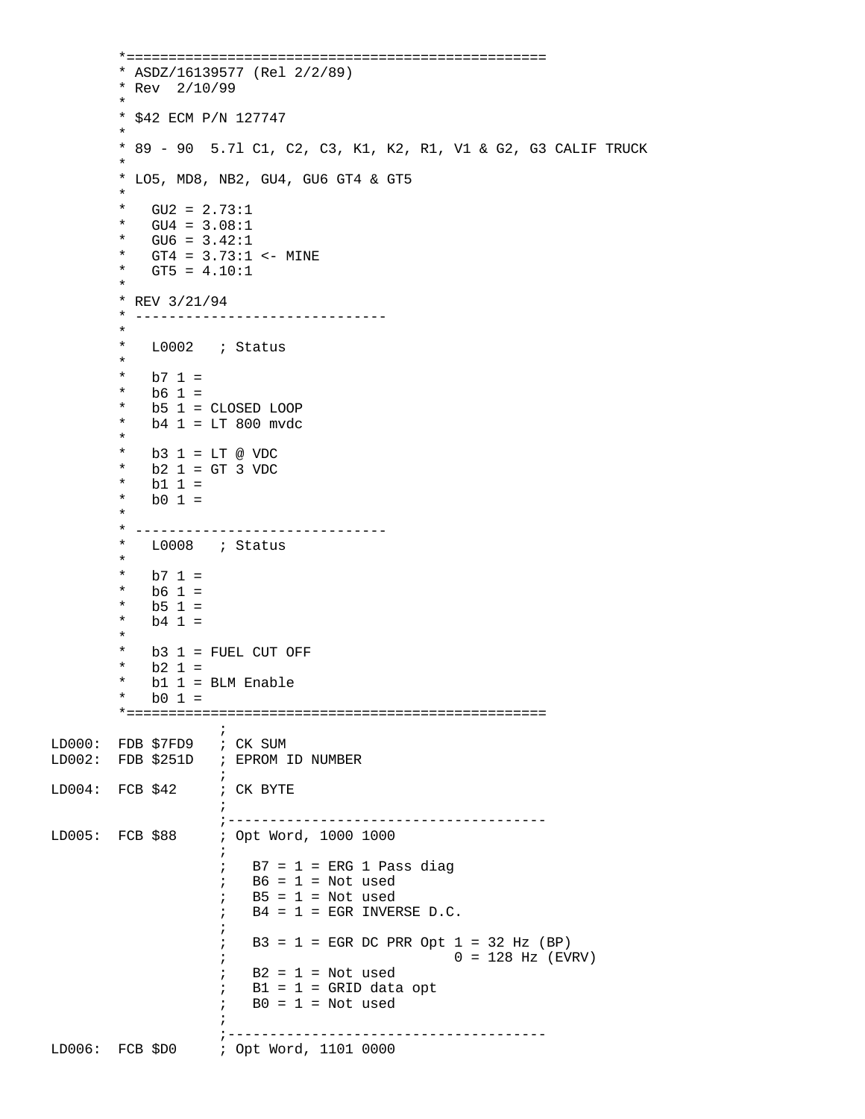\*================================================== \* ASDZ/16139577 (Rel 2/2/89) \* Rev 2/10/99 \* \* \$42 ECM P/N 127747  $\star$  \* 89 - 90 5.7l C1, C2, C3, K1, K2, R1, V1 & G2, G3 CALIF TRUCK \* \* LO5, MD8, NB2, GU4, GU6 GT4 & GT5  $\star$ \*  $GU2 = 2.73:1$ <br>\*  $GU4 = 3.08:1$  $GU4 = 3.08:1$  $GU6 = 3.42:1$ \*  $GT4 = 3.73:1 \le -$  MINE<br>\*  $GT5 = 4.10:1$  $GTS = 4.10:1$  $\star$ \* REV  $3/21/94$ <br>\* ------------ \* ------------------------------ \* \* L0002 ; Status  $\star$  $*$  b7 1 =<br> $*$  b6 1 =  $b6 1 =$  $b5$  1 = CLOSED LOOP  $b4 1 = LT 800 mvdc$  $\star$  \* b3 1 = LT @ VDC  $*$  b2 1 = GT 3 VDC  $*$  b1 1 =<br> $*$  b0 1 =  $b0 1 =$  $\star$  \* ------------------------------ L0008 ; Status \* \*  $b7 1 =$ \* b6 1 =  $\frac{1}{1}$  b6 1 = \* b5 1 =  $\frac{1}{1}$  =  $b4 1 =$  $\star$  \* b3 1 = FUEL CUT OFF \* b2 1 =  $\frac{1}{2}$  b2 1 = \* b1 1 = BLM Enable<br>\* b0 1  $b0 1 =$  \*==================================================  $\mathcal{L}^{\text{max}}$ LD000: FDB \$7FD9 ; CK SUM LD002: FDB \$251D ; EPROM ID NUMBER  $\mathcal{L}^{\text{max}}$  is a set of the set of the set of the set of the set of the set of the set of the set of the set of the set of the set of the set of the set of the set of the set of the set of the set of the set of the set LD004: FCB \$42 ; CK BYTE  $\mathcal{L}^{\text{max}}$  ;-------------------------------------- ; Opt Word, 1000 1000  $\mathcal{L}^{\text{max}}$  is a set of the set of the set of the set of the set of the set of the set of the set of the set of the set of the set of the set of the set of the set of the set of the set of the set of the set of the set  $;$  B7 = 1 = ERG 1 Pass diag  $;$  B6 = 1 = Not used  $;$  B5 = 1 = Not used  $;$  B4 = 1 = EGR INVERSE D.C.  $\mathcal{L}^{\text{max}}$  is a set of the set of the set of the set of the set of the set of the set of the set of the set of the set of the set of the set of the set of the set of the set of the set of the set of the set of the set  $;$  B3 = 1 = EGR DC PRR Opt 1 = 32 Hz (BP) ;  $0 = 128$  Hz (EVRV)  $;$  B2 = 1 = Not used  $;$  B1 = 1 = GRID data opt  $\div$  B0 = 1 = Not used  $\mathcal{L}^{\text{max}}$  is a set of the set of the set of the set of the set of the set of the set of the set of the set of the set of the set of the set of the set of the set of the set of the set of the set of the set of the set ;-------------------------------------- : Opt Word, 1101 0000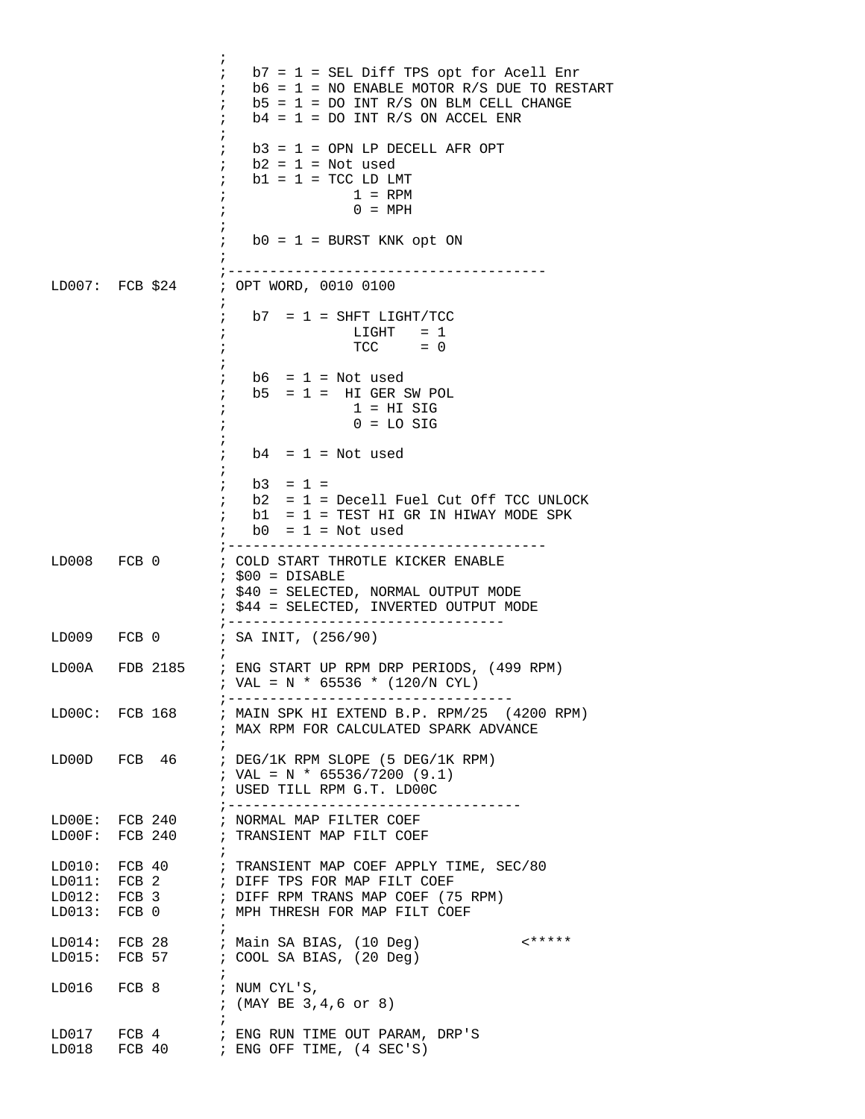|                   | ÷<br>$b7 = 1 = SEL$ Diff TPS opt for Acell Enr<br>$\ddot{ }$<br>$b6 = 1 = NO$ ENABLE MOTOR R/S DUE TO RESTART<br>$\ddot{i}$<br>$b5 = 1 = DO INT R/S ON BLM CELL CHANGE$<br>$\ddot{i}$<br>$b4 = 1 = DO INT R/S ON ACCEL ENR$<br>$\ddot{i}$ |
|-------------------|-------------------------------------------------------------------------------------------------------------------------------------------------------------------------------------------------------------------------------------------|
|                   | $\ddot{ }$<br>$b3 = 1 =$ OPN LP DECELL AFR OPT<br>$b2 = 1 = Not used$<br>$\ddot{i}$<br>$b1 = 1 = TCC LD LMT$<br>$\ddot{i}$<br>$1 = RPM$<br>$\cdot$<br>$0 = MPH$<br>$\ddot{ }$                                                             |
|                   | $b0 = 1 = BURST KNK opt ON$                                                                                                                                                                                                               |
| $LD007:$ FCB \$24 | --------------------------------------<br>; OPT WORD, 0010 0100<br>i                                                                                                                                                                      |
|                   | $\ddot{i}$<br>$b7 = 1 = SHFT LIGHT/TCC$<br>$\begin{array}{rcl} \text{LIGHT} & = & 1 \\ \text{TCC} & = & 0 \end{array}$<br>÷                                                                                                               |
|                   | $b6 = 1 = Not used$<br>$b5 = 1 = H1$ GER SW POL<br>$\ddot{i}$<br>$1 = HI$ SIG<br>$\ddot{ }$<br>$0 = LO$ SIG                                                                                                                               |
|                   | $b4 = 1 = Not used$<br>÷<br>$\cdot$                                                                                                                                                                                                       |
|                   | $b3 = 1 =$<br>$\ddot{i}$<br>$b2 = 1 = Decell$ Fuel Cut Off TCC UNLOCK<br>$\ddot{ }$<br>$b1 = 1$ = TEST HI GR IN HIWAY MODE SPK<br>$\mathbf{r}$<br>$b0 = 1 = Not used$<br>$\mathbf{i}$                                                     |
| LD008 FCB 0       | ; COLD START THROTLE KICKER ENABLE<br>$:$ \$00 = DISABLE<br>; \$40 = SELECTED, NORMAL OUTPUT MODE<br>; \$44 = SELECTED, INVERTED OUTPUT MODE                                                                                              |
| LD009 FCB 0       | $\frac{1}{2}$ - - - - - - -<br>; SA INIT, (256/90)                                                                                                                                                                                        |
| LD00A FDB 2185    | ; ENG START UP RPM DRP PERIODS, (499 RPM)<br>; VAL = N * 65536 * (120/N CYL)<br>; ----------------------                                                                                                                                  |
| LD00C: FCB 168    | ; MAIN SPK HI EXTEND B.P. RPM/25 (4200 RPM)<br>; MAX RPM FOR CALCULATED SPARK ADVANCE                                                                                                                                                     |
|                   | $\ddot{i}$<br>LD00D FCB 46 ; DEG/1K RPM SLOPE (5 DEG/1K RPM)<br>; VAL = N * 65536/7200 (9.1)<br>; USED TILL RPM G.T. LD00C<br>;------------------------------------                                                                       |
|                   | LD00E: FCB 240 ; NORMAL MAP FILTER COEF<br>LD00F: FCB 240 ; TRANSIENT MAP FILT COEF                                                                                                                                                       |
| LD011: FCB2       | $\cdot$<br>LD010: FCB 40 ; TRANSIENT MAP COEF APPLY TIME, SEC/80<br>LD011: FCB 2       ; DIFF TPS FOR MAP FILT COEF<br>LD012: FCB 3       ; DIFF RPM TRANS MAP COEF (75 RPM)<br>LD013: FCB 0 ; MPH THRESH FOR MAP FILT COEF               |
|                   | $\ddot{i}$<br>LD014: FCB 28 : Main SA BIAS, (10 Deg)<br>$\left\{******\right\}$<br>LD015: FCB 57 ; COOL SA BIAS, (20 Deg)                                                                                                                 |
| LD016 FCB 8       | $\cdot$<br>; NUM CYL'S,<br>; $(MAY BE 3, 4, 6 or 8)$                                                                                                                                                                                      |
| LD017 FCB 4       | $\ddot{i}$<br>; ENG RUN TIME OUT PARAM, DRP'S<br>LD018 FCB 40 ; ENG OFF TIME, (4 SEC'S)                                                                                                                                                   |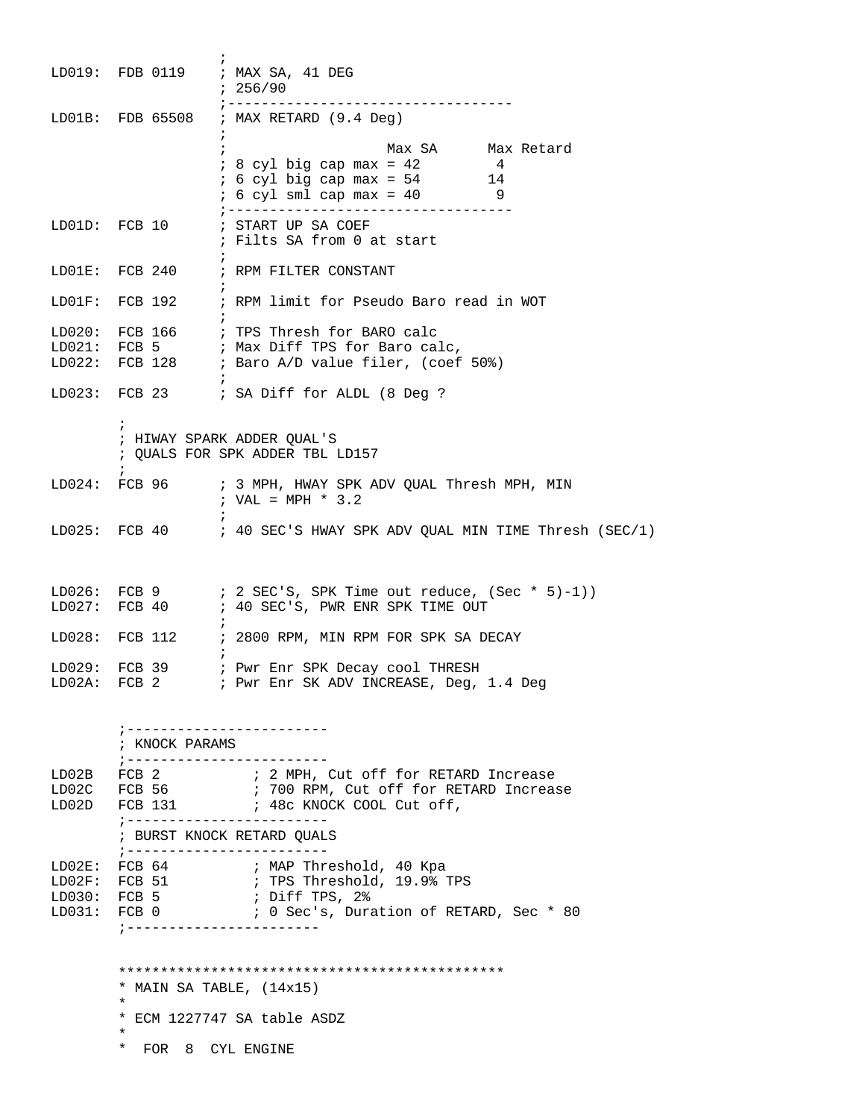|                                         |                                                                                   | LD019: FDB 0119 ; MAX SA, 41 DEG<br>: 256/90                                                                                                                                                     |
|-----------------------------------------|-----------------------------------------------------------------------------------|--------------------------------------------------------------------------------------------------------------------------------------------------------------------------------------------------|
|                                         |                                                                                   | ;----------------------------------<br>LD01B: FDB 65508 ; MAX RETARD (9.4 Deg)                                                                                                                   |
|                                         |                                                                                   | $\ddot{ }$<br>Max SA Max Retard<br>$\ddot{i}$<br>$: 8$ cyl big cap max = 42<br>4<br>$: 6 \text{ cyl big cap max} = 54$ 14<br>$: 6 cyl sml cap max = 40$ 9<br>;---------------------------------- |
|                                         |                                                                                   | ; Filts SA from 0 at start                                                                                                                                                                       |
|                                         |                                                                                   | LD01E: FCB 240 ; RPM FILTER CONSTANT                                                                                                                                                             |
| $LD01F$ :                               | $\cdot$ :                                                                         | FCB 192 : RPM limit for Pseudo Baro read in WOT                                                                                                                                                  |
|                                         |                                                                                   | LD020: FCB 166 ; TPS Thresh for BARO calc<br>LD021: FCB 5 ; Max Diff TPS for Baro calc,<br>LD022: FCB 128 : Baro A/D value filer, (coef 50%)                                                     |
|                                         |                                                                                   | LD023: FCB 23 ; SA Diff for ALDL (8 Deg ?                                                                                                                                                        |
|                                         | $\ddot{ }$                                                                        | ; HIWAY SPARK ADDER QUAL'S<br>; QUALS FOR SPK ADDER TBL LD157                                                                                                                                    |
|                                         | $\ddot{i}$                                                                        | LD024: FCB 96 : 3 MPH, HWAY SPK ADV QUAL Thresh MPH, MIN<br>; VAL = MPH * $3.2$                                                                                                                  |
|                                         |                                                                                   | LD025: FCB 40 $\;$ ; 40 SEC'S HWAY SPK ADV QUAL MIN TIME Thresh (SEC/1)                                                                                                                          |
| LD027:                                  |                                                                                   | LD026: FCB 9 $\qquad$ ; 2 SEC'S, SPK Time out reduce, (Sec * 5)-1))<br>FCB 40 : 40 SEC'S, PWR ENR SPK TIME OUT                                                                                   |
| LD028:                                  |                                                                                   | FCB 112 : 2800 RPM, MIN RPM FOR SPK SA DECAY                                                                                                                                                     |
| LD029:                                  |                                                                                   | FCB 39 : Pwr Enr SPK Decay cool THRESH<br>LD02A: FCB 2 : Pwr Enr SK ADV INCREASE, Deg, 1.4 Deg                                                                                                   |
|                                         | ; KNOCK PARAMS<br>;----------------------                                         | ; -----------------------                                                                                                                                                                        |
| LD02B                                   |                                                                                   | FCB 2 7 7 2 MPH, Cut off for RETARD Increase<br>LD02C FCB 56 : 700 RPM, Cut off for RETARD Increase<br>LD02D FCB 131 : 48c KNOCK COOL Cut off,<br>; ------------------------                     |
|                                         |                                                                                   | ; BURST KNOCK RETARD OUALS<br>; ------------------------                                                                                                                                         |
| LD02E:<br>$LD02F$ :<br>LD030:<br>LD031: | FCB 0<br>; -----------------------                                                | FCB 64 : MAP Threshold, 40 Kpa<br>FCB 51 : TPS Threshold, 19.9% TPS<br>FCB $5$ ; Diff TPS, $2\$<br>; 0 Sec's, Duration of RETARD, Sec * 80                                                       |
|                                         | * MAIN SA TABLE, $(14x15)$<br>$^\star$<br>$^\star$<br>$\star$<br>FOR 8 CYL ENGINE | * ECM 1227747 SA table ASDZ                                                                                                                                                                      |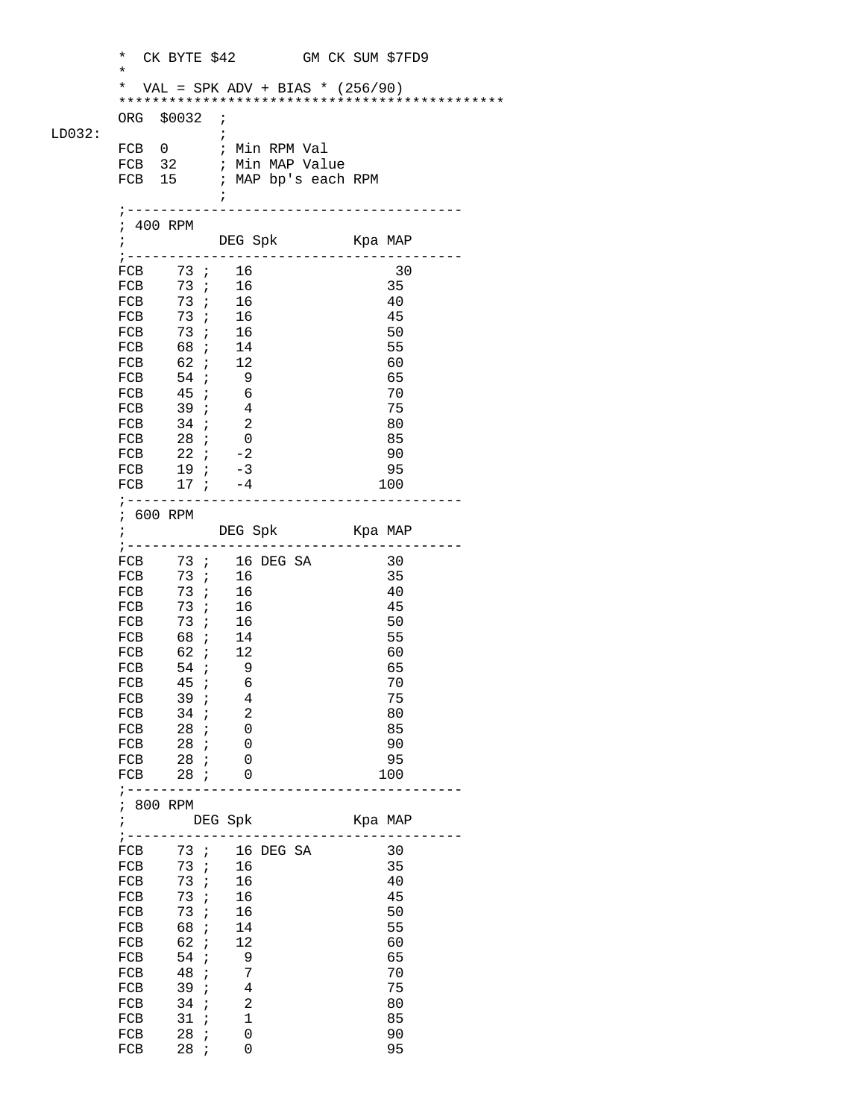|        | $\star$<br>$^\star$ | CK BYTE \$42 GM CK SUM \$7FD9        |                               |  |         |          |  |
|--------|---------------------|--------------------------------------|-------------------------------|--|---------|----------|--|
|        | *                   | VAL = SPK ADV + BIAS * $(256/90)$    |                               |  |         |          |  |
|        |                     |                                      |                               |  |         |          |  |
|        |                     | ORG \$0032 ;                         |                               |  |         |          |  |
| LD032: |                     | FCB 0 ; Min RPM Val                  | $\cdot$                       |  |         |          |  |
|        |                     | FCB 32 ; Min MAP Value               |                               |  |         |          |  |
|        |                     | FCB 15 ; MAP bp's each RPM           |                               |  |         |          |  |
|        |                     |                                      | $\ddot{i}$                    |  |         |          |  |
|        | ; 400 RPM           |                                      |                               |  |         |          |  |
|        | $\mathbf{r}$        |                                      | DEG Spk Kpa MAP               |  |         |          |  |
|        |                     | ; ---------------------------------- |                               |  |         |          |  |
|        |                     | FCB 73; 16<br>FCB 73; 16             |                               |  |         | 30       |  |
|        |                     | FCB 73; 16                           |                               |  |         | 35       |  |
|        |                     | FCB 73; 16                           |                               |  |         | 40<br>45 |  |
|        |                     | FCB 73; 16                           |                               |  |         | 50       |  |
|        |                     | FCB 68 ; 14<br>FCB 62 ; 12           |                               |  |         | 55       |  |
|        |                     |                                      |                               |  |         | 60       |  |
|        |                     | FCB 54; 9                            |                               |  |         | 65       |  |
|        |                     | FCB 45 ; 6<br>FCB 39 ; 4             |                               |  |         | 70<br>75 |  |
|        |                     |                                      |                               |  |         | 80       |  |
|        |                     | FCB 34 ; 2<br>FCB 28 ; 0             |                               |  |         | 85       |  |
|        |                     | FCB 22 $i$ -2                        |                               |  |         | 90       |  |
|        |                     | FCB $19; -3$                         |                               |  |         | 95       |  |
|        |                     | FCB $17$ ; $-4$                      | --------                      |  |         | 100      |  |
|        |                     | ; 600 RPM                            |                               |  |         |          |  |
|        |                     | ; DEG Spk Kpa MAP                    |                               |  |         |          |  |
|        |                     |                                      |                               |  |         |          |  |
|        |                     | FCB $73$ ; 16 DEG SA                 |                               |  |         | 30<br>35 |  |
|        |                     | FCB 73; 16<br>FCB 73; 16             |                               |  |         | 40       |  |
|        |                     | FCB 73; 16                           |                               |  |         | 45       |  |
|        | FCB                 |                                      | 73; 16                        |  |         | 50       |  |
|        |                     | FCB 68 ; 14                          |                               |  |         | 55       |  |
|        | FCB                 | 62 ;<br>FCB $54; 9$                  | 12                            |  |         | 60<br>65 |  |
|        |                     | FCB 45 <i>i</i> 6                    |                               |  |         | 70       |  |
|        | FCB                 | 39i                                  | 4                             |  |         | 75       |  |
|        | FCB                 | 34 ;                                 | 2                             |  |         | 80       |  |
|        | FCB                 | 28;                                  | 0                             |  |         | 85       |  |
|        | FCB                 | 28;<br>FCB 28 ;                      | 0<br>0                        |  |         | 90<br>95 |  |
|        |                     | FCB 28 ;                             | $\overline{\phantom{0}}$      |  |         | 100      |  |
|        |                     | ; ---------                          |                               |  |         |          |  |
|        |                     | ; 800 RPM                            |                               |  |         |          |  |
|        | $\mathbf{r}$        | ; ---------                          | DEG Spk                       |  | Kpa MAP |          |  |
|        |                     | FCB 73; 16 DEG SA                    |                               |  |         | 30       |  |
|        | FCB                 | 73 <i>i</i>                          | 16                            |  |         | 35       |  |
|        | FCB                 | 73:                                  | 16                            |  |         | 40       |  |
|        | FCB                 | 73 ;<br>73 ;                         | 16                            |  |         | 45       |  |
|        | FCB<br>FCB          | 68;                                  | 16<br>14                      |  |         | 50<br>55 |  |
|        | FCB                 | 62 ;                                 | 12                            |  |         | 60       |  |
|        | FCB                 | $54$ ;                               | 9                             |  |         | 65       |  |
|        | FCB                 | 48;                                  | $\overline{7}$                |  |         | 70       |  |
|        | FCB                 | 39:                                  | $\overline{4}$                |  |         | 75       |  |
|        | FCB<br>FCB          | 34:<br>31:                           | $\overline{c}$<br>$\mathbf 1$ |  |         | 80<br>85 |  |
|        | FCB                 | 28i                                  | 0                             |  |         | 90       |  |
|        | FCB                 | 28 ;                                 | 0                             |  |         | 95       |  |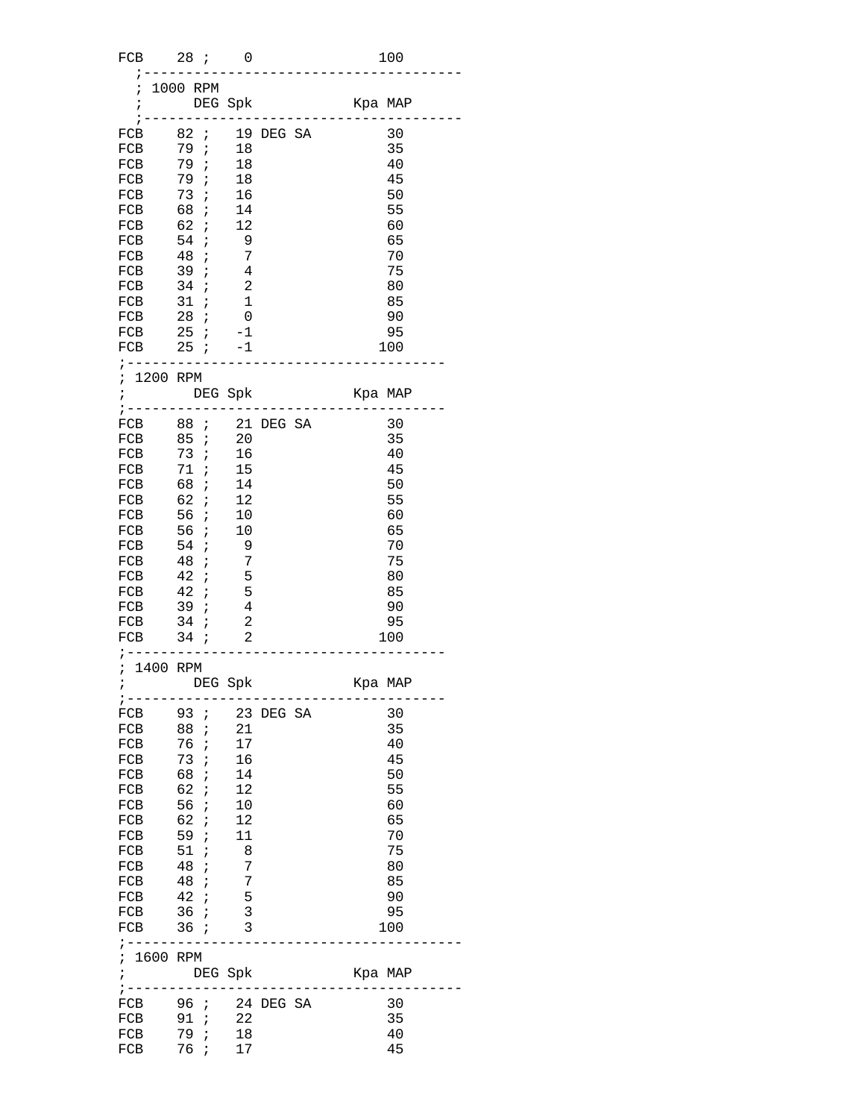| FCB         | 28i0                           |                                             |                                   | 100      |
|-------------|--------------------------------|---------------------------------------------|-----------------------------------|----------|
| $\ddot{i}$  | 1000 RPM                       |                                             |                                   |          |
|             |                                |                                             |                                   |          |
|             |                                |                                             |                                   |          |
|             | FCB 82 ; 19 DEG SA             |                                             |                                   | 30       |
|             | FCB 79; 18                     |                                             |                                   | 35       |
|             | FCB 79; 18                     |                                             |                                   | 40       |
|             | FCB 79; 18<br>FCB 73; 16       |                                             |                                   | 45       |
|             | FCB $68; 14$                   |                                             |                                   | 50       |
|             |                                |                                             |                                   | 55       |
|             | FCB 62 ; 12                    |                                             |                                   | 60       |
|             | FCB 54;                        | $\overline{\phantom{0}}$<br>$7\phantom{.0}$ |                                   | 65<br>70 |
| FCB         | FCB 48;<br>FCB 39:<br>39:      | $\frac{7}{4}$                               |                                   | 75       |
|             | $FCB$ 34; 2                    |                                             |                                   | 80       |
|             | FCB 31; 1                      |                                             |                                   | 85       |
|             | FCB 28 <i>i</i> 0              |                                             |                                   | - 90     |
|             | FCB $25 : -1$                  |                                             |                                   | 95       |
|             | FCB $25 : -1$                  |                                             |                                   | 100      |
|             | ; -------------------          |                                             |                                   |          |
|             | ; 1200 RPM                     |                                             |                                   |          |
|             |                                |                                             |                                   |          |
|             |                                |                                             | FCB 88 ; 21 DEG SA                | 30       |
|             | FCB 85 ; 20                    |                                             |                                   | 35       |
|             | FCB 73; 16                     |                                             |                                   | 40       |
|             | FCB 71; 15                     |                                             |                                   | 45       |
|             |                                |                                             |                                   | 50       |
|             | FCB 68 ; 14<br>FCB 62 ; 12     |                                             |                                   | 55       |
|             | FCB 56 ; 10                    |                                             |                                   | 60       |
|             | FCB 56; 10                     |                                             |                                   | 65       |
|             | FCB 54;                        | $\overline{\phantom{0}}$                    |                                   | 70       |
|             | FCB 48 ;<br>FCB 42 ;           | $7\phantom{.0}$                             |                                   | 75       |
|             | $FCB$ 42 ;                     | 5<br>$\overline{5}$                         |                                   | 80       |
|             |                                |                                             |                                   | 85       |
|             | FCB 39; 4<br>FCB 34 <i>i</i> 2 |                                             |                                   | 90<br>95 |
|             | FCB 34 ; 2                     |                                             |                                   | 100      |
|             | ; ----------------------       |                                             |                                   |          |
|             | ; 1400 RPM                     |                                             |                                   |          |
|             | ; DEG Spk                      |                                             | Kpa MAP                           |          |
| ; -----     |                                |                                             |                                   |          |
| FCB         | 93 ; 23 DEG SA                 |                                             |                                   | 30       |
| FCB<br>FCB  | 88 ;<br>76;                    | 21<br>17                                    |                                   | 35<br>40 |
|             | FCB 73;                        | 16                                          |                                   | 45       |
|             | FCB 68;                        | 14                                          |                                   | 50       |
| ${\rm FCB}$ | 62;                            | 12                                          |                                   | 55       |
| FCB         | 56;                            | 10                                          |                                   | 60       |
|             | FCB 62 ;                       | 12                                          |                                   | 65       |
|             | FCB 59; 11                     |                                             |                                   | 70       |
|             | FCB 51;                        | 8                                           |                                   | 75       |
| ${\rm FCB}$ | 48;                            |                                             |                                   | 80       |
| FCB         | 48;                            | $\frac{1}{2}$<br>$\overline{5}$             |                                   | 85       |
| FCB         | 42i                            |                                             |                                   | 90       |
|             | FCB 36 ; 3<br>FCB 36 ; 3       |                                             |                                   | 95       |
|             | ; ---------------------        |                                             |                                   | 100      |
|             | ; 1600 RPM                     |                                             |                                   |          |
| $\ddot{i}$  | DEG Spk                        |                                             | Kpa MAP                           |          |
|             |                                |                                             | ;-------------------------------- |          |
|             | FCB 96; 24 DEG SA              |                                             |                                   | 30       |
| FCB         | 91 ; 22<br>79 ; 18             |                                             |                                   | 35       |
| FCB         | 76 ; 17                        |                                             |                                   | 40       |
| FCB         |                                |                                             |                                   | 45       |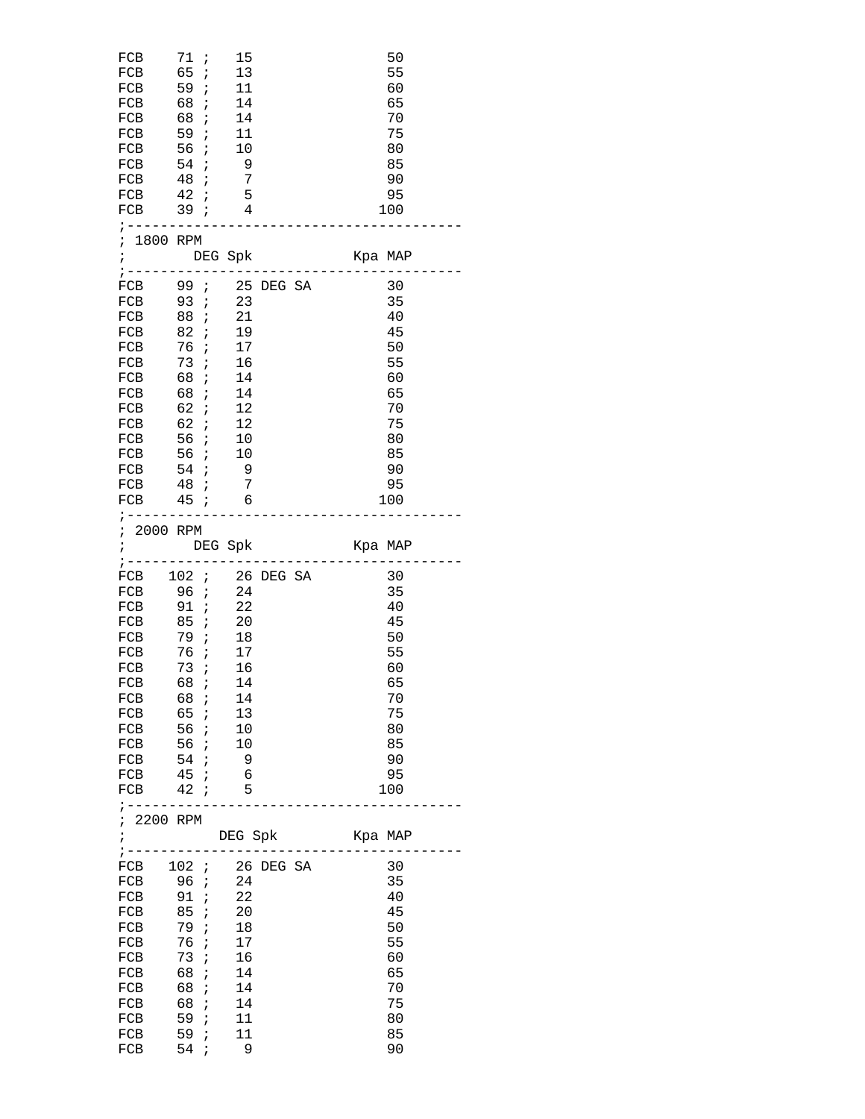| FCB<br>FCB<br>${\rm FCB}$<br>FCB<br>FCB 56 ;<br>FCB 54;<br>FCB 48 <i>i</i><br>$FCB$ 42 <i>i</i> | 71 ;<br>65 ;<br>FCB 59; 11<br>FCB 68 <i>i</i><br>68 ;<br>59 ;<br>FCB 39; 4<br>; ----------------                                                          | 15<br>13<br>14<br>14<br>$\frac{1}{11}$<br>10<br>$\overline{9}$<br>$\overline{7}$<br>5           | 50<br>55<br>60<br>65<br>70<br>75<br>80<br>85<br>90<br>95<br>100                           |
|-------------------------------------------------------------------------------------------------|-----------------------------------------------------------------------------------------------------------------------------------------------------------|-------------------------------------------------------------------------------------------------|-------------------------------------------------------------------------------------------|
|                                                                                                 | ; 1800 RPM                                                                                                                                                | ; DEG Spk                                                                                       | Kpa MAP                                                                                   |
| $\frac{1}{2}$ - - - - -<br>FCB<br>FCB<br>${\rm FCB}$<br>FCB                                     | FCB 93; 23<br>FCB 88 ; 21<br>FCB 82 ; 19<br>76i<br>73i<br>FCB 68 ; 14<br>FCB 68 ; 14<br>FCB 62 ; 12<br>FCB 56 ; 10<br>FCB 54; 9<br>FCB 48 ;<br>FCB 45 ; 6 | FCB 99; 25 DEG SA<br>17<br>16<br>12<br>$\overline{7}$<br>; --------------------                 | 30<br>35<br>40<br>45<br>50<br>55<br>60<br>65<br>70<br>75<br>80<br>85<br>- 90<br>95<br>100 |
| $\ddot{i}$<br>$\frac{1}{2}$ - - - -                                                             | ; 2000 RPM                                                                                                                                                | DEG Spk                                                                                         | Kpa MAP                                                                                   |
| FCB<br>FCB<br>FCB<br>FCB<br>FCB 68 <i>i</i><br>FCB<br>FCB<br>FCB<br>FCB<br>$7 - - - - - - -$    | 96 ;<br>FCB 91; 22<br>FCB 85; 20<br>FCB 79; 18<br>76 <i>i</i><br>73 ;<br>68;<br>65;<br>56 ;<br>56 ;<br>54:<br>FCB 45; 6<br>FCB 42 ; 5                     | FCB $102$ ; 26 DEG SA<br>24<br>17<br>16<br>14<br>14<br>13<br>10<br>10<br>$\overline{9}$         | 30<br>35<br>40<br>45<br>50<br>55<br>60<br>65<br>70<br>75<br>80<br>85<br>90<br>95<br>100   |
| ; 2200 RPM<br>$\mathcal{L} = \mathcal{L} \times \mathcal{L}$                                    |                                                                                                                                                           | DEG Spk<br>_________                                                                            | Kpa MAP                                                                                   |
| FCB<br>FCB<br>FCB<br>FCB<br>FCB<br>FCB<br>FCB<br>FCB<br>FCB<br>FCB<br>FCB<br>FCB                | 96 i<br>91:<br>85;<br>79;<br>76;<br>73 ;<br>68;<br>68;<br>68;<br>59;<br>59;<br>54 ;                                                                       | FCB 102 ; 26 DEG SA<br>24<br>22<br>20<br>18<br>17<br>16<br>14<br>14<br>14<br>11<br>11<br>$^{9}$ | 30<br>35<br>40<br>45<br>50<br>55<br>60<br>65<br>70<br>75<br>80<br>85<br>90                |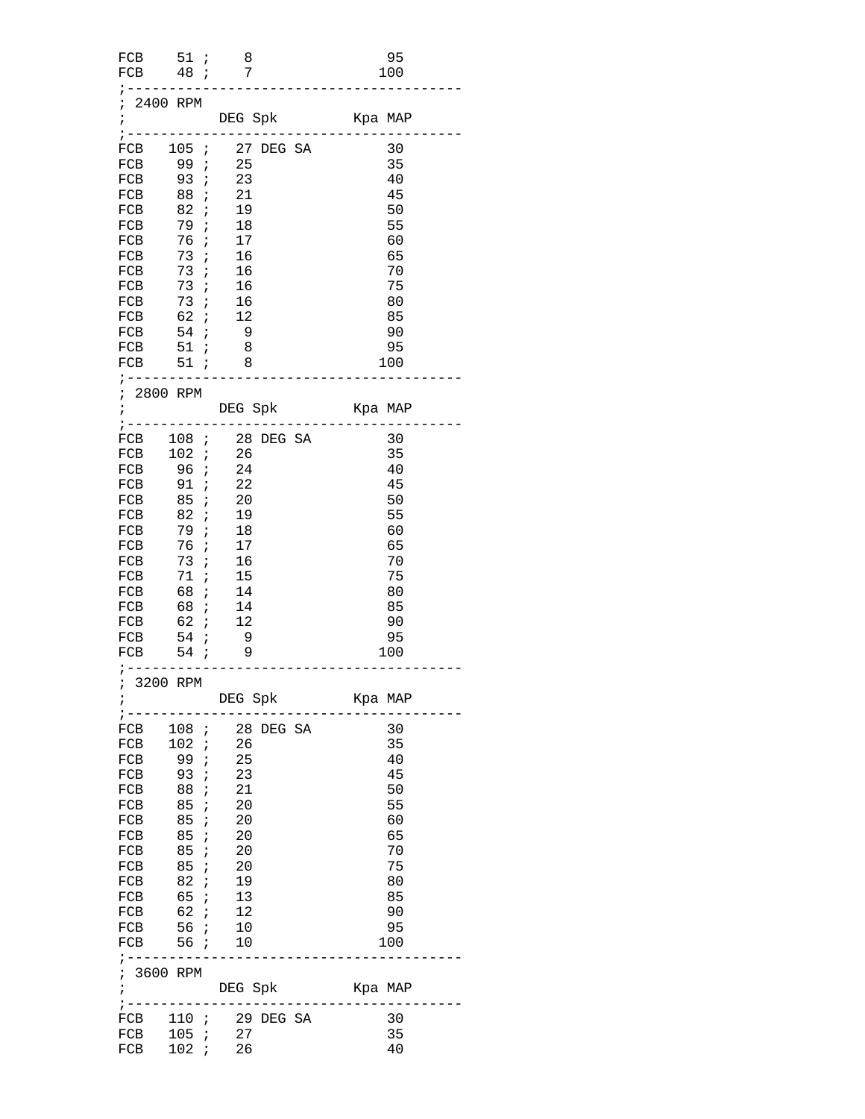| FCB 51; 8<br>FCB 48 ; 7                                                                                                                                               |                                              |                                                                                                                       | 95<br>100                                                                               |
|-----------------------------------------------------------------------------------------------------------------------------------------------------------------------|----------------------------------------------|-----------------------------------------------------------------------------------------------------------------------|-----------------------------------------------------------------------------------------|
| ; 2400 RPM<br>$\ddot{i}$                                                                                                                                              |                                              | ; ----------------------------                                                                                        |                                                                                         |
| FCB 99 ; 25<br>FCB 93; 23<br>FCB<br>FCB                                                                                                                               | 88 ;<br>82 ;                                 | ; ----------------<br>FCB 105 ; 27 DEG SA 30<br>21<br>19                                                              | 35<br>40<br>45<br>50                                                                    |
| FCB 79;<br>FCB 76; 17<br>FCB 73<br>FCB 73;<br>FCB 73;<br>FCB 73; 16                                                                                                   | $\ddot{i}$                                   | 18<br>16<br>$\begin{array}{c} 16 \\ 16 \end{array}$                                                                   | 55<br>60<br>65<br>70<br>75<br>80                                                        |
| FCB 62 ; 12<br>FCB 54 <i>i</i><br>FCB<br>FCB $51 ; 8$                                                                                                                 | $51 \n :$                                    | $\overline{9}$<br>$\overline{\mathbf{8}}$<br>; ----------------------                                                 | 85<br>90<br>95<br>100                                                                   |
| ; 2800 RPM                                                                                                                                                            |                                              |                                                                                                                       |                                                                                         |
| FCB 102 ; 26<br>FCB 96; 24<br>FCB 91; 22<br>FCB<br>FCB<br>FCB 79;<br>FCB 76;<br>FCB 73;<br>FCB 71 ;<br>FCB 68 ;<br>FCB 68 ; 14<br>FCB 62 ; 12<br>FCB 54;<br>FCB 54; 9 | 85 ;<br>82 ;                                 | FCB 108 ; 28 DEG SA<br>20<br>19<br>18<br>17<br>16<br>15<br>14<br>$\overline{9}$<br>; ----------------                 | 30<br>35<br>40<br>45<br>50<br>55<br>60<br>65<br>70<br>75<br>80<br>85<br>90<br>95<br>100 |
| ; 3200 RPM<br>;<br>$\frac{1}{1}$ - - - - - -                                                                                                                          |                                              | DEG Spk Kpa MAP                                                                                                       |                                                                                         |
| FCB 99; 25<br>FCB 93; 23<br>FCB 88<br>FCB<br>FCB<br>FCB 85;<br>FCB 85; 20<br>FCB 85 ;<br>FCB<br>FCB<br>FCB 62 ; 12<br>FCB 56; 10<br>FCB 56; 10<br>; 3600 RPM          | $\ddot{i}$<br>85 ;<br>85 ;<br>82  ;<br>65  ; | FCB 108 ; 28 DEG SA<br>FCB 102 ; 26<br>21<br>20<br>20<br>20<br>20<br>19<br>$\frac{13}{1}$<br>; ---------------------- | 30<br>35<br>40<br>45<br>50<br>55<br>60<br>65<br>70<br>75<br>80<br>85<br>90<br>95<br>100 |
| $\ddot{i}$<br>$:$ --------                                                                                                                                            |                                              | DEG Spk Kpa MAP<br>FCB 110 ; 29 DEG SA                                                                                | 30                                                                                      |
| FCB<br>FCB                                                                                                                                                            | 105 ;       27<br>102  ;        26           |                                                                                                                       | 35<br>40                                                                                |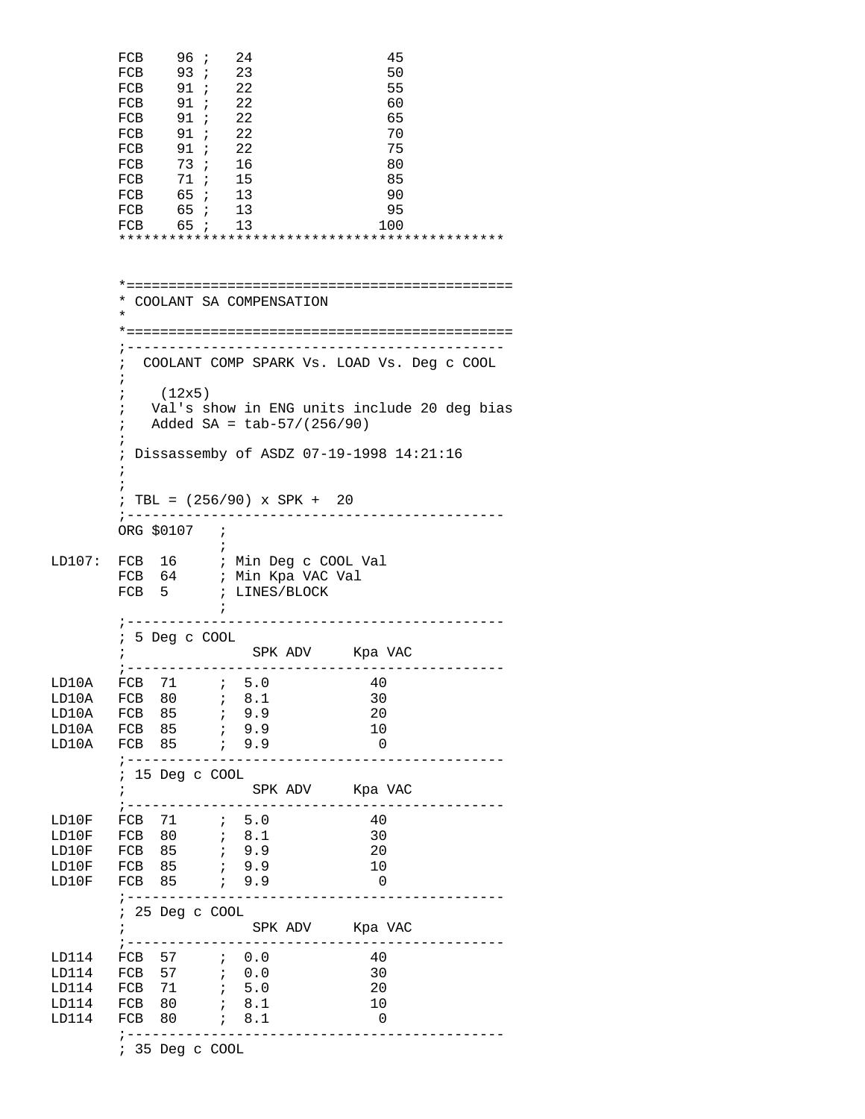|                                           | FCB<br>FCB<br>FCB<br>FCB<br>FCB<br>FCB<br>FCB<br>FCB<br>FCB<br>FCB | 96i<br>93; 23<br>91; 22<br>91 ;<br>91 ;<br>91 : 22<br>91; 22<br>73; 16<br>71 ;<br>65 ;<br>FCB 65 ; 13<br>FCB 65; 13 |            | 24<br>22<br>22<br>15<br>13                         |                                    |                                                        | 45<br>50<br>55<br>60<br>65<br>70<br>75<br>80<br>85<br>90<br>95<br>100                 |                                             |
|-------------------------------------------|--------------------------------------------------------------------|---------------------------------------------------------------------------------------------------------------------|------------|----------------------------------------------------|------------------------------------|--------------------------------------------------------|---------------------------------------------------------------------------------------|---------------------------------------------|
|                                           | $\star$                                                            | * COOLANT SA COMPENSATION                                                                                           |            |                                                    |                                    |                                                        |                                                                                       |                                             |
|                                           | $\ddot{i}$<br>i<br>$\ddot{ }$<br>i<br>i<br>i                       | (12x5)<br>Added SA = $\frac{\text{tab-57}}{256/90}$                                                                 |            |                                                    |                                    |                                                        | COOLANT COMP SPARK Vs. LOAD Vs. Deg c COOL<br>Dissassemby of ASDZ 07-19-1998 14:21:16 | Val's show in ENG units include 20 deg bias |
|                                           | i                                                                  | ; TBL = $(256/90)$ x SPK + 20                                                                                       |            |                                                    |                                    |                                                        |                                                                                       |                                             |
| LD107: FCB 16 ; Min Deg c COOL Val        | FCB 64<br>$\frac{1}{2}$ - - - - -                                  | ORG \$0107 ;<br>FCB 5                                                                                               | $\ddot{i}$ |                                                    | ; Min Kpa VAC Val<br>; LINES/BLOCK |                                                        | ----------------------------                                                          |                                             |
|                                           |                                                                    | ; 5 Deg c COOL                                                                                                      |            |                                                    |                                    | SPK ADV Kpa VAC<br>; --------------------------------- |                                                                                       | . <u>.</u>                                  |
| LD10A<br>LD10A<br>LD10A<br>LD10A          | FCB 85<br>FCB 85<br>FCB 85                                         |                                                                                                                     |            | ; 9.9<br>; 9.9<br>7.9.9                            |                                    | 30<br>20<br>10<br>$\overline{\phantom{0}}$             |                                                                                       |                                             |
|                                           | $\ddot{ }$                                                         | ; ----------------------<br>; 15 Deg c COOL                                                                         |            |                                                    |                                    | SPK ADV Kpa VAC                                        |                                                                                       | . <u>.</u> .                                |
| LD10F<br>LD10F<br>LD10F<br>LD10F<br>LD10F | FCB 85<br>FCB 85                                                   | FCB 80 ; 8.1                                                                                                        |            | 7, 9.9<br>6.9.9                                    |                                    | 40<br>30<br>20<br>10<br>$\overline{\phantom{0}}$       |                                                                                       |                                             |
|                                           | $\ddot{ }$                                                         | ; ------------------<br>; 25 Deg c COOL                                                                             |            |                                                    |                                    | SPK ADV Kpa VAC                                        |                                                                                       |                                             |
| LD114<br>LD114<br>LD114<br>LD114<br>LD114 | FCB 71<br>FCB 80<br>FCB                                            | FCB 57 ; 0.0<br>80<br>; ----------                                                                                  |            | $\ddot{i}$ 5.0<br>$\ddot{i}$ 8.1<br>$\ddot{i}$ 8.1 |                                    | ______________________<br>40<br>30<br>20<br>10         | 0                                                                                     |                                             |

; 35 Deg c COOL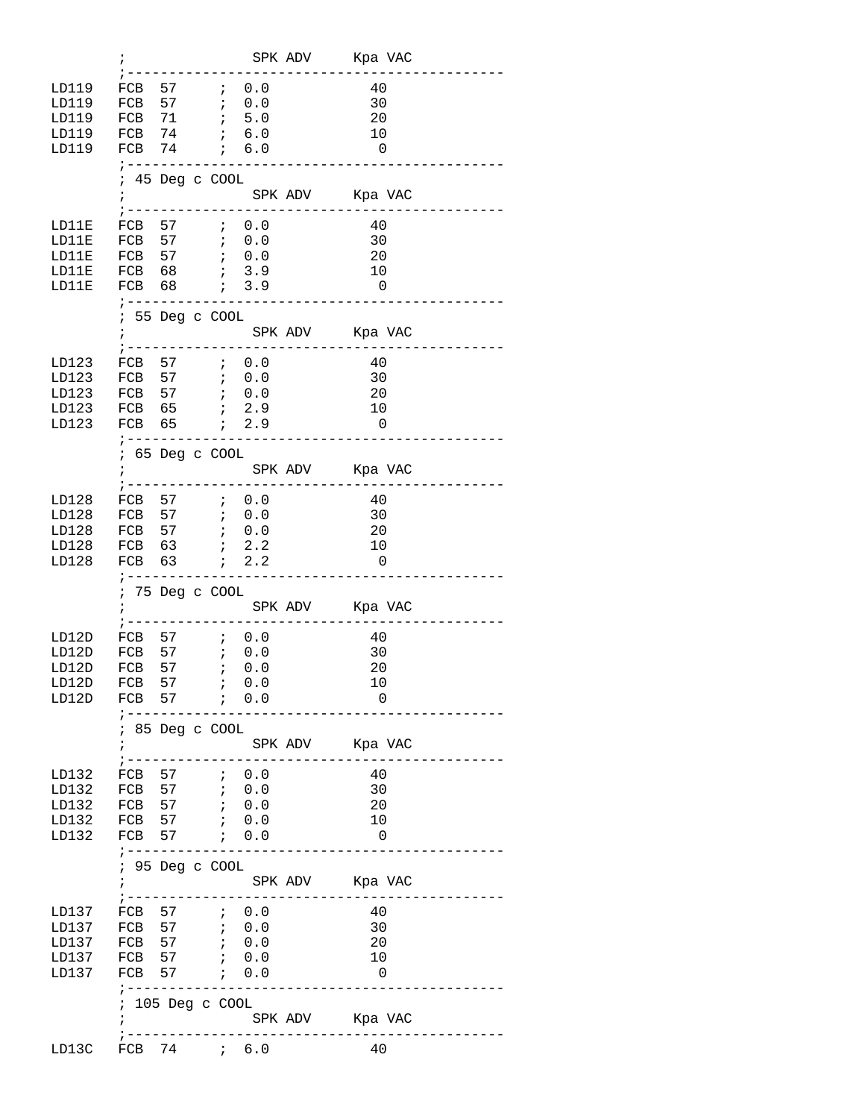|       | ;                |                |                  |                                                                                                                                                                                                                                                                                                                                           | SPK ADV Kpa VAC             |                         |
|-------|------------------|----------------|------------------|-------------------------------------------------------------------------------------------------------------------------------------------------------------------------------------------------------------------------------------------------------------------------------------------------------------------------------------------|-----------------------------|-------------------------|
| LD119 | FCB 57           |                |                  | $\ddot{i}$ 0.0                                                                                                                                                                                                                                                                                                                            | 40                          |                         |
| LD119 | FCB 57           |                |                  | $\ddot{i}$ 0.0                                                                                                                                                                                                                                                                                                                            | 30                          |                         |
| LD119 | FCB 71           |                | $\ddot{i}$       | 5.0                                                                                                                                                                                                                                                                                                                                       | 20                          |                         |
| LD119 | FCB 74           |                |                  | 6.0                                                                                                                                                                                                                                                                                                                                       | 10                          |                         |
| LD119 | FCB 74 ; 6.0     |                |                  |                                                                                                                                                                                                                                                                                                                                           | $\overline{\phantom{0}}$    |                         |
|       | $7 - - - - - -$  |                |                  |                                                                                                                                                                                                                                                                                                                                           |                             |                         |
|       |                  |                | 45 Deg c COOL    |                                                                                                                                                                                                                                                                                                                                           |                             |                         |
|       | $\ddot{i}$       |                |                  |                                                                                                                                                                                                                                                                                                                                           | SPK ADV Kpa VAC             |                         |
|       |                  |                |                  | --------                                                                                                                                                                                                                                                                                                                                  |                             |                         |
| LD11E |                  |                | FCB 57 ; 0.0     |                                                                                                                                                                                                                                                                                                                                           | 40                          |                         |
| LD11E |                  |                |                  |                                                                                                                                                                                                                                                                                                                                           | 30                          |                         |
| LD11E | FCB 57           |                |                  |                                                                                                                                                                                                                                                                                                                                           | 20                          |                         |
| LD11E | FCB 68           |                |                  | $\begin{array}{cc} ; & 0.0 \\ ; & 3.9 \end{array}$                                                                                                                                                                                                                                                                                        | 10                          |                         |
| LD11E | FCB 68           |                |                  | 7, 3.9                                                                                                                                                                                                                                                                                                                                    | $\overline{0}$              |                         |
|       |                  |                | ; -------------- |                                                                                                                                                                                                                                                                                                                                           |                             |                         |
|       |                  |                | ; 55 Deg c COOL  |                                                                                                                                                                                                                                                                                                                                           |                             |                         |
|       |                  |                |                  |                                                                                                                                                                                                                                                                                                                                           | SPK ADV Kpa VAC             |                         |
|       |                  |                |                  | ---------                                                                                                                                                                                                                                                                                                                                 |                             |                         |
| LD123 | FCB 57 ; 0.0     |                |                  |                                                                                                                                                                                                                                                                                                                                           | 40                          |                         |
| LD123 | FCB 57 ; 0.0     |                |                  |                                                                                                                                                                                                                                                                                                                                           | 30                          |                         |
| LD123 |                  |                |                  |                                                                                                                                                                                                                                                                                                                                           | 20                          |                         |
| LD123 | FCB 65           |                |                  | $\ddot{i}$ 2.9                                                                                                                                                                                                                                                                                                                            | 10                          |                         |
| LD123 | FCB 65           |                |                  | 7.9                                                                                                                                                                                                                                                                                                                                       | $\overline{\phantom{0}}$    |                         |
|       | ; -------        |                |                  |                                                                                                                                                                                                                                                                                                                                           |                             |                         |
|       |                  |                | ; 65 Deg c COOL  |                                                                                                                                                                                                                                                                                                                                           |                             |                         |
|       |                  |                |                  |                                                                                                                                                                                                                                                                                                                                           |                             |                         |
|       |                  | $:$ ---------- |                  |                                                                                                                                                                                                                                                                                                                                           |                             |                         |
| LD128 | FCB 57           |                |                  | $\ddot{i}$ 0.0                                                                                                                                                                                                                                                                                                                            | 40                          |                         |
| LD128 |                  |                |                  |                                                                                                                                                                                                                                                                                                                                           | 30                          |                         |
| LD128 | FCB 57 ; 0.0     |                |                  |                                                                                                                                                                                                                                                                                                                                           | 20                          |                         |
| LD128 | FCB 63           |                |                  | $\ddot{i}$ 2.2                                                                                                                                                                                                                                                                                                                            | 10                          |                         |
| LD128 | FCB 63           |                |                  | $\ddot{i}$ 2.2                                                                                                                                                                                                                                                                                                                            | $\overline{\phantom{0}}$    |                         |
|       |                  |                |                  | ---------------------                                                                                                                                                                                                                                                                                                                     |                             |                         |
|       | $\ddot{i}$       |                | ; 75 Deg c COOL  |                                                                                                                                                                                                                                                                                                                                           | SPK ADV Kpa VAC             |                         |
|       | $:-----$         |                |                  |                                                                                                                                                                                                                                                                                                                                           |                             |                         |
| LD12D |                  |                |                  |                                                                                                                                                                                                                                                                                                                                           | 40                          |                         |
| LD12D | FCB 57           |                |                  | FCB 57 $\;$ ; 0.0<br>; 0.0                                                                                                                                                                                                                                                                                                                | 30                          |                         |
| LD12D | FCB 57           |                | $\ddot{i}$ 0.0   |                                                                                                                                                                                                                                                                                                                                           | 20                          |                         |
| LD12D |                  |                |                  |                                                                                                                                                                                                                                                                                                                                           |                             |                         |
| LD12D |                  |                |                  |                                                                                                                                                                                                                                                                                                                                           |                             |                         |
|       |                  |                | FCB 57 ; 0.0     |                                                                                                                                                                                                                                                                                                                                           | 10                          |                         |
|       |                  | ; -----------  |                  | <u>.</u>                                                                                                                                                                                                                                                                                                                                  | 0                           |                         |
|       |                  |                |                  |                                                                                                                                                                                                                                                                                                                                           |                             |                         |
|       | $\ddot{ }$       |                | 85 Deg c COOL    |                                                                                                                                                                                                                                                                                                                                           |                             |                         |
|       |                  |                |                  |                                                                                                                                                                                                                                                                                                                                           | SPK ADV Kpa VAC             | --------                |
| LD132 | FCB 57           |                |                  |                                                                                                                                                                                                                                                                                                                                           | 40                          |                         |
| LD132 |                  |                |                  | $\ddot{i}$ 0.0                                                                                                                                                                                                                                                                                                                            | 30                          |                         |
| LD132 | FCB 57<br>FCB 57 |                | $\ddot{i}$       | $\begin{bmatrix} 1 & 0 & 0 \\ 0 & 0 & 0 \\ 0 & 0 & 0 \\ 0 & 0 & 0 \\ 0 & 0 & 0 \\ 0 & 0 & 0 \\ 0 & 0 & 0 \\ 0 & 0 & 0 \\ 0 & 0 & 0 \\ 0 & 0 & 0 \\ 0 & 0 & 0 \\ 0 & 0 & 0 \\ 0 & 0 & 0 \\ 0 & 0 & 0 \\ 0 & 0 & 0 & 0 \\ 0 & 0 & 0 & 0 \\ 0 & 0 & 0 & 0 \\ 0 & 0 & 0 & 0 \\ 0 & 0 & 0 & 0 & 0 \\ 0 & 0 & 0 & 0 & 0 \\ 0 & 0 & 0 & $<br>0.0 | 20                          |                         |
| LD132 | FCB 57           |                |                  |                                                                                                                                                                                                                                                                                                                                           | 10                          |                         |
| LD132 | FCB 57 ; 0.0     |                |                  | $\ddot{i}$ 0.0                                                                                                                                                                                                                                                                                                                            | 0                           |                         |
|       | $7 - - - - -$    |                |                  |                                                                                                                                                                                                                                                                                                                                           |                             |                         |
|       |                  |                | 95 Deg c COOL    |                                                                                                                                                                                                                                                                                                                                           |                             |                         |
|       | $\cdot$          |                |                  |                                                                                                                                                                                                                                                                                                                                           | SPK ADV Kpa VAC             |                         |
|       |                  |                |                  | -------------                                                                                                                                                                                                                                                                                                                             | ------------------          |                         |
| LD137 |                  |                |                  |                                                                                                                                                                                                                                                                                                                                           | 40                          |                         |
| LD137 |                  |                |                  |                                                                                                                                                                                                                                                                                                                                           | 30                          |                         |
| LD137 | FCB 57           |                |                  |                                                                                                                                                                                                                                                                                                                                           | 20                          |                         |
| LD137 | FCB 57           |                |                  | $\begin{array}{cc} ; & 0\, . \, 0 \\ ; & 0\, . \, 0 \end{array}$                                                                                                                                                                                                                                                                          | 10                          |                         |
| LD137 | FCB 57           |                |                  | $\ddot{i}$ 0.0                                                                                                                                                                                                                                                                                                                            | $\overline{\phantom{0}}$    |                         |
|       |                  |                |                  | ;-------------------------                                                                                                                                                                                                                                                                                                                |                             |                         |
|       |                  |                | 105 Deg c COOL   |                                                                                                                                                                                                                                                                                                                                           |                             |                         |
|       |                  |                |                  |                                                                                                                                                                                                                                                                                                                                           | SPK ADV Kpa VAC             |                         |
| LD13C |                  |                |                  | ; ----------------------                                                                                                                                                                                                                                                                                                                  | . _ _ _ _ _ _ _ _ _ _<br>40 | . _ _ _ _ _ _ _ _ _ _ _ |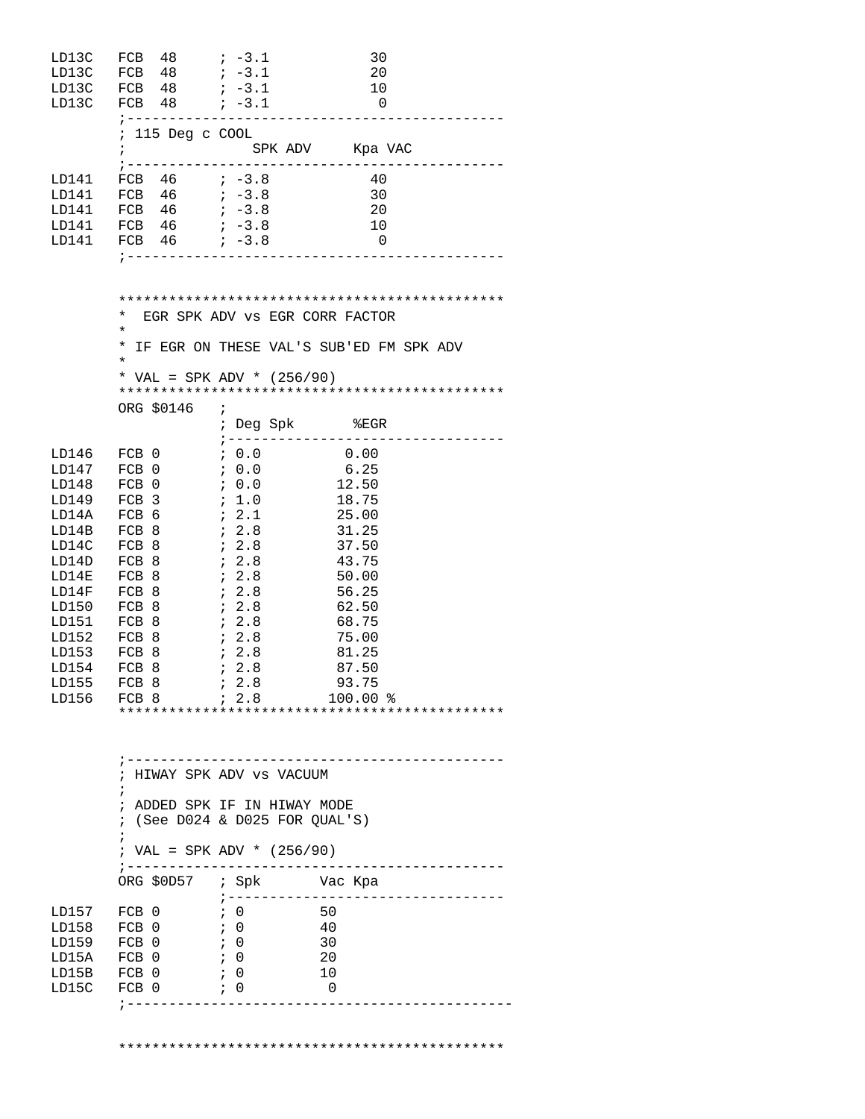| LD13C<br>LD13C<br>LD13C<br>LD13C                                                                                                                   | $48$ ; $-3.1$<br>FCB<br>FCB 48<br>FCB 48<br>FCB $48$ ; $-3.1$<br>; -------------------                                              | $\frac{1}{2}$ -3.1<br>$\frac{1}{2}$ -3.1                                                                                                                                                        | 30<br>20<br>10<br>$\overline{\phantom{0}}$                                                                                                   |
|----------------------------------------------------------------------------------------------------------------------------------------------------|-------------------------------------------------------------------------------------------------------------------------------------|-------------------------------------------------------------------------------------------------------------------------------------------------------------------------------------------------|----------------------------------------------------------------------------------------------------------------------------------------------|
|                                                                                                                                                    | ; 115 Deg c COOL<br>$\ddot{i}$                                                                                                      | ; ---------------------------------                                                                                                                                                             | SPK ADV Kpa VAC                                                                                                                              |
| LD141<br>LD141<br>LD141<br>LD141<br>LD141                                                                                                          | FCB $46$ $i -3.8$<br>FCB $46$ $i -3.8$<br>FCB $46$ $i -3.8$<br>FCB 46<br>FCB 46<br>$7 - - - - - - - - - - - - -$                    | $\frac{1}{2}$ -3.8<br>$-3.8$                                                                                                                                                                    | 40<br>30<br>20<br>10<br>$\overline{\phantom{0}}$                                                                                             |
|                                                                                                                                                    | *<br>$^\star$<br>$^\star$<br>$\star$                                                                                                | EGR SPK ADV VS EGR CORR FACTOR                                                                                                                                                                  | IF EGR ON THESE VAL'S SUB'ED FM SPK ADV                                                                                                      |
|                                                                                                                                                    |                                                                                                                                     | * VAL = SPK ADV * $(256/90)$                                                                                                                                                                    |                                                                                                                                              |
|                                                                                                                                                    | ORG \$0146                                                                                                                          | $\ddot{i}$<br>; Deg Spk %EGR<br>$7 - - - - - -$                                                                                                                                                 |                                                                                                                                              |
| LD146 FCB 0<br>LD147<br>LD148<br>LD149<br>LD14A<br>LD14B<br>LD14C<br>LD14D<br>LD14E<br>LD14F<br>LD150<br>LD151<br>LD152<br>LD153<br>LD154<br>LD156 | FCB 0<br>FCB 0<br>FCB 3<br>FCB 6<br>FCB 8<br>FCB 8<br>FCB 8<br>FCB 8<br>FCB 8<br>FCB 8<br>FCB 8<br>FCB 8<br>FCB 8<br>FCB 8<br>FCB 8 | ; 0.0<br>70.0<br>$\begin{array}{cc} \cdot & 0.0 \end{array}$<br>; 1.0<br><i>;</i> 2.1<br>72.8<br>72.8<br>72.8<br>72.8<br>72.8<br>72.8<br>72.8<br>72.8<br>72.8<br>$\ddot{i}$ 2.8<br>$\ddots$ 2.8 | 0.00<br>6.25<br>12.50<br>18.75<br>25.00<br>31.25<br>37.50<br>43.75<br>50.00<br>56.25<br>62.50<br>68.75<br>75.00<br>81.25<br>87.50<br>100.00% |
|                                                                                                                                                    | $\ddot{i}$<br>$\ddot{i}$<br>; -----------<br>ORG \$0D57 ; Spk Vac Kpa                                                               | ; HIWAY SPK ADV vs VACUUM<br>; ADDED SPK IF IN HIWAY MODE<br>$:$ (See D024 & D025 FOR QUAL'S)<br>; VAL = SPK ADV * $(256/90)$                                                                   |                                                                                                                                              |
| LD157<br>LD158<br>LD159 FCB 0<br>LD15A<br>LD15C                                                                                                    | FCB 0<br>FCB 0<br>$FCB$ 0 $\rightarrow$ 0<br>LD15B FCB 0 $\qquad$ ; 0<br>FCB 0                                                      | $7 - - - - - - - - - - -$<br>$\,$ ; 0<br>$\ddot{i}$ 0<br>; 0<br>; 0<br>-------                                                                                                                  | - 50<br>-40<br>30<br>20<br>10<br>0                                                                                                           |

\*\*\*\*\*\*\*\*\*\*\*\*\*\*\*\*\*\*\*\*\*\*\*\*\*\*\*\*\*\*\*\*\*\*\*\*\*\*\*\*\*\*\*\*\*\*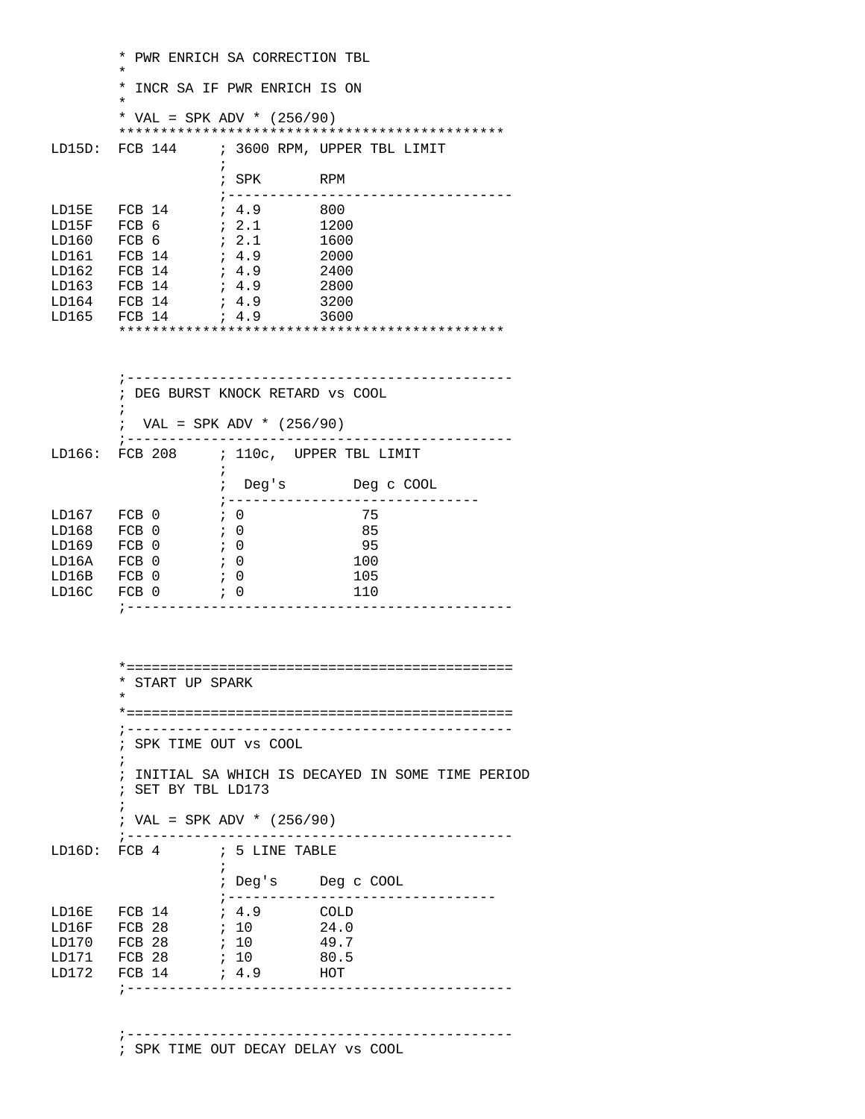\* PWR ENRICH SA CORRECTION TBL  $\star$  \* INCR SA IF PWR ENRICH IS ON  $\star$ \* VAL = SPK ADV \*  $(256/90)$  \*\*\*\*\*\*\*\*\*\*\*\*\*\*\*\*\*\*\*\*\*\*\*\*\*\*\*\*\*\*\*\*\*\*\*\*\*\*\*\*\*\*\*\*\*\* ; 3600 RPM, UPPER TBL LIMIT  $\mathcal{L}^{\text{max}}$  is a set of the set of the set of the set of the set of the set of the set of the set of the set of the set of the set of the set of the set of the set of the set of the set of the set of the set of the set ; SPK RPM  $\begin{array}{lllllllll} \text{LD15E} & \text{FCB} & 14 & & \text{;} & 4.9 & & 800 \\ \text{LD15F} & \text{FCB} & 6 & & \text{;} & 2.1 & & 1200 \\ \text{LD160} & \text{FCB} & 6 & & \text{;} & 2.1 & & 1600 \\ \text{LD161} & \text{FCB} & 14 & & \text{;} & 4.9 & & 2000 \\ \text{LD162} & \text{FCB} & 14 & & \text{;} & 4.9 & & 2400 \\ \end{array}$ LD15E FCB 14 ; 4.9 800 LD15F FCB 6 ; 2.1 1200 LD160 FCB 6 ; 2.1<br>
LD161 FCB 14 ; 4.9<br>
LD162 FCB 14 ; 4.9<br>
LD163 FCB 14 ; 4.9 LD161 FCB 14 LD162 FCB 14 ; 4.9 2400 LD163 FCB 14 ; 4.9 2800 LD164 FCB 14 ; 4.9 3200 LD165 FCB 14 \*\*\*\*\*\*\*\*\*\*\*\*\*\*\*\*\*\*\*\*\*\*\*\*\*\*\*\*\*\*\*\*\*\*\*\*\*\*\*\*\*\*\*\*\*\* ;---------------------------------------------- ; DEG BURST KNOCK RETARD vs COOL  $\mathcal{L}^{\text{max}}$ ; VAL = SPK ADV \*  $(256/90)$  ;---------------------------------------------- LD166: FCB 208 ; 110c, UPPER TBL LIMIT  $\mathcal{L}^{\text{max}}$  is a set of the set of the set of the set of the set of the set of the set of the set of the set of the set of the set of the set of the set of the set of the set of the set of the set of the set of the set ; Deg's Deg c COOL ;------------------------------ LD167 FCB 0 ; 0 75<br>
LD168 FCB 0 ; 0 85 LD168 FCB 0 ; 0 85<br>
LD169 FCB 0 ; 0 95 LD169 FCB 0 ; 0 95<br>
LD16A FCB 0 ; 0 100 LD16A FCB 0 ; 0<br>LD16B FCB 0 ; 0 LD16B FCB 0 ; 0 105 LD16C FCB 0 ; 0 110 ;---------------------------------------------- \*============================================== \* START UP SPARK \* \*============================================== ;---------------------------------------------- ; SPK TIME OUT vs COOL  $\mathcal{L}^{\text{max}}_{\text{max}}$  ; INITIAL SA WHICH IS DECAYED IN SOME TIME PERIOD ; SET BY TBL LD173  $\mathcal{L}^{\text{max}}_{\text{max}}$  ; VAL = SPK ADV \* (256/90) ;---------------------------------------------- LD16D: FCB 4 ; 5 LINE TABLE  $\mathcal{L}^{\text{max}}$  is a set of the set of the set of the set of the set of the set of the set of the set of the set of the set of the set of the set of the set of the set of the set of the set of the set of the set of the set ; Deg's Deg c COOL  $\verb|LD16E FCB 14 ; 4.9 COLD$ 1 4.9 COLD<br>1 24.0 LD16F FCB 28 ; 10 LD170 FCB 28 ; 10 49.7 LD171 FCB 28 ; 10 80.5 LD172 FCB 14 ; 4.9 HOT ;---------------------------------------------- ;----------------------------------------------

; SPK TIME OUT DECAY DELAY vs COOL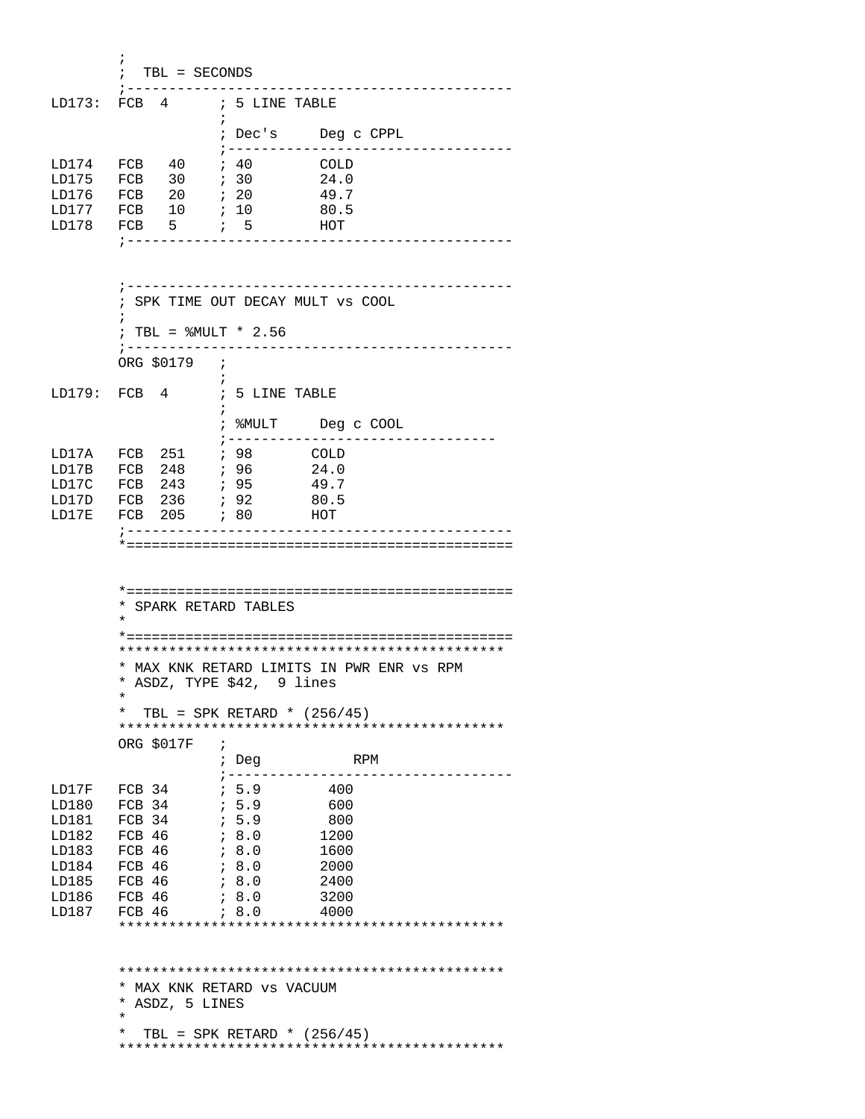$\mathcal{L}^{\text{max}}_{\text{max}}$  ; TBL = SECONDS ;---------------------------------------------- LD173: FCB 4 ; 5 LINE TABLE  $\mathcal{L}^{\text{max}}$  ; Dec's Deg c CPPL ;---------------------------------- LD174 FCB 40 ; 40<br>LD175 FCB 30 ; 30  $\begin{tabular}{lllllllllll} \texttt{LD174} & \texttt{FCB} & 40 & \texttt{; 40} & \texttt{COLD} \\ \texttt{LD175} & \texttt{FCB} & 30 & \texttt{; 30} & 24.0 \\ \texttt{LD176} & \texttt{FCB} & 20 & \texttt{; 20} & 49.7 \\ \end{tabular}$ FCB 20 ; 20 49.7<br>FCB 10 ; 10 80.5 LD177 FCB 10 ; 10 80.5  $LD178$  FCB 5 ; 5 HOT ;---------------------------------------------- ;---------------------------------------------- ; SPK TIME OUT DECAY MULT vs COOL  $\mathcal{L}^{\text{max}}_{\text{max}}$ ; TBL =  $\text{\%MULT}$  \* 2.56<br>:-------------------- ;---------------------------------------------- ORG \$0179 ;  $\mathcal{L}^{\text{max}}_{\text{max}}$  and  $\mathcal{L}^{\text{max}}_{\text{max}}$ LD179: FCB 4 ; 5 LINE TABLE  $\mathcal{L}^{\text{max}}$  is a set of the set of the set of the set of the set of the set of the set of the set of the set of the set of the set of the set of the set of the set of the set of the set of the set of the set of the set ; %MULT Deg c COOL ; ---------------------------------<br>; 98 COLD<br>; 96 24.0 LD17A FCB 251 ; 98 COLD LD17B FCB 248 ; 96 24.0<br>
LD17C FCB 243 ; 95 49.7 LD17C FCB 243 *i* 95 49.7 LD17D FCB 236 *;* 92 80.5 LD17E FCB 205 ; 80 HOT ;---------------------------------------------- \*============================================== \*============================================== \* SPARK RETARD TABLES \* \*============================================== \*\*\*\*\*\*\*\*\*\*\*\*\*\*\*\*\*\*\*\*\*\*\*\*\*\*\*\*\*\*\*\*\*\*\*\*\*\*\*\*\*\*\*\*\*\* \* MAX KNK RETARD LIMITS IN PWR ENR vs RPM \* ASDZ, TYPE \$42, 9 lines  $\star$ \* TBL = SPK RETARD \*  $(256/45)$  \*\*\*\*\*\*\*\*\*\*\*\*\*\*\*\*\*\*\*\*\*\*\*\*\*\*\*\*\*\*\*\*\*\*\*\*\*\*\*\*\*\*\*\*\*\* ORG \$017F ; Deg RPM ;---------------------------------- LD17F FCB 34 ; 5.9 400 LD180 FCB 34 ; 5.9 600  $\begin{tabular}{lcccc} \tt LD181 & FCB & 34 & & \tt ; & 5.9 & & 800 \\ \tt LD182 & FCB & 46 & & \tt ; & 8.0 & & 1200 \\ \tt LD183 & FCB & 46 & & \tt ; & 8.0 & & 1600 \\ \end{tabular}$ LD182 FCB 46<br>LD183 FCB 46 LD183 FCB 46 ; 8.0 1600<br>
LD184 FCB 46 ; 8.0 2000 LD184 FCB 46 ; 8.0 2000 LD185 FCB 46 ; 8.0 2400 LD186 FCB 46 LD187 FCB 46 ; 8.0 4000 \*\*\*\*\*\*\*\*\*\*\*\*\*\*\*\*\*\*\*\*\*\*\*\*\*\*\*\*\*\*\*\*\*\*\*\*\*\*\*\*\*\*\*\*\*\* \*\*\*\*\*\*\*\*\*\*\*\*\*\*\*\*\*\*\*\*\*\*\*\*\*\*\*\*\*\*\*\*\*\*\*\*\*\*\*\*\*\*\*\*\*\* \* MAX KNK RETARD vs VACUUM \* ASDZ, 5 LINES  $\star$ \* TBL = SPK RETARD \*  $(256/45)$ \*\*\*\*\*\*\*\*\*\*\*\*\*\*\*\*\*\*\*\*\*\*\*\*\*\*\*\*\*\*\*\*\*\*\*\*\*\*\*\*\*\*\*\*\*\*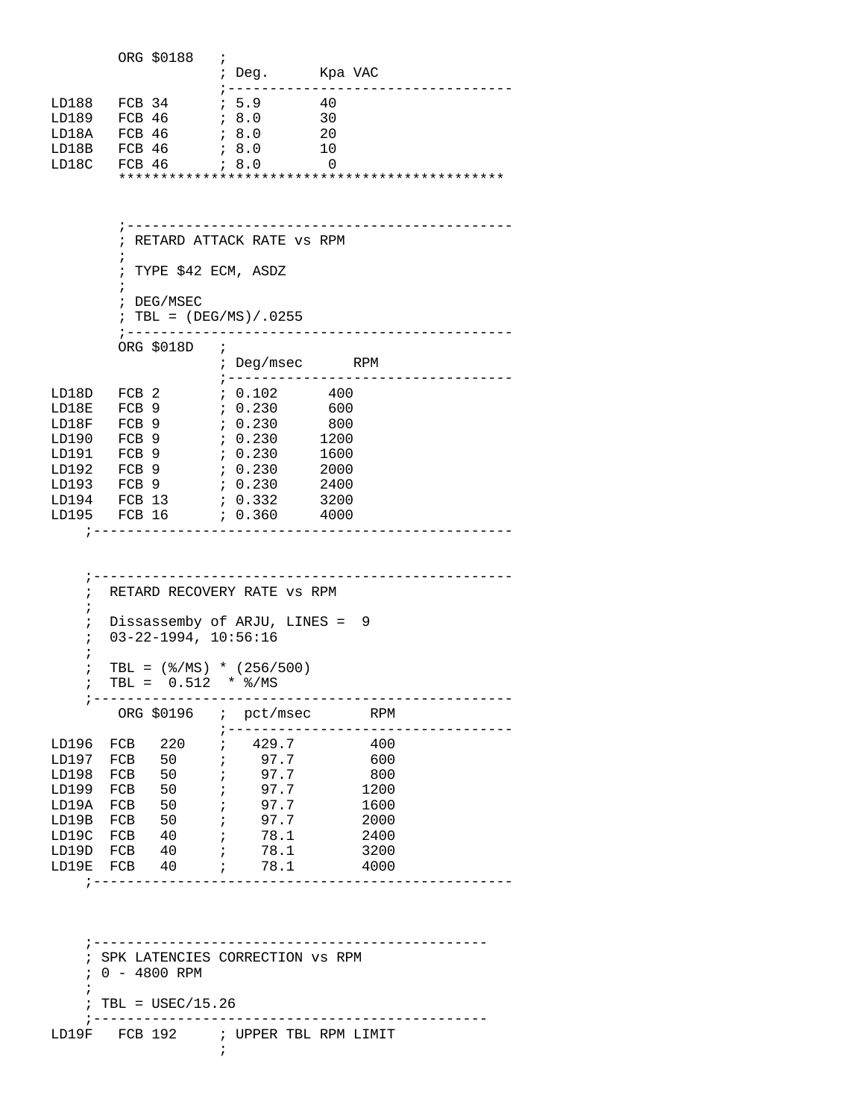|       |          | ORG \$0188 |          |         |
|-------|----------|------------|----------|---------|
|       |          |            | $i$ Deq. | Kpa VAC |
|       |          |            |          |         |
| LD188 | $FCB$ 34 |            | ; 5.9    | 40      |
| LD189 | FCB 46   |            | ; 8.0    | 30      |
| LD18A | $FCB$ 46 |            | 78.0     | 20      |
| LD18B | $FCB$ 46 |            | 78.0     | 10      |
| LD18C | FCB 46   |            | 78.0     | 0       |
|       |          |            |          |         |
|       |          |            |          |         |
|       |          |            |          |         |

 ; RETARD ATTACK RATE vs RPM  $\mathcal{L}^{\text{max}}_{\text{max}}$  ; TYPE \$42 ECM, ASDZ  $\mathcal{L}^{\text{max}}_{\text{max}}$  ; DEG/MSEC  $: TBL = (DEG/MS) / .0255$  ;---------------------------------------------- ORG \$018D ; Deg/msec RPM ;---------------------------------- LD18D FCB 2 ; 0.102 400 LD18E FCB 9 ; 0.230 600 LD18F FCB 9 ; 0.230 800 LD190 FCB 9 ; 0.230 1200 LD191 FCB 9 ; 0.230 1600 LD192 FCB 9 ; 0.230 2000 LD193 FCB 9 ; 0.230 2400<br>LD194 FCB 13 ; 0.332 3200 FCB 13 ; 0.332<br>FCB 16 ; 0.360 LD195 FCB 16 ; 0.360 4000 ;--------------------------------------------------

;----------------------------------------------

 ;-------------------------------------------------- ; RETARD RECOVERY RATE vs RPM ; ; Dissassemby of ARJU, LINES = 9 ; 03-22-1994, 10:56:16 ; ; TBL =  $(\$/MS) * (256/500)$ ; TBL =  $0.512$  \*  $\frac{8}{MS}$  ;-------------------------------------------------- ORG \$0196 ; pct/msec RPM ;---------------------------------- LD196 FCB 220 ; 429.7 400<br>LD197 FCB 50 ; 97.7 600 LD197 FCB 50 ; 97.7 600 LD198 FCB 50 ; 97.7 800 LD199 FCB 50 ; 97.7<br>LD19A FCB 50 ; 97.7 LD19A FCB 50 ; 97.7 1600 LD19B FCB 50 ; 97.7<br>LD19C FCB 40 ; 78.1 LD19C FCB 40 ; 78.1 2400<br>LD19D FCB 40 ; 78.1 3200 LD19D FCB 40 ; 78.1 3200<br>
LD19E FCB 40 ; 78.1 4000  $LD19E$  FCB  $40$  ; ;--------------------------------------------------

 ;----------------------------------------------- ; SPK LATENCIES CORRECTION vs RPM ; 0 - 4800 RPM  $\mathcal{L}^{\mathcal{L}}$  $:$  TBL = USEC/15.26 ;----------------------------------------------- LD19F FCB 192 ; UPPER TBL RPM LIMIT

 $\mathcal{L}^{\text{max}}$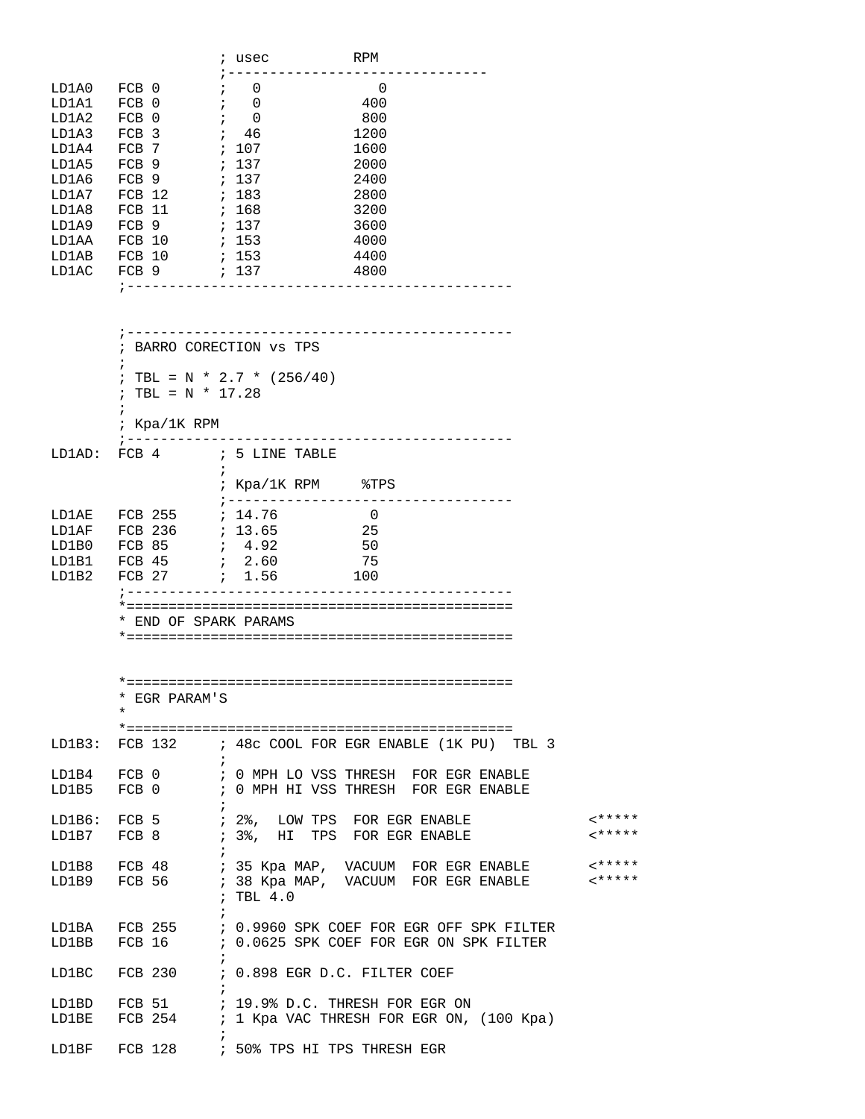|       |                        |                   | ; usec | <b>RPM</b> |  |
|-------|------------------------|-------------------|--------|------------|--|
| LD1A0 | $FCB$ 0                | ÷                 | 0      | 0          |  |
| LD1A1 | <b>FCB</b><br>$\Omega$ |                   | 0      | 400        |  |
| LD1A2 | FCB<br>- 0             |                   | 0      | 800        |  |
| LD1A3 | FCB <sub>3</sub>       | ٠<br>$\mathbf{r}$ | 46     | 1200       |  |
| LD1A4 | FCB.<br>- 7            | $\ddot{i}$        | 107    | 1600       |  |
| LD1A5 | FCB <sub>9</sub>       | $\ddot{ }$        | 137    | 2000       |  |
| LD1A6 | $FCB$ 9                | $\ddot{i}$        | 137    | 2400       |  |
| LD1A7 | FCB 12                 | $\ddot{ }$        | 183    | 2800       |  |
| LD1A8 | FCB<br>-11             | $\ddot{ }$        | 168    | 3200       |  |
| LD1A9 | 9<br>FCB               | $\ddot{i}$        | 137    | 3600       |  |
| LD1AA | 10<br>FCB              | $\ddot{ }$        | 153    | 4000       |  |
| LD1AB | FCB<br>10              | $\ddot{ }$        | 153    | 4400       |  |
| LD1AC | FCB 9                  |                   | ; 137  | 4800       |  |
|       |                        |                   |        |            |  |
|       |                        |                   |        |            |  |
|       |                        |                   |        |            |  |
|       |                        |                   |        |            |  |

|       |                   | BARRO CORECTION VS TPS          |                |  |
|-------|-------------------|---------------------------------|----------------|--|
|       | $\mathbf{r}$      |                                 |                |  |
|       |                   | ; TBL = N * 2.7 * $(256/40)$    |                |  |
|       | ; TBL = N * 17.28 |                                 |                |  |
|       | $\mathbf{r}$      |                                 |                |  |
|       | ; Kpa/1K RPM      |                                 |                |  |
|       |                   |                                 |                |  |
|       |                   | LD1AD: FCB 4 ; 5 LINE TABLE     |                |  |
|       |                   | i                               |                |  |
|       |                   | ; $Kpa/1K$ RPM $\frac{8TPS}{3}$ |                |  |
|       |                   |                                 |                |  |
| LD1AE | FCB 255 ; 14.76   |                                 | $\overline{0}$ |  |
| LD1AF | FCB 236 ; 13.65   |                                 | 25             |  |
| LD1B0 |                   |                                 | 50             |  |
| LD1B1 |                   |                                 | 75             |  |
| LD1B2 |                   |                                 | 100            |  |
|       |                   | _____________                   |                |  |
|       |                   |                                 |                |  |
|       |                   | END OF SPARK PARAMS             |                |  |

 $* = = =$ 

| * EGR PARAM'S |                                                               |         |
|---------------|---------------------------------------------------------------|---------|
| $\star$       |                                                               |         |
|               |                                                               |         |
|               | LD1B3: FCB 132      ; 48c COOL FOR EGR ENABLE (1K PU) TBL 3   |         |
|               |                                                               |         |
|               | LD1B4   FCB 0           ; 0 MPH LO VSS THRESH  FOR EGR ENABLE |         |
|               | LD1B5   FCB 0           ; 0 MPH HI VSS THRESH  FOR EGR ENABLE |         |
|               |                                                               |         |
| LD1B6: FCB 5  | ; 2%, LOW TPS FOR EGR ENABLE                                  | $2****$ |
| LD1B7 FCB 8   | ; 3%, HI TPS FOR EGR ENABLE                                   | $2****$ |
|               |                                                               |         |
|               | LD1B8   FCB 48        ; 35 Kpa MAP,  VACUUM  FOR EGR ENABLE   | 1       |
| LD1B9 FCB 56  | ; 38 Kpa MAP, VACUUM FOR EGR ENABLE                           | $2***$  |
|               | $;$ TBL $4.0$                                                 |         |
|               |                                                               |         |
|               |                                                               |         |

| LD1BA         | FCB 255 |  | : 0.9960 SPK COEF FOR EGR OFF SPK FILTER   |
|---------------|---------|--|--------------------------------------------|
| LD1BB         | FCB 16  |  | : 0.0625 SPK COEF FOR EGR ON SPK FILTER    |
|               |         |  |                                            |
| LD1BC FCB 230 |         |  | ; 0.898 EGR D.C. FILTER COEF               |
|               |         |  |                                            |
| LD1BD         | FCB 51  |  | ; 19.9% D.C. THRESH FOR EGR ON             |
| LD1BE         | FCB 254 |  | ; 1 Kpa VAC THRESH FOR EGR ON, $(100$ Kpa) |
|               |         |  |                                            |

LD1BF FCB 128 ; 50% TPS HI TPS THRESH EGR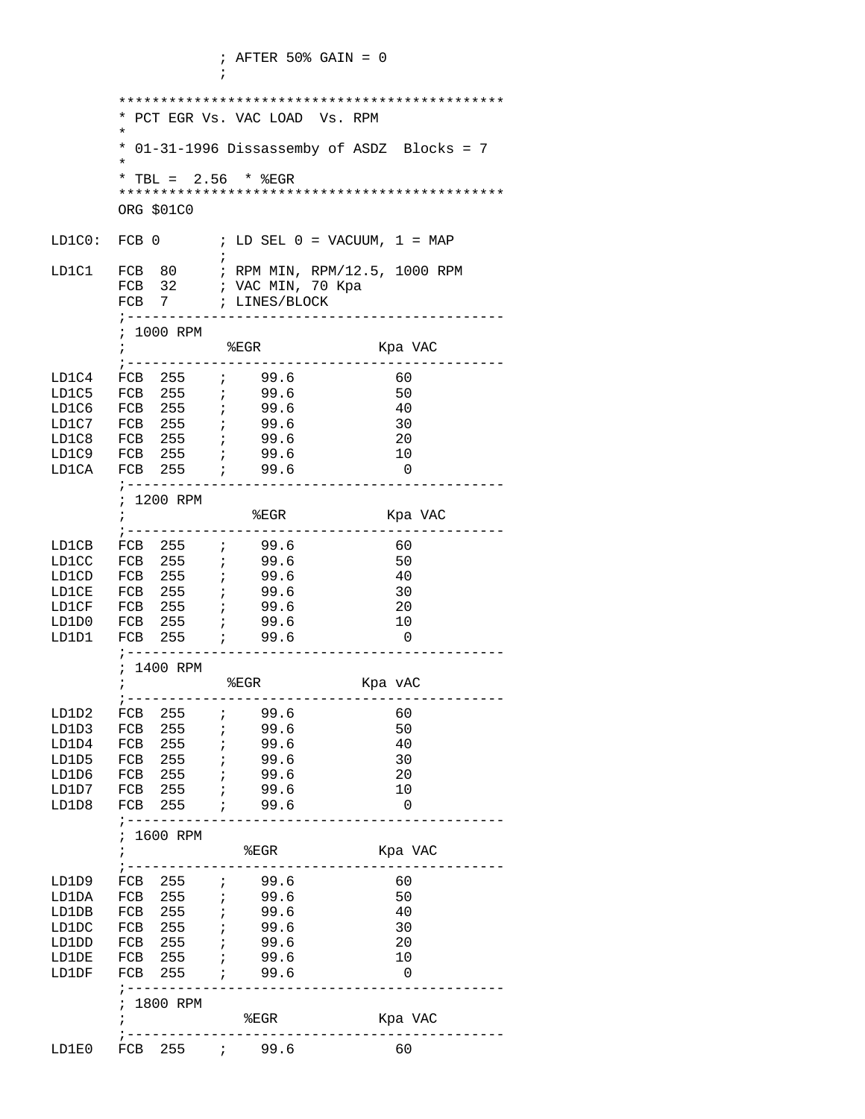$\mathcal{L}^{\text{max}}$ 

```
 **********************************************
        * PCT EGR Vs. VAC LOAD Vs. RPM
\star * 01-31-1996 Dissassemby of ASDZ Blocks = 7 
 *
       * TBL = 2.56 * EGR **********************************************
       ORG $01C0
LD1C0: FCB 0 \qquad ; LD SEL 0 = VACUUM, 1 = MAP
\mathcal{L}^{\text{max}} is a set of the set of the set of the set of the set of the set of the set of the set of the set of the set of the set of the set of the set of the set of the set of the set of the set of the set of the set
LD1C1 FCB 80 ; RPM MIN, RPM/12.5, 1000 RPM
      FCB 32 ; VAC MIN, 70 Kpa<br>FCB 7 ; LINES/BLOCK
               ; LINES/BLOCK
        ;---------------------------------------------
       ; 1000 RPM
                %EGR Kpa VAC
       ;---------------------------------------------
LD1C4 FCB 255 ; 99.6 60
LD1C5 FCB 255 ; 99.6 50
LD1C6 FCB 255 ; 99.6 40
LD1C7 FCB 255 ; 99.6 30
LD1C8 FCB 255 ; 99.6 20
LD1C9 FCB 255 ; 99.6 10
LD1CA FCB 255 ; 99.6 0
       ;---------------------------------------------
       ; 1200 RPM
                   %EGR Kpa VAC
       ;---------------------------------------------
LD1CB FCB 255 ; 99.6 60
LD1CC FCB 255 ; 99.6 50
LD1CD FCB 255 ; 99.6 40
LD1CE FCB 255 ; 99.6 30
LD1CF FCB 255 ; 99.6 20
LD1D0 FCB 255 ; 99.6 10
LD1D1 FCB 255 ; 99.6 0
       ;---------------------------------------------
       ; 1400 RPM
       ; %EGR Kpa vAC
      ;-------------------------------------
LD1D2 FCB 255 ; 99.6 60
LD1D3 FCB 255 ; 99.6 50
LD1D4 FCB 255 ; 99.6 40
LD1D5 FCB 255 ; 99.6 30
LD1D6 FCB 255 ; 99.6 20
LD1D7 FCB 255 ; 99.6 10
LD1D8 FCB 255 ; 99.6 0
       ;---------------------------------------------
 ; 1600 RPM
 ; %EGR Kpa VAC
       ;---------------------------------------------
LD1D9 FCB 255 ; 99.6 60
LD1DA FCB 255 ; 99.6 50
LD1DB FCB 255 ; 99.6 40<br>
LD1DC FCB 255 ; 99.6 30
LD1DC FCB 255 ; 99.6 30
LD1DD FCB 255 ; 99.6 20
LD1DE FCB 255 ; 99.6 10
LD1DF FCB 255 ; 99.6 0
       ;---------------------------------------------
       ; 1800 RPM
           EGR Kpa VAC
 ;---------------------------------------------
LD1E0 FCB 255 ; 99.6 60
```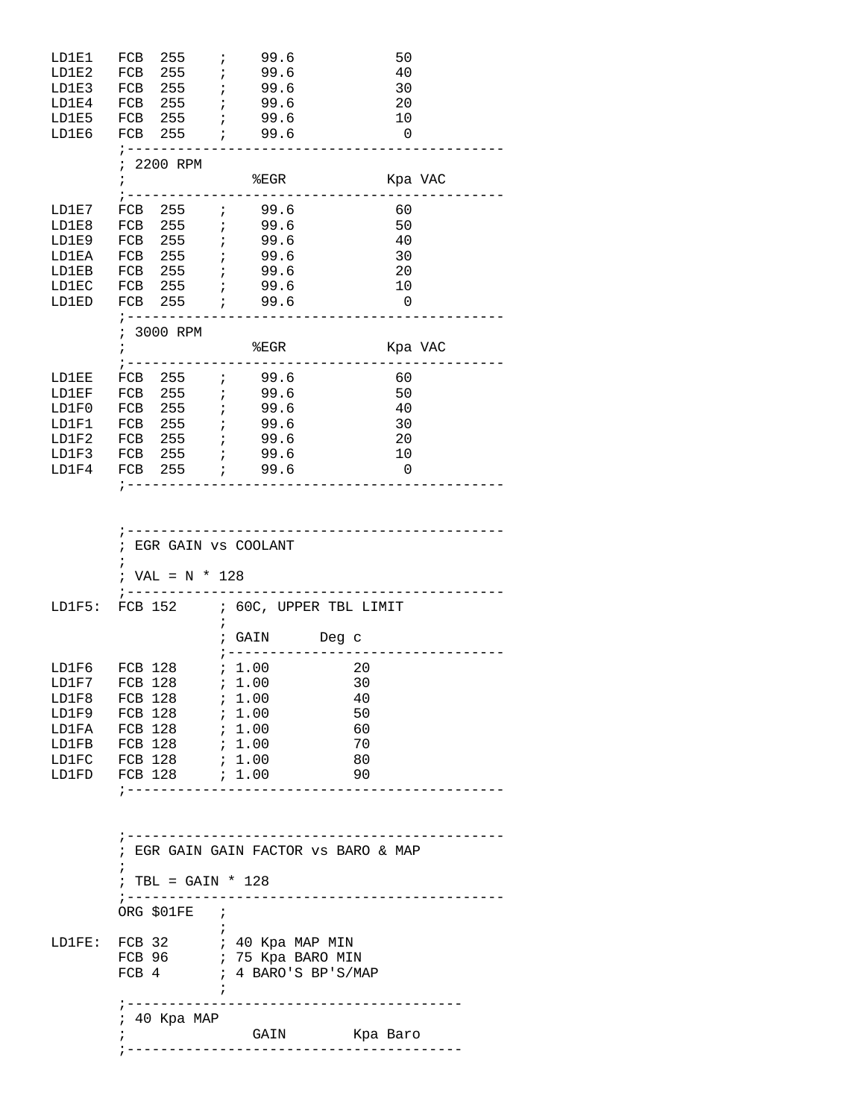| LD1E1  | FCB 255 <i>i</i>                                                                             |                            | 99.6 | 50                                                                            |
|--------|----------------------------------------------------------------------------------------------|----------------------------|------|-------------------------------------------------------------------------------|
| LD1E2  | FCB 255                                                                                      | $\mathcal{L}(\mathcal{E})$ | 99.6 | 40                                                                            |
| LD1E3  |                                                                                              |                            | 99.6 | 30                                                                            |
| LD1E4  | FCB 255 ;<br>FCB 255 ;                                                                       | 99.6                       |      | 20                                                                            |
|        | LD1E5 FCB 255 ; 99.6                                                                         |                            |      | 10                                                                            |
|        | LD1E6 FCB 255 ; 99.6                                                                         |                            |      | $\overline{\phantom{0}}$                                                      |
|        | $1 - - - - - - - -$                                                                          |                            |      |                                                                               |
|        | ; 2200 RPM                                                                                   |                            |      |                                                                               |
|        |                                                                                              |                            |      |                                                                               |
|        | $\ddot{i}$                                                                                   | EGR                        |      | Kpa VAC                                                                       |
| LD1E7  | FCB 255 ; 99.6                                                                               |                            |      | 60                                                                            |
|        |                                                                                              |                            |      |                                                                               |
| LD1E8  | FCB 255 <i>i</i>                                                                             | 99.6                       |      | 50                                                                            |
| LD1E9  | FCB 255 ;<br>FCB 255 ;                                                                       |                            | 99.6 | 40                                                                            |
| LD1EA  |                                                                                              | 99.6                       |      | 30                                                                            |
|        | LD1EB FCB 255 ; 99.6                                                                         |                            |      | 20                                                                            |
|        | LD1EC FCB 255 <i>i</i> 99.6                                                                  |                            |      | 10                                                                            |
| LD1ED  | FCB 255 ; 99.6                                                                               |                            |      | $\overline{0}$                                                                |
|        | $1 - - - - - - - - -$                                                                        |                            |      |                                                                               |
|        | ; 3000 RPM                                                                                   |                            |      |                                                                               |
|        | $\mathcal{L} = \mathcal{L} \times \mathcal{L}$                                               |                            | EGR  | Kpa VAC                                                                       |
|        |                                                                                              |                            |      |                                                                               |
| LD1EE  | FCB 255 <i>i</i> 99.6                                                                        |                            |      | 60                                                                            |
| LD1EF  | FCB 255 ; 99.6<br>FCB 255 ; 99.6                                                             |                            |      | 50                                                                            |
| LD1F0  |                                                                                              |                            |      | 40                                                                            |
| LD1F1  | FCB 255 ; 99.6                                                                               |                            |      | 30                                                                            |
|        | LD1F2 FCB 255 ; 99.6                                                                         |                            |      | 20                                                                            |
|        | LD1F3 FCB $255$ ;                                                                            |                            | 99.6 | 10                                                                            |
| LD1F4  | FCB 255 <i>i</i>                                                                             |                            | 99.6 | $\overline{\phantom{0}}$                                                      |
|        | $: --- --- -$                                                                                |                            |      |                                                                               |
|        | ------------------------------<br>; EGR GAIN VS COOLANT<br>$\mathbf{r}$<br>; $VAL = N * 128$ |                            |      |                                                                               |
|        | $\frac{1}{2} - - - -$                                                                        |                            |      |                                                                               |
|        | LD1F5: FCB 152 ; 60C, UPPER TBL LIMIT                                                        |                            |      |                                                                               |
|        |                                                                                              | $\ddot{i}$                 |      |                                                                               |
|        |                                                                                              | ; GAIN Deg c               |      |                                                                               |
|        |                                                                                              |                            |      |                                                                               |
|        |                                                                                              |                            |      |                                                                               |
|        | LD1F6 FCB 128                                                                                | ; 1.00                     |      | $\sim$ 20                                                                     |
|        | LD1F7 FCB 128                                                                                | ; 1.00                     |      | 30                                                                            |
| LD1F8  | FCB 128                                                                                      | ; 1.00                     |      | 40                                                                            |
|        | LD1F9 FCB 128                                                                                | ; 1.00                     |      | 50                                                                            |
|        | LD1FA FCB 128                                                                                | ; 1.00                     |      | 60                                                                            |
|        | LD1FB FCB 128                                                                                | ; 1.00                     |      | 70                                                                            |
|        | LD1FC FCB 128                                                                                | 7.1.00                     |      | 80                                                                            |
| LD1FD  | FCB 128                                                                                      | ; 1.00                     |      | 90                                                                            |
|        | ; ----------------                                                                           |                            |      |                                                                               |
|        |                                                                                              |                            |      |                                                                               |
|        |                                                                                              |                            |      | ; -----------------------------------<br>; EGR GAIN GAIN FACTOR VS BARO & MAP |
|        | $\ddot{i}$                                                                                   |                            |      |                                                                               |
|        | ; TBL = GAIN * $128$                                                                         |                            |      |                                                                               |
|        | ; ---------------------------------                                                          |                            |      |                                                                               |
|        | ORG \$01FE ;                                                                                 | ÷                          |      |                                                                               |
| LD1FE: |                                                                                              |                            |      |                                                                               |
|        | FCB 32                                                                                       | ; 40 Kpa MAP MIN           |      |                                                                               |
|        | FCB 96 ; 75 Kpa BARO MIN                                                                     |                            |      |                                                                               |
|        | FCB 4 ; 4 BARO'S BP'S/MAP                                                                    |                            |      |                                                                               |
|        | --------------------------                                                                   | $\cdot$                    |      |                                                                               |

|          |                               | ; EGR GAIN vs COOLANT                                 |  |
|----------|-------------------------------|-------------------------------------------------------|--|
|          | $\ddot{ }$<br>; VAL = N * 128 |                                                       |  |
|          |                               | LD1F5: FCB 152 ; 60C, UPPER TBL LIMIT<br>$\mathbf{r}$ |  |
|          |                               | ; GAIN<br>Deg c                                       |  |
|          |                               |                                                       |  |
|          | LD1F6 FCB 128 ; 1.00          | $\sim$ 20                                             |  |
|          | LD1F7 FCB 128 ; 1.00          | 30                                                    |  |
|          | LD1F8 FCB 128 ; 1.00          | 40                                                    |  |
|          | LD1F9 FCB 128 ; 1.00          | 50                                                    |  |
|          | LD1FA FCB 128 ; 1.00          | 60                                                    |  |
|          | LD1FB FCB 128                 | 70<br>, 1.00                                          |  |
|          | LD1FC FCB 128                 | , 1.00<br>80                                          |  |
| T DI ED. | TCD 100                       | $\Omega$<br>$\cdot$ 1 00                              |  |

; GAIN Kpa Baro

;----------------------------------------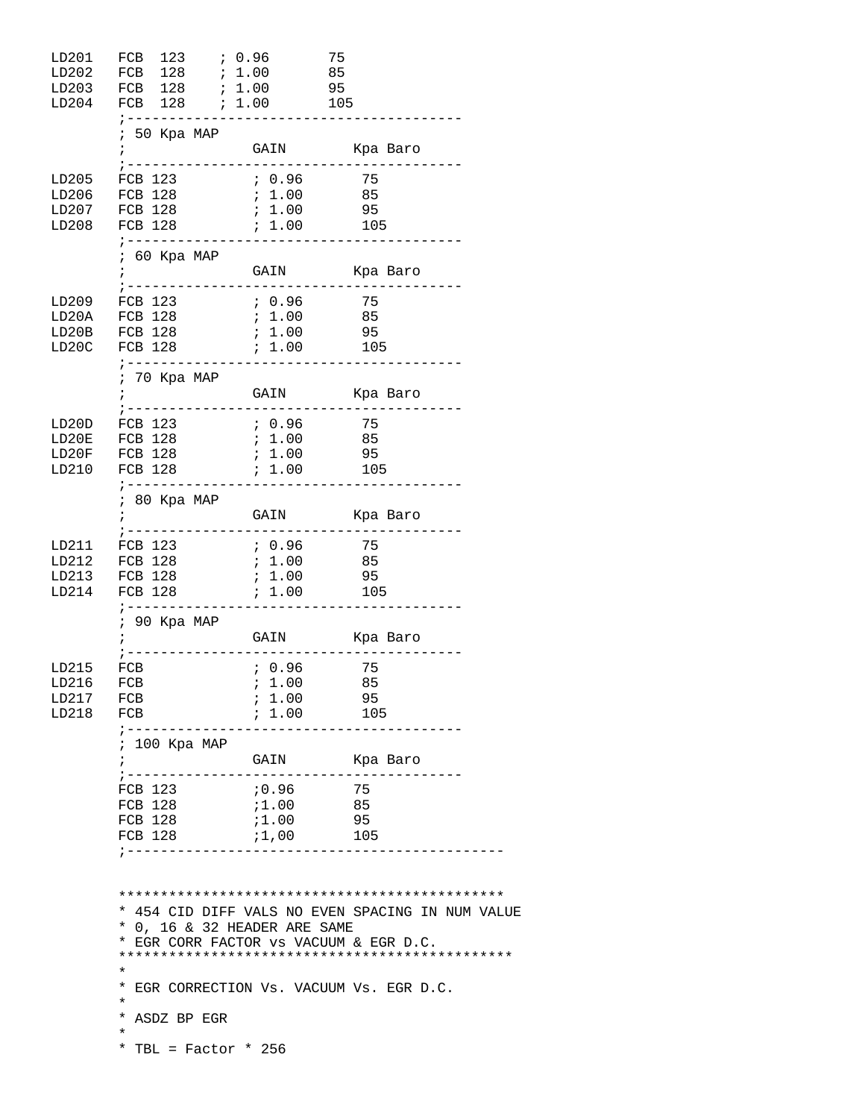| LD201<br>LD202<br>LD203<br>LD204     | FCB 123 ; 0.96<br>FCB 128 ; 1.00 85<br>FCB 128 <i>i</i> 1.00 95<br>;--------------------------- |                                        | 75                                                                                                                                 |  |
|--------------------------------------|-------------------------------------------------------------------------------------------------|----------------------------------------|------------------------------------------------------------------------------------------------------------------------------------|--|
|                                      | $: 50$ Kpa MAP<br>$\ddot{ }$                                                                    |                                        | GAIN Kpa Baro                                                                                                                      |  |
| LD205<br>LD208                       | FCB 123<br>LD206 FCB 128<br>LD207 FCB 128<br>; ----------------------------------               | 0.96<br>; 1.00<br>; 1.00               | 75<br>85<br>95                                                                                                                     |  |
|                                      | ; 60 Kpa MAP                                                                                    |                                        |                                                                                                                                    |  |
| LD20B<br>LD20C                       | FCB 128                                                                                         | ; 1.00                                 | 95<br>105                                                                                                                          |  |
|                                      | ; --------------------<br>$70$ Kpa MAP                                                          |                                        |                                                                                                                                    |  |
| LD210                                | LD20D FCB 123                                                                                   | 0.96                                   | 75                                                                                                                                 |  |
|                                      | ; 80 Kpa MAP                                                                                    |                                        |                                                                                                                                    |  |
| LD213<br>LD214                       | LD211 FCB 123<br>LD212 FCB 128 <i>i</i> 1.00<br>; ------------------------------------          | 6.96                                   | 75<br>85                                                                                                                           |  |
|                                      | ; 90 Kpa MAP                                                                                    |                                        |                                                                                                                                    |  |
| LD215<br>LD216<br>LD217 FCB<br>LD218 | FCB<br>FCB<br>FCB                                                                               | ; 0.96<br>$\ddot{i}$ 1.00 85<br>; 1.00 | 75<br>95<br>$7.1.00$ 105                                                                                                           |  |
|                                      | ; 100 Kpa MAP<br>i                                                                              |                                        | GAIN Kpa Baro                                                                                                                      |  |
|                                      | FCB 123<br>FCB 128<br>FCB 128<br>;----------------------------------                            | : 0.96<br>;1.00<br>$71.00$ 95          | 75<br>85                                                                                                                           |  |
|                                      | * 0, 16 & 32 HEADER ARE SAME<br>$\star$<br>*<br>*<br>*<br>*<br>ASDZ BP EGR                      |                                        | * 454 CID DIFF VALS NO EVEN SPACING IN NUM VALUE<br>EGR CORR FACTOR VS VACUUM & EGR D.C.<br>EGR CORRECTION Vs. VACUUM Vs. EGR D.C. |  |
|                                      | *<br>* TBL = Factor * 256                                                                       |                                        |                                                                                                                                    |  |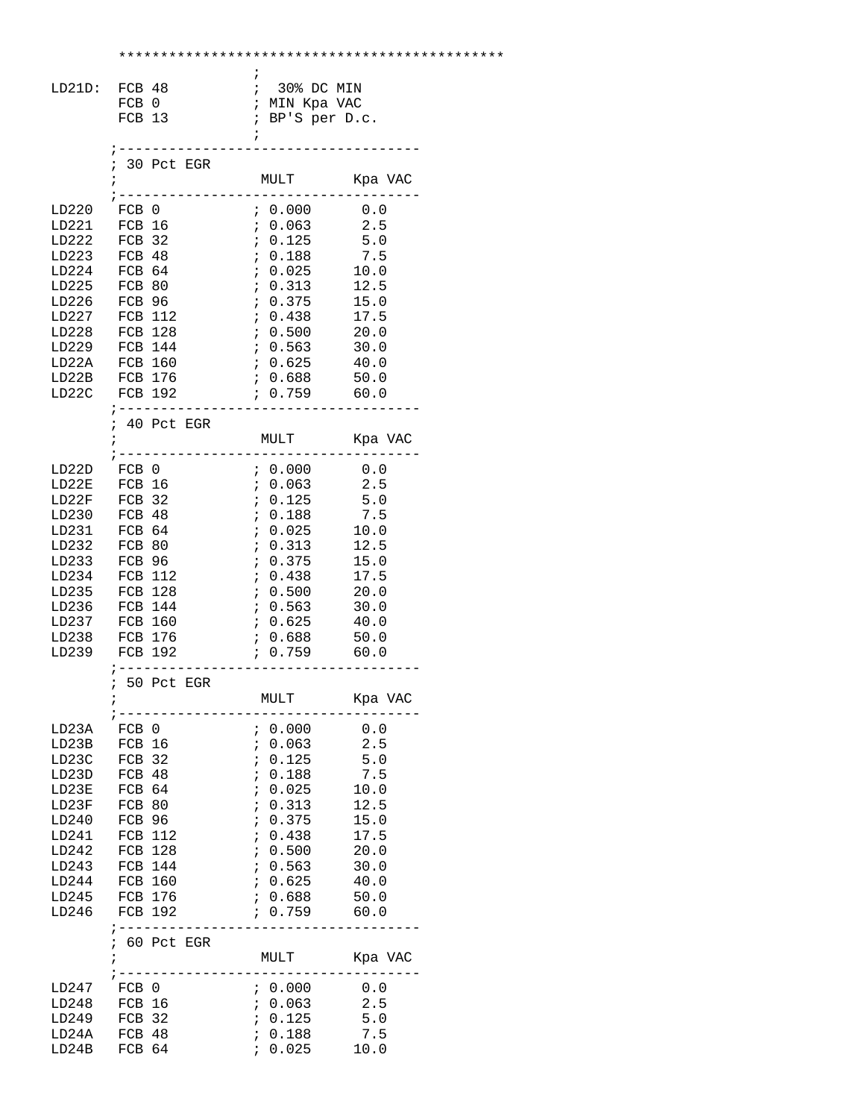| LD21D: FCB 48                                                                                                                     | FCB 0                                                                                                                                                        | FCB 13 |                                              | ÷<br>$\ddot{i}$                                                    | $: 30$ % DC MIN<br>; MIN Kpa VAC<br>; BP'S per D.c.                                                                                      |                                                                                                  |  |
|-----------------------------------------------------------------------------------------------------------------------------------|--------------------------------------------------------------------------------------------------------------------------------------------------------------|--------|----------------------------------------------|--------------------------------------------------------------------|------------------------------------------------------------------------------------------------------------------------------------------|--------------------------------------------------------------------------------------------------|--|
|                                                                                                                                   | $: 30$ Pct EGR<br>$\ddot{i}$<br>$\frac{1}{2} - - - - -$                                                                                                      |        |                                              |                                                                    | MULT<br>-----------------                                                                                                                | Kpa VAC                                                                                          |  |
| LD220<br>LD221<br>LD222<br>LD223<br>LD224<br>LD225<br>LD226<br>LD227<br>LD228<br>LD229 FCB 144<br>LD22A<br>LD22B FCB 176<br>LD22C | FCB 0<br>FCB 32<br>FCB 48<br>FCB 64<br>FCB 80<br>FCB 96<br>FCB 112<br>FCB 128<br><b>FCB 160</b><br>FCB 192<br>; ---------                                    | FCB 16 |                                              |                                                                    | 7.0.063<br>7.0.125<br>7.0.188<br>0.025<br>0.313<br>7.0.375<br>7.0.438<br>7.500<br>0.563<br>$6.625$ $40.0$<br>7.0.688<br>0.759<br>------- | 2.5<br>5.0<br>7.5<br>10.0<br>12.5<br>15.0<br>17.5<br>20.0<br>30.0<br>50.0<br>60.0                |  |
|                                                                                                                                   | $: 40$ Pct EGR<br>$\mathbf{r}$                                                                                                                               |        | ____________                                 |                                                                    | MULT Kpa VAC<br>. _ _ _ _ _ _ _ _ _                                                                                                      |                                                                                                  |  |
| LD22D<br>LD22E<br>LD22F<br>LD230<br>LD231<br>LD232<br>LD233<br>LD234<br>LD235<br>LD236<br>LD237<br>LD238<br>LD239                 | FCB 0<br>FCB 16<br>FCB 32<br>FCB 48<br>FCB 64<br>FCB 80<br>FCB 96<br>FCB 112<br>FCB 128<br>FCB 144<br>FCB 160<br>FCB 176<br>FCB 192                          |        |                                              |                                                                    | 0.063<br>$6.125$ 5.0<br>; 0.188<br>7.0.025<br>7.0.313<br>7.0.375<br>0.438<br>0.500<br>7.0.563<br>7.625<br>0.688<br>6.759                 | 2.5<br>7.5<br>10.0<br>12.5<br>15.0<br>17.5<br>20.0<br>30.0<br>40.0<br>50.0<br>60.0               |  |
|                                                                                                                                   | ï                                                                                                                                                            |        | ; -----------------<br>50 Pct EGR<br>------- |                                                                    | MULT                                                                                                                                     | Kpa VAC                                                                                          |  |
| LD23A<br>LD23B<br>LD23C<br>LD23D<br>LD23E<br>LD23F<br>LD240<br>LD241<br>LD242<br>LD243<br>LD244<br>LD245<br>LD246                 | ; -----<br>FCB 0<br>FCB 16<br>FCB 32<br>FCB 48<br>FCB 64<br>FCB 80<br>FCB 96<br><b>FCB 112</b><br>FCB 128<br>FCB 144<br><b>FCB 160</b><br>FCB 176<br>FCB 192 |        |                                              | $\ddot{i}$<br>$\ddot{i}$<br>$\ddot{ }$<br>$\ddot{i}$<br>$\ddot{ }$ | : 0.000<br>: 0.063<br>0.125<br>0.188<br>0.025<br>0.313<br>0.375<br>7.0.438<br>7.0.500<br>7.0.563<br>7.0.625<br>, 0.688<br>759            | 0.0<br>2.5<br>5.0<br>7.5<br>10.0<br>12.5<br>15.0<br>17.5<br>20.0<br>30.0<br>40.0<br>50.0<br>60.0 |  |
|                                                                                                                                   | % 60 Pct EGR<br>ï                                                                                                                                            |        | ----------                                   |                                                                    | MULT                                                                                                                                     | Kpa VAC                                                                                          |  |
| LD247<br>LD248<br>LD249<br>LD24A<br>LD24B                                                                                         | FCB 0<br>FCB 16<br>FCB 32<br>FCB 48<br>FCB 64                                                                                                                |        |                                              | $\ddot{i}$                                                         | ; 0.000<br>7.0.063<br>7.0.125<br>0.188<br>0.025                                                                                          | 0.0<br>2.5<br>5.0<br>7.5<br>10.0                                                                 |  |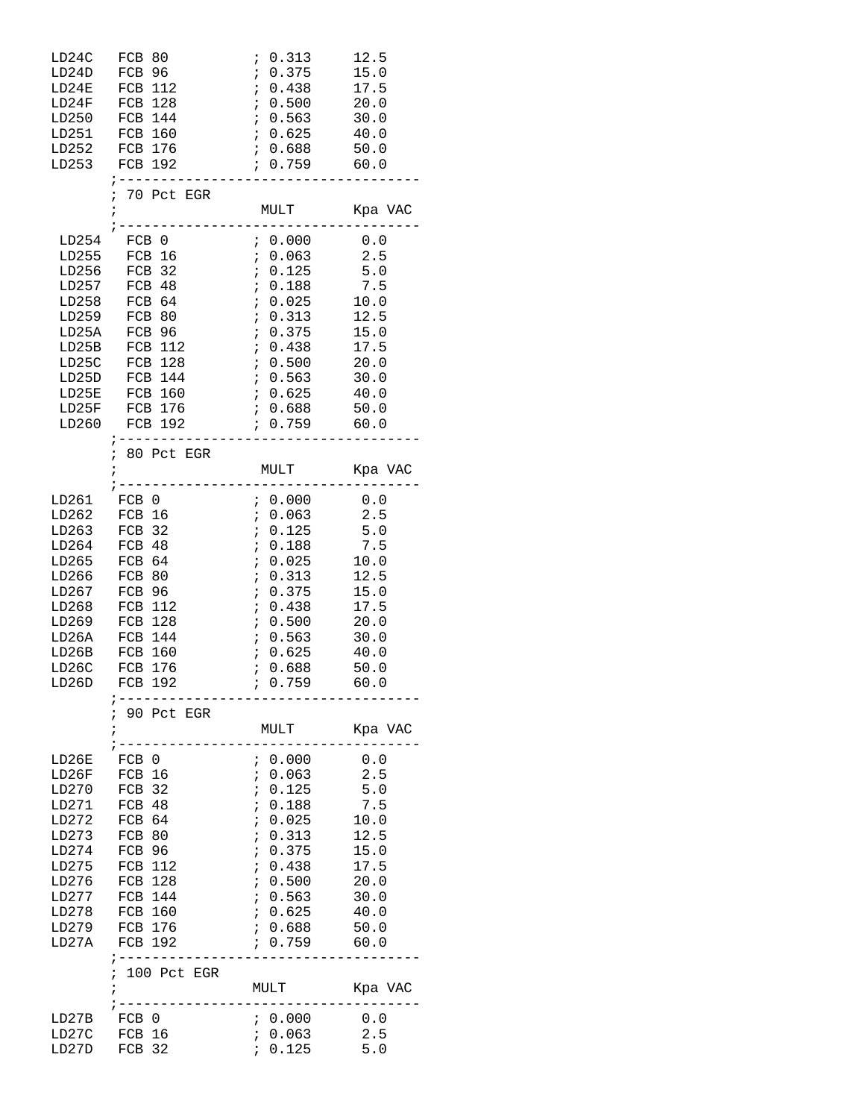| LD24C<br>LD24D<br>LD24E<br>LD24F<br>LD250<br>LD251<br>LD253                                                       | FCB 80<br>FCB 96<br>FCB 112<br>FCB 128<br>FCB 144<br>FCB 160<br>LD252 FCB 176<br>FCB 192<br>$\frac{1}{2}$ - - - - - - - - - -                               | 0.313<br>$\ddot{i}$<br>0.375<br>$\mathcal{L}$<br>0.438<br>0.500<br>$\begin{array}{c} .563 \\ .6563 \end{array}$<br>7.0.625<br>$7.0.688$ 50.0<br>$0.759$ 60.0<br>. _ _ _ _ _ _ _ _ _ _ _ .                                                  | 12.5<br>15.0<br>17.5<br>20.0<br>30.0<br>40.0                                                              |
|-------------------------------------------------------------------------------------------------------------------|-------------------------------------------------------------------------------------------------------------------------------------------------------------|--------------------------------------------------------------------------------------------------------------------------------------------------------------------------------------------------------------------------------------------|-----------------------------------------------------------------------------------------------------------|
|                                                                                                                   | ; 70 Pct EGR<br>$\ddot{i}$                                                                                                                                  |                                                                                                                                                                                                                                            |                                                                                                           |
| LD254<br>LD255<br>LD258<br>LD25A<br>LD25B<br>LD25C<br>LD25D<br>LD25E<br>LD260                                     | FCB 0<br>FCB 16<br>LD256 FCB 32<br>LD257 FCB 48<br>FCB 64<br>LD259 FCB 80<br>FCB 96<br>FCB 112<br>FCB 128<br>FCB 144<br>FCB 160<br>LD25F FCB 176<br>FCB 192 | 0.000<br>$0.063$ 2.5<br>; 0.125<br>; 0.188<br>0.025<br>: 0.313<br>0.375<br>$\frac{1}{2}$<br>0.438<br>7.0.500<br>7.563<br>$6.625$ $40.0$<br>7.0.688<br>759                                                                                  | 0.0<br>5.0<br>5.0<br>7.5<br>10.0<br>12.5<br>15.0<br>17.5<br>20.0<br>30.0<br>50.0<br>60.0                  |
|                                                                                                                   | $\frac{1}{2}$ - - - - - - - - - - -<br>; 80 Pct EGR                                                                                                         | ---------                                                                                                                                                                                                                                  |                                                                                                           |
| LD261<br>LD262<br>LD263<br>LD264<br>LD265<br>LD266<br>LD267<br>LD268<br>LD269<br>LD26A<br>LD26B<br>LD26C<br>LD26D | FCB 0<br>FCB 16<br>FCB 32<br>FCB 48<br>FCB 64<br>FCB 80<br>FCB 96<br>FCB 112<br>FCB 128<br>FCB 144<br>FCB 160<br>FCB 176<br>FCB 192                         | ; 0.000<br>; 0.063<br>$\mathcal{L}^{\mathcal{L}}$<br>0.125<br>$\mathcal{V}$<br>0.188<br>$\mathbf{r}$<br>0.025<br>$\mathbf{i}$<br>0.313<br>$\mathcal{L}$<br>0.375<br>0.438<br>$\mathbf{i}$<br>0.500<br>7.0.563<br>7.625<br>0.688<br>; 0.759 | $0.0$<br>2.5<br>2.5<br>5.0<br>7.5<br>10.0<br>12.5<br>15.0<br>17.5<br>20.0<br>30.0<br>40.0<br>50.0<br>60.0 |
|                                                                                                                   | 90 Pct EGR<br>$\dot{I}$                                                                                                                                     | MULT<br>___________                                                                                                                                                                                                                        | Kpa VAC                                                                                                   |
| LD26E<br>LD26F<br>LD270<br>LD271<br>LD272<br>LD273<br>LD274<br>LD275<br>LD276<br>LD277<br>LD278<br>LD279<br>LD27A | FCB 0<br>FCB 16<br>FCB 32<br>FCB 48<br>FCB 64<br>FCB 80<br>FCB 96<br><b>FCB 112</b><br>FCB 128<br>FCB 144<br>FCB 160<br>FCB 176<br>FCB 192                  | 6.000<br>: 0.063<br>$\ddot{i}$<br>0.125<br>$\ddot{i}$<br>0.188<br>$\ddot{i}$<br>0.025<br>$\mathbf{\dot{.}}$<br>0.313<br>$\ddot{i}$<br>0.375<br>$\ddot{i}$<br>0.438<br>$\ddot{i}$<br>0.500<br>0.563<br>7.625<br>0.688<br>0.759              | 0.0<br>2.5<br>5.0<br>7.5<br>10.0<br>12.5<br>15.0<br>17.5<br>20.0<br>30.0<br>40.0<br>50.0<br>60.0          |
|                                                                                                                   | ; 100 Pct EGR<br>ï<br>$\frac{1}{2} - - - - -$                                                                                                               | MULT<br>___________                                                                                                                                                                                                                        | Kpa VAC                                                                                                   |
| LD27B<br>LD27C<br>LD27D                                                                                           | FCB 0<br>FCB 16<br>FCB 32                                                                                                                                   | 0.000<br>0.063<br>$\ddot{i}$<br>: 0.125                                                                                                                                                                                                    | 0.0<br>2.5<br>5.0                                                                                         |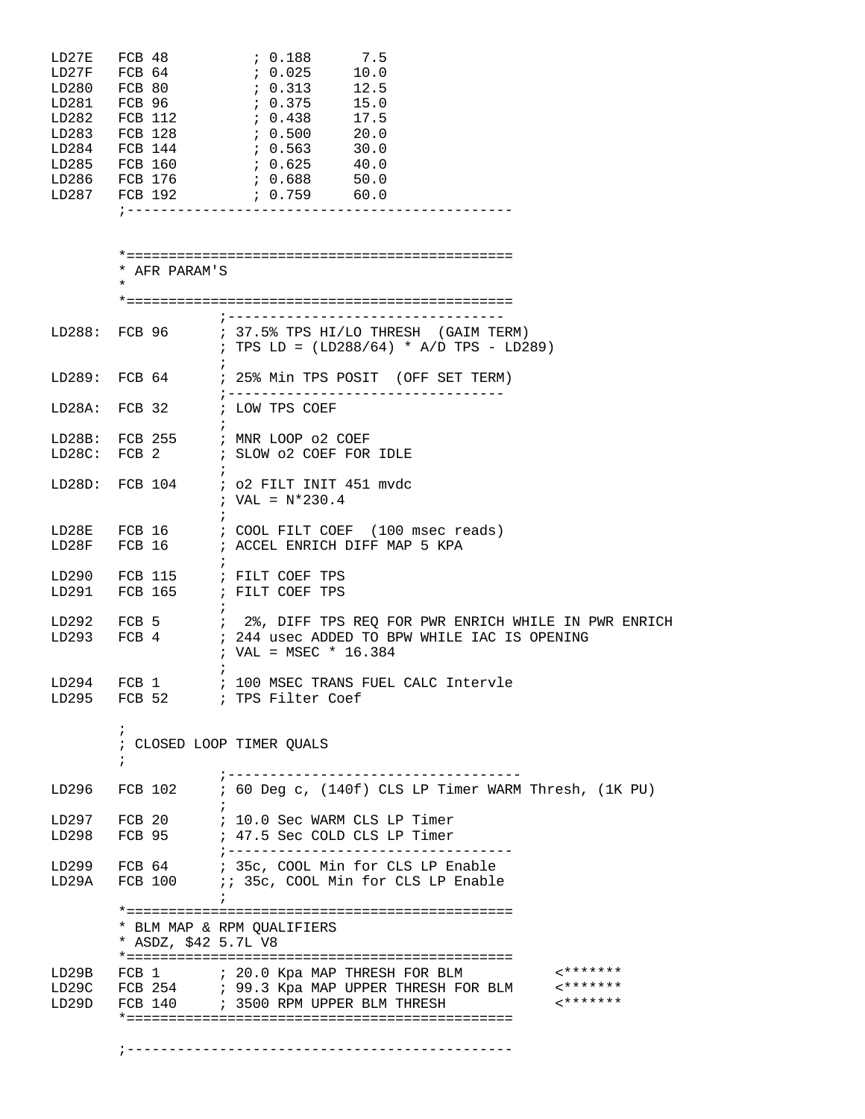| LD27E  | FCB 48                |  | : 0.188 |              | 7.5                                  |  |
|--------|-----------------------|--|---------|--------------|--------------------------------------|--|
| LD27F  | FCB 64                |  | 7.0.025 |              | 10.0                                 |  |
| LD280  | FCB 80                |  | : 0.313 |              | 12.5                                 |  |
| LD281  | FCB 96                |  | 7.0.375 |              | 15.0                                 |  |
| LD282  | FCB 112               |  | 70.438  |              | 17.5                                 |  |
| LD283  | FCB 128               |  | 0.500   |              | 20.0                                 |  |
| LD284  | FCB 144               |  | 7.0.563 |              | 30.0                                 |  |
| LD285  | FCB 160               |  | 0.625   |              | 40.0                                 |  |
|        |                       |  |         |              |                                      |  |
| LD286  | FCB 176               |  | 70.688  |              | 50.0                                 |  |
| LD287  | FCB 192               |  |         | $0.759$ 60.0 |                                      |  |
|        |                       |  |         |              |                                      |  |
|        |                       |  |         |              |                                      |  |
|        |                       |  |         |              |                                      |  |
|        |                       |  |         |              |                                      |  |
|        |                       |  |         |              |                                      |  |
|        | $\ast$<br>AFR PARAM'S |  |         |              |                                      |  |
|        | $\star$               |  |         |              |                                      |  |
|        |                       |  |         |              |                                      |  |
|        |                       |  |         |              |                                      |  |
| LD288: | FCB 96                |  |         |              | ; 37.5% TPS HI/LO THRESH (GAIM TERM) |  |
|        |                       |  |         |              |                                      |  |

|                 |                 | ; TPS LD = $(LD288/64)$ * A/D TPS - LD289)                    |
|-----------------|-----------------|---------------------------------------------------------------|
|                 | LD289: FCB 64   | ; 25% Min TPS POSIT (OFF SET TERM)                            |
|                 | LD28A: FCB 32   | ; LOW TPS COEF                                                |
|                 |                 | LD28B: FCB 255 ; MNR LOOP 02 COEF                             |
|                 | LD28C: FCB 2    | ; SLOW 02 COEF FOR IDLE                                       |
|                 |                 | LD28D: FCB $104$ ; o2 FILT INIT 451 mvdc<br>; VAL = $N*230.4$ |
| LD28E           | FCB 16          | : COOL FILT COEF (100 msec reads)                             |
|                 | LD28F FCB 16    | ; ACCEL ENRICH DIFF MAP 5 KPA                                 |
| $T \cap \Omega$ | <b>DOD</b> 11 P | $\cdot$ $\pi$ <i>rrm donn mnd</i>                             |

LD290 FCB 115 ; FILT COEF TPS LD291 FCB 165 ; FILT COEF TPS  $\begin{minipage}{.4\linewidth} \texttt{LD292} & \texttt{FCB 5} & \texttt{;} \\ \end{minipage}$ LD292 FCB 5 ; 2%, DIFF TPS REQ FOR PWR ENRICH WHILE IN PWR ENRICH LD293 FCB 4 ; 244 usec ADDED TO BPW WHILE IAC IS OPENING ; 244 usec ADDED TO BPW WHILE IAC IS OPENING ; VAL = MSEC \* 16.384

| LD294 FCB 1  |  |  |                   |  | ; 100 MSEC TRANS FUEL CALC Intervle |
|--------------|--|--|-------------------|--|-------------------------------------|
| LD295 FCB 52 |  |  | ; TPS Filter Coef |  |                                     |

 ; CLOSED LOOP TIMER QUALS ;

;

| LD296 FCB 102<br>; 60 Deg c, (140f) CLS LP Timer WARM Thresh, (1K PU)<br>LD297 FCB 20<br>; 10.0 Sec WARM CLS LP Timer<br>LD298 FCB 95<br>; 47.5 Sec COLD CLS LP Timer<br>LD299<br>; 35c, COOL Min for CLS LP Enable<br>FCB 64<br>LD29A FCB 100<br>:: 35c, COOL Min for CLS LP Enable<br>* BLM MAP & RPM OUALIFIERS<br>* ASDZ, \$42 5.7L V8<br>********<br>FCB 1 $\qquad$ ; 20.0 Kpa MAP THRESH FOR BLM<br>LD29B<br>$*$ *******<br>LD29C FCB 254 ; 99.3 Kpa MAP UPPER THRESH FOR BLM<br>-*******<br>LD29D<br>FCB 140 ; 3500 RPM UPPER BLM THRESH |  |  |
|-------------------------------------------------------------------------------------------------------------------------------------------------------------------------------------------------------------------------------------------------------------------------------------------------------------------------------------------------------------------------------------------------------------------------------------------------------------------------------------------------------------------------------------------------|--|--|
|                                                                                                                                                                                                                                                                                                                                                                                                                                                                                                                                                 |  |  |
|                                                                                                                                                                                                                                                                                                                                                                                                                                                                                                                                                 |  |  |
|                                                                                                                                                                                                                                                                                                                                                                                                                                                                                                                                                 |  |  |
|                                                                                                                                                                                                                                                                                                                                                                                                                                                                                                                                                 |  |  |
|                                                                                                                                                                                                                                                                                                                                                                                                                                                                                                                                                 |  |  |
|                                                                                                                                                                                                                                                                                                                                                                                                                                                                                                                                                 |  |  |
|                                                                                                                                                                                                                                                                                                                                                                                                                                                                                                                                                 |  |  |
|                                                                                                                                                                                                                                                                                                                                                                                                                                                                                                                                                 |  |  |
|                                                                                                                                                                                                                                                                                                                                                                                                                                                                                                                                                 |  |  |
|                                                                                                                                                                                                                                                                                                                                                                                                                                                                                                                                                 |  |  |
|                                                                                                                                                                                                                                                                                                                                                                                                                                                                                                                                                 |  |  |
|                                                                                                                                                                                                                                                                                                                                                                                                                                                                                                                                                 |  |  |
|                                                                                                                                                                                                                                                                                                                                                                                                                                                                                                                                                 |  |  |
|                                                                                                                                                                                                                                                                                                                                                                                                                                                                                                                                                 |  |  |

;----------------------------------------------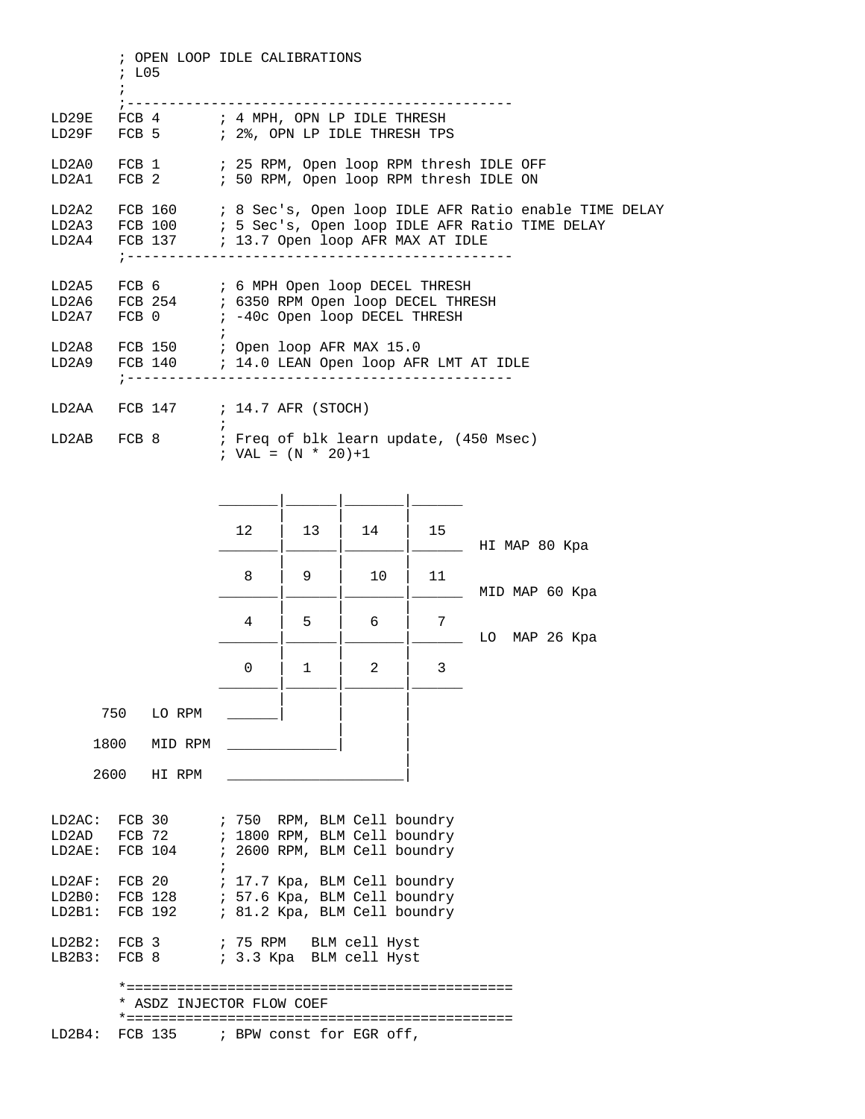; OPEN LOOP IDLE CALIBRATIONS ; L05  $\mathcal{L}^{\text{max}}$  ;---------------------------------------------- LD29E FCB 4 ; 4 MPH, OPN LP IDLE THRESH LD29F FCB 5 ; 2%, OPN LP IDLE THRESH TPS LD2A0 FCB 1 : 25 RPM, Open loop RPM thresh IDLE OFF LD2A1 FCB 2 : 50 RPM, Open loop RPM thresh IDLE ON LD2A2 FCB 160 ; 8 Sec's, Open loop IDLE AFR Ratio enable TIME DELAY LD2A3 FCB 100 ; 5 Sec's, Open loop IDLE AFR Ratio TIME DELAY LD2A4 FCB 137 : 13.7 Open loop AFR MAX AT IDLE ;---------------------------------------------- LD2A5 FCB 6 ; 6 MPH Open loop DECEL THRESH LD2A6 FCB 254 ; 6350 RPM Open loop DECEL THRESH LD2A7 FCB 0  $\qquad$  ; -40c Open loop DECEL THRESH  $\mathcal{L}^{\text{max}}$  is a set of the set of the set of the set of the set of the set of the set of the set of the set of the set of the set of the set of the set of the set of the set of the set of the set of the set of the set LD2A8 FCB 150 ; Open loop AFR MAX 15.0 LD2A9 FCB 140 ; 14.0 LEAN Open loop AFR LMT AT IDLE ;---------------------------------------------- LD2AA  $FCB$  147 ; 14.7 AFR (STOCH)  $\mathcal{L}^{\text{max}}$ LD2AB FCB 8 ; Freq of blk learn update, (450 Msec) ; VAL =  $(N * 20)+1$  \_\_\_\_\_\_\_|\_\_\_\_\_\_|\_\_\_\_\_\_\_|\_\_\_\_\_\_ | | | 12 | 13 | 14 | 15 \_\_\_\_\_\_\_|\_\_\_\_\_\_|\_\_\_\_\_\_\_|\_\_\_\_\_\_ HI MAP 80 Kpa | | | 8 | 9 | 10 | 11 \_\_\_\_\_\_\_|\_\_\_\_\_\_|\_\_\_\_\_\_\_|\_\_\_\_\_\_ MID MAP 60 Kpa | | | 4 | 5 | 6 | 7  $\Box$  LO MAP 26 Kpa | | |  $0$  | 1 | 2 | 3 \_\_\_\_\_\_\_|\_\_\_\_\_\_|\_\_\_\_\_\_\_|\_\_\_\_\_\_ | | | 750 LO RPM \_\_\_\_\_\_| | | | | 1800 MID RPM \_\_\_\_\_\_\_\_\_\_\_\_\_| | | 2600 HI RPM \_\_\_\_\_\_\_\_\_\_\_\_\_\_\_\_\_\_\_\_\_| LD2AC: FCB 30 ; 750 RPM, BLM Cell boundry LD2AD FCB 72 ; 1800 RPM, BLM Cell boundry LD2AE: FCB 104 ; 2600 RPM, BLM Cell boundry  $\mathcal{L}^{\text{max}}$  is a set of the set of the set of the set of the set of the set of the set of the set of the set of the set of the set of the set of the set of the set of the set of the set of the set of the set of the set LD2AF: FCB 20 ; 17.7 Kpa, BLM Cell boundry LD2B0: FCB 128 ; 57.6 Kpa, BLM Cell boundry LD2B1: FCB 192 ; 81.2 Kpa, BLM Cell boundry LD2B2: FCB 3 ; 75 RPM BLM cell Hyst<br>LB2B3: FCB 8 ; 3.3 Kpa BLM cell Hyst ; 3.3 Kpa BLM cell Hyst \*============================================== \* ASDZ INJECTOR FLOW COEF \*============================================== LD2B4: FCB 135 ; BPW const for EGR off,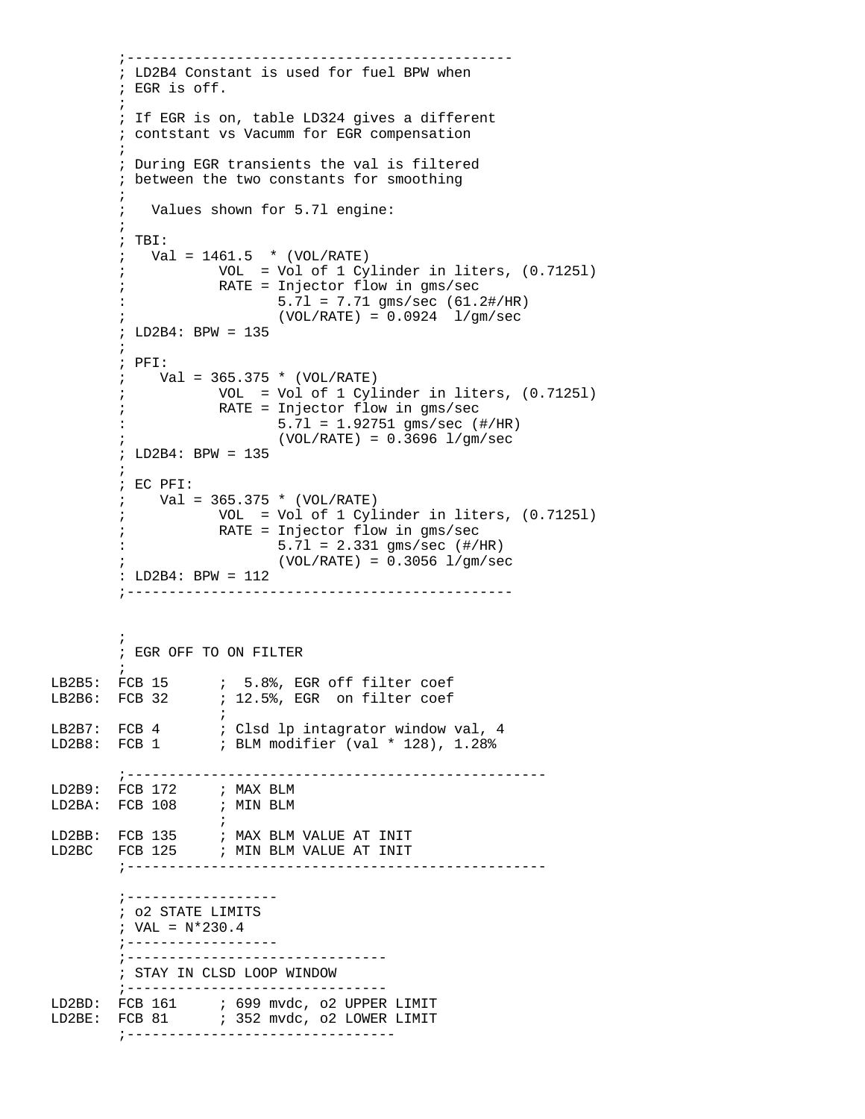```
 ;----------------------------------------------
          ; LD2B4 Constant is used for fuel BPW when 
          ; EGR is off. 
\mathcal{L}^{\text{max}} ; If EGR is on, table LD324 gives a different 
          ; contstant vs Vacumm for EGR compensation
\mathcal{L}^{\text{max}} ; During EGR transients the val is filtered 
          ; between the two constants for smoothing
\mathcal{L}^{\text{max}} ; Values shown for 5.7l engine:
\mathcal{L}^{\text{max}} ; TBI:
         ; Val = 1461.5 * (VOL/RATE)
           ; VOL = Vol of 1 Cylinder in liters, (0.7125l)
                        RATE = Injector flow in gms/sec5.71 = 7.71 qms/sec (61.2 \# / HR)(VOL/RATE) = 0.0924 \frac{1}{gm/sec} ; LD2B4: BPW = 135
\mathcal{L}^{\text{max}}_{\text{max}} ; PFI:
          ; Val = 365.375 * (VOL/RATE)
          ; VOL = Vol of 1 Cylinder in liters, (0.7125l)
                        RATE = Injector flow in gms/sec : 5.7l = 1.92751 gms/sec (#/HR)
                                (VOL/RATE) = 0.3696 1/gm/sec ; LD2B4: BPW = 135
\mathcal{L}^{\text{max}} ; EC PFI:
         ; Val = 365.375 * (VOL/RATE) ; VOL = Vol of 1 Cylinder in liters, (0.7125l)
          ; RATE = Injector flow in gms/sec
           : 5.7l = 2.331 gms/sec (#/HR)
                                (VOL/RATE) = 0.3056 1/qm/sec : LD2B4: BPW = 112
           ;----------------------------------------------
\mathcal{L}^{\text{max}} ; EGR OFF TO ON FILTER
\mathcal{L}^{\text{max}}LB2B5: FCB 15 ; 5.8%, EGR off filter coef<br>
LB2B6: FCB 32 ; 12.5%, EGR on filter coef
                      ; 12.5%, EGR on filter coef
\mathcal{L}^{\text{max}} is a set of the set of the set of the set of the set of the set of the set of the set of the set of the set of the set of the set of the set of the set of the set of the set of the set of the set of the set
LB2B7: FCB 4 ; Clsd lp intagrator window val, 4<br>LD2B8: FCB 1 ; BLM modifier (val * 128), 1.28%
                      ; BLM modifier (val * 128), 1.28%
          ;--------------------------------------------------
LD2B9: FCB 172
LD2BA: FCB 108 ; MIN BLM
\mathcal{L}^{\text{max}}LD2BB: FCB 135 ; MAX BLM VALUE AT INIT 
LD2BC FCB 125 ; MIN BLM VALUE AT INIT
          ;--------------------------------------------------
          ;------------------
          ; o2 STATE LIMITS
         ; VAL = N*230.4 ;------------------ 
           ;-------------------------------
          ; STAY IN CLSD LOOP WINDOW
          ;-------------------------------
LD2BD: FCB 161 : 699 mvdc, o2 UPPER LIMIT
LD2BE: FCB 81 : 352 mvdc, o2 LOWER LIMIT
          ;--------------------------------
```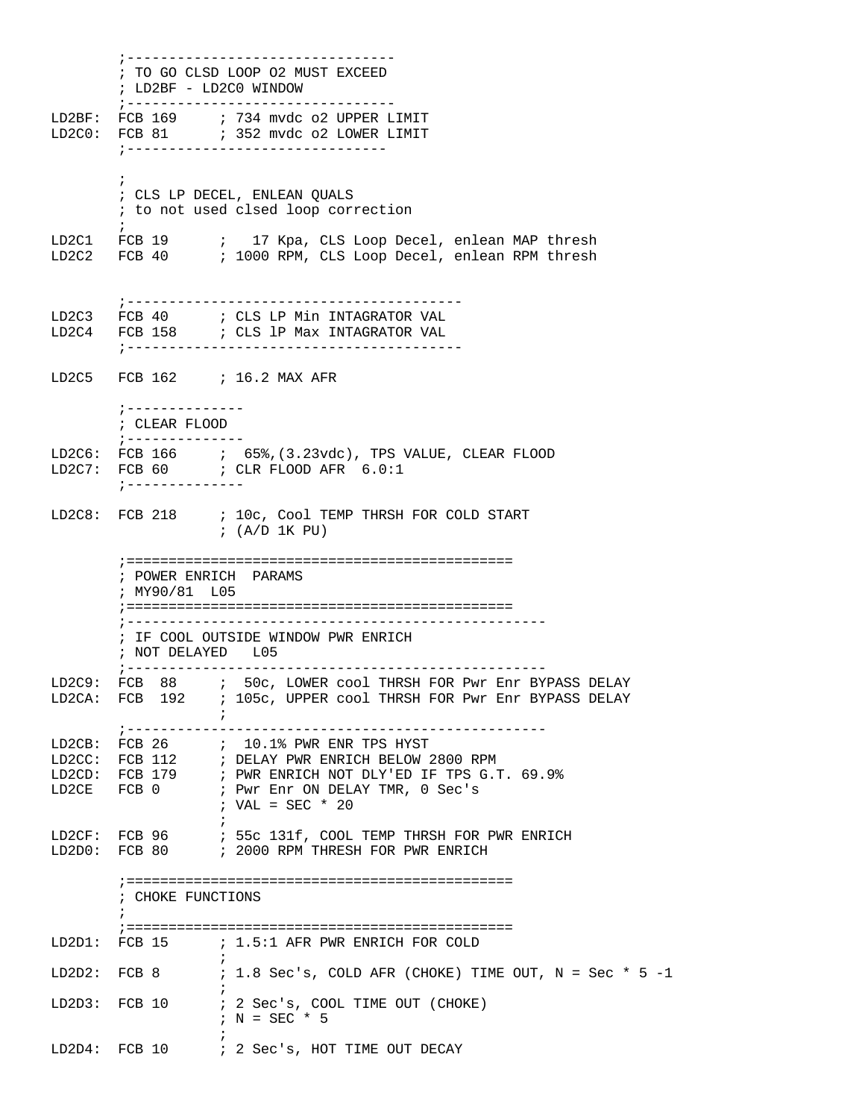;-------------------------------- ; TO GO CLSD LOOP O2 MUST EXCEED ; LD2BF - LD2C0 WINDOW ;-------------------------------- LD2BF: FCB 169 ; 734 mvdc o2 UPPER LIMIT LD2C0: FCB 81 : 352 mvdc o2 LOWER LIMIT ;-------------------------------  $\mathcal{L}^{\text{max}}$  ; CLS LP DECEL, ENLEAN QUALS ; to not used clsed loop correction  $\mathcal{L}^{\text{max}}$ LD2C1 FCB 19 ; 17 Kpa, CLS Loop Decel, enlean MAP thresh LD2C2 FCB 40 ; 1000 RPM, CLS Loop Decel, enlean RPM thresh ;---------------------------------------- ; CLS LP Min INTAGRATOR VAL LD2C4 FCB 158 ; CLS 1P Max INTAGRATOR VAL ;---------------------------------------- LD2C5 FCB 162 ; 16.2 MAX AFR ;-------------- ; CLEAR FLOOD ;-------------- LD2C6: FCB 166 ; 65%,(3.23vdc), TPS VALUE, CLEAR FLOOD LD2C7: FCB  $60$  ; CLR FLOOD AFR  $6.0:1$  ;-------------- LD2C8: FCB 218 : 10c, Cool TEMP THRSH FOR COLD START ; (A/D 1K PU) ;============================================== ; POWER ENRICH PARAMS ; MY90/81 L05 ;============================================== ;-------------------------------------------------- ; IF COOL OUTSIDE WINDOW PWR ENRICH ; NOT DELAYED L05 ;-------------------------------------------------- LD2C9: FCB 88 ; 50c, LOWER cool THRSH FOR Pwr Enr BYPASS DELAY LD2CA: FCB 192 ; 105c, UPPER cool THRSH FOR Pwr Enr BYPASS DELAY  $\mathcal{L}^{\text{max}}_{\text{max}}$  and  $\mathcal{L}^{\text{max}}_{\text{max}}$  ;-------------------------------------------------- LD2CB: FCB 26 ; 10.1% PWR ENR TPS HYST LD2CC: FCB 112 ; DELAY PWR ENRICH BELOW 2800 RPM LD2CD: FCB 179 ; PWR ENRICH NOT DLY'ED IF TPS G.T. 69.9% LD2CE FCB 0 ; Pwr Enr ON DELAY TMR, 0 Sec's ; VAL = SEC \* 20  $\mathcal{L}^{\text{max}}$ LD2CF: FCB 96 ; 55c 131f, COOL TEMP THRSH FOR PWR ENRICH LD2D0: FCB 80 ; 2000 RPM THRESH FOR PWR ENRICH ;============================================== ; CHOKE FUNCTIONS  $\mathcal{L}^{\text{max}}$  ;============================================== LD2D1: FCB 15 ; 1.5:1 AFR PWR ENRICH FOR COLD  $\mathcal{L}^{\text{max}}$ LD2D2: FCB 8  $\therefore$  1.8 Sec's, COLD AFR (CHOKE) TIME OUT, N = Sec \* 5 -1  $\mathcal{L}^{\text{max}}$ LD2D3: FCB 10 ; 2 Sec's, COOL TIME OUT (CHOKE)  $; N = SEC * 5$  $\mathcal{L}^{\text{max}}$ LD2D4: FCB 10 ; 2 Sec's, HOT TIME OUT DECAY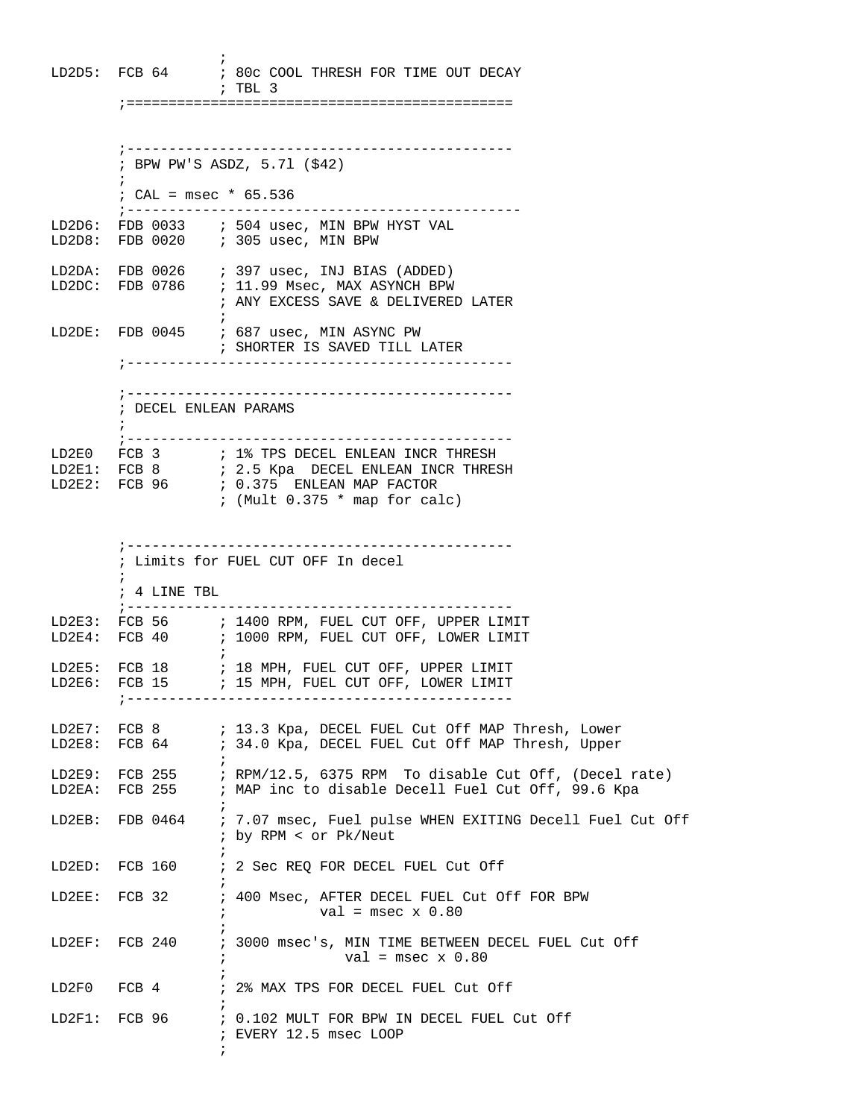$\mathcal{L}^{\text{max}}$ LD2D5: FCB 64 ; 80c COOL THRESH FOR TIME OUT DECAY ; TBL 3 ;============================================== ;---------------------------------------------- ; BPW PW'S ASDZ, 5.7l (\$42)  $\mathcal{L}^{\text{max}}$  ; CAL = msec \* 65.536 ;----------------------------------------------- LD2D6: FDB 0033  $\;$  ; 504 usec, MIN BPW HYST VAL LD2D8: FDB 0020 ; 305 usec, MIN BPW LD2DA: FDB 0026 ; 397 usec, INJ BIAS (ADDED) LD2DC: FDB 0786 ; 11.99 Msec, MAX ASYNCH BPW ; ANY EXCESS SAVE & DELIVERED LATER  $\mathcal{L}^{\text{max}}$  is a set of the set of the set of the set of the set of the set of the set of the set of the set of the set of the set of the set of the set of the set of the set of the set of the set of the set of the set LD2DE: FDB 0045 ; 687 usec, MIN ASYNC PW ; SHORTER IS SAVED TILL LATER ;---------------------------------------------- ;---------------------------------------------- ; DECEL ENLEAN PARAMS  $\mathcal{L}^{\text{max}}$  ;---------------------------------------------- LD2E0 FCB 3  $\cdot$  1% TPS DECEL ENLEAN INCR THRESH LD2E1: FCB 8 ; 2.5 Kpa DECEL ENLEAN INCR THRESH LD2E2: FCB 96 ; 0.375 ENLEAN MAP FACTOR ; (Mult 0.375 \* map for calc) ;---------------------------------------------- ; Limits for FUEL CUT OFF In decel  $\mathcal{L}^{\text{max}}$  ; 4 LINE TBL ;---------------------------------------------- LD2E3: FCB 56 : 1400 RPM, FUEL CUT OFF, UPPER LIMIT LD2E4: FCB 40 ; 1000 RPM, FUEL CUT OFF, LOWER LIMIT  $\mathcal{L}^{\text{max}}_{\text{max}}$  and  $\mathcal{L}^{\text{max}}_{\text{max}}$ LD2E5: FCB 18  $\qquad$  ; 18 MPH, FUEL CUT OFF, UPPER LIMIT LD2E6: FCB 15  $\qquad$  ; 15 MPH, FUEL CUT OFF, LOWER LIMIT ;---------------------------------------------- LD2E7: FCB 8 ; 13.3 Kpa, DECEL FUEL Cut Off MAP Thresh, Lower LD2E8: FCB 64 ; 34.0 Kpa, DECEL FUEL Cut Off MAP Thresh, Upper  $\mathcal{L}^{\text{max}}$ LD2E9: FCB 255 ; RPM/12.5, 6375 RPM To disable Cut Off, (Decel rate) LD2EA: FCB 255 ; MAP inc to disable Decell Fuel Cut Off, 99.6 Kpa  $\mathcal{L}^{\text{max}}$ LD2EB: FDB 0464 ; 7.07 msec, Fuel pulse WHEN EXITING Decell Fuel Cut Off ; by RPM < or Pk/Neut  $\mathcal{L}^{\text{max}}$  is a set of the set of the set of the set of the set of the set of the set of the set of the set of the set of the set of the set of the set of the set of the set of the set of the set of the set of the set LD2ED: FCB 160 ; 2 Sec REQ FOR DECEL FUEL Cut Off  $\mathcal{L}^{\text{max}}$ LD2EE: FCB 32 : 400 Msec, AFTER DECEL FUEL Cut Off FOR BPW  $;$   $val = msec \times 0.80$  $\mathcal{L}^{\text{max}}$  is a set of the set of the set of the set of the set of the set of the set of the set of the set of the set of the set of the set of the set of the set of the set of the set of the set of the set of the set LD2EF: FCB 240 ; 3000 msec's, MIN TIME BETWEEN DECEL FUEL Cut Off  $val = msec \times 0.80$  $\mathcal{L}^{\text{max}}$ LD2F0 FCB 4 ; 2% MAX TPS FOR DECEL FUEL Cut Off  $\mathcal{L}^{\text{max}}$  is a set of the set of the set of the set of the set of the set of the set of the set of the set of the set of the set of the set of the set of the set of the set of the set of the set of the set of the set LD2F1: FCB 96 ; 0.102 MULT FOR BPW IN DECEL FUEL Cut Off ; EVERY 12.5 msec LOOP  $\mathcal{L}^{\text{max}}$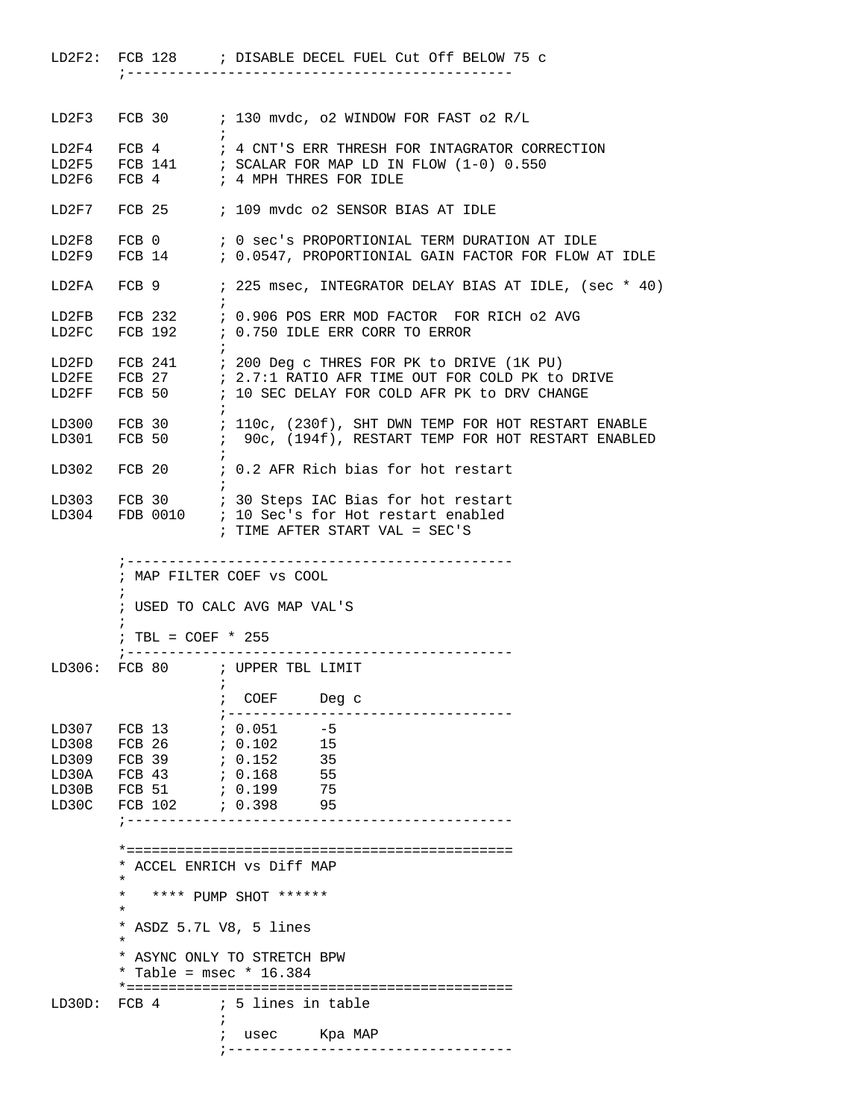|        |                                        | LD2F2: FCB 128 : DISABLE DECEL FUEL Cut Off BELOW 75 c                                                                                   |
|--------|----------------------------------------|------------------------------------------------------------------------------------------------------------------------------------------|
|        |                                        |                                                                                                                                          |
|        |                                        | LD2F3 FCB 30 ; 130 mvdc, o2 WINDOW FOR FAST o2 R/L                                                                                       |
|        |                                        | LD2F4 FCB 4 : 4 CNT'S ERR THRESH FOR INTAGRATOR CORRECTION                                                                               |
|        |                                        |                                                                                                                                          |
|        |                                        | LD2F5 FCB 141 : SCALAR FOR MAP LD IN FLOW $(1-0)$ 0.550<br>LD2F6 FCB 4 : 4 MPH THRES FOR IDLE                                            |
|        |                                        | LD2F7 FCB 25 ; 109 mvdc o2 SENSOR BIAS AT IDLE                                                                                           |
|        |                                        |                                                                                                                                          |
|        |                                        | LD2F8 FCB 0 $\,$ ; 0 sec's PROPORTIONIAL TERM DURATION AT IDLE<br>LD2F9 FCB 14 $\,$ ; 0.0547, PROPORTIONIAL GAIN FACTOR FOR FLOW AT IDLE |
|        |                                        | LD2FA FCB 9 : 225 msec, INTEGRATOR DELAY BIAS AT IDLE, (sec * 40)                                                                        |
|        |                                        |                                                                                                                                          |
|        |                                        | LD2FB FCB 232 $\cdot$ 0.906 POS ERR MOD FACTOR FOR RICH 02 AVG LD2FC FCB 192 $\cdot$ 0.750 IDLE ERR CORR TO ERROR                        |
|        |                                        | LD2FD FCB 241 ; 200 Deg c THRES FOR PK to DRIVE (1K PU)                                                                                  |
|        |                                        | LD2FE $FCB$ 27 $\qquad$ ; 2.7:1 RATIO AFR TIME OUT FOR COLD PK to DRIVE                                                                  |
|        |                                        | LD2FF FCB 50 ; 10 SEC DELAY FOR COLD AFR PK to DRV CHANGE                                                                                |
|        |                                        | LD300 FCB 30 : 110c, (230f), SHT DWN TEMP FOR HOT RESTART ENABLE                                                                         |
|        |                                        | LD301 FCB 50 : 90c, (194f), RESTART TEMP FOR HOT RESTART ENABLED                                                                         |
|        |                                        | LD302 FCB 20 : 0.2 AFR Rich bias for hot restart                                                                                         |
|        |                                        | LD303 FCB 30 : 30 Steps IAC Bias for hot restart                                                                                         |
|        |                                        | LD304 FDB 0010 ; 10 Sec's for Hot restart enabled                                                                                        |
|        |                                        | ; TIME AFTER START VAL = SEC'S                                                                                                           |
|        |                                        | ; MAP FILTER COEF VS COOL                                                                                                                |
|        |                                        | ; USED TO CALC AVG MAP VAL'S                                                                                                             |
|        | ; TBL = $COEF * 255$<br>; ------------ |                                                                                                                                          |
|        |                                        | LD306: FCB 80 ; UPPER TBL LIMIT                                                                                                          |
|        |                                        | COEF<br>Deg c                                                                                                                            |
| LD307  | FCB 13                                 | $7.0.051 - 5$                                                                                                                            |
| LD308  | FCB 26                                 | 6.102<br>- 15                                                                                                                            |
| LD309  | FCB 39                                 | 7.0.152<br>35                                                                                                                            |
| LD30A  | FCB 43                                 | , 0.168<br>55                                                                                                                            |
| LD30B  | FCB 51                                 | 75<br>0.199                                                                                                                              |
| LD30C  | FCB 102                                | 95<br>; 0.398                                                                                                                            |
|        |                                        |                                                                                                                                          |
|        |                                        | * ACCEL ENRICH vs Diff MAP                                                                                                               |
|        | $^\star$                               |                                                                                                                                          |
|        | $\star$<br>$^\star$                    | **** PUMP SHOT ******                                                                                                                    |
|        |                                        | * ASDZ 5.7L V8, 5 lines                                                                                                                  |
|        | $\star$                                | * ASYNC ONLY TO STRETCH BPW                                                                                                              |
|        |                                        | * Table = $msec$ * 16.384                                                                                                                |
| LD30D: | FCB 4                                  | ; 5 lines in table                                                                                                                       |
|        |                                        | $\ddot{i}$<br>Kpa MAP<br>usec<br>$\ddot{i}$                                                                                              |
|        |                                        |                                                                                                                                          |

;---------------------------------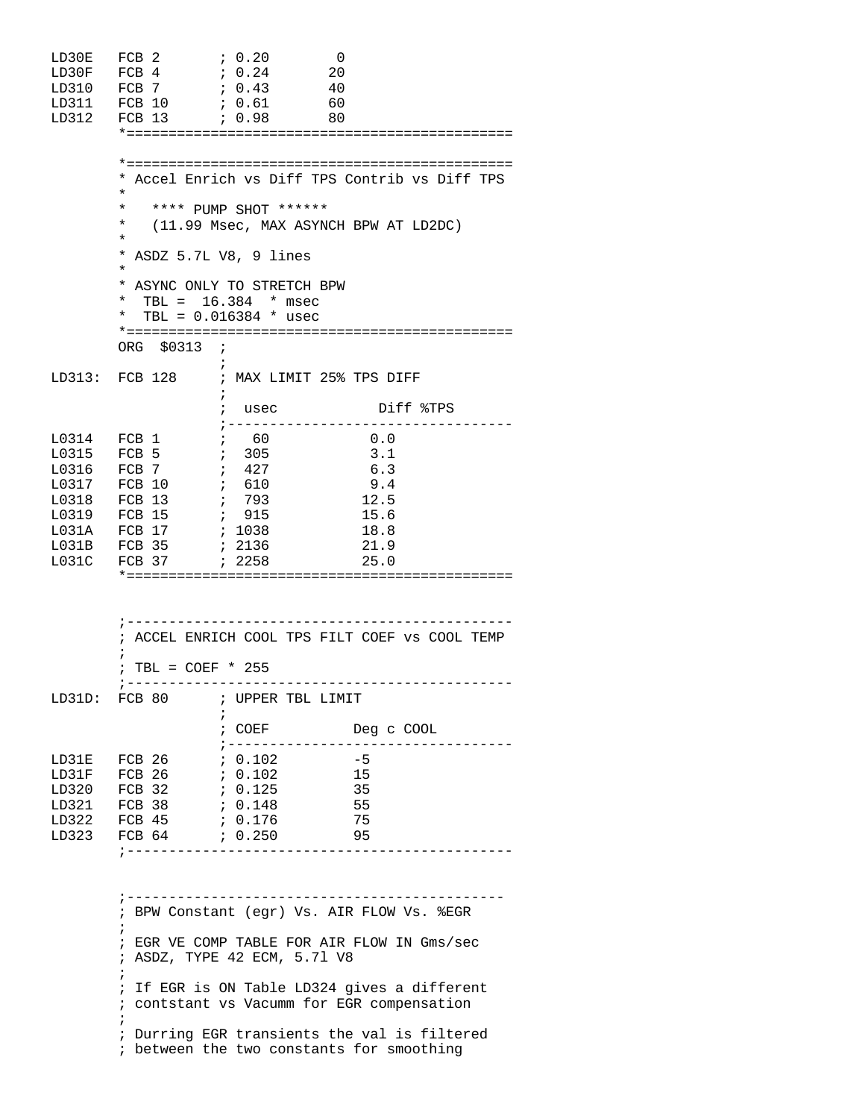| LD30E<br>LD30F<br>LD310<br>LD311<br>LD312                                                                 | FCB <sub>2</sub><br>FCB 4<br>FCB 7<br>FCB 10 ; 0.61<br>, 0.98<br>FCB 13                                                | ; 0.20<br>- 0<br>7.0.24<br>20<br>7.0.43<br>- 40<br>60<br>80                                                             |                                                                                                                                                                                                                                       |
|-----------------------------------------------------------------------------------------------------------|------------------------------------------------------------------------------------------------------------------------|-------------------------------------------------------------------------------------------------------------------------|---------------------------------------------------------------------------------------------------------------------------------------------------------------------------------------------------------------------------------------|
|                                                                                                           | $^{\star}$<br>$\star$<br>*<br>¥                                                                                        | **** PUMP SHOT ******<br>(11.99 Msec, MAX ASYNCH BPW AT LD2DC)                                                          | * Accel Enrich vs Diff TPS Contrib vs Diff TPS                                                                                                                                                                                        |
|                                                                                                           | * ASDZ 5.7L V8, 9 lines<br>¥<br>*<br>$\ast$<br>ORG \$0313 ;                                                            | * ASYNC ONLY TO STRETCH BPW<br>TBL = $16.384$ * msec<br>TBL = $0.016384$ * usec                                         |                                                                                                                                                                                                                                       |
|                                                                                                           | $\ddot{i}$                                                                                                             | LD313: FCB 128 ; MAX LIMIT 25% TPS DIFF                                                                                 |                                                                                                                                                                                                                                       |
|                                                                                                           |                                                                                                                        | ; usec<br>; ------                                                                                                      | Diff %TPS                                                                                                                                                                                                                             |
| L0314 FCB 1<br>$10315$ FCB 5<br>L0316<br>L0317<br>L0318<br>L0319 FCB 15<br>L031A FCB 17<br>L031B<br>L031C | FCB 7<br>FCB 10<br>FCB 13<br>FCB 35<br>FCB 37                                                                          | $\frac{1}{60}$<br>305<br>$\mathcal{F}$<br>$\ddot{i}$<br>427<br>, 610<br>; 793<br>; 915<br>; 1038<br>; 2136<br>; 2258    | 0.0<br>3.1<br>6.3<br>9.4<br>12.5<br>15.6<br>18.8<br>21.9<br>25.0                                                                                                                                                                      |
|                                                                                                           | ; TBL = $COEF * 255$<br>$\frac{1}{2}$ – – – – –                                                                        | ; ___________________________________                                                                                   | ; ACCEL ENRICH COOL TPS FILT COEF VS COOL TEMP                                                                                                                                                                                        |
|                                                                                                           |                                                                                                                        | LD31D: FCB 80 ; UPPER TBL LIMIT<br>$\ddot{i}$                                                                           |                                                                                                                                                                                                                                       |
|                                                                                                           | LD31E FCB 26<br>LD31F FCB 26<br>$LD320$ FCB 32<br>LD321 FCB 38 ; 0.148<br>LD322 FCB 45 ; 0.176<br>LD323 FCB 64 ; 0.250 | ; COEF Deg c COOL<br>; -------------------<br>7.0.102<br>, 0.102<br>0.125<br>55<br>;----------------------------------- | -5<br>15<br>35<br>75<br>95                                                                                                                                                                                                            |
|                                                                                                           | $\ddot{i}$<br>;<br>;<br>i                                                                                              | ; ASDZ, TYPE 42 ECM, 5.71 V8<br>; between the two constants for smoothing                                               | ; BPW Constant (egr) Vs. AIR FLOW Vs. %EGR<br>; EGR VE COMP TABLE FOR AIR FLOW IN Gms/sec<br>; If EGR is ON Table LD324 gives a different<br>; contstant vs Vacumm for EGR compensation<br>Durring EGR transients the val is filtered |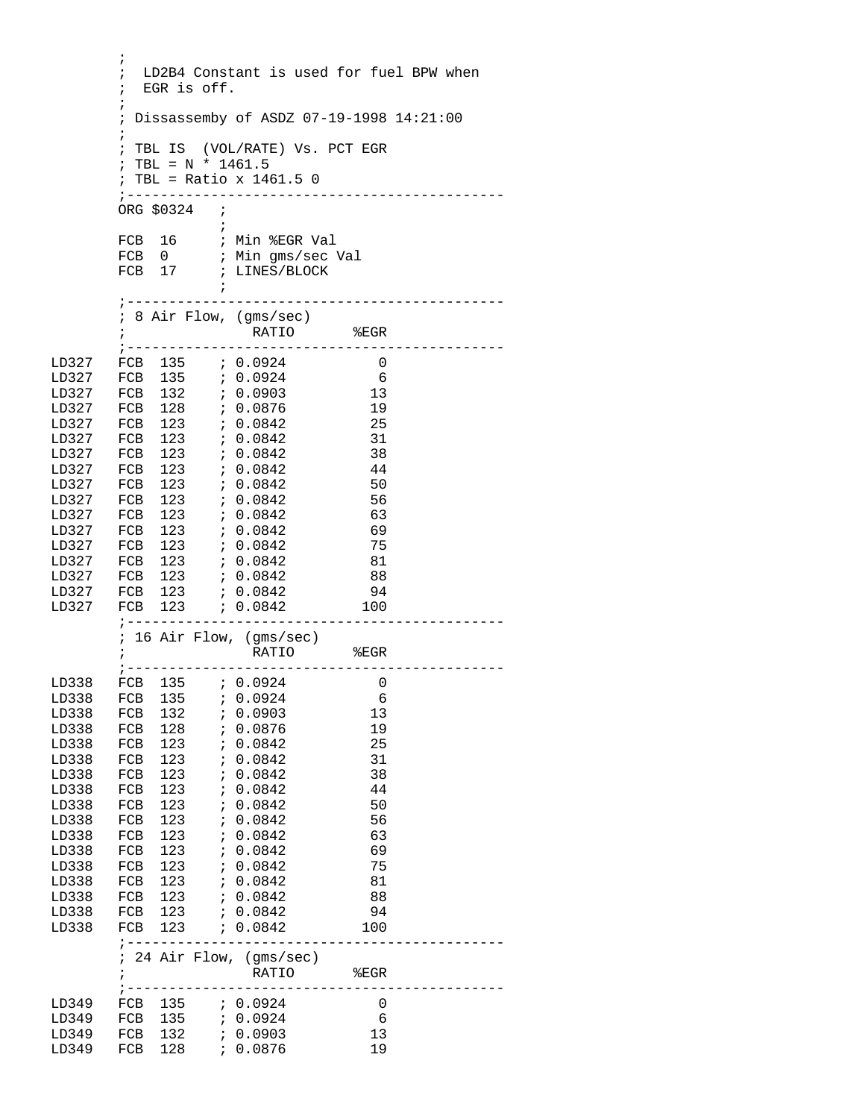```
\mathcal{L}^{\text{max}}_{\text{max}} ; LD2B4 Constant is used for fuel BPW when 
         ; EGR is off. 
\mathcal{L}^{\text{max}} ; Dissassemby of ASDZ 07-19-1998 14:21:00
\mathcal{L}^{\text{max}} ; TBL IS (VOL/RATE) Vs. PCT EGR
        ; TBL = N * 1461.5 ; TBL = Ratio x 1461.5 0 
         ;---------------------------------------------
         ORG $0324 ;
\mathcal{L}^{\text{max}}FCB 16 ; Min %EGR Val
FCB 0 ; Min gms/sec Val
FCB 17 ; LINES/BLOCK
\mathcal{L}^{\text{max}} ;---------------------------------------------
         ; 8 Air Flow, (gms/sec)
               RATIO %EGR
         ;---------------------------------------------
LD327 FCB 135 ; 0.0924 0<br>1.D327 FCB 135 ; 0.0924 6
LD327 FCB 135 ; 0.0924 6<br>
LD327 FCB 132 ; 0.0903 13<br>
LD327 FCB 128 ; 0.0876 19
LD327 FCB 132 ; 0.0903
LD327 FCB 128 ; 0.0876 19
LD327 FCB 123 ; 0.0842 25
LD327 FCB 123 ; 0.0842 31
LD327 FCB 123 ; 0.0842 38
LD327 FCB 123 ; 0.0842 44
LD327 FCB 123 ; 0.0842 50
LD327 FCB 123 ; 0.0842 56
LD327 FCB 123 ; 0.0842 63<br>LD327 FCB 123 ; 0.0842 69
LD327 FCB 123 ; 0.0842 69
LD327 FCB 123 ; 0.0842 75
LD327 FCB 123 ; 0.0842 81<br>LD327 FCB 123 ; 0.0842 88
LD327 FCB 123 ; 0.0842
LD327 FCB 123 ; 0.0842 94<br>
LD327 FCB 123 ; 0.0842 100
                   \begin{array}{cccc} 7 & 0.0842 & 100 \end{array} ;---------------------------------------------
         ; 16 Air Flow, (gms/sec)
                    ; RATIO %EGR
         ;---------------------------------------------
LD338 FCB 135 ; 0.0924 0<br>
LD338 FCB 135 ; 0.0924 6
LD338 FCB 135 ; 0.0924<br>LD338 FCB 132 ; 0.0903
LD338 FCB 132 ; 0.0903 13<br>
LD338 FCB 128 ; 0.0876 19
LD338 FCB 128 ; 0.0876
LD338 FCB 123 ; 0.0842 25<br>
LD338 FCB 123 ; 0.0842 31
LD338 FCB 123 ; 0.0842 31<br>LD338 FCB 123 ; 0.0842 38
LD338 FCB 123 ; 0.0842<br>LD338 FCB 123 ; 0.0842
LD338 FCB 123 ; 0.0842 44
LD338 FCB 123 ; 0.0842 50
LD338 FCB 123 ; 0.0842 56
LD338 FCB 123 ; 0.0842 63
LD338 FCB 123 ; 0.0842 69
LD338 FCB 123 ; 0.0842 75
LD338 FCB 123 ; 0.0842 81
LD338 FCB 123 ; 0.0842 88
LD338 FCB 123 ; 0.0842 94<br>
LD338 FCB 123 ; 0.0842 100
       FCB 123 ; 0.0842 100
         ;---------------------------------------------
         ; 24 Air Flow, (gms/sec)
                RATIO %EGR
       ;-----------------------------------
LD349 FCB 135 ; 0.0924 0
LD349 FCB 135 ; 0.0924 6<br>
LD349 FCB 132 ; 0.0903 13
LD349 FCB 132 ; 0.0903 13<br>10349 FCB 128 ; 0.0876 19
LD349 FCB 128 ; 0.0876
```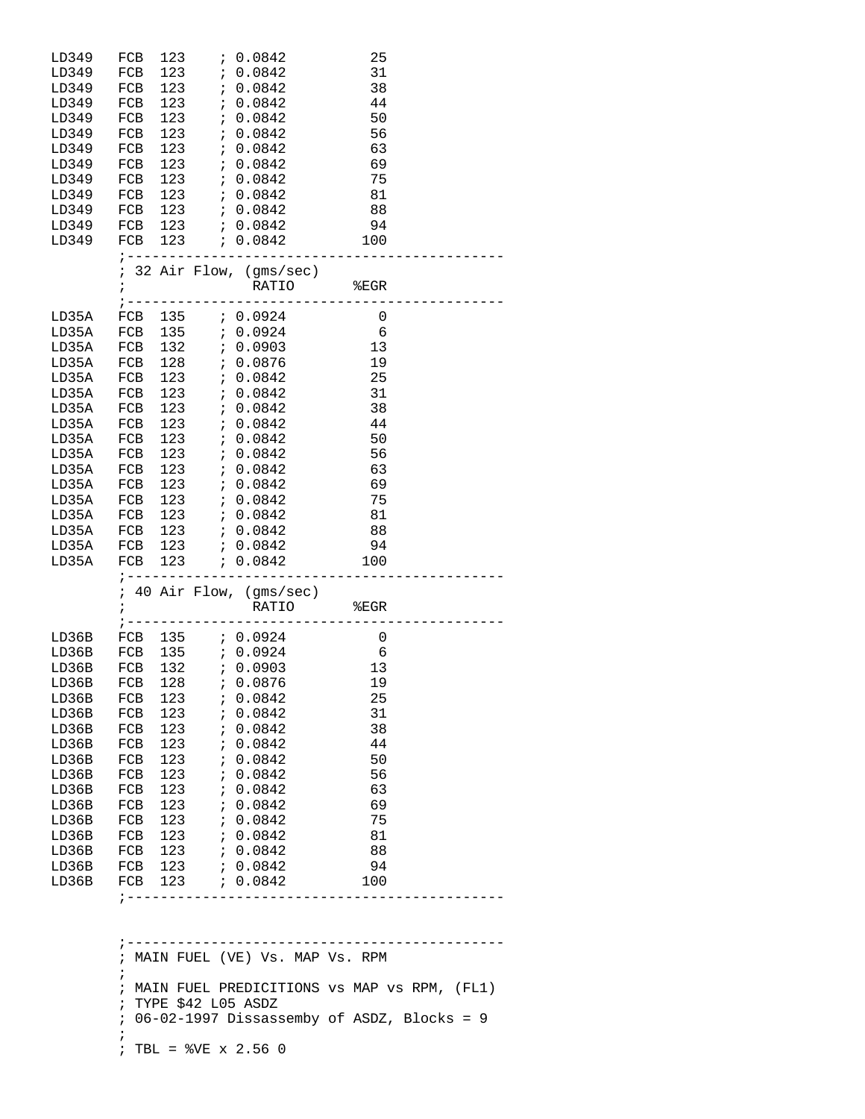| LD349 | FCB                            | 123        |                  | 70.0842                  | 25             |  |
|-------|--------------------------------|------------|------------------|--------------------------|----------------|--|
| LD349 | FCB                            | 123        |                  | : 0.0842                 | 31             |  |
| LD349 | FCB                            | 123        |                  | 7.0.0842                 | 38             |  |
| LD349 | FCB                            | 123        |                  | : 0.0842                 | 44             |  |
| LD349 | FCB                            | 123        |                  | : 0.0842                 | 50             |  |
| LD349 | FCB                            | 123        |                  | : 0.0842                 | 56             |  |
| LD349 | FCB                            | 123        |                  | 7.0.0842                 | 63             |  |
| LD349 | FCB                            |            | $123$ ; 0.0842   |                          | 69             |  |
| LD349 | FCB                            | 123        |                  | 7.0.0842                 | 75             |  |
| LD349 | FCB                            | 123        |                  | ; 0.0842                 | 81             |  |
| LD349 | FCB                            | 123        |                  | 7.0.0842                 | 88             |  |
| LD349 |                                |            | FCB 123 ; 0.0842 |                          | 94             |  |
| LD349 |                                |            |                  | FCB 123 ; 0.0842         | 100            |  |
|       |                                |            | ; -------------  | __________               |                |  |
|       |                                |            |                  | ; 32 Air Flow, (gms/sec) |                |  |
|       | $\mathbf{i}$                   |            |                  |                          |                |  |
|       |                                |            |                  | RATIO                    | EGR            |  |
| LD35A | FCB                            | 135        |                  | ; 0.0924                 | 0              |  |
| LD35A | FCB                            | 135        |                  | 0.0924                   | 6              |  |
| LD35A | FCB                            | 132        |                  | 7.0.0903                 | 13             |  |
| LD35A | FCB                            | 128        |                  | ; 0.0876                 | 19             |  |
| LD35A | FCB                            |            | $123$ ; 0.0842   |                          | 25             |  |
| LD35A | FCB                            |            | $123$ ; 0.0842   |                          | 31             |  |
|       |                                |            |                  |                          |                |  |
| LD35A | FCB                            | 123        |                  | : 0.0842                 | 38             |  |
| LD35A | FCB                            | 123<br>123 |                  | 0.0842                   | 44             |  |
| LD35A | FCB                            |            |                  | 7.0.0842                 | 50             |  |
| LD35A | FCB                            |            | $123$ ; 0.0842   |                          | 56             |  |
| LD35A | FCB                            |            |                  |                          | 63             |  |
| LD35A | FCB                            | 123        |                  | : 0.0842                 | 69             |  |
| LD35A | FCB                            | 123        |                  | ; 0.0842                 | 75             |  |
| LD35A | FCB                            | 123        |                  | ; 0.0842                 | 81             |  |
| LD35A | FCB 123                        |            | 7.0.0842         |                          | 88             |  |
| LD35A |                                |            |                  | FCB 123 ; 0.0842         | 94             |  |
| LD35A | FCB                            | 123        |                  | 0.0842                   | 100            |  |
|       |                                |            |                  | ; ---------------------  |                |  |
|       |                                |            |                  | ; 40 Air Flow, (gms/sec) |                |  |
|       | ï                              |            |                  | <b>RATIO</b>             | EGR            |  |
|       | ; ----                         |            |                  |                          |                |  |
| LD36B | FCB 135                        |            |                  | 0.0924                   | $\overline{0}$ |  |
| LD36B | FCB 135                        |            |                  | 7.0.0924                 | 6              |  |
| LD36B | FCB                            | 132        |                  | 7.0.0903                 | 13             |  |
| LD36B | FCB 128                        |            |                  | ; 0.0876                 | 19             |  |
| LD36B | FCB                            | 123        | $\ddot{i}$       | 0.0842                   | 25             |  |
| LD36B | FCB                            | 123        | $\ddot{i}$       | 0.0842                   | 31             |  |
| LD36B | FCB                            | 123        | $\ddot{i}$       | 0.0842                   | 38             |  |
| LD36B | FCB                            | 123        | $\ddot{i}$       | 0.0842                   | 44             |  |
| LD36B | FCB                            | 123        | $\ddot{i}$       | 0.0842                   | 50             |  |
| LD36B | FCB                            | 123        | $\ddot{i}$       | 0.0842                   | 56             |  |
| LD36B | FCB                            | 123        | i.               | 0.0842                   | 63             |  |
| LD36B | FCB                            | 123        | $\ddot{i}$       | 0.0842                   | 69             |  |
| LD36B | FCB                            | 123        | $\ddot{i}$       | 0.0842                   | 75             |  |
| LD36B | FCB                            | 123        | $\ddot{i}$       | 0.0842                   | 81             |  |
| LD36B | FCB                            | 123        | $\ddot{i}$       | 0.0842                   | 88             |  |
| LD36B | FCB                            | 123        |                  | : 0.0842                 | 94             |  |
|       |                                |            |                  |                          |                |  |
|       |                                |            |                  |                          |                |  |
| LD36B | FCB<br>$\frac{1}{2}$ - - - - - | 123        |                  | 70.0842                  | 100            |  |

 ;--------------------------------------------- ; MAIN FUEL (VE) Vs. MAP Vs. RPM ; ; MAIN FUEL PREDICITIONS vs MAP vs RPM, (FL1) ; TYPE \$42 L05 ASDZ ; 06-02-1997 Dissassemby of ASDZ, Blocks = 9  $\mathcal{L}^{\text{max}}_{\text{max}}$ ; TBL = %VE x 2.56 0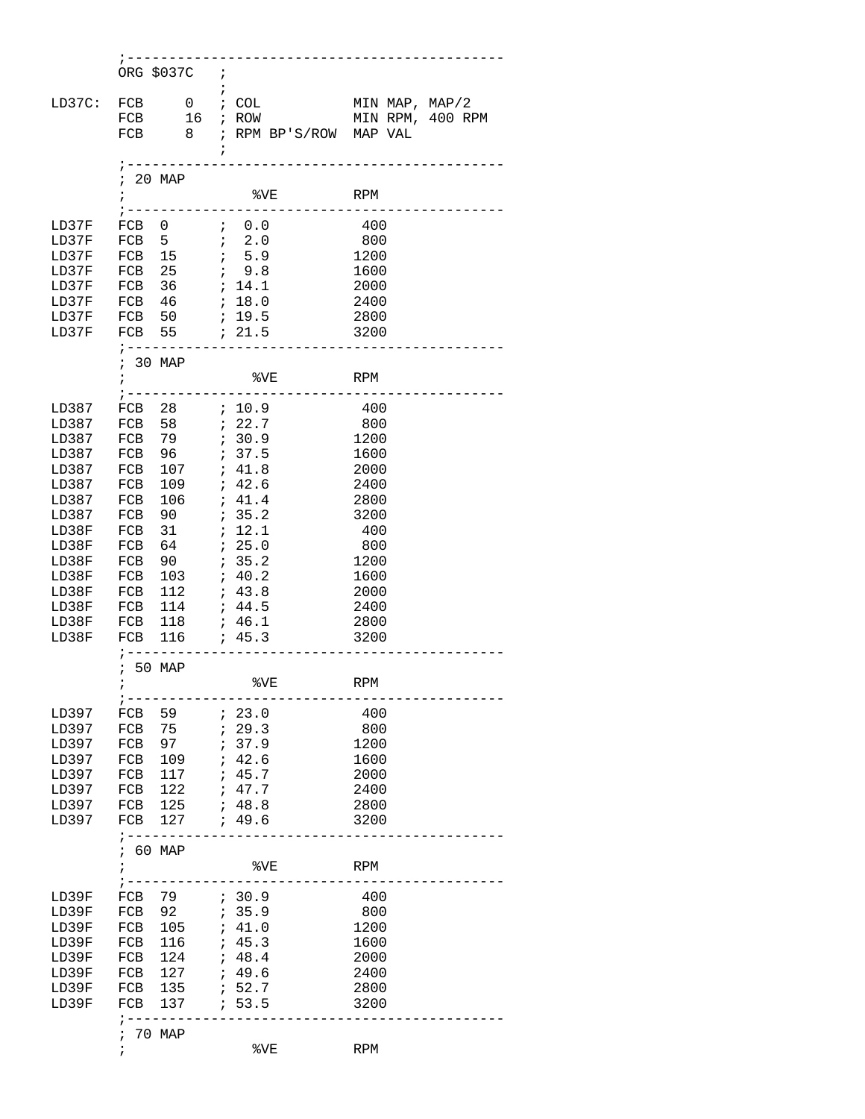|        | ORG \$037C ;              |                        |                  |
|--------|---------------------------|------------------------|------------------|
|        |                           | $\ddot{i}$             |                  |
|        |                           |                        |                  |
| LD37C: | FCB<br>0                  | ; COL                  | MIN MAP, MAP/2   |
|        | 16<br>FCB                 | ; ROW                  | MIN RPM, 400 RPM |
|        | 8 <sup>8</sup><br>FCB     | ; RPM BP'S/ROW MAP VAL |                  |
|        |                           | $\ddot{ }$             |                  |
|        |                           |                        |                  |
|        | 20 MAP<br>$\ddot{ }$      |                        |                  |
|        |                           |                        |                  |
|        | $\ddot{i}$                | $8\times$<br>RPM       |                  |
|        | ; ----                    | $- - - - -$            |                  |
| LD37F  | FCB 0                     | $\ddot{i}$ 0.0         | 400              |
| LD37F  | FCB 5                     | 72.0                   | 800              |
| LD37F  | 15<br>FCB                 | 7, 5.9                 | 1200             |
| LD37F  | FCB 25                    | ; 9.8                  | 1600             |
| LD37F  | FCB 36                    | ; 14.1                 | 2000             |
| LD37F  | $FCB$ 46                  | ; 18.0                 | 2400             |
|        |                           |                        |                  |
| LD37F  | FCB 50                    | : 19.5                 | 2800             |
| LD37F  |                           |                        | 3200             |
|        | $7 - - - - - - - - -$     |                        |                  |
|        | ; 30 MAP                  |                        |                  |
|        | $\ddot{ }$                | 8VE<br>RPM             |                  |
|        | $\frac{1}{2} - - - -$     |                        |                  |
|        |                           |                        |                  |
| LD387  |                           |                        | 400              |
| LD387  | FCB 58                    | 7.22.7                 | 800              |
| LD387  | FCB 79                    | 7.30.9                 | 1200             |
| LD387  | FCB 96                    | ; 37.5                 | 1600             |
| LD387  | FCB<br>107                | ; 41.8                 | 2000             |
| LD387  | 109<br>FCB                | ; 42.6                 | 2400             |
|        |                           |                        |                  |
| LD387  | 106<br>FCB                | ; 41.4                 | 2800             |
| LD387  | 90<br>FCB                 | : 35.2                 | 3200             |
| LD38F  | 31<br>FCB                 | ; 12.1                 | 400              |
| LD38F  | 64<br>FCB                 | 725.0                  | - 800            |
| LD38F  | 90<br>FCB                 | : 35.2                 | 1200             |
| LD38F  | 103<br>FCB                | 7.40.2                 | 1600             |
| LD38F  | 112<br>FCB                | : 43.8                 | 2000             |
|        |                           |                        |                  |
| LD38F  | 114<br>FCB                | : 44.5                 | 2400             |
| LD38F  | FCB 118 ; 46.1            |                        | 2800             |
| LD38F  | FCB 116 ; 45.3            |                        | 3200             |
|        | $\frac{1}{2}$ - - - - - - |                        |                  |
|        | ; 50 MAP                  |                        |                  |
|        | $\mathbf{r}$              | %VE                    | <b>RPM</b>       |
|        |                           |                        |                  |
|        | ; ----                    |                        |                  |
| LD397  | 59<br>FCB                 | : 23.0                 | 400              |
| LD397  | 75<br>FCB                 | : 29.3                 | 800              |
| LD397  | 97<br>FCB                 | ; 37.9                 | 1200             |
| LD397  | 109<br>FCB                | ; 42.6                 | 1600             |
| LD397  | 117<br>FCB                | ; 45.7                 | 2000             |
| LD397  | 122<br>FCB                | ; 47.7                 | 2400             |
| LD397  | 125<br>FCB                | ; 48.8                 | 2800             |
|        |                           |                        |                  |
| LD397  | 127<br>FCB                | ; 49.6                 | 3200             |
|        | $1 - - - - - - - -$       |                        |                  |
|        | 60 MAP<br>i.              |                        |                  |
|        | ï                         | %VE                    | RPM              |
|        |                           |                        |                  |
| LD39F  | 79<br>FCB                 | 7.30.9                 | 400              |
|        |                           |                        |                  |
| LD39F  | 92<br>FCB                 | 135.9                  | 800              |
| LD39F  | 105<br>FCB                | ; 41.0                 | 1200             |
| LD39F  | 116<br>FCB                | ; 45.3                 | 1600             |
| LD39F  | 124<br>FCB                | ; 48.4                 | 2000             |
| LD39F  | 127<br>FCB                | ; 49.6                 | 2400             |
| LD39F  | 135<br>FCB                | ; 52.7                 | 2800             |
| LD39F  | FCB<br>137                | 1, 53.5                | 3200             |
|        |                           |                        |                  |
|        | $\frac{1}{2}$ - - - - - - |                        |                  |
|        | 70 MAP<br>i               |                        |                  |
|        | $\ddot{ }$                | %VE                    | RPM              |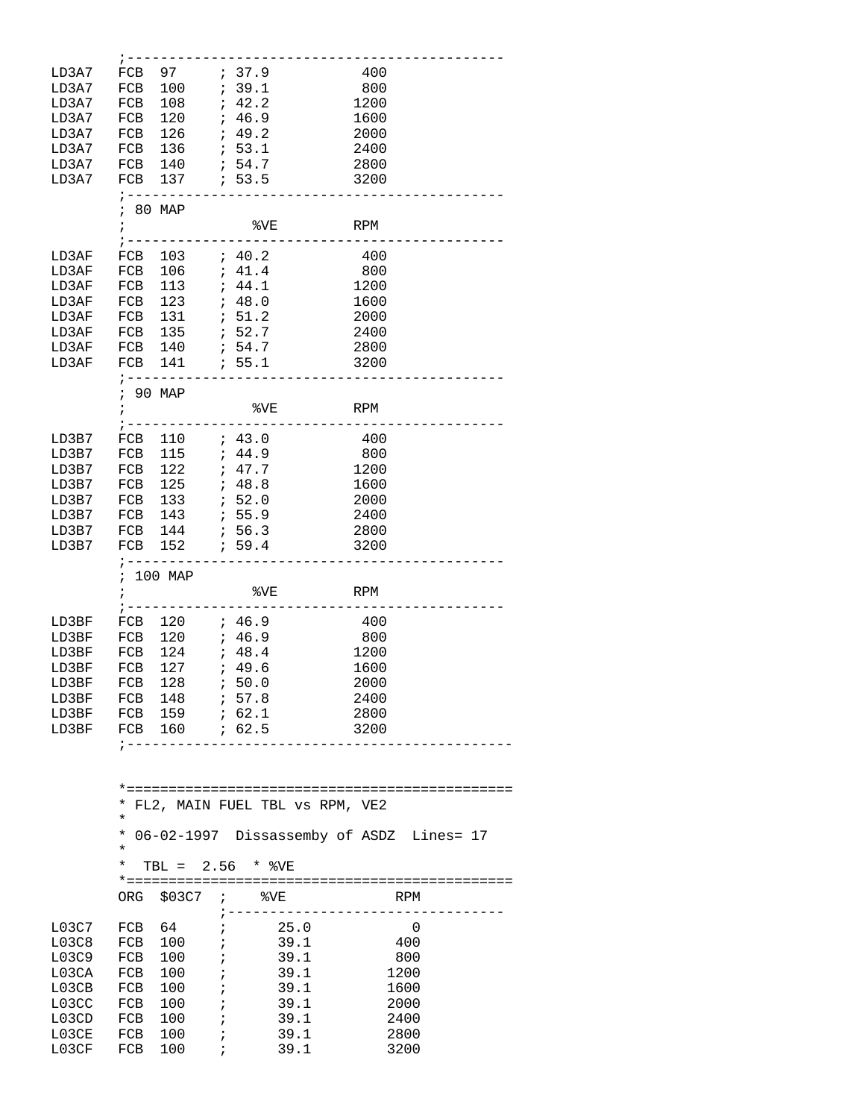| LD3A7 | FCB                       | 97                    |                          | 7.9                                      | 400        |   |
|-------|---------------------------|-----------------------|--------------------------|------------------------------------------|------------|---|
| LD3A7 | FCB                       | 100                   |                          | 7.39.1                                   | 800        |   |
| LD3A7 | FCB                       | 108                   | $\ddot{i}$               | 42.2                                     | 1200       |   |
|       |                           |                       | $\ddot{ }$               | 46.9                                     |            |   |
| LD3A7 | FCB                       | 120                   |                          |                                          | 1600       |   |
| LD3A7 | FCB                       | 126                   |                          | 7.49.2                                   | 2000       |   |
| LD3A7 | FCB                       | 136                   |                          | : 53.1                                   | 2400       |   |
| LD3A7 | FCB                       | 140                   |                          | ; 54.7                                   | 2800       |   |
| LD3A7 |                           | FCB 137 ; 53.5        |                          |                                          | 3200       |   |
|       |                           | $7 - - - - - - -$     |                          |                                          |            |   |
|       |                           | ; 80 MAP              |                          |                                          |            |   |
|       | $\ddot{i}$                |                       |                          | %VE                                      | <b>RPM</b> |   |
|       |                           |                       |                          |                                          |            |   |
| LD3AF | FCB                       | 103                   |                          | 7.40.2                                   | 400        |   |
| LD3AF | FCB                       | 106                   |                          | , 41.4                                   | 800        |   |
|       |                           |                       |                          |                                          |            |   |
| LD3AF | FCB                       | 113                   |                          | ; 44.1                                   | 1200       |   |
| LD3AF | FCB                       | 123                   |                          | ; 48.0                                   | 1600       |   |
| LD3AF | FCB                       | 131                   |                          | : 51.2                                   | 2000       |   |
| LD3AF | FCB                       | 135                   |                          | ; 52.7                                   | 2400       |   |
| LD3AF | FCB                       | 140                   |                          | 7.54.7                                   | 2800       |   |
| LD3AF | FCB                       | 141                   |                          | .55.1                                    | 3200       |   |
|       |                           | ; ---------           |                          |                                          |            |   |
|       |                           | ; 90 MAP              |                          |                                          |            |   |
|       | $\ddot{i}$                |                       |                          | %VE                                      | RPM        |   |
|       |                           |                       |                          |                                          |            |   |
| LD3B7 | FCB                       | 110                   |                          | ; 43.0                                   | - 400      |   |
| LD3B7 | FCB                       | 115                   |                          | ; 44.9                                   | 800        |   |
|       |                           |                       |                          |                                          |            |   |
| LD3B7 | FCB                       | 122                   |                          | 7.47.7                                   | 1200       |   |
| LD3B7 | FCB                       | 125                   |                          | ; 48.8                                   | 1600       |   |
| LD3B7 | FCB                       | 133                   |                          | 7.52.0                                   | 2000       |   |
| LD3B7 | FCB                       | 143                   |                          | : 55.9                                   | 2400       |   |
| LD3B7 | FCB                       | 144                   |                          | : 56.3                                   | 2800       |   |
| LD3B7 | FCB                       | 152                   |                          | ; 59.4                                   | 3200       |   |
|       | ; ------                  |                       |                          |                                          |            |   |
|       |                           | ; 100 MAP             |                          |                                          |            |   |
|       | $\ddot{i}$                |                       |                          | %VE                                      | RPM        |   |
|       | $\frac{1}{2}$ - - - - - - |                       |                          |                                          |            |   |
| LD3BF |                           | FCB 120               |                          | ; 46.9                                   | 400        |   |
| LD3BF | FCB                       | 120                   |                          | ; 46.9                                   | 800        |   |
| LD3BF |                           | 124                   |                          | , 48.4                                   | 1200       |   |
|       | FCB                       |                       |                          |                                          |            |   |
| LD3BF | FCB                       | 127                   |                          | , 49.6                                   | 1600       |   |
| LD3BF | FCB                       | 128                   | $\ddot{\phantom{0}}$     | 50.0                                     | 2000       |   |
|       |                           | LD3BF FCB 148 ; 57.8  |                          |                                          | 2400       |   |
|       |                           | LD3BF FCB 159 ; 62.1  |                          |                                          | 2800       |   |
|       |                           | LD3BF FCB 160 ; 62.5  |                          |                                          | 3200       |   |
|       |                           | ; ------------------- |                          |                                          |            |   |
|       |                           |                       |                          |                                          |            |   |
|       |                           |                       |                          |                                          |            |   |
|       |                           |                       |                          |                                          |            |   |
|       |                           |                       |                          | * FL2, MAIN FUEL TBL VS RPM, VE2         |            |   |
|       | $^{\star}$                |                       |                          |                                          |            |   |
|       | $^{\star}$                |                       |                          | 06-02-1997 Dissassemby of ASDZ Lines= 17 |            |   |
|       | ¥                         |                       |                          |                                          |            |   |
|       | *                         |                       |                          | TBL = 2.56 * %VE                         |            |   |
|       |                           |                       |                          |                                          |            |   |
|       |                           |                       |                          | ORG \$03C7 ; %VE                         | RPM        |   |
|       |                           |                       |                          | ;---------------------------------       |            |   |
| L03C7 |                           | FCB 64                |                          | $\dot{i}$ 25.0                           |            | 0 |
|       |                           |                       |                          |                                          |            |   |
| L03C8 |                           | FCB 100 ;             |                          |                                          | - 400      |   |
| L03C9 |                           | $FCB$ 100             | $\overline{\phantom{a}}$ | 39.1<br>39.1<br>39.1<br>$\mathcal{L}$    | 800        |   |

L03CB FCB 100 ; 39.1 1600

L03CC FCB 100 ; 39.1 2000 L03CD FCB 100 ; 39.1 2400 L03CE FCB 100 ; 39.1 2800 L03CF FCB 100 ; 39.1 3200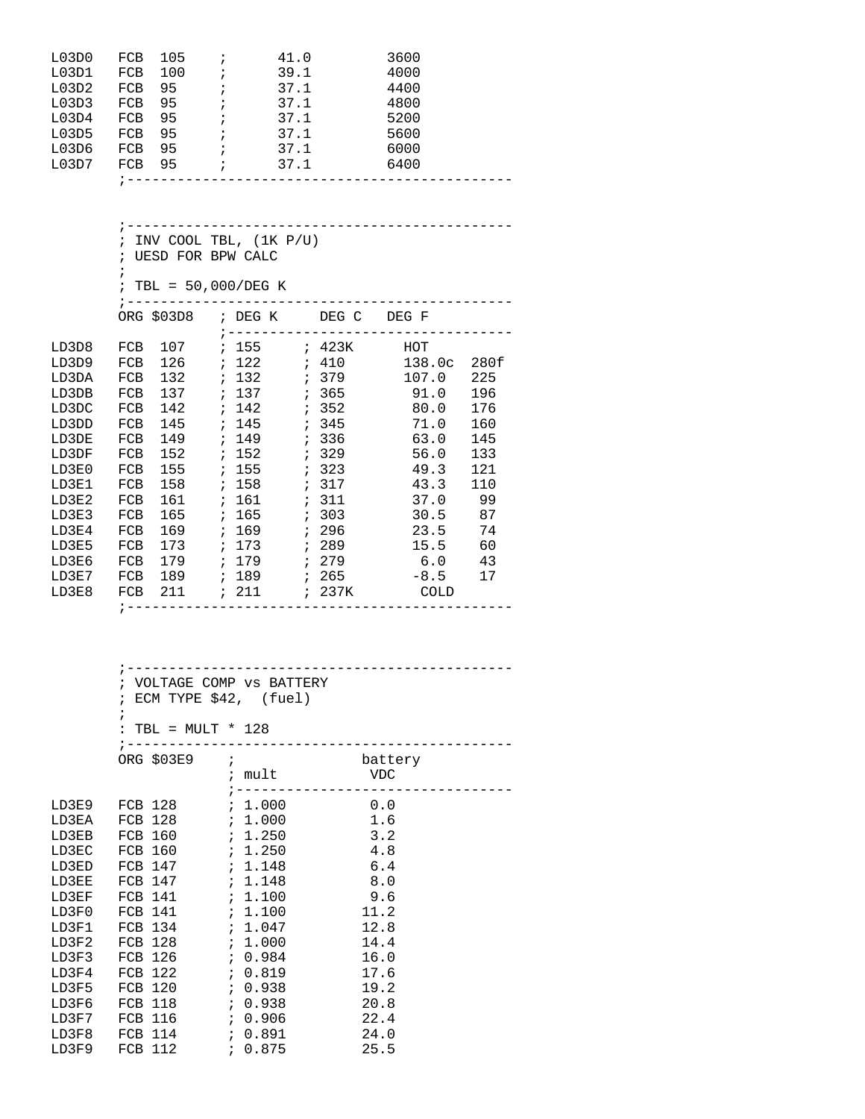| L03D0 | <b>FCB</b> | 105 |            | 41.0 | 3600 |  |
|-------|------------|-----|------------|------|------|--|
| L03D1 | <b>FCB</b> | 100 |            | 39.1 | 4000 |  |
| L03D2 | <b>FCB</b> | 95  |            | 37.1 | 4400 |  |
| L03D3 | FCB        | 95  |            | 37.1 | 4800 |  |
| L03D4 | FCB        | 95  |            | 37.1 | 5200 |  |
| L03D5 | <b>FCB</b> | 95  | $\ddot{i}$ | 37.1 | 5600 |  |
| L03D6 | <b>FCB</b> | 95  | ÷          | 37.1 | 6000 |  |
| L03D7 | <b>FCB</b> | 95  |            | 37.1 | 6400 |  |
|       |            |     |            |      |      |  |

|       |            | ; INV COOL TBL, $(1K P/U)$ |  |                        |  |                                       |                                 |     |  |  |
|-------|------------|----------------------------|--|------------------------|--|---------------------------------------|---------------------------------|-----|--|--|
|       |            | ; UESD FOR BPW CALC        |  |                        |  |                                       |                                 |     |  |  |
|       | $\ddot{i}$ |                            |  |                        |  |                                       |                                 |     |  |  |
|       |            |                            |  | ; TBL = $50,000/DEG K$ |  |                                       |                                 |     |  |  |
|       |            | $:$ -----------            |  |                        |  |                                       |                                 |     |  |  |
|       |            |                            |  |                        |  |                                       | ORG \$03D8 ; DEG K DEG C DEG F  |     |  |  |
|       |            |                            |  |                        |  |                                       |                                 |     |  |  |
| LD3D8 |            |                            |  |                        |  |                                       | FCB 107 ; 155 ; 423K HOT        |     |  |  |
| LD3D9 |            |                            |  |                        |  |                                       | FCB 126 ; 122 ; 410 138.0c 280f |     |  |  |
| LD3DA | FCB        |                            |  |                        |  |                                       | 107.0                           | 225 |  |  |
| LD3DB | FCB        |                            |  |                        |  |                                       |                                 | 196 |  |  |
| LD3DC | FCB        |                            |  |                        |  |                                       | 142 $i$ 142 $i$ 352   80.0      | 176 |  |  |
| LD3DD | FCB        |                            |  |                        |  |                                       | 71.0                            | 160 |  |  |
| LD3DE | FCB        |                            |  |                        |  |                                       | 63.0                            | 145 |  |  |
| LD3DF | FCB        |                            |  | $152$ ; $152$          |  | ; 329                                 | 56.0                            | 133 |  |  |
| LD3E0 | FCB        |                            |  | 155 ; 155              |  | 323                                   | 49.3                            | 121 |  |  |
| LD3E1 | FCB        |                            |  | 158 ; 158              |  | : 317                                 | 43.3                            | 110 |  |  |
| LD3E2 | FCB        |                            |  |                        |  |                                       | 37.0 99                         |     |  |  |
| LD3E3 | FCB        |                            |  | 165 ; 165              |  | : 303                                 | 30.5 87                         |     |  |  |
| LD3E4 | FCB        |                            |  | 169 ; 169 ; 296        |  |                                       | 23.5 74                         |     |  |  |
| LD3E5 | FCB        |                            |  | 173 ; 173              |  | 7289                                  | 15.5                            | 60  |  |  |
| LD3E6 | FCB        |                            |  |                        |  |                                       | 179 : 179 : 279 6.0 43          |     |  |  |
| LD3E7 |            |                            |  |                        |  |                                       |                                 | 17  |  |  |
| LD3E8 |            |                            |  |                        |  |                                       | FCB 211 ; 211 ; 237K COLD       |     |  |  |
|       |            |                            |  |                        |  | ;------------------------------------ |                                 |     |  |  |

|       |                            | ; VOLTAGE COMP VS BATTERY            |                                    |  |
|-------|----------------------------|--------------------------------------|------------------------------------|--|
|       | ; ECM TYPE \$42, (fuel)    |                                      |                                    |  |
|       | $\ddot{i}$                 |                                      |                                    |  |
|       | : TBL = $MULT * 128$       |                                      |                                    |  |
|       |                            | ;----------------------------------- |                                    |  |
|       | ORG \$03E9 ; battery       |                                      |                                    |  |
|       |                            |                                      |                                    |  |
|       |                            |                                      | ; -------------------------------- |  |
|       |                            |                                      |                                    |  |
|       |                            |                                      |                                    |  |
|       | LD3EB FCB 160 ; 1.250      |                                      | 3.2                                |  |
|       |                            |                                      | 4.8                                |  |
|       | LD3ED FCB 147 ; 1.148      |                                      | 6.4                                |  |
| LD3EE | FCB 147 <i>i</i> 1.148     |                                      | 8.0                                |  |
|       | LD3EF FCB $141$ ; 1.100    |                                      | 9.6                                |  |
|       |                            |                                      | 11.2                               |  |
|       |                            |                                      | 12.8                               |  |
|       | LD3F2 FCB 128 $\;$ ; 1.000 |                                      | 14.4                               |  |
| LD3F3 |                            |                                      | 16.0                               |  |
| LD3F4 |                            |                                      | 17.6                               |  |
| LD3F5 |                            |                                      | 19.2                               |  |
| LD3F6 |                            |                                      | 20.8                               |  |
|       |                            |                                      | 22.4                               |  |
| LD3F8 |                            |                                      | 24.0                               |  |
|       |                            |                                      | 25.5                               |  |
|       |                            |                                      |                                    |  |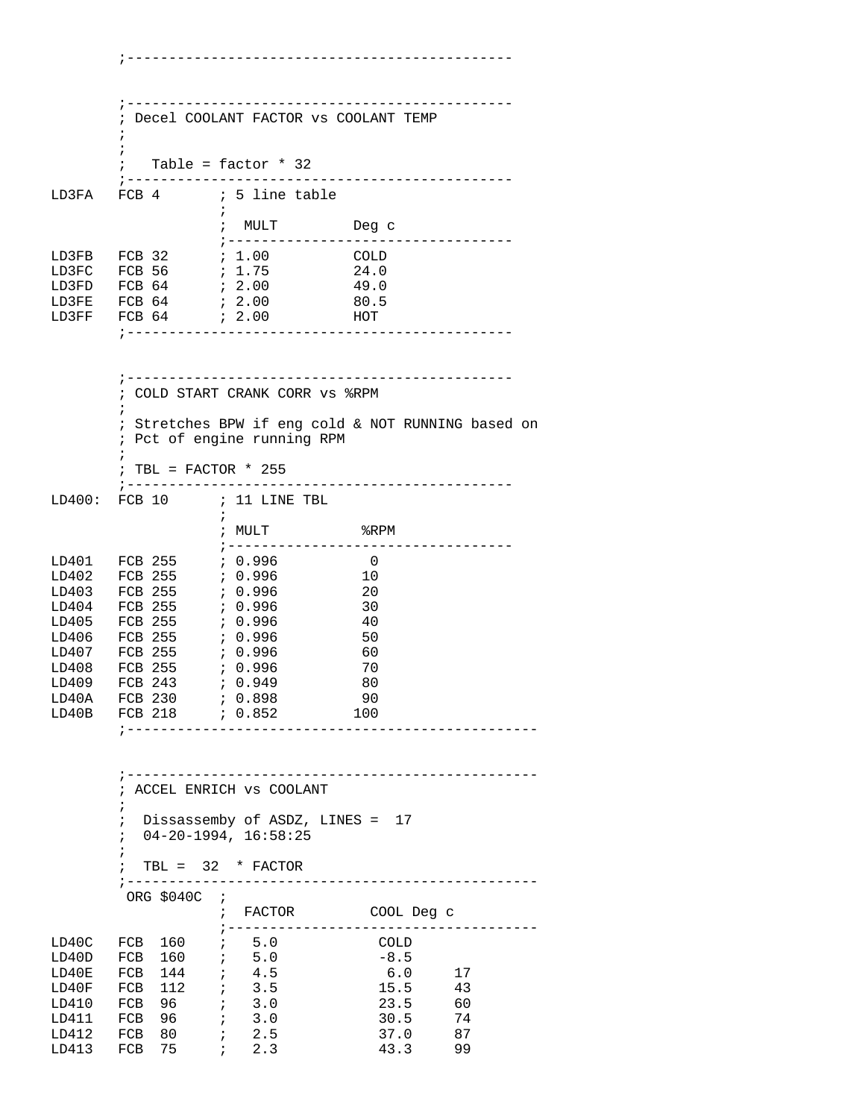;---------------------------------------------- ;---------------------------------------------- ; Decel COOLANT FACTOR vs COOLANT TEMP  $\mathcal{L}^{\text{max}}$  $\mathcal{L}^{\text{max}}$  ; Table = factor \* 32 ;---------------------------------------------- FCB 4 ; 5 line table  $\mathcal{L}^{\text{max}}$  ; MULT Deg c ;---------------------------------- LD3FB FCB 32 ; 1.00 COLD LD3FC FCB 56 ; 1.75 24.0 LD3FD FCB 64 ; 2.00 <br>
LD3FE FCB 64 ; 2.00 80.5 LD3FE FCB 64 ; 2.00 80.5 LD3FF FCB 64 ; 2.00 HOT ;---------------------------------------------- ;---------------------------------------------- ; COLD START CRANK CORR vs %RPM  $\mathcal{L}^{\text{max}}$  ; Stretches BPW if eng cold & NOT RUNNING based on ; Pct of engine running RPM  $\mathcal{L}^{\text{max}}$  ; TBL = FACTOR \* 255 ;---------------------------------------------- ; 11 LINE TBL  $\mathcal{L}^{\text{max}}$  ; MULT %RPM ;---------------------------------- LD401 FCB 255 LD402 FCB 255 ; 0.996 10 LD403 FCB 255 ; 0.996 20 LD404 FCB 255 *i* 0.996 30 LD405 FCB 255 ; 0.996 40 LD406 FCB 255 ; 0.996 50 LD407 FCB 255 ; 0.996 60 LD408 FCB 255 ; 0.996 70 LD409 FCB 243 ; 0.949 80 LD40A FCB 230 *;* 0.898<br>LD40B FCB 218 *;* 0.852 LD40B FCB 218 ; 0.852 100 ;------------------------------------------------- ;------------------------------------------------- ; ACCEL ENRICH vs COOLANT  $\mathcal{L}^{\text{max}}$  ; Dissassemby of ASDZ, LINES = 17 ; 04-20-1994, 16:58:25  $\mathcal{L}^{\text{max}}$ ; TBL =  $32 *$  FACTOR ;------------------------------------------------- ORG \$040C ; ; FACTOR COOL Deg c ;------------------------------------- LD40C FCB 160 ; 5.0 COLD LD40D FCB 160 ; 5.0 -8.5 LD40E FCB 144 ; 4.5 6.0 17<br>
LD40F FCB 112 ; 3.5 15.5 43 LD40F FCB 112 *i* 3.5<br>LD410 FCB 96 *i* 3.0 1D410 FCB 96 ; 3.0 <br>1D411 FCB 96 ; 3.0 30.5 74 LD411 FCB 96 ; 3.0 30.5 74<br>LD412 FCB 80 ; 2.5 37.0 87 LD412 FCB 80 ; 2.5 37.0<br>LD413 FCB 75 ; 2.3 43.3 LD413 FCB 75 ; 2.3 43.3 99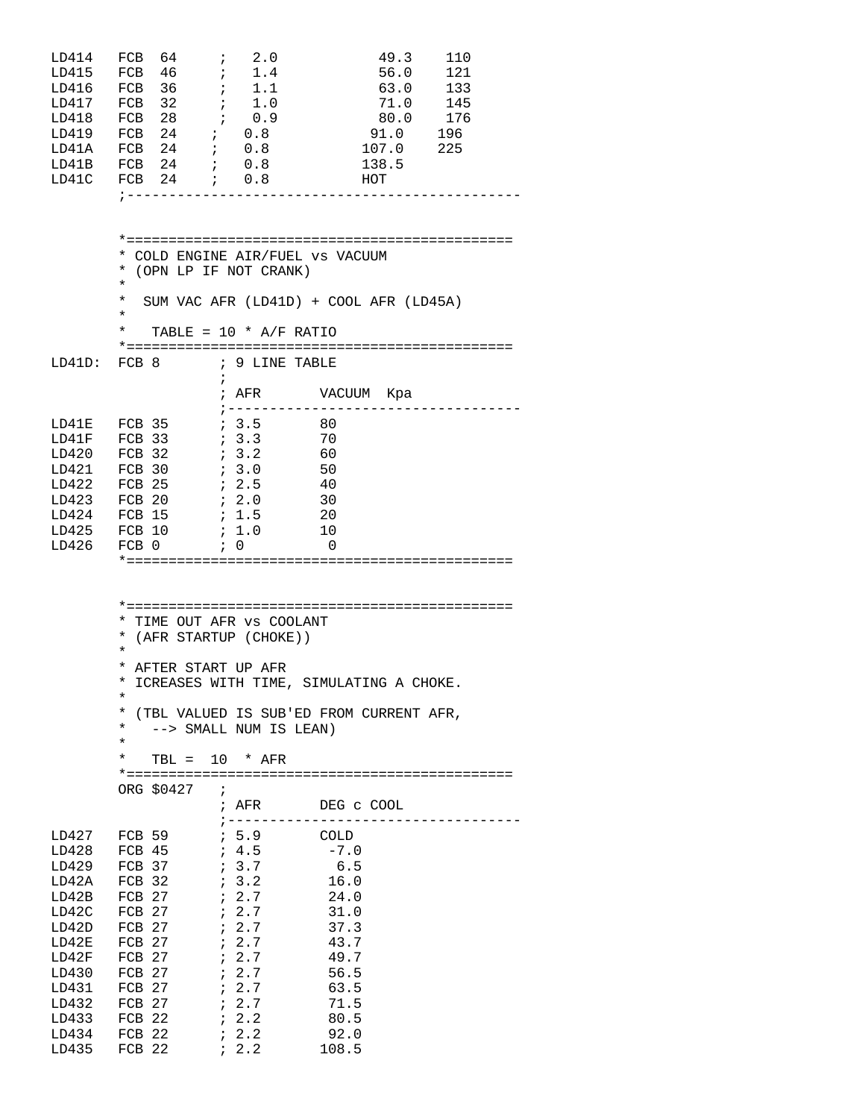| LD414<br>LD415<br>LD417<br>LD418                                                                                                    | $\overrightarrow{i}$<br>FCB<br>64<br>FCB 46<br>LD416 FCB 36<br>FCB 32<br>$\mathcal{L}^{\mathcal{L}}$<br>FCB 28<br>LD419 FCB 24 ; 0.8<br>LD41A FCB 24 ; 0.8<br>LD41B FCB 24 ; 0.8<br>LD41C FCB 24 ; 0.8<br>; ----------------- | 2.0<br>$\ddot{i}$ 1.4<br>$\ddot{i}$ 1.1<br>1.0<br>$\mathcal{L}$<br>0.9                                                                                           | 49.3<br>56.0<br>63.0<br>71.0<br>80.0<br>91.0<br>107.0<br>138.5<br>HOT                                          | 110<br>121<br>133<br>145<br>176<br>196<br>225 |
|-------------------------------------------------------------------------------------------------------------------------------------|-------------------------------------------------------------------------------------------------------------------------------------------------------------------------------------------------------------------------------|------------------------------------------------------------------------------------------------------------------------------------------------------------------|----------------------------------------------------------------------------------------------------------------|-----------------------------------------------|
|                                                                                                                                     | * COLD ENGINE AIR/FUEL VS VACUUM<br>* (OPN LP IF NOT CRANK)<br>$^{\star}$<br>$\star$<br>$\star$<br>$^\star$                                                                                                                   | TABLE = $10 * A/F$ RATIO                                                                                                                                         | SUM VAC AFR (LD41D) + COOL AFR (LD45A)                                                                         |                                               |
| LD41D:                                                                                                                              | FCB 8                                                                                                                                                                                                                         | ; 9 LINE TABLE<br>$\ddot{i}$                                                                                                                                     |                                                                                                                |                                               |
| LD41E<br>LD41F<br>LD420<br>LD421<br>LD422<br>LD423<br>LD424<br>LD425<br>LD426                                                       | FCB 35<br>FCB 33<br>$FCB$ 32<br>FCB 30<br>FCB 25<br>FCB 20<br><b>FCB 15</b><br>FCB 10 ; 1.0<br>FCB 0                                                                                                                          | 7.3.5<br>$7 \t3.3$<br>3.2<br>7.3.0<br>7.2.5<br>72.0<br>$\ddot{i}$ 1.5<br>$\mathfrak{c}$ 0                                                                        | ; ---------------------<br>- 80<br>70<br>60<br>50<br>40<br>30<br>20<br>10<br>0                                 | . <u>_ _ _ _ _ _ _ _ _ _ _</u> _ .            |
|                                                                                                                                     | * TIME OUT AFR VS COOLANT<br>* (AFR STARTUP (CHOKE))<br>$\star$<br>* AFTER START UP AFR<br>*<br>$\star$<br>$\star$<br>¥<br>$\star$<br>TBL = $10 * AFR$<br>ORG \$0427<br>$\mathbf{r}$                                          | --> SMALL NUM IS LEAN)<br>; AFR                                                                                                                                  | * ICREASES WITH TIME, SIMULATING A CHOKE.<br>(TBL VALUED IS SUB'ED FROM CURRENT AFR,<br>DEG C COOL             |                                               |
| LD427<br>LD428<br>LD429<br>LD42A<br>LD42B<br>LD42C<br>LD42D<br>LD42E<br>LD42F<br>LD430<br>LD431<br>LD432<br>LD433<br>LD434<br>LD435 | FCB 59<br>FCB 37<br>FCB 32<br>FCB 27<br>FCB 27<br>FCB 27<br>FCB 27<br>FCB 27<br>FCB 27<br>FCB 27<br>FCB 27<br>FCB 22<br>FCB 22<br>FCB 22                                                                                      | ; -----------------<br>$\frac{1}{2}$ 5.9 COLD<br>7.3.7<br>7.3.2<br>7.2.7<br>7.2.7<br>7.2.7<br>7.2.7<br>7.2.7<br>7.2.7<br>7.2.7<br>7.2.7<br>72.2<br>72.2<br>7.2.2 | $-7.0$<br>6.5<br>16.0<br>24.0<br>31.0<br>37.3<br>43.7<br>49.7<br>56.5<br>63.5<br>71.5<br>80.5<br>92.0<br>108.5 |                                               |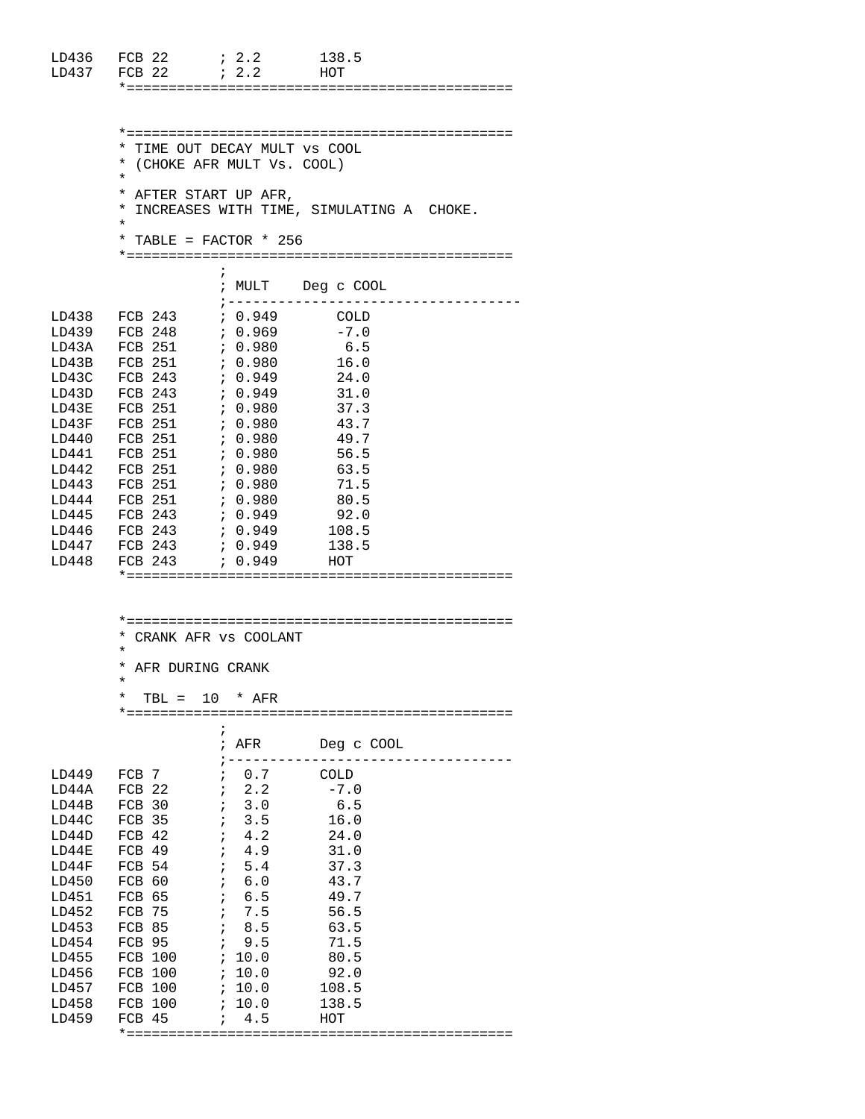| LD436<br>LD437 | FCB <sub>22</sub><br>$FCB$ 22 | $\ddot{i}$ 2.2<br>$\mathbf{1}$ $\mathbf{2}$ $\mathbf{3}$                              | 138.5<br><b>HOT</b>                        |  |
|----------------|-------------------------------|---------------------------------------------------------------------------------------|--------------------------------------------|--|
|                |                               |                                                                                       |                                            |  |
|                | $\star$                       | * TIME OUT DECAY MULT VS COOL<br>* (CHOKE AFR MULT Vs. COOL)<br>* AFTER START UP AFR, |                                            |  |
|                | $\star$                       |                                                                                       | * INCREASES WITH TIME, SIMULATING A CHOKE. |  |
|                |                               | * TABLE = FACTOR * 256                                                                |                                            |  |
|                |                               | $\ddot{i}$<br>; ---------------                                                       | ; MULT Deg c COOL                          |  |
| LD438          | FCB 243                       | ; 0.949                                                                               | <b>COLD</b>                                |  |
| LD439          | FCB 248                       | 7.0.969                                                                               | $-7.0$                                     |  |
| LD43A          | FCB 251                       | ; 0.980                                                                               | 6.5                                        |  |
| LD43B          | FCB 251                       | 7.0.980                                                                               | 16.0                                       |  |
| LD43C          | FCB 243                       | ; 0.949                                                                               | 24.0                                       |  |
| LD43D          | FCB 243 ; 0.949               |                                                                                       | 31.0                                       |  |
| LD43E          | FCB 251                       | , 0.980                                                                               | 37.3                                       |  |
| LD43F          | FCB 251                       | $\ddot{i}$ 0.980                                                                      | 43.7                                       |  |
| LD440          | FCB 251                       | $\ddot{5}$ , 0.980                                                                    | 49.7                                       |  |
| LD441          | FCB 251                       | $\ddot{5}$ , 0.980                                                                    | 56.5                                       |  |
| LD442          | FCB 251                       | $\ddot{5}$ , 0.980                                                                    | 63.5                                       |  |
| LD443          | FCB 251                       | , 0.980                                                                               | 71.5                                       |  |
| LD444          | FCB 251                       | ; 0.980                                                                               | 80.5                                       |  |
| LD445          | FCB 243                       | ; 0.949                                                                               | 92.0                                       |  |
| LD446          | FCB 243                       | ; 0.949                                                                               | 108.5                                      |  |
| LD447          | FCB 243                       | 0.949                                                                                 | 138.5                                      |  |
| LD448          | FCB 243 $: 0.949$             |                                                                                       | HOT                                        |  |
|                |                               |                                                                                       |                                            |  |
|                |                               |                                                                                       |                                            |  |
|                |                               |                                                                                       |                                            |  |
|                |                               |                                                                                       |                                            |  |

|                      | $\star$            |  |            | * CRANK AFR VS COOLANT |                                                                  |  |  |  |
|----------------------|--------------------|--|------------|------------------------|------------------------------------------------------------------|--|--|--|
|                      | * AFR DURING CRANK |  |            |                        |                                                                  |  |  |  |
|                      | $\star$            |  |            |                        |                                                                  |  |  |  |
|                      |                    |  |            | * TBL = $10$ * AFR     |                                                                  |  |  |  |
|                      |                    |  | $\ddot{i}$ |                        |                                                                  |  |  |  |
|                      |                    |  |            |                        | ; AFR Deg c COOL                                                 |  |  |  |
| LD449                |                    |  |            |                        | ;----------------------------------<br>FCB 7 $\qquad$ ; 0.7 COLD |  |  |  |
| LD44A                |                    |  |            |                        | FCB 22 $\qquad$ ; 2.2 $\qquad$ -7.0                              |  |  |  |
| LD44B                |                    |  |            |                        | FCB 30 : 3.0 6.5                                                 |  |  |  |
| LD44C                |                    |  |            |                        |                                                                  |  |  |  |
| LD44D                |                    |  |            |                        |                                                                  |  |  |  |
| LD44E                | FCB 49             |  |            |                        | $4.9$ $31.0$                                                     |  |  |  |
|                      |                    |  |            |                        |                                                                  |  |  |  |
|                      |                    |  |            |                        | LD450 FCB 60 ; 6.0 43.7                                          |  |  |  |
|                      |                    |  |            |                        |                                                                  |  |  |  |
|                      |                    |  |            |                        |                                                                  |  |  |  |
|                      |                    |  |            |                        |                                                                  |  |  |  |
| LD454                |                    |  |            |                        |                                                                  |  |  |  |
|                      |                    |  |            |                        | LD455 FCB 100 ; 10.0 80.5                                        |  |  |  |
| LD456                |                    |  |            |                        |                                                                  |  |  |  |
| LD457 FCB 100 ; 10.0 |                    |  |            |                        | 108.5                                                            |  |  |  |
| LD458                |                    |  |            | FCB 100 ; 10.0         | 138.5                                                            |  |  |  |
| LD459                |                    |  |            |                        | HOT                                                              |  |  |  |
|                      |                    |  |            |                        |                                                                  |  |  |  |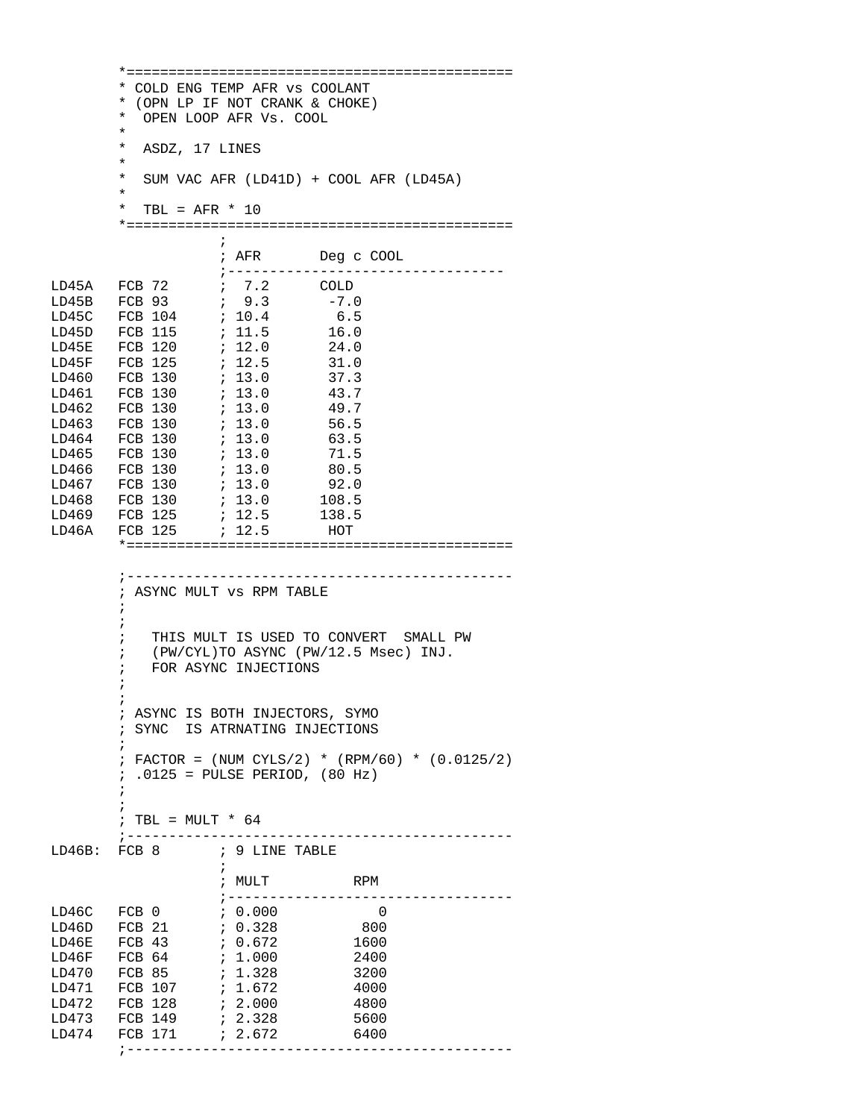\*============================================== \* COLD ENG TEMP AFR vs COOLANT \* (OPN LP IF NOT CRANK & CHOKE) OPEN LOOP AFR Vs. COOL  $\star$  \* ASDZ, 17 LINES \* SUM VAC AFR (LD41D) + COOL AFR (LD45A)  $\star$  \* TBL = AFR \* 10 \*==============================================  $\mathcal{L}^{\text{max}}$  is a set of the set of the set of the set of the set of the set of the set of the set of the set of the set of the set of the set of the set of the set of the set of the set of the set of the set of the set ; AFR Deg c COOL ;--------------------------------- LD45A FCB 72 ; 7.2 COLD<br>LD45B FCB 93 ; 9.3 -7.0 LD45B FCB 93 ; 9.3 -7.0 LD45C FCB 104 ; 10.4 6.5<br>LD45D FCB 115 ; 11.5 16.0 LD45D FCB 115 ; 11.5 16.0<br>LD45E FCB 120 ; 12.0 24.0 LD45E FCB 120 ; 12.0 24.0 LD45F FCB 125 ; 12.5 31.0<br>LD460 FCB 130 ; 13.0 37.3 LD460 FCB 130 ; 13.0 37.3<br>LD461 FCB 130 ; 13.0 43.7 LD461 FCB 130 ; 13.0 43.7<br>LD462 FCB 130 ; 13.0 49.7 LD462 FCB 130 ; 13.0 49.7 LD463 FCB 130 LD464 FCB 130 *;* 13.0 63.5 LD465 FCB 130 ; 13.0 71.5 LD466 FCB 130 ; 13.0 80.5 LD467 FCB 130 ; 13.0 92.0<br>
LD468 FCB 130 ; 13.0 108.5 LD468 FCB 130 ; 13.0 108.5 LD469 FCB 125 ; 12.5 138.5<br>LD46A FCB 125 ; 12.5 HOT  $; 12.5$  \*============================================== ;---------------------------------------------- ; ASYNC MULT vs RPM TABLE  $\mathcal{L}^{\text{max}}_{\text{max}}$  $\mathcal{L}^{\text{max}}$  ; THIS MULT IS USED TO CONVERT SMALL PW ; (PW/CYL)TO ASYNC (PW/12.5 Msec) INJ. ; FOR ASYNC INJECTIONS  $\mathcal{L}^{\text{max}}$  $\mathcal{L}^{\text{max}}$  ; ASYNC IS BOTH INJECTORS, SYMO ; SYNC IS ATRNATING INJECTIONS  $\mathcal{L}^{\text{max}}$  ; FACTOR = (NUM CYLS/2) \* (RPM/60) \* (0.0125/2) ; .0125 = PULSE PERIOD, (80 Hz)  $\mathcal{L}^{\text{max}}$  $\mathcal{L}^{\text{max}}_{\text{max}}$ ; TBL =  $MULT * 64$  ;---------------------------------------------- LD46B: FCB 8 ; 9 LINE TABLE  $\mathcal{L}^{\text{max}}$  is a set of the set of the set of the set of the set of the set of the set of the set of the set of the set of the set of the set of the set of the set of the set of the set of the set of the set of the set ; MULT RPM ;---------------------------------- LD46C FCB 0 ; 0.000 0 LD46D FCB 21 ; 0.328 800 LD46E FCB 43 ; 0.672 1600 LD46F FCB 64 ; 1.000 2400 LD470 FCB 85 ; 1.328 3200 LD471 FCB 107 ; 1.672 4000<br>
LD472 FCB 128 ; 2.000 4800 LD472 FCB 128 ; 2.000 4800 LD473 FCB 149 ; 2.328 5600<br>LD474 FCB 171 ; 2.672 6400 LD474 FCB 171 ; 2.672 6400 ;----------------------------------------------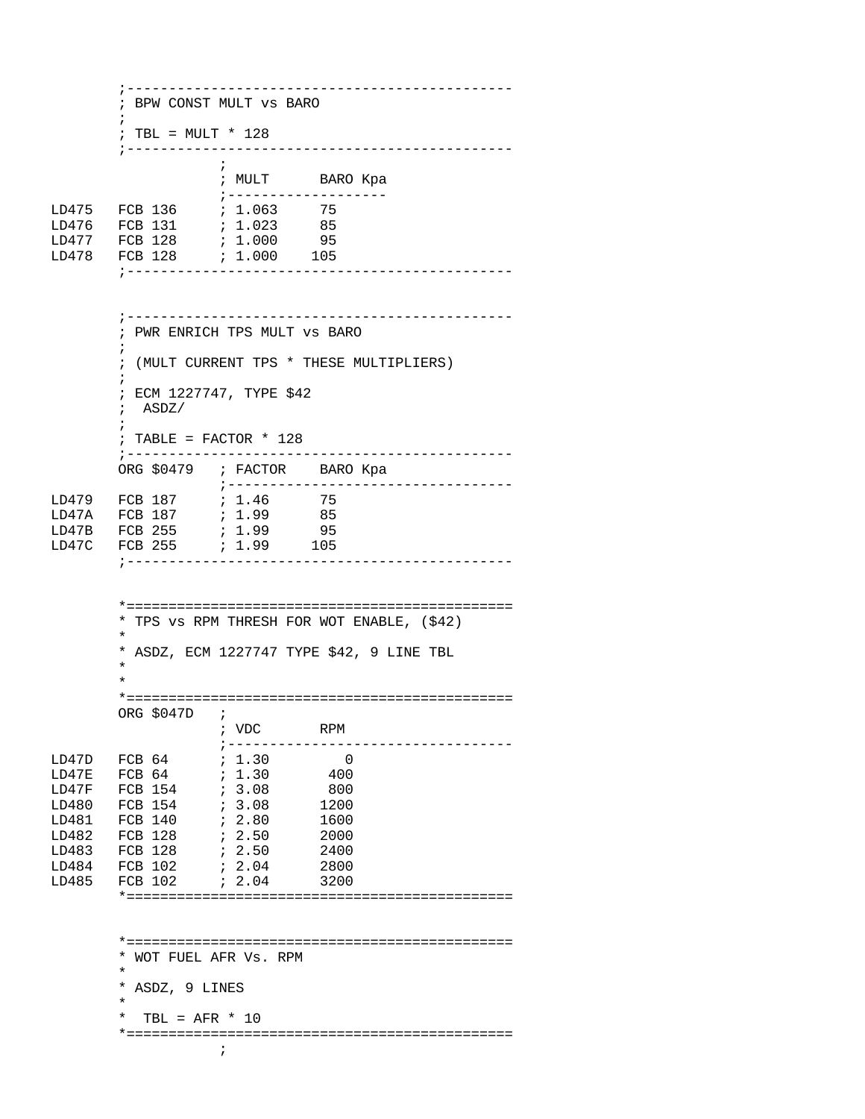;---------------------------------------------- ; BPW CONST MULT vs BARO  $\mathcal{L}^{\text{max}}$  ; TBL = MULT \* 128 ;----------------------------------------------  $\mathcal{L}^{\text{max}}$  is a set of the set of the set of the set of the set of the set of the set of the set of the set of the set of the set of the set of the set of the set of the set of the set of the set of the set of the set ; MULT BARO Kpa  $\begin{tabular}{lllllll} \multicolumn{2}{l}{{\footnotesize \texttt{LD475}}} & $\texttt{FCB 136}$ & $\texttt{ $i$} $1$-063$ & $\texttt{ 75}$ \\ \multicolumn{2}{l}{\footnotesize \texttt{LD476}} & $\texttt{FCB 131}$ & $\texttt{ $i$} $1.023$ & $\texttt{ 85}$ \\ \end{tabular}$ FCB 136 ; 1.063<br>FCB 131 ; 1.023 LD476 FCB 131 ; 1.023 85 LD477 FCB 128 LD478 FCB 128 ; 1.000 105 ;---------------------------------------------- ;---------------------------------------------- ; PWR ENRICH TPS MULT vs BARO  $\mathcal{L}^{\text{max}}$  ; (MULT CURRENT TPS \* THESE MULTIPLIERS)  $\mathcal{L}^{\text{max}}$  ; ECM 1227747, TYPE \$42 ; ASDZ/  $\mathcal{L}^{\text{max}}$  ; TABLE = FACTOR \* 128 ;---------------------------------------------- ORG \$0479 ; FACTOR BARO Kpa ;---------------------------------- FCB 187 : 1.46 75<br>FCB 187 : 1.99 85 LD47A FCB 187 ; 1.99 85 LD47B FCB 255 ; 1.99 95  $; 1.99$  ;---------------------------------------------- \*============================================== \* TPS vs RPM THRESH FOR WOT ENABLE, (\$42) \* \* ASDZ, ECM 1227747 TYPE \$42, 9 LINE TBL  $\star$  $\star$  \*============================================== ORG \$047D ; ; VDC RPM ;---------------------------------- LD47D FCB 64 ; 1.30 0  $FCB 64$ LD47F FCB 154 ; 3.08 800 LD480 FCB 154 ; 3.08<br>LD481 FCB 140 ; 2.80 LD481 FCB 140 ; 2.80 1600<br>LD482 FCB 128 ; 2.50 2000 LD482 FCB 128 ; 2.50 2000<br>LD483 FCB 128 ; 2.50 2400 LD483 FCB 128 ; 2.50 2400<br>LD484 FCB 102 ; 2.04 2800 LD484 FCB 102 *;* 2.04<br>LD485 FCB 102 *;* 2.04  $2.04$  3200 \*============================================== \*============================================== \* WOT FUEL AFR Vs. RPM  $\star$  \* ASDZ, 9 LINES \* \* TBL =  $AFR * 10$  \*==============================================  $\mathcal{L}^{\text{max}}$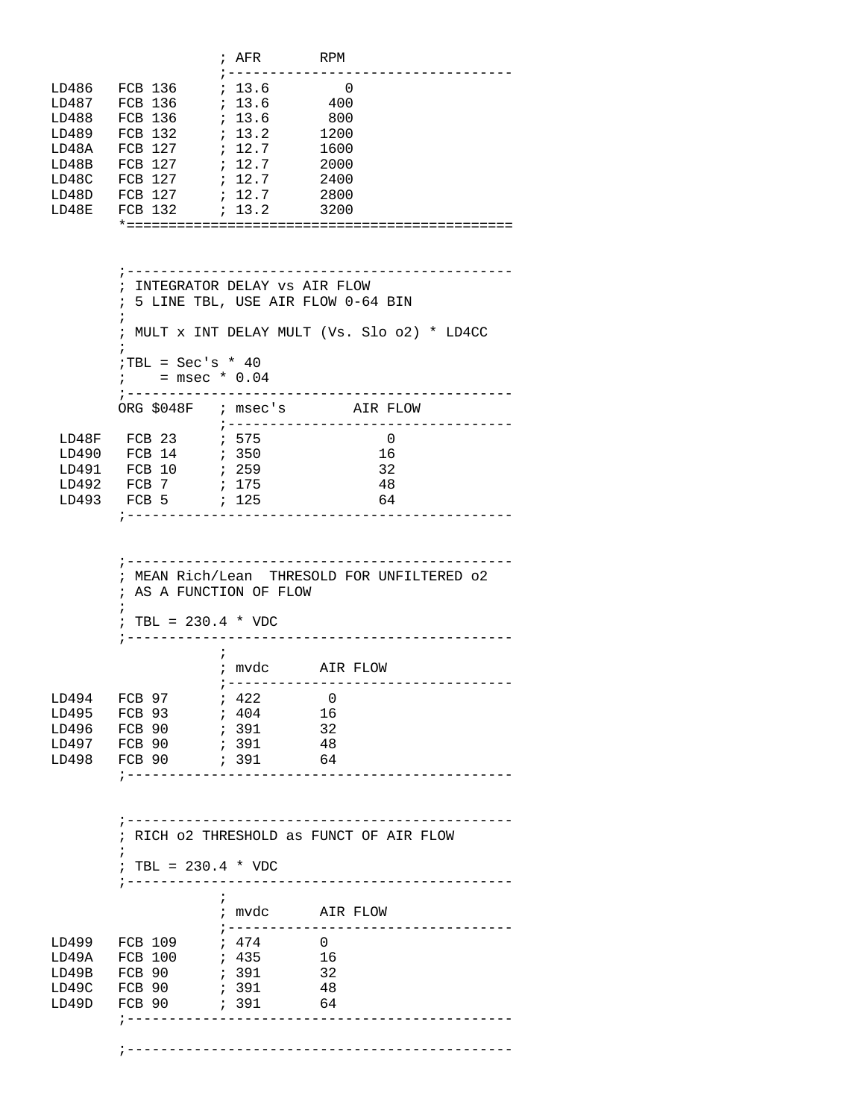|       |                                                                                | $;$ AFR RPM                                |                                                                                     |  |
|-------|--------------------------------------------------------------------------------|--------------------------------------------|-------------------------------------------------------------------------------------|--|
|       |                                                                                | ; ---------------<br>7.13.6                | $\overline{\phantom{0}}$                                                            |  |
|       | LD486 FCB 136<br>LD487 FCB 136                                                 | ; 13.6                                     | 400                                                                                 |  |
| LD488 | FCB 136 ; 13.6 800                                                             |                                            |                                                                                     |  |
|       | LD489 FCB 132 <i>i</i> 13.2                                                    |                                            | 1200                                                                                |  |
| LD48A | FCB 127 ; 12.7                                                                 |                                            | 1600                                                                                |  |
|       | LD48B FCB 127<br>LD48C FCB 127                                                 | : 12.7<br>: 12.7                           | 2000<br>2400                                                                        |  |
|       | LD48D FCB 127 ; 12.7 2800                                                      |                                            |                                                                                     |  |
| LD48E |                                                                                |                                            | 3200                                                                                |  |
|       |                                                                                |                                            |                                                                                     |  |
|       |                                                                                |                                            |                                                                                     |  |
|       |                                                                                |                                            |                                                                                     |  |
|       | ; INTEGRATOR DELAY VS AIR FLOW                                                 |                                            |                                                                                     |  |
|       |                                                                                |                                            | ; 5 LINE TBL, USE AIR FLOW 0-64 BIN                                                 |  |
|       |                                                                                |                                            | ; MULT x INT DELAY MULT (Vs. Slo o2) * LD4CC                                        |  |
|       | $TBL = Sec's * 40$                                                             |                                            |                                                                                     |  |
|       | $i =$ msec * 0.04                                                              |                                            |                                                                                     |  |
|       | ORG $$048F$ ; msec's                                                           |                                            | AIR FLOW                                                                            |  |
|       |                                                                                |                                            | ; -----------------------------------                                               |  |
|       |                                                                                |                                            | $\overline{\phantom{0}}$                                                            |  |
| LD491 | FCB 10                                                                         | $\begin{array}{cc} & 259 \\ & \end{array}$ | 16<br>32                                                                            |  |
|       | LD492 FCB 7                                                                    | ; 175                                      | 48                                                                                  |  |
|       | LD493 FCB 5 ; 125                                                              |                                            | 64                                                                                  |  |
|       |                                                                                |                                            | ;-------------------------------------                                              |  |
|       | ; AS A FUNCTION OF FLOW<br>$\ddot{i}$<br>; TBL = $230.4 * VDC$<br>; ---------- |                                            | ;-----------------------------------<br>; MEAN Rich/Lean THRESOLD FOR UNFILTERED 02 |  |
|       |                                                                                | $\ddot{i}$                                 |                                                                                     |  |
|       |                                                                                |                                            | ; mvdc AIR FLOW                                                                     |  |
|       |                                                                                |                                            |                                                                                     |  |
| LD495 | LD494 FCB 97<br>FCB 93                                                         | <i>i</i> 422<br>7404                       | $\overline{0}$<br>16                                                                |  |
| LD496 | FCB 90                                                                         | 391                                        | 32                                                                                  |  |
| LD497 | FCB 90                                                                         | 6391                                       | -48                                                                                 |  |
| LD498 | FCB 90                                                                         | $64$ $(391)$                               |                                                                                     |  |
|       | ;------------------------------                                                |                                            |                                                                                     |  |
|       |                                                                                |                                            | ; RICH 02 THRESHOLD as FUNCT OF AIR FLOW                                            |  |
|       | ; TBL = $230.4 * VDC$<br>; -------                                             |                                            | _______________________                                                             |  |
|       |                                                                                | $\ddot{i}$                                 |                                                                                     |  |
|       |                                                                                |                                            | ; mvdc AIR FLOW<br>;---------------------------------                               |  |
|       | LD499 FCB 109                                                                  | ; 474                                      | $\Omega$                                                                            |  |
| LD49A |                                                                                |                                            |                                                                                     |  |
|       | LD49B FCB 90                                                                   | ; 391 32                                   |                                                                                     |  |
| LD49C |                                                                                |                                            | 48                                                                                  |  |
| LD49D | FCB 90                                                                         | ; 391                                      | 64                                                                                  |  |
|       | ; __________________________________                                           |                                            |                                                                                     |  |
|       |                                                                                |                                            |                                                                                     |  |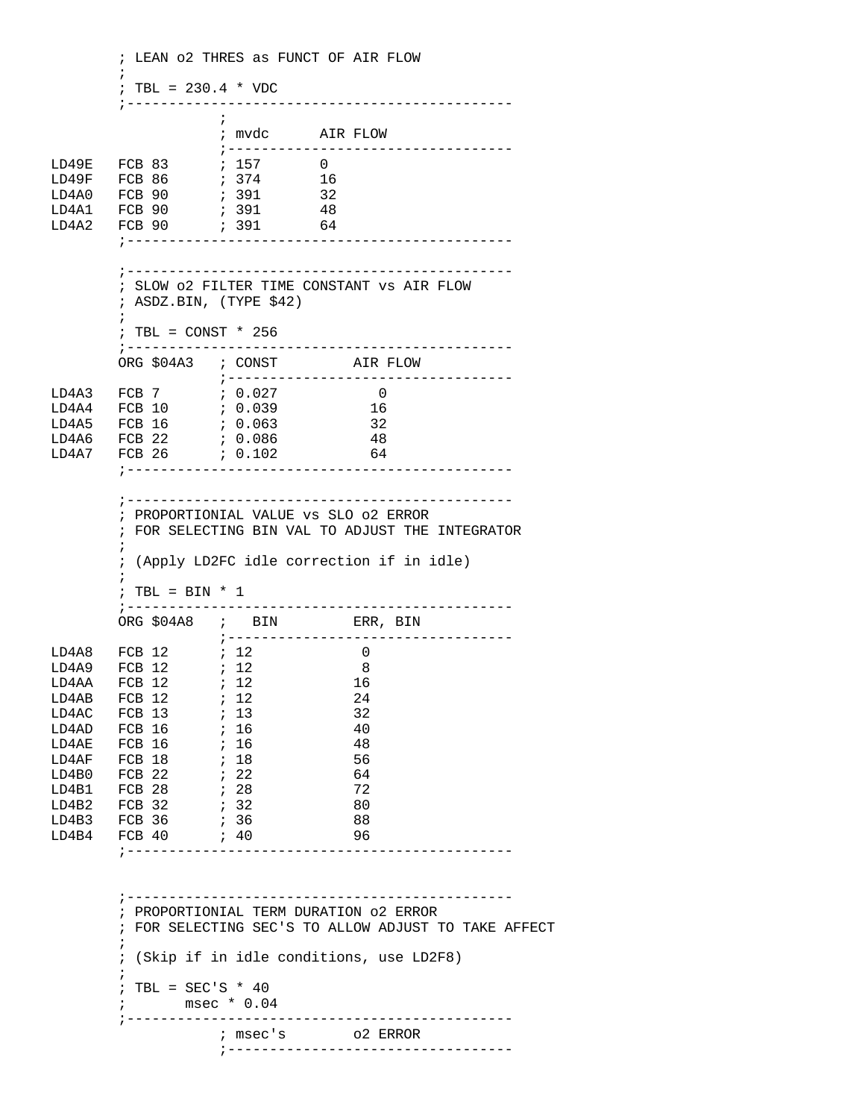; LEAN o2 THRES as FUNCT OF AIR FLOW  $\mathcal{L}^{\text{max}}$ ; TBL =  $230.4 * VDC$  ;----------------------------------------------  $\mathcal{L}^{\text{max}}$  ; mvdc AIR FLOW ;---------------------------------- LD49E FCB 83 ; 157 0 LD49F FCB 86 ; 374 16 LD4A0 FCB 90 ; 391 32  $\begin{tabular}{lllllllll} \texttt{LD4A1} & \texttt{FCB} & 90 & & & ; & 391 & & 48 \\ \texttt{LD4A2} & \texttt{FCB} & 90 & & & ; & 391 & & 64 \\ \end{tabular}$  $LDAA2$   $FCB 90$  ;---------------------------------------------- ;---------------------------------------------- ; SLOW o2 FILTER TIME CONSTANT vs AIR FLOW ; ASDZ.BIN, (TYPE \$42)  $\mathcal{L}^{\text{max}}$  ; TBL = CONST \* 256 ;---------------------------------------------- ORG \$04A3 ; CONST AIR FLOW ;---------------------------------- LD4A3 FCB 7 ; 0.027<br>LD4A4 FCB 10 ; 0.039 LD4A4 FCB 10 ; 0.039 16 LD4A5 FCB 16 ; 0.063 32 LD4A6 FCB 22 ; 0.086 48 LD4A7 FCB 26 ; 0.102 64 ;---------------------------------------------- ;---------------------------------------------- ; PROPORTIONIAL VALUE vs SLO o2 ERROR ; FOR SELECTING BIN VAL TO ADJUST THE INTEGRATOR  $\mathcal{L}^{\text{max}}$  ; (Apply LD2FC idle correction if in idle)  $\mathcal{L}^{\text{max}}$  $;$  TBL = BIN \* 1 ;---------------------------------------------- ORG \$04A8 ; BIN ERR, BIN ;---------------------------------- LD4A8 FCB 12 ; 12<br>LD4A9 FCB 12 ; 12 LD4A9 FCB 12 ; 12 8 LD4AA FCB 12 ; 12 16 LD4AB FCB 12 ; 12 24 LD4AC FCB 13 <br>
LD4AD FCB 16 <br>  $\begin{array}{ccc} 13 & 32 \\ 16 & 16 \end{array}$  16 <br>
40 LD4AD FCB 16 ; 16 40 LD4AE FCB 16 ; 16 48 LD4AF FCB 18 ; 18<br>LD4B0 FCB 22 ; 22 LD4B0 FCB 22 ; 22 64 LD4B1 FCB 28 ; 28 72 LD4B2 FCB 32 ; 32 80 LD4B3 FCB 36 ; 36 88<br>LD4B4 FCB 40 ; 40 96 LD4B4 FCB 40 ; 40 96 ;---------------------------------------------- ;---------------------------------------------- ; PROPORTIONIAL TERM DURATION o2 ERROR ; FOR SELECTING SEC'S TO ALLOW ADJUST TO TAKE AFFECT  $\mathcal{L}^{\text{max}}$  ; (Skip if in idle conditions, use LD2F8)  $\mathcal{L}^{\text{max}}$  $:$  TBL = SEC'S \* 40 ; msec \* 0.04 ;---------------------------------------------- ; msec's o2 ERROR ;----------------------------------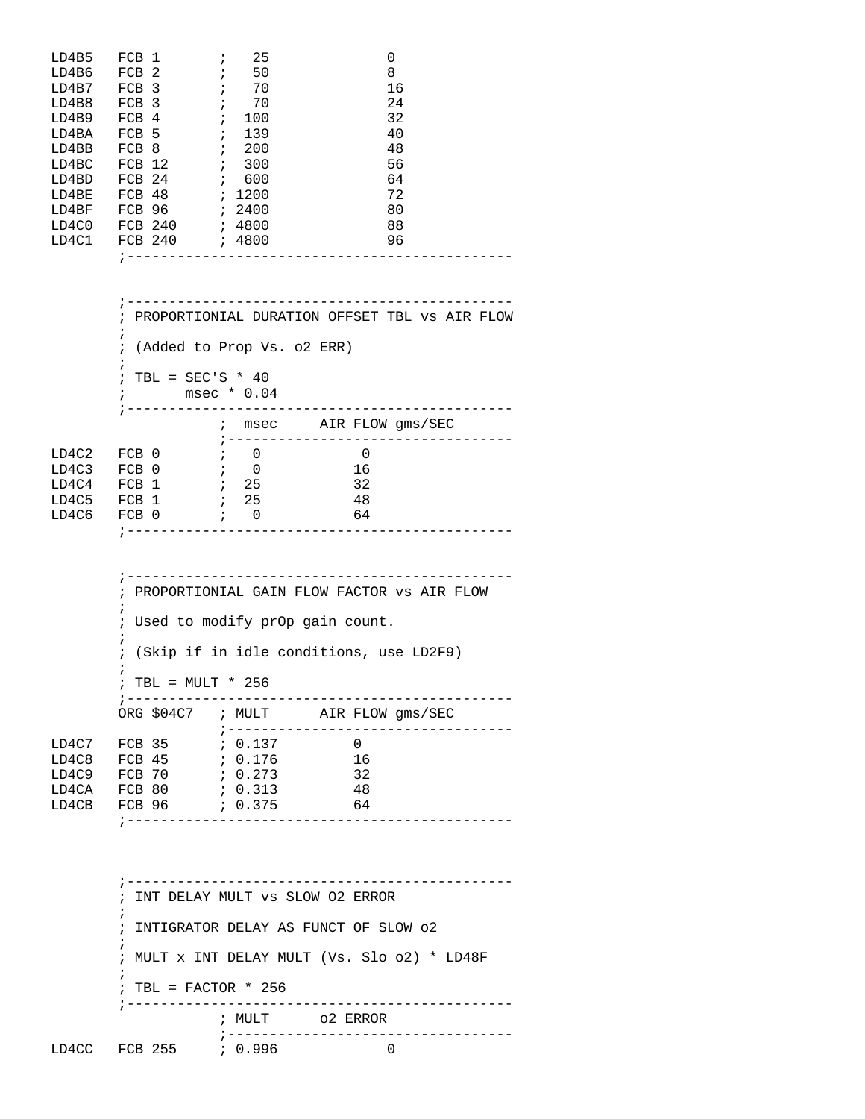|  | i                                                                                                                                                                                  | 25  |                                      | 0  |
|--|------------------------------------------------------------------------------------------------------------------------------------------------------------------------------------|-----|--------------------------------------|----|
|  | ÷                                                                                                                                                                                  | 50  |                                      | 8  |
|  | $\ddot{i}$                                                                                                                                                                         | 70  |                                      | 16 |
|  | ÷                                                                                                                                                                                  | 70  |                                      | 24 |
|  | ÷                                                                                                                                                                                  | 100 |                                      | 32 |
|  | $\ddot{ }$                                                                                                                                                                         | 139 |                                      | 40 |
|  | $\ddot{ }$                                                                                                                                                                         | 200 |                                      | 48 |
|  | $\ddot{i}$                                                                                                                                                                         | 300 |                                      | 56 |
|  | $\ddot{i}$                                                                                                                                                                         | 600 |                                      | 64 |
|  |                                                                                                                                                                                    |     |                                      | 72 |
|  |                                                                                                                                                                                    |     |                                      | 80 |
|  |                                                                                                                                                                                    |     |                                      | 88 |
|  |                                                                                                                                                                                    |     |                                      | 96 |
|  |                                                                                                                                                                                    |     |                                      |    |
|  | FCB 1<br>FCB <sub>2</sub><br>FCB <sub>3</sub><br>FCB <sub>3</sub><br>FCB 4<br>FCB <sub>5</sub><br>FCB 8<br>$FCB$ 12<br>FCB <sub>24</sub><br>FCB 48<br>FCB 96<br>FCB 240<br>FCB 240 |     | ; 1200<br>; 2400<br>; 4800<br>; 4800 |    |

|       | ; PROPORTIONIAL DURATION OFFSET TBL vs AIR FLOW |                           |                |                       |          |  |  |  |  |
|-------|-------------------------------------------------|---------------------------|----------------|-----------------------|----------|--|--|--|--|
|       |                                                 |                           |                |                       |          |  |  |  |  |
|       | ; (Added to Prop Vs. o2 ERR)                    |                           |                |                       |          |  |  |  |  |
|       | ; TBL = SEC'S * 40                              |                           |                |                       |          |  |  |  |  |
|       | $\mathcal{L}$                                   | $msec * 0.04$             |                |                       |          |  |  |  |  |
|       |                                                 |                           |                |                       |          |  |  |  |  |
|       |                                                 | $\ddot{i}$                |                | msec AIR FLOW qms/SEC |          |  |  |  |  |
|       |                                                 |                           |                |                       |          |  |  |  |  |
| LD4C2 | FCB 0                                           | $\cdot$ ; 0               |                |                       | $\Omega$ |  |  |  |  |
| LD4C3 | FCB 0                                           | $\mathbf{i}$ $\mathbf{0}$ |                |                       | 16       |  |  |  |  |
| LD4C4 | FCB 1                                           | $\ddot{i}$ 25             |                |                       | 32       |  |  |  |  |
| LD4C5 | FCB 1                                           | $\ddot{i}$ 25             |                |                       | 48       |  |  |  |  |
|       | LD4C6 FCB 0                                     |                           | $\mathbf{i}$ 0 |                       | 64       |  |  |  |  |
|       |                                                 |                           |                |                       |          |  |  |  |  |
|       |                                                 |                           |                |                       |          |  |  |  |  |

 ;---------------------------------------------- ; PROPORTIONIAL GAIN FLOW FACTOR vs AIR FLOW  $\mathcal{L}^{\text{max}}$  ; Used to modify prOp gain count.  $\mathcal{L}^{\text{max}}$  ; (Skip if in idle conditions, use LD2F9)  $\mathcal{L}^{\text{max}}_{\text{max}}$  ; TBL = MULT \* 256 ;---------------------------------------------- ORG \$04C7 ; MULT AIR FLOW gms/SEC ;---------------------------------- LD4C7 FCB 35 ; 0.137 0<br>LD4C8 FCB 45 ; 0.176 16 FCB 45 ; 0.176 16<br>FCB 70 ; 0.273 32  $LD4C9$   $FCB 70$ LD4CA FCB 80 ; 0.313 48 LD4CB FCB 96 ; 0.375 64

 ;---------------------------------------------- ; INT DELAY MULT vs SLOW O2 ERROR  $\mathcal{L}^{\text{max}}_{\text{max}}$  ; INTIGRATOR DELAY AS FUNCT OF SLOW o2  $\mathcal{L}^{\text{max}}$  ; MULT x INT DELAY MULT (Vs. Slo o2) \* LD48F  $\mathcal{L}^{\text{max}}$  ; TBL = FACTOR \* 256 ;---------------------------------------------- ; MULT o2 ERROR ;---------------------------------- LD4CC FCB 255 ; 0.996

;----------------------------------------------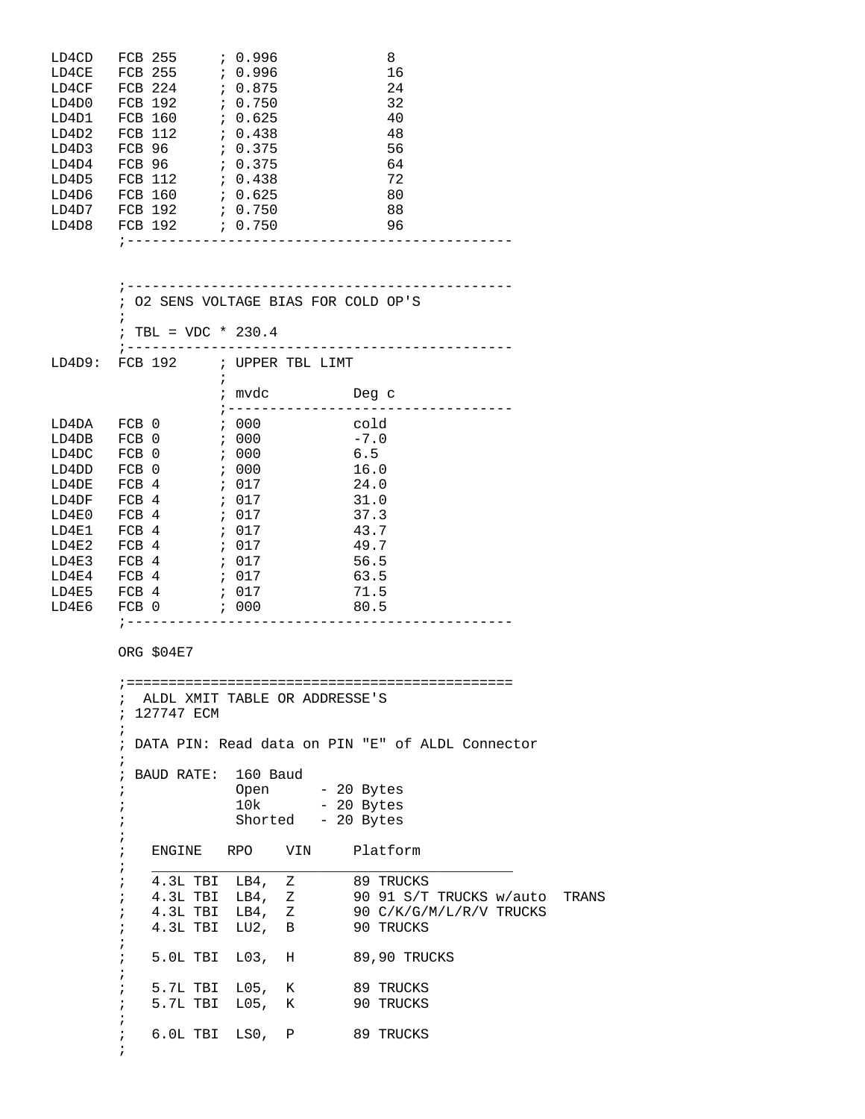|  |                                                                                                                                | 8                                                                                                                                |
|--|--------------------------------------------------------------------------------------------------------------------------------|----------------------------------------------------------------------------------------------------------------------------------|
|  |                                                                                                                                | 16                                                                                                                               |
|  |                                                                                                                                | 24                                                                                                                               |
|  |                                                                                                                                | 32                                                                                                                               |
|  |                                                                                                                                | 40                                                                                                                               |
|  |                                                                                                                                | 48                                                                                                                               |
|  |                                                                                                                                | 56                                                                                                                               |
|  |                                                                                                                                | 64                                                                                                                               |
|  |                                                                                                                                | 72                                                                                                                               |
|  |                                                                                                                                | 80                                                                                                                               |
|  |                                                                                                                                | 88                                                                                                                               |
|  |                                                                                                                                | 96                                                                                                                               |
|  |                                                                                                                                |                                                                                                                                  |
|  | FCB 255<br>FCB 255<br>FCB 224<br>FCB 192<br>FCB 160<br>FCB 112<br>FCB 96<br>FCB 96<br>FCB 112<br>FCB 160<br>FCB 192<br>FCB 192 | 7.0.996<br>7.0.996<br>7.0.875<br>7.0.750<br>7.0.625<br>7.0.438<br>7.0.375<br>7.0.375<br>7.0.438<br>7.0.625<br>7.0.750<br>7.0.750 |

|             |                                    |            | 02 SENS VOLTAGE BIAS FOR COLD OP'S    |        |
|-------------|------------------------------------|------------|---------------------------------------|--------|
|             |                                    |            |                                       |        |
|             | ; TBL = VDC * 230.4                |            |                                       |        |
|             |                                    |            | ; ----------------------------------- |        |
|             |                                    |            | LD4D9: FCB 192 ; UPPER TBL LIMT       |        |
|             |                                    | $\ddot{i}$ |                                       |        |
|             |                                    |            | ; mvdc                                | Deg c  |
|             |                                    |            | ;---------------------------          |        |
| LD4DA FCB 0 |                                    |            | ; 000                                 | cold   |
|             |                                    |            |                                       |        |
| LD4DB FCB 0 |                                    |            | $\sim$ 600 $\sim$                     | $-7.0$ |
| LD4DC       | $\sim$ ; 000<br>FCB 0              |            |                                       | 6.5    |
| LD4DD       | FCB 0                              |            | $\ddot{i}$ 000                        | 16.0   |
| LD4DE       | $\ddot{i}$ 017<br>FCB 4            |            |                                       | 24.0   |
| LD4DF       | $\ddot{i}$ 017<br>FCB 4            |            |                                       | 31.0   |
| LD4E0       | , 017<br>FCB <sub>4</sub>          |            |                                       | 37.3   |
| LD4E1       | FCB 4<br>, 017                     |            |                                       | 43.7   |
| LD4E2       | $\ddot{i}$ 017<br>FCB 4            |            |                                       | 49.7   |
| LD4E3       | $\ddot{i}$ 017<br>FCB <sub>4</sub> |            |                                       | 56.5   |
| LD4E4       | , 017<br>FCB 4                     |            |                                       | 63.5   |
| LD4E5       | ; 017<br>FCB 4                     |            |                                       | 71.5   |
| LD4E6       | $\sim$ 600 $\cdot$<br>FCB 0        |            |                                       | 80.5   |
|             |                                    |            |                                       |        |

ORG \$04E7

```
 ;==============================================
        ; ALDL XMIT TABLE OR ADDRESSE'S
        ; 127747 ECM
\mathcal{L}^{\text{max}} ; DATA PIN: Read data on PIN "E" of ALDL Connector
        ;
        ; BAUD RATE: 160 Baud
er and the Copen open the 20 Bytes
; 10k - 20 Bytes
        ; Shorted - 20 Bytes
\mathcal{L}^{\text{max}} ; ENGINE RPO VIN Platform
       ;<br>
\frac{1}{4 \cdot 3L} TBI LB4, Z 89 TRUCKS
       ; 4.3L TBI LB4, Z<br>; 4.3L TBI LB4, Z
 ; 4.3L TBI LB4, Z 90 91 S/T TRUCKS w/auto TRANS
 ; 4.3L TBI LB4, Z 90 C/K/G/M/L/R/V TRUCKS
        ; 4.3L TBI LU2, B 90 TRUCKS
        ;
        ; 5.0L TBI L03, H 89,90 TRUCKS
        ;
       ; 5.7L TBI L05, K 89 TRUCKS<br>; 5.7L TBI L05, K 90 TRUCKS
          5.7L TBI L05, K
\mathcal{L}^{\text{max}} ; 6.0L TBI LS0, P 89 TRUCKS
        ;
```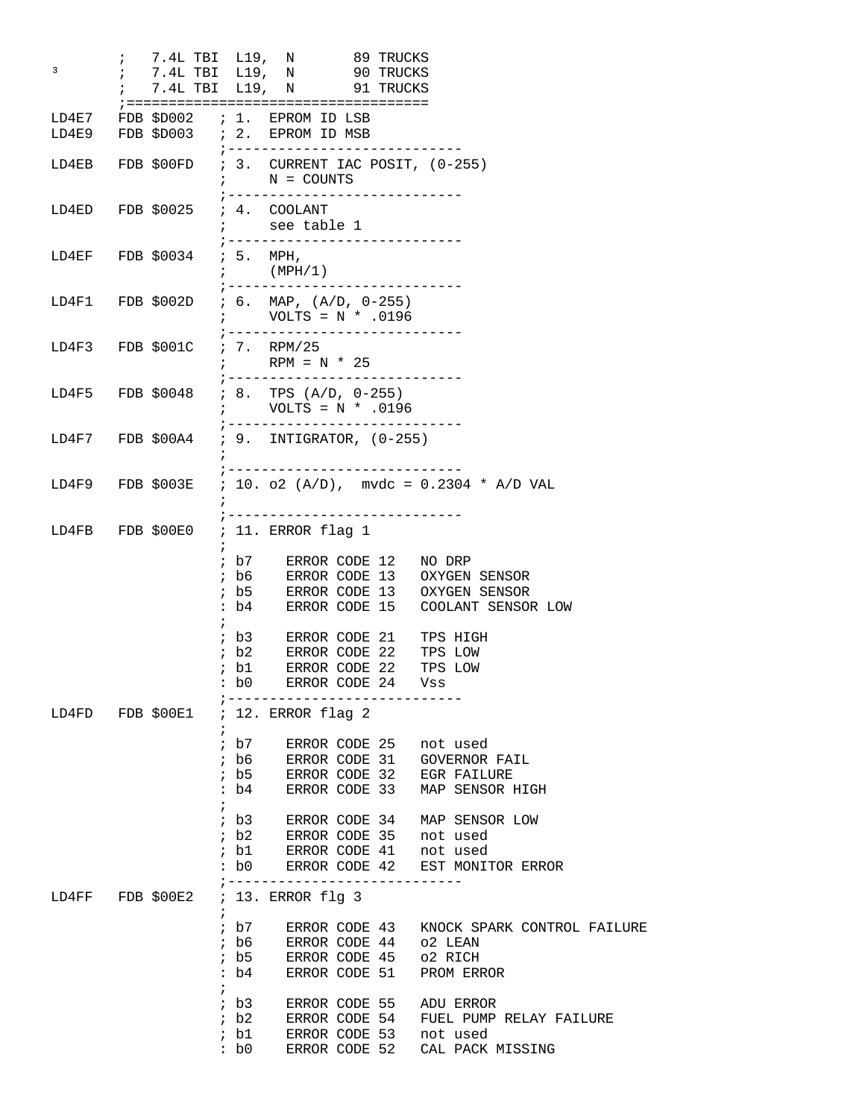; 7.4L TBI L19, N 89 TRUCKS <sup>3</sup> 7.4L TBI L19, N 90 TRUCKS ; 7.4L TBI L19, N 91 TRUCKS ;==================================== LD4E7 FDB \$D002 ; 1. EPROM ID LSB LD4E9 FDB \$D003 ; 2. EPROM ID MSB ;----------------------------  $; 3.$  CURRENT IAC POSIT,  $(0-255)$ ;  $N = \text{COUNTS}$  ;---------------------------- LD4ED FDB \$0025 ; 4. COOLANT ; see table 1 ;---------------------------- LD4EF FDB \$0034 ; 5. MPH, ;  $(MPH/1)$  ;---------------------------- LD4F1 FDB \$002D ; 6. MAP, (A/D, 0-255) ; VOLTS = N \* .0196 ;---------------------------- ; 7. RPM/25 ; RPM =  $N * 25$  ;----------------------------  $; 8. TPS (A/D, 0-255)$  ; VOLTS = N \* .0196 ;---------------------------- LD4F7 FDB \$00A4 ; 9. INTIGRATOR, (0-255)  $\mathcal{L}^{\text{max}}$  ;---------------------------- LD4F9 FDB \$003E ; 10. o2 (A/D), mvdc = 0.2304 \* A/D VAL  $\mathcal{L}^{\text{max}}$  ;----------------------------  $: 11.$  ERROR flag 1  $\mathcal{L}^{\text{max}}$  is a set of the set of the set of the set of the set of the set of the set of the set of the set of the set of the set of the set of the set of the set of the set of the set of the set of the set of the set ; b7 ERROR CODE 12 NO DRP ; b6 ERROR CODE 13 OXYGEN SENSOR ; b5 ERROR CODE 13 OXYGEN SENSOR : b4 ERROR CODE 15 COOLANT SENSOR LOW  $\mathcal{L}^{\text{max}}$  is a set of the set of the set of the set of the set of the set of the set of the set of the set of the set of the set of the set of the set of the set of the set of the set of the set of the set of the set ; b3 ERROR CODE 21 TPS HIGH ; b2 ERROR CODE 22 TPS LOW ; b1 ERROR CODE 22 TPS LOW : b0 ERROR CODE 24 Vss ;---------------------------- ; 12. ERROR flag 2  $\mathcal{L}^{\text{max}}$  ; b7 ERROR CODE 25 not used ; b6 ERROR CODE 31 GOVERNOR FAIL ; b5 ERROR CODE 32 EGR FAILURE : b4 ERROR CODE 33 MAP SENSOR HIGH  $\mathcal{L}^{\text{max}}$  ; b3 ERROR CODE 34 MAP SENSOR LOW ; b2 ERROR CODE 35 not used ; b1 ERROR CODE 41 not used : b0 ERROR CODE 42 EST MONITOR ERROR ;---------------------------- LD4FF FDB \$00E2 ; 13. ERROR flg 3  $\mathcal{L}^{\text{max}}$  ; b7 ERROR CODE 43 KNOCK SPARK CONTROL FAILURE ; b6 ERROR CODE 44 o2 LEAN ; b5 ERROR CODE 45 o2 RICH : b4 ERROR CODE 51 PROM ERROR  $\mathcal{L}^{\text{max}}$  ; b3 ERROR CODE 55 ADU ERROR ; b2 ERROR CODE 54 FUEL PUMP RELAY FAILURE ; b1 ERROR CODE 53 not used : b0 ERROR CODE 52 CAL PACK MISSING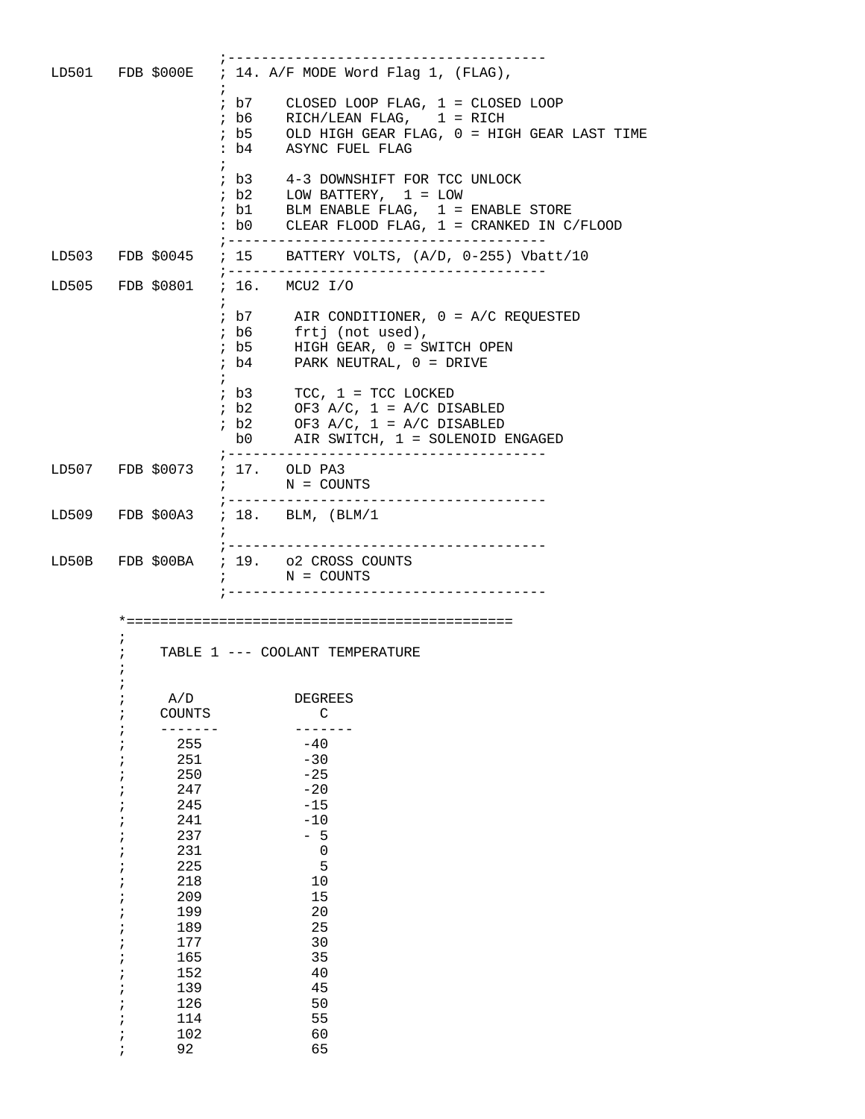|                          | LD501 FDB \$000E ; 14. A/F MODE Word Flag 1, (FLAG),                                                                                                                                                                                     |
|--------------------------|------------------------------------------------------------------------------------------------------------------------------------------------------------------------------------------------------------------------------------------|
|                          | $: b7$ CLOSED LOOP FLAG, $1 =$ CLOSED LOOP<br>$: b6$ RICH/LEAN FLAG, $1 =$ RICH<br>; b5 OLD HIGH GEAR FLAG, 0 = HIGH GEAR LAST TIME<br>: b4 ASYNC FUEL FLAG                                                                              |
|                          | $\begin{tabular}{lllllll} $ & $b3$ & & $4$-3 DOWNSHIFT FOR TCC UNLOCK \\ $ & $b2$ & & $LOW BATTERY, $ & $1$ & = $LOW\\ \end{tabular}$<br>; b1 BLM ENABLE FLAG, $1$ = ENABLE STORE<br>: b0<br>CLEAR FLOOD FLAG, $1 = C$ RANKED IN C/FLOOD |
|                          | LD503 FDB \$0045 ; 15 BATTERY VOLTS, (A/D, 0-255) Vbatt/10                                                                                                                                                                               |
|                          | ;------------------------------------<br>LD505 FDB \$0801 ; 16. MCU2 I/O                                                                                                                                                                 |
|                          | $\cdot$ b7 AIR CONDITIONER, $0 = A/C$ REQUESTED<br>% b6 frtj (not used),<br>% b5 HIGH GEAR, 0 = SWITCH OPEN<br>$\cdot$ b4 PARK NEUTRAL, $0 =$ DRIVE                                                                                      |
|                          | $ib3$ TCC, $1 = TCC$ LOCKED<br>$\begin{array}{lll} ; & b2 & \text{OF3 A/C, } 1 = \text{A/C DISABLED} \\ ; & b2 & \text{OF3 A/C, } 1 = \text{A/C DISABLED} \end{array}$<br>b0 AIR SWITCH, 1 = SOLENOID ENGAGED                            |
|                          | LD507 FDB \$0073 ; 17. OLD PA3<br>$N = \text{COUNTS}$                                                                                                                                                                                    |
|                          | LD509 FDB \$00A3 ; 18. BLM, (BLM/1                                                                                                                                                                                                       |
|                          | LD50B FDB \$00BA ; 19. o2 CROSS COUNTS<br>$N = \text{COUNTS}$                                                                                                                                                                            |
|                          |                                                                                                                                                                                                                                          |
|                          | TABLE 1 --- COOLANT TEMPERATURE                                                                                                                                                                                                          |
| A/D<br>i<br>COUNTS       | <b>DEGREES</b><br>C                                                                                                                                                                                                                      |
| 255<br>251<br>250<br>247 | $-40$<br>$-30$<br>$-25$<br>$-20$                                                                                                                                                                                                         |
| 245<br>241<br>237<br>231 | $-15$<br>$-10$<br>$-5$<br>$\mathsf 0$                                                                                                                                                                                                    |
| 225<br>218<br>209        | 5<br>10<br>15                                                                                                                                                                                                                            |
| 199<br>189<br>177<br>165 | 20<br>25<br>30<br>35                                                                                                                                                                                                                     |
| 152<br>139<br>126<br>114 | 40<br>45<br>50<br>55                                                                                                                                                                                                                     |
| 102<br>92                | 60<br>65                                                                                                                                                                                                                                 |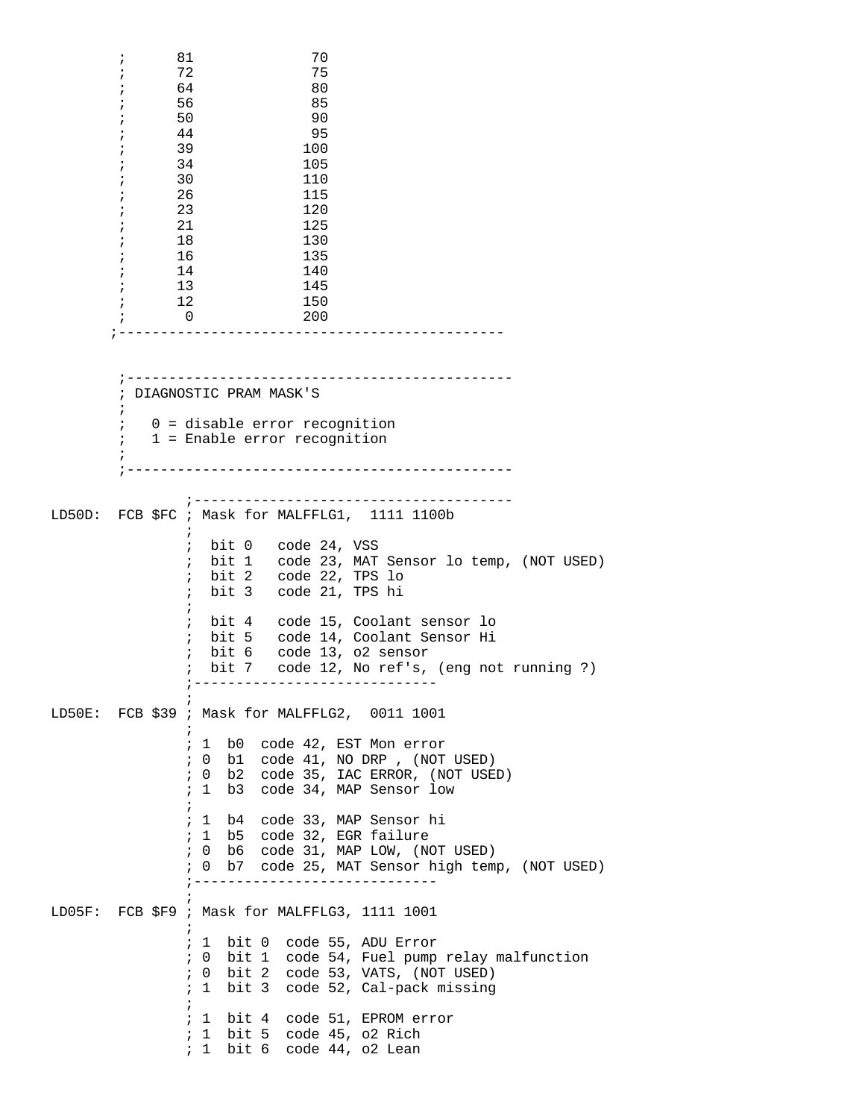; 81 70 ; 72 75 ;  $64$  80  $\begin{array}{ccccc} \cdot & & & 56 \\ \cdot & & & 50 \end{array}$  85  $;$  50 ; 44 95 ; 39 100 ; 34 105 ; 30 110 ; 26 115 ; 23 120  $\begin{array}{cccc} ; & & 21 & & & 125 \\ ; & & 18 & & & 130 \end{array}$  $;$  18 ; 16 135 ; 14 140  $\begin{array}{cc} ; & 13 & 145 \\ ; & 12 & 150 \end{array}$  $\begin{array}{ccccc} ; & & 12 & & & 150 \\ ; & & 0 & & & 200 \end{array}$  $\mathbf{i}$  0 ;---------------------------------------------- ;---------------------------------------------- ; DIAGNOSTIC PRAM MASK'S  $\mathcal{L}^{\text{max}}$  ; 0 = disable error recognition ; 1 = Enable error recognition  $\mathcal{L}^{\text{max}}$  ;---------------------------------------------- ;-------------------------------------- LD50D: FCB \$FC ; Mask for MALFFLG1, 1111 1100b  $\mathcal{L}$  ; and  $\mathcal{L}$  is the state of  $\mathcal{L}$  ; bit 0 code 24, VSS ; bit 1 code 23, MAT Sensor lo temp, (NOT USED) ; bit 2 code 22, TPS lo ; bit 3 code 21, TPS hi  $\mathcal{L}$  ; and  $\mathcal{L}$  is the state of  $\mathcal{L}$  ; bit 4 code 15, Coolant sensor lo ; bit 5 code 14, Coolant Sensor Hi ; bit 6 code 13, o2 sensor ; bit 7 code 12, No ref's, (eng not running ?) ;-----------------------------  $\mathcal{L}^{\text{max}}$ LD50E: FCB \$39 ; Mask for MALFFLG2, 0011 1001  $\mathcal{L}$  ; and  $\mathcal{L}$  is the state of  $\mathcal{L}$  ; 1 b0 code 42, EST Mon error ; 0 b1 code 41, NO DRP , (NOT USED) ; 0 b2 code 35, IAC ERROR, (NOT USED) ; 1 b3 code 34, MAP Sensor low  $\mathcal{L}$  ; and  $\mathcal{L}$  is the state of  $\mathcal{L}$  ; 1 b4 code 33, MAP Sensor hi ; 1 b5 code 32, EGR failure ; 0 b6 code 31, MAP LOW, (NOT USED) ; 0 b7 code 25, MAT Sensor high temp, (NOT USED) ;-----------------------------  $\mathcal{L}$  ; and  $\mathcal{L}$  is the state of  $\mathcal{L}$ LD05F: FCB \$F9 ; Mask for MALFFLG3, 1111 1001  $\mathcal{L}^{\text{max}}$  ; 1 bit 0 code 55, ADU Error ; 0 bit 1 code 54, Fuel pump relay malfunction ; 0 bit 2 code 53, VATS, (NOT USED) ; 1 bit 3 code 52, Cal-pack missing  $\mathcal{L}^{\text{max}}$  ; 1 bit 4 code 51, EPROM error ; 1 bit 5 code 45, o2 Rich ; 1 bit 6 code 44, o2 Lean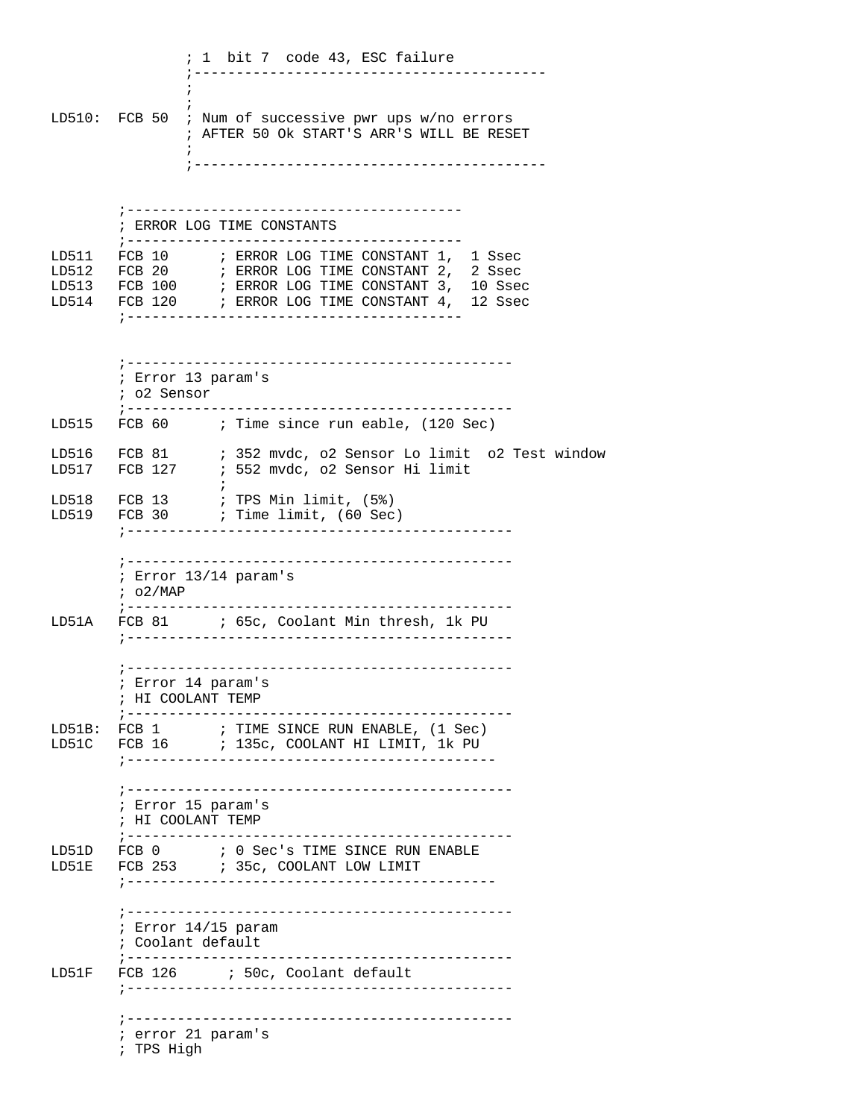; 1 bit 7 code 43, ESC failure ;------------------------------------------  $\mathcal{L}^{\text{max}}$  $\mathcal{L}^{\text{max}}$ LD510: FCB 50 ; Num of successive pwr ups w/no errors ; AFTER 50 Ok START'S ARR'S WILL BE RESET  $\mathcal{L}$  ; and  $\mathcal{L}$  is the state of  $\mathcal{L}$  ;------------------------------------------ ;---------------------------------------- ; ERROR LOG TIME CONSTANTS ;---------------------------------------- LD511 FCB 10 ; ERROR LOG TIME CONSTANT 1, 1 Ssec LD512 FCB 20 ; ERROR LOG TIME CONSTANT 2, 2 Ssec LD513 FCB 100 ; ERROR LOG TIME CONSTANT 3, 10 Ssec LD514 FCB 120 ; ERROR LOG TIME CONSTANT 4, 12 Ssec ;---------------------------------------- ;---------------------------------------------- ; Error 13 param's ; o2 Sensor ;---------------------------------------------- LD515 FCB 60 ; Time since run eable, (120 Sec) LD516 FCB 81 ; 352 mvdc, o2 Sensor Lo limit o2 Test window LD517 FCB 127 ; 552 mvdc, o2 Sensor Hi limit  $\mathcal{L}^{\text{max}}$  is a set of the set of the set of the set of the set of the set of the set of the set of the set of the set of the set of the set of the set of the set of the set of the set of the set of the set of the set LD518 FCB 13 ; TPS Min limit, (5%) LD519 FCB 30 ; Time limit, (60 Sec) ;---------------------------------------------- ;---------------------------------------------- ; Error 13/14 param's ; o2/MAP ;---------------------------------------------- LD51A FCB 81 ; 65c, Coolant Min thresh, 1k PU ;---------------------------------------------- ;---------------------------------------------- ; Error 14 param's ; HI COOLANT TEMP ;---------------------------------------------- LD51B: FCB 1 ; TIME SINCE RUN ENABLE, (1 Sec) LD51C FCB 16 ; 135c, COOLANT HI LIMIT, 1k PU ;-------------------------------------------- ;---------------------------------------------- ; Error 15 param's ; HI COOLANT TEMP ;---------------------------------------------- LD51D FCB 0 ; 0 Sec's TIME SINCE RUN ENABLE LD51E FCB 253 : 35c, COOLANT LOW LIMIT ;-------------------------------------------- ;---------------------------------------------- ; Error 14/15 param ; Coolant default ;---------------------------------------------- LD51F FCB 126 ; 50c, Coolant default ;---------------------------------------------- ;---------------------------------------------- ; error 21 param's ; TPS High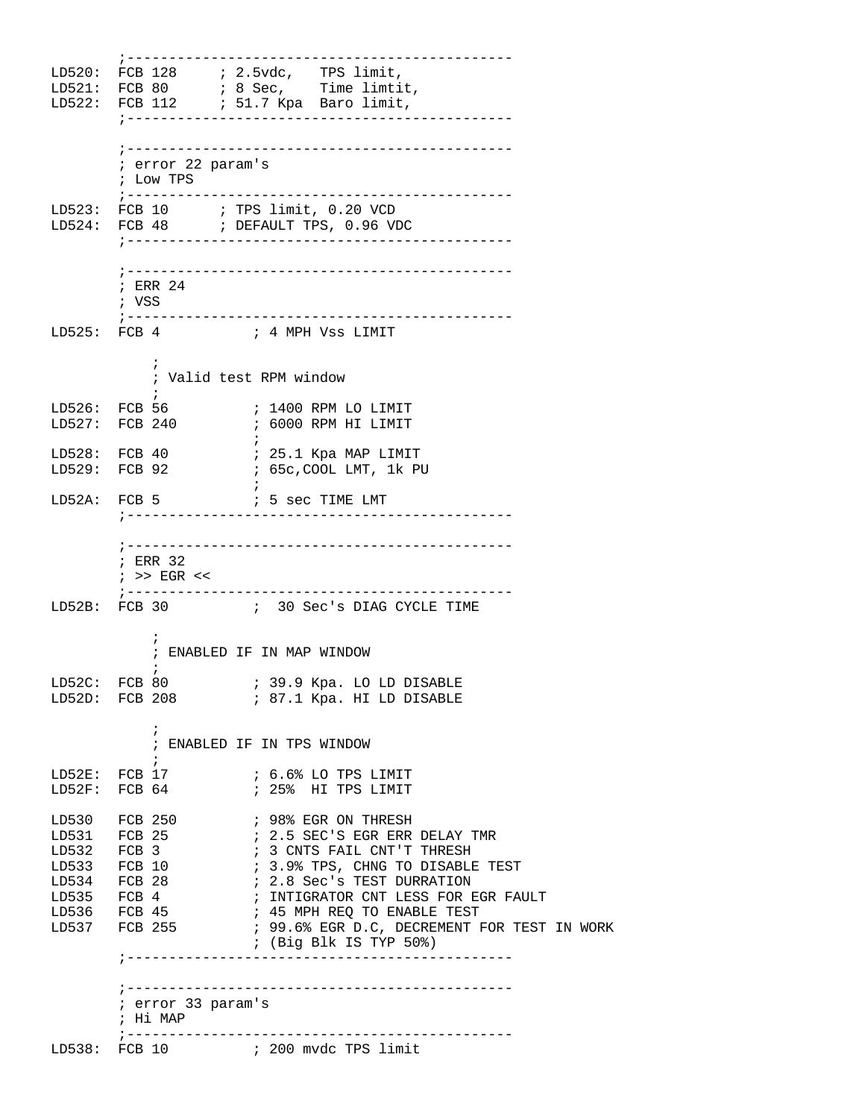;---------------------------------------------- LD520: FCB 128 ; 2.5vdc, TPS limit,  $LD521: FCB 80$  ; 8 Sec, Time limtit, LD522: FCB 112 ; 51.7 Kpa Baro limit, ;---------------------------------------------- ;---------------------------------------------- ; error 22 param's ; Low TPS ;---------------------------------------------- LD523: FCB 10 ; TPS limit, 0.20 VCD LD524: FCB 48 : DEFAULT TPS, 0.96 VDC ;---------------------------------------------- ;---------------------------------------------- ; ERR 24 ; VSS ;---------------------------------------------- LD525: FCB 4 ; 4 MPH Vss LIMIT  $\mathcal{L}$  ; and  $\mathcal{L}$  is the set of  $\mathcal{L}$  ; Valid test RPM window  $\mathcal{L}^{\text{max}}$ LD526: FCB 56 ; 1400 RPM LO LIMIT  $\int 2700$  RPM HI LIMIT  $\mathcal{L}$  ; and the contract of  $\mathcal{L}$ LD528: FCB 40 ; 25.1 Kpa MAP LIMIT LD529: FCB 92 ; 65c,COOL LMT, 1k PU  $\mathcal{L}$  ; and the state  $\mathcal{L}$  is the state of  $\mathcal{L}$ LD52A: FCB 5  $\qquad$  ; 5 sec TIME LMT ;---------------------------------------------- ;---------------------------------------------- ; ERR 32 ; >> EGR << ;---------------------------------------------- LD52B: FCB 30 ; 30 Sec's DIAG CYCLE TIME  $\mathcal{L}^{\text{max}}$  ; ENABLED IF IN MAP WINDOW  $\mathcal{L}$  ; and  $\mathcal{L}$  is the set of  $\mathcal{L}$ LD52C: FCB 80 ; 39.9 Kpa. LO LD DISABLE LD52D: FCB 208 : 87.1 Kpa. HI LD DISABLE  $\mathcal{L}$  ; and  $\mathcal{L}$  is the set of  $\mathcal{L}$  ; ENABLED IF IN TPS WINDOW  $LD52E: FCB 17$ LD52E: FCB  $17$  ; 6.6% LO TPS LIMIT LD52F: FCB 64 ; 25% HI TPS LIMIT LD530 FCB 250 **;** 98% EGR ON THRESH LD531 FCB 25  $\qquad$  ; 2.5 SEC'S EGR ERR DELAY TMR LD530 FCB 250 ; 98% EGR ON THRESH<br>
LD531 FCB 25 ; 2.5 SEC'S EGR ERR DELAY T<br>
LD532 FCB 3 ; 3 CNTS FAIL CNT'T THRESH LD533 FCB 10  $\qquad$  ; 3.9% TPS, CHNG TO DISABLE TEST LD534 FCB 28  $\qquad$  ; 2.8 Sec's TEST DURRATION ; 2.8 Sec's TEST DURRATION LD535 FCB 4 ; INTIGRATOR CNT LESS FOR EGR FAULT LD536 FCB 45 ; 45 MPH REQ TO ENABLE TEST<br>LD537 FCB 255 ; 99.6% EGR D.C, DECREMENT I ; 99.6% EGR D.C, DECREMENT FOR TEST IN WORK ; (Big Blk IS TYP 50%) ;---------------------------------------------- ;---------------------------------------------- ; error 33 param's ; Hi MAP ;---------------------------------------------- LD538: FCB 10 ; 200 mvdc TPS limit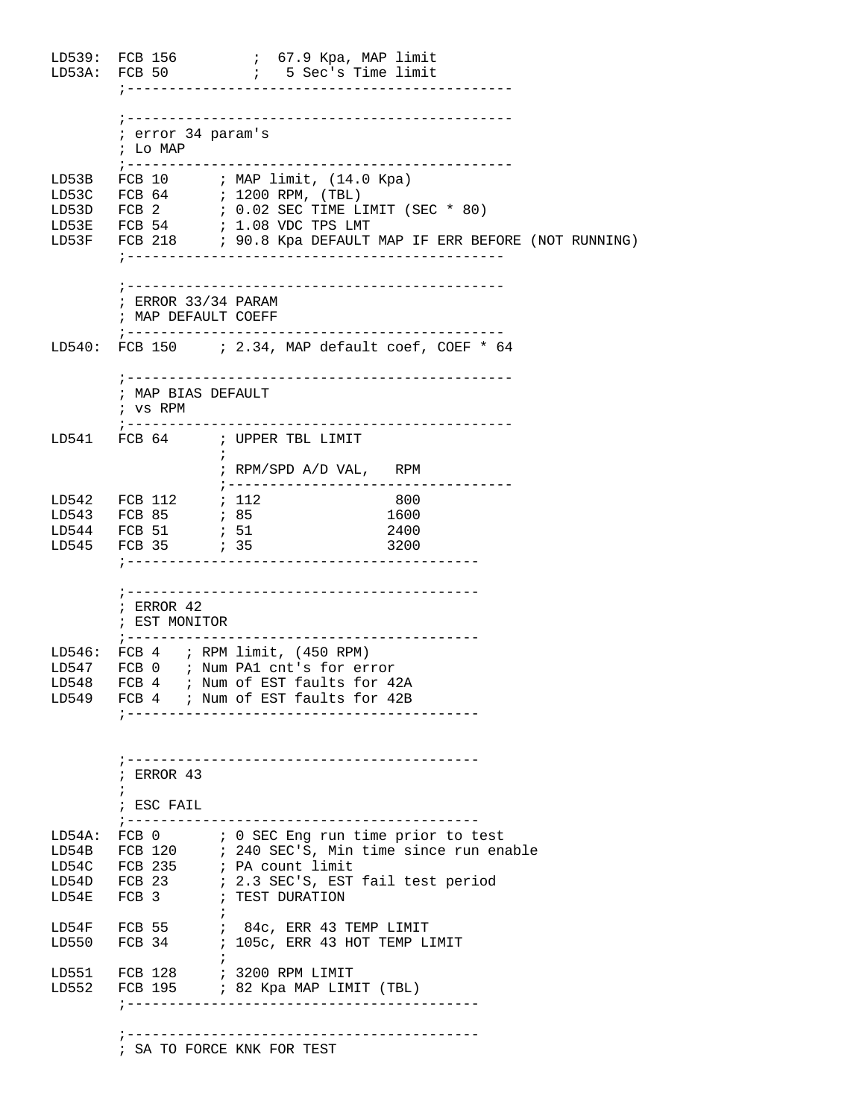LD539: FCB 156 ; 67.9 Kpa, MAP limit LD53A: FCB 50 ; 5 Sec's Time limit ;---------------------------------------------- ;---------------------------------------------- ; error 34 param's ; Lo MAP ;---------------------------------------------- LD53B FCB 10 ; MAP limit, (14.0 Kpa) LD53C FCB 64 ; 1200 RPM, (TBL) LD53D FCB 2  $\qquad$  ; 0.02 SEC TIME LIMIT (SEC  $*$  80) LD53E FCB 54 ; 1.08 VDC TPS LMT LD53F FCB 218 ; 90.8 Kpa DEFAULT MAP IF ERR BEFORE (NOT RUNNING) ;--------------------------------------------- ;--------------------------------------------- ; ERROR 33/34 PARAM ; MAP DEFAULT COEFF ;--------------------------------------------- LD540: FCB 150 ; 2.34, MAP default coef, COEF \* 64 ;---------------------------------------------- ; MAP BIAS DEFAULT ; vs RPM ;---------------------------------------------- LD541 FCB 64 ; UPPER TBL LIMIT  $\mathcal{L}^{\text{max}}$  ; RPM/SPD A/D VAL, RPM ;---------------------------------- LD542 FCB 112 ; 112 800 LD543 FCB 85 ; 85 1600<br>
LD544 FCB 51 ; 51 2400<br>
LD545 FCB 35 ; 51 2400 LD544 FCB 51 ; 51 2400 LD545 FCB 35 ;------------------------------------------ ;------------------------------------------ ; ERROR 42 ; EST MONITOR ;------------------------------------------ LD546: FCB 4 ; RPM limit, (450 RPM) LD547 FCB 0 ; Num PA1 cnt's for error LD548 FCB 4 ; Num of EST faults for 42A LD549 FCB 4 ; Num of EST faults for 42B ;------------------------------------------ ;------------------------------------------ ; ERROR 43  $\mathcal{L}^{\text{max}}$  ; ESC FAIL ;------------------------------------------ LD54A: FCB 0 ; 0 SEC Eng run time prior to test LD54B FCB 120 : 240 SEC'S, Min time since run enable LD54C FCB 235 ; PA count limit LD54D FCB 23 : 2.3 SEC'S, EST fail test period LD54E FCB 3 ; TEST DURATION  $\mathcal{L}^{\text{max}}$ LD54F FCB 55 ; 84c, ERR 43 TEMP LIMIT LD550 FCB 34 ; 105c, ERR 43 HOT TEMP LIMIT  $\mathcal{L}^{\text{max}}$ LD551 FCB 128 ; 3200 RPM LIMIT LD552 FCB 195 ; 82 Kpa MAP LIMIT (TBL) ;------------------------------------------ ;------------------------------------------

; SA TO FORCE KNK FOR TEST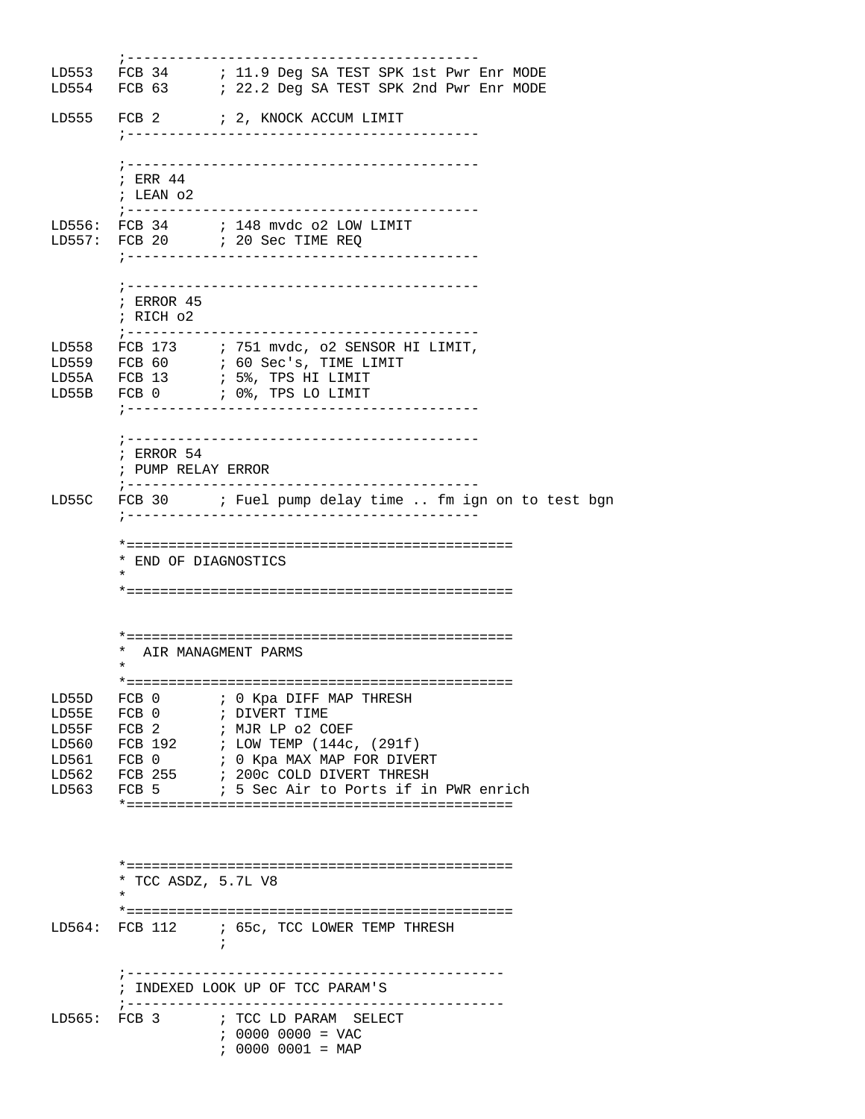;------------------------------------------ LD553 FCB 34 ; 11.9 Deg SA TEST SPK 1st Pwr Enr MODE LD554 FCB 63 ; 22.2 Deg SA TEST SPK 2nd Pwr Enr MODE LD555 FCB 2 ; 2, KNOCK ACCUM LIMIT ;------------------------------------------ ;------------------------------------------ ; ERR 44 ; LEAN o2 ;------------------------------------------ LD556: FCB 34 ; 148 mvdc o2 LOW LIMIT LD557: FCB 20 ; 20 Sec TIME REQ ;------------------------------------------ ;------------------------------------------ ; ERROR 45 ; RICH o2 ;------------------------------------------ LD558 FCB 173 : 751 mvdc, o2 SENSOR HI LIMIT, LD559 FCB 60 ; 60 Sec's, TIME LIMIT LD55A FCB 13 : 5%, TPS HI LIMIT LD55B FCB 0 ; 0%, TPS LO LIMIT ;------------------------------------------ ;------------------------------------------ ; ERROR 54 ; PUMP RELAY ERROR ;------------------------------------------ LD55C FCB 30 ; Fuel pump delay time .. fm ign on to test bgn ;------------------------------------------ \*============================================== \* END OF DIAGNOSTICS  $\star$  \*============================================== \*============================================== \* AIR MANAGMENT PARMS  $\star$  \*============================================== LD55D FCB 0 ; 0 Kpa DIFF MAP THRESH<br>LD55E FCB 0 ; DIVERT TIME ; DIVERT TIME<br>; MJR LP 02 COEF  $LDS5F$  FCB 2 LD560 FCB 192 ; LOW TEMP (144c, (291f) LD561 FCB 0 ; 0 Kpa MAX MAP FOR DIVERT LD562 FCB 255 ; 200c COLD DIVERT THRESH LD563 FCB 5 ; 5 Sec Air to Ports if in PWR enrich \*============================================== \*============================================== \* TCC ASDZ, 5.7L V8  $\star$  \*============================================== LD564: FCB 112 ; 65c, TCC LOWER TEMP THRESH  $\mathcal{L}^{\text{max}}$  is a set of the set of the set of the set of the set of the set of the set of the set of the set of the set of the set of the set of the set of the set of the set of the set of the set of the set of the set ;--------------------------------------------- ; INDEXED LOOK UP OF TCC PARAM'S ;--------------------------------------------- LD565: FCB 3 ; TCC LD PARAM SELECT ; 0000 0000 = VAC ; 0000 0001 = MAP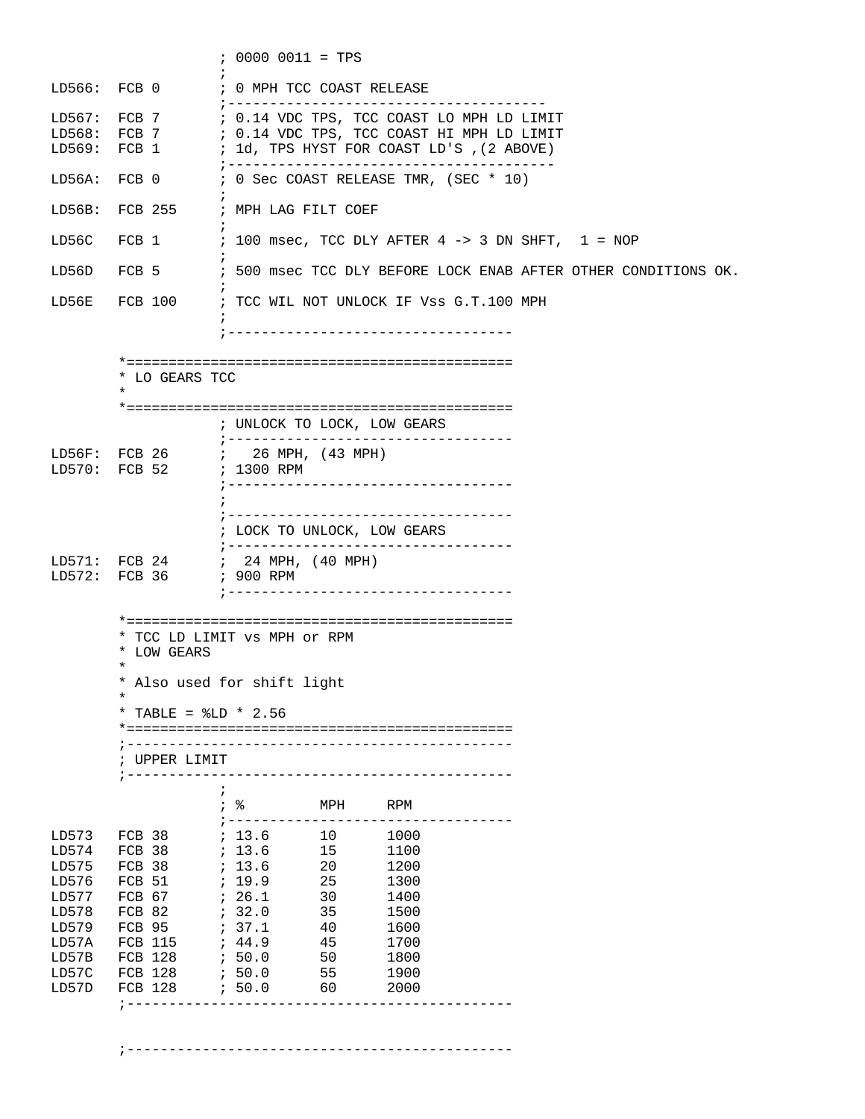|                                                                                                 |                                                                                                                | $: 0000 0011 = TPS$                                                                                                                                                                                                                                              |  |  |  |  |  |  |
|-------------------------------------------------------------------------------------------------|----------------------------------------------------------------------------------------------------------------|------------------------------------------------------------------------------------------------------------------------------------------------------------------------------------------------------------------------------------------------------------------|--|--|--|--|--|--|
|                                                                                                 | LD566: FCB0                                                                                                    | ; 0 MPH TCC COAST RELEASE                                                                                                                                                                                                                                        |  |  |  |  |  |  |
|                                                                                                 | LD567: FCB 7                                                                                                   | ; ----------------<br>; 0.14 VDC TPS, TCC COAST LO MPH LD LIMIT<br>LD568: FCB 7 7 7 80.14 VDC TPS, TCC COAST HI MPH LD LIMIT<br>LD569: FCB 1 : 1d, TPS HYST FOR COAST LD'S , (2 ABOVE)                                                                           |  |  |  |  |  |  |
| LD56A:                                                                                          |                                                                                                                | FCB 0 : 0 Sec COAST RELEASE TMR, (SEC * 10)                                                                                                                                                                                                                      |  |  |  |  |  |  |
| LD56B:                                                                                          |                                                                                                                | FCB 255 ; MPH LAG FILT COEF                                                                                                                                                                                                                                      |  |  |  |  |  |  |
| LD56C                                                                                           | ÷                                                                                                              | FCB $1$ ; 100 msec, TCC DLY AFTER $4 \rightarrow 3$ DN SHFT, $1 = \text{NOP}$                                                                                                                                                                                    |  |  |  |  |  |  |
| LD56D                                                                                           | FCB 5                                                                                                          | ; 500 msec TCC DLY BEFORE LOCK ENAB AFTER OTHER CONDITIONS OK.                                                                                                                                                                                                   |  |  |  |  |  |  |
| LD56E                                                                                           |                                                                                                                | FCB 100         ; TCC WIL NOT UNLOCK IF Vss G.T.100 MPH                                                                                                                                                                                                          |  |  |  |  |  |  |
|                                                                                                 |                                                                                                                | ; ---------------------                                                                                                                                                                                                                                          |  |  |  |  |  |  |
|                                                                                                 | * LO GEARS TCC<br>$\star$                                                                                      |                                                                                                                                                                                                                                                                  |  |  |  |  |  |  |
|                                                                                                 |                                                                                                                | ; UNLOCK TO LOCK, LOW GEARS                                                                                                                                                                                                                                      |  |  |  |  |  |  |
|                                                                                                 |                                                                                                                | ;----------------------------------<br>;-----------------------------------                                                                                                                                                                                      |  |  |  |  |  |  |
|                                                                                                 |                                                                                                                |                                                                                                                                                                                                                                                                  |  |  |  |  |  |  |
|                                                                                                 |                                                                                                                | ; LOCK TO UNLOCK, LOW GEARS<br>;----------------------------------                                                                                                                                                                                               |  |  |  |  |  |  |
|                                                                                                 |                                                                                                                | LD571: FCB 24 ; 24 MPH, (40 MPH)<br>;-----------------------------------                                                                                                                                                                                         |  |  |  |  |  |  |
|                                                                                                 | * LOW GEARS<br>$^\star$<br>*<br>* TABLE = $$LD * 2.56$<br>; ------------------                                 | * TCC LD LIMIT VS MPH Or RPM<br>* Also used for shift light                                                                                                                                                                                                      |  |  |  |  |  |  |
|                                                                                                 | ; UPPER LIMIT                                                                                                  | -------------------------------                                                                                                                                                                                                                                  |  |  |  |  |  |  |
|                                                                                                 | $\ddot{ }$                                                                                                     | ;        。<br>MPH<br>RPM<br>; -------------------                                                                                                                                                                                                                |  |  |  |  |  |  |
| LD573<br>LD574<br>LD575<br>LD576<br>LD577<br>LD578<br>LD579<br>LD57A<br>LD57B<br>LD57C<br>LD57D | FCB 38<br>FCB 38<br>FCB 38<br>FCB 51<br>FCB 67<br>FCB 82<br>FCB 95<br>FCB 115<br>FCB 128<br>FCB 128<br>FCB 128 | : 13.6 10<br>1000<br>, 13.6<br>15<br>1100<br>; 13.6<br>20<br>1200<br>; 19.9<br>25<br>1300<br>: 26.1<br>30<br>1400<br>; 32.0<br>35<br>1500<br>; 37.1<br>1600<br>40<br>; 44.9<br>45<br>1700<br>.50.0<br>50<br>1800<br>7.50.0<br>55<br>1900<br>; 50.0<br>2000<br>60 |  |  |  |  |  |  |
|                                                                                                 | ; ---------------                                                                                              |                                                                                                                                                                                                                                                                  |  |  |  |  |  |  |

;----------------------------------------------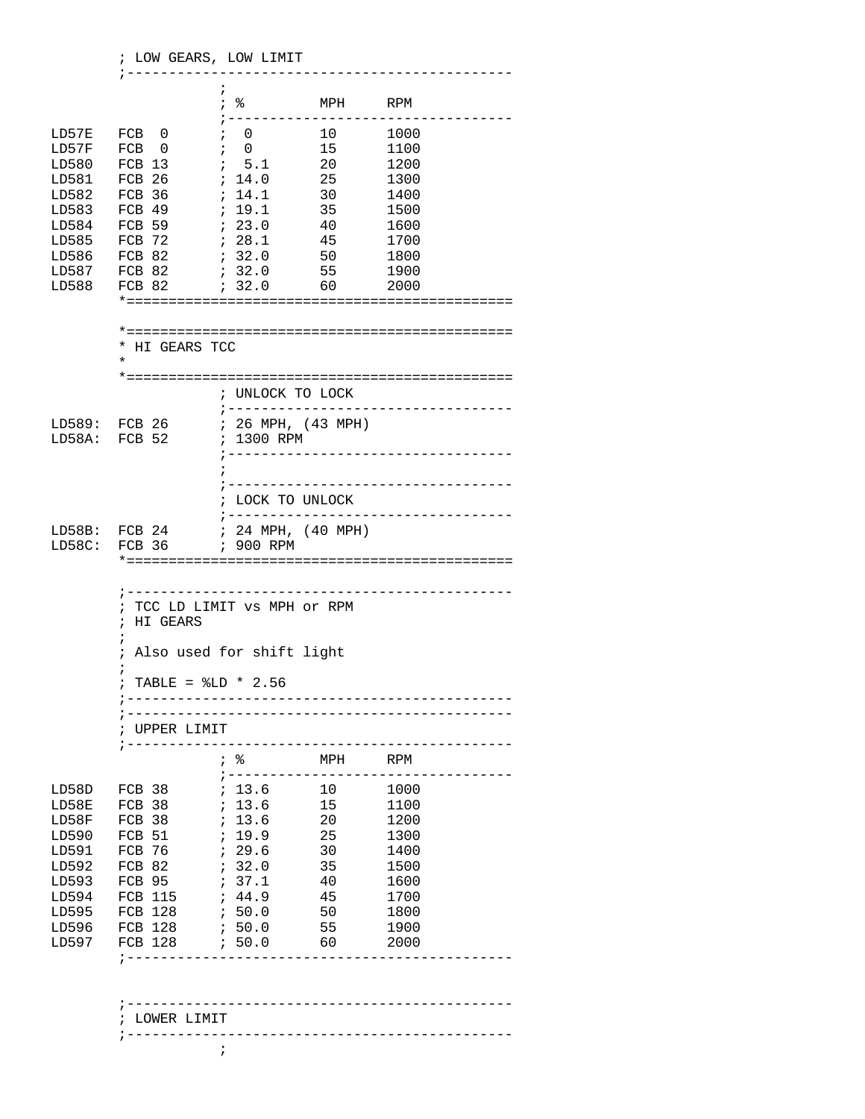|                | ; LOW GEARS, LOW LIMIT                                                                                                       |                                     | _____________________                      |                                       |  |  |  |
|----------------|------------------------------------------------------------------------------------------------------------------------------|-------------------------------------|--------------------------------------------|---------------------------------------|--|--|--|
|                |                                                                                                                              | i.                                  | MPH RPM                                    | ;-----------------------------------  |  |  |  |
| LD57E          | FCB 0                                                                                                                        | $\mathfrak{z} = 0$                  | 10                                         | 1000                                  |  |  |  |
| LD57F          | FCB 0                                                                                                                        | $\ddot{i}$ 0                        | 15                                         | 1100                                  |  |  |  |
| LD580          | FCB 13                                                                                                                       | $\frac{1}{2}$ 5.1 20                |                                            | 1200                                  |  |  |  |
| LD581          | FCB 26                                                                                                                       | ; 14.0                              | 25                                         | 1300                                  |  |  |  |
| LD582          | FCB 36                                                                                                                       | ; 14.1                              | 30                                         | 1400                                  |  |  |  |
| LD583          | FCB 49                                                                                                                       | : 19.1                              | 35                                         | 1500                                  |  |  |  |
| LD584          | FCB 59                                                                                                                       | ; 23.0                              | 40                                         | 1600                                  |  |  |  |
| LD585          | FCB 72                                                                                                                       | : 28.1<br>45                        |                                            | 1700                                  |  |  |  |
| LD586<br>LD587 | FCB 82<br>FCB 82                                                                                                             | 7.32.0<br>: 32.0                    | 50<br>55                                   | 1800                                  |  |  |  |
| LD588          | FCB 82                                                                                                                       | ; 32.0                              | 60                                         | 1900<br>2000                          |  |  |  |
|                |                                                                                                                              |                                     |                                            |                                       |  |  |  |
|                | * HI GEARS TCC<br>¥                                                                                                          |                                     |                                            |                                       |  |  |  |
|                |                                                                                                                              |                                     |                                            |                                       |  |  |  |
|                |                                                                                                                              | ; UNLOCK TO LOCK                    |                                            | ; ----------------------------------- |  |  |  |
|                | LD589: FCB 26                                                                                                                | $: 26$ MPH, $(43$ MPH)              |                                            |                                       |  |  |  |
|                | LD58A: FCB 52                                                                                                                | ; 1300 RPM                          |                                            |                                       |  |  |  |
|                |                                                                                                                              |                                     |                                            |                                       |  |  |  |
|                |                                                                                                                              | ;---------------------------------- |                                            |                                       |  |  |  |
|                |                                                                                                                              |                                     |                                            |                                       |  |  |  |
|                |                                                                                                                              | LOCK TO UNLOCK                      |                                            | ;-----------------------------------  |  |  |  |
|                | LD58B: FCB 24 ; 24 MPH, (40 MPH)                                                                                             |                                     |                                            |                                       |  |  |  |
| LD58C:         |                                                                                                                              |                                     |                                            |                                       |  |  |  |
|                |                                                                                                                              |                                     |                                            |                                       |  |  |  |
|                | ; TCC LD LIMIT vs MPH or RPM<br>; HI GEARS<br>Also used for shift light<br>$\ddot{i}$<br>TABLE = $$LD * 2.56$<br>UPPER LIMIT | -----------------------------       | -------------------                        |                                       |  |  |  |
|                |                                                                                                                              | $\frac{1}{2}$ - - - - - -           | MPH                                        | RPM                                   |  |  |  |
| LD58D          | FCB 38                                                                                                                       | ; 13.6                              | $\begin{array}{c}\n- \\ 10 \\ \end{array}$ | 1000                                  |  |  |  |
| LD58E          | FCB 38                                                                                                                       | ; 13.6                              | 15                                         | 1100                                  |  |  |  |
| LD58F          | FCB 38                                                                                                                       | , 13.6                              | 20                                         | 1200                                  |  |  |  |
| LD590          | FCB 51                                                                                                                       | , 19.9<br>25                        |                                            | 1300                                  |  |  |  |
| LD591          | FCB 76                                                                                                                       | 729.6                               | 30                                         | 1400                                  |  |  |  |
| LD592          | FCB 82                                                                                                                       | ; 32.0                              | 35                                         | 1500                                  |  |  |  |
| LD593          | FCB 95                                                                                                                       | : 37.1                              | 40                                         | 1600                                  |  |  |  |
| LD594          | FCB 115                                                                                                                      | ; 44.9                              | 45                                         | 1700                                  |  |  |  |
| LD595          | <b>FCB 128</b>                                                                                                               | 6.50.0                              | 50                                         | 1800                                  |  |  |  |
| LD596          | FCB 128                                                                                                                      | ; 50.0                              | 55                                         | 1900                                  |  |  |  |
| LD597          | FCB 128                                                                                                                      | .50.0<br>---------------------      | 60                                         | 2000                                  |  |  |  |
|                |                                                                                                                              |                                     |                                            |                                       |  |  |  |

 ; LOWER LIMIT ;----------------------------------------------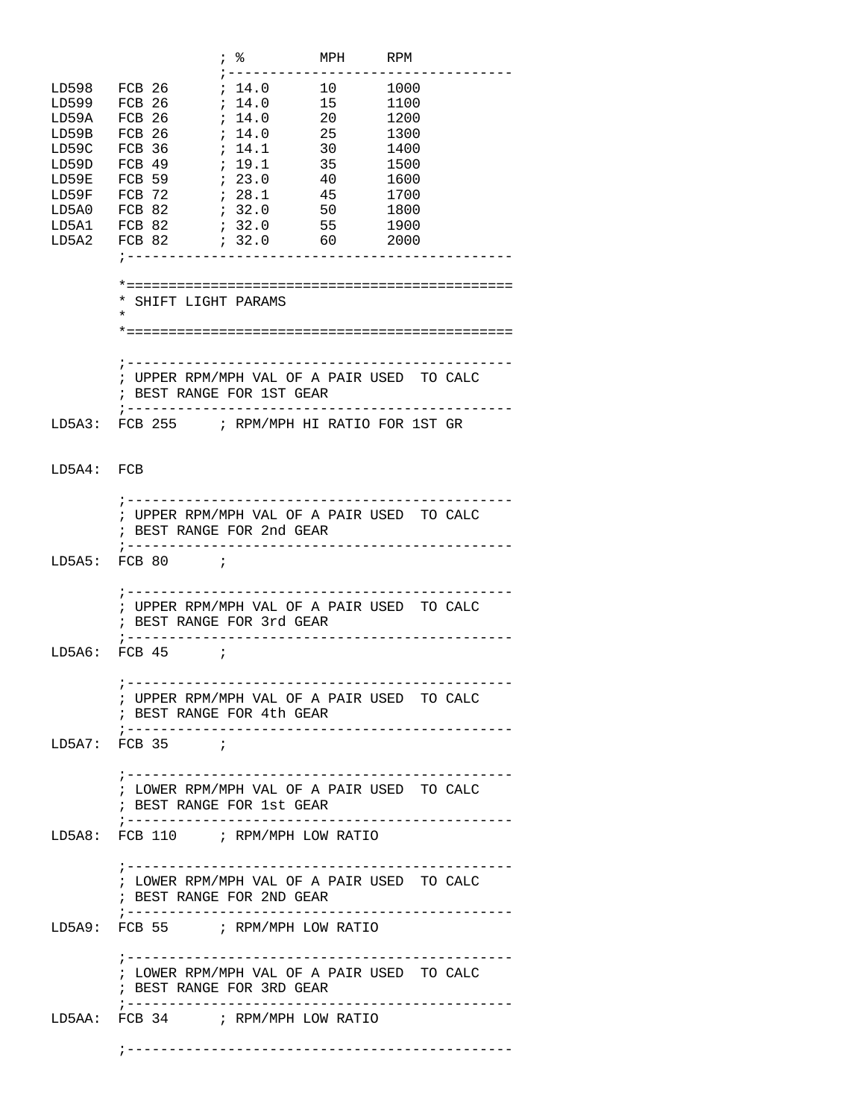|              |                                              |        |                | MPH RPM |      |                                   |
|--------------|----------------------------------------------|--------|----------------|---------|------|-----------------------------------|
|              | LD598 FCB 26                                 |        | ; 14.0 10 1000 |         |      |                                   |
|              |                                              |        |                |         |      |                                   |
| LD599 FCB 26 |                                              |        | : 14.0         | 15      | 1100 |                                   |
| LD59A        | FCB 26                                       | ; 14.0 |                | 20      | 1200 |                                   |
| LD59B        | FCB 26                                       | ; 14.0 |                | 25      | 1300 |                                   |
| LD59C        | FCB 36                                       | ; 14.1 |                | 30      | 1400 |                                   |
| LD59D        | FCB 49                                       | ; 19.1 |                | 35      | 1500 |                                   |
| LD59E        | FCB 59                                       | , 23.0 |                | 40      | 1600 |                                   |
| LD59F FCB 72 |                                              | ; 28.1 |                | 45      | 1700 |                                   |
| LD5A0        | FCB 82                                       | 732.0  |                | 50      | 1800 |                                   |
| LD5A1 FCB 82 |                                              | ; 32.0 |                | 55      | 1900 |                                   |
|              | LD5A2 FCB 82                                 |        | $32.0$ 60 2000 |         |      |                                   |
|              |                                              |        |                |         |      |                                   |
|              |                                              |        |                |         |      |                                   |
|              |                                              |        |                |         |      |                                   |
|              | * SHIFT LIGHT PARAMS                         |        |                |         |      |                                   |
|              | $\star$                                      |        |                |         |      |                                   |
|              |                                              |        |                |         |      |                                   |
|              |                                              |        |                |         |      |                                   |
|              |                                              |        |                |         |      |                                   |
|              | ; UPPER RPM/MPH VAL OF A PAIR USED TO CALC   |        |                |         |      |                                   |
|              | ; BEST RANGE FOR 1ST GEAR                    |        |                |         |      |                                   |
|              |                                              |        |                |         |      |                                   |
|              | LD5A3: FCB 255 ; RPM/MPH HI RATIO FOR 1ST GR |        |                |         |      |                                   |
|              |                                              |        |                |         |      |                                   |
|              |                                              |        |                |         |      |                                   |
| LD5A4: FCB   |                                              |        |                |         |      |                                   |
|              |                                              |        |                |         |      |                                   |
|              | ; ---------------------------------          |        |                |         |      |                                   |
|              | ; UPPER RPM/MPH VAL OF A PAIR USED TO CALC   |        |                |         |      |                                   |
|              | ; BEST RANGE FOR 2nd GEAR                    |        |                |         |      |                                   |
|              | ;---------------------------------           |        |                |         |      |                                   |
|              | $LD5A5: FCB 80$ ;                            |        |                |         |      |                                   |
|              |                                              |        |                |         |      |                                   |
|              |                                              |        |                |         |      |                                   |
|              | ; UPPER RPM/MPH VAL OF A PAIR USED TO CALC   |        |                |         |      |                                   |
|              | ; BEST RANGE FOR 3rd GEAR                    |        |                |         |      |                                   |
|              | ; -------------------                        |        |                |         |      |                                   |
|              | $LD5A6: FCB 45$ ;                            |        |                |         |      |                                   |
|              |                                              |        |                |         |      |                                   |
|              | : ------                                     |        |                |         |      |                                   |
|              | ; UPPER RPM/MPH VAL OF A PAIR USED TO CALC   |        |                |         |      |                                   |
|              | ; BEST RANGE FOR 4th GEAR                    |        |                |         |      |                                   |
|              |                                              |        |                |         |      |                                   |
|              | $LD5A7: FCB 35$ ;                            |        |                |         |      |                                   |
|              |                                              |        |                |         |      |                                   |
|              |                                              |        |                |         |      |                                   |
|              |                                              |        |                |         |      |                                   |
|              | ; LOWER RPM/MPH VAL OF A PAIR USED TO CALC   |        |                |         |      |                                   |
|              | ; BEST RANGE FOR 1st GEAR                    |        |                |         |      |                                   |
|              |                                              |        |                |         |      |                                   |
|              | LD5A8: FCB 110 ; RPM/MPH LOW RATIO           |        |                |         |      |                                   |
|              |                                              |        |                |         |      |                                   |
|              |                                              |        |                |         |      |                                   |
|              | ; LOWER RPM/MPH VAL OF A PAIR USED TO CALC   |        |                |         |      |                                   |
|              | ; BEST RANGE FOR 2ND GEAR                    |        |                |         |      |                                   |
|              |                                              |        |                |         |      |                                   |
|              | LD5A9: FCB 55 ; RPM/MPH LOW RATIO            |        |                |         |      |                                   |
|              |                                              |        |                |         |      |                                   |
|              |                                              |        |                |         |      |                                   |
|              | ; LOWER RPM/MPH VAL OF A PAIR USED TO CALC   |        |                |         |      |                                   |
|              | ; BEST RANGE FOR 3RD GEAR                    |        |                |         |      |                                   |
|              | ; --------------------------                 |        |                |         |      | . _ _ _ _ _ _ _ _ _ _ _ _ _ _ _ _ |
|              | LD5AA: FCB 34 ; RPM/MPH LOW RATIO            |        |                |         |      |                                   |
|              |                                              |        |                |         |      |                                   |
|              |                                              |        |                |         |      |                                   |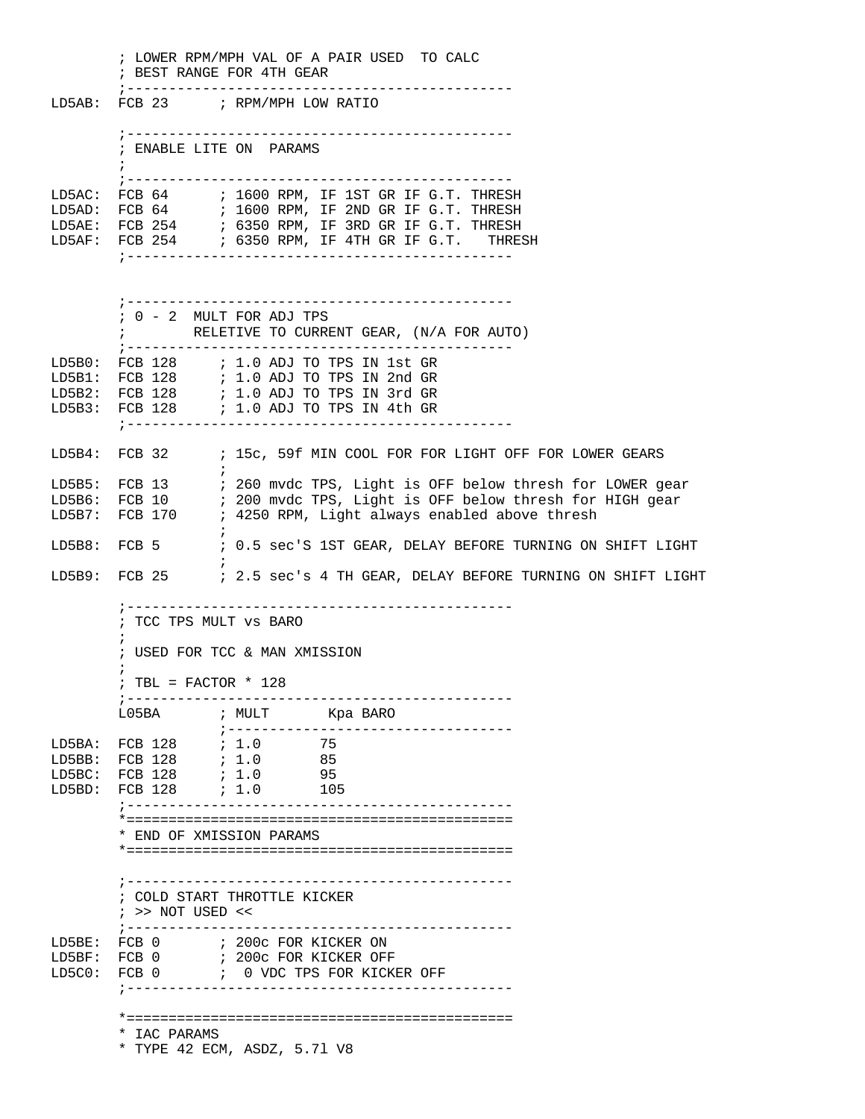; LOWER RPM/MPH VAL OF A PAIR USED TO CALC ; BEST RANGE FOR 4TH GEAR ;---------------------------------------------- LD5AB: FCB 23 ; RPM/MPH LOW RATIO ;---------------------------------------------- ; ENABLE LITE ON PARAMS  $\mathcal{L}^{\text{max}}$  ;---------------------------------------------- LD5AC: FCB 64 ; 1600 RPM, IF 1ST GR IF G.T. THRESH LD5AD: FCB 64 ; 1600 RPM, IF 2ND GR IF G.T. THRESH LD5AE: FCB 254 ; 6350 RPM, IF 3RD GR IF G.T. THRESH LD5AF: FCB 254 : 6350 RPM, IF 4TH GR IF G.T. THRESH ;---------------------------------------------- ;---------------------------------------------- ; 0 - 2 MULT FOR ADJ TPS ; RELETIVE TO CURRENT GEAR, (N/A FOR AUTO) ;---------------------------------------------- LD5B0: FCB 128 ; 1.0 ADJ TO TPS IN 1st GR LD5B1: FCB 128 ; 1.0 ADJ TO TPS IN 2nd GR LD5B2: FCB 128 ; 1.0 ADJ TO TPS IN 3rd GR LD5B3: FCB 128 ; 1.0 ADJ TO TPS IN 4th GR ;---------------------------------------------- LD5B4: FCB 32 ; 15c, 59f MIN COOL FOR FOR LIGHT OFF FOR LOWER GEARS  $\mathcal{L}^{\text{max}}$  is a set of the set of the set of the set of the set of the set of the set of the set of the set of the set of the set of the set of the set of the set of the set of the set of the set of the set of the set LD5B5: FCB 13 : 260 mvdc TPS, Light is OFF below thresh for LOWER gear LD5B6: FCB 10 ; 200 mvdc TPS, Light is OFF below thresh for HIGH gear LD5B7: FCB 170 ; 4250 RPM, Light always enabled above thresh  $\mathcal{L}^{\text{max}}$ LD5B8: FCB 5 ; 0.5 sec'S 1ST GEAR, DELAY BEFORE TURNING ON SHIFT LIGHT  $\mathcal{L}^{\text{max}}$  is a set of the set of the set of the set of the set of the set of the set of the set of the set of the set of the set of the set of the set of the set of the set of the set of the set of the set of the set LD5B9: FCB 25 ; 2.5 sec's 4 TH GEAR, DELAY BEFORE TURNING ON SHIFT LIGHT ;---------------------------------------------- ; TCC TPS MULT vs BARO  $\mathcal{L}^{\text{max}}$  ; USED FOR TCC & MAN XMISSION  $\mathcal{L}^{\text{max}}$  ; TBL = FACTOR \* 128 ;---------------------------------------------- L05BA ; MULT Kpa BARO ;---------------------------------- LD5BA: FCB 128 ; 1.0 75 LD5BB: FCB 128 ; 1.0 85  $LD5BC: FCB 128$ LD5BD: FCB 128 ; 1.0 105 ;---------------------------------------------- \*============================================== \* END OF XMISSION PARAMS \*============================================== ;---------------------------------------------- ; COLD START THROTTLE KICKER ; >> NOT USED << ;---------------------------------------------- LD5BE: FCB 0 ; 200c FOR KICKER ON LD5BF: FCB 0 ; 200c FOR KICKER OFF LD5C0: FCB 0 ; 0 VDC TPS FOR KICKER OFF ;---------------------------------------------- \*============================================== \* IAC PARAMS \* TYPE 42 ECM, ASDZ, 5.7l V8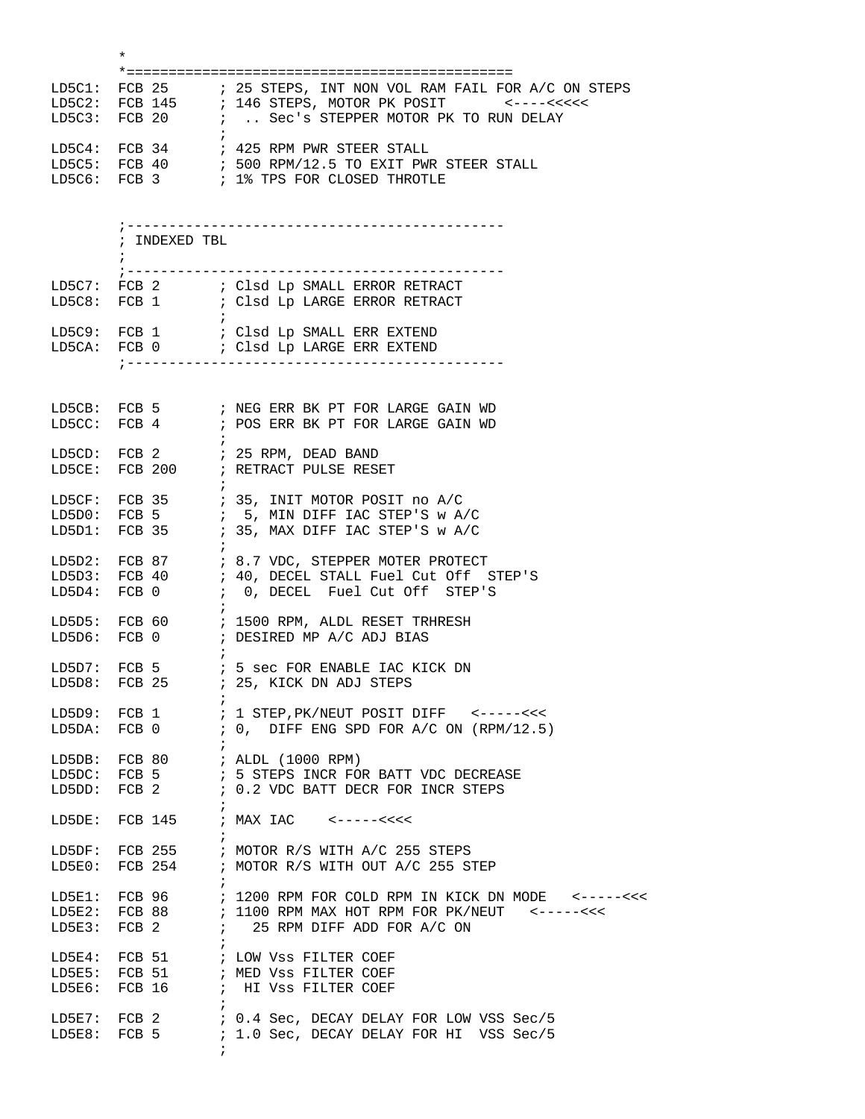|        | $\ast$                         |                                                                                                                                                                                                       |
|--------|--------------------------------|-------------------------------------------------------------------------------------------------------------------------------------------------------------------------------------------------------|
| LD5C1: |                                | FCB 25 : 25 STEPS, INT NON VOL RAM FAIL FOR A/C ON STEPS<br>LD5C2: FCB 145 ; 146 STEPS, MOTOR PK POSIT <----<<<<<                                                                                     |
|        |                                | LD5C4: FCB 34 $\qquad$ ; 425 RPM PWR STEER STALL<br>LD5C5: FCB 40 $\qquad$ ; 500 RPM/12.5 TO EXIT PWR STEER STALL<br>LD5C6: FCB 3 ; 1% TPS FOR CLOSED THROTLE                                         |
|        | ; INDEXED TBL<br>; ----------- | ------------------------                                                                                                                                                                              |
|        |                                | LD5C7: FCB 2          ; Clsd Lp SMALL ERROR RETRACT<br>LD5C8: FCB 1         ; Clsd Lp LARGE ERROR RETRACT                                                                                             |
|        |                                | LD5CA: $FCB$ 0 $i$ Clsd Lp LARGE ERR EXTEND                                                                                                                                                           |
| LD5CC: |                                | LD5CB: FCB 5 : NEG ERR BK PT FOR LARGE GAIN WD<br>FCB 4 : POS ERR BK PT FOR LARGE GAIN WD                                                                                                             |
|        |                                | LD5CD: FCB 2 $\qquad$ ; 25 RPM, DEAD BAND<br>LD5CE: FCB 200 $\qquad$ ; RETRACT PULSE RESET                                                                                                            |
|        |                                |                                                                                                                                                                                                       |
| LD5D4: |                                | LD5D2: FCB 87 : 8.7 VDC, STEPPER MOTER PROTECT<br>LD5D3: FCB 40 ; 40, DECEL STALL Fuel Cut Off STEP'S<br>FCB 0 : 0, DECEL Fuel Cut Off STEP'S                                                         |
|        |                                | LD5D5: FCB 60 : 1500 RPM, ALDL RESET TRHRESH<br>LD5D6: FCB 0 ; DESIRED MP A/C ADJ BIAS                                                                                                                |
|        |                                | LD5D7: FCB $5$ ; $5$ sec FOR ENABLE IAC KICK DN<br>LD5D8: FCB 25 ; 25, KICK DN ADJ STEPS                                                                                                              |
|        |                                | LD5DA: FCB 0 $\qquad$ ; 0, DIFF ENG SPD FOR A/C ON (RPM/12.5)                                                                                                                                         |
| LD5DD: |                                | LD5DB: FCB 80 $\qquad$ ; ALDL (1000 RPM)<br>LD5DC: FCB 5 $\qquad$ ; 5 STEPS INCR FOR BATT VDC DECREASE<br>FCB 2 $: 0.2$ VDC BATT DECR FOR INCR STEPS                                                  |
| LD5DE: | $\ddot{i}$                     | FCB $145$ ; MAX IAC <-----<<<<                                                                                                                                                                        |
|        |                                | LD5DF: FCB 255 ; MOTOR R/S WITH A/C 255 STEPS<br>LD5E0: FCB 254 ; MOTOR R/S WITH OUT A/C 255 STEP                                                                                                     |
|        |                                | LD5E1: FCB 96 $\qquad$ ; 1200 RPM FOR COLD RPM IN KICK DN MODE <-----<<<<br>LD5E2: FCB 88 $\qquad$ ; 1100 RPM MAX HOT RPM FOR PK/NEUT <-----<<<<br>LD5E3: FCB 2 $\qquad$ ; 25 RPM DIFF ADD FOR A/C ON |
| LD5E6: | FCB 16                         | LD5E4: FCB 51 $\qquad$ ; LOW Vss FILTER COEF<br>LD5E5: FCB 51 $\qquad$ ; MED VSS FILTER COEF<br>; HI VSS FILTER COEF                                                                                  |
|        |                                | LD5E7: FCB 2 : 0.4 Sec, DECAY DELAY FOR LOW VSS Sec/5<br>LD5E8: FCB 5 : 1.0 Sec, DECAY DELAY FOR HI VSS Sec/5                                                                                         |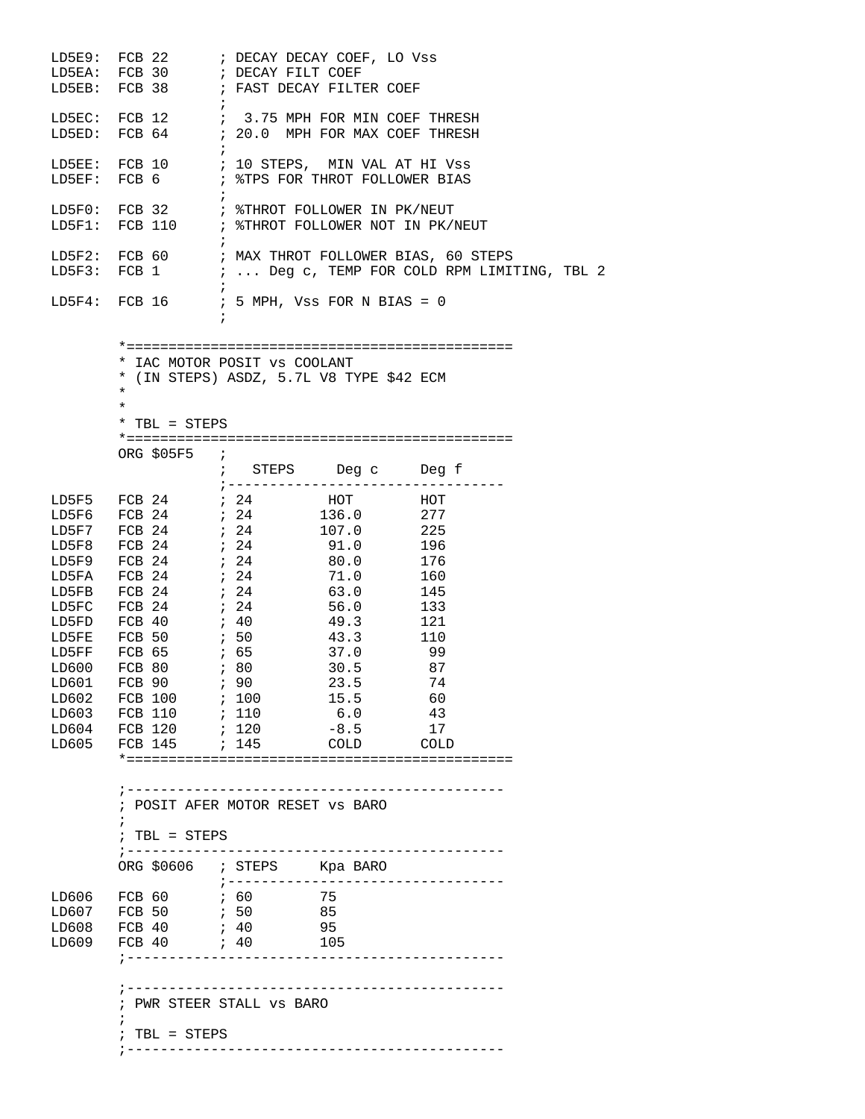|                                  | LD5EA: FCB 30 : DECAY FILT COEF<br>LD5EB: FCB 38 : FAST DECAY FILTER COEF                                                                                                                                                                                                                                                                      |                                   |                                                                                                                                 |                                                                                                                        |  |  |  |  |
|----------------------------------|------------------------------------------------------------------------------------------------------------------------------------------------------------------------------------------------------------------------------------------------------------------------------------------------------------------------------------------------|-----------------------------------|---------------------------------------------------------------------------------------------------------------------------------|------------------------------------------------------------------------------------------------------------------------|--|--|--|--|
|                                  |                                                                                                                                                                                                                                                                                                                                                | $\ddot{i}$                        | LD5EC: FCB 12 $\qquad$ ; 3.75 MPH FOR MIN COEF THRESH LD5ED: FCB 64 $\qquad$ ; 20.0 MPH FOR MAX COEF THRESH                     |                                                                                                                        |  |  |  |  |
|                                  |                                                                                                                                                                                                                                                                                                                                                |                                   | LD5EE: FCB 10 : 10 STEPS, MIN VAL AT HI VSS<br>LD5EF: FCB $6$ ; *TPS FOR THROT FOLLOWER BIAS                                    |                                                                                                                        |  |  |  |  |
|                                  | LD5F0: FCB 32 : %THROT FOLLOWER IN PK/NEUT<br>LD5F1: FCB 110 : %THROT FOLLOWER NOT IN PK/NEUT                                                                                                                                                                                                                                                  |                                   |                                                                                                                                 |                                                                                                                        |  |  |  |  |
|                                  |                                                                                                                                                                                                                                                                                                                                                | $\cdot$ ;                         |                                                                                                                                 | LD5F2: FCB 60 : MAX THROT FOLLOWER BIAS, 60 STEPS<br>LD5F3: FCB 1 $\qquad$ ;  Deg c, TEMP FOR COLD RPM LIMITING, TBL 2 |  |  |  |  |
|                                  | LD5F4: FCB 16 $\qquad$ ; 5 MPH, Vss FOR N BIAS = 0                                                                                                                                                                                                                                                                                             |                                   |                                                                                                                                 |                                                                                                                        |  |  |  |  |
|                                  | * IAC MOTOR POSIT VS COOLANT<br>$\star$<br>$^\star$<br>$*$ TBL = STEPS                                                                                                                                                                                                                                                                         |                                   | * (IN STEPS) ASDZ, 5.7L V8 TYPE \$42 ECM                                                                                        |                                                                                                                        |  |  |  |  |
|                                  | ORG $$05F5$ ;                                                                                                                                                                                                                                                                                                                                  |                                   | ; STEPS Deg c Deg f<br>; ------------------------                                                                               |                                                                                                                        |  |  |  |  |
| LD5F5<br>LD602<br>LD604<br>LD605 | LD5F9 FCB 24<br>LD5FA FCB 24<br>LD5FB FCB 24<br>LD5FB FCB 24<br>LD5FB FCB 24<br>LD5FB FCB 24<br>LD5FB FCB 24<br>LD5FB 24<br>LD5FB 24<br>LD5FB 24<br>LD5FB 24<br>LD5FB 24<br>LD5FB 24<br>LD5FB 24<br>LD5FB 24<br>LD5FB 24<br>LD5FB 24<br>LD5FB 2<br>LD603 FCB 110<br>FCB 120<br>FCB 145 ; 145<br>; POSIT AFER MOTOR RESET VS BARO<br>$\ddot{ }$ | ; 110<br>; 120                    | HOT<br>$\begin{array}{ccc} & . & & 121 \\ 43.3 & & & 110 \\ 37.0 & & & \end{array}$<br>30.5 87<br>15.5<br>6.0<br>$-8.5$<br>COLD | HOT<br>277<br>-74<br>60<br>43<br>17<br>COLD                                                                            |  |  |  |  |
|                                  | $: TBL = STEPS$<br>$\frac{1}{2}$ - - - - - - - - - -<br>ORG \$0606 ; STEPS Kpa BARO                                                                                                                                                                                                                                                            |                                   |                                                                                                                                 |                                                                                                                        |  |  |  |  |
| LD606<br>LD607<br>LD608<br>LD609 |                                                                                                                                                                                                                                                                                                                                                | $7 - - - - - - - - - - - - - - -$ | 75<br>- 95<br>105                                                                                                               | -----------------                                                                                                      |  |  |  |  |
|                                  | ; PWR STEER STALL VS BARO<br>$: TBL = STEPS$                                                                                                                                                                                                                                                                                                   |                                   |                                                                                                                                 |                                                                                                                        |  |  |  |  |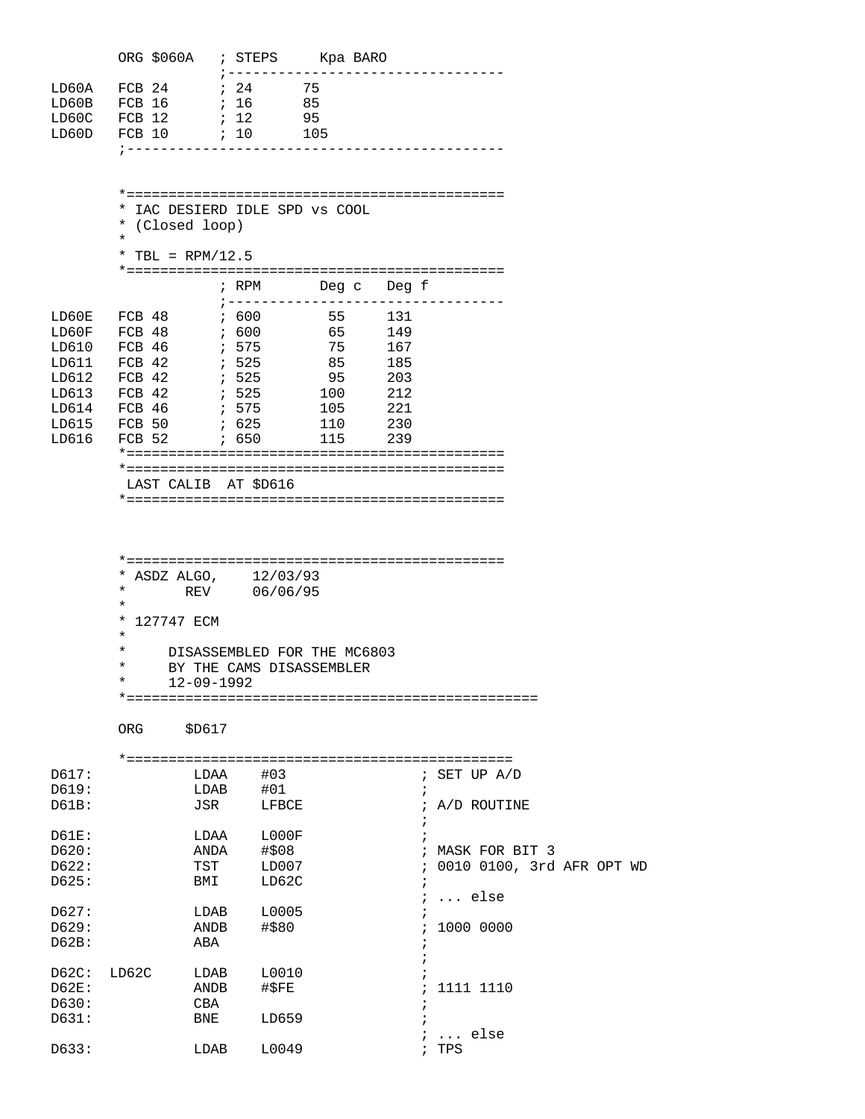|                                  | ORG \$060A ; STEPS                     |                          |                       | Kpa BARO |
|----------------------------------|----------------------------------------|--------------------------|-----------------------|----------|
| LD60A<br>LD60B<br>LD60C<br>LD60D | FCB 24<br>FCB 16<br>$FCB$ 12<br>FCB 10 | 7.24<br>16<br>12.<br>:10 | 75<br>85<br>95<br>105 |          |

 \*============================================= \* IAC DESIERD IDLE SPD vs COOL \* (Closed loop) \* \* TBL = RPM/12.5  $\ast{\texttt{2}}\texttt{2}=\texttt{2}=\texttt{2}=\texttt{2}=\texttt{2}=\texttt{2}=\texttt{2}=\texttt{2}=\texttt{2}=\texttt{2}=\texttt{2}=\texttt{2}=\texttt{2}=\texttt{2}=\texttt{2}=\texttt{2}=\texttt{2}=\texttt{2}=\texttt{2}=\texttt{2}=\texttt{2}=\texttt{2}=\texttt{2}=\texttt{2}=\texttt{2}=\texttt{2}=\texttt{2}=\texttt{2}=\texttt{2}=\texttt{2}=\texttt{2}=\texttt{2}=\texttt{2}=\texttt{2}=\texttt{2}=\text$  ; RPM Deg c Deg f ;--------------------------------- LD60E FCB 48 ; 600 55 131 LD60F FCB 48 ; 600 65 149 LD610 FCB 46 ; 575 75 167 LD611 FCB 42 ; 525 85<br>
LD612 FCB 42 ; 525 95<br>
LD613 FCB 42 ; 525 100<br>
LD614 FCB 46 ; 575 105<br>
LD615 FCB 50 ; 625 110 LD612 FCB 42 ; 525 95 203 LD613 FCB 42 ; 525 100 212 LD614 FCB 46 ; 575 105 221 LD615 FCB 50 ; 625 110 230 LD616 FCB 52 ; 650 \*============================================= \*=============================================

LAST CALIB AT \$D616

\*=============================================

| 12/03/93<br>* ASDZ ALGO,               |
|----------------------------------------|
| $\ast$<br>06/06/95<br>REV              |
| $\star$                                |
| * 127747 ECM                           |
| $\star$                                |
| $\star$<br>DISASSEMBLED FOR THE MC6803 |
| $\star$<br>BY THE CAMS DISASSEMBLER    |
| $\star$<br>$12 - 09 - 1992$            |
|                                        |

ORG \$D617

| D617: |       | LDAA       | #03   | ; SET UP $A/D$              |
|-------|-------|------------|-------|-----------------------------|
| D619: |       | LDAB       | #01   |                             |
| D61B: |       | JSR        | LFBCE | A/D ROUTINE<br>$\ddot{i}$   |
| D61E: |       | LDAA       | LOOOF |                             |
| D620: |       | ANDA       | #\$08 | ; MASK FOR BIT 3            |
| D622: |       | TST        | LD007 | ; 0010 0100, 3rd AFR OPT WD |
| D625: |       | BMI        | LD62C |                             |
|       |       |            |       | ;  else                     |
| D627: |       | LDAB       | L0005 |                             |
| D629: |       | ANDB       | #\$80 | 1000 0000                   |
| D62B: |       | ABA        |       |                             |
|       |       |            |       |                             |
| D62C: | LD62C | LDAB       | L0010 |                             |
| D62E: |       | ANDB       | #\$FE | 1111 1110                   |
| D630: |       | <b>CBA</b> |       |                             |
| D631: |       | BNE        | LD659 |                             |
|       |       |            |       | else                        |
| D633: |       | LDAB       | L0049 | TPS                         |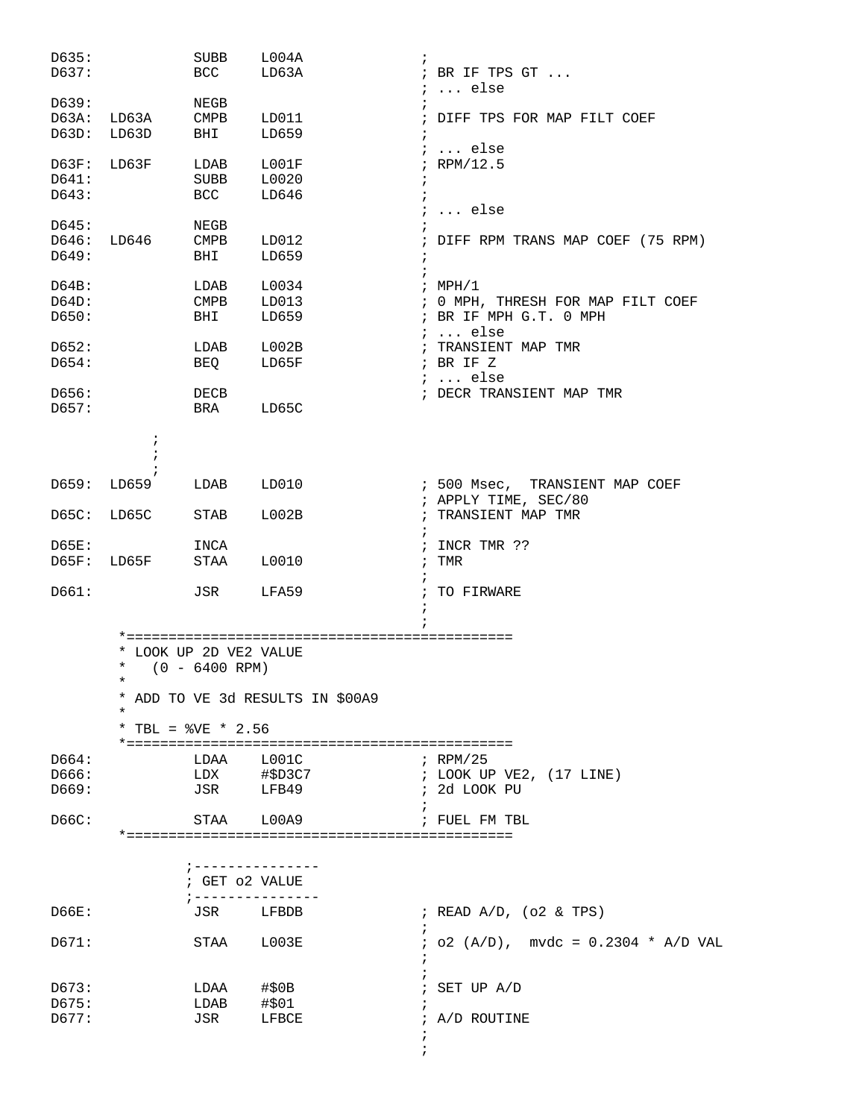| D635: |                      | SUBB                     | L004A                            | $\ddot{i}$                                    |
|-------|----------------------|--------------------------|----------------------------------|-----------------------------------------------|
| D637: |                      | BCC                      | LD63A                            | ; BR IF TPS GT<br>$\ldots$ else<br>$\ddot{i}$ |
| D639: |                      | NEGB                     |                                  |                                               |
| D63A: | LD63A                | $\mathop{\mathrm{CMPB}}$ | LD011                            | ; DIFF TPS FOR MAP FILT COEF                  |
| D63D: | LD63D                | BHI                      | LD659                            | $\ddot{i}$                                    |
| D63F: | LD63F                | LDAB                     | LOO1F                            | $i \ldots$ else<br>$;$ RPM/12.5               |
| D641: |                      | SUBB                     | L0020                            | $\cdot$                                       |
| D643: |                      | <b>BCC</b>               | LD646                            | $\ddot{ }$                                    |
|       |                      |                          |                                  | $i \ldots$ else                               |
| D645: |                      | NEGB                     |                                  |                                               |
| D646: | LD646                | CMPB                     | LD012                            | ; DIFF RPM TRANS MAP COEF (75 RPM)            |
| D649: |                      | BHI                      | LD659                            | $\cdot$<br>$\ddot{i}$                         |
| D64B: |                      | LDAB                     | L0034                            | ; $MPH/1$                                     |
| D64D: |                      | <b>CMPB</b>              | LD013                            | ; 0 MPH, THRESH FOR MAP FILT COEF             |
| D650: |                      | BHI                      | LD659                            | ; BR IF MPH G.T. 0 MPH<br>$i \ldots$ else     |
| D652: |                      | LDAB                     | L002B                            | ; TRANSIENT MAP TMR                           |
| D654: |                      | BEQ                      | LD65F                            | ; BR IF Z                                     |
|       |                      |                          |                                  | $i \ldots$ else                               |
| D656: |                      | DECB                     |                                  | ; DECR TRANSIENT MAP TMR                      |
| D657: |                      | BRA                      | LD65C                            |                                               |
|       | $\ddot{\phantom{0}}$ |                          |                                  |                                               |
|       |                      |                          |                                  |                                               |
| D659: | LD659                | LDAB                     | LD010                            | ; 500 Msec, TRANSIENT MAP COEF                |
|       |                      |                          |                                  | ; APPLY TIME, SEC/80                          |
| D65C: | LD65C                | <b>STAB</b>              | L002B                            | ; TRANSIENT MAP TMR                           |
|       |                      |                          |                                  |                                               |
| D65E: |                      | INCA                     |                                  | INCR TMR ??<br>$\cdot$                        |
| D65F: | LD65F                | STAA                     | L0010                            | TMR<br>$\cdot$                                |
| D661: |                      | JSR                      | LFA59                            | $\ddot{i}$<br>TO FIRWARE                      |
|       |                      |                          |                                  |                                               |
|       |                      |                          |                                  |                                               |
|       |                      | * LOOK UP 2D VE2 VALUE   |                                  |                                               |
|       | $\star$              | $(0 - 6400$ RPM)         |                                  |                                               |
|       | $\star$              |                          | * ADD TO VE 3d RESULTS IN \$00A9 |                                               |
|       | $^\star$             |                          |                                  |                                               |
|       |                      | * TBL = $8VE$ * 2.56     |                                  |                                               |
| D664: |                      |                          | LDAA L001C                       | ; RPM/25                                      |
| D666: |                      |                          | LDX #\$D3C7                      | ; LOOK UP VE2, (17 LINE)                      |
| D669: |                      |                          | JSR LFB49                        | ; 2d LOOK PU                                  |
|       |                      |                          |                                  |                                               |
| D66C: |                      | STAA                     | L00A9                            | ; FUEL FM TBL                                 |
|       |                      |                          |                                  |                                               |
|       |                      |                          | ; ---------------                |                                               |
|       |                      | ; GET 02 VALUE           |                                  |                                               |
| D66E: |                      | ; -----------<br>JSR     | LFBDB                            | ; READ $A/D$ , (o2 & TPS)                     |
|       |                      |                          |                                  |                                               |
| D671: |                      |                          | STAA L003E                       | $:$ 02 (A/D), mvdc = 0.2304 * A/D VAL         |
|       |                      |                          |                                  |                                               |
| D673: |                      | $LDAA$ #\$0B             |                                  | ; SET UP A/D                                  |
| D675: |                      | $LDAB$ #\$01             |                                  |                                               |
| D677: |                      | JSR                      | LFBCE                            | ; A/D ROUTINE                                 |
|       |                      |                          |                                  |                                               |
|       |                      |                          |                                  |                                               |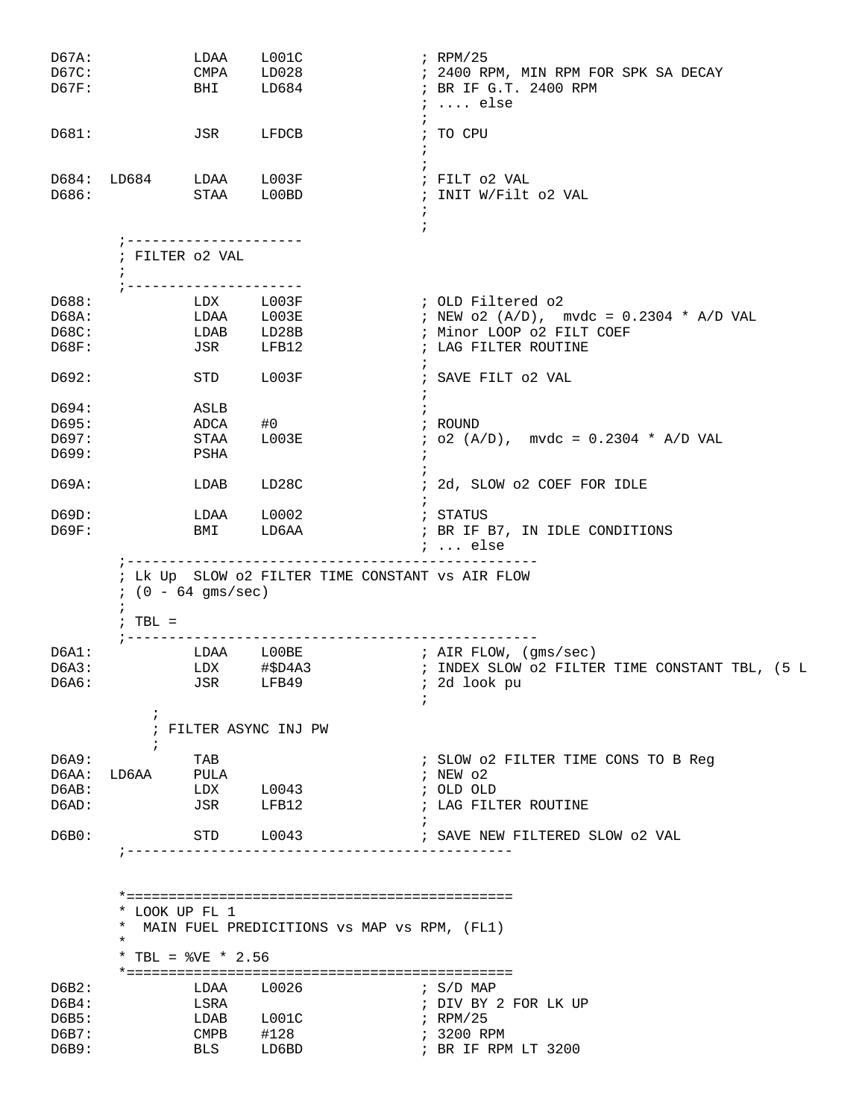| D67A:<br>D67C:<br>D67F:          |                          | LDAA                                                   | L001C<br>CMPA LD028<br>BHI LD684                   | $i$ RPM/25<br>; 2400 RPM, MIN RPM FOR SPK SA DECAY<br>; BR IF G.T. 2400 RPM<br>$i \ldots$ else                       |
|----------------------------------|--------------------------|--------------------------------------------------------|----------------------------------------------------|----------------------------------------------------------------------------------------------------------------------|
| D681:                            |                          | JSR                                                    | LFDCB                                              | $\ddot{i}$<br>; TO CPU<br>$\ddot{i}$                                                                                 |
| D686:                            |                          |                                                        | D684: LD684 LDAA L003F<br>STAA L00BD               | ; FILT 02 VAL<br>; INIT W/Filt o2 VAL                                                                                |
|                                  |                          | ; ---------------------<br>; FILTER 02 VAL             |                                                    | $\ddot{i}$                                                                                                           |
|                                  | $\ddot{i}$               |                                                        | --------------                                     |                                                                                                                      |
| D688:<br>D68A:<br>D68C:<br>D68F: |                          |                                                        | LDX L003F<br>LDAA L003E<br>LDAB LD28B<br>JSR LFB12 | ; OLD Filtered o2<br>; NEW $o2 (A/D)$ , mvdc = 0.2304 * A/D VAL<br>; Minor LOOP 02 FILT COEF<br>; LAG FILTER ROUTINE |
| D692:                            |                          |                                                        | STD L003F                                          | $\ddot{ }$<br>; SAVE FILT 02 VAL<br>÷                                                                                |
| D694:<br>D695:<br>D697:<br>D699: |                          | ASLB<br>ADCA<br>STAA<br>PSHA                           | #0<br>$_{\tt LO03E}$                               | $\ddot{i}$<br>; ROUND<br>$: o2 (A/D), mvdc = 0.2304 * A/D VAL$<br>$\ddot{i}$                                         |
| D69A:                            |                          | LDAB                                                   | LD28C                                              | ; 2d, SLOW o2 COEF FOR IDLE                                                                                          |
| D69D:<br>D69F:                   |                          |                                                        | LDAA L0002<br>BMI LD6AA                            | $\ddot{i}$<br>; STATUS<br>; BR IF B7, IN IDLE CONDITIONS<br>;  else                                                  |
|                                  | $\ddot{i}$<br>$7. TBL =$ | $(0 - 64$ gms/sec)                                     |                                                    | ; Lk Up SLOW 02 FILTER TIME CONSTANT VS AIR FLOW                                                                     |
| D6A1:<br>D6A3:<br>D6A6:          |                          |                                                        | JSR LFB49                                          | LDAA LOOBE    i AIR FLOW, (gms/sec)<br>; 2d look pu                                                                  |
|                                  |                          |                                                        | ; FILTER ASYNC INJ PW                              |                                                                                                                      |
| D6A9:<br>D6AB:<br>D6AD:          | ÷<br>D6AA: LD6AA         | TAB<br>PULA<br>JSR                                     | $LDX$ $L0043$<br>LFB12                             | ; SLOW 02 FILTER TIME CONS TO B Reg<br>; NEW $\circ$ 2<br>; OLD OLD<br>; LAG FILTER ROUTINE                          |
| D6B0:                            |                          |                                                        | STD L0043                                          | ; SAVE NEW FILTERED SLOW 02 VAL<br>--------------------------                                                        |
| D6B2:<br>D6B4:<br>D6B5:<br>D6B7: | $\ast$                   | * LOOK UP FL 1<br>* TBL = $8VE$ * 2.56<br>LDAA<br>LSRA | L0026<br>LDAB L001C<br>$CMPB$ #128                 | * MAIN FUEL PREDICITIONS VS MAP VS RPM, (FL1)<br>; S/D MAP<br>; DIV BY 2 FOR LK UP<br>; RPM/25<br>; 3200 RPM         |
| D6B9:                            |                          | BLS                                                    | LD6BD                                              | ; BR IF RPM LT 3200                                                                                                  |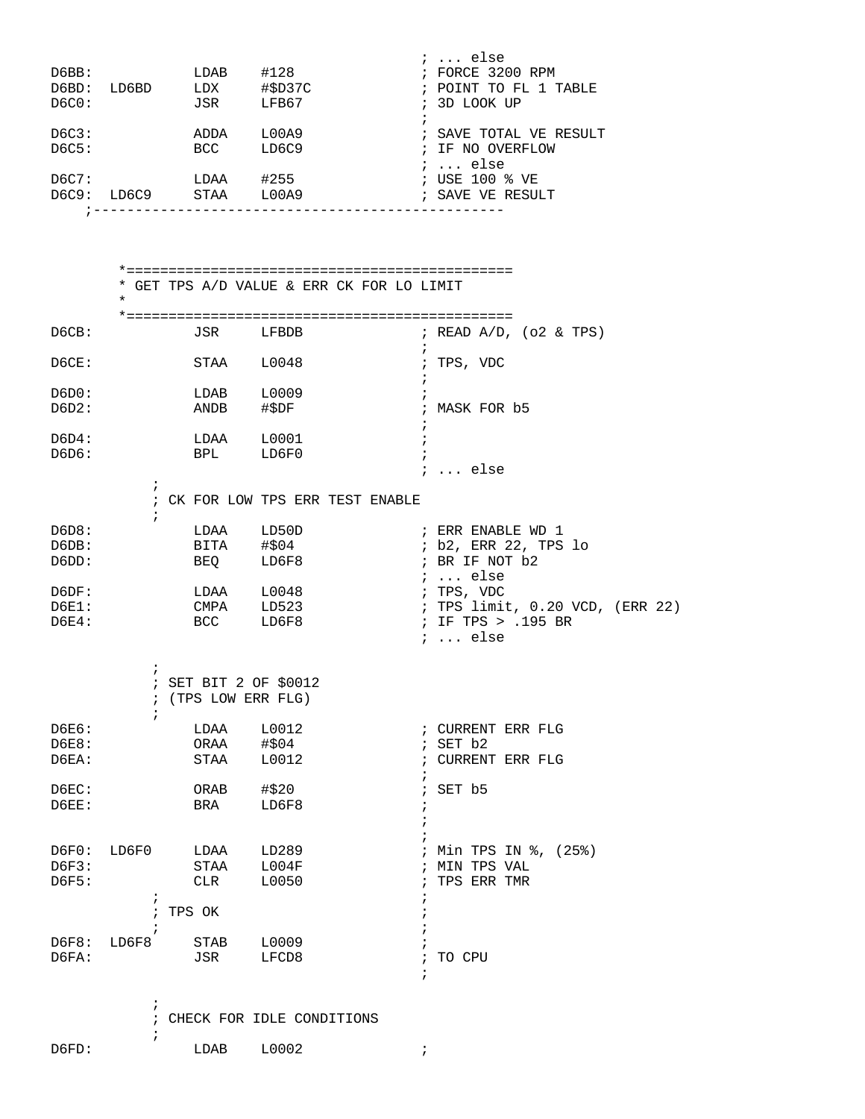| D6BB:<br>D6BD:<br>DC0: |                          |                       | $LDAB$ #128<br>LD6BD LDX #\$D37C<br>JSR LFB67 | $i \ldots$ else<br>; FORCE 3200 RPM<br>; POINT TO FL 1 TABLE<br>; 3D LOOK UP |
|------------------------|--------------------------|-----------------------|-----------------------------------------------|------------------------------------------------------------------------------|
| D6C3:<br>DC5:          |                          | <b>BCC</b>            | ADDA L00A9<br>LD6C9                           | $\ddot{i}$<br>; SAVE TOTAL VE RESULT<br>; IF NO OVERFLOW                     |
|                        |                          |                       |                                               | ;  else<br>; USE 100 % VE<br>; SAVE VE RESULT                                |
|                        | $\, \, \cdot \,$ $  -$   |                       |                                               |                                                                              |
|                        | $\star$                  |                       |                                               | * GET TPS A/D VALUE & ERR CK FOR LO LIMIT                                    |
| D6CB:                  |                          |                       | JSR LFBDB                                     | ; READ $A/D$ , (o2 & TPS)<br>$\ddot{i}$                                      |
| D6CE:                  |                          | STAA                  | L0048                                         | ; TPS, VDC                                                                   |
| D6D0:                  |                          | LDAB L0009            |                                               |                                                                              |
| D6D2:                  |                          | ANDB                  | #\$DF                                         | ; MASK FOR b5<br>$\ddot{i}$                                                  |
| D6D4:                  |                          |                       | $LDAA$ $L0001$                                | $\cdot$ ;                                                                    |
| D6D6:                  |                          |                       | BPL LD6F0                                     | <i>;</i> else                                                                |
|                        | $\ddot{i}$<br>$\ddot{ }$ |                       |                                               | ; CK FOR LOW TPS ERR TEST ENABLE                                             |
| D6D8:                  |                          |                       | LDAA LD50D                                    | ; ERR ENABLE WD 1                                                            |
| D6DB:                  |                          |                       | BITA #\$04                                    | ; b2, ERR 22, TPS lo                                                         |
| D6DD:                  |                          | BEQ                   | LD6F8                                         | ; BR IF NOT b2<br>;  else                                                    |
| D6DF:                  |                          |                       | $LDAA$ $L0048$                                | ; TPS, VDC                                                                   |
| <b>D6E1:</b>           |                          |                       | CMPA LD523                                    | ; TPS limit, 0.20 VCD, (ERR 22)                                              |
| <b>D6E4:</b>           |                          | <b>BCC</b>            | LD6F8                                         | ; IF TPS > .195 BR                                                           |
|                        |                          |                       |                                               | $i \ldots$ else                                                              |
|                        | $\ddot{ }$               | ; SET BIT 2 OF \$0012 |                                               |                                                                              |
|                        |                          | ; (TPS LOW ERR FLG)   |                                               |                                                                              |
| D6E6:                  |                          | LDAA                  | L0012                                         | ; CURRENT ERR FLG                                                            |
| D6E8:                  |                          | ORAA                  | #\$04                                         | $;$ SET $b2$                                                                 |
| D6EA:                  |                          | STAA                  | L0012                                         | ; CURRENT ERR FLG<br>$\ddot{i}$                                              |
| D6EC:                  |                          | ORAB                  | #\$20                                         | SET b5<br>$\ddot{i}$                                                         |
| D6EE:                  |                          | BRA                   | LD6F8                                         |                                                                              |
|                        |                          |                       |                                               |                                                                              |
| D6F0:                  | LD6F0                    | LDAA                  | LD289                                         | ; Min TPS IN %, (25%)                                                        |
| D6F3:                  |                          | STAA                  | L004F                                         | ; MIN TPS VAL                                                                |
| D6F5:                  | $\ddot{i}$               | CLR                   | L0050                                         | TPS ERR TMR                                                                  |
|                        | $\ddot{i}$               | TPS OK                |                                               |                                                                              |
|                        | $\ddot{i}$               |                       |                                               |                                                                              |
| D6F8:                  | LD6F8                    | STAB                  | L0009                                         |                                                                              |
| D6FA:                  |                          | JSR                   | LFCD8                                         | TO CPU<br>$\ddot{i}$<br>$\ddot{i}$                                           |
|                        | $\ddot{ }$               |                       |                                               |                                                                              |
|                        |                          |                       |                                               |                                                                              |

|       |       |       | ; CHECK FOR IDLE CONDITIONS |  |
|-------|-------|-------|-----------------------------|--|
|       |       |       |                             |  |
| D6FD: | T DAR | L0002 |                             |  |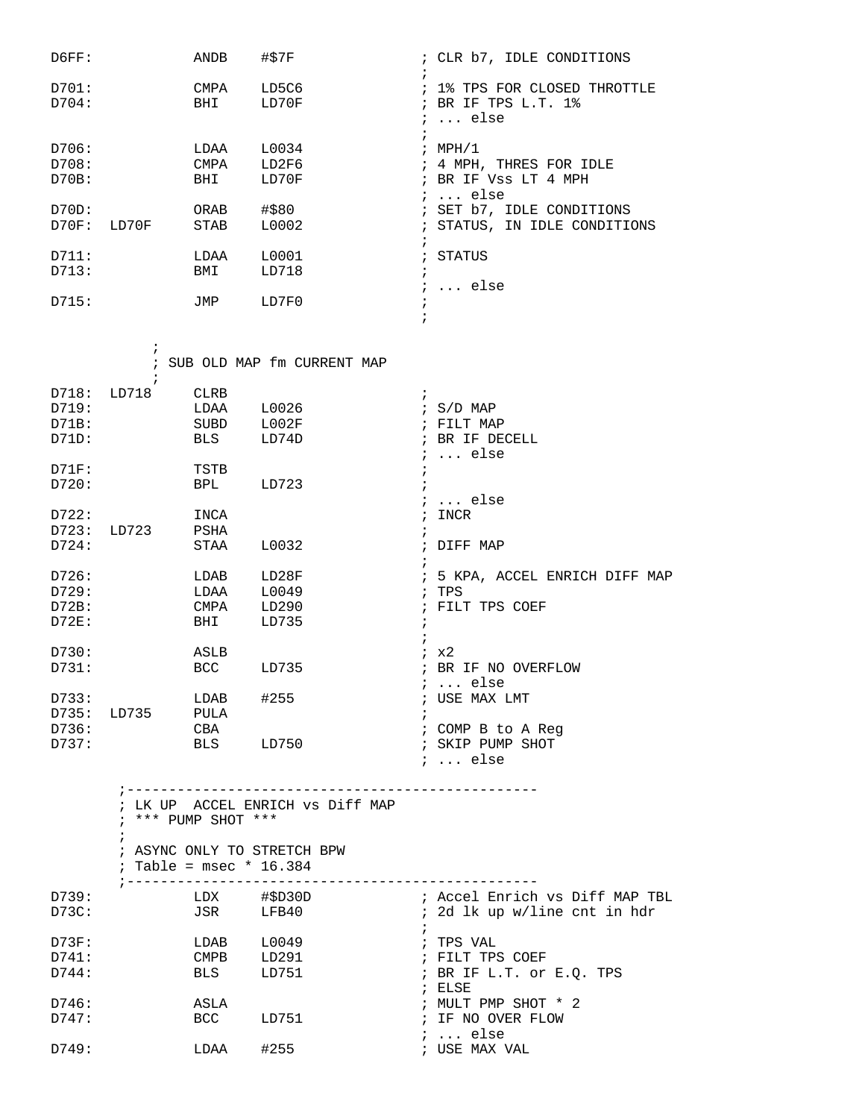| D6FF:       | ANDB | #\$7F | ; CLR b7, IDLE CONDITIONS    |
|-------------|------|-------|------------------------------|
| D701:       | CMPA | LD5C6 | ; 1% TPS FOR CLOSED THROTTLE |
| D704:       | BHI  | LD70F | ; BR IF TPS $L.T. 1$ %       |
|             |      |       | $i$ else                     |
|             |      |       |                              |
| D706:       | LDAA | L0034 | ; $MPH/1$                    |
| D708:       | CMPA | LD2F6 | ; 4 MPH, THRES FOR IDLE      |
| D70B:       | BHI  | LD70F | ; BR IF Vss LT 4 MPH         |
|             |      |       | $i$ else                     |
| D70D:       | ORAB | #\$80 | ; SET b7, IDLE CONDITIONS    |
| D70F: LD70F | STAB | L0002 | ; STATUS, IN IDLE CONDITIONS |
|             |      |       |                              |
| D711:       | LDAA | L0001 | ; STATUS                     |
| D713:       | BMI  | LD718 |                              |
|             |      |       | ;  else                      |
| D715:       | JMP  | LD7F0 |                              |
|             |      |       |                              |

 $\mathcal{L}$  ; and  $\mathcal{L}$  is the set of  $\mathcal{L}$ 

|       |       |             | ; SUB OLD MAP fm CURRENT MAP |            |                              |
|-------|-------|-------------|------------------------------|------------|------------------------------|
|       |       |             |                              |            |                              |
| D718: | LD718 | <b>CLRB</b> |                              | $\ddot{i}$ |                              |
| D719: |       | LDAA        | L0026                        |            | $\frac{1}{2}$ S/D MAP        |
| D71B: |       | <b>SUBD</b> | L002F                        |            | ; FILT MAP                   |
| D71D: |       | BLS         | LD74D                        |            | BR IF DECELL                 |
|       |       |             |                              |            | else                         |
| D71F: |       | TSTB        |                              |            |                              |
| D720: |       | <b>BPL</b>  | LD723                        |            |                              |
|       |       |             |                              |            | else                         |
| D722: |       | INCA        |                              |            | INCR                         |
| D723: | LD723 | PSHA        |                              |            |                              |
| D724: |       | STAA        | L0032                        |            | DIFF MAP                     |
|       |       |             |                              |            |                              |
| D726: |       | LDAB        | LD28F                        |            | 5 KPA, ACCEL ENRICH DIFF MAP |
| D729: |       | LDAA        | L0049                        |            | TPS                          |
| D72B: |       | CMPA        | LD290                        |            | FILT TPS COEF                |
| D72E: |       | BHI         | LD735                        |            |                              |
|       |       |             |                              |            |                              |
| D730: |       | ASLB        |                              |            | ix2                          |
| D731: |       | <b>BCC</b>  | LD735                        |            | BR IF NO OVERFLOW            |
|       |       |             |                              |            | else                         |
| D733: |       | LDAB        | #255                         |            | USE MAX LMT                  |
| D735: | LD735 | PULA        |                              |            |                              |
| D736: |       | CBA         |                              |            | COMP B to A Req              |
| D737: |       | <b>BLS</b>  | LD750                        |            | SKIP PUMP SHOT               |
|       |       |             |                              |            | $i$ else                     |

 ;------------------------------------------------- ; LK UP ACCEL ENRICH vs Diff MAP ; \*\*\* PUMP SHOT \*\*\* ; ; ASYNC ONLY TO STRETCH BPW ; Table = msec \* 16.384 ;------------------------------------------------- D739: LDX #\$D30D ; Accel Enrich vs Diff MAP TBL D73C: JSR LFB40 ; 2d lk up w/line cnt in hdr  $\mathcal{L}^{\text{max}}$ D73F: LDAB L0049 ; TPS VAL ; FILT TPS COEF D744: BLS LD751 ; BR IF L.T. or E.Q. TPS ; ELSE D746: ASLA ; MULT PMP SHOT \* 2 ; IF NO OVER FLOW ; ... else LDAA #255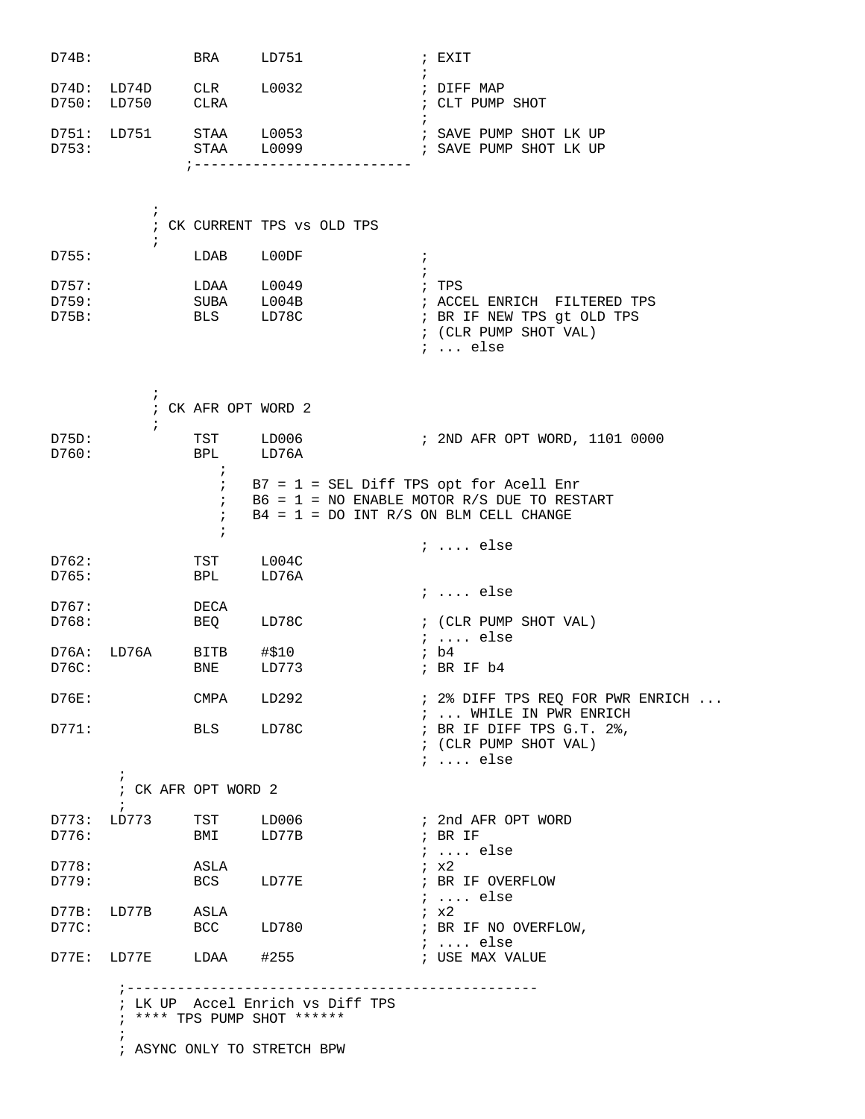| D74B:                   |                                     | BRA                                    | LD751                                                                                          | ; EXIT                                                                                                         |  |
|-------------------------|-------------------------------------|----------------------------------------|------------------------------------------------------------------------------------------------|----------------------------------------------------------------------------------------------------------------|--|
| D74D:<br>D750:          | LD74D<br>LD750                      | CLR<br><b>CLRA</b>                     | L0032                                                                                          | ; DIFF MAP<br>; CLT PUMP SHOT                                                                                  |  |
| D751:<br>D753:          | LD751                               | $7 - - - - - - - - - -$                | STAA L0053<br>STAA L0099                                                                       | ; SAVE PUMP SHOT LK UP<br>; SAVE PUMP SHOT LK UP                                                               |  |
|                         | $\ddot{i}$<br>$\ddot{i}$            |                                        | ; CK CURRENT TPS vs OLD TPS                                                                    |                                                                                                                |  |
| D755:                   |                                     | LDAB                                   | L00DF<br>$\ddot{i}$<br>$\cdot$ ;                                                               |                                                                                                                |  |
| D757:<br>D759:<br>D75B: |                                     | LDAA L0049<br>SUBA L004B<br>BLS LD78C  |                                                                                                | ; TPS<br>; ACCEL ENRICH FILTERED TPS<br>; BR IF NEW TPS gt OLD TPS<br>; (CLR PUMP SHOT VAL)<br>$i \ldots$ else |  |
|                         | i.<br>$\ddot{i}$                    | ; CK AFR OPT WORD 2                    |                                                                                                |                                                                                                                |  |
| D75D:<br>D760:          |                                     | TST LD006<br>BPL<br>$\ddot{ }$         | LD76A                                                                                          | ; 2ND AFR OPT WORD, 1101 0000                                                                                  |  |
|                         |                                     | $\ddot{i}$<br>$\ddot{i}$<br>$\ddot{i}$ | $B7 = 1 = SEL$ Diff TPS opt for Acell Enr<br>$B4 = 1 = DO INT R/S ON BLM CELL CHANGE$          | $B6 = 1 = NO$ ENABLE MOTOR R/S DUE TO RESTART                                                                  |  |
| D762:<br>D765:          |                                     | TST<br>BPL                             | L004C<br>LD76A                                                                                 | $i \ldots$ else                                                                                                |  |
| D767:<br>D768:          |                                     | DECA<br><b>BEQ</b>                     | LD78C                                                                                          | $i$ else<br>; (CLR PUMP SHOT VAL)                                                                              |  |
| D76A:<br>D76C:          | LD76A                               | BITB<br>BNE                            | #\$10<br>LD773                                                                                 | ;  else<br>ib4<br>; BR IF b4                                                                                   |  |
| D76E:                   |                                     | CMPA LD292                             |                                                                                                | $: 2$ DIFF TPS REQ FOR PWR ENRICH $\ldots$                                                                     |  |
| D771:                   |                                     | BLS LD78C                              |                                                                                                | ;  WHILE IN PWR ENRICH<br>; BR IF DIFF TPS G.T. 2%,<br>$:$ (CLR PUMP SHOT VAL)<br>$i \ldots$ else              |  |
|                         | $\ddot{i}$<br>; CK AFR OPT WORD 2   |                                        |                                                                                                |                                                                                                                |  |
| D776:                   | $\ddot{i}$<br>D773: LD773 TST LD006 | BMI LD77B                              |                                                                                                | ; 2nd AFR OPT WORD<br>; BR IF<br>$i$ else                                                                      |  |
| D778:<br>D779:          |                                     | ASLA<br>BCS LD77E                      |                                                                                                | ix2<br>; BR IF OVERFLOW<br>$i \ldots$ else                                                                     |  |
| D77B:<br>D77C:          | LD77B ASLA                          | BCC LD780                              |                                                                                                | $\lambda$ $\times 2$<br>; BR IF NO OVERFLOW,<br>$i \ldots$ else                                                |  |
|                         | D77E: LD77E LDAA #255               |                                        |                                                                                                | ; USE MAX VALUE                                                                                                |  |
|                         |                                     |                                        | ; LK UP Accel Enrich vs Diff TPS<br>; **** TPS PUMP SHOT ******<br>; ASYNC ONLY TO STRETCH BPW |                                                                                                                |  |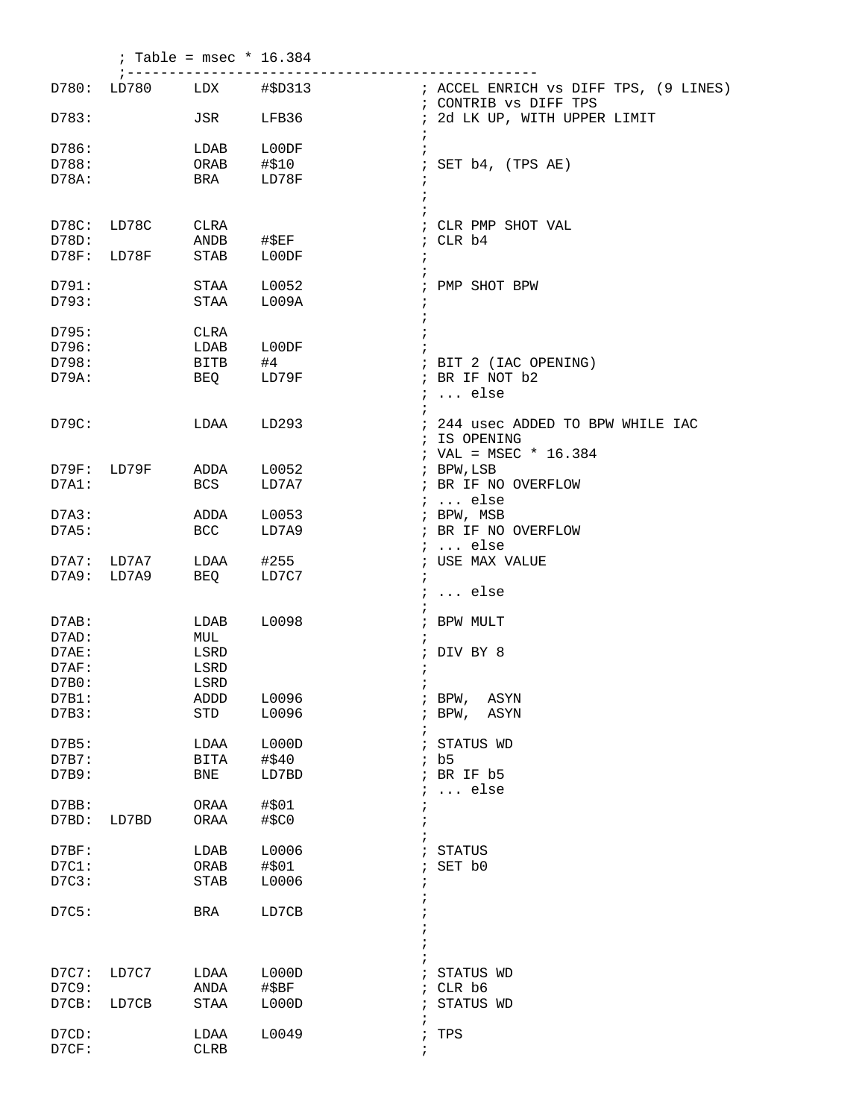|             | $7 - - - - - - - -$ | ; Table = $msec * 16.384$ | ---------------- |                                                   |
|-------------|---------------------|---------------------------|------------------|---------------------------------------------------|
|             | D780: LD780         |                           |                  | ; CONTRIB VS DIFF TPS                             |
| D783:       |                     | JSR                       | LFB36            | ; 2d LK UP, WITH UPPER LIMIT                      |
| D786:       |                     | LDAB                      | L00DF<br>$\cdot$ |                                                   |
| D788:       |                     | ORAB #\$10                |                  | ; SET b4, (TPS AE)                                |
| D78A:       |                     | BRA                       | LD78F            |                                                   |
|             |                     |                           | $\ddot{i}$       |                                                   |
| D78C: LD78C |                     | CLRA                      |                  | ; CLR PMP SHOT VAL                                |
| D78D:       |                     | ANDB #\$EF                |                  | ; CLR b4                                          |
|             | D78F: LD78F         | STAB LOODF                | i.<br>$\ddot{i}$ |                                                   |
| D791:       |                     | STAA                      | L0052            | ; PMP SHOT BPW                                    |
| D793:       |                     | STAA L009A                | $\ddot{i}$       |                                                   |
| D795:       |                     | CLRA                      |                  |                                                   |
| D796:       |                     | LDAB                      | ${\tt LOODF}$    |                                                   |
| D798:       |                     | <b>BITB</b>               | #4               | ; BIT 2 (IAC OPENING)                             |
| D79A:       |                     | <b>BEQ</b>                | LD79F            | ; BR IF NOT b2<br>$i \ldots$ else                 |
| D79C:       |                     | LDAA LD293                |                  | ; 244 usec ADDED TO BPW WHILE IAC<br>; IS OPENING |
|             |                     |                           |                  | ; VAL = MSEC * $16.384$                           |
|             | D79F: LD79F         | ADDA L0052                |                  | ; BPW, LSB                                        |
| D7A1:       |                     | BCS                       | LD7A7            | ; BR IF NO OVERFLOW                               |
|             |                     |                           |                  | $i \ldots$ else                                   |
| D7A3:       |                     | ADDA L0053                |                  | ; BPW, MSB                                        |
| D7A5:       |                     | <b>BCC</b>                | LD7A9            | ; BR IF NO OVERFLOW                               |
|             |                     |                           |                  | $i \ldots$ else                                   |
|             | D7A7: LD7A7         | LDAA #255                 |                  | ; USE MAX VALUE                                   |
| D7A9: LD7A9 |                     | BEQ                       | LD7C7            | $\ddot{i}$                                        |
|             |                     |                           |                  | $i \ldots$ else                                   |
| D7AB:       |                     | LDAB L0098                |                  | ; BPW MULT                                        |
| D7AD:       |                     | MUL                       |                  |                                                   |
| D7AE:       |                     | LSRD                      |                  | ; DIV BY 8                                        |
| D7AF:       |                     | LSRD                      |                  | $\ddot{ }$                                        |
| D7B0:       |                     | LSRD                      | $\ddot{i}$       |                                                   |
| D7B1:       |                     | ADDD                      | L0096            | $;$ BPW,<br>ASYN                                  |
| D7B3:       |                     | STD                       | L0096            | BPW,<br>ASYN                                      |
|             |                     |                           | i                | i.                                                |
| D7B5:       |                     | LDAA                      | L000D            | STATUS WD<br>÷                                    |
| D7B7:       |                     | <b>BITA</b>               | #\$40            | ib5                                               |
| D7B9:       |                     | <b>BNE</b>                | LD7BD            | ; BR IF b5<br>$\ldots$ else                       |
| D7BB:       |                     | ORAA                      | #\$01            |                                                   |
| D7BD:       | LD7BD               | ORAA                      | #\$C0            |                                                   |
| D7BF:       |                     | LDAB                      | L0006            | STATUS                                            |
| $D7C1$ :    |                     | ORAB                      | #\$01            | SET b0                                            |
| D7C3:       |                     | <b>STAB</b>               | L0006            |                                                   |
|             |                     |                           |                  |                                                   |
| D7C5:       |                     | BRA                       | LD7CB            |                                                   |
|             |                     |                           |                  |                                                   |
| D7C7:       | LD7C7               | LDAA                      | L000D            | STATUS WD                                         |
| D7C9:       |                     | ANDA                      | $\sharp$ \$BF    | ; CLR b6                                          |
| D7CB:       | LD7CB               | STAA                      | L000D            | STATUS WD                                         |
|             |                     |                           | ÷                |                                                   |
| D7CD:       |                     | LDAA                      | L0049            | TPS<br>$\ddot{i}$                                 |
| D7CF:       |                     | <b>CLRB</b>               | $\ddot{ }$       |                                                   |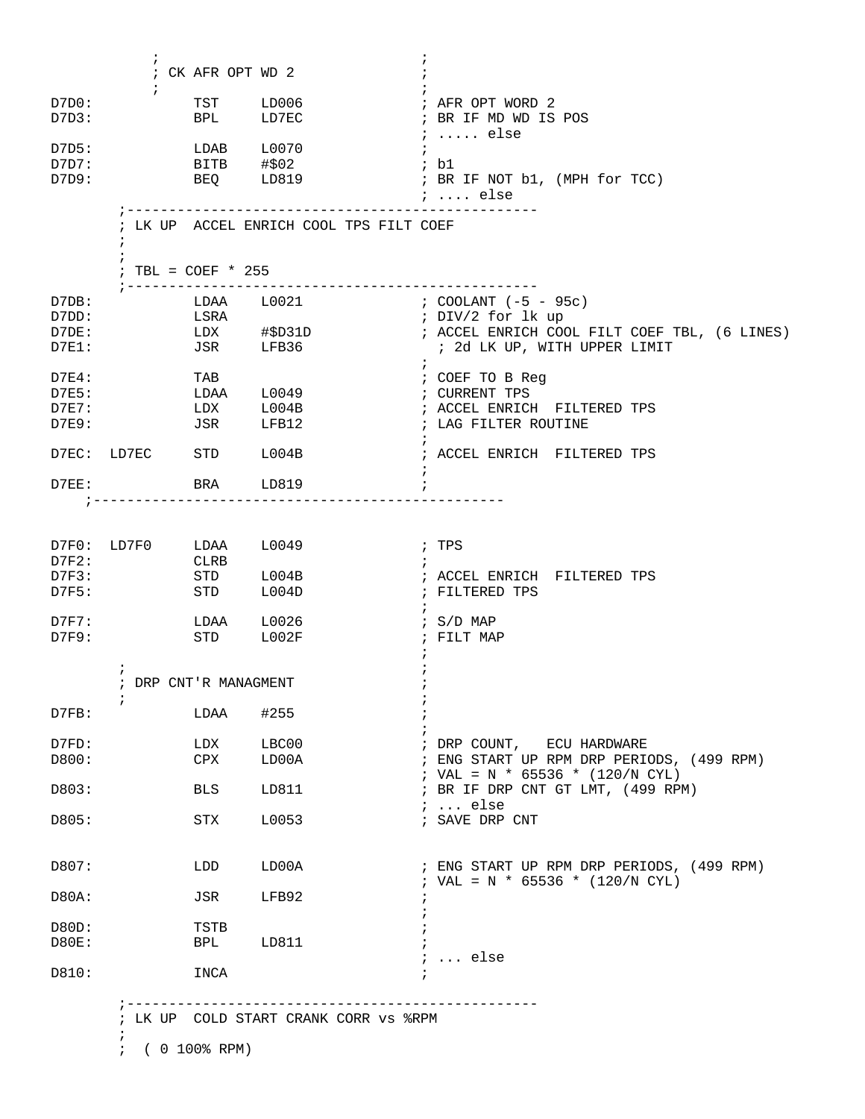| D7D0:          | $\ddot{i}$             |                       | TST LD006                               | ; AFR OPT WORD 2                                                             |
|----------------|------------------------|-----------------------|-----------------------------------------|------------------------------------------------------------------------------|
| D7D3:          |                        | BPL                   | LD7EC                                   | ; BR IF MD WD IS POS<br>$i$ else                                             |
| D7D5:          |                        |                       | LDAB L0070                              | $\ddot{i}$                                                                   |
| D7D7:          |                        | BITB #\$02            |                                         | ; b1                                                                         |
| D7D9:          |                        |                       | BEQ LD819                               | ; BR IF NOT b1, (MPH for TCC)<br>;  else                                     |
|                | $\ddot{i}$             | ; TBL = $COEF * 255$  | ; LK UP ACCEL ENRICH COOL TPS FILT COEF |                                                                              |
|                |                        | ; ----------------    | --------------------                    |                                                                              |
| D7DB:          |                        |                       | LDAA L0021                              | ; COOLANT (-5 - 95c)                                                         |
| D7DD:<br>D7DE: |                        | LSRA                  |                                         | ; DIV/2 for lk up<br>; ACCEL ENRICH COOL FILT COEF TBL, (6 LINES)            |
| $D7E1$ :       |                        |                       | $LDX$ $\#$ \$D31D<br>JSR LFB36          | ; 2d LK UP, WITH UPPER LIMIT                                                 |
| $D7E4$ :       |                        | TAB                   |                                         | $\mathcal{V}$<br>; COEF TO B Reg                                             |
| D7E5:          |                        |                       | LDAA L0049                              | ; CURRENT TPS                                                                |
| $D7E7$ :       |                        |                       | $LDX$ $L004B$                           | ; ACCEL ENRICH FILTERED TPS                                                  |
| $D7E9$ :       |                        | JSR LFB12             |                                         | ; LAG FILTER ROUTINE<br>$\ddot{i}$                                           |
|                | D7EC: LD7EC STD L004B  |                       |                                         | ; ACCEL ENRICH FILTERED TPS                                                  |
| $D7EE$ :       |                        | BRA LD819             |                                         |                                                                              |
|                | D7F0: LD7F0 LDAA L0049 |                       |                                         | ; TPS                                                                        |
| D7F2:          |                        | CLRB                  |                                         | $\ddot{i}$                                                                   |
| D7F3:          |                        |                       | STD L004B                               | ; ACCEL ENRICH FILTERED TPS                                                  |
| D7F5:          |                        | STD L004D             |                                         | ; FILTERED TPS                                                               |
| $D7F7$ :       |                        | LDAA L0026            |                                         | ; $S/D$ MAP                                                                  |
| D7F9:          |                        | STD L002F             |                                         | ; FILT MAP                                                                   |
|                | $\ddot{i}$             |                       |                                         |                                                                              |
|                | $\ddot{i}$             | ; DRP CNT'R MANAGMENT |                                         |                                                                              |
| D7FB:          |                        | LDAA                  | #255                                    |                                                                              |
| D7FD:          |                        | LDX                   | LBC00                                   | ; DRP COUNT, ECU HARDWARE                                                    |
| D800:          |                        | CPX                   | LD00A                                   | ; ENG START UP RPM DRP PERIODS, (499 RPM)                                    |
|                |                        |                       |                                         | ; VAL = N * 65536 * (120/N CYL)                                              |
| D803:          |                        | <b>BLS</b>            | LD811                                   | ; BR IF DRP CNT GT LMT, (499 RPM)<br>$i \ldots$ else                         |
| D805:          |                        | STX                   | L0053                                   | ; SAVE DRP CNT                                                               |
| D807:          |                        | LDD                   | LD00A                                   | ; ENG START UP RPM DRP PERIODS, (499 RPM)<br>; VAL = N * 65536 * (120/N CYL) |
| D80A:          |                        | JSR                   | LFB92                                   |                                                                              |
| D80D:          |                        | TSTB                  |                                         |                                                                              |
| <b>D80E:</b>   |                        | BPL                   | LD811                                   |                                                                              |
| D810:          |                        | INCA                  |                                         | $i \ldots$ else                                                              |
|                |                        |                       |                                         |                                                                              |
|                |                        |                       |                                         |                                                                              |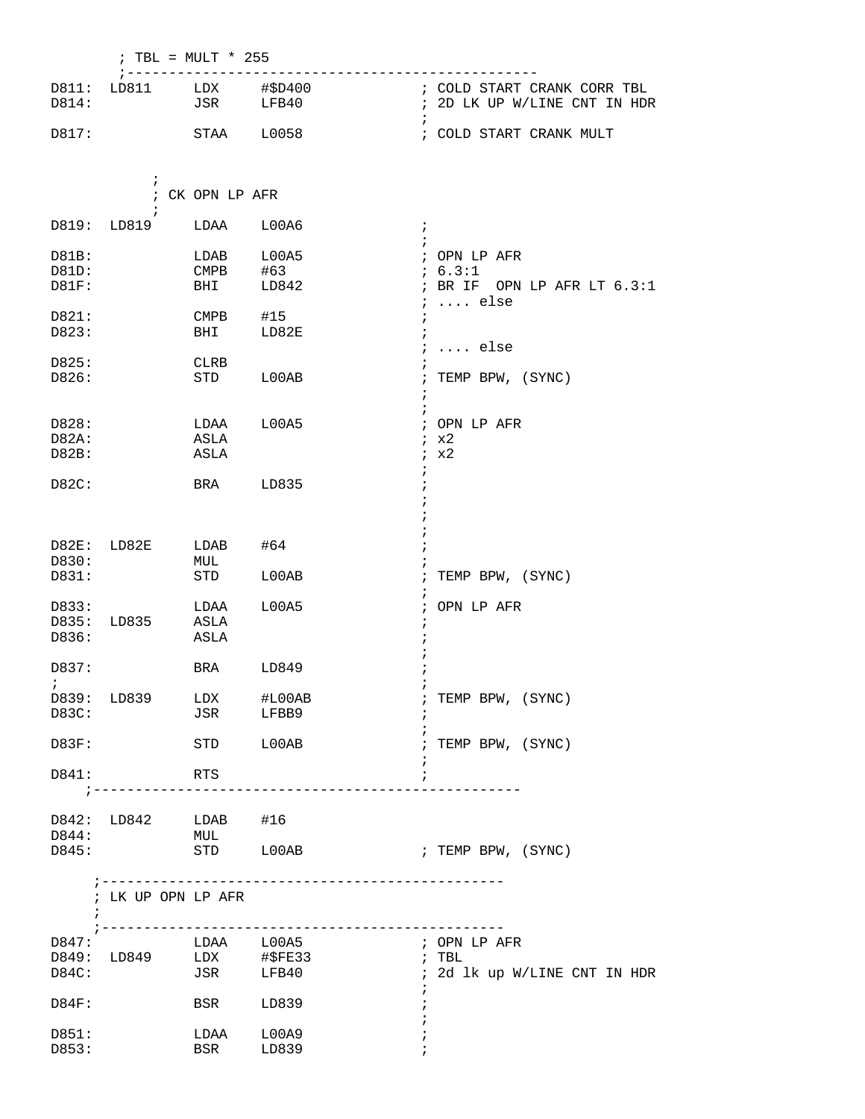|                         | ; TBL = $MULT * 255$    |                                         |                                      |                                                                                     |  |  |  |
|-------------------------|-------------------------|-----------------------------------------|--------------------------------------|-------------------------------------------------------------------------------------|--|--|--|
| D814:                   | D811: LD811             | $LDX$ $\#$ \$D400<br>JSR                | LFB40                                | ; COLD START CRANK CORR TBL<br>; 2D LK UP W/LINE CNT IN HDR                         |  |  |  |
| D817:                   |                         | STAA                                    | L0058                                | $\ddot{i}$<br>; COLD START CRANK MULT                                               |  |  |  |
|                         | $\ddot{ }$              | ; CK OPN LP AFR                         |                                      |                                                                                     |  |  |  |
|                         | D819: LD819             | LDAA                                    | L00A6                                | $\ddot{i}$<br>$\ddot{i}$                                                            |  |  |  |
| D81B:<br>D81D:<br>D81F: |                         | LDAB<br>$\mathop{\mathrm{CMPB}}$<br>BHI | L00A5<br>#63<br>LD842                | ; OPN LP AFR<br>: 6.3:1<br>; BR IF OPN LP AFR LT $6.3:1$                            |  |  |  |
| D821:<br>D823:          |                         | $\mathop{\mathrm{CMPB}}$<br>BHI         | #15<br>LD82E                         | $\ldots$ else<br>$\ddot{i}$<br>$\cdot$<br>$\ddot{i}$<br>$\ldots$ else<br>$\ddot{ }$ |  |  |  |
| D825:<br>D826:          |                         | CLRB<br>STD                             | L00AB                                | TEMP BPW, (SYNC)<br>$\ddot{i}$<br>$\ddot{i}$                                        |  |  |  |
| D828:<br>D82A:<br>D82B: |                         | LDAA<br>ASLA<br>ASLA                    | L00A5                                | $\ddot{i}$<br>; OPN LP AFR<br>ix2<br>ix2<br>$\mathbf{\dot{}}$                       |  |  |  |
| D82C:                   |                         | BRA                                     | LD835                                |                                                                                     |  |  |  |
| D82E:<br>D830:<br>D831: | LD82E                   | LDAB<br>MUL<br>STD                      | #64<br>L00AB                         | TEMP BPW, (SYNC)<br>$\ddot{i}$                                                      |  |  |  |
| D833:<br>D835:<br>D836: | LD835                   | LDAA<br>ASLA<br>ASLA                    | L00A5                                | ; OPN LP AFR<br>$\cdot$                                                             |  |  |  |
| D837:                   |                         | BRA                                     | LD849                                |                                                                                     |  |  |  |
| D83C:                   | D839: LD839 LDX #L00AB  | JSR LFBB9                               |                                      | ; TEMP BPW, (SYNC)                                                                  |  |  |  |
| D83F:                   |                         | STD LOOAB                               |                                      | ; TEMP BPW, (SYNC)                                                                  |  |  |  |
| D841:                   |                         | RTS                                     | ;----------------------------------- | $\ddot{i}$                                                                          |  |  |  |
| D844:<br>D845:          | D842: LD842 LDAB #16    | MUL                                     | STD LOOAB                            | ; TEMP BPW, (SYNC)                                                                  |  |  |  |
|                         | ; LK UP OPN LP AFR      |                                         |                                      |                                                                                     |  |  |  |
| D847:<br>D84C:          | D849: LD849 LDX #\$FE33 | LDAA L00A5                              | JSR LFB40                            | ; OPN LP AFR<br>$;$ TBL<br>; 2d lk up W/LINE CNT IN HDR<br>i                        |  |  |  |
| D84F:                   |                         | <b>BSR</b>                              | LD839                                |                                                                                     |  |  |  |
| D851:<br>D853:          |                         | LDAA<br>BSR                             | L00A9<br>LD839                       |                                                                                     |  |  |  |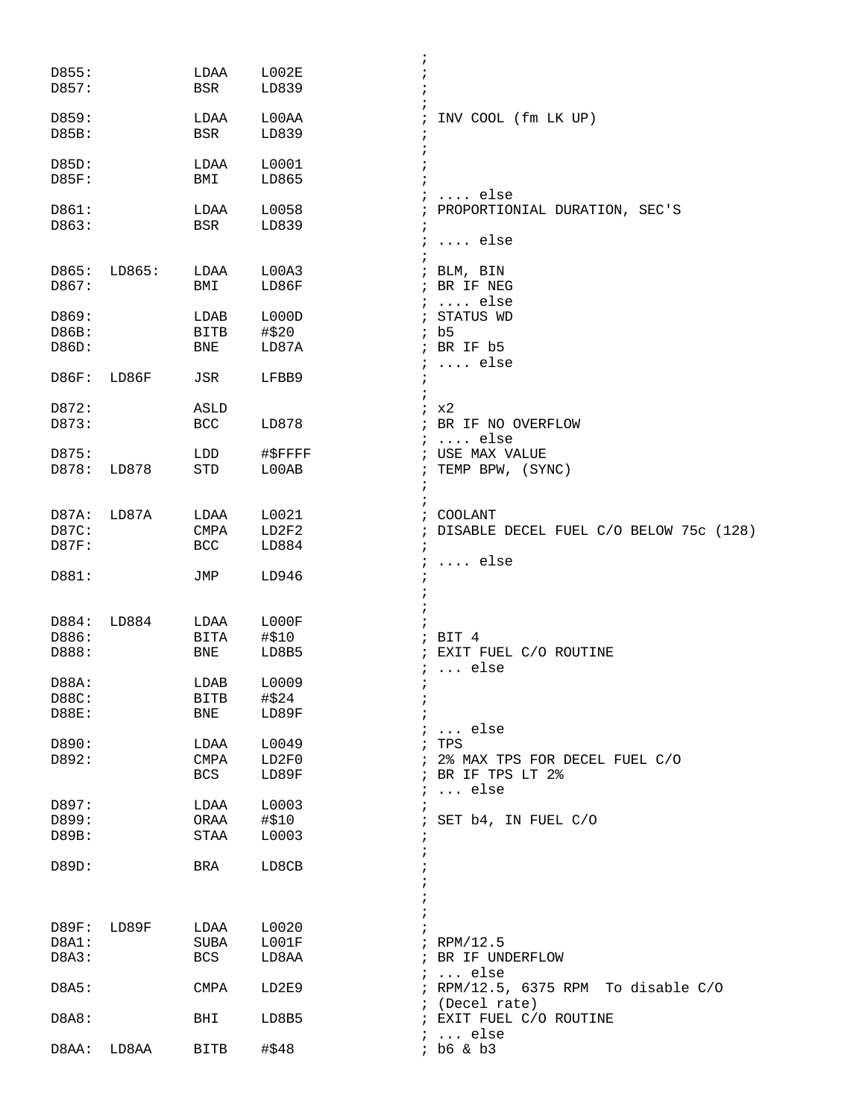|                |        |                     | ï              |                                                      |
|----------------|--------|---------------------|----------------|------------------------------------------------------|
| D855:          |        | LDAA                | L002E          |                                                      |
| D857:          |        | <b>BSR</b>          | LD839          |                                                      |
|                |        |                     |                |                                                      |
| D859:          |        | LDAA                | L00AA          | INV COOL (fm LK UP)                                  |
| D85B:          |        | <b>BSR</b>          | LD839          |                                                      |
| D85D:          |        | LDAA                | L0001          |                                                      |
| D85F:          |        | BMI                 | LD865          |                                                      |
|                |        |                     |                | $\ldots$ else                                        |
| D861:          |        | LDAA                | L0058          | PROPORTIONIAL DURATION, SEC'S<br>$\ddot{i}$          |
| D863:          |        | <b>BSR</b>          | LD839<br>÷     |                                                      |
|                |        |                     | $\cdot$        | $\ldots$ else                                        |
|                |        |                     |                |                                                      |
| D865:          | LD865: | LDAA                | L00A3          | ; BLM, BIN                                           |
| D867:          |        | BMI                 | LD86F          | ; BR IF NEG<br>$i \ldots$ else                       |
| D869:          |        | LDAB                | L000D          | ; STATUS WD                                          |
| D86B:          |        | <b>BITB</b>         | #\$20          | ib5                                                  |
| D86D:          |        | BNE                 | LD87A          | $;$ BR IF $b5$                                       |
|                |        |                     |                | $i \ldots$ else                                      |
| D86F:          | LD86F  | JSR                 | LFBB9          | ÷                                                    |
|                |        |                     |                |                                                      |
| D872:          |        | ASLD                |                | x2<br>$\ddot{i}$                                     |
| D873:          |        | BCC                 | LD878          | BR IF NO OVERFLOW<br>$\ddot{i}$<br>$\ldots$ else     |
| D875:          |        | LDD                 | #SFFFF         | $\ddot{ }$<br>; USE MAX VALUE                        |
| D878:          | LD878  | STD                 | L00AB<br>ï     | TEMP BPW, (SYNC)                                     |
|                |        |                     |                | $\ddot{i}$                                           |
|                |        |                     |                |                                                      |
| D87A:          | LD87A  | LDAA                | L0021          | COOLANT<br>$\ddot{i}$                                |
| D87C:          |        | <b>CMPA</b>         | LD2F2          | DISABLE DECEL FUEL C/O BELOW 75c (128)<br>$\ddot{i}$ |
| D87F:          |        | <b>BCC</b>          | LD884          |                                                      |
|                |        |                     |                | $\ldots$ else                                        |
| D881:          |        | JMP                 | LD946          |                                                      |
|                |        |                     |                |                                                      |
| D884:          | LD884  | LDAA                | L000F          |                                                      |
| D886:          |        | <b>BITA</b>         | #\$10          | ; BIT $4$                                            |
| D888:          |        | <b>BNE</b>          | LD8B5          | EXIT FUEL C/O ROUTINE<br>$\ddot{i}$                  |
|                |        |                     |                | $i \ldots$ else                                      |
| D88A:          |        | LDAB                | L0009          | $\ddot{i}$                                           |
| D88C:          |        | <b>BITB</b>         | #\$24          |                                                      |
| D88E:          |        | BNE                 | LD89F          |                                                      |
|                |        |                     |                | $i \ldots$ else                                      |
| D890:<br>D892: |        | LDAA<br><b>CMPA</b> | L0049<br>LD2F0 | ; TPS<br>; 2% MAX TPS FOR DECEL FUEL C/O             |
|                |        | <b>BCS</b>          | LD89F          | BR IF TPS LT 2%                                      |
|                |        |                     |                | $\ldots$ else                                        |
| D897:          |        | LDAA                | L0003          |                                                      |
| D899:          |        | ORAA                | #\$10          | SET b4, IN FUEL C/O                                  |
| D89B:          |        | STAA                | L0003          |                                                      |
|                |        |                     |                |                                                      |
| D89D:          |        | BRA                 | LD8CB          |                                                      |
|                |        |                     |                |                                                      |
|                |        |                     |                |                                                      |
|                |        |                     |                |                                                      |
|                |        |                     |                |                                                      |
| D89F:          | LD89F  | LDAA                | L0020          |                                                      |
| D8A1:<br>D8A3: |        | SUBA<br>BCS         | LOO1F          | $i$ RPM/12.5<br>; BR IF UNDERFLOW                    |
|                |        |                     | LD8AA          | $i \ldots$ else                                      |
| D8A5:          |        | CMPA                | LD2E9          | ; RPM/12.5, 6375 RPM To disable C/O                  |
|                |        |                     |                | ; (Decel rate)                                       |
| D8A8:          |        | BHI                 | LD8B5          | ; EXIT FUEL C/O ROUTINE                              |
| D8AA:          | LD8AA  | <b>BITB</b>         | #\$48          | $i \ldots$ else<br>; b6 & b3                         |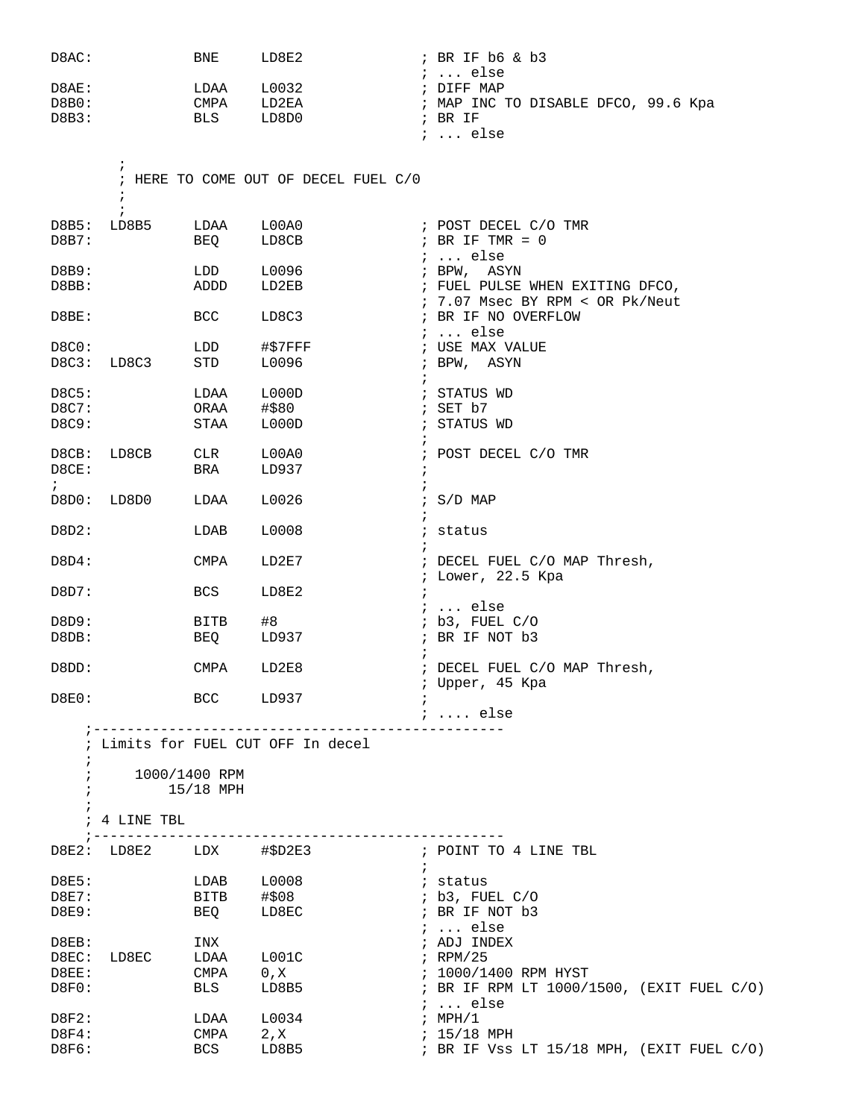| D8AC:                                  |                          | BNE                                        | LD8E2                                 | $;$ BR IF $b6$ & $b3$<br>$i \ldots$ else                                                                                           |
|----------------------------------------|--------------------------|--------------------------------------------|---------------------------------------|------------------------------------------------------------------------------------------------------------------------------------|
| D8AE:<br>DBB0:<br>DBB3:                |                          | LDAA<br>CMPA<br><b>BLS</b>                 | L0032<br>LD2EA<br>LD8D0               | ; DIFF MAP<br>; MAP INC TO DISABLE DFCO, 99.6 Kpa<br>; BR IF<br>$i \ldots$ else                                                    |
|                                        | $\ddot{ }$<br>$\ddot{ }$ |                                            | ; HERE TO COME OUT OF DECEL FUEL C/0  |                                                                                                                                    |
| $DBB$ :<br>DBB7:                       | $\ddot{i}$<br>LD8B5      | LDAA<br>BEQ                                | L00A0<br>LD8CB                        | ; POST DECEL C/O TMR<br>; BR IF TMR = $0$                                                                                          |
| $DBB$ :<br>DBBB:                       |                          | LDD<br>ADDD                                | L0096<br>LD2EB                        | $i$ else<br>; BPW, ASYN<br>; FUEL PULSE WHEN EXITING DFCO,                                                                         |
| D8BE:                                  |                          | <b>BCC</b>                                 | LD8C3                                 | ; 7.07 Msec BY RPM < OR Pk/Neut<br>; BR IF NO OVERFLOW<br>$i \ldots$ else                                                          |
| D8C0:<br>D8C3:                         | LD8C3                    | LDD<br>STD                                 | #\$7FFF<br>L0096<br>$\ddot{i}$        | ; USE MAX VALUE<br>; BPW, ASYN                                                                                                     |
| D8C5:<br>D8C7:<br>D8C9:                |                          | LDAA<br>ORAA<br>STAA                       | L000D<br>#\$80<br>L000D<br>$\ddot{i}$ | ; STATUS WD<br>; SET $b7$<br>; STATUS WD                                                                                           |
| D8CB:<br>D8CE:                         | LD8CB                    | CLR<br>BRA                                 | L00A0<br>LD937<br>$\ddot{i}$          | ; POST DECEL C/O TMR                                                                                                               |
| $\ddot{i}$<br>D8D0:                    | LD8D0                    | LDAA                                       | L0026<br>$\ddot{i}$                   | $: S/D$ MAP                                                                                                                        |
| D8D2:                                  |                          | LDAB                                       | L0008                                 | ; status                                                                                                                           |
| D8D4:                                  |                          | <b>CMPA</b>                                | LD2E7                                 | ; DECEL FUEL C/O MAP Thresh,<br>; Lower, 22.5 Kpa                                                                                  |
| D8D7:                                  |                          | <b>BCS</b>                                 | LD8E2<br>$\ddot{i}$                   | $i$ else                                                                                                                           |
| D8D9:<br>D8DB:                         |                          | BITB<br>BEQ                                | #8<br>LD937<br>$\ddot{ }$             | ; b3, FUEL C/O<br>; BR IF NOT b3                                                                                                   |
| D8DD:                                  |                          | CMPA                                       | LD2E8                                 | ; DECEL FUEL C/O MAP Thresh,<br>; Upper, 45 Kpa                                                                                    |
| D8E0:                                  | BCC LD937                |                                            |                                       | $\cdots$ else                                                                                                                      |
|                                        |                          |                                            | ; Limits for FUEL CUT OFF In decel    |                                                                                                                                    |
| $\ddot{i}$<br>$\ddot{i}$<br>$\ddot{i}$ | 1000/1400 RPM            | $15/18$ MPH                                |                                       |                                                                                                                                    |
|                                        | ; 4 LINE TBL             |                                            |                                       |                                                                                                                                    |
|                                        | D8E2: LD8E2 LDX #\$D2E3  |                                            |                                       | ; POINT TO 4 LINE TBL                                                                                                              |
| D8E5:<br>D8E7:<br>D8E9:                |                          | $LDAB$ $L0008$<br>BITB #\$08<br><b>BEQ</b> | $\ddot{i}$<br>LD8EC                   | ; status<br>; b3, FUEL C/O<br>; BR IF NOT b3                                                                                       |
| D8EB:<br>D8EC:<br>D8EE:<br>DBFO:       | LD8EC                    | INX<br>LDAA<br>CMPA<br>BLS                 | L001C<br>0, X<br>LD8B5                | $i \ldots$ else<br>; ADJ INDEX<br>; RPM/25<br>; 1000/1400 RPM HYST<br>; BR IF RPM LT 1000/1500, (EXIT FUEL C/O)<br>$i \ldots$ else |
| D8F2:<br>DSF4:<br>D8F6:                |                          | LDAA<br>CMPA<br>BCS                        | L0034<br>2, X<br>LD8B5                | ; MPH/1<br>; 15/18 MPH<br>; BR IF VSS LT 15/18 MPH, (EXIT FUEL C/O)                                                                |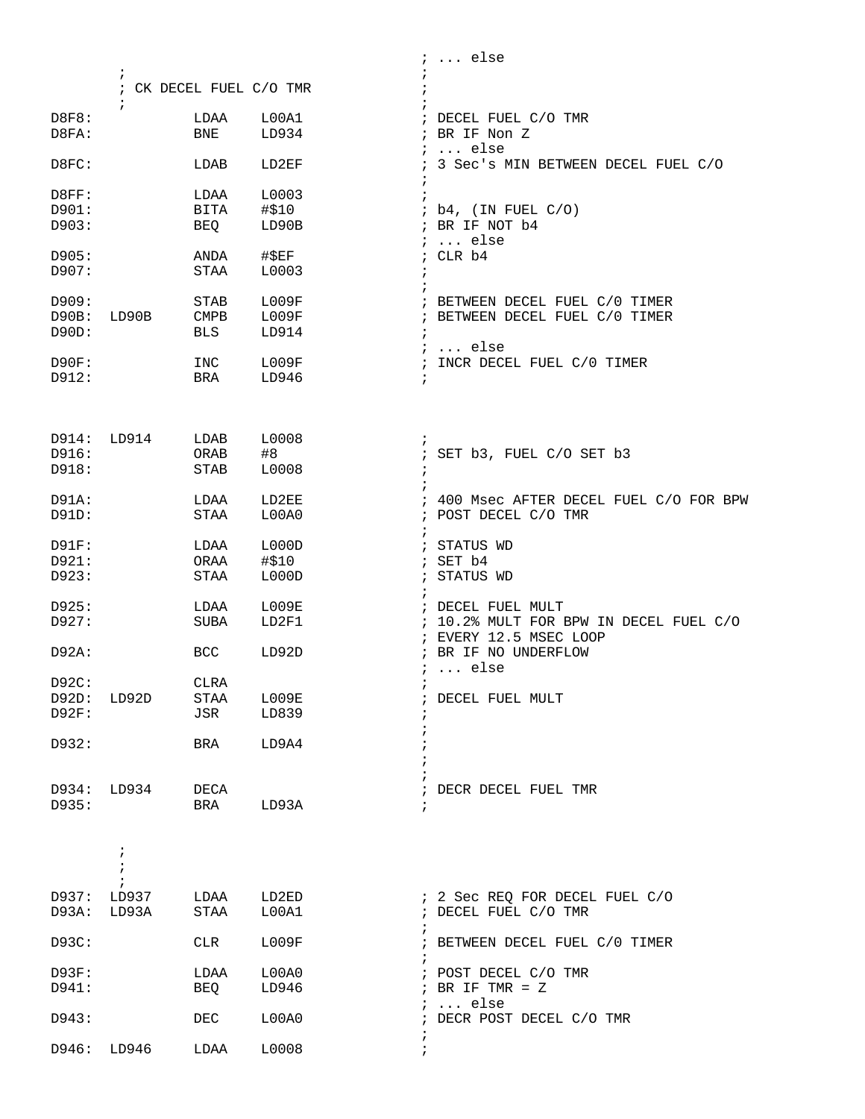|                            |                                        |                                   |                         | $i \ldots$ else                                                                                     |
|----------------------------|----------------------------------------|-----------------------------------|-------------------------|-----------------------------------------------------------------------------------------------------|
|                            | $\ddot{ }$<br>$\ddot{ }$               | ; CK DECEL FUEL C/O TMR           |                         |                                                                                                     |
| D8F8:<br>D8FA:             |                                        | LDAA<br>BNE                       | L00A1<br>LD934          | ; DECEL FUEL C/O TMR<br>; BR IF Non Z<br>$i \ldots$ else                                            |
| D8FC:                      |                                        | LDAB                              | LD2EF                   | ; 3 Sec's MIN BETWEEN DECEL FUEL C/O                                                                |
| D8FF:<br>D901:<br>D903:    |                                        | LDAA<br>BITA<br>BEQ               | L0003<br>#\$10<br>LD90B | $\ddot{i}$<br>; b4, (IN FUEL C/O)<br>; BR IF NOT b4                                                 |
| D905:<br>D907:             |                                        | ANDA<br><b>STAA</b>               | $\sharp$ \$EF<br>L0003  | $i \ldots$ else<br>; CLR b4<br>$\cdot$                                                              |
| D909:<br>D90B:<br>D90D:    | LD90B                                  | <b>STAB</b><br>CMPB<br><b>BLS</b> | L009F<br>L009F<br>LD914 | ; BETWEEN DECEL FUEL C/0 TIMER<br>; BETWEEN DECEL FUEL C/0 TIMER<br>$\ddot{i}$<br>$i$ else          |
| D90F:<br>D912:             |                                        | INC<br>BRA                        | L009F<br>LD946          | ; INCR DECEL FUEL C/0 TIMER<br>$\ddot{i}$                                                           |
|                            |                                        |                                   |                         |                                                                                                     |
| D914:<br>D916:<br>D918:    | LD914                                  | LDAB<br>ORAB<br>STAB              | L0008<br>#8<br>L0008    | $\ddot{ }$<br>; SET b3, FUEL C/O SET b3<br>$\ddot{i}$                                               |
| D91A:<br>D91D:             |                                        | LDAA<br>STAA                      | LD2EE<br>L00A0          | ; 400 Msec AFTER DECEL FUEL C/O FOR BPW<br>; POST DECEL C/O TMR                                     |
| D91F:<br>D921:<br>D923:    |                                        | LDAA<br>ORAA<br><b>STAA</b>       | L000D<br>#\$10<br>L000D | ; STATUS WD<br>; SET b4<br>; STATUS WD                                                              |
| D925:<br>D927:             |                                        | LDAA<br>SUBA                      | L009E<br>LD2F1          | $\ddot{i}$<br>; DECEL FUEL MULT<br>; 10.2% MULT FOR BPW IN DECEL FUEL C/O<br>; EVERY 12.5 MSEC LOOP |
| D92A:                      |                                        | <b>BCC</b>                        | LD92D                   | ; BR IF NO UNDERFLOW<br>$i \ldots$ else                                                             |
| D92C:<br>D92D:<br>$D92F$ : | LD92D                                  | CLRA<br>STAA<br>JSR               | L009E<br>LD839          | $\ddot{i}$<br>; DECEL FUEL MULT                                                                     |
| D932:                      |                                        | BRA                               | LD9A4                   |                                                                                                     |
| D935:                      | D934: LD934                            | DECA<br>BRA                       | LD93A                   | ; DECR DECEL FUEL TMR<br>÷                                                                          |
|                            | $\ddot{ }$<br>$\ddot{i}$<br>$\ddot{i}$ |                                   |                         |                                                                                                     |
| D937:<br>D93A:             | LD937<br>LD93A                         | LDAA<br>STAA                      | LD2ED<br>L00A1          | ; 2 Sec REQ FOR DECEL FUEL C/O<br>; DECEL FUEL C/O TMR                                              |
| D93C:                      |                                        | CLR                               | L009F                   | ; BETWEEN DECEL FUEL C/0 TIMER<br>$\ddot{i}$                                                        |
| D93F:<br>D941:             |                                        | LDAA<br>BEQ                       | L00A0<br>LD946          | ; POST DECEL C/O TMR<br>; BR IF TMR = $Z$<br>$i \ldots$ else                                        |
| D943:                      |                                        | DEC                               | L00A0                   | ; DECR POST DECEL C/O TMR                                                                           |
| D946:                      | LD946                                  | LDAA                              | L0008                   | i.                                                                                                  |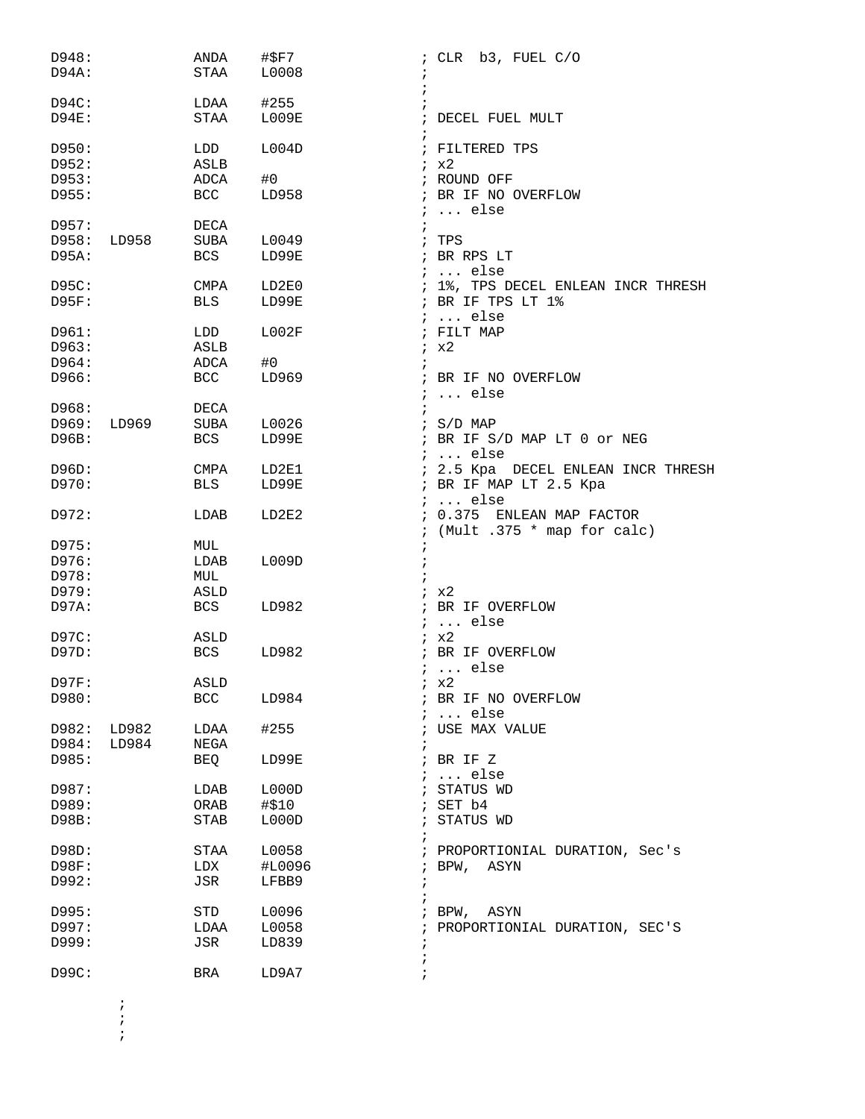| D948:<br>D94A:       |                | ANDA<br>STAA       | #\$F7<br>L0008 | ; CLR b3, FUEL C/O                                                         |
|----------------------|----------------|--------------------|----------------|----------------------------------------------------------------------------|
| $D94C$ :<br>$D94E$ : |                | LDAA<br>STAA       | #255<br>L009E  | DECEL FUEL MULT                                                            |
| D950:<br>D952:       |                | LDD<br>ASLB        | L004D          | ; FILTERED TPS<br>ix2                                                      |
| D953:<br>D955:       |                | ADCA<br><b>BCC</b> | #0<br>LD958    | ; ROUND OFF<br>; BR IF NO OVERFLOW<br>$\ldots$ else                        |
| D957:<br>D958:       | LD958          | DECA<br>SUBA       | L0049          | ; TPS                                                                      |
| D95A:                |                | <b>BCS</b>         | LD99E          | ; BR RPS LT<br>$i \ldots$ else                                             |
| D95C:<br>D95F:       |                | CMPA<br><b>BLS</b> | LD2E0<br>LD99E | ; 1%, TPS DECEL ENLEAN INCR THRESH<br>; BR IF TPS LT 1%<br>$i \ldots$ else |
| D961:<br>D963:       |                | LDD<br>ASLB        | L002F          | ; FILT MAP<br>ix2                                                          |
| D964:                |                | ADCA               | #0             |                                                                            |
| D966:                |                | BCC                | LD969          | ; BR IF NO OVERFLOW<br>$i \ldots$ else                                     |
| D968:<br>D969:       | LD969          | DECA<br>SUBA       | L0026          | $\frac{1}{2}$ S/D MAP                                                      |
| D96B:                |                | BCS                | LD99E          | ; BR IF S/D MAP LT 0 or NEG<br>$i \ldots$ else                             |
| D96D:                |                | CMPA               | LD2E1          | ; 2.5 Kpa DECEL ENLEAN INCR THRESH                                         |
| D970:                |                | <b>BLS</b>         | LD99E          | ; BR IF MAP LT 2.5 Kpa<br>$i \ldots$ else                                  |
| D972:                |                | LDAB               | LD2E2          | : 0.375 ENLEAN MAP FACTOR<br>; (Mult .375 * map for calc)                  |
| D975:                |                | MUL                |                |                                                                            |
| D976:                |                | LDAB               | L009D          |                                                                            |
| D978:<br>D979:       |                | MUL<br>ASLD        |                | ; x2                                                                       |
| D97A:                |                | BCS                | LD982          | ; BR IF OVERFLOW<br>$i \ldots$ else                                        |
| D97C:                |                | ASLD               |                | ix2                                                                        |
| D97D:                |                | <b>BCS</b>         | LD982          | ; BR IF OVERFLOW<br>$i \ldots$ else                                        |
| D97F:                |                | ASLD               |                | $k \times 2$                                                               |
| D980:                |                | <b>BCC</b>         | LD984          | ; BR IF NO OVERFLOW<br>$\ldots$ else                                       |
| D982:<br>D984:       | LD982<br>LD984 | LDAA<br>NEGA       | #255           | USE MAX VALUE                                                              |
| D985:                |                | BEQ                | LD99E          | ; BR IF Z<br>$i \ldots$ else                                               |
| D987:                |                | LDAB               | L000D          | ; STATUS WD                                                                |
| D989:                |                | ORAB               | #\$10          | SET b4                                                                     |
| D98B:                |                | <b>STAB</b>        | L000D          | STATUS WD                                                                  |
| D98D:                |                | STAA               | L0058          | ; PROPORTIONIAL DURATION, Sec's                                            |
| D98F:                |                | LDX                | #L0096         | ASYN<br>; BPW,                                                             |
| D992:                |                | JSR                | LFBB9          |                                                                            |
| D995:                |                | STD                | L0096          | ; BPW, ASYN                                                                |
| D997:                |                | LDAA               | L0058          | PROPORTIONIAL DURATION, SEC'S                                              |
| D999:                |                | JSR                | LD839          |                                                                            |
| D99C:                |                | BRA                | LD9A7          |                                                                            |

 $\mathcal{L}^{\text{max}}$  $\mathcal{L}^{\text{max}}$ 

 $\mathcal{L}^{\text{max}}$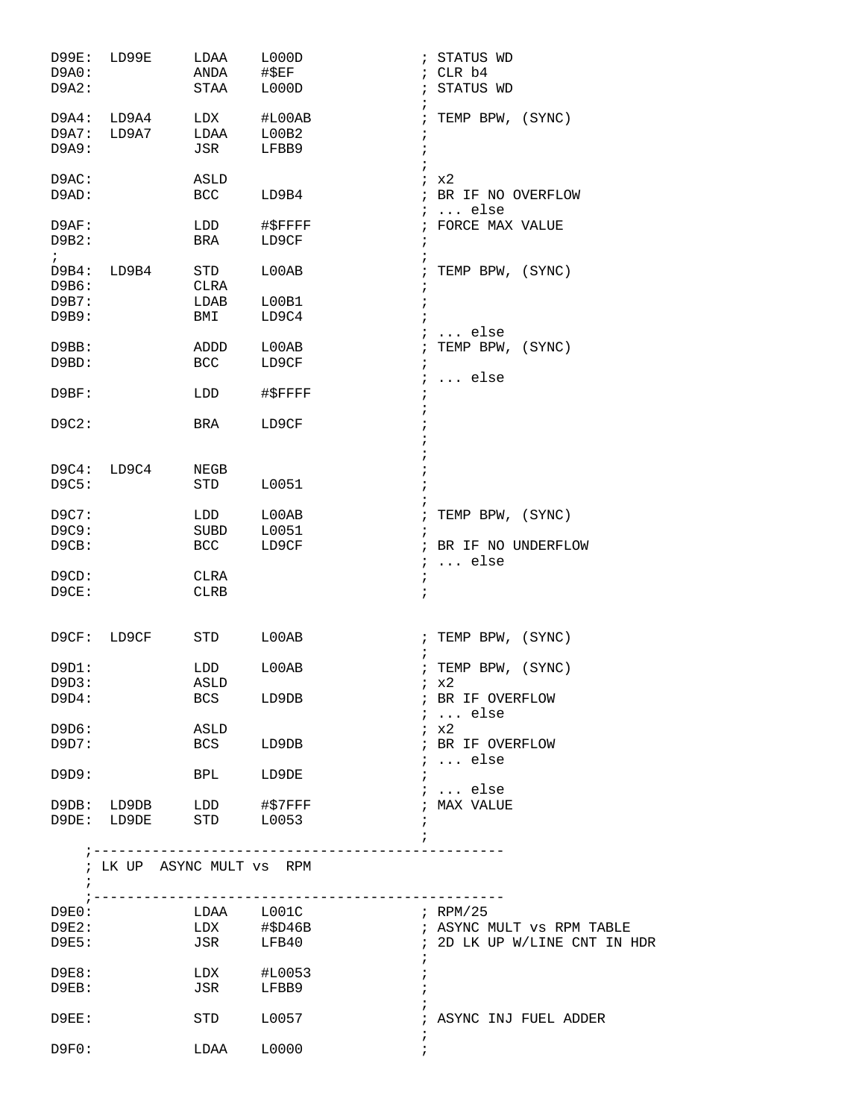| D99E:<br>D9A0: | LD99E                     | LDAA<br>ANDA       | L000D<br>#\$EF   | ; STATUS WD<br>; CLR b4                 |
|----------------|---------------------------|--------------------|------------------|-----------------------------------------|
| D9A2:          |                           | STAA               | L000D            | ; STATUS WD<br>i                        |
| D9A4:          | LD9A4<br>D9A7: LD9A7      | LDX<br>LDAA        | #L00AB           | ; TEMP BPW, (SYNC)                      |
| D9A9:          |                           | JSR                | L00B2<br>LFBB9   | $\ddot{ }$<br>$\ddot{ }$                |
| D9AC:          |                           | ASLD               |                  | $i \times 2$                            |
| D9AD:          |                           | <b>BCC</b>         | LD9B4            | ; BR IF NO OVERFLOW<br>$i$ else         |
| D9AF:<br>D9B2: |                           | LDD<br>BRA         | #\$FFFF<br>LD9CF | ; FORCE MAX VALUE<br>$\ddot{i}$         |
| $\ddot{i}$     |                           |                    |                  | $\ddot{ }$                              |
| D9B6:          | D9B4: LD9B4               | STD<br>CLRA        | L00AB            | ; TEMP BPW, (SYNC)<br>$\ddot{i}$        |
| D9B7:          |                           | LDAB               | L00B1            | ÷                                       |
| D9B9:          |                           | BMI                | LD9C4            | $i \ldots$ else                         |
| D9BB:          |                           | ADDD               | L00AB            | TEMP BPW, (SYNC)<br>$\cdot$             |
| D9BD:          |                           | BCC                | LD9CF            | $\ddot{ }$<br>$i \ldots$ else           |
| D9BF:          |                           | LDD                | #\$FFFF          | $\ddot{i}$                              |
| D9C2:          |                           | BRA                | LD9CF            |                                         |
| D9C4:          | LD9C4                     | NEGB               |                  |                                         |
| D9C5:          |                           | STD                | L0051            |                                         |
| D9C7:          |                           | LDD                | $_{\rm L00AB}$   | ; TEMP BPW, (SYNC)                      |
| D9C9:          |                           | SUBD<br><b>BCC</b> | L0051            |                                         |
| D9CB:          |                           |                    | LD9CF            | ; BR IF NO UNDERFLOW<br>$i \ldots$ else |
| D9CD:          |                           | CLRA               |                  | $\ddot{ }$                              |
| D9CE:          |                           | <b>CLRB</b>        |                  | $\ddot{i}$                              |
| D9CF:          | LD9CF                     | STD                | L00AB            | ; TEMP BPW, (SYNC)                      |
| D9D1:          |                           | LDD                | L00AB            | ; TEMP BPW, (SYNC)                      |
| D9D3:          |                           | ASLD               |                  | ix2                                     |
| D9D4:          |                           |                    | BCS LD9DB        | ; BR IF OVERFLOW                        |
| D9D6:          |                           | ASLD               |                  | $i \ldots$ else<br>ix2                  |
| D9D7:          |                           | <b>BCS</b>         | LD9DB            | ; BR IF OVERFLOW                        |
|                |                           |                    |                  | $i \ldots$ else                         |
| D9D9:          |                           | <b>BPL</b>         | LD9DE            | $\ddot{i}$<br>$i$ else                  |
|                | D9DB: LD9DB LDD #\$7FFF   |                    |                  | ; MAX VALUE                             |
|                | D9DE: LD9DE STD L0053     |                    |                  | $\ddot{ }$<br>i.                        |
|                |                           |                    |                  |                                         |
| $\ddot{i}$     | ; LK UP ASYNC MULT VS RPM |                    |                  |                                         |
|                | D9E0:                     |                    | LDAA L001C       | $\mathcal{F}$ RPM/25                    |
|                | $D9E2$ :                  |                    |                  |                                         |
| D9E5:          |                           |                    | JSR LFB40        | ; 2D LK UP W/LINE CNT IN HDR            |
| D9E8:          |                           |                    | LDX #L0053       |                                         |
| $D9EB$ :       |                           |                    | JSR LFBB9        |                                         |
| D9EE:          |                           |                    | STD L0057        | ; ASYNC INJ FUEL ADDER                  |
| D9F0:          |                           |                    | LDAA L0000       | $\ddot{ }$                              |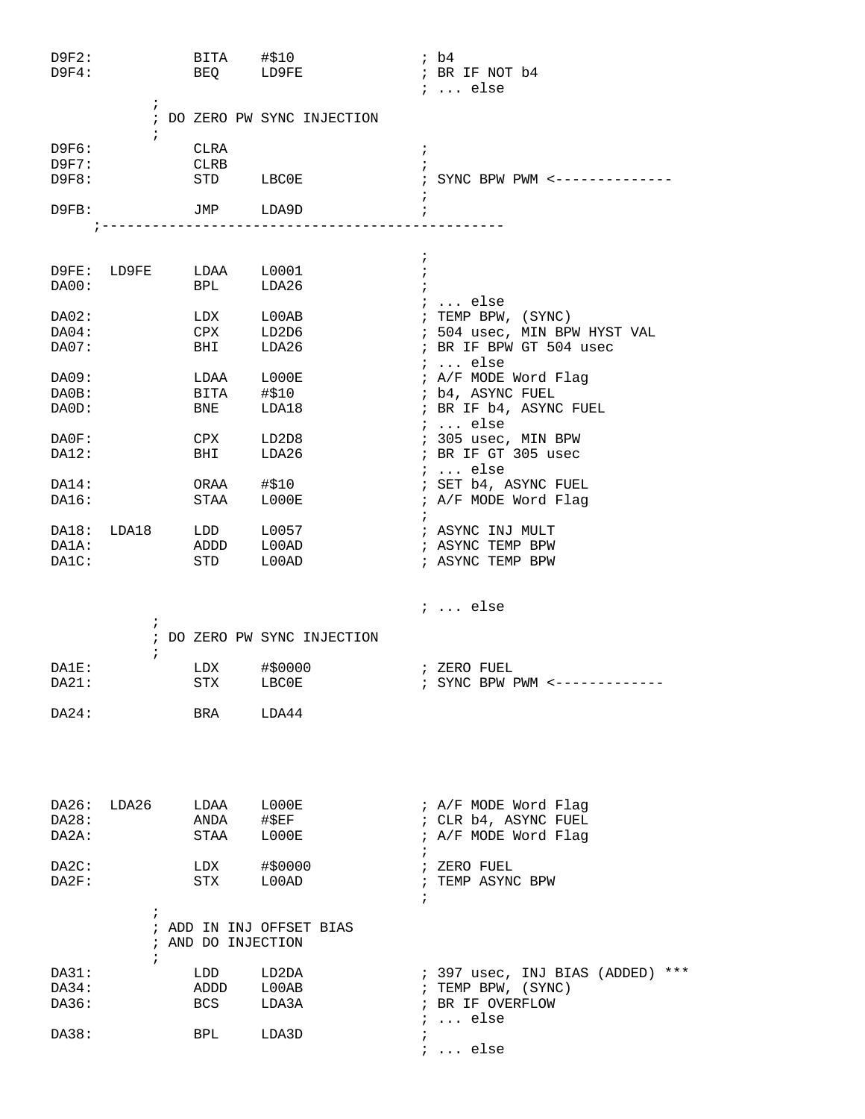| D9F2:<br>D9F4:          | $\ddot{ }$               | BITA #\$10                                                                                                                                                    | BEQ LD9FE                        | ; b4<br>; BR IF NOT b4<br>;  else                                                                                 |
|-------------------------|--------------------------|---------------------------------------------------------------------------------------------------------------------------------------------------------------|----------------------------------|-------------------------------------------------------------------------------------------------------------------|
|                         | $\ddot{ }$               |                                                                                                                                                               | ; DO ZERO PW SYNC INJECTION      |                                                                                                                   |
| D9F6:<br>D9F7:<br>D9F8: |                          | CLRA<br>CLRB<br>STD LBC0E                                                                                                                                     |                                  | $\ddot{i}$<br>; SYNC BPW PWM <--------------                                                                      |
| D9FB:                   |                          | JMP LDA9D                                                                                                                                                     |                                  | $\ddot{ }$                                                                                                        |
|                         |                          |                                                                                                                                                               | . _ _ _ _ _ _ _ _ _ _ _ _ _      |                                                                                                                   |
| DA00:                   |                          | D9FE: LD9FE LDAA L0001<br><b>BPL</b>                                                                                                                          | LDA26                            | $\ddot{i}$<br>$\cdot$                                                                                             |
| DA02:<br>DA04:<br>DA07: |                          | LDX<br><b>CPX</b><br>BHI                                                                                                                                      | L00AB<br>LD2D6<br>LDA26          | $\cdots$ else<br>; TEMP BPW, (SYNC)<br>; 504 usec, MIN BPW HYST VAL<br>; BR IF BPW GT 504 usec<br>$i \ldots$ else |
| DA09:<br>DA0B:<br>DA0D: |                          | LDAA Luve<br>$\begin{array}{ccc}\n\text{LDAA} & \text{Luu} \\ \hline\n\text{A} & \text{H$310} \\ \text{A} & \text{A} & \text{A} \\ \end{array}$<br><b>BNE</b> | LDA18                            | ; A/F MODE Word Flag<br>; b4, ASYNC FUEL<br>; BR IF b4, ASYNC FUEL<br>;  else                                     |
| DA0F:<br>DA12:          |                          | CPX<br>BHI                                                                                                                                                    | LD2D8<br>LDA26                   | ; 305 usec, MIN BPW<br>; BR IF GT 305 usec<br>;  else                                                             |
| DA14:<br>DA16:          |                          | ORAA<br>STAA                                                                                                                                                  | #\$10<br>L000E                   | ; SET b4, ASYNC FUEL<br>; A/F MODE Word Flag                                                                      |
| DA18:<br>DA1A:<br>DA1C: | LDA18                    | LDD<br>חחח ג<br>ADDD<br>STD                                                                                                                                   | L0057<br>$_{\tt LOOAD}$<br>L00AD | ; ASYNC INJ MULT<br>; ASYNC TEMP BPW<br>; ASYNC TEMP BPW                                                          |
|                         | $\ddot{ }$               |                                                                                                                                                               |                                  | ;  else                                                                                                           |
|                         | $\ddot{i}$               |                                                                                                                                                               | ; DO ZERO PW SYNC INJECTION      |                                                                                                                   |
| DA1E:<br>DA21:          |                          | LDX<br>STX                                                                                                                                                    | #\$0000<br><b>LBC0E</b>          | ; ZERO FUEL<br>; SYNC BPW PWM <---------                                                                          |
| DA24:                   |                          | BRA                                                                                                                                                           | LDA44                            |                                                                                                                   |
| DA26:<br>DA28:<br>DA2A: | LDA26                    | LDAA<br>ANDA<br>STAA                                                                                                                                          | LOOOE<br>$\#$ \$EF<br>L000E      | ; A/F MODE Word Flag<br>; CLR b4, ASYNC FUEL<br>; A/F MODE Word Flag<br>$\ddot{i}$                                |
| DA2C:<br>DA2F:          |                          | LDX<br>STX                                                                                                                                                    | #\$0000<br>L00AD                 | ; ZERO FUEL<br>; TEMP ASYNC BPW<br>$\ddot{ }$                                                                     |
|                         | $\ddot{ }$<br>$\ddot{i}$ | ; AND DO INJECTION                                                                                                                                            | ; ADD IN INJ OFFSET BIAS         |                                                                                                                   |
| DA31:<br>DA34:<br>DA36: |                          | LDD<br>ADDD<br>BCS                                                                                                                                            | LD2DA<br>L00AB<br>LDA3A          | ; 397 usec, INJ BIAS (ADDED) ***<br>; TEMP BPW, (SYNC)<br>; BR IF OVERFLOW<br>$i \ldots$ else                     |
| DA38:                   |                          | BPL                                                                                                                                                           | LDA3D                            | $\ddot{i}$<br>$i \ldots$ else                                                                                     |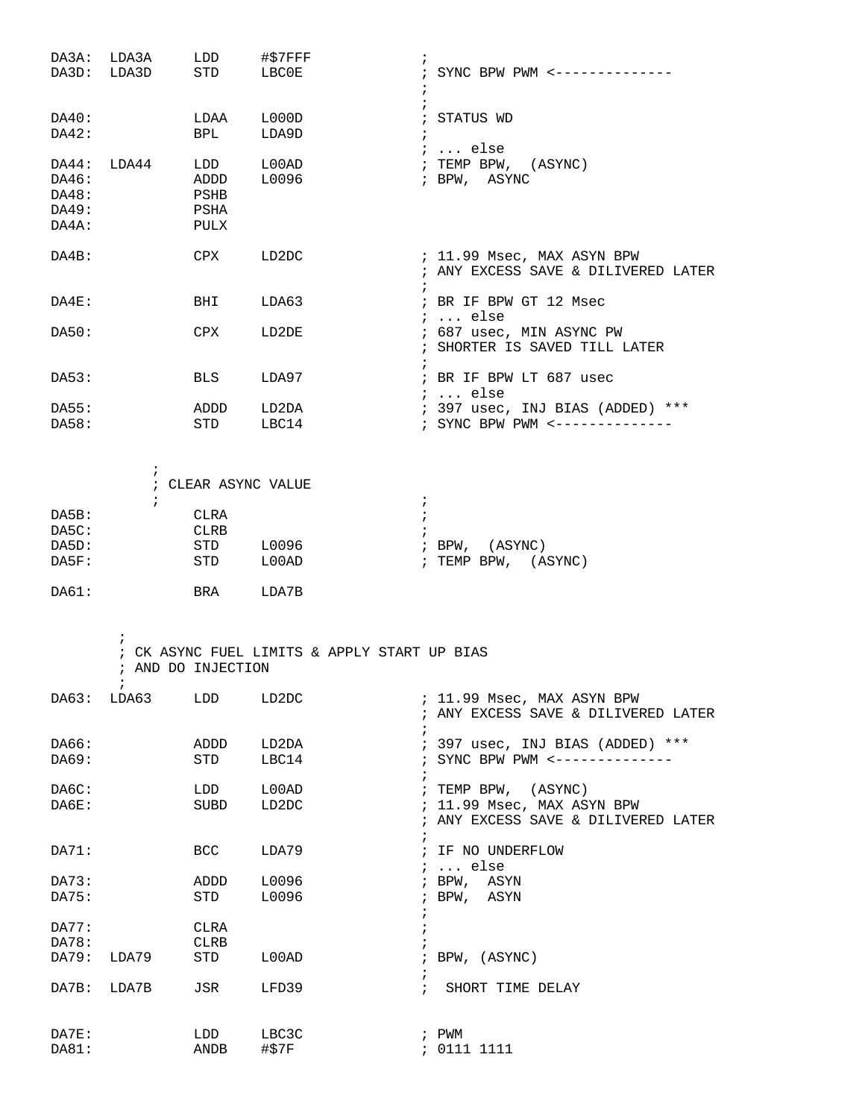|                                           | DA3A: LDA3A<br>DA3D: LDA3D                  | LDD<br><b>STD</b>                  | #\$7FFF<br>LBCOE                             | ; SYNC BPW PWM <--------------                                          |
|-------------------------------------------|---------------------------------------------|------------------------------------|----------------------------------------------|-------------------------------------------------------------------------|
| DA40:<br>DA42:                            |                                             | LDAA L000D<br>BPL LDA9D            |                                              | ; STATUS WD<br>$\ddot{i}$<br>;  else                                    |
| DA44:<br>DA46:<br>DA48:<br>DA49:<br>DA4A: | LDA44                                       | ADDD L0096<br>PSHB<br>PSHA<br>PULX | LDD L00AD                                    | ; TEMP BPW, (ASYNC)<br>; BPW, ASYNC                                     |
| DA4B:                                     |                                             | CPX                                | LD2DC                                        | ; 11.99 Msec, MAX ASYN BPW<br>; ANY EXCESS SAVE & DILIVERED LATER       |
| DA4E:                                     |                                             | BHI                                | LDA63                                        | $\ddot{i}$<br>; BR IF BPW GT 12 Msec<br><i>;</i> else                   |
| DA50:                                     |                                             | CPX                                | LD2DE                                        | ; 687 usec, MIN ASYNC PW<br>; SHORTER IS SAVED TILL LATER<br>$\ddot{ }$ |
| DA53:                                     |                                             | <b>BLS</b>                         | LDA97                                        | ; BR IF BPW LT 687 usec<br>;  else                                      |
| DA55:<br>DA58:                            |                                             | <b>STD</b>                         | ADDD LD2DA<br>LBC14                          | ; 397 usec, INJ BIAS (ADDED) ***<br>; SYNC BPW PWM <-----------         |
|                                           | Ť                                           | ; CLEAR ASYNC VALUE                |                                              |                                                                         |
| DA5B:                                     | $\ddot{ }$                                  | CLRA                               | $\ddot{i}$                                   |                                                                         |
| DA5C:                                     |                                             | CLRB                               | $\cdot$                                      |                                                                         |
| DA5D:                                     |                                             |                                    | STD L0096                                    | ; BPW, (ASYNC)                                                          |
| DA5F:                                     |                                             | STD L00AD                          |                                              | ; TEMP BPW, (ASYNC)                                                     |
| DA61:                                     |                                             | BRA LDA7B                          |                                              |                                                                         |
|                                           | $\ddot{ }$<br>; AND DO INJECTION<br>$\cdot$ |                                    | ; CK ASYNC FUEL LIMITS & APPLY START UP BIAS |                                                                         |
| DA63:                                     | LDA63                                       | LDD                                | LD2DC                                        | ; 11.99 Msec, MAX ASYN BPW<br>; ANY EXCESS SAVE & DILIVERED LATER       |
| DA66:                                     |                                             | ADDD                               | LD2DA                                        | ; 397 usec, INJ BIAS (ADDED) ***                                        |
| DA69:                                     |                                             | STD                                | LBC14                                        | ; SYNC BPW PWM <--------                                                |
| DA6C:                                     |                                             | LDD                                | L00AD                                        | ; TEMP BPW, (ASYNC)                                                     |
| DA6E:                                     |                                             | SUBD                               | LD2DC                                        | ; 11.99 Msec, MAX ASYN BPW<br>; ANY EXCESS SAVE & DILIVERED LATER       |
| DA71:                                     |                                             | BCC                                | LDA79                                        | $\ddot{ }$<br>; IF NO UNDERFLOW<br>$i \ldots$ else                      |
| DA73:                                     |                                             | ADDD                               | L0096                                        | ; BPW, ASYN                                                             |
| DA75:                                     |                                             | STD                                | L0096                                        | ; BPW, ASYN                                                             |
| DA77:                                     |                                             | CLRA                               |                                              |                                                                         |
| DA78:                                     |                                             | CLRB                               |                                              |                                                                         |
| DA79:                                     | LDA79                                       | STD                                | L00AD                                        | $;$ BPW, $(ASYNC)$                                                      |
| DA7B:                                     | LDA7B                                       | JSR                                | LFD39                                        | $\ddot{i}$<br>SHORT TIME DELAY                                          |
| DA7E:<br>DA81:                            |                                             | LDD<br>ANDB                        | LBC3C<br>#\$7F                               | ; PWM<br>: 0111 1111                                                    |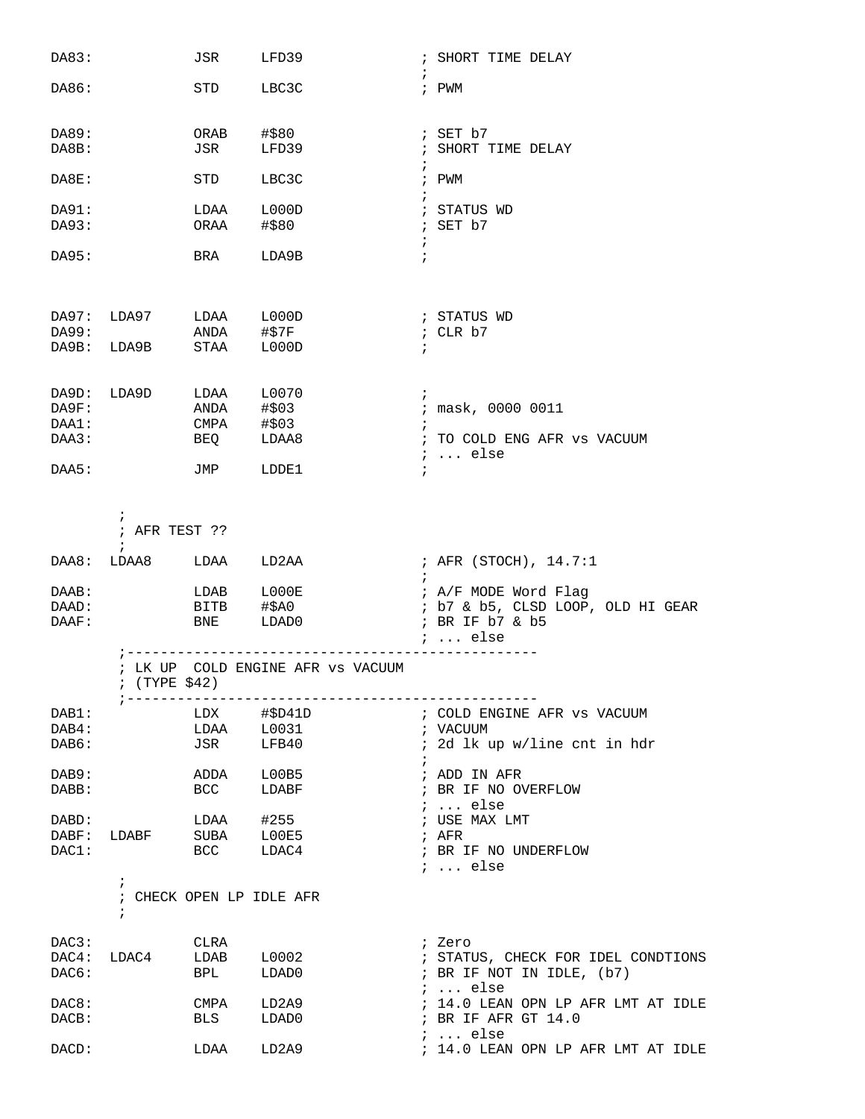| DA83:          |                                                      | JSR         | LFD39                             |            | ; SHORT TIME DELAY                      |
|----------------|------------------------------------------------------|-------------|-----------------------------------|------------|-----------------------------------------|
| DA86:          |                                                      | STD         | LBC3C                             | $\ddot{i}$ | ; PWM                                   |
| DA89:          |                                                      | ORAB        | #\$80                             |            | ; SET b7                                |
| DA8B:          |                                                      | JSR         | LFD39                             | $\ddot{i}$ | ; SHORT TIME DELAY                      |
| DA8E:          |                                                      | STD         | LBC3C                             |            | ; PWM                                   |
| DA91:          |                                                      | LDAA        | L000D                             |            | ; STATUS WD                             |
| DA93:          |                                                      | ORAA        | #\$80                             | $\ddot{ }$ | ; SET b7                                |
| DA95:          |                                                      | BRA         | LDA9B                             | $\cdot$    |                                         |
| DA97:          | LDA97                                                | LDAA        | L000D                             |            | ; STATUS WD                             |
| DA99:          |                                                      | ANDA        | #\$7F                             |            | ; CLR b7                                |
| DA9B:          | LDA9B                                                | STAA        | L000D                             | $\ddot{i}$ |                                         |
| DA9D:          | LDA9D                                                | LDAA        | L0070                             | $\ddot{i}$ |                                         |
| DA9F:          |                                                      | ANDA        | #\$03                             |            | ; mask, 0000 0011                       |
| DAA1:<br>DAA3: |                                                      | CMPA<br>BEQ | #\$03<br>LDAA8                    | $\ddot{i}$ | ; TO COLD ENG AFR VS VACUUM             |
|                |                                                      |             |                                   |            | $i \ldots$ else                         |
| DAA5:          |                                                      | JMP         | LDDE1                             | $\ddot{i}$ |                                         |
|                | $\ddot{ }$<br>; AFR TEST ??                          |             |                                   |            |                                         |
|                | $\ddot{i}$                                           |             |                                   |            |                                         |
| DAA8:          | LDAA8                                                | LDAA        | LD2AA                             | $\ddot{i}$ | ; AFR (STOCH), 14.7:1                   |
| DAAB:          |                                                      | LDAB        | ${\tt LOOOE}$                     |            | ; A/F MODE Word Flag                    |
| DAAD:          |                                                      | BITB        | #\$A0                             |            | ; b7 & b5, CLSD LOOP, OLD HI GEAR       |
| DAAF:          |                                                      | BNE         | LDAD0                             |            | ; BR IF b7 & b5<br>$i$ else             |
|                | $;$ (TYPE \$42)                                      |             | ; LK UP COLD ENGINE AFR VS VACUUM |            |                                         |
| DAB1:          |                                                      |             | LDX #\$D41D                       |            | ; COLD ENGINE AFR VS VACUUM             |
| DAB4:          |                                                      | LDAA        | L0031                             |            | ; VACUUM                                |
| DAB6:          |                                                      | JSR         | LFB40                             | $\ddot{i}$ | ; 2d lk up w/line cnt in hdr            |
| DAB9:          |                                                      | ADDA        | L00B5                             |            | ; ADD IN AFR                            |
| DABB:          |                                                      | <b>BCC</b>  | LDABF                             |            | ; BR IF NO OVERFLOW                     |
| DABD:          |                                                      | LDAA        | #255                              |            | $i \ldots$ else<br>; USE MAX LMT        |
| DABF:          | LDABF                                                | SUBA LOOE5  |                                   |            | ; AFR                                   |
| DAC1:          |                                                      | <b>BCC</b>  | LDAC4                             |            | ; BR IF NO UNDERFLOW<br>$i \ldots$ else |
|                | $\ddot{i}$<br>; CHECK OPEN LP IDLE AFR<br>$\ddot{i}$ |             |                                   |            |                                         |
| DAC3:          |                                                      | CLRA        |                                   |            | ; Zero                                  |
| DAC4:          | LDAC4                                                | LDAB        | L0002                             |            | ; STATUS, CHECK FOR IDEL CONDTIONS      |
| DAC6:          |                                                      | BPL         | LDAD0                             |            | ; BR IF NOT IN IDLE, (b7)               |
|                |                                                      |             |                                   |            | $i \ldots$ else                         |
| DAC8:          |                                                      | CMPA        | LD2A9                             |            | ; 14.0 LEAN OPN LP AFR LMT AT IDLE      |
| DACB:          |                                                      | <b>BLS</b>  | LDAD0                             |            | ; BR IF AFR GT 14.0<br>$i \ldots$ else  |
| DACD:          |                                                      | LDAA        | LD2A9                             |            | ; 14.0 LEAN OPN LP AFR LMT AT IDLE      |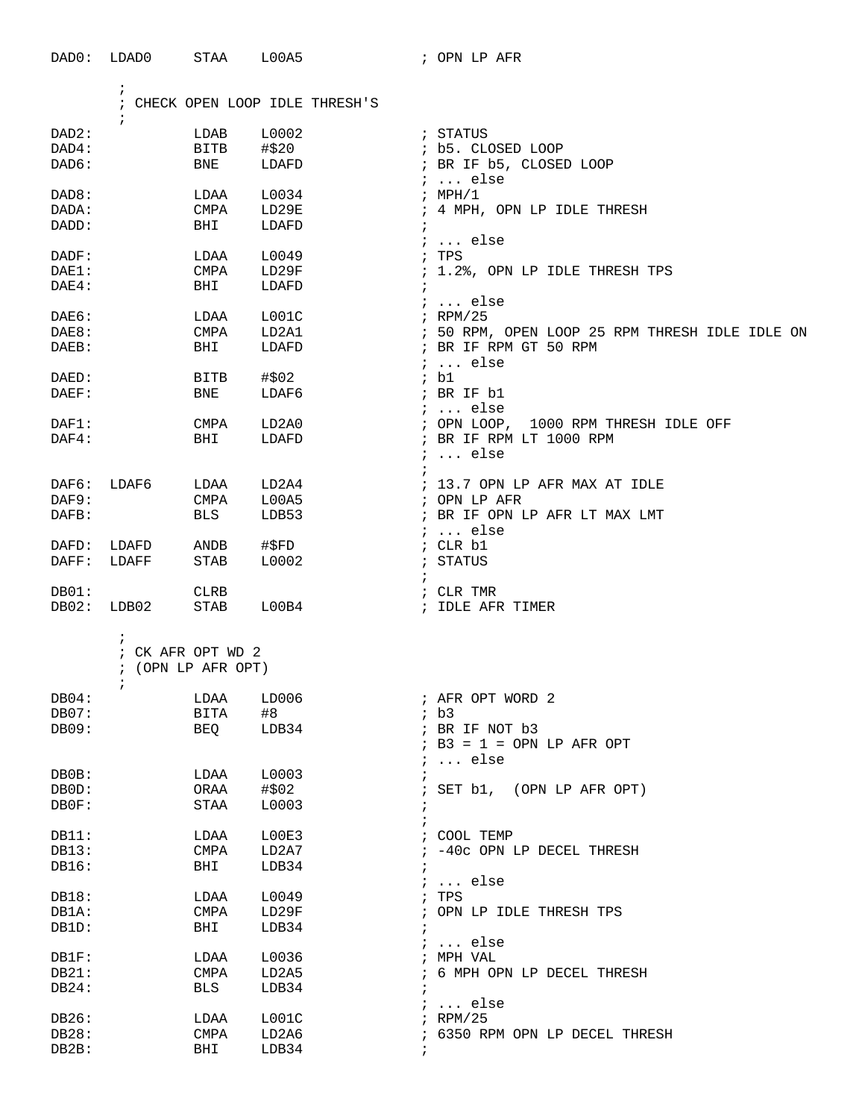| DAD0:    | LDAD0       | STAA               | L00A5                           | ; OPN LP AFR                                   |
|----------|-------------|--------------------|---------------------------------|------------------------------------------------|
|          | $\ddot{i}$  |                    |                                 |                                                |
|          |             |                    | ; CHECK OPEN LOOP IDLE THRESH'S |                                                |
| DAD2:    |             | LDAB               | L0002                           | ; STATUS                                       |
| DAD4:    |             | <b>BITB</b>        | #\$20                           | ; b5. CLOSED LOOP                              |
|          |             |                    |                                 |                                                |
| DAD6:    |             | BNE                | LDAFD                           | ; BR IF b5, CLOSED LOOP<br>$i$ else            |
| DAD8:    |             | LDAA               | L0034                           | :MPH/1                                         |
| DADA:    |             | CMPA               | LD29E                           | ; 4 MPH, OPN LP IDLE THRESH                    |
| DADD:    |             | BHI                | LDAFD                           | $\ddot{i}$                                     |
|          |             |                    |                                 | $i \ldots$ else                                |
| DADF:    |             | LDAA               | L0049                           | ; TPS                                          |
| DAE1:    |             | CMPA               | LD29F                           | ; 1.2%, OPN LP IDLE THRESH TPS                 |
| $DAE4$ : |             | BHI                | LDAFD                           | $\ddot{ }$                                     |
|          |             |                    |                                 | $i \ldots$ else                                |
| DAE6:    |             | LDAA               | L001C                           | $;$ RPM/25                                     |
| DAE8:    |             | <b>CMPA</b>        | LD2A1                           | ; 50 RPM, OPEN LOOP 25 RPM THRESH IDLE IDLE ON |
| DAEB:    |             | BHI                | LDAFD                           | ; BR IF RPM GT 50 RPM                          |
|          |             |                    |                                 | $i \ldots$ else                                |
| DAED:    |             | BITB               | #\$02                           | ; bl                                           |
| DAEF:    |             | BNE                | LDAF6                           | ; BR IF b1                                     |
|          |             |                    |                                 | $i \ldots$ else                                |
| DAF1:    |             | CMPA               | LD2A0                           | ; OPN LOOP, 1000 RPM THRESH IDLE OFF           |
| $DAF4$ : |             | BHI                | LDAFD                           | ; BR IF RPM LT 1000 RPM                        |
|          |             |                    |                                 | $i \ldots$ else                                |
|          |             |                    |                                 |                                                |
| DAF6:    | LDAF6       | LDAA               | LD2A4                           | ; 13.7 OPN LP AFR MAX AT IDLE                  |
| DAF9:    |             | CMPA               | L00A5                           | ; OPN LP AFR                                   |
| DAFB:    |             | <b>BLS</b>         | LDB53                           | ; BR IF OPN LP AFR LT MAX LMT                  |
|          |             |                    |                                 | $i \ldots$ else                                |
| DAFD:    | LDAFD       | ANDB               | #\$FD                           | ; CLR b1                                       |
| DAFF:    | LDAFF       | STAB               | L0002                           | ; STATUS                                       |
|          |             |                    |                                 | $\ddot{i}$                                     |
| DB01:    |             | CLRB               |                                 | ; CLR TMR                                      |
| DB02:    | LDB02       | STAB               | $\mathtt{LOOB4}$                | ; IDLE AFR TIMER                               |
|          | i.          |                    |                                 |                                                |
|          |             | ; CK AFR OPT WD 2  |                                 |                                                |
|          |             | : (OPN LP AFR OPT) |                                 |                                                |
|          | $\tilde{I}$ |                    |                                 |                                                |
| DB04:    |             | LDAA               | LD006                           | ; AFR OPT WORD 2                               |
| DB07:    |             | <b>BITA</b>        | #8                              | ib3                                            |
| DB09:    |             | BEQ                | LDB34                           | ; BR IF NOT b3                                 |
|          |             |                    |                                 | $: B3 = 1 =$ OPN LP AFR OPT                    |
|          |             |                    |                                 | $i \ldots$ else                                |
| DB0B:    |             | LDAA               | L0003                           | $\ddot{ }$                                     |
| DB0D:    |             | ORAA               | #\$02                           | ; SET b1, (OPN LP AFR OPT)                     |
| DB0F:    |             | STAA               | L0003                           | $\ddot{\phantom{0}}$                           |
|          |             |                    |                                 | $\ddot{ }$                                     |
| DB11:    |             | LDAA               | L00E3                           | ; COOL TEMP                                    |
| DB13:    |             | CMPA               | LD2A7                           | ; -40c OPN LP DECEL THRESH                     |
| DB16:    |             | BHI                | LDB34                           |                                                |
|          |             |                    |                                 | $i \ldots$ else                                |
| DB18:    |             | LDAA               | L0049                           | ; TPS                                          |
| DB1A:    |             | CMPA               | LD29F                           | ; OPN LP IDLE THRESH TPS                       |
| DB1D:    |             | BHI                | LDB34                           | $\ddot{i}$                                     |
|          |             |                    |                                 | $i \ldots$ else                                |
| DB1F:    |             | LDAA               | L0036                           | ; MPH VAL                                      |
| DB21:    |             | CMPA               | LD2A5                           | ; 6 MPH OPN LP DECEL THRESH                    |
| DB24:    |             | BLS                | LDB34                           |                                                |
|          |             |                    |                                 | $\ldots$ else                                  |
| DB26:    |             | LDAA               | LOO1C                           | $i$ RPM/25                                     |
| DB28:    |             | CMPA               | LD2A6                           | ; 6350 RPM OPN LP DECEL THRESH                 |
| DB2B:    |             | BHI                | LDB34                           | $\ddot{i}$                                     |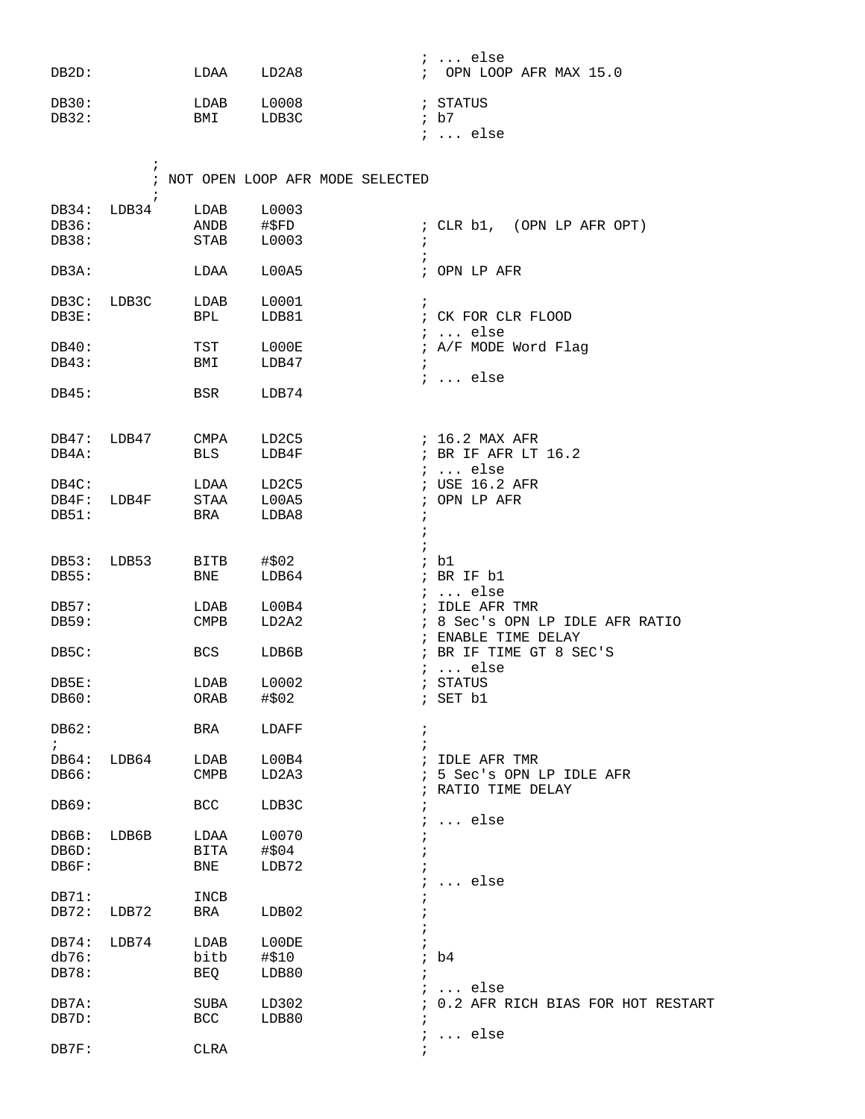| DB2D:                |                     | LDAA         | LD2A8                             | $i \ldots$ else<br>; OPN LOOP AFR MAX 15.0 |
|----------------------|---------------------|--------------|-----------------------------------|--------------------------------------------|
| DB30:<br>DB32:       |                     | LDAB<br>BMI  | L0008<br>LDB3C                    | ; STATUS<br>; b7                           |
|                      |                     |              |                                   | $i \ldots$ else                            |
|                      | $\ddot{i}$          |              | ; NOT OPEN LOOP AFR MODE SELECTED |                                            |
| DB34:                | $\ddot{i}$<br>LDB34 | LDAB         | L0003                             |                                            |
| DB36:                |                     |              | #\$FD                             | ; CLR b1, (OPN LP AFR OPT)                 |
| DB38:                |                     | ANDB<br>STAB | L0003                             | $\ddot{ }$                                 |
| DB3A:                |                     | LDAA         | L00A5                             | $\cdot$<br>; OPN LP AFR                    |
|                      |                     |              |                                   | $\mathbf{i}$                               |
| DB3C: LDB3C<br>DB3E: |                     | LDAB<br>BPL  | L0001<br>LDB81                    | ; CK FOR CLR FLOOD                         |
|                      |                     |              |                                   | $i \ldots$ else                            |
| DB40:                |                     | TST          | L000E                             | ; A/F MODE Word Flag                       |
| DB43:                |                     | BMI          | LDB47                             | $\mathcal{L}$                              |
|                      |                     |              |                                   | $i \ldots$ else                            |
| DB45:                |                     | BSR          | LDB74                             |                                            |
|                      |                     |              |                                   |                                            |
| DB47: LDB47          |                     | CMPA         | LD2C5                             | ; 16.2 MAX AFR                             |
| DB4A:                |                     | BLS          | LDB4F                             | ; BR IF AFR LT 16.2<br>$i \ldots$ else     |
| DB4C:                |                     | LDAA         | LD2C5                             | ; USE 16.2 AFR                             |
|                      | DB4F: LDB4F         | STAA         | L00A5                             | ; OPN LP AFR                               |
| DB51:                |                     | BRA          | LDBA8                             | $\ddot{ }$                                 |
|                      |                     |              |                                   | $\ddot{i}$                                 |
| DB53:                | LDB53               | BITB         | #\$02                             | $\ddot{i}$<br>; b1                         |
| DB55:                |                     | BNE          | LDB64                             | ; BR IF b1                                 |
|                      |                     |              |                                   | $i \dots$ else                             |
| DB57:                |                     | LDAB         | L00B4                             | ; IDLE AFR TMR                             |
| DB59:                |                     | CMPB         | LD2A2                             | ; 8 Sec's OPN LP IDLE AFR RATIO            |
|                      |                     |              |                                   | ; ENABLE TIME DELAY                        |
| DB5C:                |                     | BCS          | LDB6B                             | ; BR IF TIME GT 8 SEC'S                    |
|                      |                     |              |                                   | $: $ else                                  |
| DB5E:                |                     | LDAB         | L0002                             | ; STATUS                                   |
| DB60:                |                     | ORAB         | #\$02                             | ; SET b1                                   |
| DB62:<br>$\ddot{ }$  |                     | BRA          | LDAFF                             | $\ddot{ }$                                 |
| DB64:                | LDB64               | LDAB         | L00B4                             | ; IDLE AFR TMR                             |
| DB66:                |                     | <b>CMPB</b>  | LD2A3                             | 5 Sec's OPN LP IDLE AFR                    |
|                      |                     |              |                                   | RATIO TIME DELAY                           |
| DB69:                |                     | <b>BCC</b>   | LDB3C                             | $\ldots$ else                              |
| DB6B:                | LDB6B               | LDAA         | L0070                             |                                            |
| DB6D:                |                     | BITA         | #\$04                             |                                            |
| DB6F:                |                     | BNE          | LDB72                             |                                            |
|                      |                     |              |                                   | else                                       |
| DB71:                |                     | INCB         |                                   |                                            |
| DB72:                | LDB72               | BRA          | LDB02                             |                                            |
| DB74:                | LDB74               | LDAB         | L00DE                             |                                            |
| db76:                |                     | bitb         | #\$10                             | b4                                         |
| DB78:                |                     | BEQ          | LDB80                             |                                            |
|                      |                     |              |                                   | $i \ldots$ else                            |
| DB7A:                |                     | SUBA         | LD302                             | ; 0.2 AFR RICH BIAS FOR HOT RESTART        |
| DB7D:                |                     | BCC          | LDB80                             | $\ddot{i}$                                 |

; ... else

DB7F: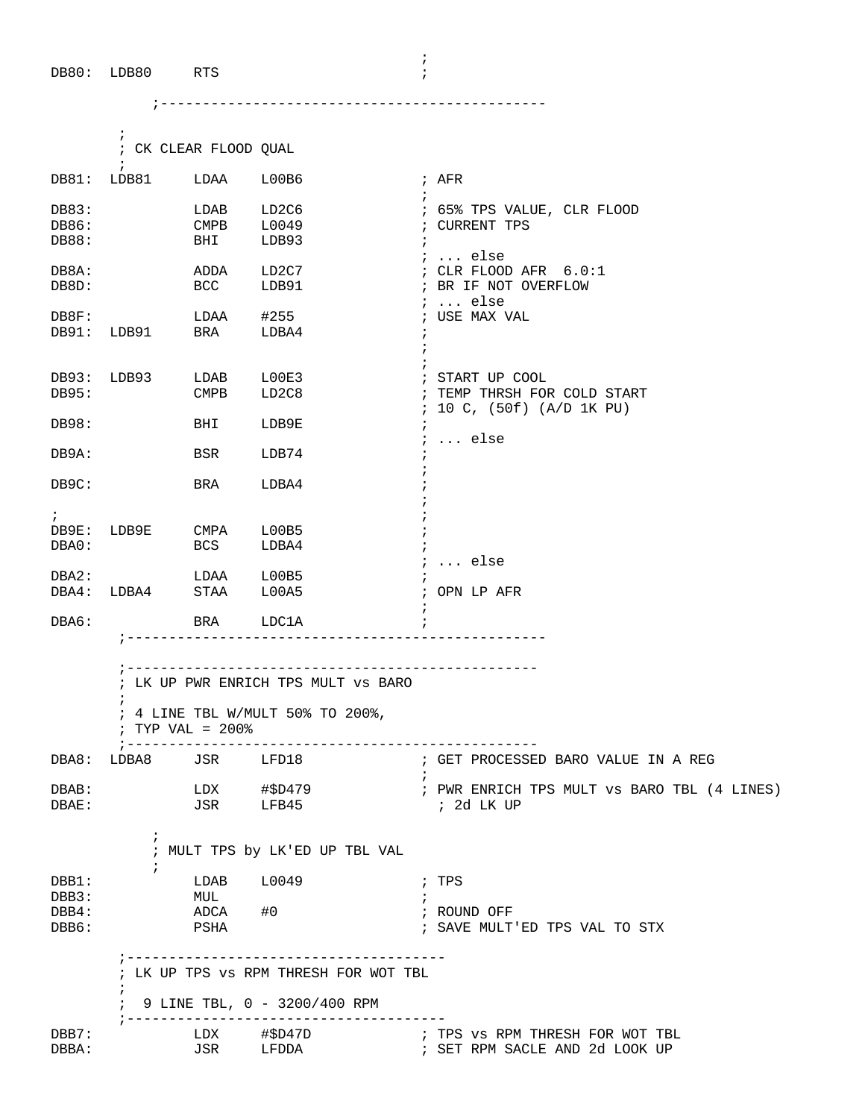|                         | $\ddot{i}$<br>$\ddot{i}$                                                                                    | ; CK CLEAR FLOOD QUAL         |                                              |                                                                              |  |  |  |  |  |
|-------------------------|-------------------------------------------------------------------------------------------------------------|-------------------------------|----------------------------------------------|------------------------------------------------------------------------------|--|--|--|--|--|
|                         | DB81: LDB81 LDAA L00B6                                                                                      |                               |                                              | ; AFR<br>$\ddot{ }$                                                          |  |  |  |  |  |
| DB83:<br>DB86:<br>DB88: | <b>Example 15 The LDAB</b><br><b>CMPB</b>                                                                   | BHI                           | LD2C6<br>L0049<br>LDB93                      | ; 65% TPS VALUE, CLR FLOOD<br>; CURRENT TPS<br>$\ddot{i}$                    |  |  |  |  |  |
| DB8A:<br>DB8D:          | BCC LDB91                                                                                                   |                               | ADDA LD2C7                                   | $i \ldots$ else<br>; CLR FLOOD AFR 6.0:1<br>; BR IF NOT OVERFLOW<br>$i$ else |  |  |  |  |  |
|                         | DB8F: LDB91 LDAA #255<br>DB91: LDB91 BRA LDBA4                                                              |                               |                                              | ; USE MAX VAL                                                                |  |  |  |  |  |
| DB95:                   | DB93: LDB93 LDAB L00E3                                                                                      | CMPB                          | LD2C8                                        | ; START UP COOL<br>; TEMP THRSH FOR COLD START<br>: 10 C, (50f) (A/D 1K PU)  |  |  |  |  |  |
| DB98:                   |                                                                                                             | BHI LDB9E                     |                                              | $\ddot{i}$<br>$i \ldots$ else                                                |  |  |  |  |  |
| DB9A:                   |                                                                                                             | BSR                           | LDB74                                        |                                                                              |  |  |  |  |  |
| DB9C:                   |                                                                                                             | BRA                           | LDBA4                                        |                                                                              |  |  |  |  |  |
| $\mathbf{i}$<br>DBA0:   | DB9E: LDB9E CMPA L00B5                                                                                      | <b>BCS</b>                    | LDBA4                                        |                                                                              |  |  |  |  |  |
|                         | DBA2: LDAA L00B5<br>DBA4: LDBA4 STAA L00A5                                                                  |                               |                                              | $\ldots$ else<br>; OPN LP AFR                                                |  |  |  |  |  |
| DBA6:                   |                                                                                                             | BRA LDC1A                     |                                              |                                                                              |  |  |  |  |  |
|                         | ; LK UP PWR ENRICH TPS MULT VS BARO<br>$\ddot{i}$<br>; 4 LINE TBL W/MULT 50% TO 200%,<br>$:$ TYP VAL = 200% |                               |                                              |                                                                              |  |  |  |  |  |
| DBA8:                   | LDBA8                                                                                                       | ; --------------------<br>JSR | LFD18                                        | ---------------------------<br>; GET PROCESSED BARO VALUE IN A REG           |  |  |  |  |  |
| DBAB:<br>DBAE:          |                                                                                                             | LDX<br>JSR                    | #\$D479<br>LFB45                             | ; PWR ENRICH TPS MULT VS BARO TBL (4 LINES)<br>; 2d LK UP                    |  |  |  |  |  |
|                         | $\ddot{i}$<br>$\ddot{i}$                                                                                    |                               | ; MULT TPS by LK'ED UP TBL VAL               |                                                                              |  |  |  |  |  |
| DBB1:<br>DBB3:          |                                                                                                             | LDAB<br>MUL                   | L0049                                        | ; TPS<br>; ROUND OFF                                                         |  |  |  |  |  |
| DBB4:<br>DBB6:          |                                                                                                             | ADCA<br>PSHA                  | #0<br>______________________________________ | ; SAVE MULT'ED TPS VAL TO STX                                                |  |  |  |  |  |

|       |      | $: 9$ LINE TBL, $0 - 3200/400$ RPM |  |  |  |  |                                 |  |
|-------|------|------------------------------------|--|--|--|--|---------------------------------|--|
| DBB7: | LDX  | #SD47D                             |  |  |  |  | ; TPS vs RPM THRESH FOR WOT TBL |  |
| DBBA: | T.SR | Aתתדות                             |  |  |  |  | ; SET RPM SACLE AND 2d LOOK UP  |  |

; LK UP TPS vs RPM THRESH FOR WOT TBL

 $\mathcal{L}^{\text{max}}$ 

;----------------------------------------------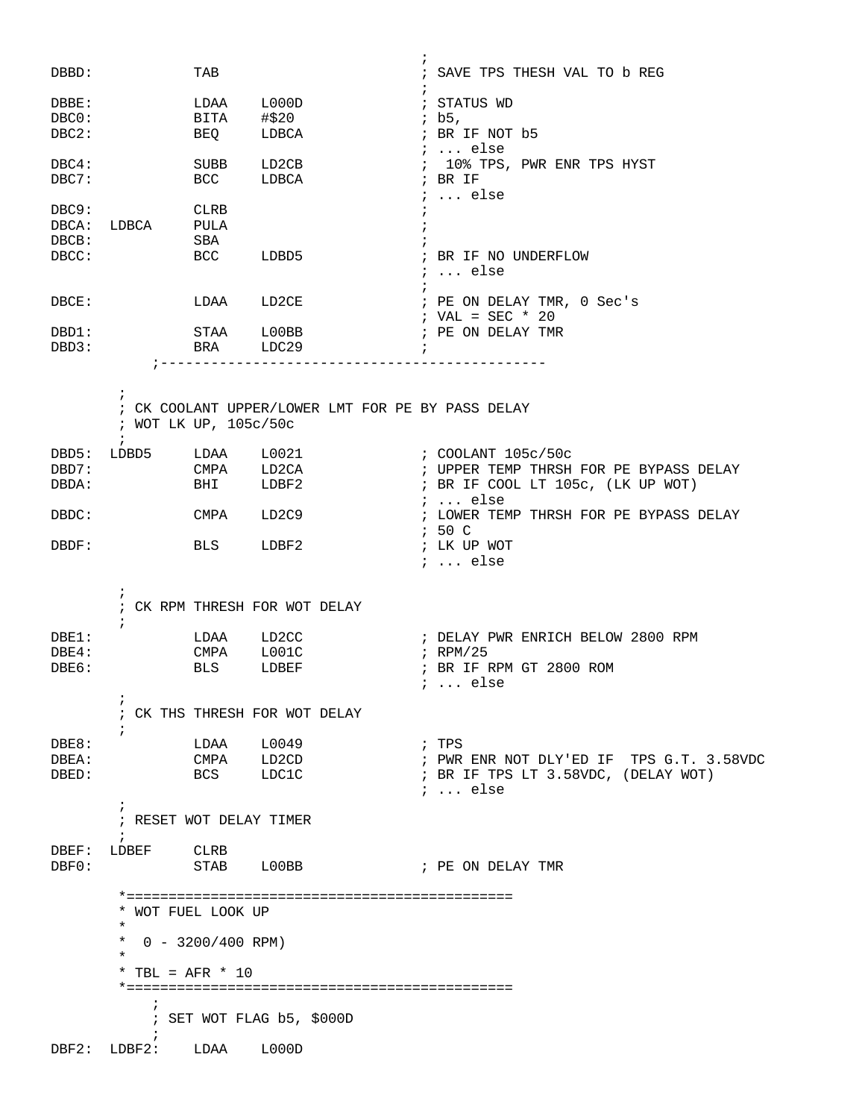|                   |                                       |            |                                                   | $\ddot{i}$                                       |
|-------------------|---------------------------------------|------------|---------------------------------------------------|--------------------------------------------------|
| DBBD:             |                                       | TAB        |                                                   | ; SAVE TPS THESH VAL TO b REG                    |
| DBBE:             |                                       | LDAA       | L000D                                             | ; STATUS WD                                      |
| DBC0:             |                                       | BITA       | #\$20                                             | ; b5,                                            |
| DBC2:             |                                       | <b>BEQ</b> | LDBCA                                             | ; BR IF NOT b5                                   |
|                   |                                       |            |                                                   | ;  else                                          |
| DBC4:             |                                       | SUBB       | LD2CB                                             | ; 10% TPS, PWR ENR TPS HYST                      |
| DBC7:             |                                       | <b>BCC</b> | LDBCA                                             | ; BR IF                                          |
| DBC9:             |                                       | CLRB       |                                                   | $i \ldots$ else                                  |
| DBCA:             | LDBCA PULA                            |            |                                                   | $\cdot$                                          |
| DBCB:             |                                       | SBA        |                                                   |                                                  |
| DBCC:             |                                       |            | BCC LDBD5                                         | ; BR IF NO UNDERFLOW                             |
|                   |                                       |            |                                                   | $i \ldots$ else                                  |
|                   |                                       |            |                                                   |                                                  |
| DBCE:             |                                       |            | LDAA LD2CE                                        | ; PE ON DELAY TMR, 0 Sec's<br>; VAL = SEC * 20   |
| DBD1:             |                                       | STAA LOOBB |                                                   | ; PE ON DELAY TMR                                |
| DBD3:             |                                       | BRA LDC29  |                                                   | $\ddot{i}$                                       |
|                   |                                       |            | ;----------------------------------               |                                                  |
|                   |                                       |            |                                                   |                                                  |
|                   | $\ddot{ }$                            |            |                                                   |                                                  |
|                   | ; WOT LK UP, 105c/50c                 |            | ; CK COOLANT UPPER/LOWER LMT FOR PE BY PASS DELAY |                                                  |
|                   | $\ddot{i}$                            |            |                                                   |                                                  |
| DBD5:             |                                       |            |                                                   |                                                  |
| DBD7:             |                                       | CMPA LD2CA |                                                   | ; UPPER TEMP THRSH FOR PE BYPASS DELAY           |
| DBDA:             |                                       | BHI        | LDBF2                                             | ; BR IF COOL LT 105c, (LK UP WOT)                |
|                   |                                       |            |                                                   | ;  else                                          |
| DBDC:             |                                       | CMPA       | LD2C9                                             | ; LOWER TEMP THRSH FOR PE BYPASS DELAY<br>; 50 C |
| DBDF:             |                                       | <b>BLS</b> | LDBF2                                             | ; LK UP WOT                                      |
|                   |                                       |            |                                                   | ;  else                                          |
|                   |                                       |            |                                                   |                                                  |
|                   | $\ddot{i}$                            |            |                                                   |                                                  |
|                   | $\ddot{ }$                            |            | ; CK RPM THRESH FOR WOT DELAY                     |                                                  |
| $DBE1$ :          |                                       | LDAA LD2CC |                                                   | ; DELAY PWR ENRICH BELOW 2800 RPM                |
| $DBE4$ :          |                                       | CMPA L001C |                                                   | ; RPM/25                                         |
| DBE6:             |                                       | <b>BLS</b> | LDBEF                                             | ; BR IF RPM GT 2800 ROM                          |
|                   |                                       |            |                                                   | $i \ldots$ else                                  |
|                   | ÷                                     |            |                                                   |                                                  |
|                   | $\ddot{ }$                            |            | ; CK THS THRESH FOR WOT DELAY                     |                                                  |
| DBE8:             |                                       | LDAA L0049 |                                                   | ; TPS                                            |
| DBEA:             |                                       |            | CMPA LD2CD                                        | ; PWR ENR NOT DLY'ED IF TPS G.T. 3.58VDC         |
| DBED:             |                                       | BCS LDC1C  |                                                   | ; BR IF TPS LT 3.58VDC, (DELAY WOT)              |
|                   |                                       |            |                                                   | $i \ldots$ else                                  |
|                   | $\ddot{ }$                            |            |                                                   |                                                  |
|                   | ; RESET WOT DELAY TIMER<br>$\ddot{i}$ |            |                                                   |                                                  |
| $\texttt{DBEF}$ : | LDBEF CLRB                            |            |                                                   |                                                  |
| DBF0:             |                                       |            | STAB LOOBB                                        | ; PE ON DELAY TMR                                |
|                   |                                       |            |                                                   |                                                  |
|                   |                                       |            |                                                   |                                                  |
|                   | * WOT FUEL LOOK UP<br>$\star$         |            |                                                   |                                                  |
|                   | * $0 - 3200/400$ RPM)                 |            |                                                   |                                                  |
|                   | $\star$                               |            |                                                   |                                                  |
|                   | * TBL = $AFR$ * 10                    |            |                                                   |                                                  |
|                   |                                       |            |                                                   |                                                  |
|                   | $\ddot{r}$                            |            | ; SET WOT FLAG b5, \$000D                         |                                                  |
|                   | $\ddot{i}$                            |            |                                                   |                                                  |
| DBF2:             | LDBF2: LDAA                           |            | L000D                                             |                                                  |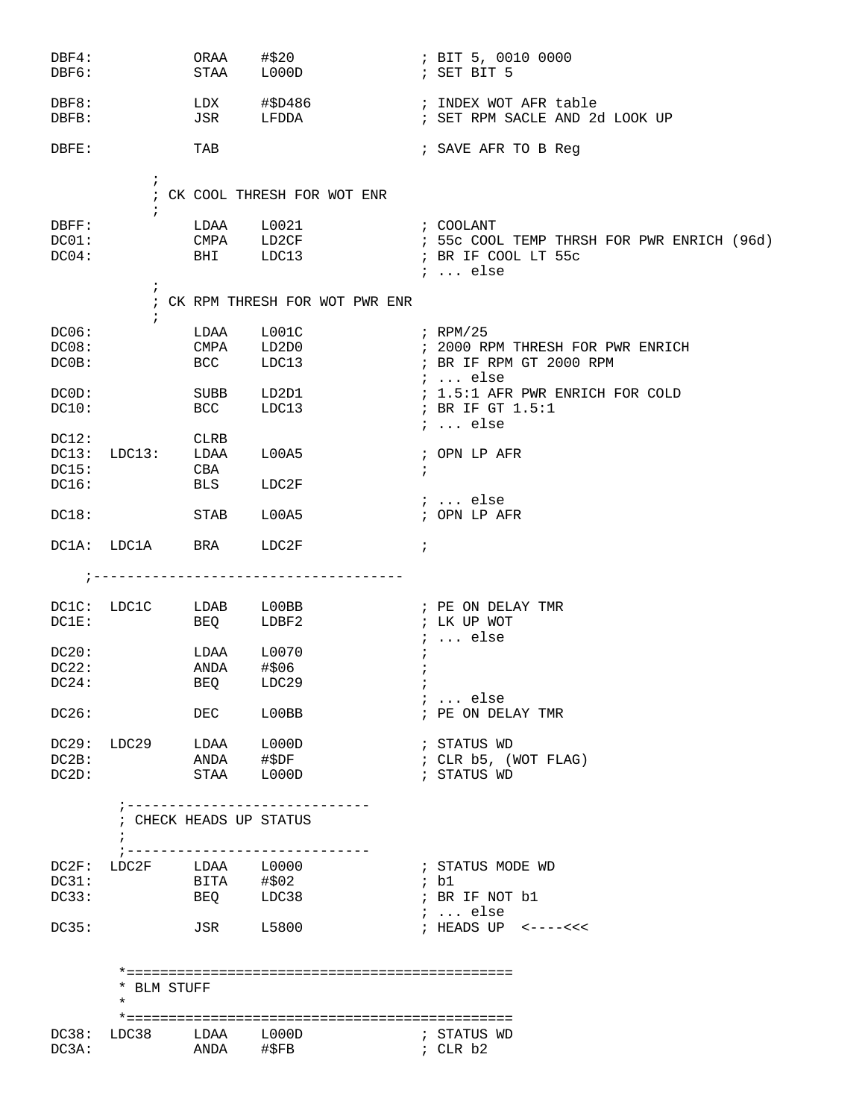| DBF4:<br>DBF6:    |                                            | ORAA<br>STAA            | #\$20<br>L000D                   | ; BIT 5, 0010 0000<br>; SET BIT 5                       |
|-------------------|--------------------------------------------|-------------------------|----------------------------------|---------------------------------------------------------|
| DBF8:<br>DBFB:    |                                            | JSR                     | $LDX$ $\#$ $$D486$<br>LFDDA      | ; INDEX WOT AFR table<br>; SET RPM SACLE AND 2d LOOK UP |
| DBFE:             |                                            | TAB                     |                                  | ; SAVE AFR TO B Reg                                     |
|                   |                                            |                         |                                  |                                                         |
|                   | $\ddot{i}$<br>$\ddot{i}$                   |                         | ; CK COOL THRESH FOR WOT ENR     |                                                         |
| $\texttt{DBFF}$ : |                                            |                         | LDAA L0021                       | ; COOLANT                                               |
| DC01:             |                                            |                         |                                  | CMPA LD2CF : 55c COOL TEMP THRSH FOR PWR ENRICH (96d)   |
| DC04:             |                                            |                         | BHI LDC13    i BR IF COOL LT 55c | ;  else                                                 |
|                   | $\ddot{i}$<br>$\ddot{i}$                   |                         | ; CK RPM THRESH FOR WOT PWR ENR  |                                                         |
| DC06:             |                                            | LDAA                    |                                  |                                                         |
| DC08:             |                                            | UMPA<br>BCC             | LD2D0                            | ; 2000 RPM THRESH FOR PWR ENRICH                        |
| DCOB:             |                                            |                         | LDC13                            | ; BR IF RPM GT 2000 RPM<br>;  else                      |
| DCOD:             |                                            | SUBB                    | LD2D1                            | ; 1.5:1 AFR PWR ENRICH FOR COLD                         |
| DC10:             |                                            | <b>BCC</b>              | LDC13                            | ; BR IF GT 1.5:1                                        |
| DC12:             |                                            | <b>CLRB</b>             |                                  | $i \ldots$ else                                         |
| DC13:             | LDC13: LDAA                                |                         | L00A5                            | ; OPN LP AFR                                            |
| DC15:             |                                            | CBA                     |                                  | $\ddot{ }$                                              |
| DC16:             |                                            | BLS                     | LDC2F                            | $i \ldots$ else                                         |
| DC18:             |                                            | STAB                    | L00A5                            | ; OPN LP AFR                                            |
|                   | DC1A: LDC1A                                | <b>BRA</b>              | LDC2F                            | $\ddot{ }$                                              |
|                   |                                            |                         |                                  |                                                         |
|                   |                                            |                         |                                  |                                                         |
|                   |                                            |                         | DC1C: LDC1C LDAB L00BB           | ; PE ON DELAY TMR                                       |
| DC1E:             |                                            |                         | BEQ LDBF2                        | ; LK UP WOT<br>$i \ldots$ else                          |
| DC20:             |                                            | LDAA                    | L0070                            | $\ddot{i}$                                              |
| DC22:             |                                            | ANDA                    | #\$06                            | $\ddot{i}$                                              |
| DC24:             |                                            | BEQ                     | LDC29                            | $\ddot{i}$                                              |
| DC26:             |                                            | DEC                     | L00BB                            | $i$ else<br>; PE ON DELAY TMR                           |
|                   |                                            |                         |                                  | ; STATUS WD                                             |
|                   | DC29: LDC29 LDAA L000D<br>DC2B: ANDA #\$DF |                         |                                  | ; CLR b5, (WOT FLAG)                                    |
| DC2D:             | STAA L000D                                 |                         |                                  | ; STATUS WD                                             |
|                   |                                            | -----------------       |                                  |                                                         |
|                   | ; CHECK HEADS UP STATUS<br>$\ddot{i}$      |                         | ;-----------------------------   |                                                         |
|                   | DC2F: LDC2F LDAA L0000                     |                         |                                  | ; STATUS MODE WD                                        |
| DC31:             |                                            | BITA #\$02<br>BEQ LDC38 |                                  | ; b1                                                    |
| DC33:             |                                            |                         |                                  | ; BR IF NOT b1<br>$i \ldots$ else                       |
| DC35:             |                                            | JSR L5800               |                                  | ; HEADS UP $\le$ ---- $\lt\lt\lt$                       |
|                   |                                            |                         |                                  |                                                         |
|                   | * BLM STUFF<br>$\ast$                      |                         |                                  |                                                         |
|                   |                                            |                         |                                  |                                                         |
| DC3A:             | $DC38:$ $LDC38$ $LDAA$ $L000D$             | ANDA #\$FB              |                                  | ; STATUS WD<br>; CLR b2                                 |
|                   |                                            |                         |                                  |                                                         |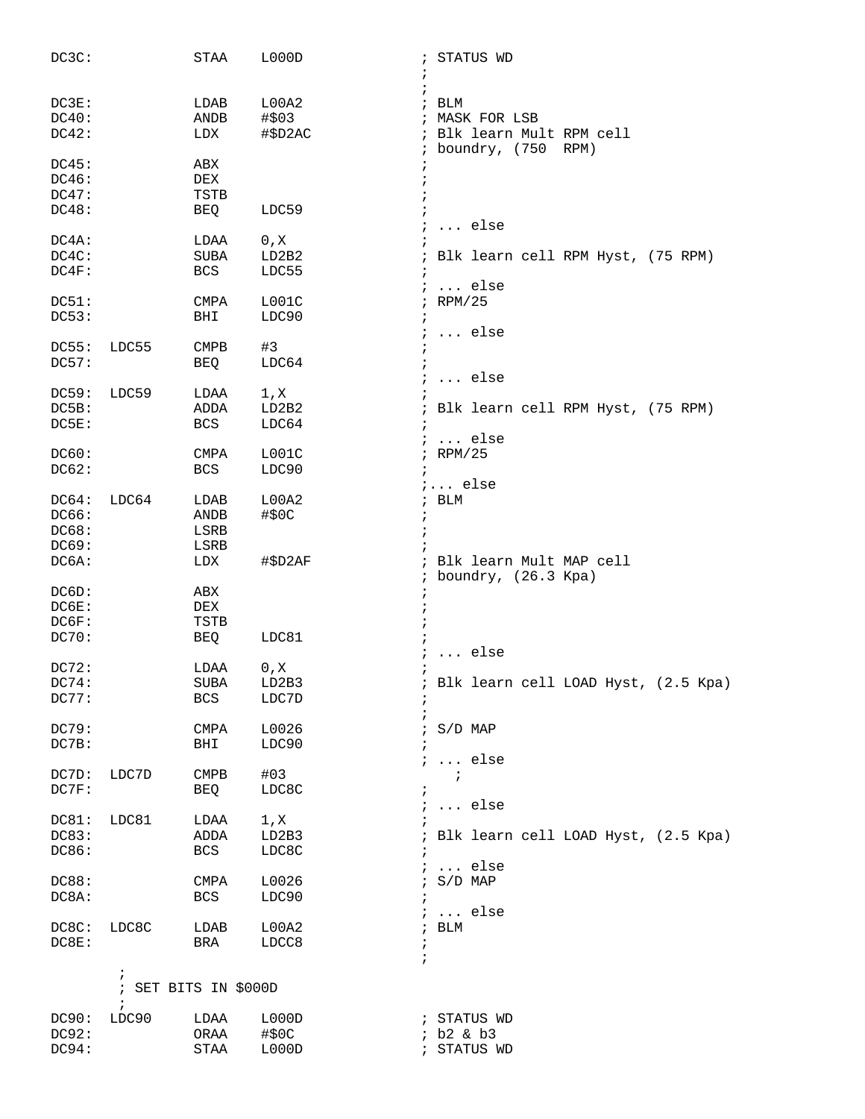| DC3C:          |                      | STAA         | L000D               | ; STATUS WD                           |
|----------------|----------------------|--------------|---------------------|---------------------------------------|
|                |                      |              |                     |                                       |
| DC3E:          |                      | LDAB         | $\cdot$<br>L00A2    | $;$ BLM                               |
| DC40:          |                      | ANDB         | #\$03               | ; MASK FOR LSB                        |
| DC42:          |                      | LDX          | #\$D2AC             | ; Blk learn Mult RPM cell             |
|                |                      |              |                     | ; boundry, (750 RPM)                  |
| DC45:          |                      | ABX          |                     |                                       |
| DC46:          |                      | DEX          |                     |                                       |
| DC47:          |                      | TSTB         |                     |                                       |
| DC48:          |                      | BEQ          | LDC59               |                                       |
|                |                      |              |                     | $\ldots$ else                         |
| DC4A:          |                      | LDAA         | 0, X                |                                       |
| DC4C:          |                      | SUBA         | LD2B2               | Blk learn cell RPM Hyst, (75 RPM)     |
| DC4F:          |                      | BCS          | LDC55<br>$\cdot$    |                                       |
|                |                      |              |                     | $i \ldots$ else<br>; RPM/25           |
| DC51:<br>DC53: |                      | CMPA<br>BHI  | LOO1C<br>LDC90      |                                       |
|                |                      |              | $\ddot{i}$          | $\ldots$ else                         |
| DC55:          | LDC55                | <b>CMPB</b>  | #3                  |                                       |
| DC57:          |                      | BEQ          | $\cdot$<br>LDC64    |                                       |
|                |                      |              |                     | $\ldots$ else                         |
| DC59:          | LDC59                | LDAA         | 1, x                |                                       |
| DC5B:          |                      | ADDA         | LD2B2               | Blk learn cell RPM Hyst, (75 RPM)     |
| DC5E:          |                      | BCS          | LDC64<br>$\cdot$    |                                       |
|                |                      |              |                     | $i$ else                              |
| DC60:          |                      | CMPA         | LOO1C               | ; RPM/25                              |
| DC62:          |                      | <b>BCS</b>   | LDC90<br>$\ddot{i}$ |                                       |
|                |                      |              |                     | $i \ldots$ else                       |
| DC64:          | LDC64                | LDAB         | L00A2               | $;$ BLM                               |
| DC66:<br>DC68: |                      | ANDB         | #\$0C<br>$\ddot{ }$ |                                       |
| DC69:          |                      | LSRB<br>LSRB |                     |                                       |
| DC6A:          |                      | LDX          | #\$D2AF             | Blk learn Mult MAP cell               |
|                |                      |              |                     | boundry, (26.3 Kpa)                   |
| DC6D:          |                      | ABX          | ÷                   |                                       |
| DC6E:          |                      | DEX          |                     |                                       |
| DC6F:          |                      | TSTB         |                     |                                       |
| DC70:          |                      | BEQ          | LDC81               |                                       |
|                |                      |              |                     | $\ldots$ else                         |
| DC72:          |                      | LDAA         | 0, X                |                                       |
| DC74:          |                      | SUBA         | LD2B3               | ; Blk learn cell LOAD Hyst, (2.5 Kpa) |
| DC77:          |                      | <b>BCS</b>   | LDC7D<br>÷          |                                       |
|                |                      |              |                     |                                       |
| DC79:<br>DC7B: |                      | CMPA         | L0026               | $\frac{1}{2}$ S/D MAP                 |
|                |                      | BHI          | LDC90<br>$\ddot{i}$ | $i \ldots$ else                       |
| DC7D:          | LDC7D                | <b>CMPB</b>  | #03                 | $\ddot{i}$                            |
| DC7F:          |                      | BEQ          | LDC8C<br>$\ddot{ }$ |                                       |
|                |                      |              |                     | $\ldots$ else                         |
| DC81:          | LDC81                | LDAA         | 1, X                |                                       |
| DC83:          |                      | ADDA         | LD2B3               | ; Blk learn cell LOAD Hyst, (2.5 Kpa) |
| DC86:          |                      | BCS          | LDC8C               |                                       |
|                |                      |              |                     | $\ldots$ else                         |
| DC88:          |                      | CMPA         | L0026<br>$\ddot{ }$ | $S/D$ MAP                             |
| DC8A:          |                      | BCS          | LDC90               |                                       |
|                |                      |              |                     | $: $ else                             |
| DC8C:          | LDC8C                | LDAB         | L00A2               | $;$ BLM                               |
| DC8E:          |                      | BRA          | LDCC8<br>$\cdot$    |                                       |
|                | $\ddot{ }$           |              |                     |                                       |
|                | ; SET BITS IN \$000D |              |                     |                                       |
|                | $\ddot{i}$           |              |                     |                                       |
| DC90:          | LDC90                | LDAA         | L000D               | ; STATUS WD                           |
| DC92:          |                      | ORAA         | #\$0C               | ; b2 & b3                             |
| DC94:          |                      | STAA         | L000D               | ; STATUS WD                           |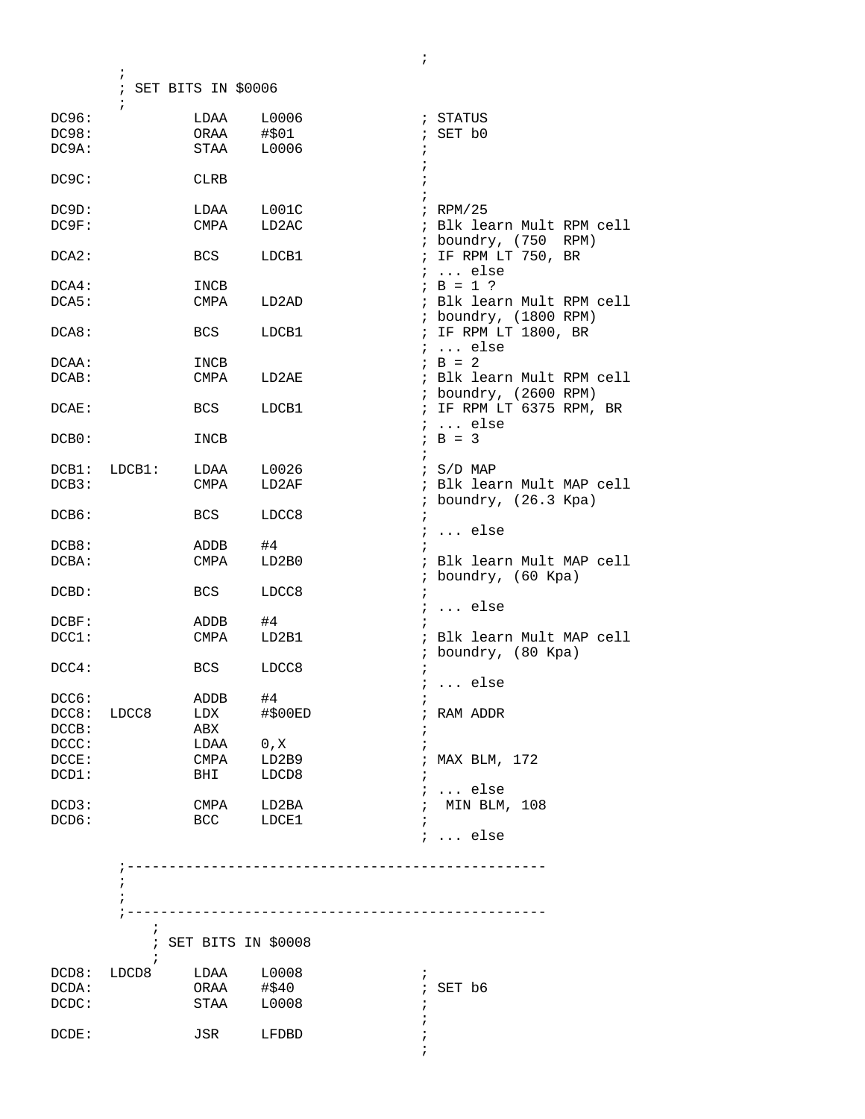; SET BITS IN \$0006  $\mathcal{L}$ DC96: LDAA L0006 ; STATUS<br>
DC98: ORAA #\$01 ; SET b0 DC98: ORAA #\$01 ; SET b0 DC9A: STAA L0006 ;  $\mathcal{L}^{\text{max}}$ DC9C: CLRB ;<br>;  $\mathcal{L}^{\text{max}}$ DC9D: LDAA L001C ; RPM/25 ; Blk learn Mult RPM cell ; boundry, (750 RPM) DCA2: BCS LDCB1 ; IF RPM LT 750, BR ; ... else DCA4: INCB <br>
DCA5: CMPA LD2AD <br>  $\begin{array}{ccc} i & B = 1 ? \\ i & B k \end{array}$ ; Blk learn Mult RPM cell ; boundry, (1800 RPM) DCA8: BCS LDCB1 ; IF RPM LT 1800, BR<br>
; ... else ; ... else  $DCAA:$  INCB  $AB = 2$ DCAB: CMPA LD2AE ; Blk learn Mult RPM cell ; boundry, (2600 RPM)<br>; IF RPM LT 6375 RPM, BR DCAE: BCS LDCB1  $: ...$  else<br> $: B = 3$  $DCB0:$   $INCB$  $\mathcal{L}^{\text{max}}$ DCB1: LDCB1: LDAA L0026 ; S/D MAP DCB3: CMPA LD2AF ; Blk learn Mult MAP cell ; boundry, (26.3 Kpa) DCB6: BCS LDCC8 ;  $DCB8: \t\t\tADDB \t\t\t#4 \t\t\t i \t\t\t\t .\t\t\t else$ DCB8: ADDB #4 ;<br>
DCBA: CMPA LD2B0 ; ; Blk learn Mult MAP cell ; boundry, (60 Kpa) DCBD: BCS LDCC8 ; ; ... else ADDB  $\#4$  ; DCC1: CMPA LD2B1 ; Blk learn Mult MAP cell ; boundry, (80 Kpa) DCC4: BCS LDCC8 ;  $DCCG:$   $ADDB$   $#4$   $;$   $PCCG:$ DCC6: ADDB #4 ; DCC8: LDCC8 LDX #\$00ED ; RAM ADDR DCCB: ABX ;  $DCCC:$   $LDAA$  0,  $X$  ; DCCE: CMPA LD2B9 ; MAX BLM, 172 DCD1: BHI LDCD8 ; ; ... else<br>; MIN BLM, 108  $DCD3:$  CMPA  $LD2BA$ DCD6: BCC LDCE1 ; ; ... else ;--------------------------------------------------  $\mathcal{L}^{\text{max}}$  $\mathcal{L}^{\text{max}}$  ;--------------------------------------------------  $\ddot{i}$  ; SET BITS IN \$0008  $\mathcal{L}$  ; and  $\mathcal{L}$  is the set of  $\mathcal{L}$ DCD8: LDCD8 LDAA L0008 ; DCDA: ORAA #\$40 ; SET b6 DCDC: STAA L0008 ;  $\mathcal{L}^{\text{max}}$ DCDE: JSR LFDBD ;

 $\mathcal{L}^{\text{max}}$ 

 $\mathcal{L}^{\text{max}}$ 

 $\mathcal{L}^{\text{max}}_{\text{max}}$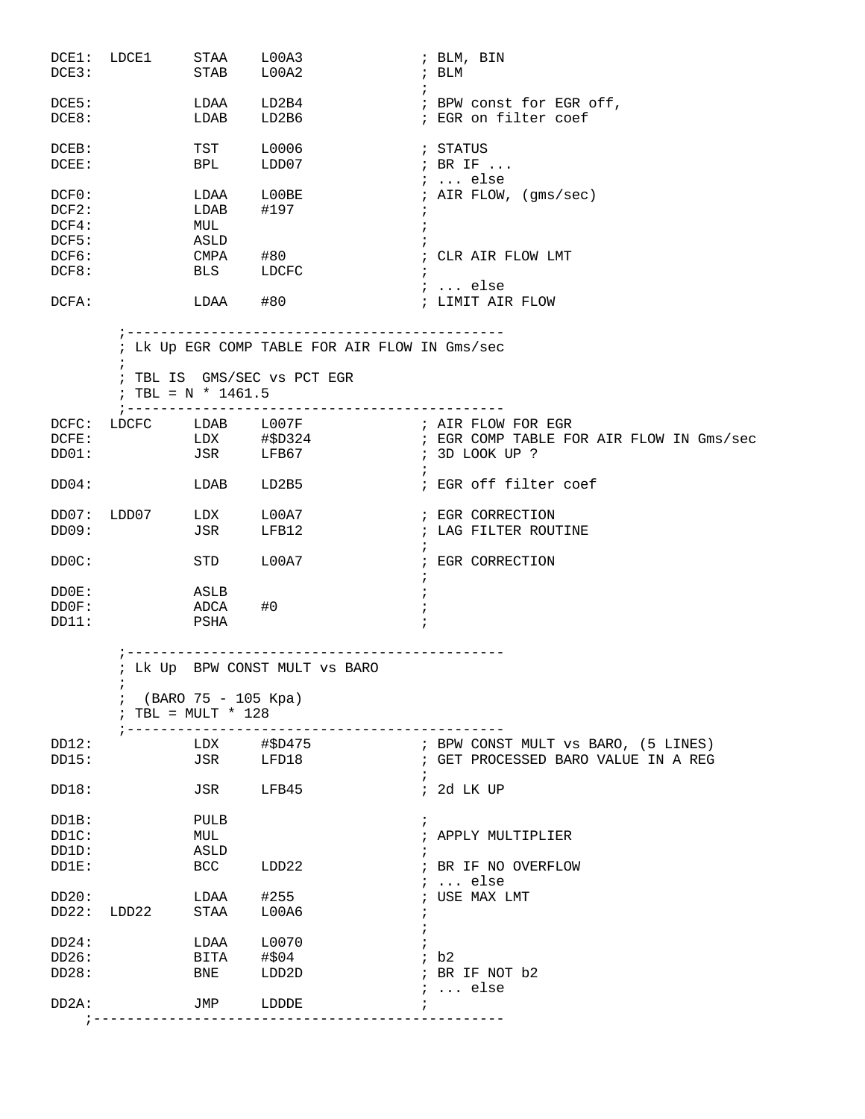| DCE3:                            | DCE1: LDCE1 STAA L00A3  | STAB                                                                         | L00A2                                                                         | ; BLM, BIN<br>; BLM                                                                       |
|----------------------------------|-------------------------|------------------------------------------------------------------------------|-------------------------------------------------------------------------------|-------------------------------------------------------------------------------------------|
| DCE5:<br>DCE8:                   |                         | LDAA<br>LDAB                                                                 | LD2B6                                                                         | $\ddot{i}$<br>; EGR on filter coef                                                        |
| DCEB:<br>DCEE:                   |                         | TST<br><b>BPL</b>                                                            | L0006<br>LDD07                                                                | ; STATUS<br>; BR IF                                                                       |
| DCFO:<br>DCF2:<br>DCF4:<br>DCF5: |                         | LDAB<br>MUL<br>ASLD                                                          | LDAA L00BE<br>#197                                                            | $\ldots$ else<br>; AIR FLOW, (gms/sec)                                                    |
| DCF6:<br>DCF8:                   |                         | CMPA<br><b>BLS</b>                                                           | #80<br>LDCFC<br>$\ddot{i}$                                                    | ; CLR AIR FLOW LMT                                                                        |
| DCFA:                            |                         | LDAA #80                                                                     |                                                                               | ;  else<br>; LIMIT AIR FLOW                                                               |
|                                  | ; TBL = N * 1461.5      |                                                                              | ; Lk Up EGR COMP TABLE FOR AIR FLOW IN Gms/sec<br>; TBL IS GMS/SEC vs PCT EGR |                                                                                           |
| DCFE:<br>DD01:                   |                         |                                                                              | DCFC: LDCFC LDAB L007F : AIR FLOW FOR EGR<br>JSR LFB67                        | LDX #\$D324 (FIGR COMP TABLE FOR AIR FLOW IN Gms/sec<br>; 3D LOOK UP ?<br>$\cdot$ $\cdot$ |
| DD04:                            |                         | LDAB                                                                         | LD2B5                                                                         | ; EGR off filter coef                                                                     |
| DD07:<br>DD09:                   | LDD07 LDX               | <b>JSR</b>                                                                   | ${\tt LOOA7}$<br>LFB12                                                        | ; EGR CORRECTION<br>; LAG FILTER ROUTINE                                                  |
| DDOC:                            |                         | STD                                                                          | L00A7                                                                         | ; EGR CORRECTION                                                                          |
| DD0E:<br>DD0F:<br>DD11:          | <b>ASLB</b><br>ADCA     | PSHA                                                                         | #0                                                                            |                                                                                           |
| DD12:                            | i.<br>; --------------- | ; --------------------<br>(BARO 75 - 105 Kpa)<br>; TBL = $MULT * 128$<br>LDX | ; Lk Up BPW CONST MULT vs BARO<br>#\$D475                                     | ; BPW CONST MULT vs BARO, (5 LINES)                                                       |
| DD15:                            |                         | JSR                                                                          | LFD18                                                                         | ; GET PROCESSED BARO VALUE IN A REG                                                       |
| DD18:                            |                         | JSR                                                                          | LFB45                                                                         | ; 2d LK UP                                                                                |
| DD1B:<br>DD1C:<br>DD1D:<br>DD1E: |                         | PULB<br>MUL<br>ASLD<br><b>BCC</b>                                            | LDD22                                                                         | i<br>; APPLY MULTIPLIER<br>; BR IF NO OVERFLOW                                            |
| DD20:<br>DD22:                   | LDD22                   | LDAA<br>STAA                                                                 | #255<br>L00A6                                                                 | $i \ldots$ else<br>; USE MAX LMT                                                          |
| DD24:<br>DD26:<br>DD28:          |                         | LDAA<br>BITA<br>BNE                                                          | L0070<br>#\$04<br>LDD2D                                                       | ib2<br>; BR IF NOT b2<br>$i \ldots$ else                                                  |
| DD2A:                            |                         | JMP                                                                          | LDDDE                                                                         |                                                                                           |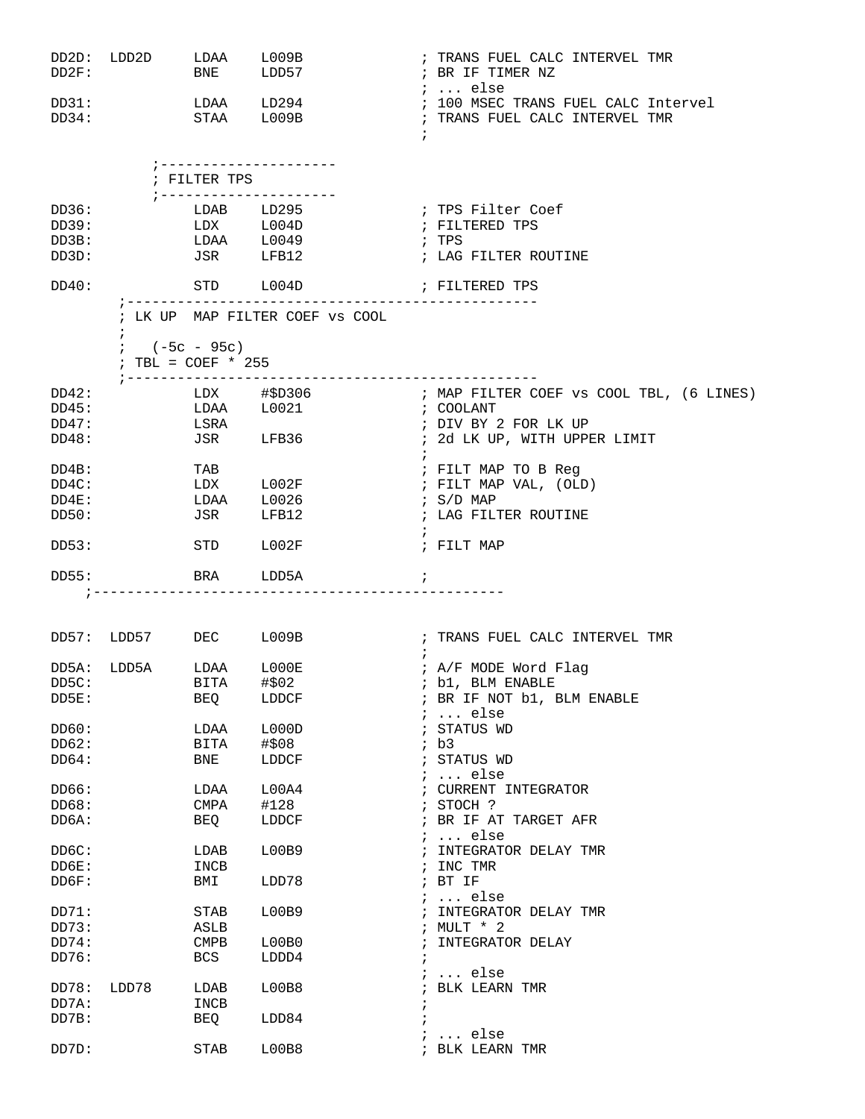| DD2D:<br>DD2F:     | LDD2D LDAA L009B              | BNE LDD57          |                                       | ; TRANS FUEL CALC INTERVEL TMR<br>; BR IF TIMER NZ                                               |
|--------------------|-------------------------------|--------------------|---------------------------------------|--------------------------------------------------------------------------------------------------|
| DD31:<br>DD34:     |                               |                    | LDAA LD294<br>STAA L009B              | $: $ else<br>; 100 MSEC TRANS FUEL CALC Intervel<br>; TRANS FUEL CALC INTERVEL TMR<br>$\ddot{i}$ |
|                    |                               | ; FILTER TPS       | ; ---------------------               |                                                                                                  |
| DD36:              |                               |                    | ; ---------------------<br>LDAB LD295 | ; TPS Filter Coef                                                                                |
| DD39:              |                               |                    | LDX L004D                             | ; FILTERED TPS                                                                                   |
| DD3B:              |                               |                    |                                       | ; TPS                                                                                            |
| DD3D:              |                               |                    | LDAA L0049<br>JSR LFB12               | ; LAG FILTER ROUTINE                                                                             |
| DD40:              |                               | STD L004D          |                                       | FILTERED TPS                                                                                     |
|                    |                               |                    | ; LK UP MAP FILTER COEF VS COOL       |                                                                                                  |
|                    | $\ddot{ }$<br>$: (-5c - 95c)$ |                    |                                       |                                                                                                  |
|                    | ; TBL = $COEF$ * 255          |                    |                                       |                                                                                                  |
| DD42:              |                               | ; ---------------- | --------------<br>$LDX$ $\#$D306$     | ; MAP FILTER COEF vs COOL TBL, (6 LINES)                                                         |
| DD45:              |                               |                    | LDAA L0021                            | ; COOLANT                                                                                        |
| DD47:              | LSRA                          |                    |                                       | ; DIV BY 2 FOR LK UP                                                                             |
| DD48:              |                               | JSR LFB36          |                                       | ; 2d LK UP, WITH UPPER LIMIT<br>$\ddot{i}$                                                       |
| DD4B:              |                               | TAB                |                                       | ; FILT MAP TO B Reg                                                                              |
| $DD4C$ :           |                               |                    | LDX L002F                             | ; FILT MAP VAL, (OLD)                                                                            |
| DD4E:              |                               |                    | LDAA L0026                            | ; S/D MAP                                                                                        |
| DD50:              |                               | <b>JSR</b>         | LFB12                                 | ; LAG FILTER ROUTINE                                                                             |
| DD53:              |                               | STD                | L002F                                 | ; FILT MAP                                                                                       |
| DD55:              |                               | BRA                | LDD5A                                 | $\ddot{i}$                                                                                       |
|                    |                               |                    |                                       |                                                                                                  |
|                    | DD57: LDD57 DEC L009B         |                    |                                       | ; TRANS FUEL CALC INTERVEL TMR                                                                   |
|                    |                               |                    |                                       |                                                                                                  |
|                    | DD5A: LDD5A LDAA L000E        |                    |                                       | ; A/F MODE Word Flag                                                                             |
| DD <sub>5</sub> C: |                               | BITA               | #\$02                                 | ; b1, BLM ENABLE                                                                                 |
| DD5E:              |                               | BEQ                | LDDCF                                 | ; BR IF NOT b1, BLM ENABLE<br>$i \ldots$ else                                                    |
| DD60:              |                               | LDAA               | L000D                                 | ; STATUS WD                                                                                      |
| DD62:              |                               | BITA               | # \$08                                | ib3                                                                                              |
| DD64:              |                               | BNE                | LDDCF                                 | STATUS WD                                                                                        |
| DD66:              |                               | LDAA               | L00A4                                 | $\ldots$ else<br>CURRENT INTEGRATOR                                                              |
| DD68:              |                               | CMPA               | #128                                  | ; STOCH ?                                                                                        |
| DD6A:              |                               | BEQ                | LDDCF                                 | BR IF AT TARGET AFR                                                                              |
| DD6C:              |                               | LDAB               | L00B9                                 | $\ldots$ else<br>INTEGRATOR DELAY TMR                                                            |
| DD6E:              |                               | INCB               |                                       | INC TMR                                                                                          |
| DD6F:              |                               | BMI                | LDD78                                 | ; BT IF                                                                                          |
|                    |                               |                    |                                       | $\ldots$ else                                                                                    |
| DD71:              |                               | STAB               | L00B9                                 | INTEGRATOR DELAY TMR                                                                             |
| DD73:              |                               | ASLB               |                                       | MULT * 2                                                                                         |
| DD74:              |                               | <b>CMPB</b>        | L00B0                                 | INTEGRATOR DELAY                                                                                 |
| DD76:              |                               | <b>BCS</b>         | LDDD4                                 | ï                                                                                                |
| DD78:              | LDD78                         | LDAB               | L00B8                                 | $\ldots$ else<br>BLK LEARN TMR                                                                   |
| DD7A:              |                               | INCB               |                                       | ï                                                                                                |
| DD7B:              |                               | BEQ                | LDD84                                 |                                                                                                  |
|                    |                               |                    |                                       | $\ldots$ else                                                                                    |
| DD7D:              |                               | <b>STAB</b>        | L00B8                                 | ; BLK LEARN TMR                                                                                  |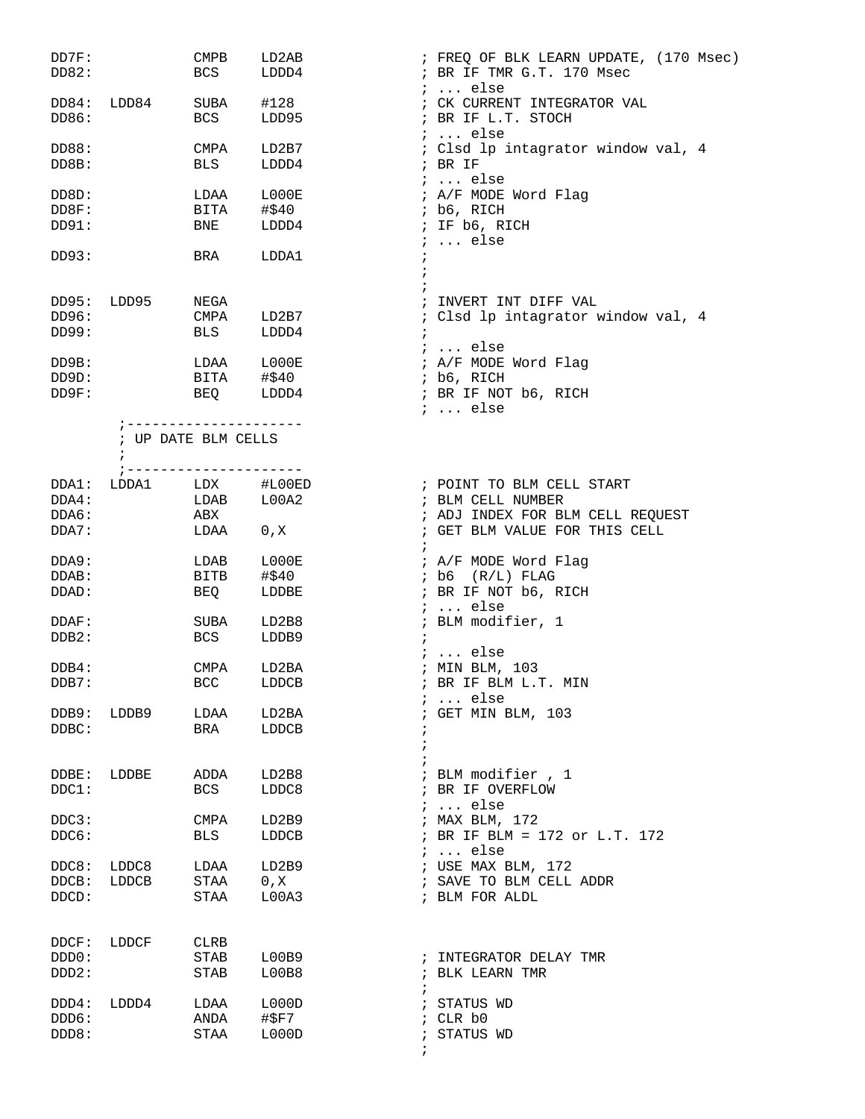| DD7F:<br>DD82:          |                                                                                                                                       | <b>CMPB</b><br>BCS                             | LD2AB<br>LDDD4                    | ; FREQ OF BLK LEARN UPDATE, (170 Msec)<br>; BR IF TMR G.T. 170 Msec<br>$i \ldots$ else   |
|-------------------------|---------------------------------------------------------------------------------------------------------------------------------------|------------------------------------------------|-----------------------------------|------------------------------------------------------------------------------------------|
| DD84:<br>DD86:          | LDD84                                                                                                                                 | SUBA<br>BCS                                    | #128<br>LDD95                     | ; CK CURRENT INTEGRATOR VAL<br>; BR IF L.T. STOCH<br>$i \ldots$ else                     |
| DD88:<br>DD8B:          |                                                                                                                                       | CMPA<br>BLS                                    | LD2B7<br>LDDD4                    | : Clsd lp intagrator window val, 4<br>$;$ BR IF                                          |
| DD8D:<br>DD8F:<br>DD91: |                                                                                                                                       | LDAA<br>BITA<br>BNE                            | $_{\tt LOOOOE}$<br>#\$40<br>LDDD4 | $i \ldots$ else<br>; A/F MODE Word Flag<br>; b6, RICH<br>; IF b6, RICH                   |
| DD93:                   |                                                                                                                                       | BRA                                            | LDDA1                             | $\ldots$ else<br>$\ddot{i}$<br>$\ddot{i}$                                                |
| DD95:<br>DD96:<br>DD99: | LDD95                                                                                                                                 | NEGA<br>CMPA<br>BLS                            | LD2B7<br>LDDD4                    | ; INVERT INT DIFF VAL<br>; Clsd lp intagrator window val, 4<br>$\ddot{i}$                |
| DD9B:<br>DD9D:<br>DD9F: |                                                                                                                                       | LDAA L000E<br>BITA #\$40<br>BEQ LDDD4          |                                   | ;  else<br>; A/F MODE Word Flag<br>; b6, RICH<br>; BR IF NOT b6, RICH<br>$i \ldots$ else |
|                         | $\ddot{ }$                                                                                                                            | ; ---------------------<br>; UP DATE BLM CELLS |                                   |                                                                                          |
| DDA1:<br>DDA4:<br>DDA6: | $\begin{tabular}{lllll} \multicolumn{2}{l}{{\tt LDNA}} & & $\tt LDX$ & $\tt \#LO0ED\\ & & $\tt LDAB$ & & $\tt LO0A2$\\ \end{tabular}$ | ; ---------------------<br>ABX                 |                                   | ; POINT TO BLM CELL START<br>; BLM CELL NUMBER<br>; ADJ INDEX FOR BLM CELL REQUEST       |
| DDA7:                   |                                                                                                                                       | LDAA                                           | 0, X                              | ; GET BLM VALUE FOR THIS CELL                                                            |
| DDA9:<br>DDAB:<br>DDAD: |                                                                                                                                       | LDAB<br>BITB<br>BEQ                            | ${\tt LOOOE}$<br>#\$40<br>LDDBE   | ; A/F MODE Word Flag<br>$;$ b6 $(R/L)$ FLAG<br>; BR IF NOT b6, RICH                      |
| DDAF:<br>DDB2:          |                                                                                                                                       | SUBA<br>BCS                                    | LD2B8<br>LDDB9                    | $i \ldots$ else<br>; BLM modifier, 1<br>$i \ldots$ else                                  |
| DDB4:<br>DDB7:          |                                                                                                                                       | CMPA<br>BCC                                    | LD2BA<br>LDDCB                    | ; MIN BLM, 103<br>; BR IF BLM L.T. MIN<br>$i \ldots$ else                                |
| DDB9:<br>DDBC:          | LDDB9                                                                                                                                 | LDAA<br>BRA                                    | LD2BA<br>LDDCB                    | ; GET MIN BLM, 103                                                                       |
| DDBE:<br>DDC1:          | LDDBE                                                                                                                                 | ADDA<br>BCS                                    | LD2B8<br>LDDC8                    | ; BLM modifier , 1<br>; BR IF OVERFLOW<br>$i \ldots$ else                                |
| DDC3:<br>DDC6:          |                                                                                                                                       | CMPA<br>BLS                                    | LD2B9<br>LDDCB                    | ; MAX BLM, 172<br>; BR IF BLM = 172 or L.T. 172<br>$i \ldots$ else                       |
| DDC8:<br>DDCB:<br>DDCD: | LDDC8<br>LDDCB                                                                                                                        | LDAA<br>STAA<br>STAA                           | LD2B9<br>0, X<br>L00A3            | ; USE MAX BLM, 172<br>; SAVE TO BLM CELL ADDR<br>; BLM FOR ALDL                          |
| DDCF:<br>DDD0:<br>DDD2: | LDDCF                                                                                                                                 | CLRB<br>STAB<br>STAB                           | L00B9<br>L00B8                    | ; INTEGRATOR DELAY TMR<br>; BLK LEARN TMR<br>$\ddot{i}$                                  |
| DDD4:<br>DDD6:<br>DDD8: | LDDD4                                                                                                                                 | LDAA<br>ANDA<br>STAA                           | L000D<br>#\$F7<br>L000D           | ; STATUS WD<br>; CLR b0<br>; STATUS WD<br>$\ddot{i}$                                     |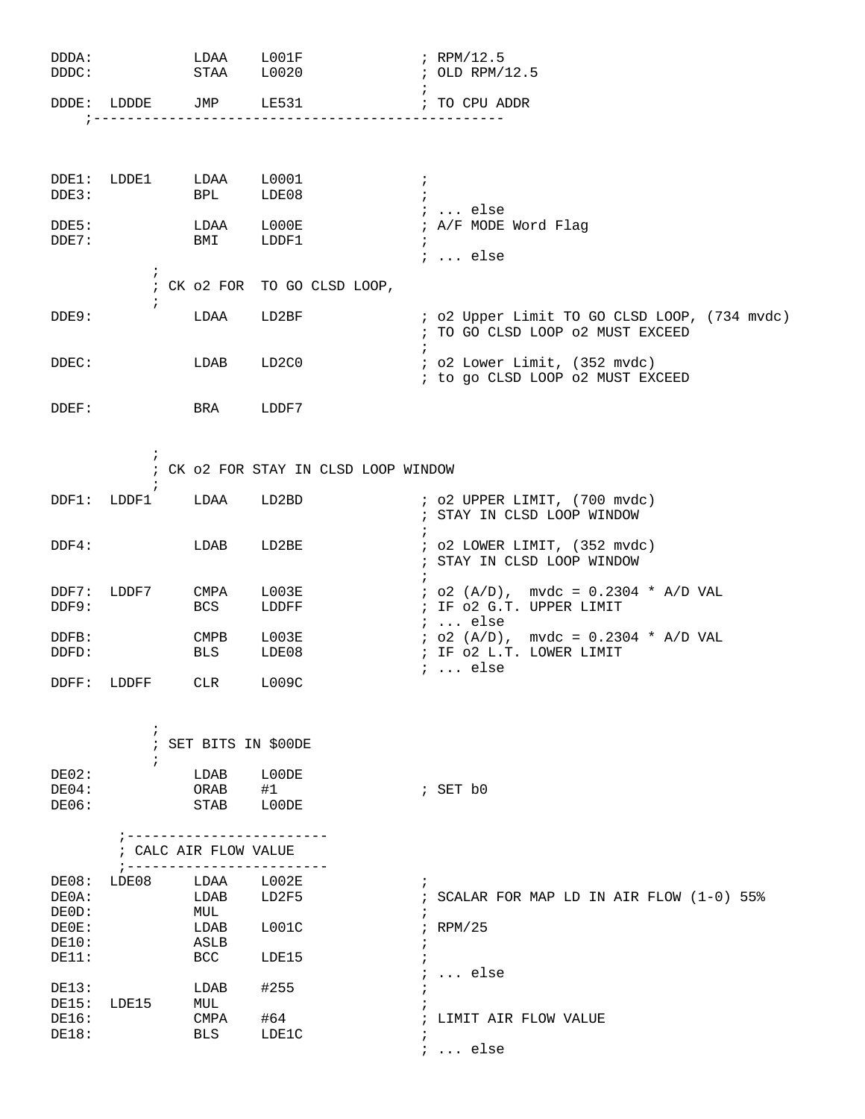| DDDA:<br>DDDC:          |                                                                  |                            | LDAA L001F<br>STAA L0020             | $:$ RPM/12.5<br>; OLD RPM/12.5                                                        |
|-------------------------|------------------------------------------------------------------|----------------------------|--------------------------------------|---------------------------------------------------------------------------------------|
| DDDE:                   | LDDDE                                                            | JMP LE531                  |                                      | ; TO CPU ADDR                                                                         |
|                         |                                                                  |                            |                                      |                                                                                       |
| DDE1:<br>DDE3:          | LDDE1                                                            | LDAA L0001<br><b>BPL</b>   | LDE08                                | $\ddot{ }$<br>$i \ldots$ else                                                         |
| DDE5:<br>DDE7:          |                                                                  | BMI                        | LDAA L000E<br>LDDF1                  | ; A/F MODE Word Flag<br>$\ddot{i}$<br>$i \ldots$ else                                 |
|                         | $\ddot{i}$                                                       |                            | ; CK o2 FOR TO GO CLSD LOOP,         |                                                                                       |
| DDE9:                   | $\ddot{i}$                                                       | LDAA                       | LD2BF                                | ; o2 Upper Limit TO GO CLSD LOOP, (734 mvdc)<br>; TO GO CLSD LOOP 02 MUST EXCEED      |
| DDEC:                   |                                                                  | LDAB                       | LD2C0                                | $\ddot{ }$<br>; o2 Lower Limit, (352 mvdc)<br>; to go CLSD LOOP o2 MUST EXCEED        |
| DDEF:                   |                                                                  | BRA LDDF7                  |                                      |                                                                                       |
|                         | $\ddot{ }$                                                       |                            | ; CK o2 FOR STAY IN CLSD LOOP WINDOW |                                                                                       |
|                         | $\ddot{ }$<br>DDF1: LDDF1                                        | LDAA                       | LD2BD                                | $:$ 02 UPPER LIMIT, $(700$ mvdc)<br>; STAY IN CLSD LOOP WINDOW                        |
| $DDF4$ :                |                                                                  | LDAB                       | LD2BE                                | $\ddot{i}$<br>$:$ 02 LOWER LIMIT, $(352 \text{ mvdc})$<br>; STAY IN CLSD LOOP WINDOW  |
| $DDF7$ :<br>DDF9:       | LDDF7                                                            | CMPA<br>BCS                | L003E<br>LDDFF                       | $:$ o2 (A/D), mvdc = 0.2304 * A/D VAL<br>; IF 02 G.T. UPPER LIMIT<br>$i \ldots$ else  |
| DDFB:<br>DDFD:          |                                                                  | CMPB L003E<br>BLS          | LDE08                                | $: o2 (A/D)$ , mvdc = 0.2304 * A/D VAL<br>; IF 02 L.T. LOWER LIMIT<br>$i \ldots$ else |
| $\texttt{DDFF}:$        | LDDFF                                                            | CLR                        | L009C                                |                                                                                       |
|                         | $\ddot{i}$<br>$\ddot{ }$                                         | ; SET BITS IN \$00DE       |                                      |                                                                                       |
| DE02:<br>DE04:<br>DE06: |                                                                  | LDAB<br>ORAB<br>STAB       | L00DE<br>#1<br>L00DE                 | ; SET b0                                                                              |
|                         | ; ------------<br>; CALC AIR FLOW VALUE<br>$7 - - - - - - - - -$ |                            |                                      |                                                                                       |
| DE08:<br>DE0A:<br>DE0D: | LDE08                                                            | LDAA<br>LDAB<br>MUL        | L002E<br>LD2F5                       | $\ddot{i}$<br>; SCALAR FOR MAP LD IN AIR FLOW (1-0) 55%                               |
| DE0E:<br>DE10:<br>DE11: |                                                                  | LDAB<br>ASLB<br><b>BCC</b> | L001C<br>LDE15                       | $;$ RPM/25                                                                            |
| DE13:<br>DE15:          | LDE15                                                            | LDAB<br>MUL                | #255                                 | $i \ldots$ else                                                                       |
| DE16:<br>DE18:          |                                                                  | CMPA<br>BLS                | #64<br>LDE1C                         | LIMIT AIR FLOW VALUE<br>$i$ else                                                      |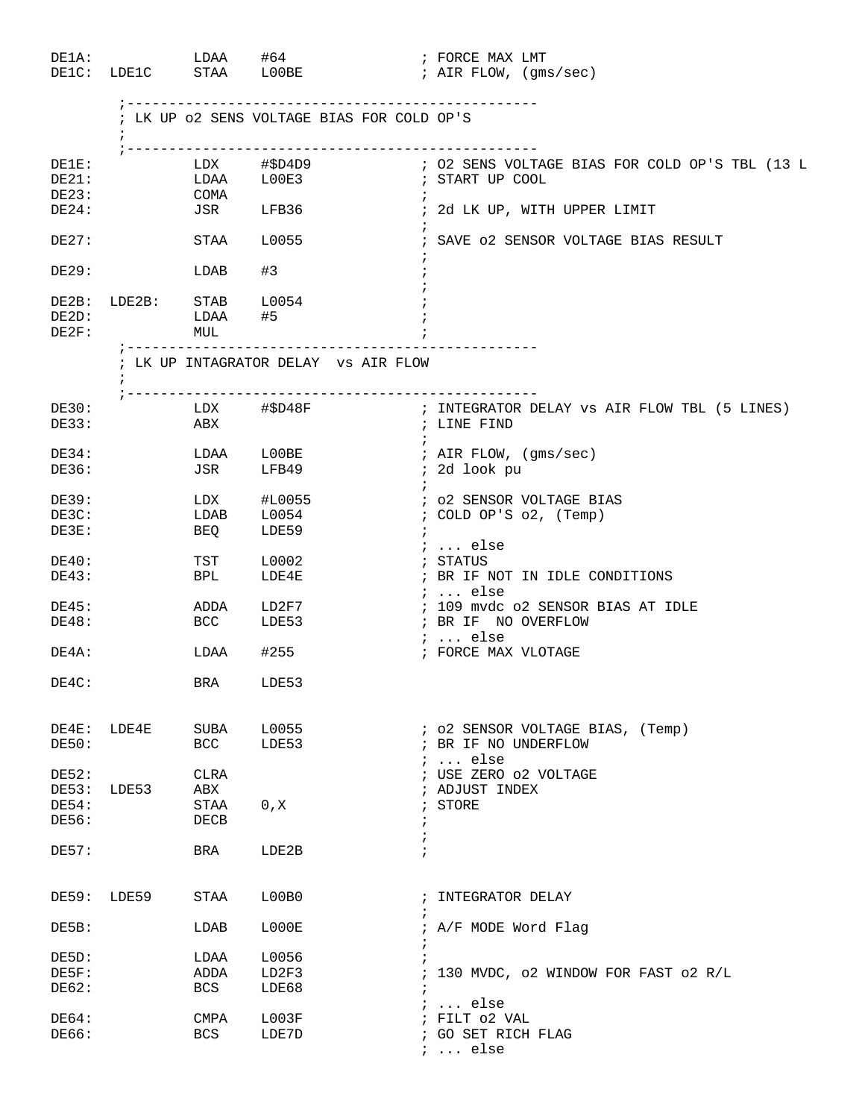| DE1A:                   | DE1C: LDE1C STAA LOOBE  | $LDAA$ $#64$                    |                                   |                                            |                          | ; FORCE MAX LMT<br>; AIR FLOW, (gms/sec)                                    |
|-------------------------|-------------------------|---------------------------------|-----------------------------------|--------------------------------------------|--------------------------|-----------------------------------------------------------------------------|
|                         |                         |                                 |                                   | ; LK UP 02 SENS VOLTAGE BIAS FOR COLD OP'S |                          |                                                                             |
| DE1E:<br>DE21:<br>DE23: |                         | COMA                            |                                   |                                            |                          |                                                                             |
| DE24:                   |                         |                                 | JSR LFB36                         |                                            | $\cdot$                  | ; 2d LK UP, WITH UPPER LIMIT                                                |
| DE27:                   |                         | STAA L0055                      |                                   |                                            | $\ddot{i}$               | ; SAVE 02 SENSOR VOLTAGE BIAS RESULT                                        |
| DE29:                   |                         | LDAB                            | #3                                |                                            |                          |                                                                             |
| DE2D:<br>DE2F:          | DE2B: LDE2B: STAB L0054 | LDAA #5<br>MUL                  |                                   |                                            |                          |                                                                             |
|                         | $\ddot{i}$              | ;------------------------------ |                                   | ; LK UP INTAGRATOR DELAY vs AIR FLOW       |                          |                                                                             |
| DE30:<br>DE33:          |                         | ABX                             | LDX #\$D48F                       |                                            | $\ddot{i}$               | ; INTEGRATOR DELAY VS AIR FLOW TBL (5 LINES)<br>; LINE FIND                 |
| DE34:<br>DE36:          |                         |                                 | LDAA L00BE<br>JSR LFB49           |                                            |                          | ; AIR FLOW, (gms/sec)<br>; 2d look pu                                       |
| DE39:<br>DE3C:<br>DE3E: |                         | <b>BEQ</b>                      | LDX #L0055<br>LDAB L0054<br>LDE59 |                                            | $\ddot{i}$               | ; 02 SENSOR VOLTAGE BIAS<br>; COLD OP'S o2, (Temp)                          |
| DE40:<br>DE43:          |                         | TST<br>BPL                      | L0002<br>LDE4E                    |                                            |                          | $: $ else<br>; STATUS<br>; BR IF NOT IN IDLE CONDITIONS<br>$i \ldots$ else  |
| DE45:<br>DE48:          |                         | BCC LDE53                       | ADDA LD2F7                        |                                            |                          | ; 109 mvdc o2 SENSOR BIAS AT IDLE<br>; BR IF NO OVERFLOW<br>$i \ldots$ else |
| DE4A:                   |                         | $LDAA$ #255                     |                                   |                                            |                          | ; FORCE MAX VLOTAGE                                                         |
| DE4C:                   |                         | BRA LDE53                       |                                   |                                            |                          |                                                                             |
| DE50:                   | DE4E: LDE4E             | SUBA<br>BCC                     | LDE53                             | L0055                                      |                          | ; o2 SENSOR VOLTAGE BIAS, (Temp)<br>; BR IF NO UNDERFLOW<br>$i \ldots$ else |
| DE52:<br>DE54:<br>DE56: | DE53: LDE53             | CLRA<br>ABX<br>STAA<br>DECB     | 0, X                              |                                            | $\ddot{ }$<br>$\ddot{i}$ | ; USE ZERO 02 VOLTAGE<br>; ADJUST INDEX<br>; STORE                          |
| DE57:                   |                         | BRA                             | LDE2B                             |                                            |                          |                                                                             |
|                         | DE59: LDE59             | STAA                            | L00B0                             |                                            | $\ddot{i}$               | ; INTEGRATOR DELAY                                                          |
| DE5B:                   |                         | LDAB                            | L000E                             |                                            |                          | ; A/F MODE Word Flag                                                        |
| DE5D:                   |                         | LDAA                            | L0056                             |                                            |                          |                                                                             |
| DE5F:                   |                         | ADDA                            | LD2F3                             |                                            |                          | ; 130 MVDC, o2 WINDOW FOR FAST o2 R/L                                       |
| DE62:                   |                         | BCS                             | LDE68                             |                                            | $\ddot{i}$               | $i \ldots$ else                                                             |
| DE64:<br>DE66:          |                         | CMPA<br><b>BCS</b>              | L003F<br>LDE7D                    |                                            |                          | ; FILT 02 VAL<br>; GO SET RICH FLAG<br>$i \ldots$ else                      |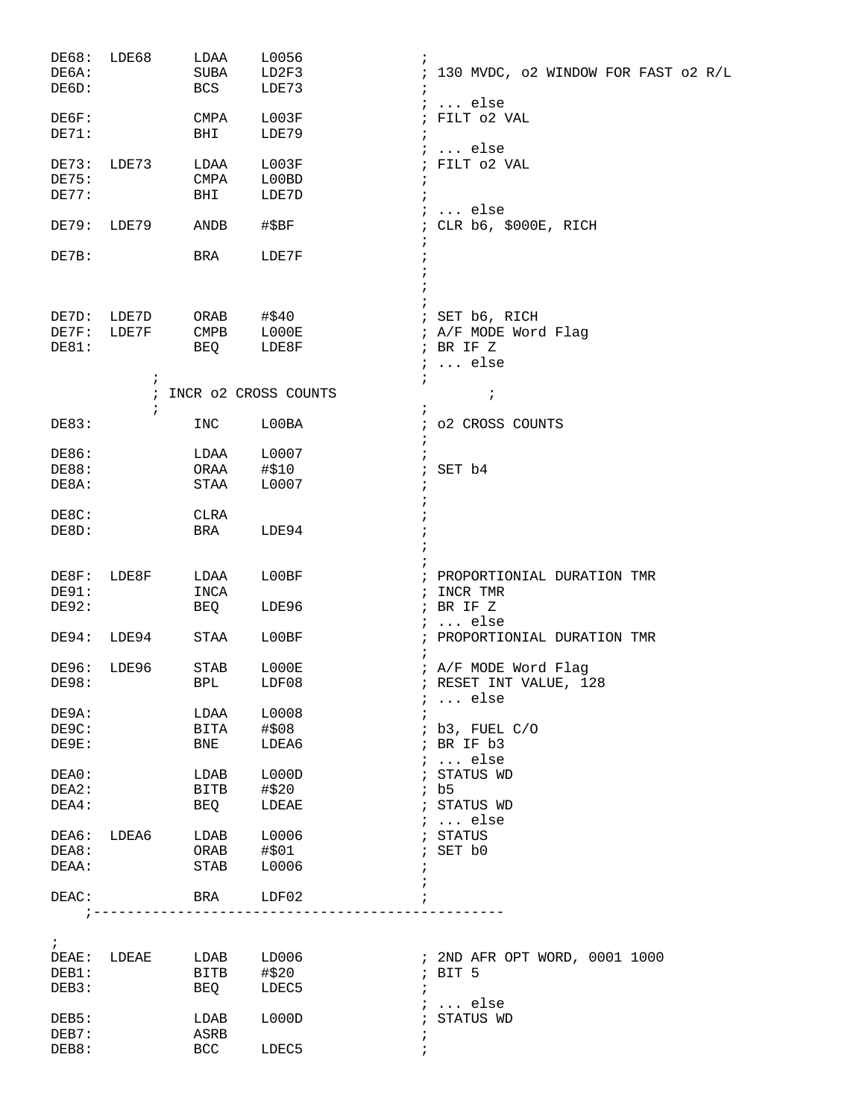| DE68:<br>DE6A:<br>DE6D:        | LDE68          | LDAA<br>SUBA<br>BCS                 | L0056<br>$\ddot{ }$<br>LD2F3<br>LDE73               | ; 130 MVDC, o2 WINDOW FOR FAST o2 R/L                                  |
|--------------------------------|----------------|-------------------------------------|-----------------------------------------------------|------------------------------------------------------------------------|
| DE6F:<br>DE71:                 |                | CMPA<br>BHI                         | L003F<br>LDE79                                      | $i \ldots$ else<br>; FILT 02 VAL                                       |
| DE73:<br>DE75:<br>DE77:        | LDE73          | LDAA<br>CMPA<br>BHI                 | $\ddot{ }$<br>L003F<br>L00BD<br>LDE7D<br>$\ddot{i}$ | $\ldots$ else<br>; FILT 02 VAL                                         |
| DE79:                          | LDE79          | ANDB                                | #SBF                                                | $i \ldots$ else<br>CLR b6, \$000E, RICH<br>$\ddot{i}$                  |
| DE7B:                          |                | BRA                                 | LDE7F                                               |                                                                        |
|                                |                |                                     |                                                     |                                                                        |
| DE7D:<br>DE7F:<br>DE81:        | LDE7D<br>LDE7F | ORAB<br><b>CMPB</b><br>BEQ          | #\$40<br>LOOOE<br>LDE8F                             | ; SET b6, RICH<br>; A/F MODE Word Flag<br>; BR IF Z<br>$i \ldots$ else |
|                                | i              |                                     | $\ddot{i}$<br>INCR 02 CROSS COUNTS                  | $\cdot$                                                                |
| DE83:                          | $\ddot{ }$     | INC                                 | LOOBA                                               | o2 CROSS COUNTS                                                        |
| DE86:<br><b>DE88:</b><br>DE8A: |                | LDAA<br>ORAA<br>STAA                | L0007<br>#\$10<br>$\ddot{i}$<br>L0007               | SET b4                                                                 |
| DE8C:<br>DE8D:                 |                | CLRA<br>BRA                         | LDE94                                               |                                                                        |
| DE8F:<br>DE91:<br>DE92:        | LDE8F          | LDAA<br>INCA<br>BEQ                 | L00BF<br>LDE96                                      | ; PROPORTIONIAL DURATION TMR<br>INCR TMR<br>$\ddot{i}$<br>; BR IF Z    |
| DE94:                          | LDE94          | STAA                                | LOOBF                                               | $\ldots$ else<br>$\ddot{i}$<br>; PROPORTIONIAL DURATION TMR            |
| DE96:<br>DE98:                 | LDE96          | $\operatorname{STAB}$<br><b>BPL</b> | L000E<br>LDF08                                      | ; A/F MODE Word Flag<br>; RESET INT VALUE, 128<br>$i$ else             |
| DE9A:                          |                | LDAA                                | L0008                                               |                                                                        |
| DE9C:<br>DE9E:                 |                | BITA<br>BNE                         | #\$08<br>LDEA6                                      | ; b3, FUEL C/O<br>; BR IF b3                                           |
| DEA0:                          |                | LDAB                                | L000D                                               | $i \ldots$ else<br>; STATUS WD                                         |
| DEA2:                          |                | BITB                                | #\$20                                               | ib5                                                                    |
| DEA4:                          |                | BEQ                                 | LDEAE                                               | ; STATUS WD<br>$i \ldots$ else                                         |
| DEA6:                          | LDEA6          | LDAB L0006                          |                                                     | ; STATUS                                                               |
| DEA8:<br>DEAA:                 |                | ORAB #\$01<br>STAB                  | L0006                                               | ; SET b0                                                               |
| DEAC:                          |                | BRA LDF02                           |                                                     |                                                                        |
|                                |                | _________________                   |                                                     |                                                                        |
| $\mathcal{L}$<br>DEAE:         | LDEAE          | LDAB                                | LD006                                               | ; 2ND AFR OPT WORD, 0001 1000                                          |
| DEB1:                          |                | <b>BITB</b>                         | #\$20                                               | $;$ BIT 5                                                              |
| DEB3:                          |                | <b>BEQ</b>                          | LDEC5                                               | $i$ else                                                               |
| DEB5:<br>DEB7:                 |                | LDAB<br>ASRB                        | LOOOD<br>$\ddot{i}$                                 | ; STATUS WD                                                            |
| DEB8:                          |                | BCC                                 | LDEC5<br>$\ddot{i}$                                 |                                                                        |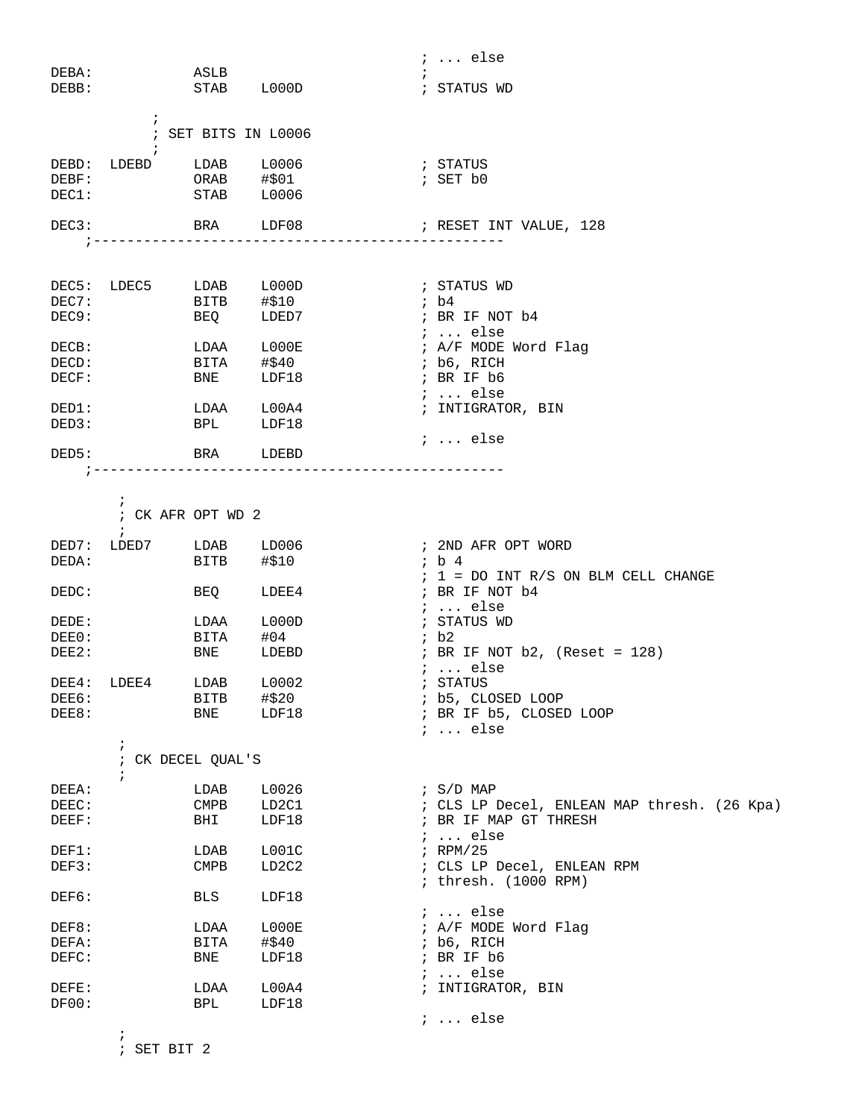|       |                  |                          |                                | $i \ldots$ else                             |
|-------|------------------|--------------------------|--------------------------------|---------------------------------------------|
| DEBA: |                  | ASLB                     |                                |                                             |
| DEBB: |                  | STAB L000D               |                                | ; STATUS WD                                 |
|       |                  |                          |                                |                                             |
|       | $\ddot{i}$       |                          |                                |                                             |
|       |                  | ; SET BITS IN L0006      |                                |                                             |
|       |                  |                          |                                |                                             |
| DEBD: | LDEBD            | LDAB L0006               |                                | ; STATUS                                    |
| DEBF: |                  |                          |                                | ; SET b0                                    |
| DEC1: |                  | ORAB #\$01<br>STAB L0006 |                                |                                             |
|       |                  |                          |                                |                                             |
|       |                  |                          |                                |                                             |
| DEC3: |                  | BRA LDF08                |                                | ; RESET INT VALUE, 128                      |
|       | ---------------  |                          |                                |                                             |
|       |                  |                          |                                |                                             |
|       |                  |                          |                                |                                             |
|       | DEC5: LDEC5      | LDAB L000D               |                                | ; STATUS WD                                 |
| DEC7: |                  | BITB #\$10               |                                | ib4                                         |
| DEC9: |                  | BEQ LDED7                |                                | ; BR IF NOT b4                              |
|       |                  |                          |                                | $: $ else                                   |
| DECB: |                  | LDAA                     | ${\tt LOOOE}$                  | ; A/F MODE Word Flag                        |
| DECD: |                  | BITA #\$40               |                                | ; b6, RICH                                  |
| DECF: |                  | BNE                      | LDF18                          | ; BR IF b6                                  |
|       |                  |                          |                                |                                             |
|       |                  |                          |                                | $i \ldots$ else                             |
| DED1: |                  | LDAA L00A4               |                                | ; INTIGRATOR, BIN                           |
| DED3: |                  | <b>BPL</b>               | LDF18                          |                                             |
|       |                  |                          |                                | $i \ldots$ else                             |
| DED5: |                  | BRA                      | LDEBD                          |                                             |
|       |                  |                          |                                |                                             |
|       |                  |                          |                                |                                             |
|       | $\ddot{i}$       |                          |                                |                                             |
|       |                  | ; CK AFR OPT WD 2        |                                |                                             |
|       | $\ddot{i}$       |                          |                                |                                             |
| DED7: | LDED7 LDAB LD006 |                          |                                | ; 2ND AFR OPT WORD                          |
| DEDA: |                  | BITB                     | #\$10                          | ; b 4                                       |
|       |                  |                          |                                |                                             |
|       |                  |                          |                                | $: 1 = DO INT R/S ON BLM CELL CHANGE$       |
| DEDC: |                  | BEQ                      | LDEE4                          | ; BR IF NOT b4                              |
|       |                  |                          |                                | $i \ldots$ else                             |
| DEDE: |                  | LDAA                     | L000D                          | ; STATUS WD                                 |
| DEE0: |                  | BITA                     | #04                            | ib2                                         |
| DEE2: |                  | BNE                      | LDEBD                          | ; BR IF NOT $b2$ , (Reset = 128)            |
|       |                  |                          |                                | $i$ else                                    |
|       | DEE4: LDEE4      | LDAB L0002               |                                | ; STATUS                                    |
| DEE6: |                  | BITB                     | #\$20                          | ; b5, CLOSED LOOP                           |
| DEE8: |                  | BNE                      | LDF18                          | ; BR IF b5, CLOSED LOOP                     |
|       |                  |                          |                                |                                             |
|       |                  |                          |                                | $i \ldots$ else                             |
|       | $\ddot{i}$       |                          |                                |                                             |
|       |                  | ; CK DECEL QUAL'S        |                                |                                             |
|       | $\ddot{i}$       |                          |                                |                                             |
| DEEA: |                  | LDAB                     | L0026                          | $\frac{1}{2}$ S/D MAP                       |
| DEEC: |                  | <b>CMPB</b>              | LD2C1                          | ; CLS LP Decel, ENLEAN MAP thresh. (26 Kpa) |
| DEEF: |                  | BHI                      | LDF18                          | ; BR IF MAP GT THRESH                       |
|       |                  |                          |                                | $i \ldots$ else                             |
| DEF1: |                  | LDAB                     | LOO1C                          | $i$ RPM/25                                  |
| DEF3: |                  | $\texttt{CMPB}$          | LD <sub>2</sub> C <sub>2</sub> | ; CLS LP Decel, ENLEAN RPM                  |
|       |                  |                          |                                | ; thresh. (1000 RPM)                        |
|       |                  |                          |                                |                                             |
| DEF6: |                  | BLS                      | LDF18                          |                                             |
|       |                  |                          |                                | $i \ldots$ else                             |
| DEF8: |                  | LDAA                     | L000E                          | ; A/F MODE Word Flag                        |
| DEFA: |                  | BITA                     | #\$40                          | $;$ b6, RICH                                |
| DEFC: |                  | BNE                      | LDF18                          | ; BR IF b6                                  |
|       |                  |                          |                                | $i \ldots$ else                             |
| DEFE: |                  | LDAA                     | L00A4                          | ; INTIGRATOR, BIN                           |
| DF00: |                  | BPL                      | LDF18                          |                                             |
|       |                  |                          |                                | $i \ldots$ else                             |
|       | $\ddot{ }$       |                          |                                |                                             |
|       |                  |                          |                                |                                             |

; SET BIT 2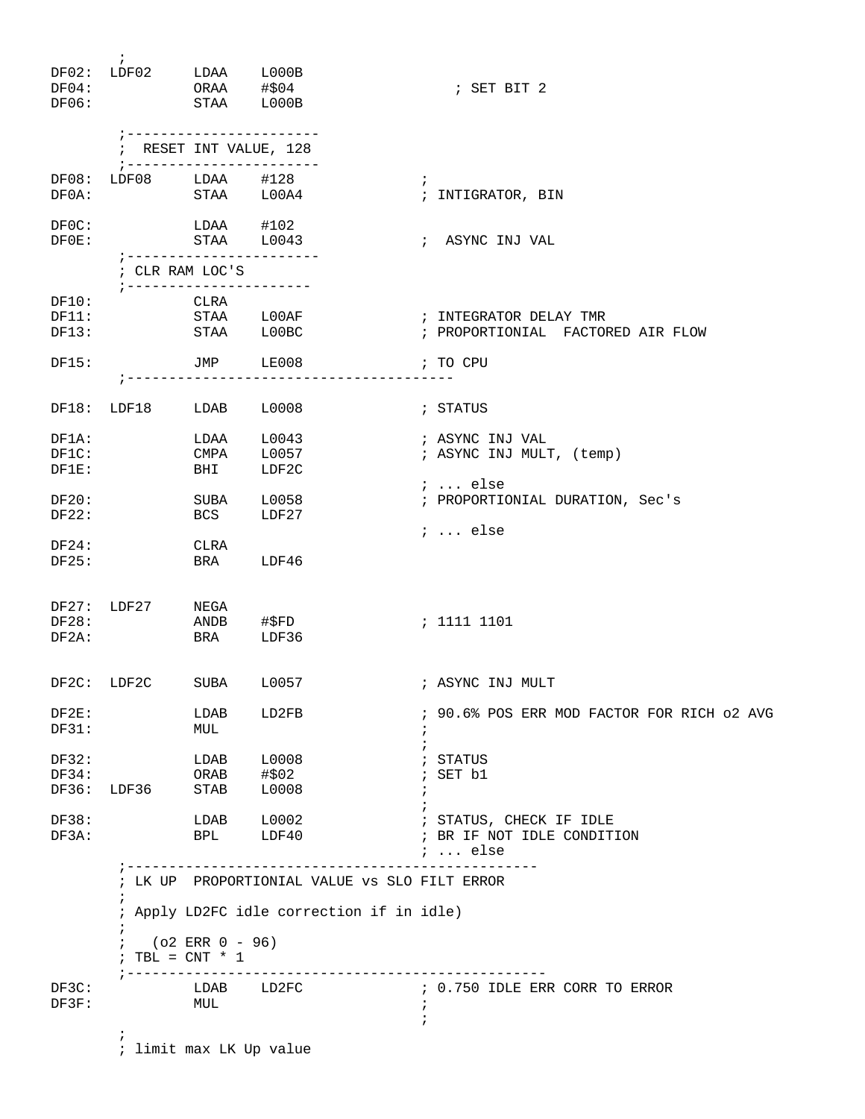| DF04:<br>DF06:          | $\mathbf{i}$<br>$DF02: LDF02$ $LDAA$ $L000B$<br>STAA L000B | ORAA #\$04                                                      |                                                                               | ; SET BIT 2                                                                                                                                                                                                                    |
|-------------------------|------------------------------------------------------------|-----------------------------------------------------------------|-------------------------------------------------------------------------------|--------------------------------------------------------------------------------------------------------------------------------------------------------------------------------------------------------------------------------|
|                         |                                                            |                                                                 | ----------------------<br>; RESET INT VALUE, 128<br>; ----------------------- |                                                                                                                                                                                                                                |
| DF08:<br>DF0A:          | LDF08 LDAA #128                                            |                                                                 | STAA L00A4                                                                    | $\ddot{ }$<br>; INTIGRATOR, BIN                                                                                                                                                                                                |
| DFOC:<br>$DF0E$ :       |                                                            | $LDAA$ #102<br>STAA L0043                                       | ;-----------------------                                                      | ; ASYNC INJ VAL                                                                                                                                                                                                                |
|                         |                                                            | ; CLR RAM LOC'S                                                 |                                                                               |                                                                                                                                                                                                                                |
| DF10:<br>DF11:<br>DF13: |                                                            | CLRA                                                            | STAA LOOBC                                                                    | STAA LOOAF <b>Frankling</b> <i>i</i> INTEGRATOR DELAY TMR<br>; PROPORTIONIAL FACTORED AIR FLOW                                                                                                                                 |
| DF15:                   |                                                            |                                                                 | JMP LE008                                                                     | and the contract of the contract of the contract of the contract of the contract of the contract of the contract of the contract of the contract of the contract of the contract of the contract of the contract of the contra |
|                         | DF18: LDF18 LDAB L0008                                     |                                                                 |                                                                               | ; STATUS                                                                                                                                                                                                                       |
| DF1A:<br>DF1C:<br>DF1E: |                                                            | <b>BHI</b>                                                      | LDAA L0043<br>CMPA L0057<br>LDF2C                                             | ; ASYNC INJ VAL<br>; ASYNC INJ MULT, (temp)                                                                                                                                                                                    |
| DF20:<br>DF22:          |                                                            | <b>BCS</b>                                                      | SUBA L0058<br>LDF27                                                           | $i \ldots$ else<br>; PROPORTIONIAL DURATION, Sec's<br>$i$ else                                                                                                                                                                 |
| DF24:<br>DF25:          |                                                            | CLRA                                                            | BRA LDF46                                                                     |                                                                                                                                                                                                                                |
| DF28:<br>DF2A:          | DF27: LDF27 NEGA<br><b>ERA</b>                             |                                                                 | ANDB #\$FD<br>LDF36                                                           | ; 1111 1101                                                                                                                                                                                                                    |
|                         | DF2C: LDF2C                                                | SUBA                                                            | L0057                                                                         | ; ASYNC INJ MULT                                                                                                                                                                                                               |
| DF2E:<br>DF31:          |                                                            | LDAB<br>MUL                                                     | LD2FB                                                                         | ; 90.6% POS ERR MOD FACTOR FOR RICH 02 AVG<br>$\ddot{ }$                                                                                                                                                                       |
| DF32:<br>DF34:<br>DF36: | LDF36 STAB                                                 | LDAB<br>ORAB                                                    | L0008<br>#\$02<br>L0008                                                       | ; STATUS<br>; SET b1                                                                                                                                                                                                           |
| DF38:<br>DF3A:          |                                                            |                                                                 |                                                                               | ; STATUS, CHECK IF IDLE<br>; BR IF NOT IDLE CONDITION<br>;  else                                                                                                                                                               |
|                         | $\ddot{i}$<br>$\ddot{ }$<br>$\ddot{ }$                     | ; ---------------------<br>(o2 ERR 0 - 96)<br>; TBL = $CNT * 1$ |                                                                               | ---------<br>; LK UP PROPORTIONIAL VALUE VS SLO FILT ERROR<br>; Apply LD2FC idle correction if in idle)                                                                                                                        |
| DF3C:<br>DF3F:          |                                                            | ; ----------------<br>MUL                                       | LDAB LD2FC                                                                    | -----------------<br>; 0.750 IDLE ERR CORR TO ERROR<br>$\ddot{i}$                                                                                                                                                              |
|                         | i.                                                         |                                                                 | ; limit max LK Up value                                                       | ÷                                                                                                                                                                                                                              |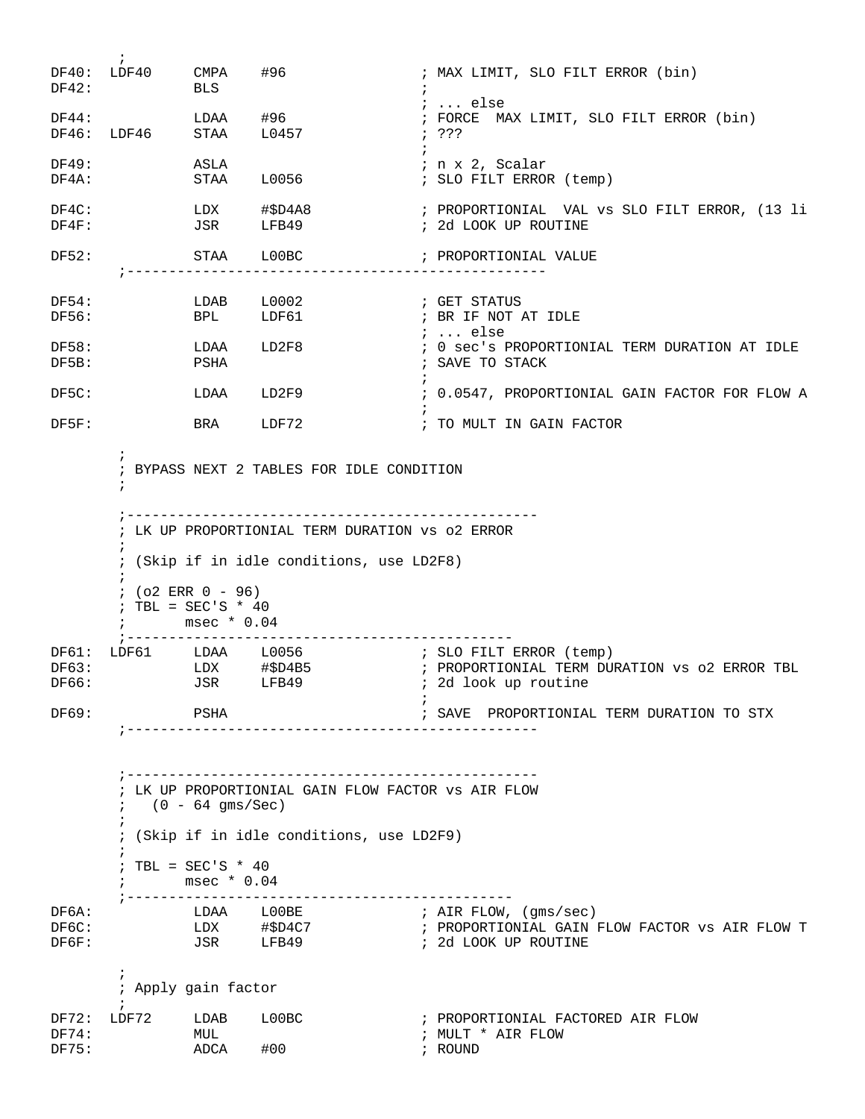$\mathcal{L}^{\text{max}}$ DF40: LDF40 CMPA #96 ; MAX LIMIT, SLO FILT ERROR (bin) DF42: BLS ; ; ... else DF44: LDAA #96 ; FORCE MAX LIMIT, SLO FILT ERROR (bin) DF46: LDF46 STAA L0457 ; ???  $\mathcal{L}^{\text{max}}$ DF49: ASLA ; n x 2, Scalar DF4A: STAA L0056 ; SLO FILT ERROR (temp) DF4C: LDX #\$D4A8 ; PROPORTIONIAL VAL vs SLO FILT ERROR, (13 li<br>DF4F: JSR LFB49 ; 2d LOOK UP ROUTINE ; 2d LOOK UP ROUTINE DF52: STAA L00BC ; PROPORTIONIAL VALUE ;-------------------------------------------------- DF54: LDAB L0002 ; GET STATUS ; BR IF NOT AT IDLE ; ... else ; 0 sec's PROPORTIONIAL TERM DURATION AT IDLE DF58: LDAA LD2F8 ; 0 sec's PROPOI<br>DF5B: PSHA <br>PSHA ; SAVE TO STACK  $\mathcal{L}^{\text{max}}$ DF5C: LDAA LD2F9 : 0.0547, PROPORTIONIAL GAIN FACTOR FOR FLOW A  $\mathcal{L}^{\text{max}}$ DF5F: BRA LDF72 ; TO MULT IN GAIN FACTOR  $\mathcal{L}^{\text{max}}$  ; BYPASS NEXT 2 TABLES FOR IDLE CONDITION  $\mathcal{L}^{\text{max}}$  ;------------------------------------------------- ; LK UP PROPORTIONIAL TERM DURATION vs o2 ERROR  $\mathcal{L}^{\text{max}}$  ; (Skip if in idle conditions, use LD2F8)  $\mathcal{L}^{\text{max}}$  $; (o2 \, \text{ERR} \, 0 - 96)$  $:$  TBL = SEC'S \* 40 ; msec \* 0.04 ;---------------------------------------------- DF61: LDF61 LDAA L0056 ; SLO FILT ERROR (temp) DF63: LDX #\$D4B5 ; PROPORTIONIAL TERM DURATION vs o2 ERROR TBL DF66: JSR LFB49 ; 2d look up routine  $\mathcal{L}^{\text{max}}$ DF69: PSHA  $\qquad$ PSHA  $\qquad$  ; SAVE PROPORTIONIAL TERM DURATION TO STX ;------------------------------------------------- ;------------------------------------------------- ; LK UP PROPORTIONIAL GAIN FLOW FACTOR vs AIR FLOW  $(0 - 64 \; \text{gms/Sec})$  $\mathcal{L}^{\text{max}}$  ; (Skip if in idle conditions, use LD2F9)  $\mathcal{L}^{\text{max}}$  $;$  TBL = SEC'S \* 40 ; msec \* 0.04 ;---------------------------------------------- DF6A: LDAA L00BE ; AIR FLOW, (gms/sec) DF6C: LDX #\$D4C7 ; PROPORTIONIAL GAIN FLOW FACTOR vs AIR FLOW T DF6F: JSR LFB49 ; 2d LOOK UP ROUTINE  $\mathcal{L}^{\text{max}}$  ; Apply gain factor  $\mathcal{L}^{\text{max}}$ DF72: LDF72 LDAB L00BC ; PROPORTIONIAL FACTORED AIR FLOW DF74: MUL MUL **in the MULT \* AIR FLOW** DF75: ADCA #00 ; ROUND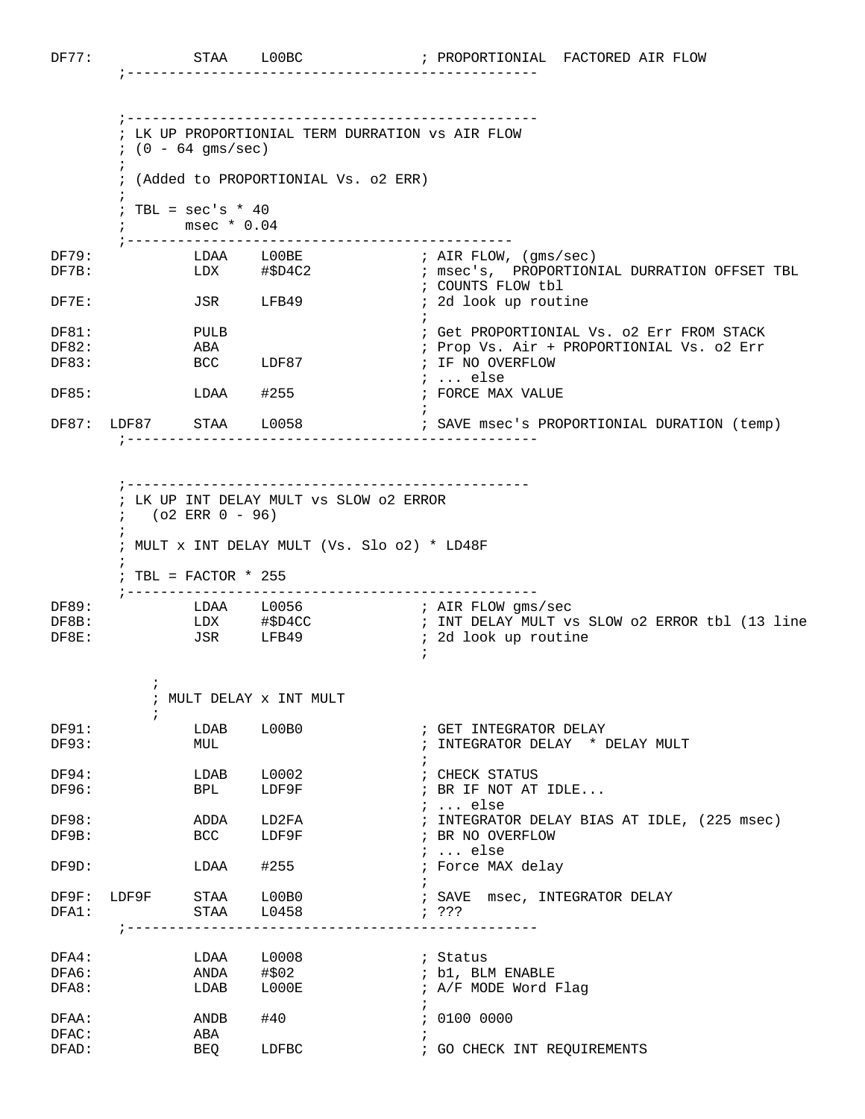$\mathcal{L}^{\text{max}}$ 

;-------------------------------------------------

 ;------------------------------------------------- ; LK UP PROPORTIONIAL TERM DURRATION vs AIR FLOW  $;$  (0 - 64 qms/sec)  $\mathcal{L}^{\text{max}}$  ; (Added to PROPORTIONIAL Vs. o2 ERR)  $\mathcal{L}^{\text{max}}$  $:$  TBL = sec's  $*$  40 ; msec \* 0.04 ;---------------------------------------------- DF79: LDAA L00BE ; AIR FLOW, (gms/sec)<br>DF7B: LDX #\$D4C2 ; msec's, PROPORTION DF7B: LDX #\$D4C2 ; msec's, PROPORTIONIAL DURRATION OFFSET TBL ; COUNTS FLOW tbl ; 2d look up routine PULB DF81: PULB ; Get PROPORTIONIAL Vs. o2 Err FROM STACK ; Prop Vs. Air + PROPORTIONIAL Vs. o2 Err DF83: BCC LDF87 ; IF NO OVERFLOW ; ... else LDAA #255 DF87: LDF87 STAA L0058 ; SAVE msec's PROPORTIONIAL DURATION (temp) ;-------------------------------------------------

 ;------------------------------------------------ ; LK UP INT DELAY MULT vs SLOW o2 ERROR  $; \, (o2 \, \text{ERR} \, 0 - 96)$  $\mathcal{L}^{\text{max}}$  ; MULT x INT DELAY MULT (Vs. Slo o2) \* LD48F  $\mathcal{L}^{\text{max}}$  ; TBL = FACTOR \* 255 ;------------------------------------------------- DF89: LDAA L0056 ; AIR FLOW gms/sec DF8B: LDX #\$D4CC ; INT DELAY MULT vs SLOW 02 ERROR tbl (13 line DF8B: LDX #\$D4CC : INT DELAY MULT vs <br>DF8E: JSR LFB49 : 2d look up routine

|          |                        | MULT DELAY X INT MULT |                                             |
|----------|------------------------|-----------------------|---------------------------------------------|
|          |                        |                       |                                             |
| DF91:    | LDAB                   | LOOBO                 | ; GET INTEGRATOR DELAY                      |
| DF93:    | MUL                    |                       | ; INTEGRATOR DELAY * DELAY MULT             |
|          |                        |                       |                                             |
| DF94:    | LDAB L0002             |                       | ; CHECK STATUS                              |
| DF96:    | <b>BPL</b>             | LDF9F                 | ; BR IF NOT AT IDLE                         |
|          |                        |                       | $i$ else                                    |
| DF98:    | ADDA                   | LD2FA                 | ; INTEGRATOR DELAY BIAS AT IDLE, (225 msec) |
| DF9B:    | BCC                    | LDF9F                 | ; BR NO OVERFLOW                            |
|          |                        |                       | $i$ else                                    |
| DF9D:    |                        | LDAA #255             | ; Force MAX delay                           |
|          |                        |                       |                                             |
|          | DF9F: LDF9F STAA L00B0 |                       | ; SAVE msec, INTEGRATOR DELAY               |
| DFA1:    | $STAA$ $L0458$         |                       | 7.322                                       |
|          |                        |                       |                                             |
|          |                        |                       |                                             |
| $DFA4$ : |                        | LDAA L0008            | ; Status                                    |
| DFA6:    | ANDA #\$02             |                       | ; b1, BLM ENABLE                            |
| DFA8:    | LDAB                   | LOOOE                 | ; A/F MODE Word Flaq                        |
|          |                        |                       |                                             |
| DFAA:    | ANDB                   | #40                   | : 0100 0000                                 |
| DFAC:    | ABA                    |                       |                                             |
| DFAD:    | BEQ                    | LDFBC                 | ; GO CHECK INT REQUIREMENTS                 |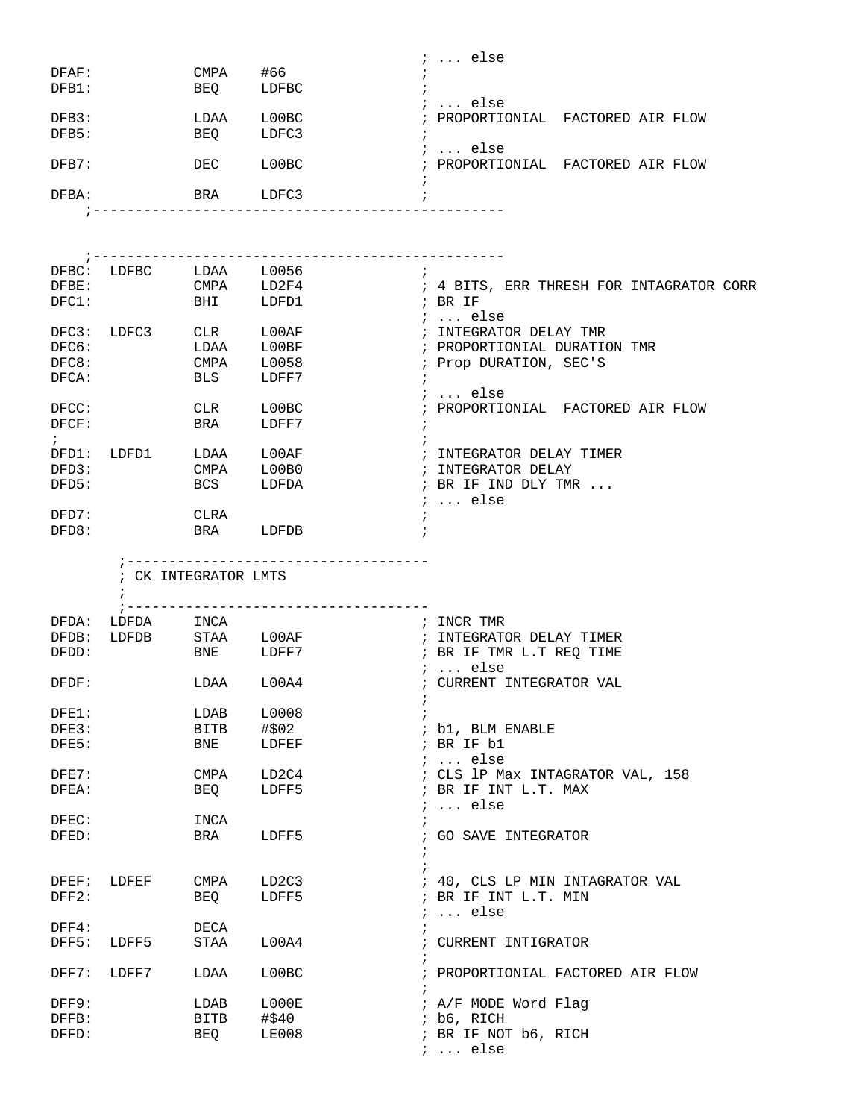|               |                               |                      |                                       | $i$ else                                 |
|---------------|-------------------------------|----------------------|---------------------------------------|------------------------------------------|
| DFAF:         |                               | CMPA #66             |                                       |                                          |
| DFB1:         |                               | BEQ                  | LDFBC                                 |                                          |
|               |                               |                      |                                       | $i \ldots$ else                          |
| DFB3:         |                               | LDAA                 | LOOBC                                 | ; PROPORTIONIAL FACTORED AIR FLOW        |
| DFB5:         |                               | BEQ                  | LDFC3                                 |                                          |
|               |                               |                      |                                       | ;  else                                  |
| DFB7:         |                               | DEC                  | L00BC                                 | ; PROPORTIONIAL FACTORED AIR FLOW        |
|               |                               |                      |                                       |                                          |
| DFBA:         |                               | BRA LDFC3            |                                       |                                          |
|               |                               |                      |                                       |                                          |
|               |                               |                      |                                       |                                          |
|               |                               |                      |                                       |                                          |
|               |                               |                      |                                       |                                          |
|               |                               |                      |                                       |                                          |
|               | DFBC: LDFBC LDAA L0056        | CMPA LD2F4           | $\cdot$ ;                             |                                          |
| DFBE:         |                               |                      |                                       | ; 4 BITS, ERR THRESH FOR INTAGRATOR CORR |
| DFCI:         |                               | <b>BHI</b>           | LDFD1                                 | ; BR IF                                  |
|               |                               |                      |                                       | <i>i</i> else                            |
| DFC3:         | $LDFC3$ $CLR$                 |                      | $_{\rm L00AF}$                        | ; INTEGRATOR DELAY TMR                   |
| DFC6:         |                               | LDAA                 | L00BF                                 | ; PROPORTIONIAL DURATION TMR             |
| DFC8:         |                               | CMPA                 | L0058                                 | ; Prop DURATION, SEC'S                   |
| DFCA:         |                               | BLS                  | LDFF7                                 |                                          |
|               |                               |                      |                                       | $i \ldots$ else                          |
|               |                               |                      |                                       |                                          |
| DFCC:         |                               | CLR                  | LOOBC                                 | ; PROPORTIONIAL FACTORED AIR FLOW        |
| DFCF:         |                               | BRA                  | LDFF7                                 | $\ddot{i}$                               |
| $\mathcal{L}$ |                               |                      |                                       |                                          |
| DFD1:         | LDFD1 LDAA L00AF              |                      |                                       | ; INTEGRATOR DELAY TIMER                 |
| DFD3:         |                               | <b>CMPA</b>          | LOOBO                                 | ; INTEGRATOR DELAY                       |
| DFD5:         |                               | <b>BCS</b>           | LDFDA                                 | ; BR IF IND DLY TMR                      |
|               |                               |                      |                                       | $i \ldots$ else                          |
| DFD7:         |                               | CLRA                 |                                       |                                          |
| DFD8:         |                               | BRA                  | LDFDB                                 |                                          |
|               |                               |                      |                                       |                                          |
|               |                               |                      |                                       |                                          |
|               |                               |                      |                                       |                                          |
|               |                               |                      | ;------------------------------------ |                                          |
|               |                               | ; CK INTEGRATOR LMTS |                                       |                                          |
|               |                               |                      |                                       |                                          |
|               |                               |                      | ;-----------------------------------  |                                          |
| DFDA:         | LDFDA INCA                    |                      |                                       | ; INCR TMR                               |
| DFDB:         |                               |                      |                                       | ; INTEGRATOR DELAY TIMER                 |
| DFDD:         | LDFDB STAA L00AF<br>BNE LDFF7 |                      |                                       | ; BR IF TMR L.T REQ TIME                 |
|               |                               |                      |                                       |                                          |
|               |                               |                      |                                       | $i$ else                                 |
| DFDF:         |                               | LDAA L00A4           |                                       | ; CURRENT INTEGRATOR VAL                 |
|               |                               |                      |                                       |                                          |
| DFE1:         |                               | LDAB                 | L0008                                 |                                          |
| DFE3:         |                               | BITB                 | #\$02                                 | ; b1, BLM ENABLE                         |
| DFE5:         |                               | BNE                  | LDFEF                                 | ; BR IF b1                               |
|               |                               |                      |                                       | $i \ldots$ else                          |
| DFE7:         |                               | CMPA                 | LD2C4                                 | ; CLS 1P Max INTAGRATOR VAL, 158         |
| DFEA:         |                               | BEQ                  | LDFF5                                 | ; BR IF INT L.T. MAX                     |
|               |                               |                      |                                       | $i \ldots$ else                          |
| DFEC:         |                               | INCA                 |                                       |                                          |
| DFED:         |                               |                      |                                       |                                          |
|               |                               | BRA                  | LDFF5                                 | ; GO SAVE INTEGRATOR                     |
|               |                               |                      |                                       |                                          |
|               |                               |                      |                                       |                                          |
| DFEF:         | LDFEF                         | CMPA                 | LD2C3                                 | ; 40, CLS LP MIN INTAGRATOR VAL          |
| DFF2:         |                               | BEQ                  | LDFF5                                 | ; BR IF INT L.T. MIN                     |
|               |                               |                      |                                       | $\ldots$ else<br>$\ddot{i}$              |
| $DFF4$ :      |                               | DECA                 |                                       |                                          |
| DFF5:         | LDFF5                         | STAA                 | L00A4                                 | ; CURRENT INTIGRATOR                     |
|               |                               |                      |                                       |                                          |
| DFF7:         | LDFF7                         | LDAA                 | LOOBC                                 | ; PROPORTIONIAL FACTORED AIR FLOW        |
|               |                               |                      |                                       |                                          |
|               |                               |                      |                                       |                                          |
| DFF9:         |                               | LDAB                 | L000E                                 | ; A/F MODE Word Flag                     |
| DFFB:         |                               | <b>BITB</b>          | #\$40                                 | ; b6, RICH                               |
| DFFD:         |                               | BEQ                  | <b>LE008</b>                          | ; BR IF NOT b6, RICH<br>$i \ldots$ else  |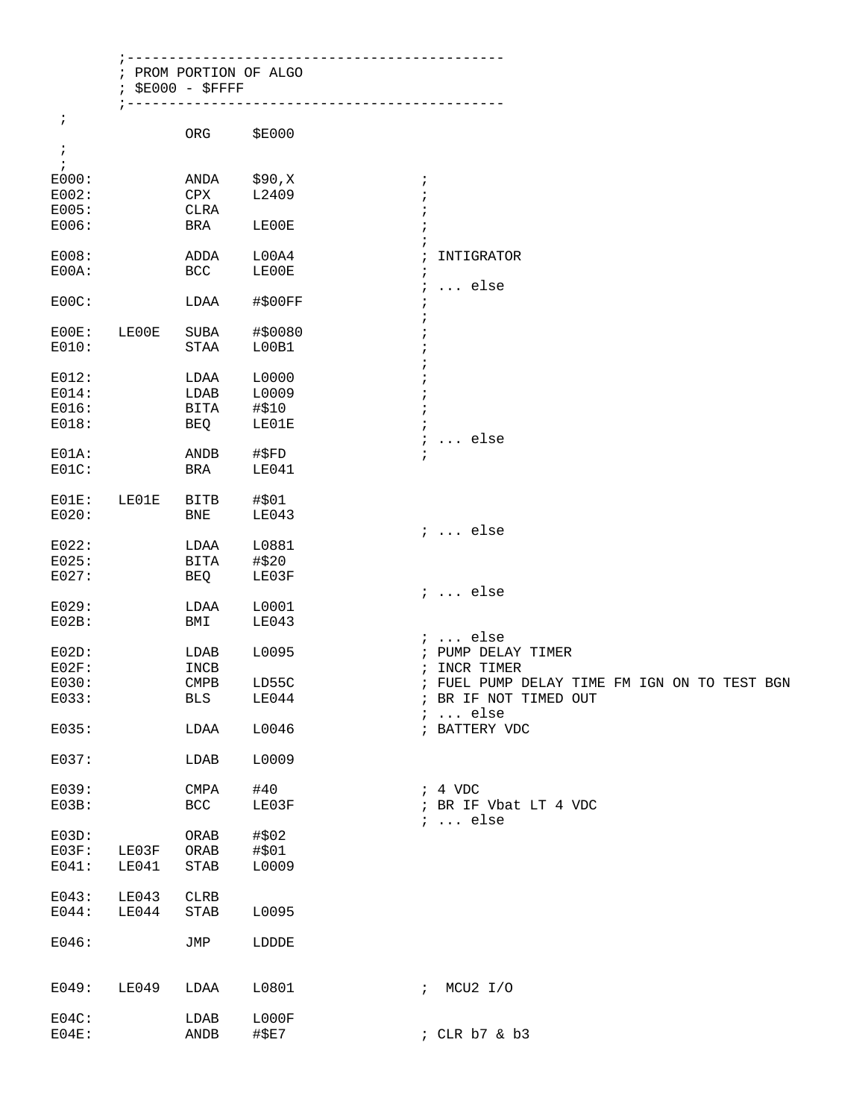| $\ddot{ }$ | ; PROM PORTION OF ALGO<br>$$E000 - $FFFF$ |               | ----------------------                       |
|------------|-------------------------------------------|---------------|----------------------------------------------|
|            | ORG                                       | <b>\$E000</b> |                                              |
|            |                                           |               |                                              |
|            | ANDA                                      | \$90,X        | $\ddot{i}$                                   |
|            | CPX                                       | L2409         |                                              |
|            | CLRA                                      |               |                                              |
|            | BRA                                       | LE00E         |                                              |
|            | <b>ADDA</b>                               | L00A4         | INTIGRATOR                                   |
|            | <b>BCC</b>                                | LE00E         |                                              |
|            | LDAA                                      | #\$00FF       | $\ldots$ else<br>$\ddot{i}$                  |
|            |                                           |               |                                              |
| LE00E      | SUBA                                      | #\$0080       |                                              |
|            | STAA                                      | L00B1         |                                              |
|            | LDAA                                      | L0000         |                                              |
|            | LDAB                                      | L0009         |                                              |
|            | <b>BITA</b>                               | #\$10         |                                              |
|            | BEQ                                       | LE01E         |                                              |
|            |                                           |               | $\ldots$ else<br>$\ddot{i}$                  |
|            | <b>ANDB</b>                               | #\$FD         | $\ddot{i}$                                   |
|            | BRA                                       | LE041         |                                              |
| LE01E      | BITB                                      | #\$01         |                                              |
|            | BNE                                       | LE043         |                                              |
|            |                                           |               | $i \ldots$ else                              |
|            | LDAA                                      | L0881         |                                              |
|            | BITA                                      | #\$20         |                                              |
|            | BEQ                                       | LE03F         |                                              |
|            |                                           |               | $i \ldots$ else                              |
|            | LDAA                                      | L0001         |                                              |
|            | BMI                                       | LE043         |                                              |
|            |                                           |               | $i$ else                                     |
|            | LDAB                                      | L0095         | PUMP DELAY TIMER<br>$\ddot{ }$               |
|            | INCB                                      |               | ; INCR TIMER                                 |
|            | $\ensuremath{\mathsf{CMPB}}$              | LD55C         | ; FUEL PUMP DELAY TIME FM IGN ON TO TEST BGN |
|            | <b>BLS</b>                                | LE044         | ; BR IF NOT TIMED OUT<br>$i \ldots$ else     |
|            | LDAA                                      | L0046         | ; BATTERY VDC                                |
|            | LDAB                                      | L0009         |                                              |
|            | <b>CMPA</b>                               | #40           | $; 4$ VDC                                    |
|            | BCC                                       | LE03F         | ; BR IF Vbat LT 4 VDC                        |
|            | ${\sf ORAB}$                              | #\$02         | $i \ldots$ else                              |
| LE03F      | ${\sf ORAB}$                              | #\$01         |                                              |
| LE041      | $\operatorname{STAB}$                     | L0009         |                                              |
| LE043      | ${\tt CLRB}$                              |               |                                              |
| LE044      | STAB                                      | L0095         |                                              |
|            |                                           |               |                                              |
|            | JMP                                       | LDDDE         |                                              |
| LE049      | LDAA                                      | L0801         | ; MCU2 I/O                                   |
|            | LDAB                                      | L000F         |                                              |
|            | $\operatorname{ANDB}$                     | #\$E7         | ; CLR b7 & b3                                |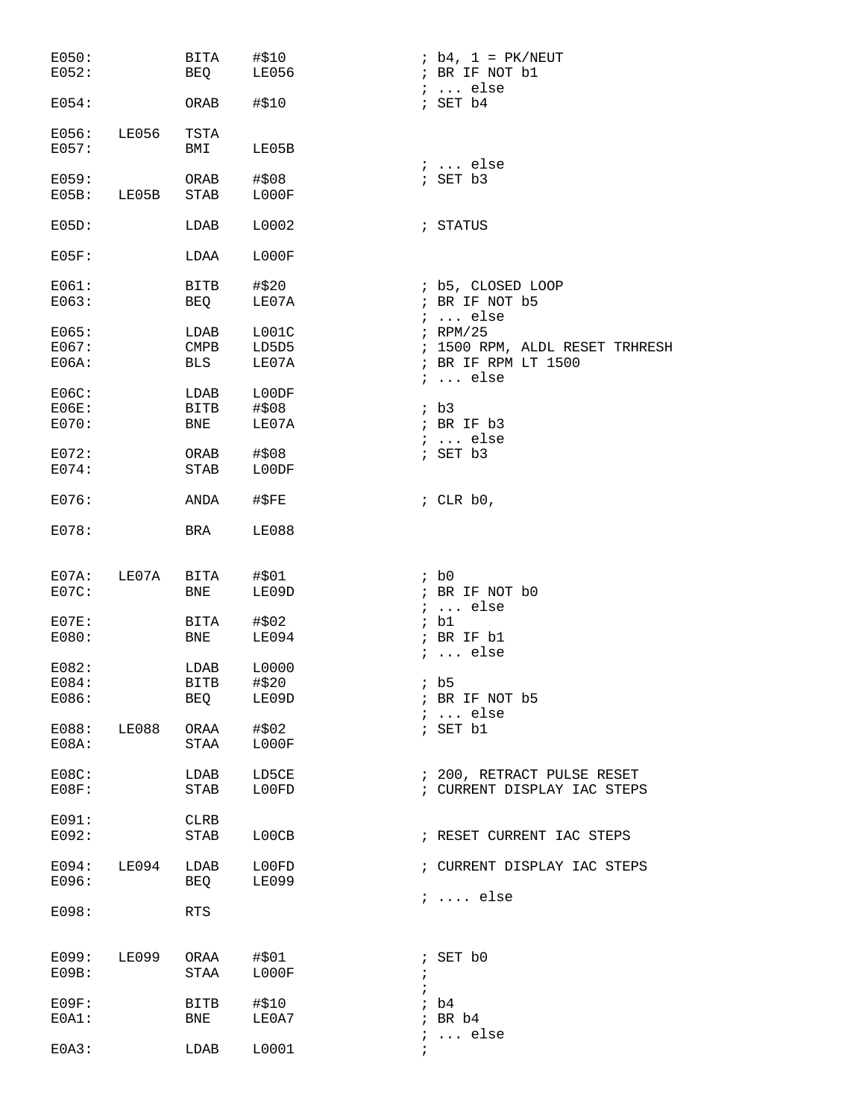| E050:<br>E052:          |       | BITA<br>BEQ              | #\$10<br><b>LE056</b> | $ib4, 1 = PK/NEUT$<br>; BR IF NOT b1   |
|-------------------------|-------|--------------------------|-----------------------|----------------------------------------|
| E054:                   |       | ORAB                     | #\$10                 | $i \ldots$ else<br>; SET b4            |
| E056: LE056<br>E057:    |       | TSTA<br>BMI              | LE05B                 |                                        |
| E059:<br>$E05B$ : LE05B |       | ORAB<br>STAB             | # \$08<br>L000F       | $i \ldots$ else<br>; SET b3            |
| E05D:                   |       | LDAB                     | L0002                 | ; STATUS                               |
| $E05F$ :                |       | LDAA                     | LOOOF                 |                                        |
| E061:                   |       | BITB                     | #\$20                 | ; b5, CLOSED LOOP                      |
|                         |       |                          |                       |                                        |
| E063:                   |       | BEQ                      | LE07A                 | ; BR IF NOT b5                         |
|                         |       |                          |                       | $i \ldots$ else                        |
| E065:                   |       | LDAB                     | LOO1C                 | $i$ RPM/25                             |
| E067:                   |       | $\mathop{\mathrm{CMPB}}$ | LD5D5                 | ; 1500 RPM, ALDL RESET TRHRESH         |
| $E06A$ :                |       | BLS                      | LE07A                 | ; BR IF RPM LT 1500<br>$i \ldots$ else |
| $E06C$ :                |       | LDAB                     | L00DF                 |                                        |
| $E06E$ :                |       | <b>BITB</b>              | #\$08                 | ib3                                    |
| E070:                   |       | <b>BNE</b>               | LE07A                 | ; BR IF b3                             |
|                         |       |                          |                       | $i \ldots$ else                        |
| E072:                   |       | ORAB                     | #\$08                 | ; SET b3                               |
| E074:                   |       | STAB                     | L00DF                 |                                        |
| E076:                   |       | ANDA                     | #SFE                  | ; CLR $b0$ ,                           |
| E078:                   |       | BRA                      | LE088                 |                                        |
|                         |       |                          |                       |                                        |
| E07A:                   | LE07A | BITA #\$01               |                       | ; b0                                   |
| $E07C$ :                |       | <b>BNE</b>               | LE09D                 | ; BR IF NOT b0                         |
|                         |       |                          |                       | $i \ldots$ else                        |
| $E07E$ :                |       | <b>BITA</b>              | #\$02                 | ; b1                                   |
| E080:                   |       | <b>BNE</b>               | LE094                 | ; BR IF b1                             |
|                         |       |                          |                       | $i \ldots$ else                        |
|                         |       |                          |                       |                                        |
| E082:                   |       | LDAB                     | L0000                 |                                        |
| E084:                   |       | <b>BITB</b>              | #\$20                 | ib5                                    |
| E086:                   |       | BEQ                      | LE09D                 | ; BR IF NOT b5                         |
|                         |       |                          |                       | $i \ldots$ else                        |
| E088: LE088             |       | ORAA                     | #\$02                 | ; SET b1                               |
| $E08A$ :                |       | STAA                     | LOOOF                 |                                        |
| $E08C$ :                |       | LDAB                     | LD5CE                 | ; 200, RETRACT PULSE RESET             |
| $E08F$ :                |       | STAB                     | L00FD                 | ; CURRENT DISPLAY IAC STEPS            |
|                         |       |                          |                       |                                        |
|                         |       |                          |                       |                                        |
| E091:<br>E092:          |       | CLRB<br>STAB             | L00CB                 | ; RESET CURRENT IAC STEPS              |
| $E094:$ LE094           |       | LDAB                     | L00FD                 | ; CURRENT DISPLAY IAC STEPS            |
| E096:                   |       | BEQ                      | <b>LE099</b>          | $i \ldots$ else                        |
| E098:                   |       | RTS                      |                       |                                        |
|                         |       |                          |                       |                                        |
| E099: LE099             |       | ORAA #\$01               |                       | $;$ SET $b0$                           |
| E09B:                   |       | STAA                     | LOOOF                 | $\ddot{i}$                             |
|                         |       |                          |                       | $\ddot{i}$                             |
| $E09F$ :                |       | BITB                     | #\$10                 | ib4                                    |
| $E0A1$ :                |       | BNE                      | LE0A7                 | $;$ BR $b4$                            |
|                         |       |                          |                       | $i$ else                               |
| E0A3:                   |       | LDAB                     | L0001                 | $\ddot{ }$                             |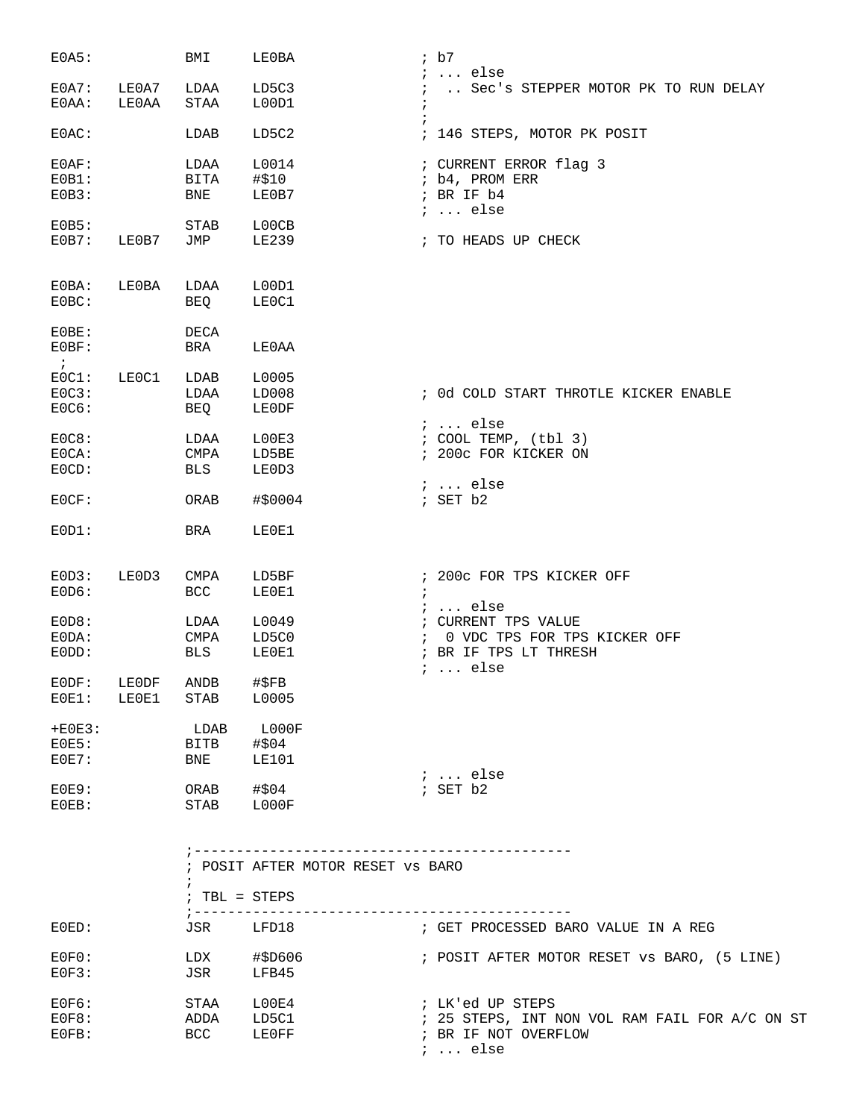| E0A5:              |       | BMI                           | LE0BA                             | ib7                                                    |
|--------------------|-------|-------------------------------|-----------------------------------|--------------------------------------------------------|
| $E0A7$ :           | LE0A7 | LDAA                          | LD5C3                             | $i \ldots$ else<br>Sec's STEPPER MOTOR PK TO RUN DELAY |
| E0AA:              | LE0AA | STAA                          | L00D1                             | $\ddot{i}$                                             |
| $E0AC$ :           |       | LDAB                          | LD5C2                             | ; 146 STEPS, MOTOR PK POSIT                            |
| $E0AF$ :           |       | LDAA                          | L0014                             | ; CURRENT ERROR flag 3                                 |
| EOB1:              |       | BITA                          | #\$10                             | ; b4, PROM ERR                                         |
| EOB3:              |       | BNE                           | LE0B7                             | ; BR IF b4<br>$i \ldots$ else                          |
| E0B5:              |       | STAB                          | L00CB                             |                                                        |
| EOB7:              | LE0B7 | JMP                           | LE239                             | ; TO HEADS UP CHECK                                    |
| $E0BA$ :           | LE0BA | LDAA                          | L00D1                             |                                                        |
| $E0BC$ :           |       | BEQ                           | LE0C1                             |                                                        |
| $E0BE$ :           |       | DECA                          |                                   |                                                        |
| E0BF:<br>$\cdot$ ; |       | BRA                           | LE0AA                             |                                                        |
| EOC1:              | LE0C1 | LDAB                          | L0005                             |                                                        |
| EOC3:              |       | LDAA                          | LD008                             | ; Od COLD START THROTLE KICKER ENABLE                  |
| E0C6:              |       | BEQ                           | LE0DF                             |                                                        |
|                    |       |                               |                                   | $i \ldots$ else                                        |
| E0C8:              |       | LDAA                          | L00E3                             | $:$ COOL TEMP, $(tb1 3)$                               |
| EOCA:              |       | CMPA                          | LD5BE                             | ; 200c FOR KICKER ON                                   |
| EOCD:              |       | BLS                           | LE0D3                             | $i \ldots$ else                                        |
| E0CF:              |       | ORAB                          | #\$0004                           | ; SET b2                                               |
| EOD1:              |       | BRA                           | LE0E1                             |                                                        |
| EOD3:              | LE0D3 | CMPA                          | LD5BF                             | ; 200c FOR TPS KICKER OFF                              |
| EOD6:              |       | <b>BCC</b>                    | LE0E1                             | $\ddot{i}$                                             |
|                    |       |                               |                                   | $i \ldots$ else                                        |
| EOD8:              |       | LDAA                          | L0049                             | ; CURRENT TPS VALUE                                    |
| $EODA$ :           |       | CMPA                          | LD5C0                             | 0 VDC TPS FOR TPS KICKER OFF<br>$\mathcal{L}$          |
| EODD:              |       | BLS                           | LE0E1                             | ; BR IF TPS LT THRESH                                  |
| EDDF:              | LE0DF | $\operatorname{ANDB}$         | $\sharp$ \$FB                     | $i \ldots$ else                                        |
| $E0E1$ :           | LE0E1 | <b>STAB</b>                   | L0005                             |                                                        |
| $+EOE3$ :          |       | LDAB                          | ${\tt LOOOF}$                     |                                                        |
| E0E5:              |       | BITB                          | #\$04                             |                                                        |
| $E0E7$ :           |       | <b>BNE</b>                    | LE101                             |                                                        |
|                    |       |                               |                                   | ;  else                                                |
| $E0E9$ :           |       | ORAB                          | #\$04                             | ; SET b2                                               |
| $E0EB$ :           |       | STAB                          | LOOOF                             |                                                        |
|                    |       |                               |                                   |                                                        |
|                    |       |                               | ; POSIT AFTER MOTOR RESET VS BARO |                                                        |
|                    |       | $\ddot{i}$<br>$: TBL = STEPS$ |                                   |                                                        |
| $E0ED$ :           |       | ; ---------                   | JSR LFD18                         | ; GET PROCESSED BARO VALUE IN A REG                    |
| $E0F0$ :           |       | LDX                           | #\$D606                           | ; POSIT AFTER MOTOR RESET VS BARO, (5 LINE)            |
| E0F3:              |       | JSR                           | LFB45                             |                                                        |
| E0F6:              |       | STAA                          | L00E4                             | ; LK'ed UP STEPS                                       |
| E0F8:              |       | ADDA                          | LD5C1                             | ; 25 STEPS, INT NON VOL RAM FAIL FOR A/C ON ST         |
| $E0FB$ :           |       | BCC                           | LE0FF                             | ; BR IF NOT OVERFLOW                                   |
|                    |       |                               |                                   | $: $ else                                              |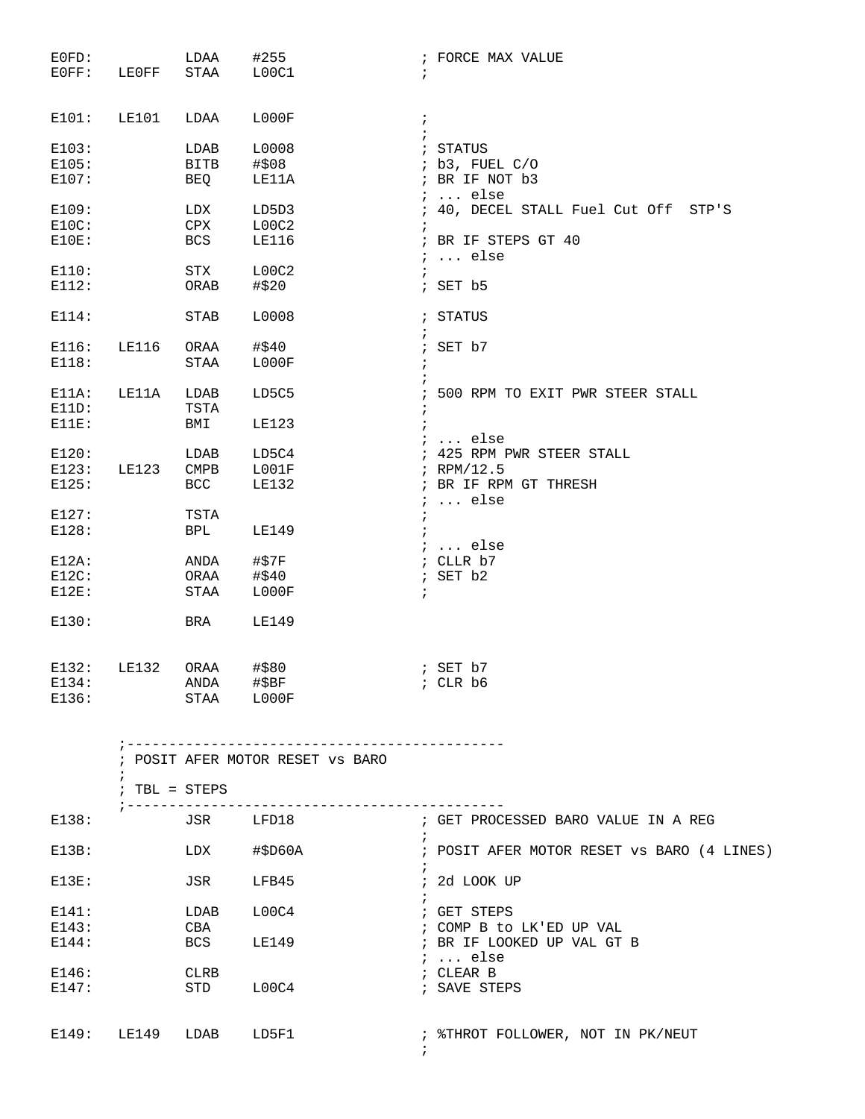| $E0FD$ :<br>$EOFF$ : | LEOFF                  | LDAA<br>STAA L00C1                                              | #255                             | ; FORCE MAX VALUE<br>$\ddot{i}$                  |
|----------------------|------------------------|-----------------------------------------------------------------|----------------------------------|--------------------------------------------------|
| E101:                | LE101                  | LDAA                                                            | LOOOF                            | $\ddot{i}$                                       |
|                      |                        |                                                                 |                                  | $\ddot{i}$                                       |
| E103:                |                        | LDAB                                                            | L0008                            | ; STATUS<br>; b3, FUEL C/O                       |
| E105:<br>E107:       |                        | BITB<br>BEQ                                                     | #\$08<br>LE11A                   | ; BR IF NOT b3                                   |
|                      |                        |                                                                 |                                  | $i \ldots$ else                                  |
| E109:                |                        | LDX                                                             | LD5D3                            | ; 40, DECEL STALL Fuel Cut Off STP'S             |
| $E10C$ :             |                        | CPX                                                             | LOOC2                            | $\ddot{i}$                                       |
| E10E:                |                        | <b>BCS</b>                                                      | LE116                            | ; BR IF STEPS GT 40                              |
|                      |                        |                                                                 |                                  | $i \ldots$ else                                  |
| E110:                |                        | STX                                                             | L00C2                            | $\ddot{i}$                                       |
| E112:                |                        | ORAB                                                            | #\$20                            | $;$ SET $b5$                                     |
|                      |                        |                                                                 |                                  |                                                  |
| E114:                |                        | STAB                                                            | L0008                            | ; STATUS                                         |
|                      |                        |                                                                 |                                  | $\ddot{ }$                                       |
| E116:                | LE116                  | ORAA                                                            | #\$40                            | ; SET b7                                         |
| E118:                |                        | STAA                                                            | L000F                            | $\ddot{i}$                                       |
|                      |                        |                                                                 |                                  |                                                  |
| $E11A$ :             | LE11A                  | LDAB                                                            | LD5C5                            | ; 500 RPM TO EXIT PWR STEER STALL                |
| E11D:                |                        | TSTA                                                            |                                  | $\ddot{i}$                                       |
| E11E:                |                        | BMI                                                             | <b>LE123</b>                     | $\cdot$                                          |
|                      |                        |                                                                 |                                  | $i \ldots$ else                                  |
| E120:                |                        | LDAB                                                            | LD5C4                            | ; 425 RPM PWR STEER STALL                        |
| E123:<br>E125:       | LE123                  | $\mathop{\mathrm{CMPB}}$<br>BCC                                 | ${\tt LOO1F}$<br>LE132           | ; RPM/12.5<br>; BR IF RPM GT THRESH              |
|                      |                        |                                                                 |                                  | $i \ldots$ else                                  |
| E127:                |                        | TSTA                                                            |                                  | $\ddot{ }$                                       |
| E128:                |                        | BPL                                                             | LE149                            | $\ddot{i}$                                       |
|                      |                        |                                                                 |                                  | ;  else                                          |
| $E12A$ :             |                        | ANDA                                                            | #\$7F                            | ; CLLR b7                                        |
| $E12C$ :             |                        | ORAA                                                            | #\$40                            | ; SET b2                                         |
| $E12E$ :             |                        | STAA                                                            | L000F                            | $\ddot{i}$                                       |
|                      |                        |                                                                 |                                  |                                                  |
| E130:                |                        | BRA                                                             | LE149                            |                                                  |
|                      |                        |                                                                 |                                  |                                                  |
| E132:                | LE132                  | ORAA                                                            | #\$80<br>; SET b7                |                                                  |
| E134:                |                        | $\begin{tabular}{ll} ANDA & #$BF\\ \end{tabular}$<br>STAA L000F |                                  | ; CLR b6                                         |
| E136:                |                        |                                                                 |                                  |                                                  |
|                      |                        |                                                                 |                                  | . _ _ _ _ _ _ _ _ _ _ _ _ _ _ _                  |
|                      |                        |                                                                 | ; POSIT AFER MOTOR RESET VS BARO |                                                  |
|                      | $: TBL = STEPS$        |                                                                 |                                  |                                                  |
|                      |                        |                                                                 |                                  |                                                  |
| E138:                |                        |                                                                 | JSR LFD18                        | ; GET PROCESSED BARO VALUE IN A REG              |
| E13B:                |                        |                                                                 | LDX #\$D60A                      | ; POSIT AFER MOTOR RESET VS BARO (4 LINES)       |
| $E13E$ :             |                        |                                                                 | JSR LFB45                        | ; 2d LOOK UP                                     |
| E141:                |                        | LDAB                                                            | $\mathtt{LOOC4}$                 | ; GET STEPS                                      |
| E143:                |                        | CBA                                                             |                                  | ; COMP B to LK'ED UP VAL                         |
| E144:                |                        | <b>BCS</b>                                                      | LE149                            | ; BR IF LOOKED UP VAL GT B                       |
|                      |                        |                                                                 |                                  | $i \ldots$ else                                  |
| E146:                |                        | CLRB                                                            |                                  | ; CLEAR B                                        |
| E147:                |                        | STD                                                             | L00C4                            | ; SAVE STEPS                                     |
|                      |                        |                                                                 |                                  |                                                  |
|                      | E149: LE149 LDAB LD5F1 |                                                                 |                                  | ; \$THROT FOLLOWER, NOT IN PK/NEUT<br>$\ddot{i}$ |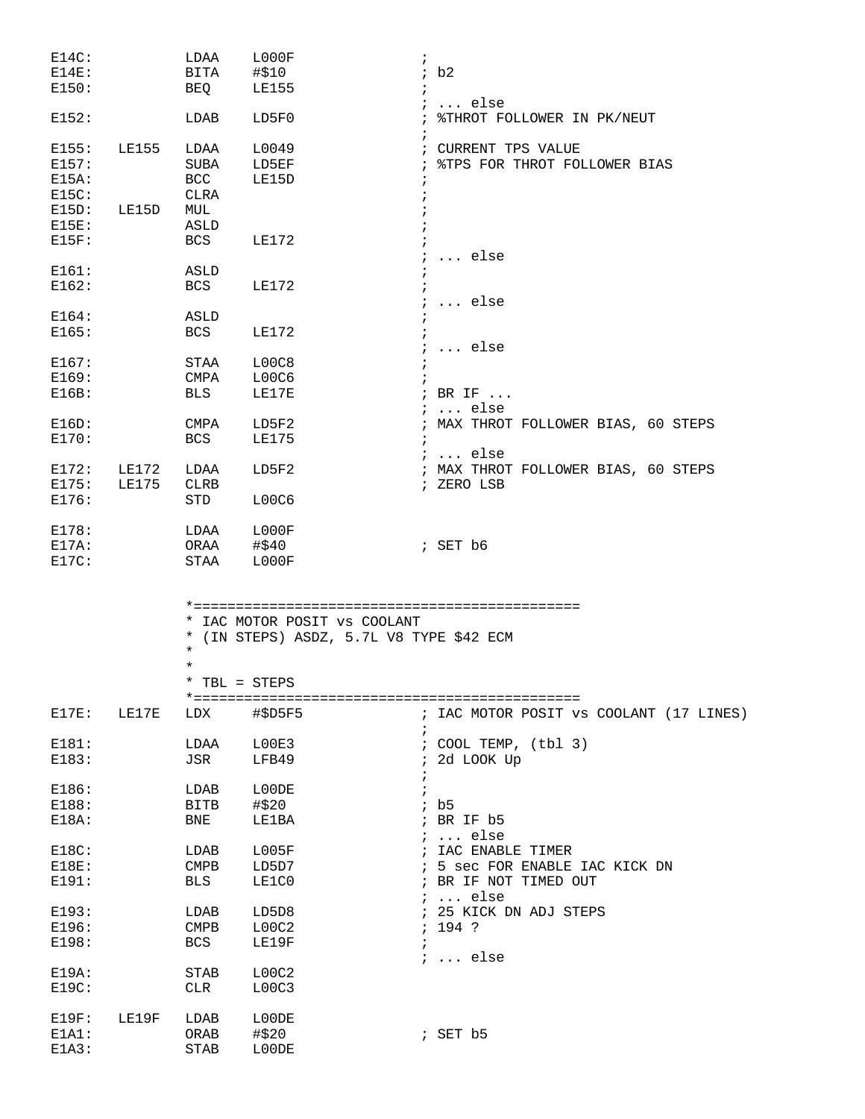| $E14C$ : |              | LDAA                      | L000F                                           | $\ddot{i}$                                 |
|----------|--------------|---------------------------|-------------------------------------------------|--------------------------------------------|
| $E14E$ : |              | BITA                      | #\$10                                           | ib2                                        |
| E150:    |              | BEQ                       | <b>LE155</b>                                    |                                            |
|          |              |                           |                                                 | $\ldots$ else                              |
| E152:    |              | LDAB                      | LD5F0                                           | %THROT FOLLOWER IN PK/NEUT<br>$\ddot{i}$   |
|          |              |                           |                                                 |                                            |
| E155:    | <b>LE155</b> | LDAA                      | L0049                                           | ; CURRENT TPS VALUE                        |
| E157:    |              | SUBA                      | LD5EF                                           | %TPS FOR THROT FOLLOWER BIAS<br>$\ddot{i}$ |
| $E15A$ : |              | BCC                       | LE15D                                           |                                            |
| E15C:    |              | CLRA                      |                                                 |                                            |
| $E15D$ : | LE15D        | MUL                       |                                                 |                                            |
|          |              |                           |                                                 |                                            |
| $E15E$ : |              | ASLD                      |                                                 |                                            |
| E15F:    |              | BCS                       | LE172                                           |                                            |
|          |              |                           |                                                 | $\ldots$ else                              |
| E161:    |              | ASLD                      |                                                 |                                            |
| E162:    |              | BCS                       | LE172                                           |                                            |
|          |              |                           |                                                 | $\ldots$ else<br>$\ddot{i}$                |
| E164:    |              | ASLD                      |                                                 |                                            |
| E165:    |              | BCS                       | LE172                                           |                                            |
|          |              |                           |                                                 | $\ldots$ else                              |
| E167:    |              | STAA                      | L00C8                                           |                                            |
| E169:    |              | CMPA                      | L00C6                                           |                                            |
|          |              |                           |                                                 |                                            |
| E16B:    |              | BLS                       | LE17E                                           | ; BR IF                                    |
|          |              |                           |                                                 | $i \ldots$ else                            |
| $E16D$ : |              | CMPA                      | LD5F2                                           | ; MAX THROT FOLLOWER BIAS, 60 STEPS        |
| E170:    |              | BCS                       | <b>LE175</b>                                    | $\ddot{i}$                                 |
|          |              |                           |                                                 | $i$ else                                   |
| E172:    | LE172        | LDAA                      | LD5F2                                           | ; MAX THROT FOLLOWER BIAS, 60 STEPS        |
| E175:    | <b>LE175</b> | <b>CLRB</b>               |                                                 | ; ZERO LSB                                 |
| E176:    |              | STD                       | L00C6                                           |                                            |
|          |              |                           |                                                 |                                            |
| E178:    |              | LDAA                      | L000F                                           |                                            |
|          |              |                           |                                                 |                                            |
| $E17A$ : |              |                           | ORAA #\$40                                      | ; SET b6                                   |
| E17C:    |              | STAA                      | LOOOF                                           |                                            |
|          |              | *<br>$^\star$<br>$^\star$ | * IAC MOTOR POSIT VS COOLANT<br>* TBL = $STEPS$ | (IN STEPS) ASDZ, 5.7L V8 TYPE \$42 ECM     |
|          |              |                           |                                                 |                                            |
| E17E:    | LE17E        | LDX                       | #\$D5F5                                         | IAC MOTOR POSIT VS COOLANT (17 LINES)      |
|          |              |                           |                                                 | $\ddot{i}$                                 |
| E181:    |              | LDAA                      | L00E3                                           | ; COOL TEMP, (tbl 3)                       |
| E183:    |              | JSR                       | LFB49                                           | 2d LOOK Up                                 |
|          |              |                           |                                                 |                                            |
| E186:    |              | LDAB                      | L00DE                                           | $\ddot{i}$                                 |
| E188:    |              | BITB                      | #\$20                                           | ib5                                        |
| E18A:    |              | BNE                       | LE1BA                                           | ; BR IF b5                                 |
|          |              |                           |                                                 | $i \ldots$ else                            |
| E18C:    |              | LDAB                      | L005F                                           | IAC ENABLE TIMER                           |
| E18E:    |              | $\texttt{CMPB}$           | LD5D7                                           | 5 sec FOR ENABLE IAC KICK DN               |
| E191:    |              | <b>BLS</b>                | LE1C0                                           | BR IF NOT TIMED OUT                        |
|          |              |                           |                                                 | $i \ldots$ else                            |
|          |              |                           |                                                 |                                            |
| E193:    |              | LDAB                      | LD5D8                                           | ; 25 KICK DN ADJ STEPS                     |
| E196:    |              | <b>CMPB</b>               | LOOC2                                           | $; 194$ ?                                  |
| E198:    |              | BCS                       | LE19F                                           | ÷                                          |
|          |              |                           |                                                 | $i \ldots$ else                            |
| E19A:    |              | <b>STAB</b>               | LOOC2                                           |                                            |
| E19C:    |              | <b>CLR</b>                | LOOC3                                           |                                            |
|          |              |                           |                                                 |                                            |
| E19F:    | LE19F        | LDAB                      | L00DE                                           |                                            |
| E1A1:    |              | ORAB                      | #\$20                                           | $;$ SET $b5$                               |
| E1A3:    |              | <b>STAB</b>               | L00DE                                           |                                            |
|          |              |                           |                                                 |                                            |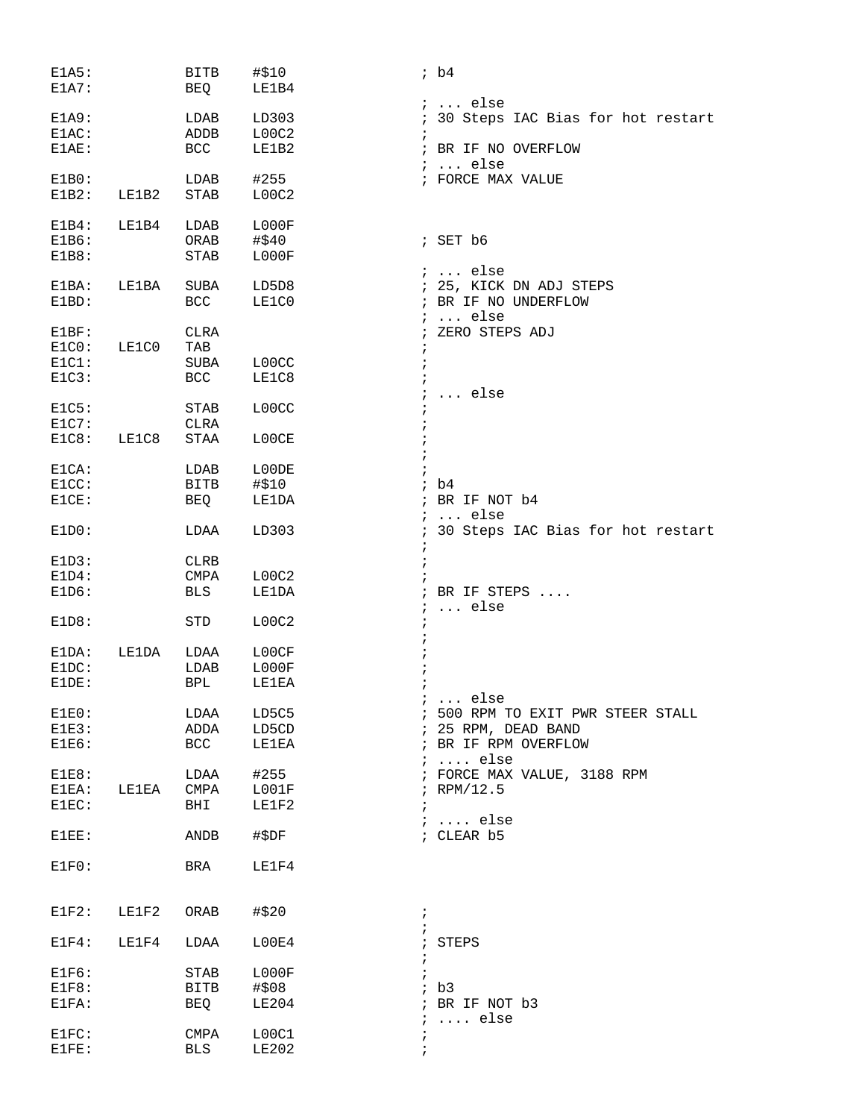| E1A5:<br>E1A7:                      |       | <b>BITB</b><br>BEQ                       | #\$10<br>LE1B4          | ib4                                                                                   |
|-------------------------------------|-------|------------------------------------------|-------------------------|---------------------------------------------------------------------------------------|
| E1A9:<br>$E1AC$ :<br>E1AE:          |       | LDAB<br>ADDB<br><b>BCC</b>               | LD303<br>LOOC2<br>LE1B2 | $i \ldots$ else<br>; 30 Steps IAC Bias for hot restart<br>; BR IF NO OVERFLOW         |
| E1B0:<br>E1B2:                      | LE1B2 | LDAB<br><b>STAB</b>                      | #255<br>LOOC2           | $i \ldots$ else<br>; FORCE MAX VALUE                                                  |
| $E1B4$ :<br>E1B6:<br>E1B8:          | LE1B4 | LDAB<br>ORAB<br><b>STAB</b>              | L000F<br>#\$40<br>L000F | $;$ SET $b6$                                                                          |
| E1BA:<br>$E1BD$ :                   | LE1BA | SUBA<br><b>BCC</b>                       | LD5D8<br>LE1C0          | $i \ldots$ else<br>; 25, KICK DN ADJ STEPS<br>; BR IF NO UNDERFLOW<br>$i \ldots$ else |
| E1BF:<br>E1C0:<br>$E1C1$ :<br>E1C3: | LE1C0 | <b>CLRA</b><br>TAB<br>SUBA<br><b>BCC</b> | L00CC<br>LE1C8          | ZERO STEPS ADJ                                                                        |
| E1C5:<br>E1C7:                      |       | <b>STAB</b><br><b>CLRA</b>               | L00CC                   | else                                                                                  |
| E1C8:<br>$E1CA$ :                   | LE1C8 | STAA<br>LDAB                             | L00CE<br>L00DE          |                                                                                       |
|                                     |       |                                          |                         |                                                                                       |
| E1CC:<br>E1CE:                      |       | <b>BITB</b><br>BEQ                       | #\$10<br>LE1DA          | b4<br>BR IF NOT b4<br>$\ldots$ else                                                   |
| E1D0:                               |       | LDAA                                     | LD303<br>$\ddot{i}$     | 30 Steps IAC Bias for hot restart                                                     |
| E1D3:                               |       | <b>CLRB</b>                              |                         |                                                                                       |
| E1D4:                               |       | CMPA                                     | LOOC2                   |                                                                                       |
| E1D6:                               |       | <b>BLS</b>                               | LE1DA<br>$\ddot{i}$     | BR IF STEPS<br>$\ldots$ else                                                          |
| E1D8:                               |       | STD                                      | LOOC2                   |                                                                                       |
| E1DA:                               | LE1DA | LDAA                                     | L00CF                   |                                                                                       |
| E1DC:                               |       | LDAB                                     | L000F                   |                                                                                       |
| E1DE:                               |       | <b>BPL</b>                               | <b>LE1EA</b>            |                                                                                       |
| $E1E0$ :                            |       | LDAA                                     | LD5C5                   | else<br>500 RPM TO EXIT PWR STEER STALL                                               |
| E1E3:                               |       | ADDA                                     | LD5CD                   | ; 25 RPM, DEAD BAND                                                                   |
| E1E6:                               |       | BCC                                      | LE1EA                   | ; BR IF RPM OVERFLOW<br>$i \ldots$ else                                               |
| E1E8:                               |       | LDAA                                     | #255                    | ; FORCE MAX VALUE, 3188 RPM                                                           |
| E1EA:                               | LE1EA | CMPA                                     | L001F                   | ; RPM/12.5                                                                            |
| E1EC:                               |       | BHI                                      | LE1F2                   | $i \ldots$ else                                                                       |
| $E1EE$ :                            |       | ANDB                                     | #\$DF                   | ; CLEAR b5                                                                            |
| E1F0:                               |       | BRA                                      | LE1F4                   |                                                                                       |
| $E1F2$ :                            | LE1F2 | ORAB                                     | #\$20<br>$\ddot{ }$     |                                                                                       |
| $E1F4$ :                            | LE1F4 | LDAA                                     | L00E4<br>$\ddot{ }$     | STEPS                                                                                 |
| E1F6:                               |       | STAB                                     | LOOOF                   |                                                                                       |
| E1F8:                               |       | BITB                                     | #\$08                   | ib3                                                                                   |
| E1FA:                               |       | BEQ                                      | LE204<br>i              | ; BR IF NOT b3<br>$\ldots$ else                                                       |
| E1FC:                               |       | CMPA                                     | L00C1                   |                                                                                       |
| E1FE:                               |       | <b>BLS</b>                               | <b>LE202</b>            |                                                                                       |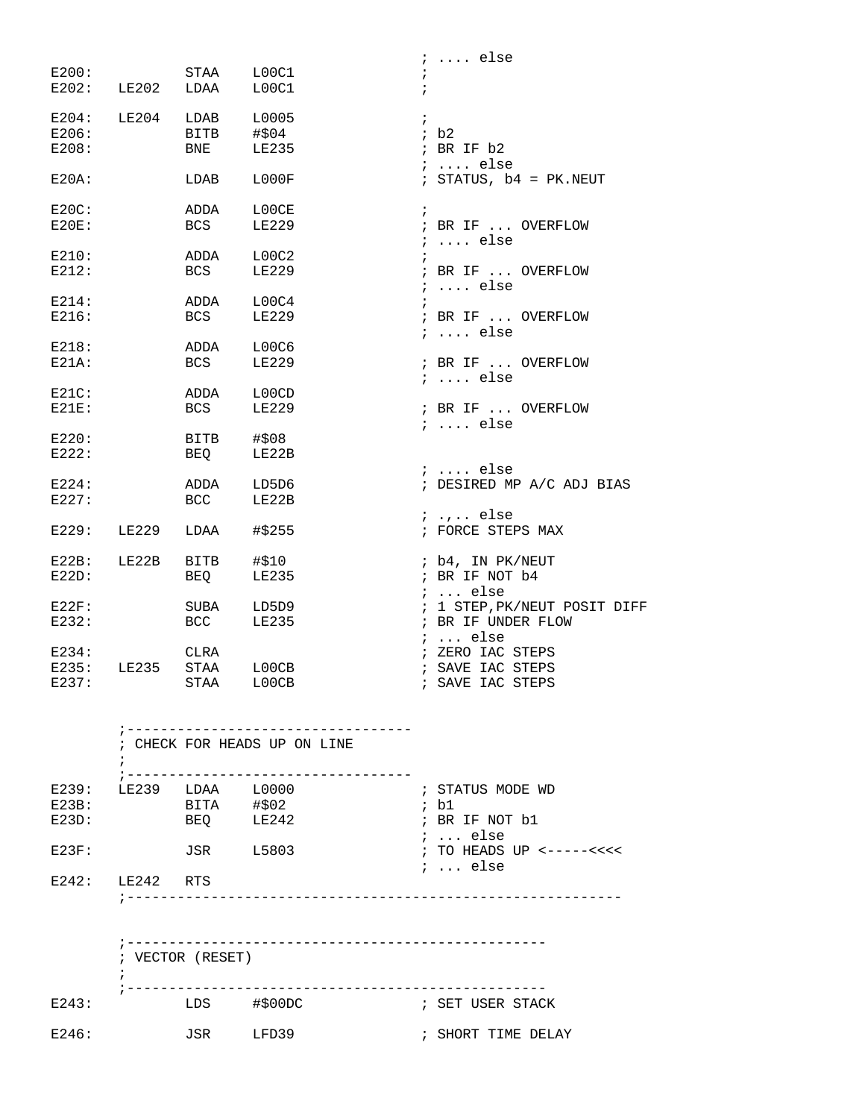|          |       |            |              | $i \ldots$ else              |
|----------|-------|------------|--------------|------------------------------|
| E200:    |       | STAA L00C1 |              |                              |
| E202:    |       | LE202 LDAA | LOOC1        | $\ddot{i}$                   |
|          |       |            |              |                              |
| E204:    | LE204 | LDAB       | L0005        | $\mathbf{i}$                 |
| E206:    |       |            |              | ib2                          |
|          |       | BITB       | #\$04        |                              |
| E208:    |       | BNE        | LE235        | ; BR IF b2                   |
|          |       |            |              | $i \ldots$ else              |
| $E20A$ : |       | LDAB       | L000F        | ; STATUS, $b4 = PK.NEUT$     |
| $E20C$ : |       | ADDA       | L00CE        | $\mathbf{i}$                 |
| $E20E$ : |       | BCS        | <b>LE229</b> | ; BR IF  OVERFLOW            |
|          |       |            |              | $i \ldots$ else              |
| E210:    |       | ADDA       | L00C2        | $\ddot{i}$                   |
| E212:    |       | BCS        | <b>LE229</b> | ; BR IF  OVERFLOW            |
|          |       |            |              |                              |
|          |       |            |              | $i \ldots$ else              |
| E214:    |       | ADDA       | L00C4        | $\ddot{i}$                   |
| E216:    |       | BCS        | <b>LE229</b> | ; BR IF  OVERFLOW            |
|          |       |            |              | $i$ else                     |
| E218:    |       | ADDA       | L00C6        |                              |
| $E21A$ : |       | BCS        | <b>LE229</b> | ; BR IF  OVERFLOW            |
|          |       |            |              | $i \ldots$ else              |
| $E21C$ : |       | ADDA       | L00CD        |                              |
| $E21E$ : |       | <b>BCS</b> | <b>LE229</b> | ; BR IF  OVERFLOW            |
|          |       |            |              | $i$ else                     |
| E220:    |       | BITB       | #\$08        |                              |
| E222:    |       | BEO        | LE22B        |                              |
|          |       |            |              |                              |
|          |       |            |              | $i$ else                     |
| E224:    |       | ADDA       | LD5D6        | ; DESIRED MP A/C ADJ BIAS    |
| E227:    |       | BCC        | LE22B        |                              |
|          |       |            |              | $i, \ldots$ else             |
| E229:    | LE229 | LDAA       | #\$255       | ; FORCE STEPS MAX            |
| $E22B$ : | LE22B | BITB       | #\$10        | ; b4, IN PK/NEUT             |
| E22D:    |       | BEQ        | <b>LE235</b> | ; BR IF NOT b4               |
|          |       |            |              | $i \ldots$ else              |
|          |       |            |              |                              |
| $E22F$ : |       | SUBA       | LD5D9        | ; 1 STEP, PK/NEUT POSIT DIFF |
| E232:    |       | BCC        | LE235        | ; BR IF UNDER FLOW           |
|          |       |            |              | $i \ldots$ else              |
| E234:    |       | CLRA       |              | ; ZERO IAC STEPS             |
| E235:    | LE235 | STAA       | L00CB        | ; SAVE IAC STEPS             |
| E237:    |       | STAA       | L00CB        | ; SAVE IAC STEPS             |
|          |       |            |              |                              |

|                   |                        |                   | _____________________________ |                                                                |
|-------------------|------------------------|-------------------|-------------------------------|----------------------------------------------------------------|
|                   |                        |                   | ; CHECK FOR HEADS UP ON LINE  |                                                                |
|                   | E239: LE239 LDAA L0000 |                   |                               | ; STATUS MODE WD                                               |
| $E23B$ :<br>E23D: |                        | BITA #\$02<br>BEO | LE242                         | ; b1<br>; BR IF NOT b1                                         |
| $E23F$ :          |                        | JSR               | L5803                         | $i$ else<br>; TO HEADS UP $\leftarrow---<\leftarrow\leftarrow$ |
| E242:             | LE242 RTS              |                   |                               | $i \ldots$ else                                                |
|                   |                        |                   |                               |                                                                |

|       |                  |            | -----------------  |
|-------|------------------|------------|--------------------|
|       | ; VECTOR (RESET) |            |                    |
| E243: | LDS              | $#$ \$00DC | ; SET USER STACK   |
| E246: | JSR              | LFD39      | ; SHORT TIME DELAY |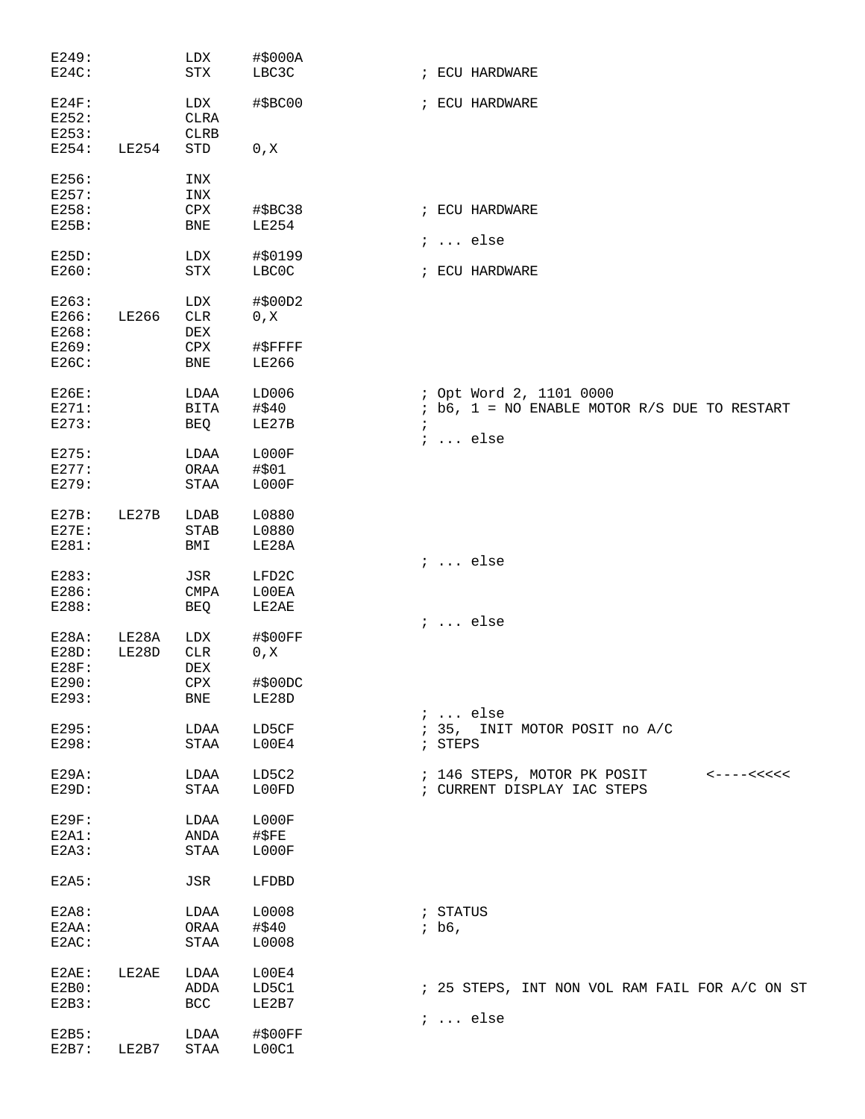| E249:    |       | LDX                   | #\$000A       |            |          |                                                      |
|----------|-------|-----------------------|---------------|------------|----------|------------------------------------------------------|
| $E24C$ : |       | STX                   | LBC3C         |            |          | ; ECU HARDWARE                                       |
|          |       |                       |               |            |          |                                                      |
| $E24F$ : |       | LDX                   | #\$BC00       |            |          | ; ECU HARDWARE                                       |
| E252:    |       | <b>CLRA</b>           |               |            |          |                                                      |
|          |       |                       |               |            |          |                                                      |
| E253:    |       | <b>CLRB</b>           |               |            |          |                                                      |
| E254:    | LE254 | STD                   | 0, X          |            |          |                                                      |
| E256:    |       | INX                   |               |            |          |                                                      |
| E257:    |       | INX                   |               |            |          |                                                      |
|          |       |                       |               |            |          |                                                      |
| E258:    |       | ${\tt CPX}$           | #\$BC38       |            |          | ; ECU HARDWARE                                       |
| E25B:    |       | <b>BNE</b>            | <b>LE254</b>  |            |          |                                                      |
| E25D:    |       | LDX                   | #\$0199       |            |          | $i \ldots$ else                                      |
| E260:    |       | ${\rm STX}$           | LBC0C         |            |          | ; ECU HARDWARE                                       |
|          |       |                       |               |            |          |                                                      |
| E263:    |       | LDX                   | #\$00D2       |            |          |                                                      |
| E266:    | LE266 | <b>CLR</b>            | 0, X          |            |          |                                                      |
| E268:    |       |                       |               |            |          |                                                      |
|          |       | DEX                   |               |            |          |                                                      |
| E269:    |       | CPX                   | #\$FFFF       |            |          |                                                      |
| E26C:    |       | BNE                   | <b>LE266</b>  |            |          |                                                      |
| E26E:    |       | LDAA                  | LD006         |            |          | ; Opt Word 2, 1101 0000                              |
| E271:    |       | BITA                  | #\$40         |            |          | $:$ b6, 1 = NO ENABLE MOTOR R/S DUE TO RESTART       |
|          |       |                       |               |            |          |                                                      |
| E273:    |       | BEQ                   | LE27B         | $\ddot{i}$ |          |                                                      |
|          |       |                       |               |            |          | $i \ldots$ else                                      |
| E275:    |       | LDAA                  | LOOOF         |            |          |                                                      |
| E277:    |       | ORAA                  | #\$01         |            |          |                                                      |
| E279:    |       | $\operatorname{STAA}$ | LOOOF         |            |          |                                                      |
| E27B:    | LE27B | LDAB                  | L0880         |            |          |                                                      |
| E27E:    |       | <b>STAB</b>           | L0880         |            |          |                                                      |
|          |       |                       |               |            |          |                                                      |
| E281:    |       | BMI                   | LE28A         |            |          |                                                      |
|          |       |                       |               |            |          | $i \ldots$ else                                      |
| E283:    |       | JSR                   | LFD2C         |            |          |                                                      |
| E286:    |       | <b>CMPA</b>           | L00EA         |            |          |                                                      |
| E288:    |       | BEQ                   | LE2AE         |            |          |                                                      |
|          |       |                       |               |            |          | $i \ldots$ else                                      |
| $E28A$ : | LE28A | LDX                   | #\$00FF       |            |          |                                                      |
| E28D:    | LE28D | ${\rm CLR}$           | 0, X          |            |          |                                                      |
| E28F:    |       | DEX                   |               |            |          |                                                      |
| E290:    |       | ${\tt CPX}$           | #\$00DC       |            |          |                                                      |
| E293:    |       | BNE                   | LE28D         |            |          |                                                      |
|          |       |                       |               |            |          | $i \ldots$ else                                      |
| E295:    |       | LDAA                  | LD5CF         |            |          | ; 35, INIT MOTOR POSIT no A/C                        |
| E298:    |       | STAA                  | LOOE4         |            | ; STEPS  |                                                      |
|          |       |                       |               |            |          |                                                      |
| $E29A$ : |       | LDAA                  | LD5C2         |            |          | ; 146 STEPS, MOTOR PK POSIT<br>$< - - - - < < < < <$ |
| E29D:    |       | STAA                  | L00FD         |            |          | ; CURRENT DISPLAY IAC STEPS                          |
|          |       |                       |               |            |          |                                                      |
| $E29F$ : |       | LDAA                  | LOOOF         |            |          |                                                      |
| $E2A1$ : |       | ANDA                  | $\sharp$ \$FE |            |          |                                                      |
| E2A3:    |       | STAA                  | L000F         |            |          |                                                      |
| E2A5:    |       | JSR                   | LFDBD         |            |          |                                                      |
|          |       |                       |               |            |          |                                                      |
| E2A8:    |       | LDAA                  | L0008         |            | ; STATUS |                                                      |
| E2AA:    |       | ORAA                  | #\$40         |            | ; b6,    |                                                      |
| $E2AC$ : |       | STAA                  | L0008         |            |          |                                                      |
|          |       |                       |               |            |          |                                                      |
| E2AE:    | LE2AE | LDAA                  | L00E4         |            |          |                                                      |
| E2B0:    |       | ADDA                  | LD5C1         |            |          | ; 25 STEPS, INT NON VOL RAM FAIL FOR A/C ON ST       |
| E2B3:    |       | <b>BCC</b>            | LE2B7         |            |          |                                                      |
|          |       |                       |               |            |          | $i \ldots$ else                                      |
| E2B5:    |       | LDAA                  | #\$00FF       |            |          |                                                      |
| E2B7:    | LE2B7 | $\operatorname{STAA}$ | LOOC1         |            |          |                                                      |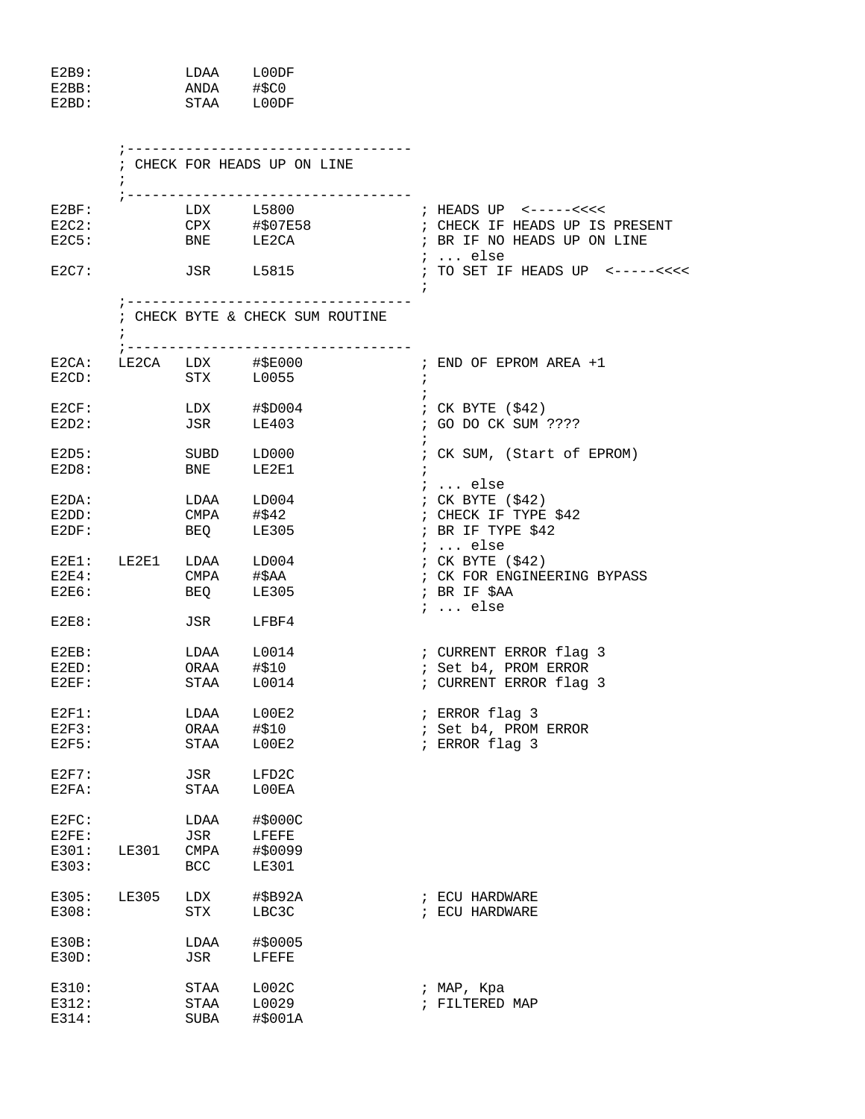| E2B9:              | <b>T.DAA</b> | L00DF  |
|--------------------|--------------|--------|
| E <sub>2</sub> RR: | ANDA         | #SCO   |
| E <sub>2</sub> BD: | STAA         | T.OODF |

|                                     |                                |                                   | ; CHECK FOR HEADS UP ON LINE                                                                                   |                                                                                                  |
|-------------------------------------|--------------------------------|-----------------------------------|----------------------------------------------------------------------------------------------------------------|--------------------------------------------------------------------------------------------------|
| E2BF:<br>$E2C2$ :                   |                                |                                   | ;----------------------------------<br>$LDX$ $L5800$<br>CPX #\$07E58<br>$E2C5:$ BNE LE2CA                      | ; CHECK IF HEADS UP IS PRESENT<br>; BR IF NO HEADS UP ON LINE                                    |
| E2C7:                               |                                |                                   | JSR L5815                                                                                                      | ;  else<br>; TO SET IF HEADS UP <-----<<<<                                                       |
|                                     | $\ddot{ }$                     |                                   | ;----------------------------------<br>; CHECK BYTE & CHECK SUM ROUTINE<br>;---------------------------------- |                                                                                                  |
| $E2CD$ :                            |                                |                                   | E2CA: LE2CA LDX #\$E000<br>STX L0055                                                                           | ; END OF EPROM AREA +1<br>$\ddot{i}$                                                             |
| E2CF:<br>$E2D2$ :                   |                                |                                   | LDX #\$D004<br>JSR LE403                                                                                       | ; CK BYTE (\$42)<br>; GO DO CK SUM ????                                                          |
| E2D5:<br>E2D8:                      |                                | <b>BNE</b>                        | SUBD LD000<br>LE2E1                                                                                            | ; CK SUM, (Start of EPROM)                                                                       |
| $E2DA$ :<br>$E2DD$ :<br>E2DF:       |                                |                                   | LDAA LD004<br>CMPA #\$42<br>BEQ LE305                                                                          | $i \ldots$ else<br>; CK BYTE $( $42)$<br>; CHECK IF TYPE \$42<br>; BR IF TYPE \$42               |
| $E2E4$ :<br>$E2E6$ :                | $E2E1:$ $LE2E1$ $LDAA$ $LD004$ |                                   | CMPA #\$AA<br>BEQ LE305                                                                                        | $i$ else<br>; CK BYTE $( $42)$<br>; CK FOR ENGINEERING BYPASS<br>; BR IF \$AA<br>$i \ldots$ else |
| E2E8:                               |                                | JSR                               | LFBF4                                                                                                          |                                                                                                  |
| $E2EB$ :<br>E2ED:<br>$E2EF$ :       |                                | <b>STAA</b>                       | LDAA L0014<br>ORAA #\$10<br>L0014                                                                              | ; CURRENT ERROR flag 3<br>; Set b4, PROM ERROR<br>; CURRENT ERROR flag 3                         |
| $E2F1$ :<br>$E2F3$ :<br>E2F5:       |                                |                                   | LDAA L00E2<br>ORAA #\$10<br>STAA L00E2                                                                         | ; ERROR flag 3<br>; Set b4, PROM ERROR<br>; ERROR flag 3                                         |
| $E2F7$ :<br>E2FA:                   |                                | STAA                              | JSR LFD2C<br>L00EA                                                                                             |                                                                                                  |
| E2FC:<br>$E2FE$ :<br>E301:<br>E303: | <b>LE301</b>                   | LDAA<br>JSR<br>CMPA<br><b>BCC</b> | #\$000C<br>LFEFE<br>#\$0099<br><b>LE301</b>                                                                    |                                                                                                  |
| E305:<br>E308:                      | LE305                          | LDX<br>STX                        | #\$B92A<br>LBC3C                                                                                               | ; ECU HARDWARE<br>; ECU HARDWARE                                                                 |
| E30B:<br>E30D:                      |                                | LDAA<br>JSR                       | #\$0005<br>LFEFE                                                                                               |                                                                                                  |
| E310:<br>E312:<br>E314:             |                                | STAA<br>STAA<br>SUBA              | L002C<br>L0029<br>#\$001A                                                                                      | ; MAP, Kpa<br>; FILTERED MAP                                                                     |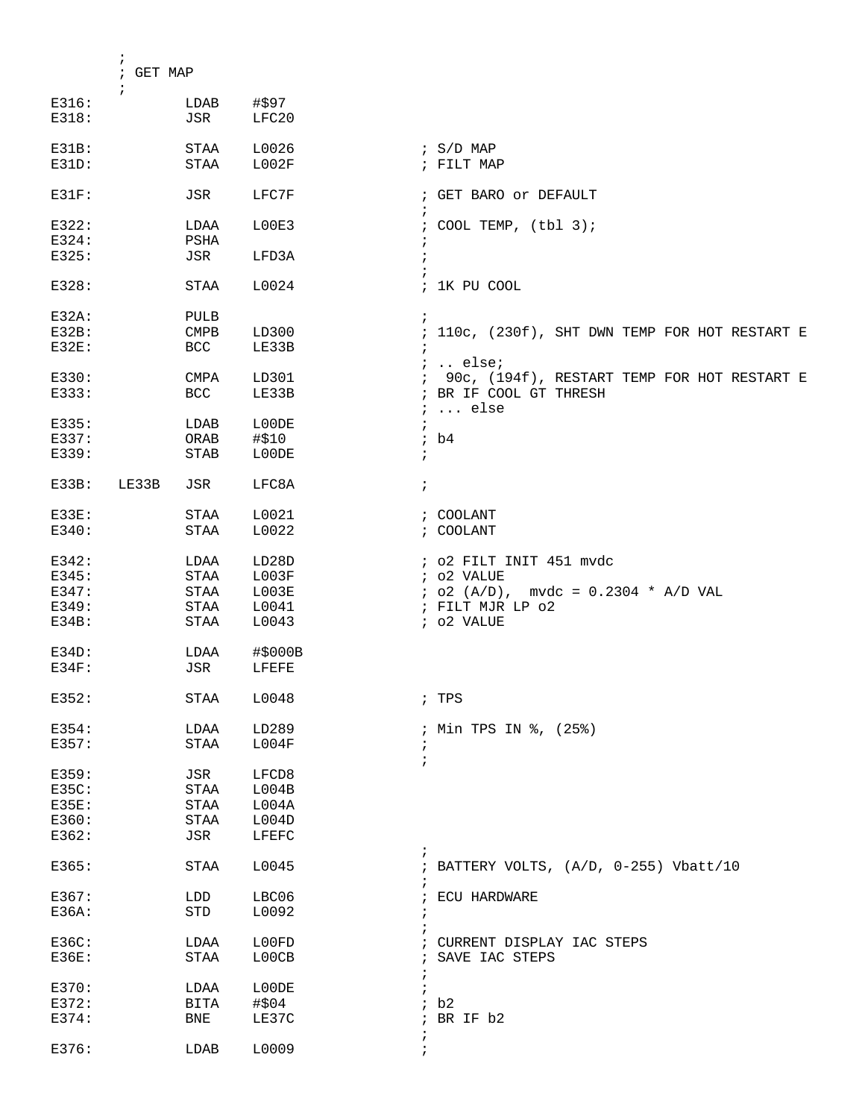|          | $\ddot{i}$<br>; GET MAP |             |         |                                                                    |
|----------|-------------------------|-------------|---------|--------------------------------------------------------------------|
| E316:    | $\ddot{i}$              | LDAB        | #\$97   |                                                                    |
| E318:    |                         | JSR         | LFC20   |                                                                    |
| $E31B$ : |                         | STAA        | L0026   | ; $S/D$ MAP                                                        |
| $E31D$ : |                         | <b>STAA</b> | L002F   | ; FILT MAP                                                         |
| $E31F$ : |                         | JSR         | LFC7F   | ; GET BARO or DEFAULT                                              |
| E322:    |                         | LDAA        | L00E3   | ; COOL TEMP, $(tb1 3)$ ;                                           |
| E324:    |                         | PSHA        |         | ÷                                                                  |
| E325:    |                         | JSR         | LFD3A   | $\cdot$                                                            |
| E328:    |                         | STAA        | L0024   | ; 1K PU COOL                                                       |
| $E32A$ : |                         | PULB        |         | $\ddot{i}$                                                         |
| E32B:    |                         | <b>CMPB</b> | LD300   | ; 110c, (230f), SHT DWN TEMP FOR HOT RESTART E                     |
| $E32E$ : |                         | <b>BCC</b>  | LE33B   | $\ddot{i}$                                                         |
|          |                         |             |         | $i$ else $i$                                                       |
| E330:    |                         | <b>CMPA</b> | LD301   | ; 90c, (194f), RESTART TEMP FOR HOT RESTART E                      |
| E333:    |                         | <b>BCC</b>  | LE33B   | ; BR IF COOL GT THRESH                                             |
| E335:    |                         | LDAB        | L00DE   | $i \ldots$ else<br>$\ddot{i}$                                      |
| E337:    |                         | ORAB        | #\$10   | ib4                                                                |
| E339:    |                         | STAB        | L00DE   | $\ddot{i}$                                                         |
|          |                         |             |         |                                                                    |
| $E33B$ : | LE33B                   | JSR         | LFC8A   | $\ddot{i}$                                                         |
| $E33E$ : |                         | STAA        | L0021   | ; COOLANT                                                          |
| E340:    |                         | STAA        | L0022   | ; COOLANT                                                          |
| E342:    |                         | LDAA        | LD28D   | ; o2 FILT INIT 451 mvdc                                            |
| E345:    |                         | STAA        | L003F   | ; o2 VALUE                                                         |
| E347:    |                         | STAA        | L003E   | $:$ 02 (A/D), mvdc = 0.2304 * A/D VAL                              |
| E349:    |                         | <b>STAA</b> | L0041   | ; FILT MJR LP 02                                                   |
| $E34B$ : |                         | STAA        | L0043   | ; o2 VALUE                                                         |
| E34D:    |                         | LDAA        | #\$000B |                                                                    |
| $E34F$ : |                         | JSR         | LFEFE   |                                                                    |
| E352:    |                         | STAA        | L0048   | ; TPS                                                              |
| E354:    |                         | LDAA        | LD289   | ; Min TPS IN %, (25%)                                              |
| E357:    |                         | STAA        | L004F   | $\ddot{i}$                                                         |
| E359:    |                         | JSR         | LFCD8   |                                                                    |
| E35C:    |                         | STAA        | L004B   |                                                                    |
| E35E:    |                         | STAA        | L004A   |                                                                    |
| E360:    |                         | STAA        | L004D   |                                                                    |
| E362:    |                         | JSR         | LFEFC   |                                                                    |
| E365:    |                         | STAA        | L0045   | $\ddot{ }$<br>; BATTERY VOLTS, (A/D, 0-255) Vbatt/10<br>$\ddot{ }$ |
| E367:    |                         | LDD         | LBC06   | ECU HARDWARE<br>$\ddot{i}$                                         |
| E36A:    |                         | STD         | L0092   | ÷                                                                  |
| E36C:    |                         | LDAA        | L00FD   | ; CURRENT DISPLAY IAC STEPS                                        |
| E36E:    |                         | STAA        | L00CB   | ; SAVE IAC STEPS                                                   |
| E370:    |                         | LDAA        | L00DE   |                                                                    |
| E372:    |                         | BITA        | #\$04   | ib2                                                                |
| E374:    |                         | BNE         | LE37C   | ; BR IF $b2$                                                       |
|          |                         |             |         | $\ddot{ }$                                                         |
| E376:    |                         | LDAB        | L0009   | $\ddot{i}$                                                         |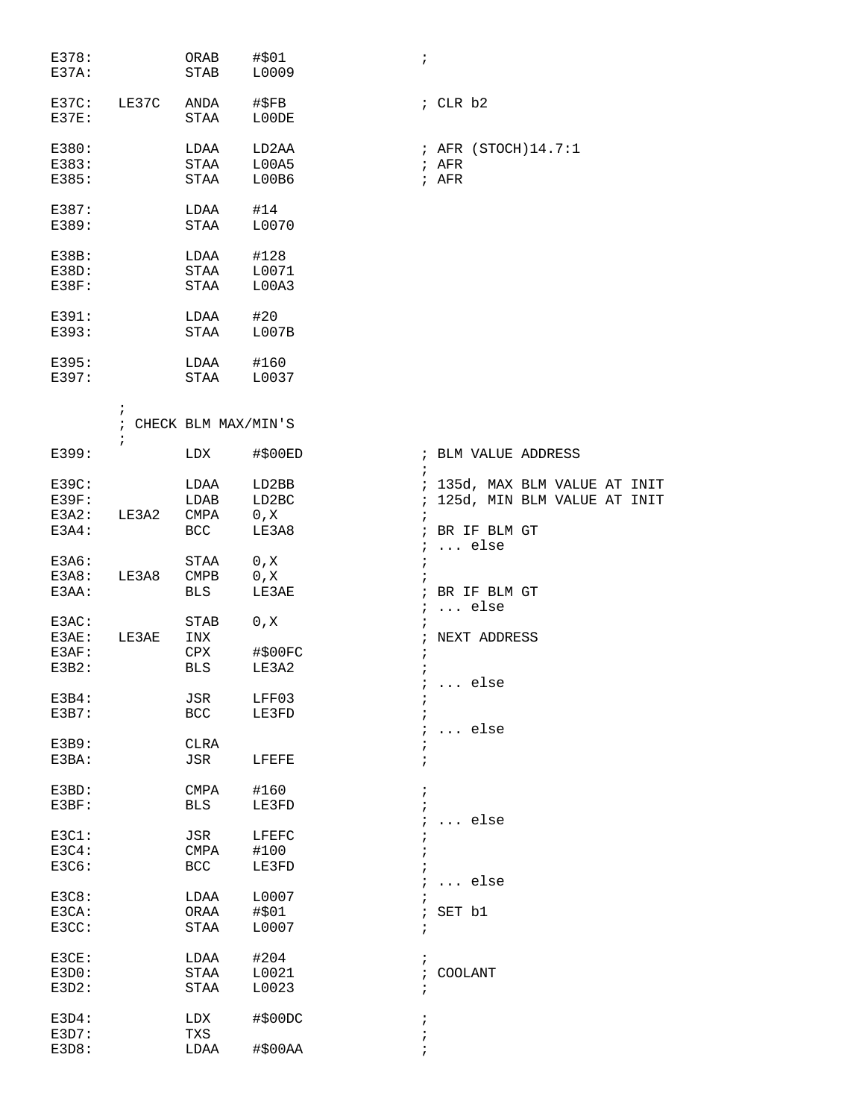| E378:<br>$E37A$ :    |            | ORAB<br>STAB          | #\$01<br>L0009 | $\cdot$      |                               |
|----------------------|------------|-----------------------|----------------|--------------|-------------------------------|
| $E37C$ :<br>$E37E$ : | LE37C      | ANDA<br>STAA          | #\$FB<br>L00DE |              | $;$ CLR $b2$                  |
| E380:                |            | LDAA                  | LD2AA          |              | ; AFR (STOCH)14.7:1           |
| E383:                |            | STAA                  | L00A5          |              | ; AFR                         |
| E385:                |            | STAA                  | L00B6          |              | ; AFR                         |
| E387:                |            | LDAA                  | #14            |              |                               |
| E389:                |            | STAA                  | L0070          |              |                               |
| $E38B$ :             |            |                       |                |              |                               |
| $E38D$ :             |            | LDAA<br>STAA          | #128<br>L0071  |              |                               |
| $E38F$ :             |            | STAA                  | L00A3          |              |                               |
|                      |            |                       |                |              |                               |
| E391:                |            | LDAA                  | #20            |              |                               |
| E393:                |            | STAA                  | L007B          |              |                               |
| E395:                |            | LDAA                  | #160           |              |                               |
| E397:                |            | STAA L0037            |                |              |                               |
|                      | $\ddot{ }$ | ; CHECK BLM MAX/MIN'S |                |              |                               |
| E399:                | $\ddot{i}$ | LDX                   | #\$00ED        |              | ; BLM VALUE ADDRESS           |
|                      |            |                       |                | $\ddot{i}$   |                               |
| $E39C$ :             |            | LDAA                  | LD2BB          |              | ; 135d, MAX BLM VALUE AT INIT |
| $E39F$ :             |            | LDAB                  | LD2BC          |              | ; 125d, MIN BLM VALUE AT INIT |
| E3A2:<br>$E3A4$ :    | LE3A2      | CMPA<br>BCC           | 0, X<br>LE3A8  |              | ; BR IF BLM GT                |
|                      |            |                       |                |              | $i \ldots$ else               |
| E3A6:                |            | STAA                  | 0, X           | $\ddot{i}$   |                               |
| E3A8:                | LE3A8      | CMPB                  | 0, X           |              |                               |
| E3AA:                |            | BLS                   | LE3AE          |              | ; BR IF BLM GT                |
|                      |            |                       |                |              | $i \ldots$ else               |
| E3AC:<br>E3AE:       | LE3AE      | STAB<br>INX           | 0, X           | $\ddot{ }$   | ; NEXT ADDRESS                |
| E3AF:                |            | CPX                   | #\$00FC        | $\cdot$      |                               |
| $E3B2$ :             |            | BLS                   | LE3A2          | $\ddot{i}$   |                               |
|                      |            |                       |                |              | $\ldots$ else                 |
| $E3B4$ :             |            | JSR                   | LFF03          |              |                               |
| E3B7:                |            | $_{\rm BCC}$          | LE3FD          |              |                               |
| E3B9:                |            | CLRA                  |                |              | else                          |
| E3BA:                |            | JSR                   | LFEFE          | $\ddot{i}$   |                               |
|                      |            |                       |                |              |                               |
| $E3BD$ :             |            | CMPA                  | #160           | $\ddot{i}$   |                               |
| E3BF:                |            | <b>BLS</b>            | LE3FD          |              |                               |
|                      |            |                       |                |              | else                          |
| ESCI:<br>E3C4:       |            | JSR<br><b>CMPA</b>    | LFEFC<br>#100  |              |                               |
| E3C6:                |            | <b>BCC</b>            | LE3FD          |              |                               |
|                      |            |                       |                |              | $\ldots$ else                 |
| E3C8:                |            | LDAA                  | L0007          |              |                               |
| E3CA:                |            | ORAA                  | #\$01          | $\mathbf{r}$ | SET b1                        |
| E3CC:                |            | STAA                  | L0007          | $\ddot{ }$   |                               |
| E3CE:                |            | LDAA                  | #204           | $\ddot{i}$   |                               |
| E3D0:                |            | STAA                  | L0021          | $\ddot{i}$   | <b>COOLANT</b>                |
| E3D2:                |            | STAA                  | L0023          | $\ddot{ }$   |                               |
|                      |            |                       |                |              |                               |
| E3D4:<br>E3D7:       |            | LDX<br>TXS            | #\$00DC        | $\ddot{ }$   |                               |
| E3D8:                |            | LDAA                  | #\$00AA        |              |                               |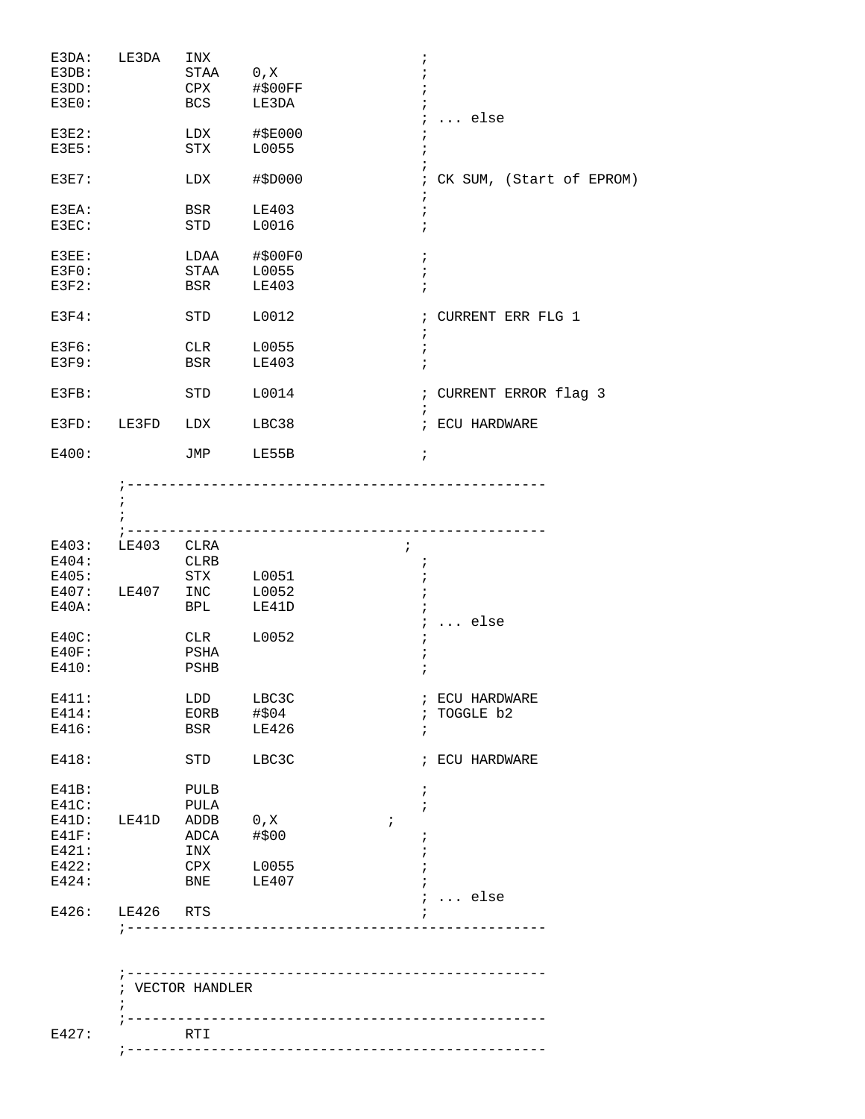| E3DA:<br>E3DB:<br>E3DD:<br>$E3E0$ :                      | LE3DA                | INX<br>STAA<br>CPX<br>BCS                 | 0, X<br>#\$00FF<br>LE3DA          | $\ddot{ }$<br>$\ldots$ else<br>$\ddot{i}$ |
|----------------------------------------------------------|----------------------|-------------------------------------------|-----------------------------------|-------------------------------------------|
| $E3E2$ :<br>E3E5:                                        |                      | LDX<br>STX                                | #\$E000<br>L0055                  | $\ddot{i}$<br>$\cdot$                     |
| E3E7:                                                    |                      | LDX                                       | #\$D000                           | CK SUM, (Start of EPROM)<br>$\cdot$       |
| E3EA:<br>E3EC:                                           |                      | BSR<br>STD                                | LE403<br>L0016                    | $\ddot{ }$<br>$\cdot$                     |
| E3EE:<br>$E3F0$ :<br>$E3F2$ :                            |                      | LDAA<br>STAA<br>BSR                       | #\$00F0<br>L0055<br>LE403         | $\ddot{i}$<br>$\ddot{i}$<br>$\ddot{i}$    |
| $E3F4$ :                                                 |                      | STD                                       | L0012                             | ; CURRENT ERR FLG 1<br>$\ddot{i}$         |
| E3F6:<br>E3F9:                                           |                      | CLR<br>BSR                                | L0055<br>LE403                    | $\ddot{r}$<br>$\ddot{i}$                  |
| E3FB:                                                    |                      | <b>STD</b>                                | L0014                             | ; CURRENT ERROR flag 3<br>$\ddot{i}$      |
| E3FD:                                                    | LE3FD                | LDX                                       | LBC38                             | ; ECU HARDWARE                            |
| E400:                                                    |                      | JMP                                       | LE55B                             | $\ddot{i}$                                |
|                                                          |                      |                                           | --------------------------------- |                                           |
| E403:<br>E404:<br>E405:<br>E407:<br>$E40A$ :             | LE403 CLRA<br>LE407  | CLRB<br>STX<br>INC<br>BPL                 | L0051<br>L0052<br>LE41D           | $\ddot{i}$<br>÷                           |
| $E40C$ :<br>$E40F$ :<br>E410:                            |                      | CLR<br>PSHA<br>PSHB                       | L0052                             | $\ldots$ else<br>$\ddot{i}$<br>$\ddot{i}$ |
| E411:<br>E414:<br>E416:                                  |                      | LDD<br>EORB<br>BSR                        | LBC3C<br>#\$04<br>LE426           | ; ECU HARDWARE<br>; TOGGLE b2<br>÷        |
| E418:                                                    |                      | STD                                       | LBC3C                             | ; ECU HARDWARE                            |
| E41B:<br>$E41C$ :<br>$E41F$ :<br>E421:<br>E422:<br>E424: | E41D: LE41D ADDB 0,X | PULB<br>PULA<br>ADCA<br>INX<br>CPX<br>BNE | #\$00<br>L0055<br>LE407           | $\ddot{ }$<br>$\ddot{i}$<br>$\ddot{i}$    |
|                                                          | E426: LE426 RTS      |                                           | _______________________           | $i \ldots$ else                           |
|                                                          |                      | ; VECTOR HANDLER                          |                                   |                                           |
| E427:                                                    |                      | RTI                                       |                                   |                                           |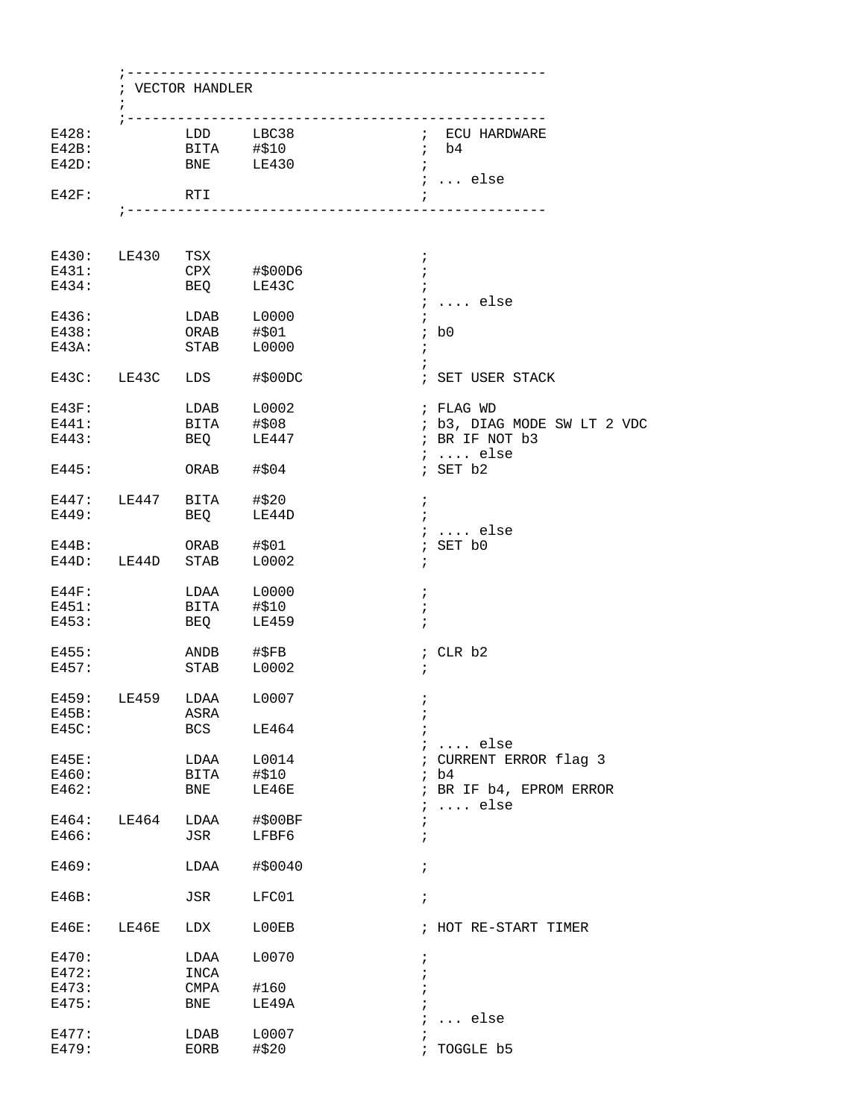|          |                                           | ; VECTOR HANDLER |                                    |                                                        |  |  |  |  |  |
|----------|-------------------------------------------|------------------|------------------------------------|--------------------------------------------------------|--|--|--|--|--|
|          | $\ddot{i}$                                |                  |                                    |                                                        |  |  |  |  |  |
| E428:    |                                           |                  | LDD LBC38                          | ; ECU HARDWARE                                         |  |  |  |  |  |
| $E42B$ : |                                           |                  | BITA #\$10                         | $;$ b4                                                 |  |  |  |  |  |
| $E42D$ : |                                           |                  | BNE LE430                          | $\ddot{i}$<br>$i$ else                                 |  |  |  |  |  |
| E42F:    |                                           | RTI              |                                    |                                                        |  |  |  |  |  |
|          |                                           |                  | ;--------------------------------- |                                                        |  |  |  |  |  |
|          | E430: LE430 TSX                           |                  |                                    | $\ddot{ }$                                             |  |  |  |  |  |
| E431:    |                                           |                  |                                    | $\ddot{i}$                                             |  |  |  |  |  |
| E434:    |                                           |                  |                                    |                                                        |  |  |  |  |  |
|          |                                           |                  |                                    | $i \ldots$ else                                        |  |  |  |  |  |
|          | E436:                                     | $LDAB$ $L0000$   |                                    |                                                        |  |  |  |  |  |
|          | E438: ORAB #\$01                          |                  |                                    | $;$ b <sub>0</sub>                                     |  |  |  |  |  |
| E43A:    |                                           | <b>STAB</b>      | L0000                              | $\ddot{i}$<br>$\ddot{i}$                               |  |  |  |  |  |
|          | E43C: LE43C LDS                           |                  | #\$00DC                            | ; SET USER STACK                                       |  |  |  |  |  |
|          | $E43F$ : $LDAB$ $L0002$                   |                  |                                    | ; FLAG WD                                              |  |  |  |  |  |
| E441:    |                                           |                  |                                    | ; b3, DIAG MODE SW LT 2 VDC                            |  |  |  |  |  |
| E443:    |                                           |                  | BITA #\$08<br>BEQ LE447            | ; BR IF NOT b3<br>$i \ldots$ else                      |  |  |  |  |  |
| E445:    |                                           | ORAB #\$04       |                                    | ; SET b2                                               |  |  |  |  |  |
|          |                                           |                  |                                    | $\ddot{i}$                                             |  |  |  |  |  |
|          | E447: LE447 BITA #\$20<br>E449: BEQ LE44D |                  |                                    | $\cdot$ :                                              |  |  |  |  |  |
|          |                                           |                  |                                    | $i \ldots$ else                                        |  |  |  |  |  |
| E44B:    | E44D: LE44D STAB                          | ORAB #\$01       | L0002                              | ; SET b0<br>$\ddot{i}$                                 |  |  |  |  |  |
| $E44F$ : |                                           |                  | LDAA L0000                         | $\cdot$                                                |  |  |  |  |  |
| E451:    |                                           | BITA #\$10       |                                    | $\ddot{ }$                                             |  |  |  |  |  |
| E453:    |                                           | <b>BEQ</b>       | LE459                              | $\cdot$                                                |  |  |  |  |  |
| E455:    |                                           |                  |                                    | ; CLR b2                                               |  |  |  |  |  |
| E457:    |                                           |                  |                                    | $\ddot{ }$                                             |  |  |  |  |  |
|          |                                           |                  |                                    |                                                        |  |  |  |  |  |
|          | E459: LE459 LDAA L0007                    |                  |                                    |                                                        |  |  |  |  |  |
| $E45B$ : |                                           | ASRA             |                                    | ÷                                                      |  |  |  |  |  |
| $E45C$ : |                                           | BCS              | LE464                              |                                                        |  |  |  |  |  |
|          |                                           |                  |                                    | $i \ldots$ else                                        |  |  |  |  |  |
| $E45E$ : |                                           | LDAA             | L0014                              | ; CURRENT ERROR flag 3                                 |  |  |  |  |  |
| E460:    |                                           | BITA             | #\$10                              | ib4                                                    |  |  |  |  |  |
| E462:    |                                           | BNE              | LE46E                              | ; BR IF b4, EPROM ERROR<br>$\ldots$ else<br>$\ddot{ }$ |  |  |  |  |  |
| E464:    | LE464                                     | LDAA             | #\$00BF                            |                                                        |  |  |  |  |  |
| E466:    |                                           | JSR              | LFBF6                              | i                                                      |  |  |  |  |  |
| E469:    |                                           | LDAA             | #\$0040                            | $\ddot{i}$                                             |  |  |  |  |  |
| E46B:    |                                           | JSR              | LFC01                              | $\ddot{i}$                                             |  |  |  |  |  |
| $E46E$ : | LE46E                                     | LDX              | L00EB                              | ; HOT RE-START TIMER                                   |  |  |  |  |  |
| E470:    |                                           | LDAA             | L0070                              | i.                                                     |  |  |  |  |  |
| E472:    |                                           | INCA             |                                    |                                                        |  |  |  |  |  |
| E473:    |                                           | CMPA             | #160                               |                                                        |  |  |  |  |  |
| E475:    |                                           | BNE              | LE49A                              |                                                        |  |  |  |  |  |
|          |                                           |                  |                                    | $\ldots$ else                                          |  |  |  |  |  |
| E477:    |                                           | LDAB             | L0007                              |                                                        |  |  |  |  |  |
| E479:    |                                           | EORB             | #\$20                              | TOGGLE b5                                              |  |  |  |  |  |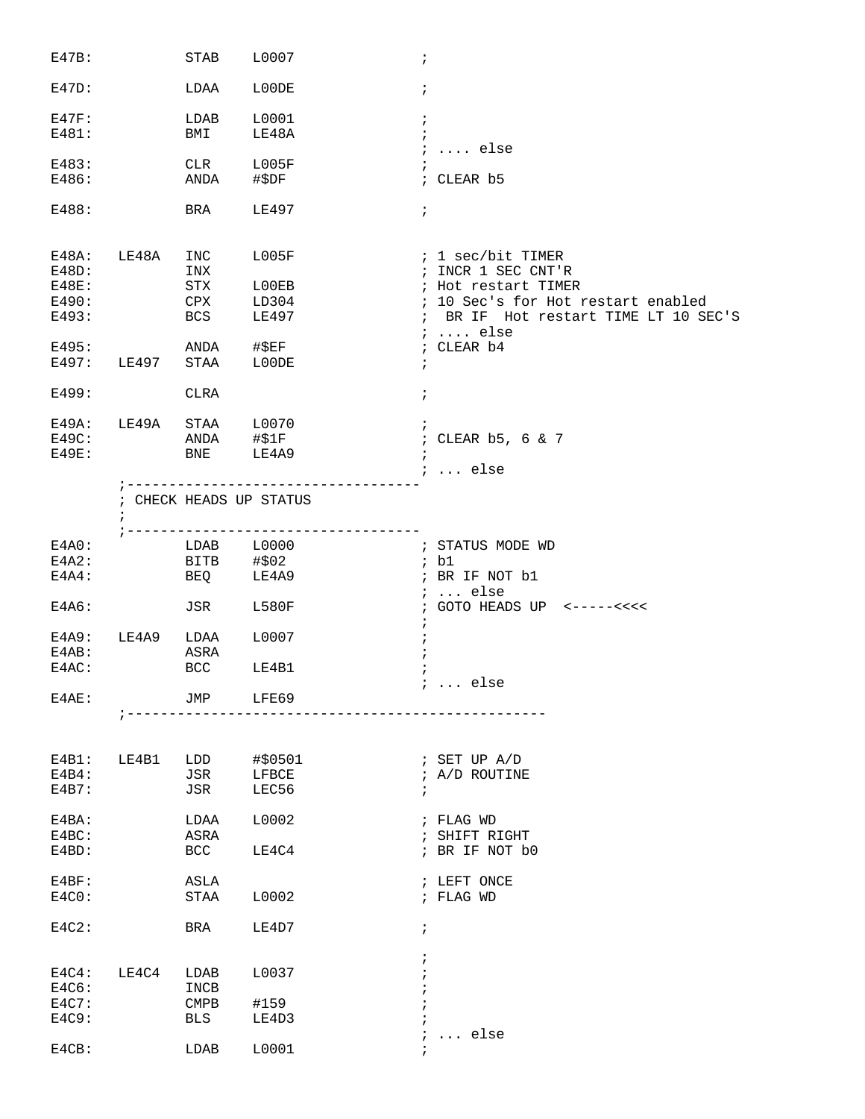| E47B:    |            | STAB                    | L0007<br>$\ddot{i}$     |                                      |
|----------|------------|-------------------------|-------------------------|--------------------------------------|
| E47D:    |            | LDAA                    | L00DE<br>$\ddot{ }$     |                                      |
| $E47F$ : |            | LDAB                    | L0001<br>$\ddot{i}$     |                                      |
| E481:    |            | BMI                     | LE48A                   | $\ddot{i}$                           |
|          |            |                         |                         | $i$ else                             |
| E483:    |            | CLR                     | L005F                   | $\ddot{i}$                           |
| E486:    |            | ANDA                    | #\$DF                   | ; CLEAR b5                           |
|          |            |                         |                         |                                      |
| E488:    |            | BRA                     | LE497                   | $\ddot{ }$                           |
|          |            |                         |                         |                                      |
|          |            |                         |                         |                                      |
| E48A:    | LE48A      | INC                     | L005F                   | ; 1 sec/bit TIMER                    |
| E48D:    |            | INX                     |                         | ; INCR 1 SEC CNT'R                   |
|          |            |                         |                         |                                      |
| E48E:    |            | STX                     | L00EB                   | ; Hot restart TIMER                  |
| E490:    |            | CPX                     | LD304                   | ; 10 Sec's for Hot restart enabled   |
| E493:    |            | BCS                     | LE497                   | ; BR IF Hot restart TIME LT 10 SEC'S |
|          |            |                         |                         | $i \ldots$ else                      |
| E495:    |            | ANDA                    | $\sharp$ \$EF           | ; CLEAR b4                           |
| E497:    | LE497      | STAA                    | L00DE<br>$\ddot{i}$     |                                      |
|          |            |                         |                         |                                      |
| E499:    |            | <b>CLRA</b>             | $\ddot{ }$              |                                      |
|          |            |                         |                         |                                      |
| $E49A$ : | LE49A STAA |                         | L0070<br>$\cdot$        |                                      |
| E49C:    |            | ANDA                    | #\$1F                   | ; CLEAR b5, 6 & 7                    |
| E49E:    |            | <b>BNE</b>              | LE4A9<br>$\ddot{i}$     |                                      |
|          |            |                         |                         | ;  else                              |
|          |            | ; --------------------  |                         |                                      |
|          |            | ; CHECK HEADS UP STATUS |                         |                                      |
|          |            |                         |                         |                                      |
|          |            |                         |                         |                                      |
|          |            |                         |                         |                                      |
| E4A0:    |            | $LDAB$ $L0000$          |                         | ; STATUS MODE WD                     |
| E4A2:    |            | BITB #\$02              |                         | ; b1                                 |
| E4A4:    |            | BEQ                     | LE4A9                   | ; BR IF NOT b1                       |
|          |            |                         |                         | ; $\ldots$ else                      |
| E4A6:    |            | JSR                     | L580F                   | $:$ GOTO HEADS UP <-----<<<<         |
|          |            |                         |                         | $\ddot{ }$                           |
| E4A9:    | LE4A9      | LDAA                    | L0007<br>$\ddot{i}$     |                                      |
| $E4AB$ : |            | ASRA                    |                         |                                      |
| E4AC:    |            | BCC                     | LE4B1<br>i.             |                                      |
|          |            |                         |                         | $i \ldots$ else                      |
| $E4AE$ : |            | JMP                     | LFE69                   |                                      |
|          |            |                         | ----------------------- |                                      |
|          |            |                         |                         |                                      |
|          |            |                         |                         |                                      |
| $E4B1$ : | LE4B1      | LDD                     | #\$0501                 | ; SET UP A/D                         |
| $E4B4$ : |            | JSR                     | LFBCE                   | ; A/D ROUTINE                        |
| E4B7:    |            | JSR                     | LEC56                   | $\ddot{i}$                           |
|          |            |                         |                         |                                      |
| $E4BA$ : |            | LDAA                    | L0002                   | ; FLAG WD                            |
| $E4BC$ : |            | ASRA                    |                         | ; SHIFT RIGHT                        |
| $E4BD$ : |            | <b>BCC</b>              | LE4C4                   | ; BR IF NOT b0                       |
|          |            |                         |                         |                                      |
| E4BF:    |            | ASLA                    |                         | ; LEFT ONCE                          |
|          |            |                         |                         |                                      |
| E4C0:    |            | STAA                    | L0002                   | ; FLAG WD                            |
|          |            |                         |                         |                                      |
| $E4C2$ : |            | BRA                     | LE4D7<br>$\ddot{i}$     |                                      |
|          |            |                         |                         |                                      |
|          |            |                         | $\ddot{i}$              |                                      |
| $E4C4$ : | LE4C4      | LDAB                    | L0037<br>$\ddot{i}$     |                                      |
| E4C6:    |            | INCB                    | $\ddot{ }$              |                                      |
| E4C7:    |            | <b>CMPB</b>             | #159                    |                                      |
| E4C9:    |            | BLS                     | LE4D3<br>$\ddot{i}$     |                                      |
|          |            |                         | $\ddot{ }$              | $\ldots$ else                        |
|          |            | LDAB                    | L0001                   | $\ddot{i}$                           |
| $E4CB$ : |            |                         |                         |                                      |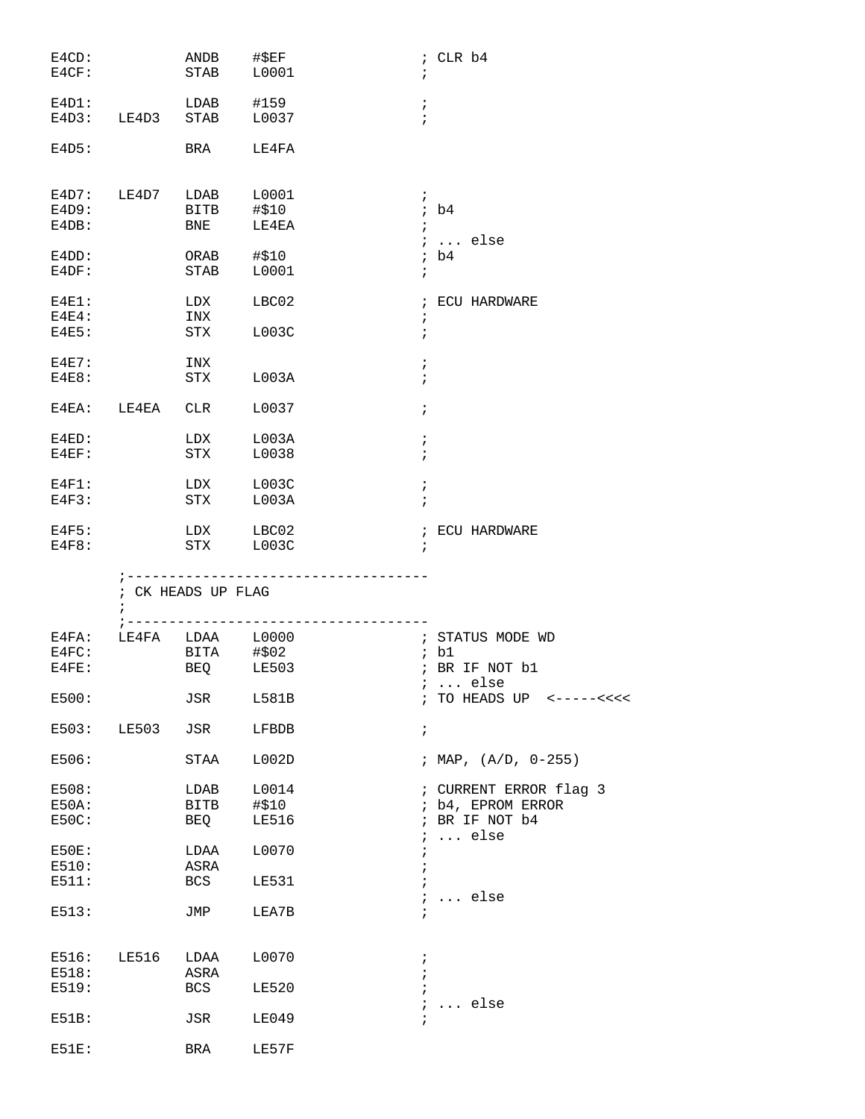| $E4CD$ :<br>E4CF:             |                        | ANDB #\$EF          | STAB L0001                           | ; CLR b4<br>$\ddot{i}$                                        |
|-------------------------------|------------------------|---------------------|--------------------------------------|---------------------------------------------------------------|
| E4D1:                         | E4D3: LE4D3 STAB       |                     | LDAB #159<br>L0037                   | $\ddot{i}$<br>$\ddot{i}$                                      |
| E4D5:                         |                        |                     | BRA LE4FA                            |                                                               |
| E4D9:<br>E4DB:<br>E4DD:       | E4D7: LE4D7 LDAB L0001 | BITB #\$10          | BNE LE4EA<br>ORAB #\$10              | $\mathcal{L}$<br>ib4<br>$\ddot{i}$<br>$i \ldots$ else<br>ib4  |
| E4DF:                         |                        | STAB                | L0001                                | $\ddot{ }$                                                    |
| $E4E1$ :<br>$E4E4$ :<br>E4E5: |                        | LDX<br>INX          | LBC02<br>STX L003C                   | ; ECU HARDWARE<br>$\ddot{ }$<br>$\ddot{i}$                    |
| $E4E7$ :<br>E4E8:             |                        | INX<br>STX          | L003A                                | $\ddot{ }$<br>$\ddot{i}$                                      |
|                               | E4EA: LE4EA CLR        |                     | L0037                                | $\ddot{i}$                                                    |
| $E4ED$ :<br>$E4EF$ :          |                        | STX                 | LDX L003A<br>L0038                   | $\ddot{ }$<br>$\ddot{i}$                                      |
| $E4F1$ :<br>E4F3:             |                        |                     | LDX L003C<br>STX L003A               | $\ddot{ }$<br>$\ddot{ }$                                      |
| E4F5:<br>E4F8:                |                        |                     | LDX LBC02<br>STX L003C               | ; ECU HARDWARE<br>$\ddot{i}$                                  |
|                               | $\ddot{i}$             | ; CK HEADS UP FLAG  |                                      |                                                               |
|                               |                        |                     | ;----------------------------------- | ; STATUS MODE WD                                              |
| E4FC:                         |                        |                     | E4FA: LE4FA LDAA L0000<br>BITA #\$02 | ; b1                                                          |
| $E4FE$ :                      |                        |                     | BEQ LE503                            | ; BR IF NOT b1<br><i>;</i> else                               |
| E500:                         |                        | JSR                 | L581B                                | ; TO HEADS UP <-----<<<<                                      |
| E503:<br>E506:                | LE503                  | JSR<br>STAA         | LFBDB<br>L002D                       | $\ddot{i}$<br>; MAP, $(A/D, 0-255)$                           |
| E508:<br>$E50A$ :<br>E50C:    |                        | LDAB<br>BITB<br>BEQ | L0014<br>#\$10<br><b>LE516</b>       | ; CURRENT ERROR flag 3<br>; b4, EPROM ERROR<br>; BR IF NOT b4 |
| $E50E$ :<br>E510:             |                        | LDAA<br>ASRA        | L0070                                | $\ldots$ else<br>$\ddot{i}$<br>÷<br>$\ddot{ }$                |
| E511:<br>E513:                |                        | BCS<br>JMP          | <b>LE531</b><br>LEA7B                | $\ddot{i}$<br>$\ldots$ else<br>$\ddot{ }$                     |
| E516:<br>E518:                | LE516                  | LDAA<br>ASRA        | L0070                                | $\ddot{ }$<br>$\ddot{ }$                                      |
| E519:<br>E51B:                |                        | BCS<br>JSR          | <b>LE520</b><br><b>LE049</b>         | $\ddot{ }$<br>$\ldots$ else<br>$\ddot{ }$<br>$\ddot{i}$       |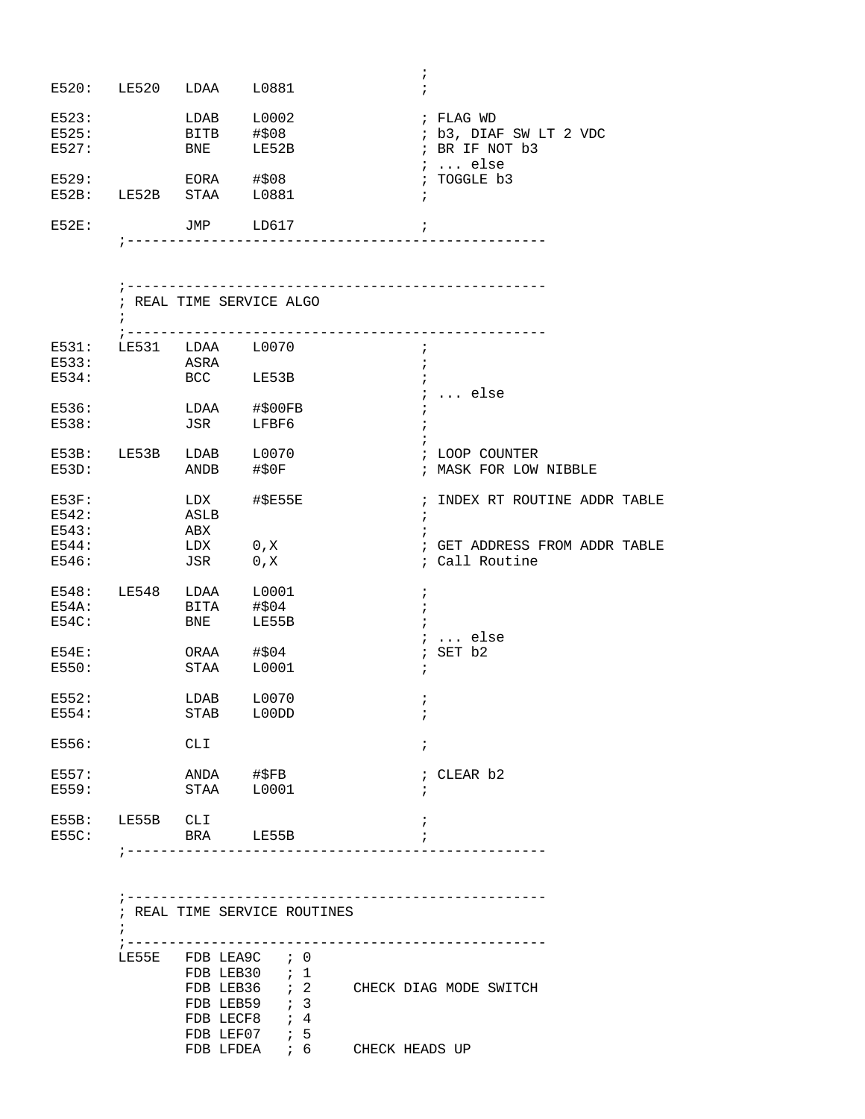| E520:                   | LE520 | LDAA                       | L0881                  | ÷          |                                                                        |
|-------------------------|-------|----------------------------|------------------------|------------|------------------------------------------------------------------------|
| E523:<br>E525:<br>E527: |       | LDAB<br><b>BITB</b><br>BNE | L0002<br>#508<br>LE52B |            | ; FLAG WD<br>; b3, DIAF SW LT 2 VDC<br>; BR IF NOT b3<br>$\ldots$ else |
| E529:<br>$E52B$ :       | LE52B | EORA<br>STAA               | #508<br>L0881          | $\ddot{i}$ | ; TOGGLE b3                                                            |
| <b>E52E:</b>            |       | JMP                        | LD617                  | ÷          |                                                                        |

;--------------------------------------------------

| E531:    |                 |                        | LE531 LDAA L0070 | ÷                             |
|----------|-----------------|------------------------|------------------|-------------------------------|
| E533:    |                 | ASRA                   |                  |                               |
| E534:    |                 |                        | BCC LE53B        |                               |
|          |                 |                        |                  | $i$ else                      |
| E536:    |                 |                        | LDAA #\$00FB     |                               |
| E538:    |                 |                        | JSR LFBF6        |                               |
|          |                 |                        |                  |                               |
|          |                 | E53B: LE53B LDAB L0070 |                  | ; LOOP COUNTER                |
| E53D:    |                 | ANDB #\$0F             |                  | ; MASK FOR LOW NIBBLE         |
| $E53F$ : |                 |                        | LDX #\$E55E      | ; INDEX RT ROUTINE ADDR TABLE |
| E542:    |                 | ASLB                   |                  | $\ddot{i}$                    |
| E543:    |                 | ABX                    |                  |                               |
| E544:    |                 | LDX 0, X               |                  | ; GET ADDRESS FROM ADDR TABLE |
| E546:    |                 | JSR 0, X               |                  | ; Call Routine                |
|          |                 | E548: LE548 LDAA L0001 |                  | $\cdot$                       |
| E54A:    |                 |                        | BITA #\$04       |                               |
| E54C:    |                 | <b>BNE</b>             | LE55B            |                               |
|          |                 |                        |                  | $\ldots$ else                 |
| $E54E$ : |                 | ORAA #\$04             |                  | ; SET b2                      |
| E550:    |                 | STAA                   | L0001            | $\ddot{i}$                    |
| E552:    |                 |                        | LDAB L0070       | $\ddot{i}$                    |
| E554:    |                 | STAB                   | L00DD            | $\ddot{ }$                    |
| E556:    |                 | <b>CLI</b>             |                  | $\ddot{i}$                    |
| E557:    |                 | ANDA #\$FB             |                  | ; CLEAR b2                    |
| E559:    |                 | STAA                   | L0001            | $\ddot{i}$                    |
| $E55B$ : | LE55B CLI       |                        |                  | i                             |
| E55C:    | ; ------------- |                        | BRA LE55B        |                               |

|       | ; REAL TIME SERVICE ROUTINES |                  |                |  |                        |
|-------|------------------------------|------------------|----------------|--|------------------------|
|       |                              |                  |                |  |                        |
|       |                              |                  |                |  |                        |
| LE55E | FDB LEA9C ; 0                |                  |                |  |                        |
|       | FDB LEB30 $: 1$              |                  |                |  |                        |
|       | FDB LEB36 $\;$ ; 2           |                  |                |  | CHECK DIAG MODE SWITCH |
|       | FDB LEB59                    | $\mathfrak{z}$ 3 |                |  |                        |
|       | FDB LECF8                    | ; 4              |                |  |                        |
|       | FDB LEF07                    | 5 <sub>5</sub>   |                |  |                        |
|       | FDB LFDEA                    | ; 6              | CHECK HEADS UP |  |                        |
|       |                              |                  |                |  |                        |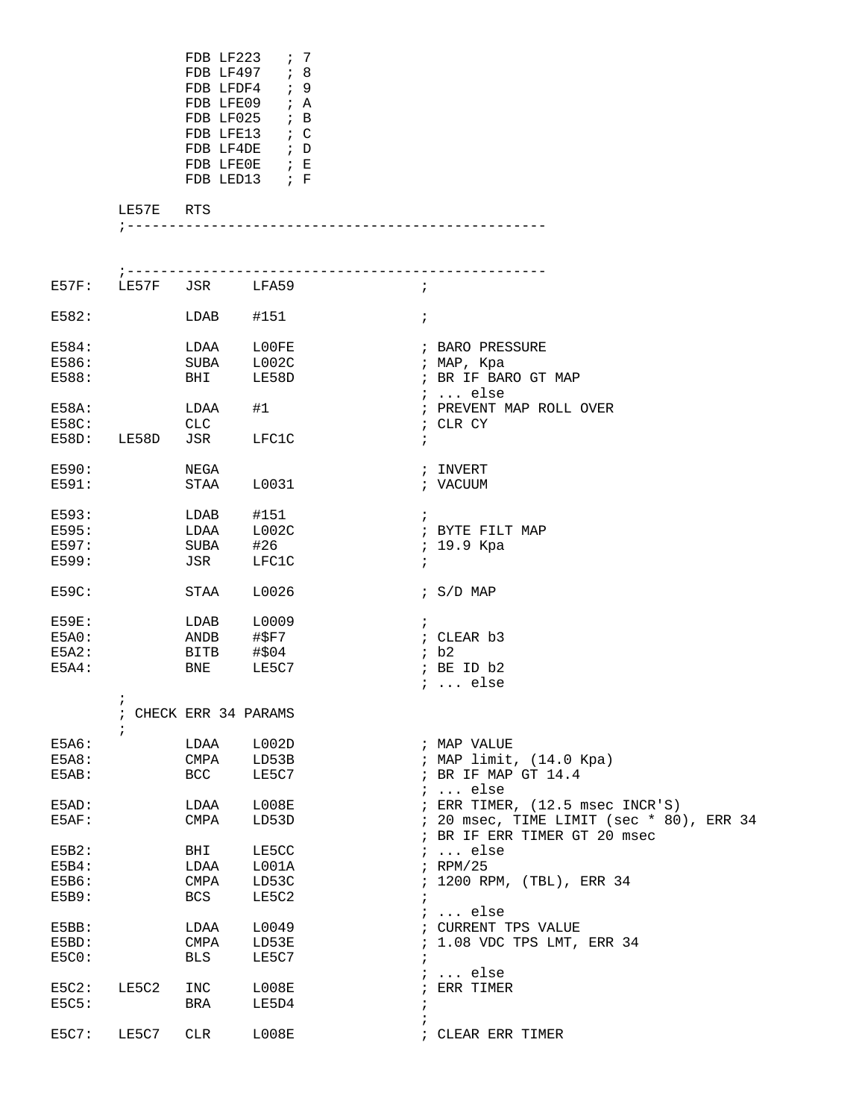|                         |           | FDB LF223 $\;$ ; 7<br>FDB LF497 ; 8<br>FDB LFDF4<br>FDB LFE09 ; A<br>FDB LF025 $\;$ ; B<br>FDB LFE13 $\rightarrow$ C<br>FDB LF4DE $\,$ ; D<br>FDB LFEOE ; E<br>FDB LED13 $\,$ ; F | $\cdot$ ; 9    |                             |            |                 |
|-------------------------|-----------|-----------------------------------------------------------------------------------------------------------------------------------------------------------------------------------|----------------|-----------------------------|------------|-----------------|
|                         | LE57E RTS |                                                                                                                                                                                   |                |                             |            |                 |
|                         |           |                                                                                                                                                                                   |                | --------------------------- |            |                 |
|                         |           | E57F: LE57F JSR LFA59                                                                                                                                                             |                |                             | $\ddot{i}$ |                 |
| E582:                   |           | $LDAB$ #151                                                                                                                                                                       |                |                             | $\ddot{i}$ |                 |
| E584:<br>$-$ - $\sim$ - |           | LDAA<br>------                                                                                                                                                                    | L00FE<br>$  -$ |                             |            | ; BARO PRESSURE |

| 프 이 구 어<br>E586:<br>E588: |            | LIDAA<br>SUBA<br>BHI | ᆚᄓᅁᅩ<br>L002C<br>LE58D | , BARO PRESSURE<br>; MAP, Kpa<br>; BR IF BARO GT MAP<br>$i$ else            |
|---------------------------|------------|----------------------|------------------------|-----------------------------------------------------------------------------|
| E58A:<br>E58C:            |            | LDAA<br><b>CLC</b>   | #1                     | ; PREVENT MAP ROLL OVER<br>; CLR CY                                         |
| E58D:                     | LE58D      | JSR                  | LFC1C                  | $\ddot{i}$                                                                  |
| E590:                     |            | NEGA                 |                        | ; INVERT                                                                    |
| E591:                     |            | STAA                 | L0031                  | ; VACUUM                                                                    |
| E593:<br>E595:            |            | LDAB                 | #151                   | $\ddot{i}$                                                                  |
| E597:                     |            | LDAA                 | L002C                  | ; BYTE FILT MAP                                                             |
| E599:                     |            | SUBA                 | #26<br>LFC1C           | ; 19.9 Kpa                                                                  |
|                           |            | JSR                  |                        | $\ddot{i}$                                                                  |
| E59C:                     |            | STAA                 | L0026                  | $\frac{1}{2}$ S/D MAP                                                       |
| <b>E59E:</b>              |            | LDAB                 | L0009                  | $\ddot{i}$                                                                  |
| ESAO:                     |            | ANDB                 | #\$F7                  | ; CLEAR b3                                                                  |
| E5A2:                     |            | BITB                 | #\$04                  | ib2                                                                         |
| $E5A4$ :                  |            | BNE                  | LE5C7                  | ; BE ID b2                                                                  |
|                           |            |                      |                        | $i$ else                                                                    |
|                           | $\ddot{i}$ |                      |                        |                                                                             |
|                           | $\ddot{i}$ | CHECK ERR 34 PARAMS  |                        |                                                                             |
|                           | $\ddot{ }$ |                      |                        |                                                                             |
| E5A6:                     |            | LDAA                 | L002D                  | ; MAP VALUE                                                                 |
| E5A8:                     |            | CMPA                 | LD53B                  |                                                                             |
| E5AB:                     |            | <b>BCC</b>           | LE5C7                  | ; MAP limit, (14.0 Kpa)<br>; BR IF MAP GT 14.4                              |
|                           |            |                      |                        | $i \ldots$ else                                                             |
| E5AD:<br>ESAF:            |            | LDAA<br>CMPA         | L008E<br>LD53D         | ; ERR TIMER, (12.5 msec INCR'S)<br>; 20 msec, TIME LIMIT (sec * 80), ERR 34 |
|                           |            |                      |                        | ; BR IF ERR TIMER GT 20 msec                                                |
| E5B2:                     |            | BHI                  | LE5CC                  | $i \ldots$ else                                                             |
| $E5B4$ :                  |            | LDAA                 | L001A                  | $;$ RPM/25                                                                  |
| E5B6:<br>E5B9:            |            | CMPA<br><b>BCS</b>   | LD53C<br>LE5C2         | ; 1200 RPM, (TBL), ERR 34<br>$\ddot{i}$                                     |
|                           |            |                      |                        | $: $ else                                                                   |
| E5BB:                     |            | LDAA                 | L0049                  | ; CURRENT TPS VALUE                                                         |
| E5BD:                     |            | CMPA                 | LD53E                  | ; 1.08 VDC TPS LMT, ERR 34                                                  |
| ESCO:                     |            | <b>BLS</b>           | LE5C7                  |                                                                             |
|                           |            |                      |                        | $i \ldots$ else                                                             |
| $E5C2$ :                  | LE5C2      | INC                  | L008E                  | ; ERR TIMER                                                                 |
| E5C5:                     |            | BRA                  | LE5D4                  | $\cdot$                                                                     |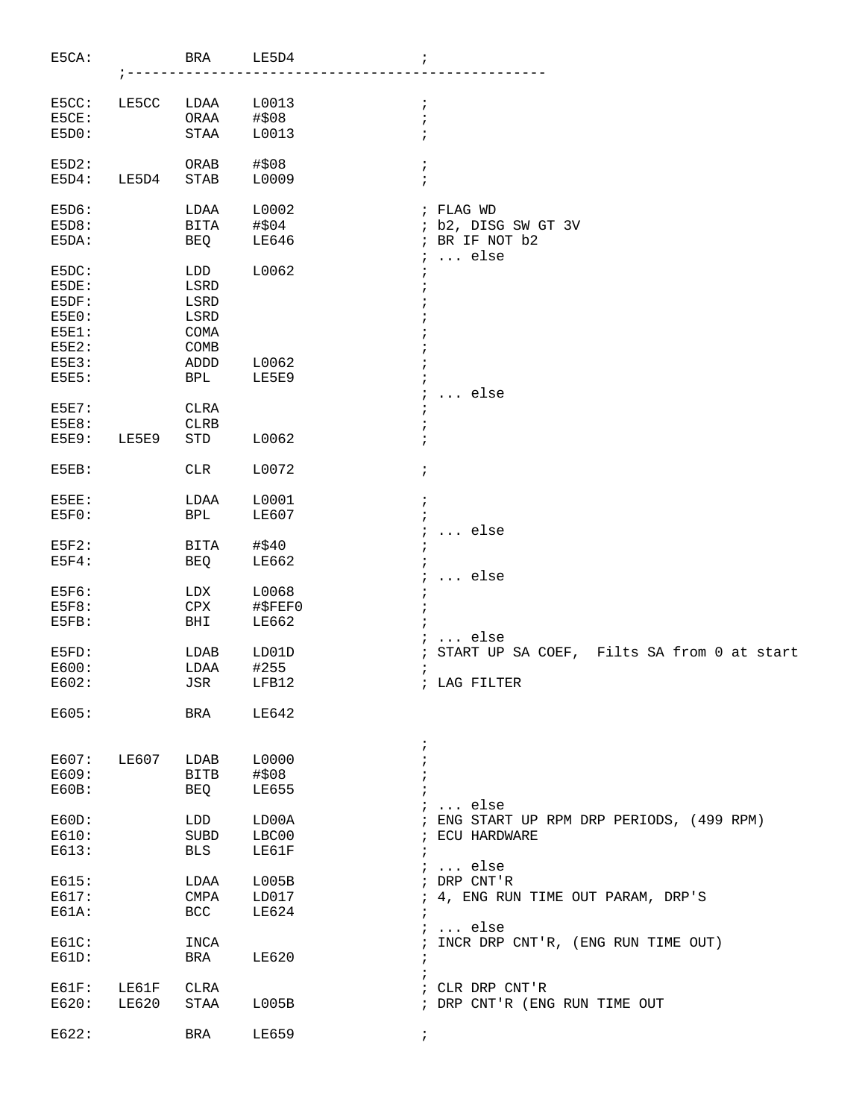| E5CA:        |       | BRA                   | LE5D4         | $\ddot{ }$                                                   |
|--------------|-------|-----------------------|---------------|--------------------------------------------------------------|
|              |       |                       |               |                                                              |
| E5CC:        | LE5CC | LDAA                  | L0013         | ÷                                                            |
| E5CE:        |       | ORAA                  | #\$08         |                                                              |
| E5D0:        |       | $\operatorname{STAA}$ | L0013         |                                                              |
| E5D2:        |       | ORAB                  | #\$08         | i                                                            |
| E5D4:        | LE5D4 | <b>STAB</b>           | L0009         |                                                              |
|              |       |                       |               |                                                              |
| E5D6:        |       | LDAA                  | L0002         | ; FLAG WD                                                    |
| E5D8:        |       | <b>BITA</b>           | #\$04         | ; b2, DISG SW GT 3V                                          |
| E5DA:        |       | BEQ                   | LE646         | ; BR IF NOT b2<br>else<br>÷                                  |
| E5DC:        |       | LDD                   | L0062         |                                                              |
| E5DE:        |       | LSRD                  |               |                                                              |
| E5DF:        |       | $_{\rm LSRD}$         |               |                                                              |
| E5E0:        |       | LSRD                  |               |                                                              |
| $E5E1$ :     |       | COMA                  |               |                                                              |
| E5E2:        |       | COMB                  |               |                                                              |
| E5E3:        |       | ADDD                  | L0062         |                                                              |
| E5E5:        |       | <b>BPL</b>            | LE5E9         |                                                              |
|              |       |                       |               | else                                                         |
| <b>E5E7:</b> |       | <b>CLRA</b>           |               |                                                              |
| E5E8:        |       | <b>CLRB</b>           |               |                                                              |
| E5E9:        | LE5E9 | STD                   | L0062         |                                                              |
| E5EB:        |       | <b>CLR</b>            | L0072         | i                                                            |
|              |       |                       |               |                                                              |
| E5EE:        |       | LDAA                  | L0001         | ÷                                                            |
| ESFO:        |       | BPL                   | LE607         |                                                              |
|              |       |                       |               | else                                                         |
| ESF2:        |       | BITA                  | #\$40         |                                                              |
| $E5F4$ :     |       | BEQ                   | LE662         |                                                              |
|              |       |                       |               | $\ldots$ else                                                |
| E5F6:        |       | LDX                   | L0068         |                                                              |
| <b>E5F8:</b> |       | CPX                   | #\$FEF0       |                                                              |
| E5FB:        |       | BHI                   | LE662         |                                                              |
| E5FD:        |       | LDAB                  |               | $\ldots$ else<br>START UP SA COEF, Filts SA from 0 at start  |
| E600:        |       | LDAA                  | LD01D<br>#255 | ÷                                                            |
| E602:        |       | JSR                   | LFB12         | i<br>; LAG FILTER                                            |
|              |       |                       |               |                                                              |
| E605:        |       | BRA                   | LE642         |                                                              |
|              |       |                       |               | i.                                                           |
| E607:        | LE607 | LDAB                  | L0000         |                                                              |
| E609:        |       | BITB                  | #\$08         |                                                              |
| E60B:        |       | BEQ                   | <b>LE655</b>  |                                                              |
|              |       |                       |               | $i \ldots$ else<br>; ENG START UP RPM DRP PERIODS, (499 RPM) |
| E60D:        |       | LDD                   | LD00A         |                                                              |
| E610:        |       | SUBD                  | LBC00         | ; ECU HARDWARE                                               |
| E613:        |       | BLS                   | LE61F         | $\ddot{i}$<br>$i \ldots$ else                                |
| E615:        |       | LDAA                  | L005B         | ; DRP CNT'R                                                  |
| E617:        |       | CMPA                  | LD017         | 4, ENG RUN TIME OUT PARAM, DRP'S<br>$\ddot{i}$               |
| $E61A$ :     |       | BCC                   | LE624         |                                                              |
|              |       |                       |               | $i \ldots$ else                                              |
| E61C:        |       | INCA                  |               | ; INCR DRP CNT'R, (ENG RUN TIME OUT)                         |
| E61D:        |       | BRA                   | LE620         | $\ddot{i}$                                                   |
|              |       |                       |               | $\ddot{ }$                                                   |
| $EG1F$ :     | LE61F | CLRA                  |               | ; CLR DRP CNT'R                                              |
| E620:        | LE620 | STAA                  | L005B         | ; DRP CNT'R (ENG RUN TIME OUT                                |
|              |       |                       |               |                                                              |
| E622:        |       | BRA                   | LE659         | $\ddot{ }$                                                   |
|              |       |                       |               |                                                              |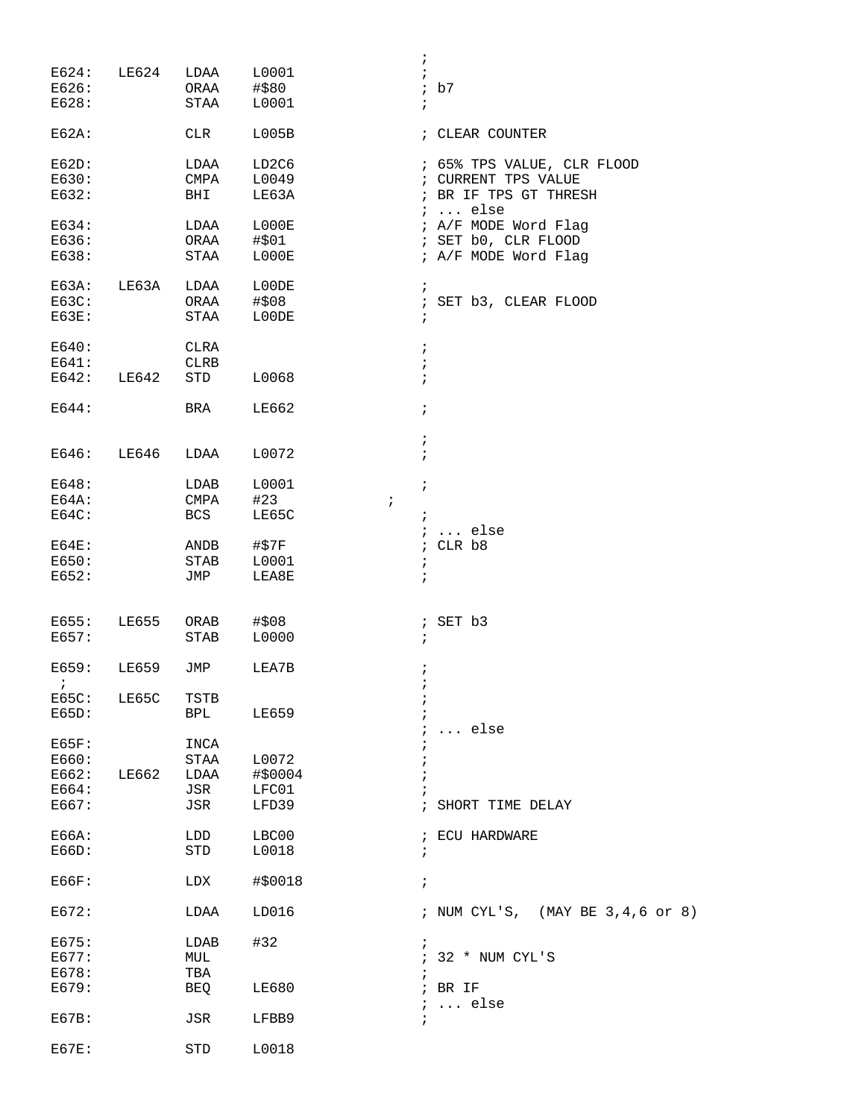|                |              |             |                                | i.         |                                   |
|----------------|--------------|-------------|--------------------------------|------------|-----------------------------------|
| E624:          | LE624        | LDAA        | L0001                          | $\ddot{i}$ |                                   |
| E626:          |              | ORAA        | #\$80                          |            | ib7                               |
| E628:          |              | STAA        | L0001                          | $\ddot{ }$ |                                   |
| $E62A$ :       |              | CLR         | L005B                          |            | ; CLEAR COUNTER                   |
| E62D:          |              | LDAA        | LD <sub>2</sub> C <sub>6</sub> |            | ; 65% TPS VALUE, CLR FLOOD        |
| E630:          |              | CMPA        | L0049                          |            | ; CURRENT TPS VALUE               |
| E632:          |              | BHI         | LE63A                          |            | ; BR IF TPS GT THRESH<br>$i$ else |
| E634:          |              | LDAA        | L000E                          |            | ; A/F MODE Word Flag              |
| E636:          |              | ORAA        | #\$01                          |            | ; SET b0, CLR FLOOD               |
| E638:          |              | STAA        | L000E                          |            | ; A/F MODE Word Flag              |
| E63A:          | LE63A        | LDAA        | L00DE                          | $\ddot{i}$ |                                   |
| E63C:          |              | ORAA        | #\$08                          |            | ; SET b3, CLEAR FLOOD             |
| E63E:          |              | STAA        | L00DE                          | $\ddot{ }$ |                                   |
| E640:          |              | CLRA        |                                | $\ddot{i}$ |                                   |
| E641:          |              | <b>CLRB</b> |                                | $\ddot{i}$ |                                   |
| E642:          | LE642        | STD         | L0068                          | $\ddot{i}$ |                                   |
| E644:          |              | BRA         | LE662                          | $\ddot{ }$ |                                   |
|                |              |             |                                | $\ddot{ }$ |                                   |
| E646:          | LE646        | LDAA        | L0072                          | $\ddot{i}$ |                                   |
| E648:          |              | LDAB        | L0001                          | $\cdot$    |                                   |
| E64A:          |              | CMPA        | #23<br>$\ddot{ }$              |            |                                   |
| E64C:          |              | BCS         | LE65C                          | $\ddot{i}$ |                                   |
|                |              |             |                                |            | $i \ldots$ else                   |
| $EG4E$ :       |              | ANDB        | #\$7F                          | $\ddot{i}$ | CLR b8                            |
| E650:          |              | <b>STAB</b> | L0001                          | $\cdot$    |                                   |
| E652:          |              | JMP         | LEA8E                          | $\ddot{i}$ |                                   |
|                |              |             |                                |            |                                   |
| E655:          | LE655        | ORAB        | #\$08                          |            | ; SET b3                          |
| E657:          |              | STAB        | L0000                          | $\ddot{i}$ |                                   |
| E659:          | <b>LE659</b> | JMP         | LEA7B                          | $\ddot{i}$ |                                   |
| $\ddot{i}$     |              |             |                                | ï          |                                   |
| E65C:          | LE65C        | TSTB        |                                |            |                                   |
| E65D:          |              | BPL         | LE659                          |            |                                   |
|                |              |             |                                |            | $\ldots$ else                     |
| E65F:          |              | INCA        |                                |            |                                   |
| E660:<br>E662: | LE662        | STAA        | L0072                          |            |                                   |
|                |              | LDAA        | #\$0004                        |            |                                   |
| E664:<br>E667: |              | JSR<br>JSR  | LFC01<br>LFD39                 |            | SHORT TIME DELAY                  |
|                |              |             |                                |            |                                   |
| E66A:          |              | LDD         | LBC00                          |            | ; ECU HARDWARE                    |
| E66D:          |              | STD         | L0018                          | $\ddot{ }$ |                                   |
| E66F:          |              | LDX         | #\$0018                        | $\ddot{i}$ |                                   |
| E672:          |              | LDAA        | LD016                          |            | ; NUM CYL'S, (MAY BE 3,4,6 or 8)  |
| E675:          |              | LDAB        | #32                            | $\cdot$    |                                   |
| E677:          |              | MUL         |                                | $\ddot{i}$ | 32 * NUM CYL'S                    |
| E678:          |              | TBA         |                                |            |                                   |
| E679:          |              | BEQ         | <b>LE680</b>                   |            | ; BR IF                           |
| EG7B:          |              | JSR         | LFBB9                          | $\ddot{i}$ | $i \ldots$ else                   |
| $EG7E$ :       |              | STD         | L0018                          |            |                                   |
|                |              |             |                                |            |                                   |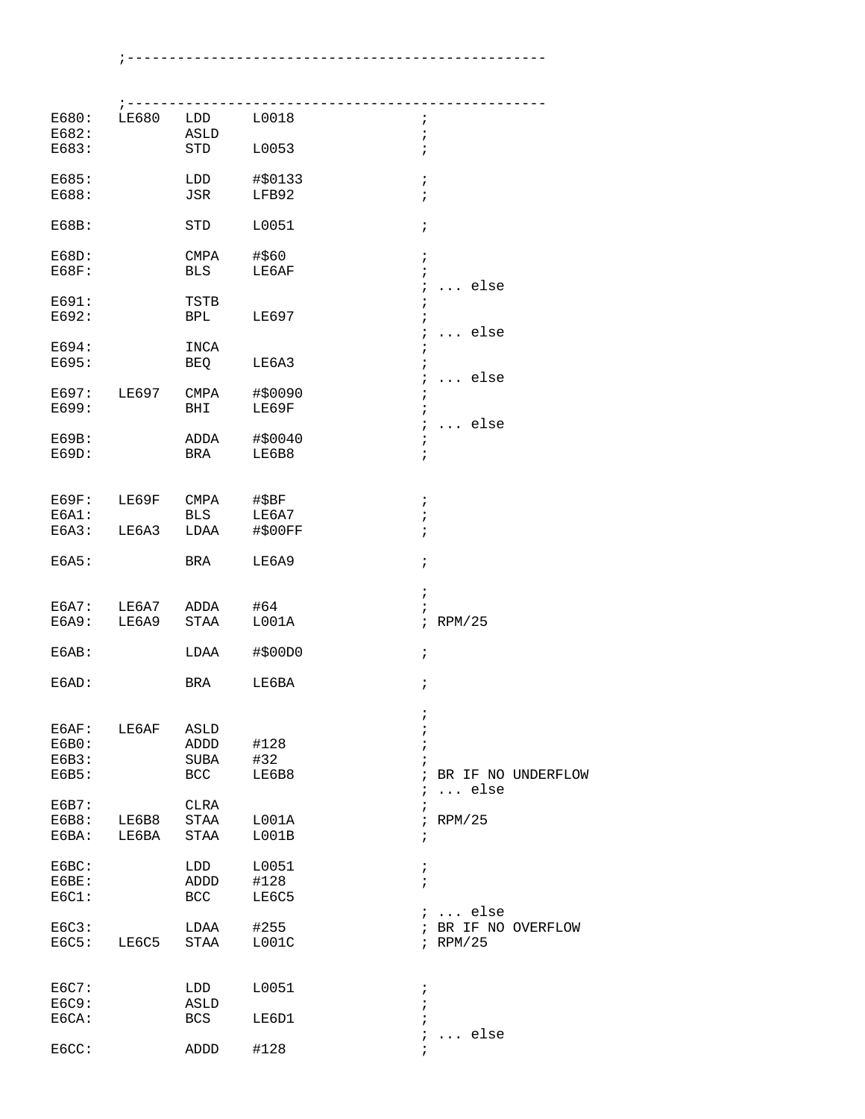;--------------------------------------------------

| E680:<br>E682:                   | $7 - - - - - - -$<br>LE680 | LDD<br>ASLD                        | L0018                     | i.<br>$\mathbf{r}$                               |                                   |
|----------------------------------|----------------------------|------------------------------------|---------------------------|--------------------------------------------------|-----------------------------------|
| E683:                            |                            | STD                                | L0053                     | $\ddot{ }$                                       |                                   |
| E685:<br>E688:                   |                            | LDD<br>JSR                         | #\$0133<br>LFB92          | $\ddot{ }$<br>$\mathbf{r}$                       |                                   |
| E68B:                            |                            | STD                                | L0051                     | $\ddot{ }$                                       |                                   |
| E68D:<br>E68F:                   |                            | CMPA<br>BLS                        | #\$60<br>LE6AF            | $\ddot{i}$<br>$\ddot{ }$<br>$\ddot{ }$           | $\ldots$ else                     |
| E691:<br>E692:                   |                            | TSTB<br>BPL                        | LE697                     | $\ddot{i}$<br>$\ddot{ }$<br>$\ddot{i}$           | $\ldots$ else                     |
| E694:<br>E695:                   |                            | INCA<br>BEQ                        | LE6A3                     | $\ddot{i}$<br>÷<br>$\ddot{i}$                    | $\ldots$ else                     |
| E697:<br>E699:                   | LE697                      | CMPA<br>BHI                        | #\$0090<br>LE69F          | $\ddot{ }$<br>$\ddot{i}$<br>$\ddot{ }$           | $\ldots$ else                     |
| E69B:<br>E69D:                   |                            | ADDA<br>BRA                        | #\$0040<br>LE6B8          | $\ddot{i}$<br>$\ddot{ }$                         |                                   |
| EG9F:<br>E6A1:<br>E6A3:          | LE69F<br>LE6A3             | CMPA<br>BLS<br>LDAA                | #\$BF<br>LE6A7<br>#\$00FF | $\ddot{i}$<br>;<br>$\ddot{ }$                    |                                   |
| E6A5:                            |                            | BRA                                | LE6A9                     | $\ddot{ }$                                       |                                   |
| E6A7:<br>E6A9:                   | LE6A7<br>LE6A9             | ADDA<br>STAA                       | #64<br>LOO1A              | ;                                                | $i$ RPM/25                        |
| EGAB:                            |                            | LDAA                               | $\#$ \$00D0               | $\ddot{i}$                                       |                                   |
| E6AD:                            |                            | BRA                                | LE6BA                     | $\ddot{i}$                                       |                                   |
| E6AF:<br>E6B0:<br>E6B3:<br>E6B5: | LE6AF                      | <b>ASLD</b><br>ADDD<br>SUBA<br>BCC | #128<br>#32<br>LE6B8      | $\ddot{i}$<br>;<br>$\ddot{ }$<br>÷<br>$\ddot{i}$ | BR IF NO UNDERFLOW                |
| E6B7:<br>E6B8:<br>E6BA:          | LE6B8<br>LE6BA             | CLRA<br>STAA<br><b>STAA</b>        | L001A<br>LOO1B            | i.<br>$\ddot{i}$<br>$\ddot{i}$<br>$\ddot{i}$     | $\ldots$ else<br>RPM/25           |
| E6BC:<br>E6BE:<br>EGC1:          |                            | LDD<br>ADDD<br>BCC                 | L0051<br>#128<br>LE6C5    | $\ddot{i}$<br>$\mathbf{r}$                       | $i \ldots$ else                   |
| EGC3:<br>EGC5:                   | LE6C5                      | LDAA<br>STAA                       | #255<br>LOO1C             |                                                  | ; BR IF NO OVERFLOW<br>$i$ RPM/25 |
| E6C7:<br>E6C9:<br>E6CA:          |                            | LDD<br>ASLD<br><b>BCS</b>          | L0051<br>LE6D1            | $\ddot{ }$<br>$\ddot{i}$<br>$\ddot{i}$           |                                   |
| EGCC:                            |                            | ADDD                               | #128                      | ÷<br>$\ddot{i}$                                  | else<br>.                         |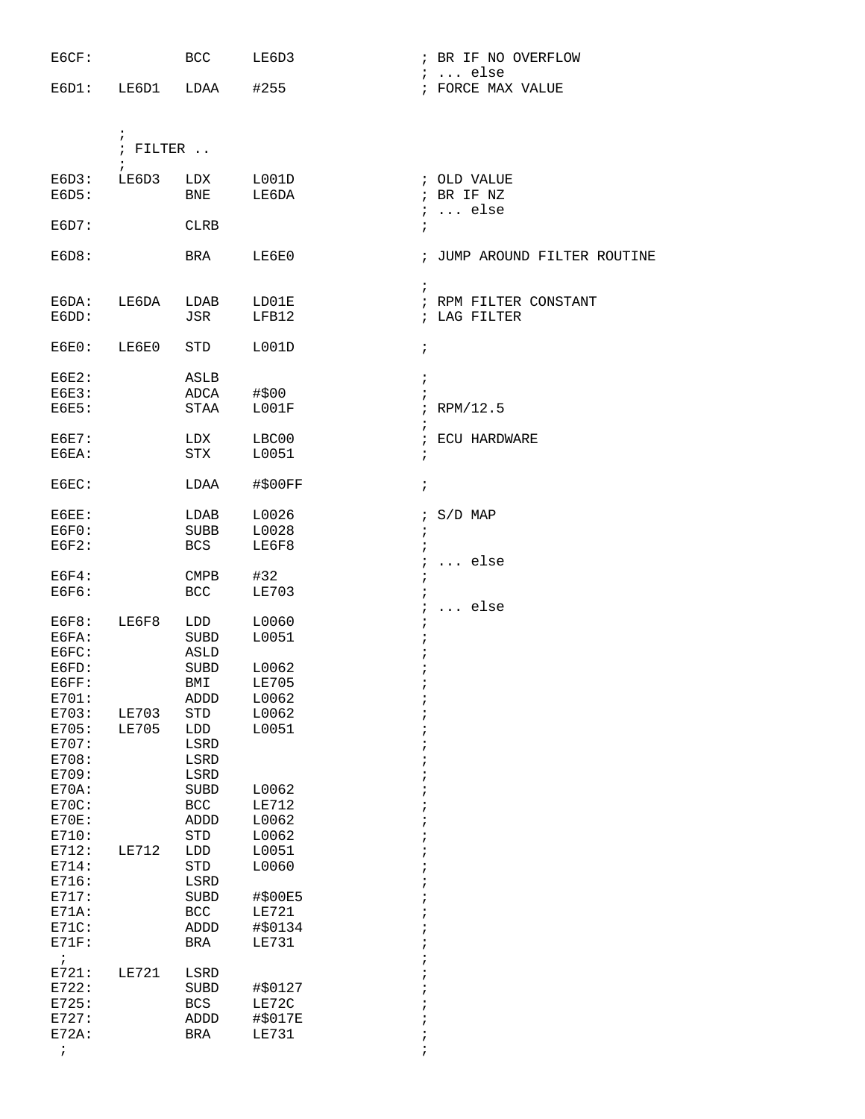| E6CF:                 |                          | <b>BCC</b>           | LE6D3                 | ; BR IF NO OVERFLOW                       |
|-----------------------|--------------------------|----------------------|-----------------------|-------------------------------------------|
| $E6D1$ :              | LE6D1                    | LDAA                 | #255                  | $i \ldots$ else<br>; FORCE MAX VALUE      |
|                       |                          |                      |                       |                                           |
|                       |                          |                      |                       |                                           |
|                       | $\ddot{i}$               |                      |                       |                                           |
|                       | ; $FILTER$<br>$\ddot{i}$ |                      |                       |                                           |
| E6D3:                 | LE6D3                    | LDX                  | L001D                 | ; OLD VALUE                               |
| E6D5:                 |                          | BNE                  | LE6DA                 | ; BR IF NZ                                |
|                       |                          |                      |                       | $: $ else                                 |
| E6D7:                 |                          | <b>CLRB</b>          |                       | $\ddot{i}$                                |
| E6D8:                 |                          | BRA                  | LE6E0                 | ; JUMP AROUND FILTER ROUTINE              |
|                       |                          |                      |                       |                                           |
|                       |                          |                      |                       | $\ddot{i}$                                |
| E6DA:<br>E6DD:        | LE6DA                    | LDAB<br>JSR          | LD01E<br>LFB12        | ; RPM FILTER CONSTANT<br>; LAG FILTER     |
|                       |                          |                      |                       |                                           |
| EGE0:                 | LE6E0                    | STD                  | L001D                 | $\ddot{ }$                                |
|                       |                          |                      |                       |                                           |
| EGE2:<br><b>E6E3:</b> |                          | ASLB<br>ADCA         | #\$00                 | $\ddot{ }$<br>$\ddot{i}$                  |
| <b>E6E5:</b>          |                          | STAA                 | LOO1F                 | $i$ RPM/12.5                              |
|                       |                          |                      |                       | $\ddot{i}$                                |
| EGE7:                 |                          | LDX                  | LBC00                 | ; ECU HARDWARE                            |
| E6EA:                 |                          | <b>STX</b>           | L0051                 | $\ddot{i}$                                |
| E6EC:                 |                          | LDAA                 | #\$00FF               | $\ddot{i}$                                |
|                       |                          |                      |                       |                                           |
| E6EE:                 |                          | LDAB                 | L0026                 | $;$ S/D MAP                               |
| EGFO:                 |                          | SUBB                 | L0028                 | $\ddot{ }$                                |
| EGF2:                 |                          | BCS                  | LE6F8                 | $\ddot{i}$                                |
| $EGF4$ :              |                          | CMPB                 | #32                   | $\ldots$ else<br>$\ddot{ }$<br>$\ddot{i}$ |
| E6F6:                 |                          | <b>BCC</b>           | LE703                 | $\ddot{i}$                                |
|                       |                          |                      |                       | $i \ldots$ else                           |
| EGF8:                 | LE6F8                    | LDD                  | L0060                 | $\ddot{ }$                                |
| E6FA:                 |                          | SUBD                 | L0051                 |                                           |
| E6FC:                 |                          | ASLD                 |                       |                                           |
| E6FD:<br>E6FF:        |                          | <b>SUBD</b><br>BMI   | L0062<br><b>LE705</b> |                                           |
| E701:                 |                          | ADDD                 | L0062                 | ;                                         |
| E703:                 | LE703                    | $\operatorname{STD}$ | L0062                 | i                                         |
| E705:                 | <b>LE705</b>             | ${\rm LDD}$          | L0051                 |                                           |
| E707:                 |                          | LSRD                 |                       |                                           |
| E708:                 |                          | $_{\rm LSRD}$        |                       |                                           |
| E709:                 |                          | LSRD                 |                       |                                           |
| E70A:<br>E70C:        |                          | SUBD<br>$_{\rm BCC}$ | L0062<br><b>LE712</b> |                                           |
| E70E:                 |                          | ADDD                 | L0062                 |                                           |
| E710:                 |                          | $\operatorname{STD}$ | L0062                 |                                           |
| E712:                 | <b>LE712</b>             | LDD                  | L0051                 |                                           |
| E714:                 |                          | $\operatorname{STD}$ | L0060                 |                                           |
| E716:                 |                          | LSRD                 |                       |                                           |
| E717:                 |                          | SUBD                 | #\$00E5               |                                           |
| $E71A$ :              |                          | <b>BCC</b>           | <b>LE721</b>          |                                           |
| E71C:<br>E71F:        |                          | ADDD<br><b>BRA</b>   | #\$0134<br>LE731      |                                           |
| $\ddot{i}$            |                          |                      |                       |                                           |
| E721:                 | <b>LE721</b>             | LSRD                 |                       |                                           |
| E722:                 |                          | <b>SUBD</b>          | #\$0127               |                                           |
| E725:                 |                          | <b>BCS</b>           | LE72C                 |                                           |
| E727:<br>$E72A$ :     |                          | ADDD                 | #\$017E               |                                           |
| $\ddot{i}$            |                          | <b>BRA</b>           | <b>LE731</b>          | ÷<br>$\ddot{i}$                           |
|                       |                          |                      |                       |                                           |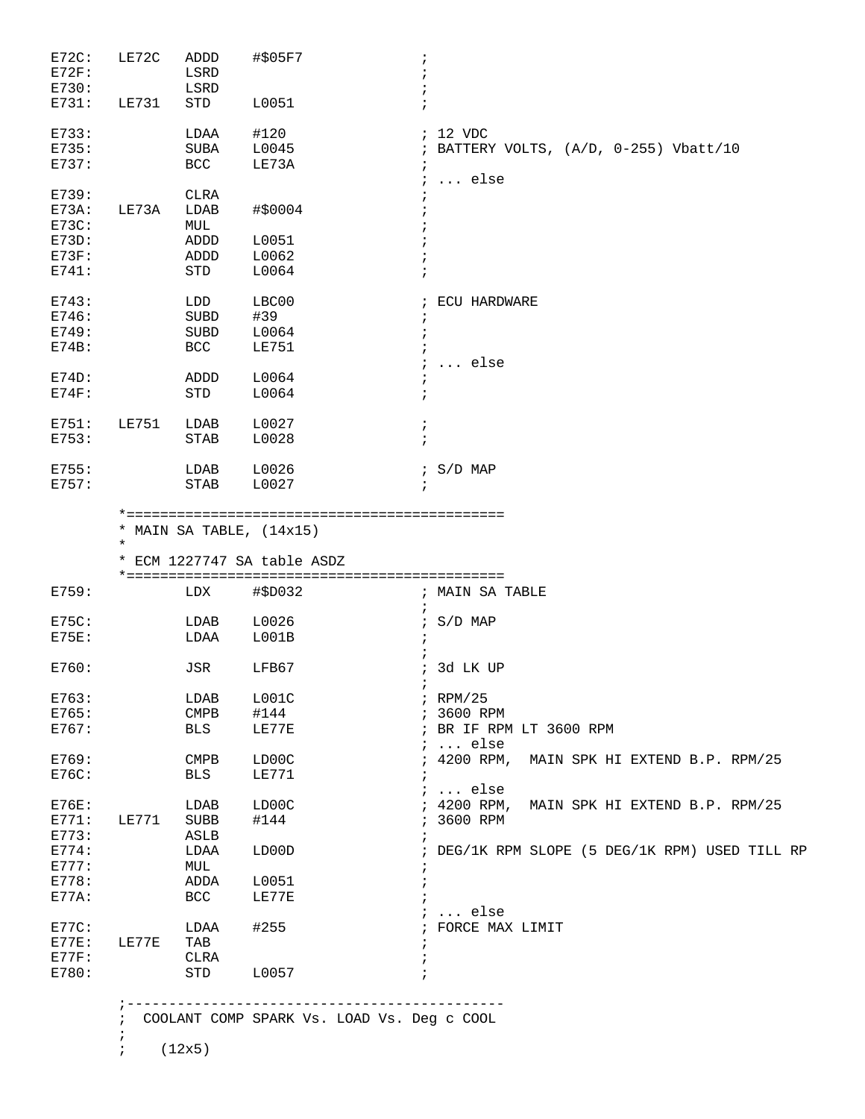| E72C:<br>E72F:<br>E730:                                  | LE72C        | ADDD<br>LSRD<br>LSRD                              | #\$05F7                                                   | $\ddot{ }$                                                                                             |
|----------------------------------------------------------|--------------|---------------------------------------------------|-----------------------------------------------------------|--------------------------------------------------------------------------------------------------------|
| E731:                                                    | LE731        | STD                                               | L0051                                                     | $\ddot{i}$                                                                                             |
| E733:<br>E735:<br>E737:                                  |              | LDAA<br>SUBA<br>BCC                               | #120<br>L0045<br>LE73A                                    | ; 12 VDC<br>; BATTERY VOLTS, (A/D, 0-255) Vbatt/10<br>$\ddot{i}$<br>$\ldots$ else<br>$\ddot{i}$        |
| E739:<br>$E73A$ :<br>E73C:<br>E73D:<br>$E73F$ :<br>E741: | LE73A        | <b>CLRA</b><br>LDAB<br>MUL<br>ADDD<br>ADDD<br>STD | #\$0004<br>L0051<br>L0062<br>L0064                        | $\ddot{i}$                                                                                             |
| E743:<br>E746:<br>E749:<br>$E74B$ :                      |              | LDD<br><b>SUBD</b><br>SUBD<br><b>BCC</b>          | LBC00<br>#39<br>L0064<br><b>LE751</b>                     | ; ECU HARDWARE<br>$\ddot{i}$<br>$\ddot{i}$<br>else<br>$\ddot{i}$                                       |
| E74D:<br>$E74F$ :                                        |              | ADDD<br><b>STD</b>                                | L0064<br>L0064                                            | $\ddot{i}$<br>$\ddot{i}$                                                                               |
| E751:<br>E753:                                           | <b>LE751</b> | LDAB<br><b>STAB</b>                               | L0027<br>L0028                                            | $\ddot{i}$<br>$\ddot{i}$                                                                               |
| E755:<br>E757:                                           |              | LDAB<br><b>STAB</b>                               | L0026<br>L0027                                            | $: S/D$ MAP<br>$\ddot{ }$                                                                              |
|                                                          | $\star$      |                                                   | * MAIN SA TABLE, $(14x15)$<br>* ECM 1227747 SA table ASDZ |                                                                                                        |
| E759:                                                    |              | LDX                                               | #\$D032                                                   | ; MAIN SA TABLE<br>$\ddot{i}$                                                                          |
| E75C:<br><b>E75E:</b>                                    |              | LDAB<br>LDAA                                      | L0026<br>L001B                                            | $: S/D$ MAP<br>$\ddot{ }$                                                                              |
| E760:                                                    |              | JSR                                               | LFB67                                                     | ; 3d LK UP                                                                                             |
| E763:<br>E765:<br>E767:                                  |              | LDAB<br><b>CMPB</b><br>BLS                        | LOO1C<br>#144<br>LE77E                                    | $i$ RPM/25<br>; 3600 RPM<br>; BR IF RPM LT 3600 RPM<br>$i \ldots$ else                                 |
| E769:<br>E76C:                                           |              | <b>CMPB</b><br><b>BLS</b>                         | LD00C<br>LE771                                            | 4200 RPM,<br>MAIN SPK HI EXTEND B.P. RPM/25<br>$\ddot{i}$<br>$\ddot{i}$<br>$\ldots$ else<br>$\ddot{ }$ |
| E76E:<br>E771:<br>E773:                                  | <b>LE771</b> | LDAB<br>SUBB<br>ASLB                              | LD00C<br>#144                                             | ; 4200 RPM,<br>MAIN SPK HI EXTEND B.P. RPM/25<br>; 3600 RPM<br>$\ddot{ }$                              |
| E774:<br>E777:<br>E778:<br>E77A:                         |              | LDAA<br>MUL<br>ADDA<br>BCC                        | LD00D<br>L0051<br>LE77E                                   | ; DEG/1K RPM SLOPE (5 DEG/1K RPM) USED TILL RP<br>$\ddot{i}$                                           |
| E77C:<br>E77E:<br>E77F:                                  | LE77E        | LDAA<br>TAB<br>CLRA                               | #255                                                      | $\ldots$ else<br>$\ddot{i}$<br>FORCE MAX LIMIT<br>$\mathcal{L}$<br>$\cdot$                             |
| E780:                                                    |              | STD                                               | L0057                                                     | ÷                                                                                                      |

 ;--------------------------------------------- ; COOLANT COMP SPARK Vs. LOAD Vs. Deg c COOL ;

;  $(12x5)$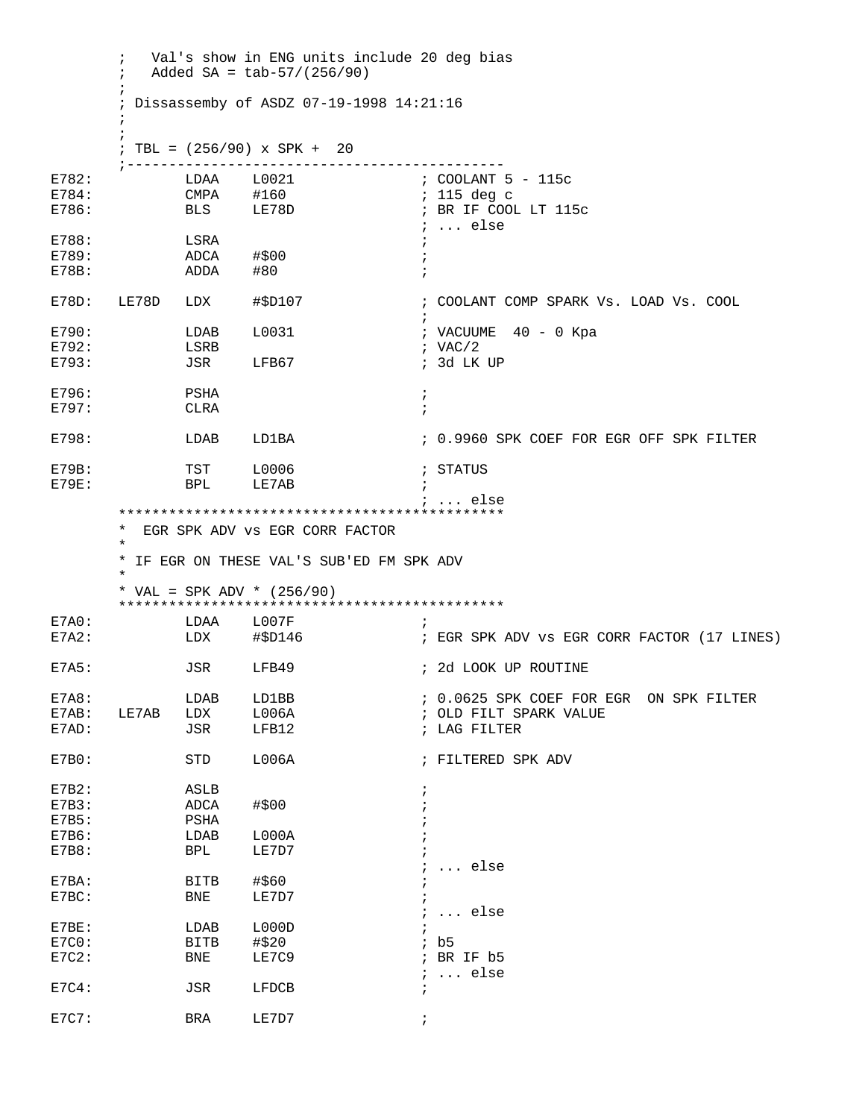; Val's show in ENG units include 20 deg bias  $;$  Added SA = tab-57/(256/90)  $\mathcal{L}^{\text{max}}_{\text{max}}$  ; Dissassemby of ASDZ 07-19-1998 14:21:16  $\mathcal{L}^{\text{max}}$  $\mathcal{L}^{\text{max}}_{\text{max}}$  ; TBL = (256/90) x SPK + 20 ;--------------------------------------------- E782: LDAA L0021 ; COOLANT 5 - 115c E784: CMPA #160 ; 115 deg c E786: BLS LE78D ; BR IF COOL LT 115c  $E788:$   $LSRA$   $\vdots$   $LSRA$ E788: LSRA ;<br>E789: ADCA #\$00 ; ;  $ADCA$   $\# $00$  ; E78B: ADDA #80 ; E78D: LE78D LDX #\$D107 ; COOLANT COMP SPARK Vs. LOAD Vs. COOL  $\mathcal{L}^{\text{max}}$ E790: LDAB L0031 ; VACUUME 40 - 0 Kpa  $E792:$  LSRB  $ISE$  i VAC/2 E793: JSR LFB67 ; 3d LK UP E796: PSHA ; E797: CLRA ; E798: LDAB LD1BA : 0.9960 SPK COEF FOR EGR OFF SPK FILTER E79B: TST L0006 ; STATUS E79E: BPL LE7AB ; ; ... else \*\*\*\*\*\*\*\*\*\*\*\*\*\*\*\*\*\*\*\*\*\*\*\*\*\*\*\*\*\*\*\*\*\*\*\*\*\*\*\*\*\*\*\*\*\* \* EGR SPK ADV vs EGR CORR FACTOR  $\star$  \* IF EGR ON THESE VAL'S SUB'ED FM SPK ADV  $\star$  \* VAL = SPK ADV \* (256/90) \*\*\*\*\*\*\*\*\*\*\*\*\*\*\*\*\*\*\*\*\*\*\*\*\*\*\*\*\*\*\*\*\*\*\*\*\*\*\*\*\*\*\*\*\*\* E7A0: LDAA L007F E7A2: LDX #\$D146 ; EGR SPK ADV vs EGR CORR FACTOR (17 LINES) E7A5: JSR LFB49 ; 2d LOOK UP ROUTINE E7A8: LDAB LD1BB ; 0.0625 SPK COEF FOR EGR ON SPK FILTER E7AB: LE7AB LDX L006A ; OLD FILT SPARK VALUE E7AD: JSR LFB12 *;* LAG FILTER E7B0: STD L006A ; FILTERED SPK ADV E7B2: ASLB ;  $E7B3:$   $ADCA$   $\#$00$  ; E7B5: PSHA ; E7B6: LDAB L000A ; E7B8: BPL LE7D7 ; ; ... else  $E7BA:$  BITB  $\#$ \$60 ; E7BC: BNE LE7D7 ; ; ... else E7BE: LDAB L000D ; E7C0: BITB #\$20 ; b5 E7C2: BNE LE7C9  $E7C4:$  JSR  $LFDCB$  ; ... else JSR LFDCB ; E7C7: BRA LE7D7 ;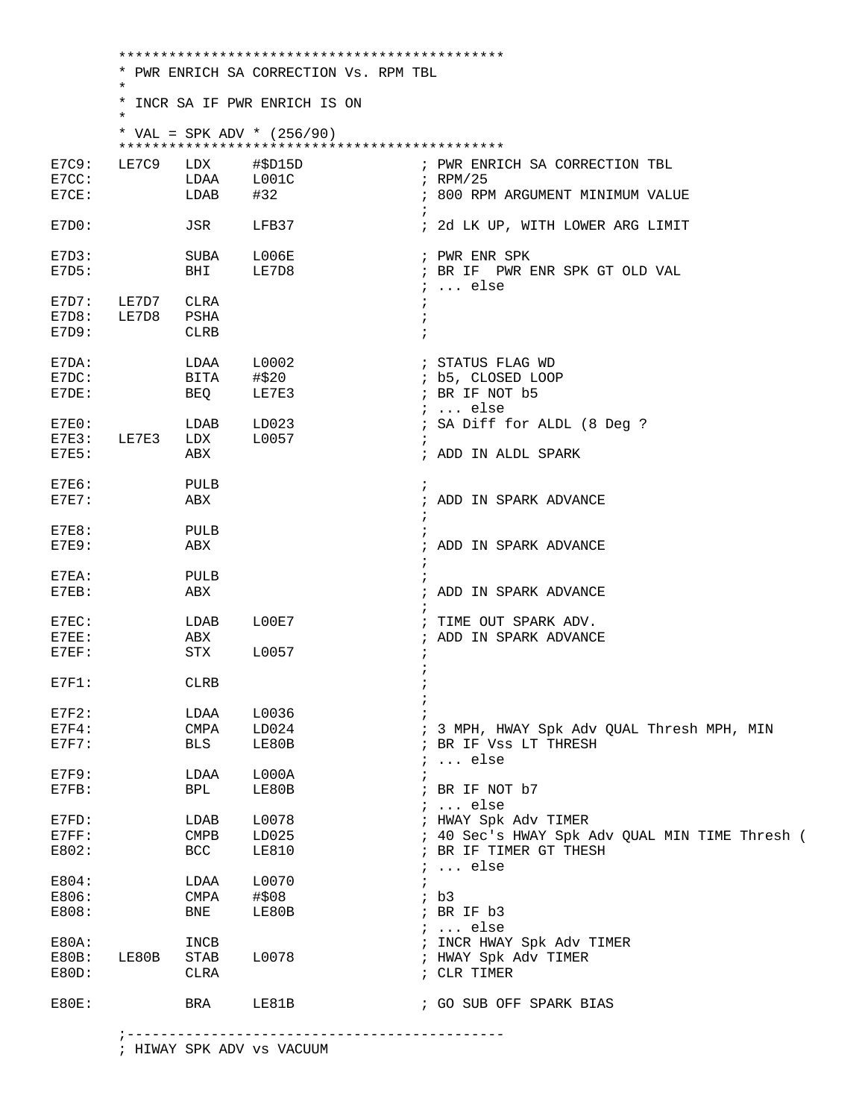\*\*\*\*\*\*\*\*\*\*\*\*\*\*\*\*\*\*\*\*\*\*\*\*\*\*\*\*\*\*\*\*\*\*\*\*\*\*\*\*\*\*\*\*\*\* \* PWR ENRICH SA CORRECTION Vs. RPM TBL  $\star$  \* INCR SA IF PWR ENRICH IS ON  $\star$  \* VAL = SPK ADV \* (256/90) \*\*\*\*\*\*\*\*\*\*\*\*\*\*\*\*\*\*\*\*\*\*\*\*\*\*\*\*\*\*\*\*\*\*\*\*\*\*\*\*\*\*\*\*\*\* ; PWR ENRICH SA CORRECTION TBL<br>; RPM/25  $E7CC:$   $LDAA$   $L001C$ <br> $E7CE:$   $LDAB$   $#32$ ; 800 RPM ARGUMENT MINIMUM VALUE  $\mathcal{L}^{\text{max}}$ E7D0: JSR LFB37 : 2d LK UP, WITH LOWER ARG LIMIT E7D3: SUBA L006E ; PWRENR SPK<br>E7D5: BHI LE7D8 ; BRIF PWR I E7D5: BHI LE7D8 ; BR IF PWR ENR SPK GT OLD VAL ; ... else E7D7: LE7D7 CLRA E7D8: LE7D8 PSHA ; E7D9: CLRB  $\overline{C}$ E7DA: LDAA L0002 *i* STATUS FLAG WD E7DC: BITA #\$20 ; b5, CLOSED LOOP E7DE: BEQ LE7E3 **;** BR IF NOT b5 ; ... else E7E0: LDAB LD023 : SA Diff for ALDL (8 Deg ? E7E3: LE7E3 LDX L0057 ; E7E5: ABX ; ADD IN ALDL SPARK E7E6: PULB ; E7E7: ABX ; ADD IN SPARK ADVANCE  $\mathcal{L}^{\text{max}}$ E7E8: PULB<br>E7E9: ABX ; ADD IN SPARK ADVANCE  $\mathcal{L}^{\text{max}}$ E7EA: PULB ; E7EB: ABX ; ADD IN SPARK ADVANCE  $\mathcal{L}^{\text{max}}$ E7EC: LDAB L00E7 ; TIME OUT SPARK ADV. E7EE: ABX ; ADD IN SPARK ADVANCE E7EF: STX L0057  $\mathcal{L}^{\text{max}}$ E7F1: CLRB ;  $\mathcal{L}^{\text{max}}$  $\begin{array}{ccc} \texttt{E7F2}: & \texttt{LDAA} & \texttt{L0036} & \texttt{;} \\ \texttt{E7F4}: & \texttt{CMPA} & \texttt{LD024} & \texttt{;} \end{array}$ LD024 ; 3 MPH, HWAY Spk Adv QUAL Thresh MPH, MIN<br>LE80B ; BR IF Vss LT THRESH E7F7: BLS LE80B ; BR IF VSS LT THRESH ; ... else E7F9: LDAA L000A ; E7FB: BPL LE80B ; BR IF NOT b7 LDAB L0078 ; ... else<br>
CMPB LD025 ; HWAY Spk<br>
BCC LE810 ; BR IF TII E7FD: LDAB L0078 ; HWAY Spk Adv TIMER E7FF: CMPB LD025 ; 40 Sec's HWAY Spk Adv QUAL MIN TIME Thresh ( E802: BCC LE810 ; BR IF TIMER GT THESH  $E804:$   $LDAA$   $L0070$   $i$ ... else E804: LDAA L0070 ; E806: CMPA #\$08 ; b3 E808: BNE LE80B ; BR IF b3 ; ... else E80A: INCB ; INCR HWAY Spk Adv TIMER E80B: LE80B STAB L0078 ; HWAY Spk Adv TIMER E80D: CLRA ; CLR TIMER E80E: BRA LE81B ; GO SUB OFF SPARK BIAS

; HIWAY SPK ADV vs VACUUM

;---------------------------------------------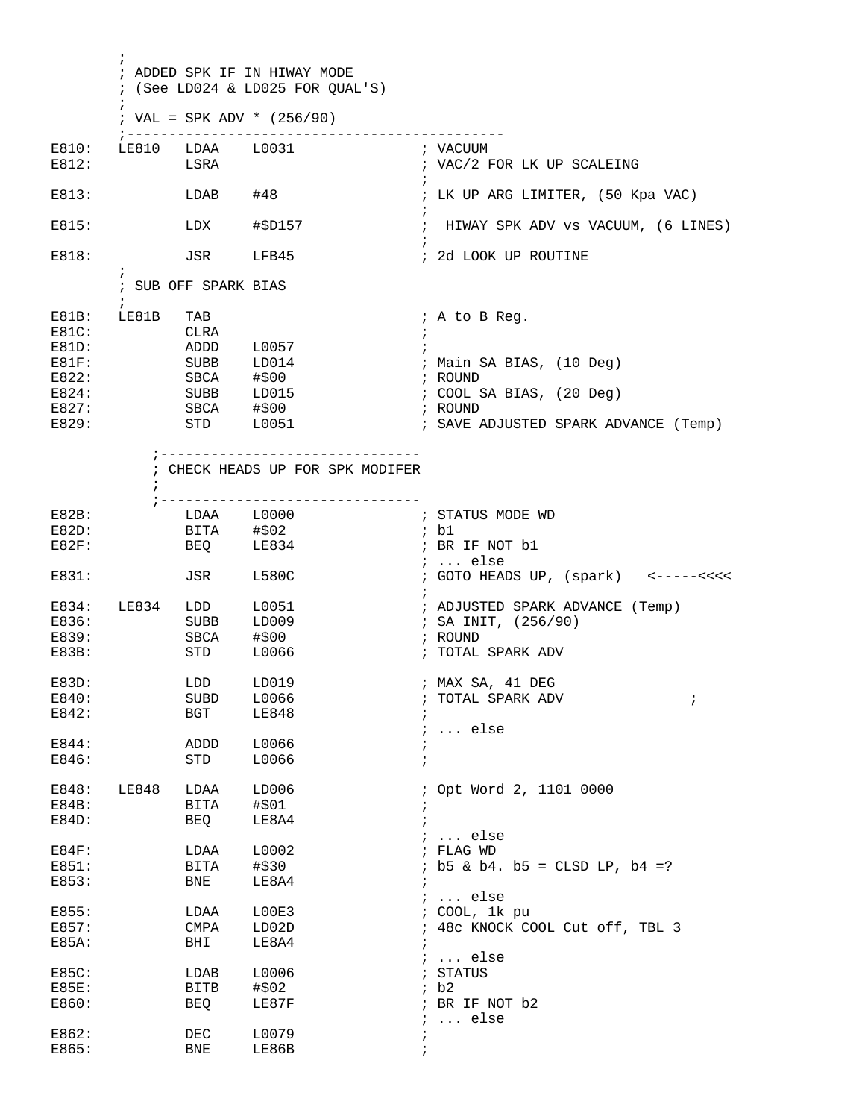$\mathcal{L}^{\text{max}}_{\text{max}}$  ; ADDED SPK IF IN HIWAY MODE ; (See LD024 & LD025 FOR QUAL'S)  $\mathcal{L}^{\text{max}}_{\text{max}}$ ; VAL = SPK ADV \*  $(256/90)$  ;--------------------------------------------- E810: LE810 LDAA L0031<br>E812: LSRA ; VAC/2 FOR LK UP SCALEING  $\mathcal{L}^{\text{max}}$ E813: LDAB #48 ; LK UP ARG LIMITER, (50 Kpa VAC)  $\mathcal{L}^{\text{max}}$ E815: LDX #\$D157 ; HIWAY SPK ADV vs VACUUM, (6 LINES)  $\mathcal{L}^{\text{max}}$ E818: JSR LFB45 ; 2d LOOK UP ROUTINE  $\ddot{i}$  ; SUB OFF SPARK BIAS  $\mathcal{L}^{\text{max}}$ E81B: LE81B TAB ; A to B Req.  $\begin{array}{ccc}\n \texttt{E81C}: & \texttt{CLRA} & \texttt{;} \\
 \texttt{E81D}: & \texttt{ADDD} & \texttt{L0057} & \texttt{;} \\
 \end{array}$ E81D: ADDD L0057 ; E81F: SUBB LD014 ; Main SA BIAS, (10 Deg)<br>E822: SBCA #\$00 ; ROUND E822: SBCA #\$00 ; ROUND E824: SUBB LD015 ; COOL SA BIAS, (20 Deg)<br>E827: SBCA #\$00 ; ROUND E827: SBCA #\$00 ; ROUND E829: STD L0051 ; SAVE ADJUSTED SPARK ADVANCE (Temp) ;------------------------------- ; CHECK HEADS UP FOR SPK MODIFER  $\mathcal{L}^{\text{max}}$  ;------------------------------- E82B: LDAA L0000 ; STA<br>E82D: BITA #\$02 ; b1 E82D: BITA #\$02 ; b1<br>
E82F: BEQ LE834 ; BR IF NOT b1 BEQ LE834  ${\tt JSR} \qquad {\tt L580C} \qquad \qquad {\tt i \ \ldots \ \, else}$ E831: JSR L580C ; GOTO HEADS UP, (spark) <-----<<<<  $\mathcal{L}^{\text{max}}$ E834: LE834 LDD L0051 ; ADJUSTED SPARK ADVANCE (Temp) E836: SUBB LD009 ; SA INIT, (256/90) E839: SBCA #\$00 ; ROUND ; TOTAL SPARK ADV E83D: LDD LD019 ; MAX SA, 41 DEG<br>E840: SUBD L0066 ; TOTAL SPARK ADV E840: SUBD L0066 ; TOTAL SPARK ADV ; E842: BGT LE848 ; ; ... else E844: ADDD L0066 ; E846: STD L0066 ; E848: LE848 LDAA LD006 : Opt Word 2, 1101 0000  $E84B:$  BITA  $\#$ \$01 ; E84D: BEQ LE8A4 ; ; ... else E84F: LDAA L0002<br>
E851: BITA #\$30 E851: BITA #\$30 ; b5 & b4. b5 = CLSD LP, b4 =?<br>E853: BNE LE8A4 ; E853: BNE LE8A4 ; ; ... else E855: LDAA L00E3 <br>
E857: CMPA LD02D <br>
E857: CMPA LD02D <br>
FAST: CMPA LD02D <br>
E857: E857: CMPA LD02D ; 48c KNOCK COOL Cut off, TBL 3 E85A: BHI LE8A4 ; ; ... else E85C: LDAB L0006 ; STATUS E85E: BITB #\$02 ; b2 E860: BEQ LE87F ; BR IF NOT b2 ; ... else E862: DEC L0079 ; E865: BNE LE86B ;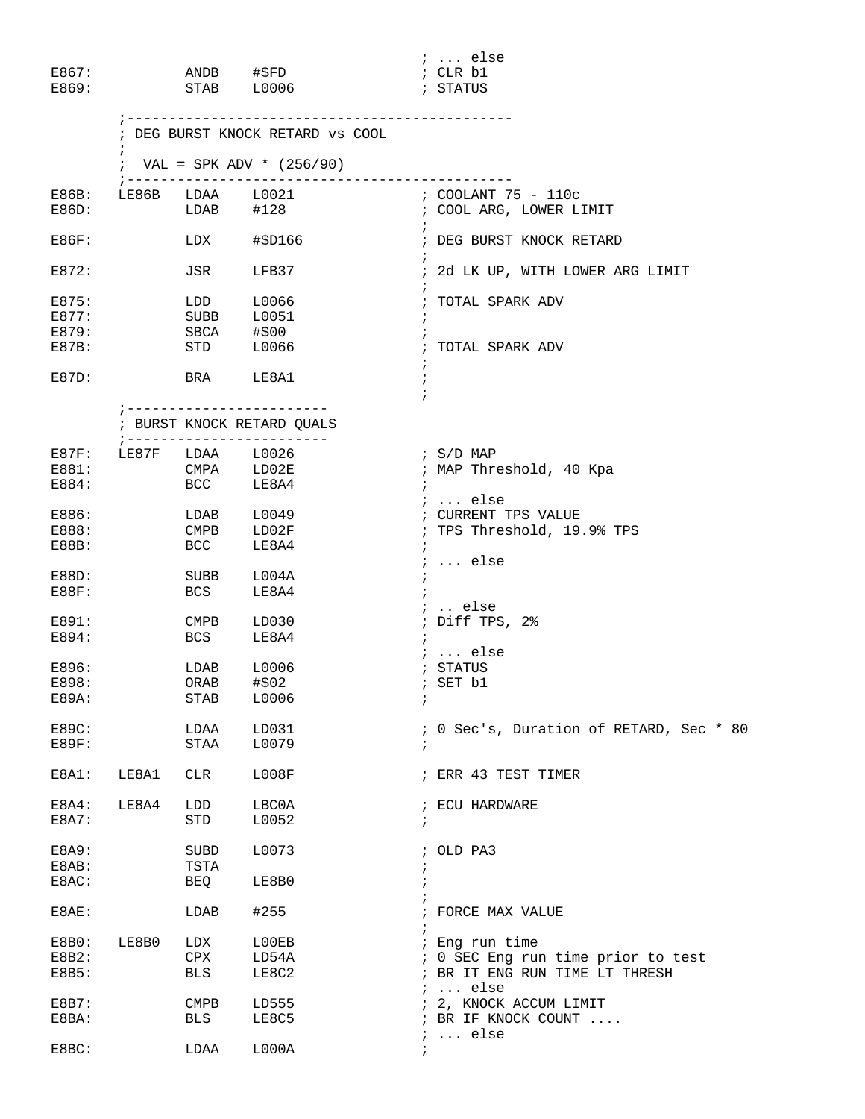| E867:<br>E869:                   |            |                         | ANDB #\$FD<br>STAB L0006                       | $: $ else<br>; CLR b1<br>; STATUS              |
|----------------------------------|------------|-------------------------|------------------------------------------------|------------------------------------------------|
|                                  | $\ddot{i}$ |                         | ; DEG BURST KNOCK RETARD VS COOL               |                                                |
|                                  |            |                         | ; VAL = SPK ADV * $(256/90)$                   |                                                |
| E86B:<br>E86D:                   |            | ; -------------<br>LDAB | LE86B LDAA L0021<br>#128                       | ; COOLANT 75 - 110c<br>; COOL ARG, LOWER LIMIT |
| E86F:                            |            | LDX                     | #\$D166                                        | ; DEG BURST KNOCK RETARD                       |
| E872:                            |            | JSR                     | LFB37                                          | ; 2d LK UP, WITH LOWER ARG LIMIT               |
| E875:<br>E877:<br>E879:<br>E87B: |            | LDD                     | L0066<br>SUBB L0051<br>SBCA #\$00<br>STD L0066 | ; TOTAL SPARK ADV<br>; TOTAL SPARK ADV         |
| E87D:                            |            |                         | BRA LE8A1                                      | $\ddot{i}$                                     |
|                                  |            |                         | ; BURST KNOCK RETARD QUALS                     |                                                |
| E87F:                            |            |                         | ;-------------------------<br>LE87F LDAA L0026 | $;$ S/D MAP                                    |
| E881:                            |            |                         | $\texttt{CMPA}$ $\texttt{LD02E}$               | ; MAP Threshold, 40 Kpa                        |
| E884:                            |            | <b>BCC</b>              | LE8A4                                          | $i \ldots$ else                                |
| E886:                            |            |                         | LDAB L0049                                     | ; CURRENT TPS VALUE                            |
| E888:                            |            | <b>CMPB</b>             | LD02F                                          | ; TPS Threshold, 19.9% TPS                     |
| E88B:                            |            | <b>BCC</b>              | LE8A4                                          |                                                |
|                                  |            |                         |                                                | $i \ldots$ else                                |
| $E88D$ :                         |            | SUBB                    | L004A                                          |                                                |
| $E88F$ :                         |            | BCS                     | LE8A4                                          |                                                |
|                                  |            |                         |                                                | $:$ else                                       |
| E891:                            |            | CMPB                    | LD030                                          | ; Diff TPS, 2%                                 |
| E894:                            |            | <b>BCS</b>              | LE8A4                                          |                                                |
|                                  |            |                         |                                                | $i$ else                                       |
| E896:                            |            | LDAB                    | L0006                                          | ; STATUS                                       |
| E898:                            |            |                         | ORAB #\$02                                     | ; SET b1                                       |
| $E89A$ :                         |            | STAB                    | L0006                                          | $\ddot{ }$                                     |
| E89C:                            |            | LDAA                    | LD031                                          | ; 0 Sec's, Duration of RETARD, Sec * 80        |
| E89F:                            |            | STAA                    | L0079                                          |                                                |
| E8A1:                            | LE8A1      | <b>CLR</b>              | L008F                                          | ; ERR 43 TEST TIMER                            |
| $E8A4$ :                         | LE8A4      | LDD                     | LBC0A                                          | ; ECU HARDWARE                                 |
| E8A7:                            |            | <b>STD</b>              | L0052                                          | $\ddot{i}$                                     |
| E8A9:                            |            | SUBD                    | L0073                                          | ; OLD PA3                                      |
| E8AB:                            |            | TSTA                    |                                                |                                                |
| E8AC:                            |            | BEQ                     | LE8B0                                          |                                                |
| E8AE:                            |            | LDAB                    | #255                                           | ; FORCE MAX VALUE                              |
| E8B0:                            | LE8B0      | LDX                     | L00EB                                          | ; Eng run time                                 |
| E8B2:                            |            | CPX                     | LD54A                                          | ; 0 SEC Eng run time prior to test             |
| E8B5:                            |            | <b>BLS</b>              | LE8C2                                          | ; BR IT ENG RUN TIME LT THRESH                 |
|                                  |            |                         |                                                | $i \ldots$ else                                |
| E8B7:                            |            | $\texttt{CMPB}$         | LD555                                          | ; 2, KNOCK ACCUM LIMIT                         |
| E8BA:                            |            | <b>BLS</b>              | LE8C5                                          | ; BR IF KNOCK COUNT                            |
|                                  |            |                         |                                                | $: $ else                                      |
| E8BC:                            |            | LDAA                    | LOOOA                                          |                                                |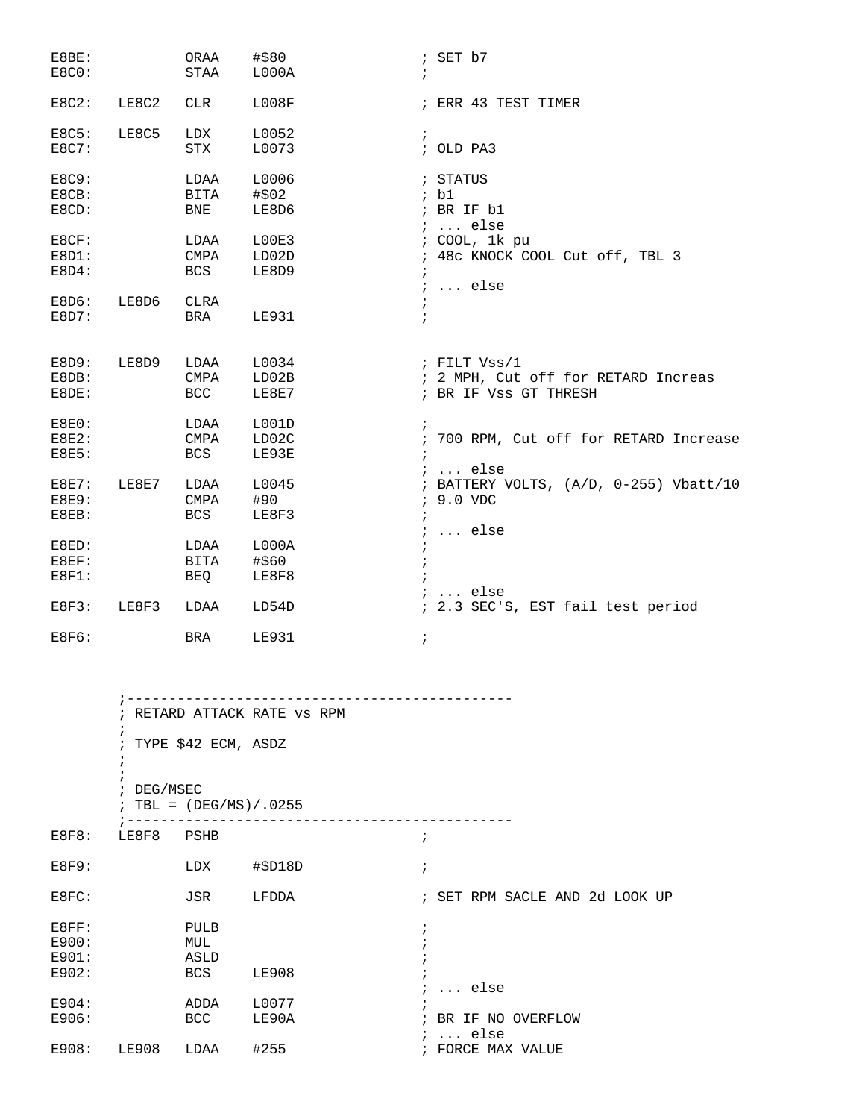| E8BE:<br>E8C0:                 |       | ORAA<br>STAA               | #\$80<br>L000A          | $;$ SET $b7$<br>$\ddot{i}$                                                                |
|--------------------------------|-------|----------------------------|-------------------------|-------------------------------------------------------------------------------------------|
| $E8C2$ :                       | LE8C2 | CLR                        | L008F                   | ; ERR 43 TEST TIMER                                                                       |
| E8C5:<br>E8C7:                 | LE8C5 | LDX<br>STX                 | L0052<br>L0073          | $\ddot{i}$<br>; OLD PA3                                                                   |
| <b>E8C9:</b><br>E8CB:<br>E8CD: |       | LDAA<br>BITA<br>BNE        | L0006<br>#\$02<br>LE8D6 | ; STATUS<br>; bl<br>; BR IF b1<br>$i \ldots$ else                                         |
| E8CF:<br>$E8D1$ :<br>E8D4:     |       | LDAA<br>CMPA<br>BCS        | L00E3<br>LD02D<br>LE8D9 | ; COOL, 1k pu<br>; 48c KNOCK COOL Cut off, TBL 3<br>$\ddot{i}$<br>$i$ else                |
| E8D6:<br>E8D7:                 | LE8D6 | CLRA<br>BRA                | <b>LE931</b>            | $\ddot{ }$<br>$\mathbf{r}$                                                                |
| E8D9:<br>E8DB:<br>E8DE:        | LE8D9 | LDAA<br>CMPA<br><b>BCC</b> | L0034<br>LD02B<br>LE8E7 | ; FILT Vss/1<br>; 2 MPH, Cut off for RETARD Increas<br>; BR IF Vss GT THRESH              |
| E8E0:<br>E8E2:<br><b>E8E5:</b> |       | LDAA<br>CMPA<br><b>BCS</b> | L001D<br>LD02C<br>LE93E | $\ddot{ }$<br>; 700 RPM, Cut off for RETARD Increase                                      |
| $E8E7$ :<br>E8E9:<br>E8EB:     | LE8E7 | LDAA<br>CMPA<br>BCS        | L0045<br>#90<br>LE8F3   | $i$ else<br>; BATTERY VOLTS, (A/D, 0-255) Vbatt/10<br>; 9.0 VDC<br>$\ddot{ }$<br>$i$ else |
| E8ED:<br>E8EF:<br>$E8F1$ :     |       | LDAA<br>BITA<br>BEQ        | L000A<br>#\$60<br>LE8F8 |                                                                                           |
| $E8F3$ :                       | LE8F3 | LDAA                       | LD54D                   | $i \ldots$ else<br>; 2.3 SEC'S, EST fail test period                                      |
| E8F6:                          |       | <b>BRA</b>                 | <b>LE931</b>            | $\ddot{ }$                                                                                |

 ;---------------------------------------------- ; RETARD ATTACK RATE vs RPM ; ; TYPE \$42 ECM, ASDZ ; ; ; DEG/MSEC  $;$  TBL = (DEG/MS)/.0255 ;---------------------------------------------- E8F8: LE8F8 PSHB ; E8F9: LDX #\$D18D ; E8FC: JSR LFDDA ; SET RPM SACLE AND 2d LOOK UP E8FF: PULB ;  $E900:$  MUL  $\qquad \qquad ;$ <br> $E901:$   $ASLD$   $\qquad \qquad ;$ ASLD  $\qquad \qquad ;$ E902: BCS LE908 ;  $E904:$  ADDA  $L0077$  ; ... else E904: ADDA L0077 ;<br>
E906: BCC LE90A ; ; BR IF NO OVERFLOW ; ... else<br>; FORCE MAX VALUE E908: LE908 LDAA #255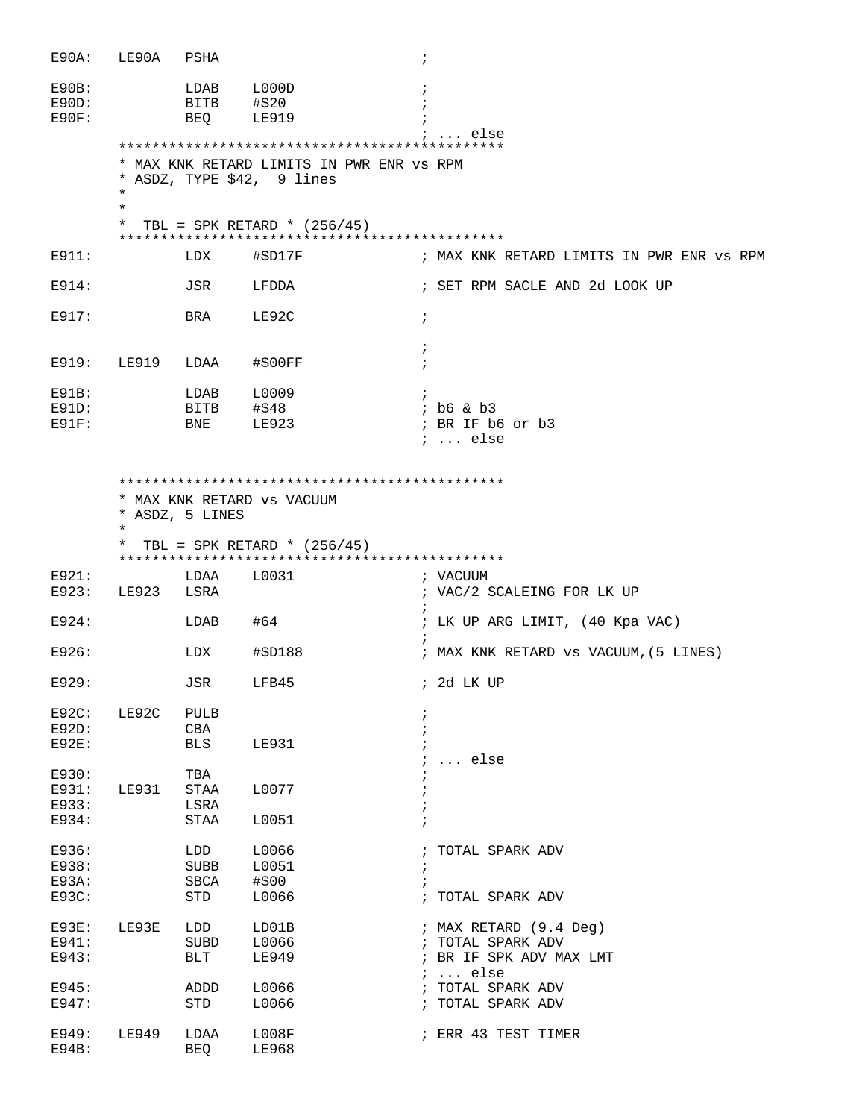| E90A:                         | LE90A              | PSHA                       |                                | $\cdot$                                   |
|-------------------------------|--------------------|----------------------------|--------------------------------|-------------------------------------------|
| E90B:<br>$E90D$ :<br>$E90F$ : |                    | LDAB<br>BITB<br><b>BEQ</b> | L000D<br>#\$20<br><b>LE919</b> | else                                      |
|                               |                    |                            |                                | * MAX KNK RETARD LIMITS IN PWR ENR VS RPM |
|                               | $\star$<br>$\star$ |                            | * ASDZ, TYPE \$42, 9 lines     |                                           |
|                               | $\ast$             |                            | TBL = SPK RETARD * $(256/45)$  |                                           |
| E911:                         |                    | LDX                        | #\$D17F                        | ; MAX KNK RETARD LIMITS IN PWR ENR VS RPM |
|                               |                    |                            |                                |                                           |
| E914:                         |                    | JSR                        | LFDDA                          | ; SET RPM SACLE AND 2d LOOK UP            |
| E917:                         |                    | BRA                        | LE92C                          | $\ddot{i}$                                |
|                               |                    |                            |                                |                                           |
| E919:                         | LE919              | LDAA                       | #\$00FF                        |                                           |
| E91B:                         |                    | LDAB                       | L0009                          |                                           |
| $E91D$ :                      |                    | BITB                       | #\$48                          | $;$ b6 & b3                               |
| $E91F$ :                      |                    | BNE                        | LE923                          | ; BR IF b6 or b3<br>$i$ else              |
|                               |                    |                            |                                |                                           |
|                               | $\star$            | * ASDZ, 5 LINES            | * MAX KNK RETARD VS VACUUM     |                                           |
|                               | $\ast$             |                            | TBL = SPK RETARD * $(256/45)$  |                                           |
| E921:                         |                    | LDAA                       | L0031                          | ; VACUUM                                  |
| E923:                         | LE923              | LSRA                       |                                | ; VAC/2 SCALEING FOR LK UP<br>$\cdot$     |
| E924:                         |                    | LDAB                       | #64                            | ; LK UP ARG LIMIT, (40 Kpa VAC)           |
| E926:                         |                    | LDX                        | #\$D188                        | ; MAX KNK RETARD vs VACUUM, (5 LINES)     |
| E929:                         |                    | JSR                        | LFB45                          | ; 2d LK UP                                |
| $E92C$ :                      | LE92C              | PULB                       |                                | $\cdot$                                   |
| $E92D$ :                      |                    | CBA                        |                                | $\ddot{i}$                                |
| <b>E92E:</b>                  |                    | BLS                        | LE931                          | $\ldots$ else                             |
| E930:                         |                    | TBA                        |                                |                                           |
| E931:                         | <b>LE931</b>       | STAA                       | L0077                          | $\ddot{i}$                                |
| E933:<br>E934:                |                    | LSRA<br>STAA               | L0051                          |                                           |
|                               |                    |                            |                                |                                           |
| E936:                         |                    | LDD                        | L0066                          | ; TOTAL SPARK ADV                         |
| E938:                         |                    | <b>SUBB</b>                | L0051                          | $\cdot$                                   |
| E93A:                         |                    | SBCA                       | #\$00                          | $\ddot{i}$                                |
| E93C:                         |                    | STD                        | L0066                          | ; TOTAL SPARK ADV                         |
| $E93E$ :                      | LE93E              | LDD                        | LD01B                          | ; MAX RETARD (9.4 Deg)                    |
| E941:                         |                    | SUBD                       | L0066                          | ; TOTAL SPARK ADV                         |
| E943:                         |                    | BLT                        | LE949                          | ; BR IF SPK ADV MAX LMT                   |
|                               |                    |                            |                                | $i \ldots$ else                           |
| E945:                         |                    | ADDD                       | L0066                          | ; TOTAL SPARK ADV                         |
| E947:                         |                    | STD                        | L0066                          | ; TOTAL SPARK ADV                         |
| E949:<br>$E94B$ :             | LE949              | LDAA<br><b>BEQ</b>         | L008F<br><b>LE968</b>          | ; ERR 43 TEST TIMER                       |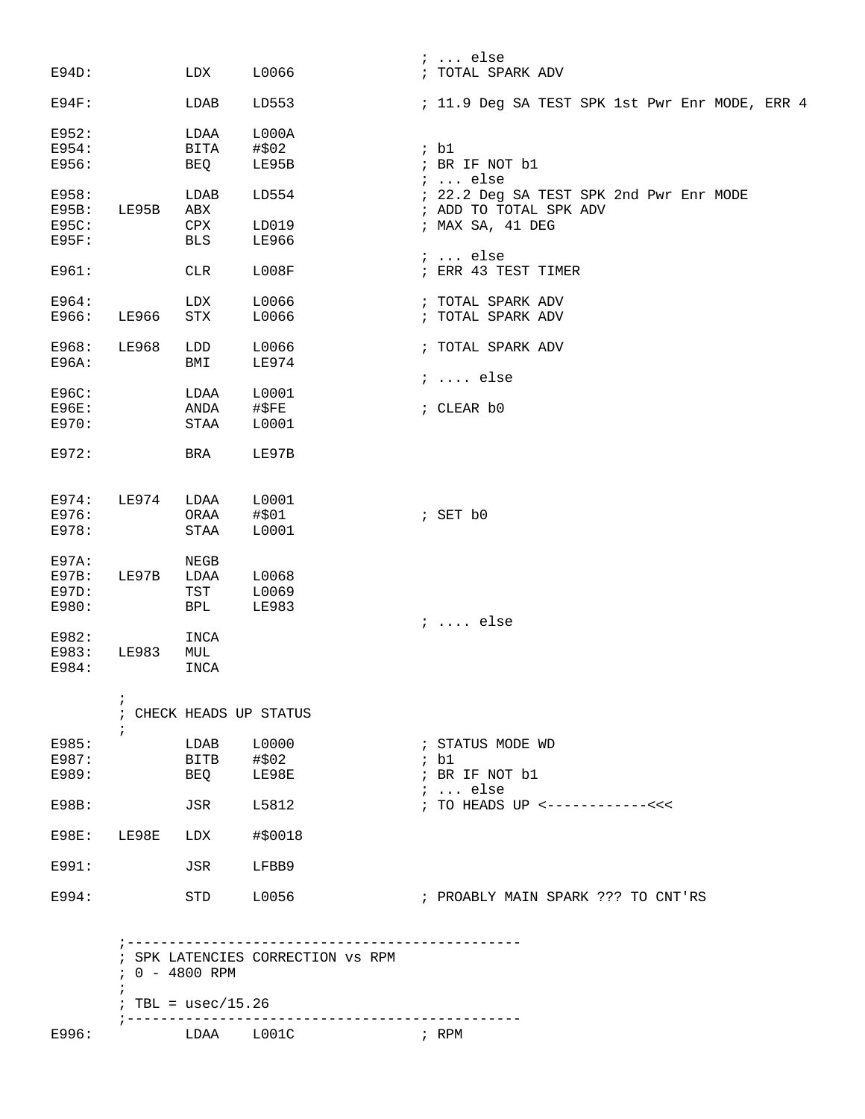|                 |                                                                      |                                                                                                                                                                                                         |                                                                                                                                                                                                                                  | $i \ldots$ else                                |
|-----------------|----------------------------------------------------------------------|---------------------------------------------------------------------------------------------------------------------------------------------------------------------------------------------------------|----------------------------------------------------------------------------------------------------------------------------------------------------------------------------------------------------------------------------------|------------------------------------------------|
|                 | LDX                                                                  | L0066                                                                                                                                                                                                   |                                                                                                                                                                                                                                  | ; TOTAL SPARK ADV                              |
|                 | LDAB                                                                 | LD553                                                                                                                                                                                                   |                                                                                                                                                                                                                                  | ; 11.9 Deg SA TEST SPK 1st Pwr Enr MODE, ERR 4 |
|                 |                                                                      |                                                                                                                                                                                                         |                                                                                                                                                                                                                                  |                                                |
|                 |                                                                      |                                                                                                                                                                                                         |                                                                                                                                                                                                                                  | ; b1                                           |
|                 |                                                                      |                                                                                                                                                                                                         |                                                                                                                                                                                                                                  |                                                |
|                 |                                                                      |                                                                                                                                                                                                         |                                                                                                                                                                                                                                  | ; BR IF NOT b1<br>$i \ldots$ else              |
|                 | LDAB                                                                 | LD554                                                                                                                                                                                                   |                                                                                                                                                                                                                                  | ; 22.2 Deg SA TEST SPK 2nd Pwr Enr MODE        |
|                 |                                                                      |                                                                                                                                                                                                         |                                                                                                                                                                                                                                  | ; ADD TO TOTAL SPK ADV                         |
|                 |                                                                      |                                                                                                                                                                                                         |                                                                                                                                                                                                                                  | ; MAX SA, 41 DEG                               |
|                 |                                                                      |                                                                                                                                                                                                         |                                                                                                                                                                                                                                  |                                                |
|                 |                                                                      |                                                                                                                                                                                                         |                                                                                                                                                                                                                                  | $i \ldots$ else                                |
|                 | <b>CLR</b>                                                           | L008F                                                                                                                                                                                                   |                                                                                                                                                                                                                                  | ; ERR 43 TEST TIMER                            |
|                 |                                                                      |                                                                                                                                                                                                         |                                                                                                                                                                                                                                  | ; TOTAL SPARK ADV                              |
|                 |                                                                      |                                                                                                                                                                                                         |                                                                                                                                                                                                                                  |                                                |
|                 |                                                                      |                                                                                                                                                                                                         |                                                                                                                                                                                                                                  | ; TOTAL SPARK ADV                              |
|                 |                                                                      |                                                                                                                                                                                                         |                                                                                                                                                                                                                                  | ; TOTAL SPARK ADV                              |
|                 |                                                                      |                                                                                                                                                                                                         |                                                                                                                                                                                                                                  |                                                |
|                 |                                                                      |                                                                                                                                                                                                         |                                                                                                                                                                                                                                  |                                                |
|                 |                                                                      |                                                                                                                                                                                                         |                                                                                                                                                                                                                                  | $i \ldots$ else                                |
|                 |                                                                      |                                                                                                                                                                                                         |                                                                                                                                                                                                                                  |                                                |
|                 | ANDA                                                                 |                                                                                                                                                                                                         |                                                                                                                                                                                                                                  | ; CLEAR b0                                     |
|                 |                                                                      |                                                                                                                                                                                                         |                                                                                                                                                                                                                                  |                                                |
|                 |                                                                      |                                                                                                                                                                                                         |                                                                                                                                                                                                                                  |                                                |
|                 | BRA                                                                  | LE97B                                                                                                                                                                                                   |                                                                                                                                                                                                                                  |                                                |
|                 |                                                                      |                                                                                                                                                                                                         |                                                                                                                                                                                                                                  |                                                |
|                 |                                                                      |                                                                                                                                                                                                         |                                                                                                                                                                                                                                  |                                                |
|                 |                                                                      |                                                                                                                                                                                                         |                                                                                                                                                                                                                                  | ; SET b0                                       |
|                 |                                                                      |                                                                                                                                                                                                         |                                                                                                                                                                                                                                  |                                                |
|                 |                                                                      |                                                                                                                                                                                                         |                                                                                                                                                                                                                                  |                                                |
|                 |                                                                      |                                                                                                                                                                                                         |                                                                                                                                                                                                                                  |                                                |
|                 |                                                                      |                                                                                                                                                                                                         |                                                                                                                                                                                                                                  |                                                |
|                 |                                                                      |                                                                                                                                                                                                         |                                                                                                                                                                                                                                  |                                                |
|                 |                                                                      |                                                                                                                                                                                                         |                                                                                                                                                                                                                                  |                                                |
|                 |                                                                      |                                                                                                                                                                                                         |                                                                                                                                                                                                                                  | $i \ldots$ else                                |
|                 |                                                                      |                                                                                                                                                                                                         |                                                                                                                                                                                                                                  |                                                |
|                 |                                                                      |                                                                                                                                                                                                         |                                                                                                                                                                                                                                  |                                                |
|                 |                                                                      |                                                                                                                                                                                                         |                                                                                                                                                                                                                                  |                                                |
|                 | INCA                                                                 |                                                                                                                                                                                                         |                                                                                                                                                                                                                                  |                                                |
| i               |                                                                      |                                                                                                                                                                                                         |                                                                                                                                                                                                                                  |                                                |
|                 |                                                                      |                                                                                                                                                                                                         |                                                                                                                                                                                                                                  |                                                |
|                 |                                                                      |                                                                                                                                                                                                         |                                                                                                                                                                                                                                  |                                                |
|                 |                                                                      |                                                                                                                                                                                                         |                                                                                                                                                                                                                                  |                                                |
|                 |                                                                      |                                                                                                                                                                                                         |                                                                                                                                                                                                                                  | ; STATUS MODE WD                               |
|                 |                                                                      |                                                                                                                                                                                                         |                                                                                                                                                                                                                                  | ; b1                                           |
|                 |                                                                      | LE98E                                                                                                                                                                                                   |                                                                                                                                                                                                                                  | ; BR IF NOT b1                                 |
|                 |                                                                      |                                                                                                                                                                                                         |                                                                                                                                                                                                                                  | $i$ else                                       |
|                 | JSR                                                                  | L5812                                                                                                                                                                                                   |                                                                                                                                                                                                                                  | ; TO HEADS UP <------------<<<                 |
|                 |                                                                      |                                                                                                                                                                                                         |                                                                                                                                                                                                                                  |                                                |
| E98E: LE98E LDX |                                                                      | #\$0018                                                                                                                                                                                                 |                                                                                                                                                                                                                                  |                                                |
|                 | JSR                                                                  | LFBB9                                                                                                                                                                                                   |                                                                                                                                                                                                                                  |                                                |
|                 | LE95B<br>LE966<br><b>LE968</b><br>LE974<br>LE97B<br>LE983<br>$\cdot$ | LDAA<br><b>BITA</b><br>BEQ<br>ABX<br>CPX<br>BLS<br>LDX<br>${\rm STX}$<br>LDD<br>BMI<br>LDAA<br>$\operatorname{STAA}$<br>LDAA<br>ORAA<br>STAA<br>NEGB<br>LDAA<br>TST<br><b>BPL</b><br>INCA<br>MUL<br>BEQ | L000A<br>#\$02<br>LE95B<br>LD019<br>LE966<br>L0066<br>L0066<br>L0066<br>LE974<br>L0001<br>$\sharp$ \$FE<br>L0001<br>L0001<br>#\$01<br>L0001<br>L0068<br>L0069<br>LE983<br>; CHECK HEADS UP STATUS<br>L0000<br>LDAB<br>BITB #\$02 |                                                |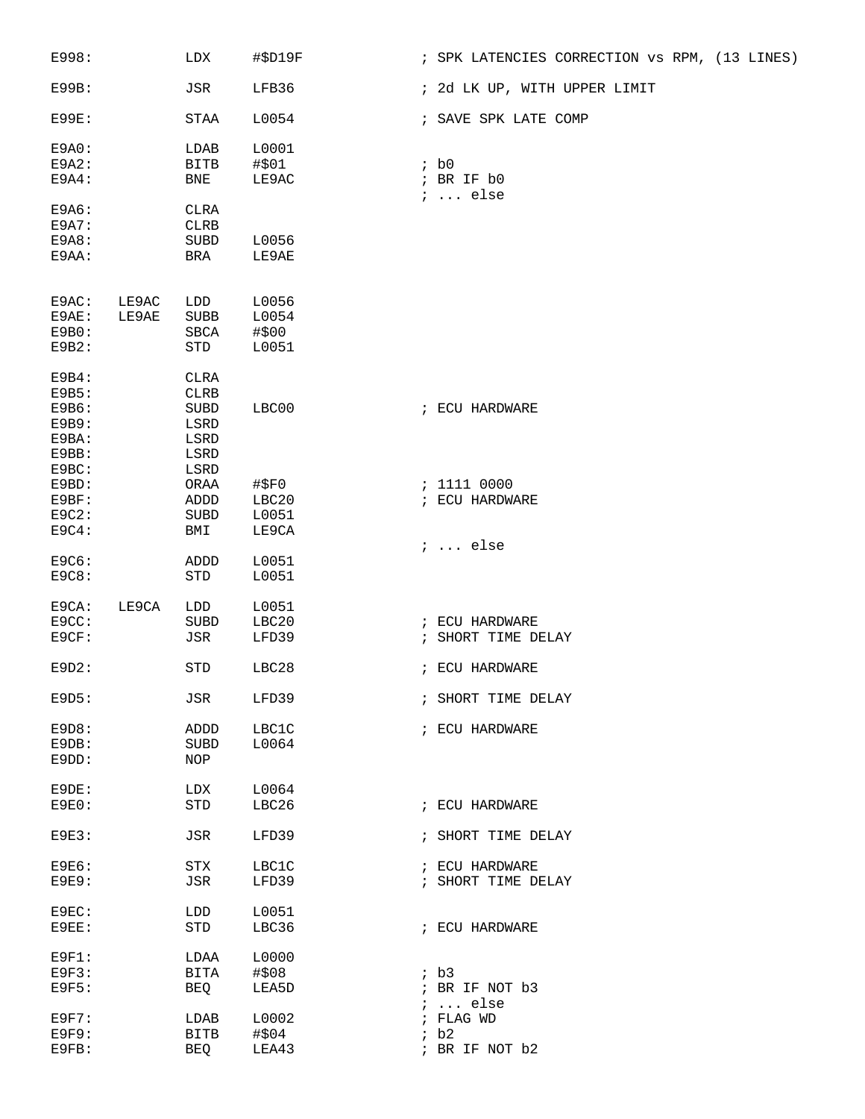| E998:                                              |                | LDX                                                               | #\$D19F                          |            | ; SPK LATENCIES CORRECTION VS RPM, (13 LINES) |
|----------------------------------------------------|----------------|-------------------------------------------------------------------|----------------------------------|------------|-----------------------------------------------|
| E99B:                                              |                | JSR                                                               | LFB36                            |            | ; 2d LK UP, WITH UPPER LIMIT                  |
| E99E:                                              |                | <b>STAA</b>                                                       | L0054                            |            | ; SAVE SPK LATE COMP                          |
| E9A0:<br>E9A2:<br>E9A4:                            |                | LDAB<br><b>BITB</b><br>BNE                                        | L0001<br>#\$01<br>LE9AC          |            | ib0<br>; BR IF b0<br>$i \ldots$ else          |
| E9A6:<br>E9A7:<br>E9A8:<br>E9AA:                   |                | <b>CLRA</b><br><b>CLRB</b><br><b>SUBD</b><br>BRA                  | L0056<br>LE9AE                   |            |                                               |
| E9AC:<br>E9AE:<br>E9B0:<br>E9B2:                   | LE9AC<br>LE9AE | LDD<br><b>SUBB</b><br><b>SBCA</b><br>STD                          | L0056<br>L0054<br>#\$00<br>L0051 |            |                                               |
| E9B4:<br>E9B5:<br>E9B6:<br>E9B9:<br>E9BA:<br>E9BB: |                | <b>CLRA</b><br><b>CLRB</b><br><b>SUBD</b><br>LSRD<br>LSRD<br>LSRD | LBC00                            |            | ; ECU HARDWARE                                |
| E9BC:<br>E9BD:<br>E9BF:<br>$E9C2$ :<br>E9C4:       |                | LSRD<br>ORAA<br>ADDD<br><b>SUBD</b><br>BMI                        | #\$F0<br>LBC20<br>L0051<br>LE9CA |            | : 1111 0000<br>; ECU HARDWARE                 |
| E9C6:<br>E9C8:                                     |                | ADDD<br>STD                                                       | L0051<br>L0051                   |            | $i \ldots$ else                               |
| E9CA:<br>E9CC:<br>E9CF:                            | LE9CA          | LDD<br>SUBD<br>JSR                                                | L0051<br>LBC20<br>LFD39          |            | ; ECU HARDWARE<br>; SHORT TIME DELAY          |
| $E9D2$ :                                           |                | STD                                                               | LBC28                            |            | ; ECU HARDWARE                                |
| E9D5:                                              |                | JSR                                                               | LFD39                            |            | ; SHORT TIME DELAY                            |
| E9D8:<br>E9DB:<br>E9DD:                            |                | ADDD<br>SUBD<br>NOP                                               | LBC1C<br>L0064                   |            | ; ECU HARDWARE                                |
| E9DE:<br><b>E9E0:</b>                              |                | LDX<br>STD                                                        | L0064<br>LBC26                   |            | ; ECU HARDWARE                                |
| E9E3:                                              |                | JSR                                                               | LFD39                            |            | ; SHORT TIME DELAY                            |
| <b>E9E6:</b><br>E9E9:                              |                | ${\rm STX}$<br>$_{\rm JSR}$                                       | LBC1C<br>LFD39                   |            | ; ECU HARDWARE<br>; SHORT TIME DELAY          |
| E9EC:<br>E9EE:                                     |                | LDD<br>STD                                                        | L0051<br>LBC36                   |            | ; ECU HARDWARE                                |
| $E9F1$ :<br>E9F3:                                  |                | LDAA<br>BITA                                                      | L0000<br>#\$08                   |            | ib3                                           |
| E9F5:                                              |                | BEQ                                                               | LEA5D                            | $\ddot{i}$ | ; BR IF NOT b3<br>$\ldots$ else               |
| <b>E9F7:</b><br>E9F9:                              |                | LDAB<br><b>BITB</b>                                               | L0002<br>#\$04                   |            | ; FLAG WD<br>ib2                              |
| E9FB:                                              |                | <b>BEQ</b>                                                        | LEA43                            |            | ; BR IF NOT b2                                |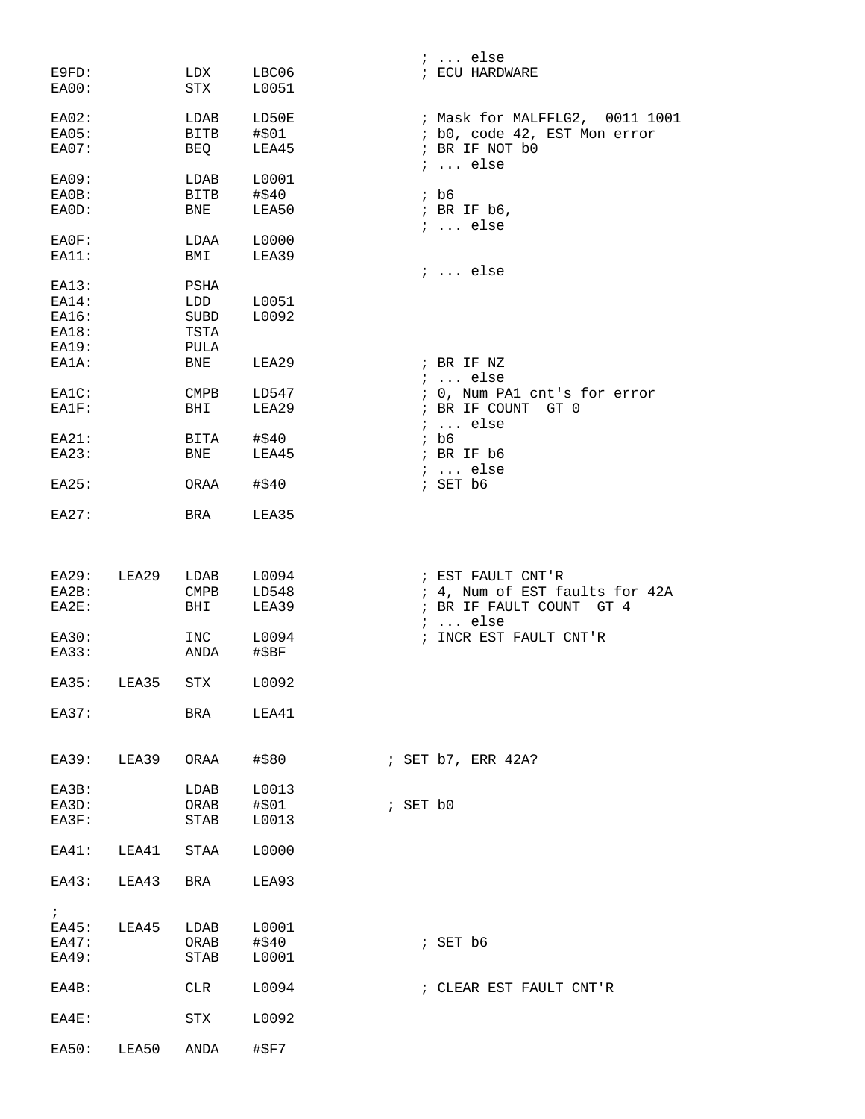|                  |             |                         |                | $: $ else                                           |
|------------------|-------------|-------------------------|----------------|-----------------------------------------------------|
| E9FD:<br>EA00:   |             | LDX<br>STX              | LBC06<br>L0051 | ; ECU HARDWARE                                      |
| $EAO2$ :         |             | LDAB                    | LD50E          | ; Mask for MALFFLG2, 0011 1001                      |
| EAO5:            |             | BITB                    | #\$01          | ; b0, code 42, EST Mon error                        |
| EAO7:            |             | BEQ                     | LEA45          | ; BR IF NOT b0<br>$i \ldots$ else                   |
| EA09:            |             | LDAB                    | L0001          |                                                     |
| EA0B:            |             | <b>BITB</b>             | #\$40          | $;$ b6                                              |
| EA0D:            |             | BNE                     | LEA50          | ; BR IF b6,<br>$i \ldots$ else                      |
| EA0F:            |             | LDAA                    | L0000          |                                                     |
| EA11:            |             | BMI                     | LEA39          |                                                     |
|                  |             |                         |                | $i \ldots$ else                                     |
| EA13:            |             | PSHA                    |                |                                                     |
| <b>EA14:</b>     |             | LDD                     | L0051          |                                                     |
| EA16:            |             | SUBD                    | L0092          |                                                     |
| EA18:            |             | TSTA                    |                |                                                     |
| EA19:            |             | PULA                    |                |                                                     |
| EA1A:            |             | BNE                     | LEA29          | ; BR IF NZ                                          |
| EA1C:            |             | CMPB                    | LD547          | $i$ else<br>; 0, Num PA1 cnt's for error            |
| EA1F:            |             | BHI                     | LEA29          | ; BR IF COUNT GT 0                                  |
|                  |             |                         |                | $: $ else                                           |
| EA21:            |             | BITA                    | #\$40          | $;$ b6                                              |
| E A 23:          |             | <b>BNE</b>              | LEA45          | ; BR IF b6                                          |
|                  |             |                         |                | $i \ldots$ else                                     |
| E A 25:          |             | ORAA                    | #\$40          | ; SET b6                                            |
| E A 27:          |             | BRA                     | LEA35          |                                                     |
|                  |             |                         |                |                                                     |
|                  |             |                         |                |                                                     |
| E A 29:<br>EA2B: | LEA29       | LDAB<br>$\texttt{CMPB}$ | L0094<br>LD548 | ; EST FAULT CNT'R<br>; 4, Num of EST faults for 42A |
| $EAZE$ :         |             | BHI                     | LEA39          | ; BR IF FAULT COUNT GT 4                            |
|                  |             |                         |                | $i \ldots$ else                                     |
| EA30:            |             | INC                     | L0094          | ; INCR EST FAULT CNT'R                              |
| EA33:            |             | ANDA                    | #\$BF          |                                                     |
|                  |             |                         |                |                                                     |
| E A 35:          | LEA35       | STX                     | L0092          |                                                     |
| E A 37:          |             | BRA                     | LEA41          |                                                     |
|                  |             |                         |                |                                                     |
|                  | EA39: LEA39 | ORAA                    | #\$80          | ; SET b7, ERR 42A?                                  |
| EA3B:            |             | LDAB                    | L0013          |                                                     |
| EA3D:            |             | ORAB                    | #\$01          | ; SET b0                                            |
| EA3F:            |             | STAB                    | L0013          |                                                     |
| EA41:            | LEA41       | STAA                    | L0000          |                                                     |
|                  |             |                         |                |                                                     |
| EA43:            | LEA43       | BRA                     | LEA93          |                                                     |
| $\ddot{i}$       |             |                         |                |                                                     |
| EA45:            | LEA45       | LDAB                    | L0001          |                                                     |
| EA47:            |             | ORAB                    | #\$40          | ; SET b6                                            |
| EA49:            |             | STAB                    | L0001          |                                                     |
|                  |             |                         |                |                                                     |
| $EAAB$ :         |             | CLR                     | L0094          | ; CLEAR EST FAULT CNT'R                             |
| $EAAE$ :         |             | STX                     | L0092          |                                                     |
| EA50:            | LEA50       | ANDA                    | #\$F7          |                                                     |
|                  |             |                         |                |                                                     |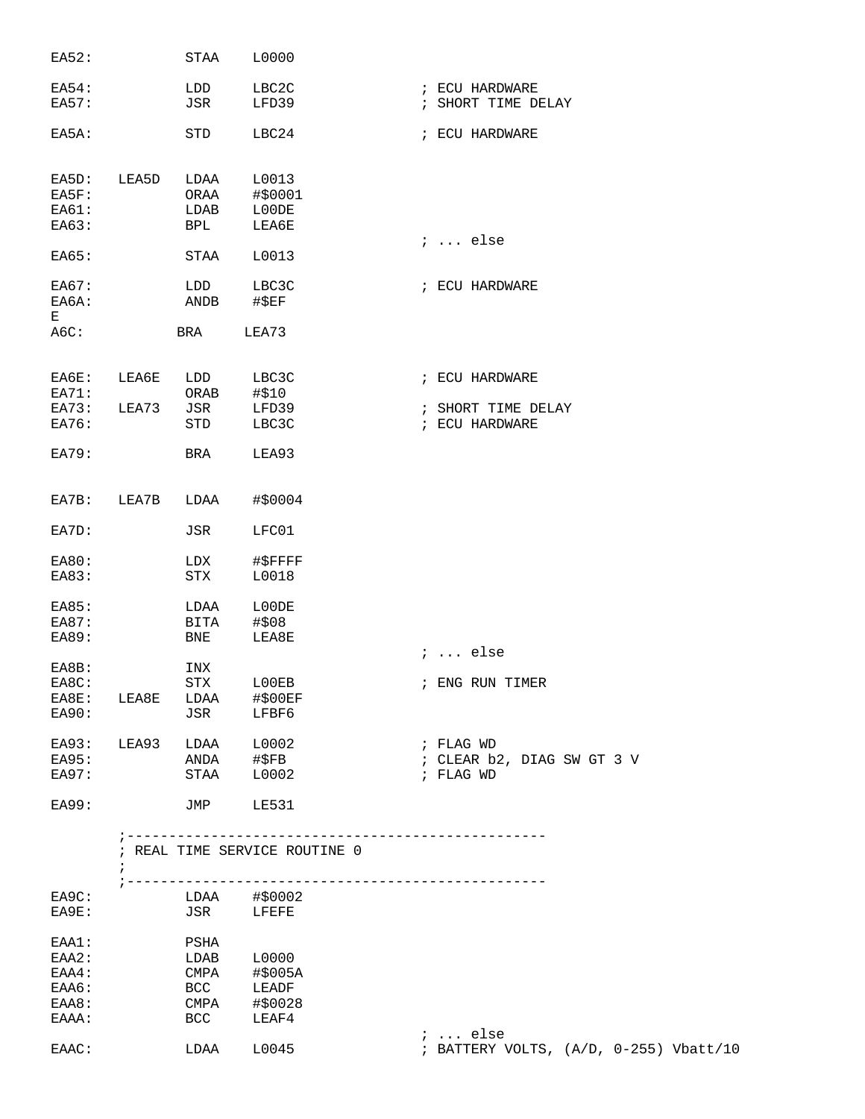| EA52:          |                          | STAA        | L0000                         |                                                           |
|----------------|--------------------------|-------------|-------------------------------|-----------------------------------------------------------|
| EA54:          |                          | LDD         | LBC2C                         | ; ECU HARDWARE                                            |
| <b>EA57:</b>   |                          | JSR         | LFD39                         | ; SHORT TIME DELAY                                        |
| EA5A:          |                          | STD         | LBC24                         | ; ECU HARDWARE                                            |
| EA5D:          | LEA5D                    | LDAA        | L0013                         |                                                           |
| EA5F:          |                          | ORAA        | #\$0001                       |                                                           |
| EA61:<br>EA63: |                          | LDAB<br>BPL | L00DE<br>LEA6E                |                                                           |
|                |                          |             |                               | $i \ldots$ else                                           |
| EA65:          |                          | STAA        | L0013                         |                                                           |
| EA67:          |                          | LDD         | LBC3C                         | ; ECU HARDWARE                                            |
| EA6A:          |                          | ANDB        | #\$EF                         |                                                           |
| Е              |                          |             |                               |                                                           |
| A6C:           |                          | BRA         | LEA73                         |                                                           |
| EA6E:          | LEA6E                    | LDD         | LBC3C                         | ; ECU HARDWARE                                            |
| EA71:          |                          | ORAB        | #\$10                         |                                                           |
| EA73:          | LEA73                    | JSR         | LFD39                         | ; SHORT TIME DELAY                                        |
| EA76:          |                          | STD         | LBC3C                         | ; ECU HARDWARE                                            |
| EA79:          |                          | BRA         | LEA93                         |                                                           |
| EA7B:          | LEA7B                    | LDAA        | #\$0004                       |                                                           |
| EA7D:          |                          | JSR         | LFC01                         |                                                           |
| <b>EA80:</b>   |                          | LDX         | #\$FFFF                       |                                                           |
| EA83:          |                          | STX         | L0018                         |                                                           |
| EA85:          |                          | LDAA        | L00DE                         |                                                           |
| EA87:          |                          | BITA        | #\$08                         |                                                           |
| EA89:          |                          | BNE         | LEA8E                         |                                                           |
|                |                          |             |                               | $i \ldots$ else                                           |
| EA8B:          |                          | INX         |                               |                                                           |
| EA8C:          |                          | <b>STX</b>  | LOOEB                         | ; ENG RUN TIMER                                           |
| EA8E:          | LEA8E                    | LDAA        | #\$00EF<br>JSR LFBF6          |                                                           |
| EA90:          |                          |             |                               |                                                           |
| EA93:          | LEA93                    |             | LDAA L0002                    | ; FLAG WD                                                 |
| E A 95:        |                          |             |                               | ; CLEAR b2, DIAG SW GT 3 V                                |
| EA97:          |                          |             | ANDA #\$FB<br>STAA L0002      | ; FLAG WD                                                 |
| <b>EA99:</b>   |                          |             | JMP LE531                     |                                                           |
|                |                          |             | ; REAL TIME SERVICE ROUTINE 0 |                                                           |
|                | $\ddot{i}$<br>; -------- |             |                               | -----------------------------                             |
| EA9C:          |                          |             | LDAA #\$0002                  |                                                           |
| EA9E:          |                          |             | JSR LFEFE                     |                                                           |
| EAA1:          |                          | PSHA        |                               |                                                           |
| EAA2:          |                          |             | LDAB L0000                    |                                                           |
| EAA4:          |                          | CMPA        | #\$005A                       |                                                           |
| EAA6:          |                          | BCC         | LEADF                         |                                                           |
| EAA8:          |                          | CMPA        | #\$0028                       |                                                           |
| EAAA:          |                          | <b>BCC</b>  | LEAF4                         |                                                           |
| EAAC:          |                          | LDAA        | L0045                         | $i \ldots$ else<br>; BATTERY VOLTS, (A/D, 0-255) Vbatt/10 |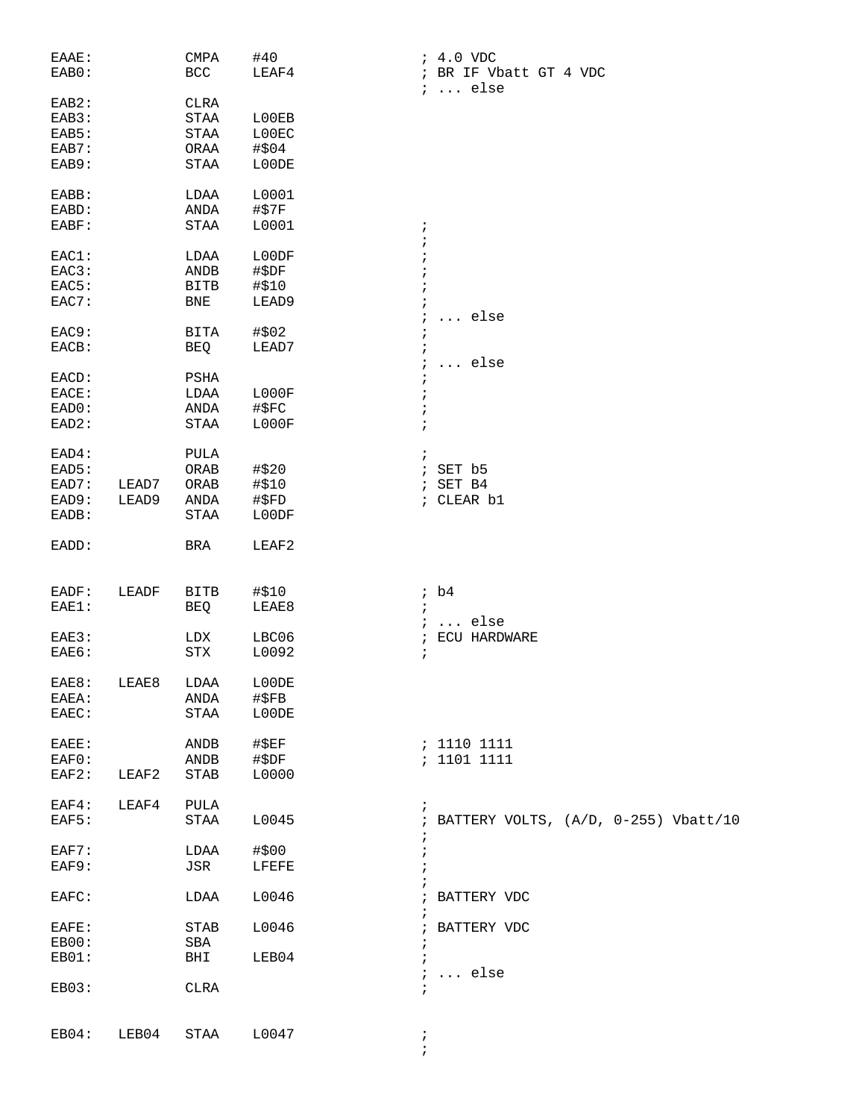| EAAE: |       | CMPA                  | #40           | $: 4.0$ VDC                            |
|-------|-------|-----------------------|---------------|----------------------------------------|
| EAB0: |       | $_{\rm BCC}$          | LEAF4         | ; BR IF Vbatt GT 4 VDC                 |
| EAB2: |       | <b>CLRA</b>           |               | $i \ldots$ else                        |
| EAB3: |       | $\operatorname{STAA}$ | L00EB         |                                        |
| EAB5: |       | $\operatorname{STAA}$ | L00EC         |                                        |
|       |       |                       |               |                                        |
| EAB7: |       | ORAA                  | #\$04         |                                        |
| EAB9: |       | STAA                  | L00DE         |                                        |
| EABB: |       | LDAA                  | L0001         |                                        |
| EABD: |       | ANDA                  | #\$7F         |                                        |
| EABF: |       | $\operatorname{STAA}$ | L0001         | $\ddot{ }$                             |
|       |       |                       |               |                                        |
| EAC1: |       | LDAA                  | L00DF         |                                        |
| EAC3: |       | ANDB                  | #\$DF         |                                        |
| EAC5: |       | <b>BITB</b>           | #\$10         |                                        |
| EAC7: |       | <b>BNE</b>            | LEAD9         |                                        |
|       |       |                       |               | else                                   |
| EAC9: |       | BITA                  | #\$02         |                                        |
| EACB: |       | BEQ                   | LEAD7         |                                        |
|       |       |                       |               |                                        |
|       |       |                       |               | $\ldots$ else<br>i.                    |
| EACD: |       | PSHA                  |               |                                        |
| EACE: |       | LDAA                  | LOOOF         |                                        |
| EAD0: |       | ANDA                  | #\$FC         |                                        |
| EAD2: |       | $\operatorname{STAA}$ | LOOOF         | $\ddot{i}$                             |
|       |       | <b>PULA</b>           |               |                                        |
| EAD4: |       |                       |               | $\ddot{ }$                             |
| EAD5: |       | ${\sf ORAB}$          | #\$20         | SET b5<br>$\ddot{i}$                   |
| EAD7: | LEAD7 | ORAB                  | #\$10         | SET B4<br>$\ddot{i}$                   |
| EAD9: | LEAD9 | ANDA                  | #\$FD         | ; CLEAR b1                             |
| EADB: |       | $\operatorname{STAA}$ | L00DF         |                                        |
| EADD: |       | BRA                   | LEAF2         |                                        |
|       |       |                       |               |                                        |
|       |       |                       |               |                                        |
| EADF: | LEADF | BITB                  | #\$10         | ib4                                    |
| EAE1: |       |                       | LEAE8         | $\ddot{i}$                             |
|       |       | <b>BEQ</b>            |               |                                        |
|       |       |                       |               | $i \ldots$ else                        |
| EAE3: |       | LDX                   | LBC06         | ECU HARDWARE<br>$\ddot{i}$             |
| EAE6: |       | ${\rm STX}$           | L0092         | $\ddot{ }$                             |
|       |       |                       |               |                                        |
| EAE8: | LEAE8 | LDAA                  | L00DE         |                                        |
| EAEA: |       | ANDA                  | $\sharp$ \$FB |                                        |
| EAEC: |       | STAA                  | L00DE         |                                        |
|       |       |                       |               |                                        |
| EAEE: |       | ANDB                  | $\sharp$ \$EF | : 1110 1111                            |
| EAF0: |       | ANDB                  | #\$DF         | : 1101 1111                            |
| EAF2: | LEAF2 | STAB                  | L0000         |                                        |
|       |       |                       |               |                                        |
| EAF4: | LEAF4 | PULA                  |               | $\ddot{ }$                             |
| EAF5: |       | STAA                  | L0045         | ; BATTERY VOLTS, (A/D, 0-255) Vbatt/10 |
|       |       |                       |               |                                        |
| EAF7: |       | LDAA                  | #\$00         |                                        |
| EAF9: |       | JSR                   | LFEFE         |                                        |
|       |       |                       |               |                                        |
| EAFC: |       | LDAA                  | L0046         | BATTERY VDC                            |
|       |       |                       |               |                                        |
| EAFE: |       | STAB                  | L0046         | ; BATTERY VDC                          |
| EB00: |       | SBA                   |               |                                        |
| EB01: |       | BHI                   | LEB04         | $\ddot{i}$                             |
|       |       |                       |               | $i \ldots$ else                        |
| EB03: |       | <b>CLRA</b>           |               | $\ddot{ }$                             |
|       |       |                       |               |                                        |
|       |       |                       |               |                                        |
| EB04: | LEB04 | STAA                  | L0047         | $\ddot{\phantom{0}}$<br>$\ddot{ }$     |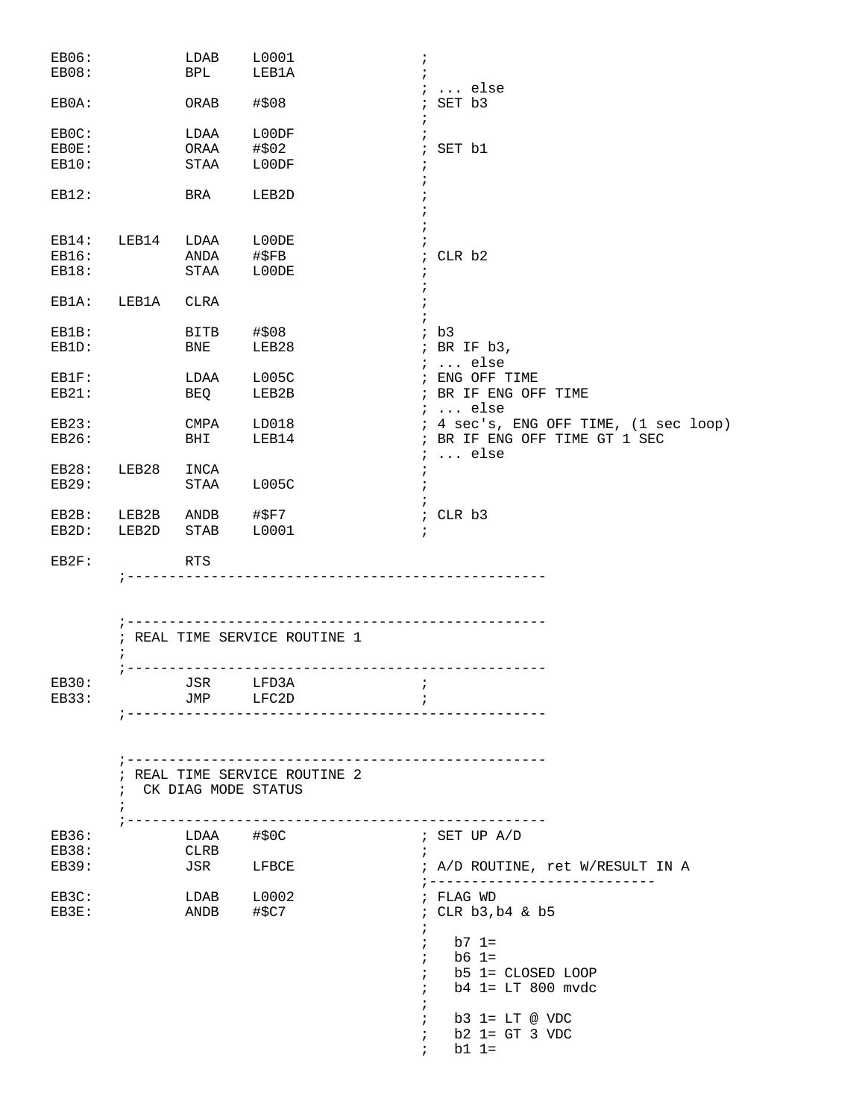| EB06:<br>EB08: |             | LDAB<br><b>BPL</b>                   | L0001<br>LEB1A                                       | $\ddot{i}$<br>$\ddot{i}$                                   |
|----------------|-------------|--------------------------------------|------------------------------------------------------|------------------------------------------------------------|
|                |             |                                      |                                                      | $i \ldots$ else                                            |
| EB0A:          |             | ORAB                                 | #\$08                                                | ; SET b3                                                   |
| EB0C:          |             | LDAA                                 | L00DF                                                |                                                            |
| EB0E:          |             | ORAA                                 | #\$02                                                | ; SET b1                                                   |
| EB10:          |             | STAA                                 | L00DF                                                |                                                            |
| EB12:          |             | BRA                                  | LEB2D                                                |                                                            |
|                | EB14: LEB14 | LDAA L00DE                           |                                                      |                                                            |
| EB16:          |             |                                      | ANDA #\$FB                                           | ; CLR b2                                                   |
| EB18:          |             | STAA                                 | L00DE                                                |                                                            |
| EB1A:          | LEB1A       | CLRA                                 |                                                      |                                                            |
| EB1B:          |             |                                      | BITB #\$08                                           | ; b3                                                       |
| EB1D:          |             | BNE                                  | LEB28                                                | ; BR IF b3,<br>$i \ldots$ else                             |
| EB1F:          |             | LDAA                                 | L005C                                                | ; ENG OFF TIME                                             |
| EB21:          |             | <b>BEQ</b>                           | LEB2B                                                | ; BR IF ENG OFF TIME                                       |
|                |             |                                      |                                                      | $i \dots$ else                                             |
| EB23:          |             | CMPA                                 | LD018                                                | ; 4 sec's, ENG OFF TIME, (1 sec loop)                      |
| EB26:          |             | BHI                                  | LEB14                                                | ; BR IF ENG OFF TIME GT 1 SEC<br>$i \ldots$ else           |
| EB28:          | LEB28       | INCA                                 |                                                      | $\ddot{ }$                                                 |
| EB29:          |             |                                      | STAA L005C                                           |                                                            |
| EB2B:          |             |                                      |                                                      | ; CLR b3                                                   |
| EB2D:          |             | LEB2B ANDB #\$F7<br>LEB2D STAB L0001 |                                                      |                                                            |
| EB2F:          |             | RTS                                  |                                                      |                                                            |
|                |             |                                      | ; REAL TIME SERVICE ROUTINE 1                        |                                                            |
|                |             |                                      |                                                      |                                                            |
| EB30:          |             | JSR LFD3A                            |                                                      |                                                            |
| EB33:          |             | JMP                                  | LFC2D                                                | $\ddot{i}$                                                 |
|                | $\ddot{i}$  |                                      | ; REAL TIME SERVICE ROUTINE 2<br>CK DIAG MODE STATUS |                                                            |
|                | $\cdot$     |                                      |                                                      |                                                            |
| EB36:          |             | LDAA #\$0C                           |                                                      | ; SET UP A/D                                               |
| EB38:          |             | CLRB                                 |                                                      | $\ddot{i}$                                                 |
| EB39:          |             | JSR                                  | LFBCE                                                | ; A/D ROUTINE, ret W/RESULT IN A<br>;--------------------- |
| EB3C:          |             |                                      | $LDAB$ $L0002$                                       | ; FLAG WD                                                  |
| EB3E:          |             | ANDB #\$C7                           |                                                      | ; CLR b3, b4 & b5<br>$\ddot{i}$                            |
|                |             |                                      |                                                      | b7 1=<br>$\ddot{i}$                                        |
|                |             |                                      |                                                      | b6 1=<br>$\ddot{i}$                                        |
|                |             |                                      |                                                      | b5 1= CLOSED LOOP<br>$\ddot{i}$                            |
|                |             |                                      |                                                      | b4 1= LT 800 mvdc<br>$\ddot{i}$                            |
|                |             |                                      |                                                      |                                                            |
|                |             |                                      |                                                      | $b3$ 1= LT @ VDC                                           |
|                |             |                                      |                                                      | $b2$ 1= GT 3 VDC                                           |
|                |             |                                      |                                                      | $b1 1=$                                                    |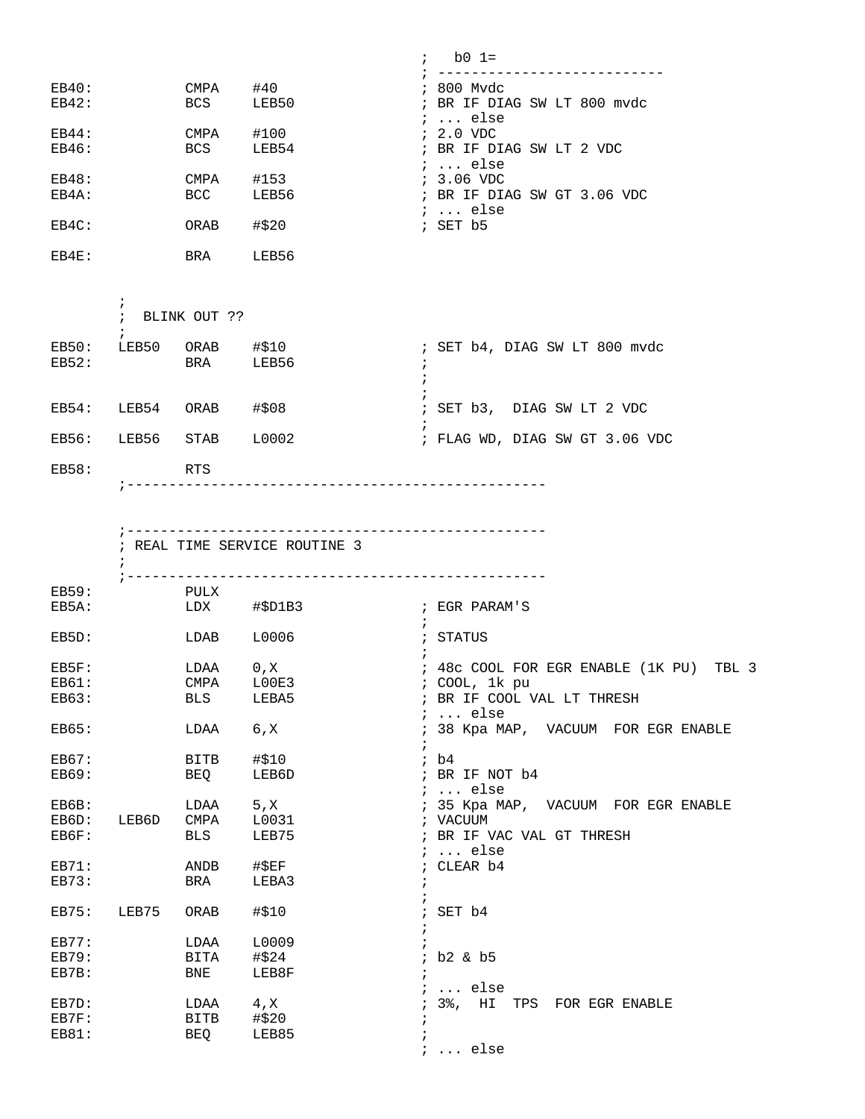|       |             |       | $\ddot{i}$ | $b0 1=$                                 |
|-------|-------------|-------|------------|-----------------------------------------|
| EB40: | <b>CMPA</b> | #40   |            | ; 800 Mvdc                              |
| EB42: | <b>BCS</b>  | LEB50 |            | ; BR IF DIAG SW LT 800 mvdc<br>$i$ else |
| EB44: | <b>CMPA</b> | #100  |            | $: 2.0$ VDC                             |
| EB46: | <b>BCS</b>  | LEB54 |            | ; BR IF DIAG SW LT 2 VDC<br>$i$ else    |
| EB48: | <b>CMPA</b> | #153  |            | $: 3.06$ VDC                            |
| EB4A: | <b>BCC</b>  | LEB56 |            | ; BR IF DIAG SW GT 3.06 VDC<br>$i$ else |
| EB4C: | ORAB        | #\$20 |            | $;$ SET $b5$                            |
| EB4E: | <b>BRA</b>  | LEB56 |            |                                         |

|                | $\ddot{i}$ | BLINK OUT ?? |                |                                |  |  |
|----------------|------------|--------------|----------------|--------------------------------|--|--|
| EB50:<br>EB52: | LEB50      | ORAB<br>BRA  | #\$10<br>LEB56 | ; SET b4, DIAG SW LT 800 mvdc  |  |  |
| EB54:          | LEB54      | ORAB         | #\$08          | ; SET b3, DIAG SW LT 2 VDC     |  |  |
| EB56:          | LEB56 STAB |              | L0002          | ; FLAG WD, DIAG SW GT 3.06 VDC |  |  |
| EB58:          |            | RTS          |                |                                |  |  |

;--------------------------------------------------

|                                |       |                           | ; REAL TIME SERVICE ROUTINE 3 |                                                                                                    |
|--------------------------------|-------|---------------------------|-------------------------------|----------------------------------------------------------------------------------------------------|
| <b>EB59:</b><br>EB5A:          |       | PULX<br>LDX               | $\sharp$ \$D1B3               | ; EGR PARAM'S                                                                                      |
| EB5D:                          |       | LDAB                      | L0006                         | ; STATUS                                                                                           |
| EB5F:<br><b>EB61:</b><br>EB63: |       | LDAA 0,X<br>CMPA<br>BLS   | LOOE3<br>LEBA5                | ; 48c COOL FOR EGR ENABLE (1K PU) TBL 3<br>; COOL, 1k pu<br>; BR IF COOL VAL LT THRESH<br>$i$ else |
| EB65:                          |       | LDAA                      | 6, X                          | ; 38 Kpa MAP, VACUUM FOR EGR ENABLE                                                                |
| EB67:<br><b>EB69:</b>          |       | <b>BITB</b><br>BEO        | #\$10<br>LEB6D                | ib4<br>; BR IF NOT b4<br>;  else                                                                   |
| EB6B:<br>EB6D:<br>EB6F:        | LEB6D | LDAA 5, X<br><b>BLS</b>   | CMPA L0031<br>LEB75           | ; 35 Kpa MAP, VACUUM FOR EGR ENABLE<br>; VACUUM<br>; BR IF VAC VAL GT THRESH<br>$i$ else           |
| EB71:<br><b>EB73:</b>          |       | ANDB<br>BRA               | #\$EF<br>LEBA3                | ; CLEAR b4                                                                                         |
| EB75:                          | LEB75 | ORAB                      | #\$10                         | $;$ SET $b4$                                                                                       |
| EB77:<br><b>EB79:</b><br>EB7B: |       | LDAA<br>BITA #\$24<br>BNE | L0009<br>LEB8F                | $\ddot{i}$<br>; b2 & b5                                                                            |
| EB7D:<br>EB7F:<br>EB81:        |       | LDAA<br>BITB<br>BEQ       | 4, X<br>#\$20<br>LEB85        | $i$ else<br>; 3%, HI TPS FOR EGR ENABLE<br>$i$ else                                                |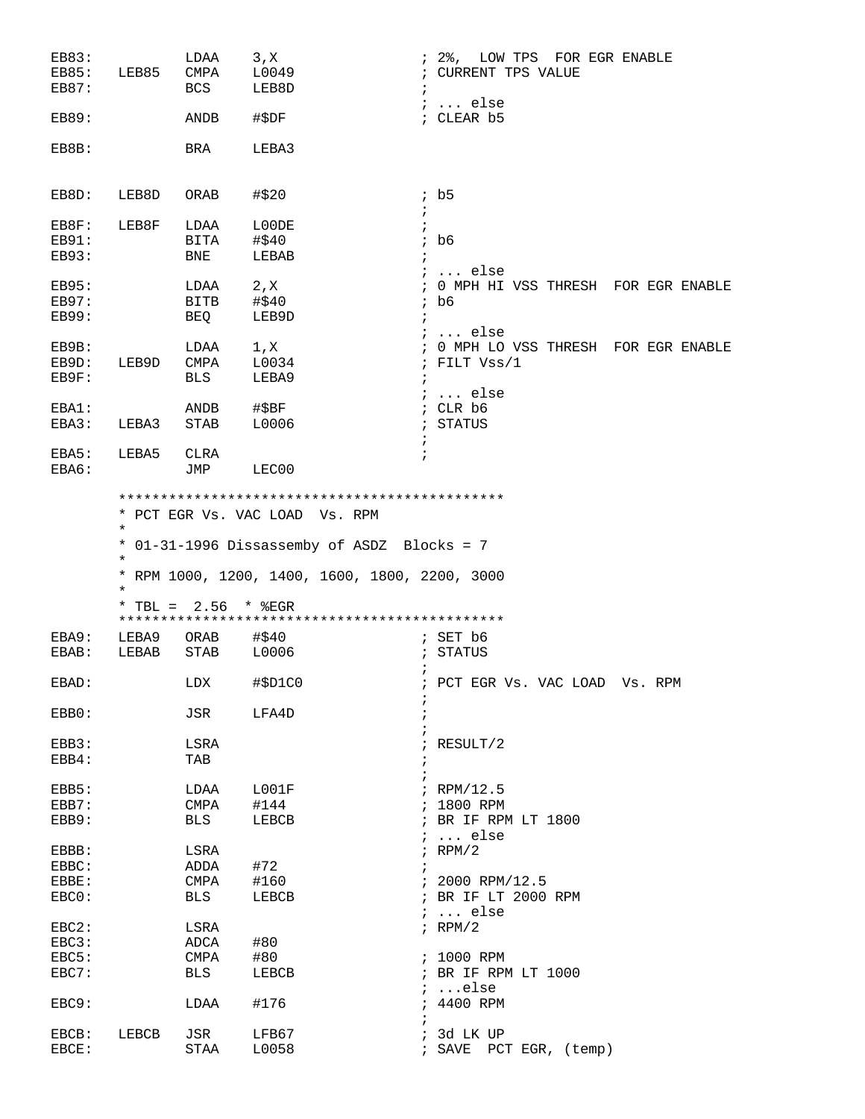| EB83:          |            | LDAA                   | 3, X                                                                                          | ; 2%, LOW TPS FOR EGR ENABLE                       |
|----------------|------------|------------------------|-----------------------------------------------------------------------------------------------|----------------------------------------------------|
| <b>EB85:</b>   | LEB85 CMPA |                        | L0049                                                                                         | ; CURRENT TPS VALUE                                |
| EB87:          |            | BCS                    | LEB8D                                                                                         | $\ddot{i}$                                         |
|                |            |                        |                                                                                               | $i \ldots$ else                                    |
| <b>EB89:</b>   |            | ANDB                   | #\$DF                                                                                         | ; CLEAR b5                                         |
|                |            |                        |                                                                                               |                                                    |
| EB8B:          |            | BRA                    | LEBA3                                                                                         |                                                    |
|                |            |                        |                                                                                               |                                                    |
| EB8D:          | LEB8D      | ORAB                   | #\$20                                                                                         | ib5                                                |
|                |            |                        |                                                                                               | $\ddot{i}$                                         |
| EB8F:          | LEB8F      | LDAA                   | L00DE                                                                                         | $\ddot{i}$                                         |
| <b>EB91:</b>   |            | BITA                   | #\$40                                                                                         | $;$ b6                                             |
| EB93:          |            | BNE                    | LEBAB                                                                                         | $\ddot{i}$                                         |
|                |            |                        |                                                                                               | $i \ldots$ else                                    |
| EB95:          |            | LDAA                   | 2, X                                                                                          | ; 0 MPH HI VSS THRESH FOR EGR ENABLE               |
| EB97:          |            | BITB                   | #\$40                                                                                         | ; b6                                               |
| <b>EB99:</b>   |            | BEQ                    | LEB9D                                                                                         | $\ddot{i}$                                         |
|                |            |                        |                                                                                               | $i$ else                                           |
| EB9B:          |            | LDAA                   | 1, x                                                                                          | : 0 MPH LO VSS THRESH FOR EGR ENABLE               |
| EB9D:          | LEB9D      | CMPA                   | L0034                                                                                         | ; FILT Vss/1                                       |
| EB9F:          |            | BLS                    | LEBA9                                                                                         | $\ddot{i}$                                         |
|                |            |                        |                                                                                               | <i>;</i> else                                      |
| EBA1:          |            | ANDB                   | #\$BF                                                                                         | ; CLR b6                                           |
| EBA3:          | LEBA3      | STAB                   | L0006                                                                                         | ; STATUS                                           |
|                |            |                        |                                                                                               | $\ddot{i}$                                         |
| EBA5:          | LEBA5      | CLRA                   | $\ddot{i}$                                                                                    |                                                    |
| EBA6:          |            | JMP                    | LEC00                                                                                         |                                                    |
|                | $\star$    |                        | * 01-31-1996 Dissassemby of ASDZ Blocks = 7<br>* RPM 1000, 1200, 1400, 1600, 1800, 2200, 3000 |                                                    |
|                | $^\star$   |                        |                                                                                               |                                                    |
|                |            | * TBL = $2.56$ * $EGR$ |                                                                                               |                                                    |
|                |            |                        |                                                                                               |                                                    |
| EBA9:          | LEBA9      | ORAB                   | #\$40                                                                                         | ; $SET b6$                                         |
| EBAB:          | LEBAB STAB |                        | L0006                                                                                         | ; STATUS                                           |
| EBAD:          | <b>LDX</b> |                        | #\$D1C0                                                                                       | $\ddot{i}$<br>; PCT EGR Vs. VAC LOAD Vs. RPM       |
| EBB0:          |            | JSR                    | ï<br>LFA4D                                                                                    |                                                    |
|                |            |                        |                                                                                               |                                                    |
| EBB3:          |            | LSRA                   |                                                                                               | $F$ RESULT/2                                       |
| EBB4:          |            | TAB                    | ÷                                                                                             |                                                    |
|                |            |                        |                                                                                               |                                                    |
| EBB5:          |            | LDAA                   | L001F                                                                                         | $i$ RPM/12.5                                       |
| EBB7:          |            | CMPA                   | #144                                                                                          | ; 1800 RPM                                         |
| EBB9:          |            | BLS                    | LEBCB                                                                                         | ; BR IF RPM LT 1800<br>$\ldots$ else<br>$\ddot{i}$ |
| EBBB:          |            | LSRA                   |                                                                                               | $;$ RPM/2                                          |
|                |            |                        |                                                                                               |                                                    |
| EBBC:          |            | ADDA                   | #72                                                                                           |                                                    |
| EBBE:          |            | CMPA                   | #160                                                                                          | $: 2000$ RPM/12.5                                  |
| EBC0:          |            | BLS                    | LEBCB                                                                                         | ; BR IF LT 2000 RPM<br>$i$ else                    |
| $EBC2$ :       |            | LSRA                   |                                                                                               | $F$ RPM/2                                          |
|                |            | ADCA                   |                                                                                               |                                                    |
| EBC3:          |            | CMPA                   | #80                                                                                           |                                                    |
| EBC5:<br>EBC7: |            | BLS                    | #80<br>LEBCB                                                                                  | ; 1000 RPM<br>; BR IF RPM LT 1000                  |
|                |            |                        |                                                                                               | $i$ else                                           |
| EBC9:          |            | LDAA                   | #176                                                                                          | ; 4400 RPM                                         |
|                |            |                        |                                                                                               |                                                    |
| EBCB:<br>EBCE: | LEBCB      | JSR<br>STAA            | LFB67<br>L0058                                                                                | ; 3d LK UP<br>; SAVE PCT EGR, (temp)               |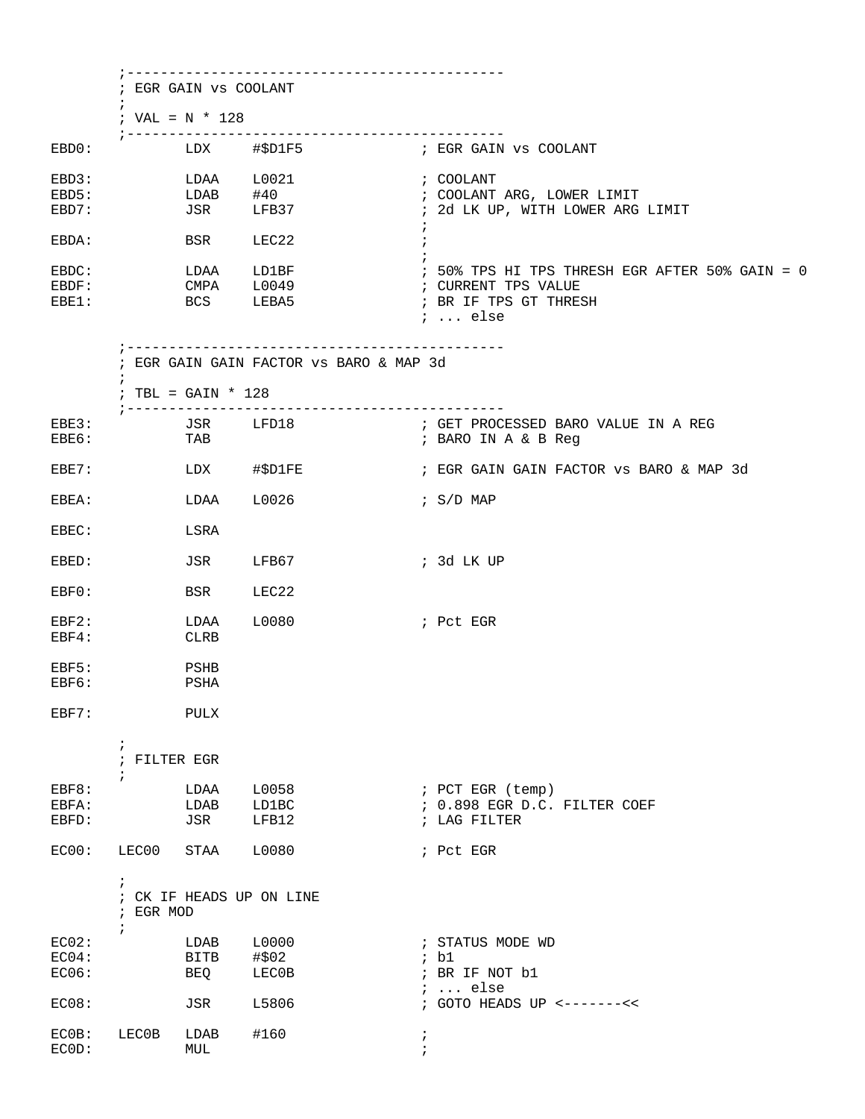| $\ddot{ }$              | ; EGR GAIN VS COOLANT |                                                                       |                                                                |
|-------------------------|-----------------------|-----------------------------------------------------------------------|----------------------------------------------------------------|
|                         | ; VAL = $N * 128$     |                                                                       |                                                                |
|                         |                       |                                                                       |                                                                |
|                         | LDAA                  | L0021                                                                 | ; COOLANT                                                      |
|                         | LDAB<br>JSR           | #40<br>LFB37                                                          | ; COOLANT ARG, LOWER LIMIT<br>; 2d LK UP, WITH LOWER ARG LIMIT |
|                         |                       |                                                                       | $\ddot{ }$                                                     |
|                         | <b>BSR</b>            | LEC22                                                                 |                                                                |
|                         |                       | LDAA LD1BF                                                            | ; 50% TPS HI TPS THRESH EGR AFTER 50% GAIN = 0                 |
|                         | CMPA<br><b>BCS</b>    | L0049<br>LEBA5                                                        | ; CURRENT TPS VALUE<br>; BR IF TPS GT THRESH                   |
|                         |                       |                                                                       | $i \ldots$ else                                                |
|                         |                       | ;-------------------------<br>; EGR GAIN GAIN FACTOR VS BARO & MAP 3d |                                                                |
| $\ddot{i}$              | ; TBL = GAIN $*$ 128  |                                                                       |                                                                |
| ; ---------             |                       | JSR LFD18                                                             | --------------<br>; GET PROCESSED BARO VALUE IN A REG          |
|                         | TAB                   |                                                                       | ; BARO IN A & B Reg                                            |
|                         |                       | LDX #\$D1FE                                                           | ; EGR GAIN GAIN FACTOR VS BARO & MAP 3d                        |
|                         | LDAA                  | L0026                                                                 | ; S/D MAP                                                      |
|                         | LSRA                  |                                                                       |                                                                |
|                         | JSR                   | LFB67                                                                 | ; 3d LK UP                                                     |
|                         | BSR                   | LEC22                                                                 |                                                                |
|                         | LDAA                  | L0080                                                                 | ; Pct EGR                                                      |
|                         | <b>CLRB</b>           |                                                                       |                                                                |
|                         | PSHB<br>PSHA          |                                                                       |                                                                |
|                         |                       |                                                                       |                                                                |
|                         | PULX                  |                                                                       |                                                                |
| $\ddot{i}$              | ; FILTER EGR          |                                                                       |                                                                |
| $\ddot{i}$              | LDAA                  | L0058                                                                 | ; PCT EGR (temp)                                               |
|                         | LDAB                  | LD1BC                                                                 | ; 0.898 EGR D.C. FILTER COEF                                   |
|                         | JSR                   | LFB12                                                                 | ; LAG FILTER                                                   |
| LEC00                   | STAA                  | L0080                                                                 | ; Pct EGR                                                      |
| $\ddot{i}$<br>; EGR MOD |                       | ; CK IF HEADS UP ON LINE                                              |                                                                |
| $\ddot{i}$              | LDAB                  | L0000                                                                 | ; STATUS MODE WD                                               |
|                         | BITB                  | #\$02                                                                 | ib1                                                            |
|                         | BEQ                   | LEC0B                                                                 | ; BR IF NOT b1<br>$i \ldots$ else                              |
|                         | JSR                   | L5806                                                                 | ; GOTO HEADS UP <-------<<                                     |
| LEC0B                   | LDAB                  | #160                                                                  | $\ddot{ }$                                                     |
|                         | MUL                   |                                                                       |                                                                |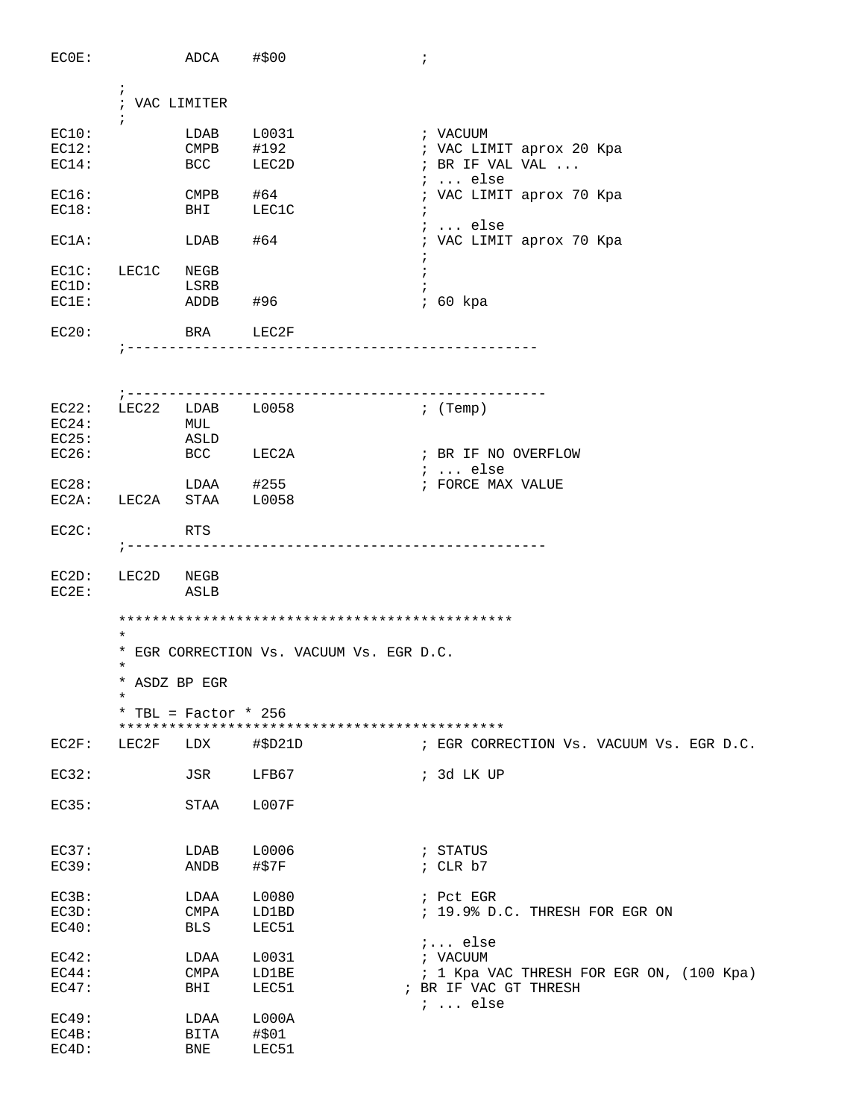| ECOE:          |                       | ADCA #\$00                                                                                                                                                  |                                                       | $\ddot{i}$                                  |
|----------------|-----------------------|-------------------------------------------------------------------------------------------------------------------------------------------------------------|-------------------------------------------------------|---------------------------------------------|
|                | $\cdot$               | ; VAC LIMITER                                                                                                                                               |                                                       |                                             |
| EC10:          | $\ddot{i}$            | LDAB                                                                                                                                                        | L0031                                                 | ; VACUUM                                    |
| EC12:          |                       | CMPB #192                                                                                                                                                   |                                                       |                                             |
| EC14:          |                       | <b>BCC</b>                                                                                                                                                  | LEC2D                                                 | ; VAC LIMIT aprox 20 Kpa<br>; BR IF VAL VAL |
|                |                       |                                                                                                                                                             |                                                       | $i \ldots$ else                             |
| EC16:<br>EC18: |                       | $CMPB$ #64                                                                                                                                                  | BHI LEC1C                                             | ; VAC LIMIT aprox 70 Kpa<br>$\ddot{i}$      |
| $EC1A$ :       |                       | $LDAB$ #64                                                                                                                                                  |                                                       | $: $ else<br>; VAC LIMIT aprox 70 Kpa       |
| EC1C: LEC1C    |                       | NEGB                                                                                                                                                        |                                                       | $\ddot{i}$                                  |
| EC1D:          |                       | LSRB                                                                                                                                                        |                                                       |                                             |
| EC1E:          |                       | ADDB #96                                                                                                                                                    |                                                       | ; 60 kpa                                    |
| EC20:          |                       |                                                                                                                                                             | BRA LEC2F                                             |                                             |
|                |                       |                                                                                                                                                             | -----------------                                     |                                             |
|                |                       |                                                                                                                                                             |                                                       |                                             |
|                | $7 - - - - - - - - -$ |                                                                                                                                                             | -------------------<br>$EC22:$ $LEC22$ $LDAB$ $L0058$ | $;$ (Temp)                                  |
| EC24:          |                       | MUL                                                                                                                                                         |                                                       |                                             |
| EC25:          |                       | ASLD                                                                                                                                                        |                                                       |                                             |
| EC26:          |                       |                                                                                                                                                             | BCC LEC2A                                             | ; BR IF NO OVERFLOW                         |
|                |                       |                                                                                                                                                             |                                                       | $\ldots$ else                               |
|                |                       |                                                                                                                                                             |                                                       | ; FORCE MAX VALUE                           |
|                |                       | $\begin{tabular}{llll} \texttt{EC28}: & \texttt{LDAA} & \texttt{\#255} \\ \texttt{EC2A}: & \texttt{LEC2A} & \texttt{STAA} & \texttt{\#10058} \end{tabular}$ |                                                       |                                             |
| $EC2C$ :       |                       | RTS                                                                                                                                                         |                                                       |                                             |
|                |                       |                                                                                                                                                             | ----------------------------                          |                                             |
| EC2D:<br>EC2E: | LEC2D                 | NEGB<br>ASLB                                                                                                                                                |                                                       |                                             |
|                |                       |                                                                                                                                                             |                                                       |                                             |
|                | $^\star$              |                                                                                                                                                             | * EGR CORRECTION Vs. VACUUM Vs. EGR D.C.              |                                             |
|                | $^\star$              |                                                                                                                                                             |                                                       |                                             |
|                | ¥                     | * ASDZ BP EGR                                                                                                                                               |                                                       |                                             |
|                |                       | * TBL = Factor * 256                                                                                                                                        |                                                       |                                             |
| EC2F:          | LEC2F                 | LDX                                                                                                                                                         | #\$D21D                                               | ; EGR CORRECTION Vs. VACUUM Vs. EGR D.C.    |
| EC32:          |                       | JSR                                                                                                                                                         | LFB67                                                 | ; 3d LK UP                                  |
| EC35:          |                       | STAA                                                                                                                                                        | L007F                                                 |                                             |
|                |                       |                                                                                                                                                             |                                                       |                                             |
| EC37:          |                       | LDAB                                                                                                                                                        | L0006                                                 | ; STATUS                                    |
| EC39:          |                       | ANDB                                                                                                                                                        | #\$7F                                                 | ; $CLR b7$                                  |
| EC3B:          |                       | LDAA                                                                                                                                                        | L0080                                                 | ; Pct EGR                                   |
| EC3D:          |                       | CMPA                                                                                                                                                        | LD1BD                                                 | ; 19.9% D.C. THRESH FOR EGR ON              |
| EC40:          |                       | <b>BLS</b>                                                                                                                                                  | LEC51                                                 |                                             |
|                |                       |                                                                                                                                                             |                                                       | $i$ else                                    |
| EC42:          |                       | LDAA                                                                                                                                                        | L0031                                                 | ; VACUUM                                    |
| EC44:          |                       | CMPA                                                                                                                                                        | LD1BE                                                 | ; 1 Kpa VAC THRESH FOR EGR ON, (100 Kpa)    |
| EC47:          |                       | BHI                                                                                                                                                         | LEC51                                                 | ; BR IF VAC GT THRESH<br>$i \ldots$ else    |
| EC49:          |                       | LDAA                                                                                                                                                        | L000A                                                 |                                             |
| EC4B:          |                       | BITA                                                                                                                                                        | #\$01                                                 |                                             |
| EC4D:          |                       | <b>BNE</b>                                                                                                                                                  | LEC51                                                 |                                             |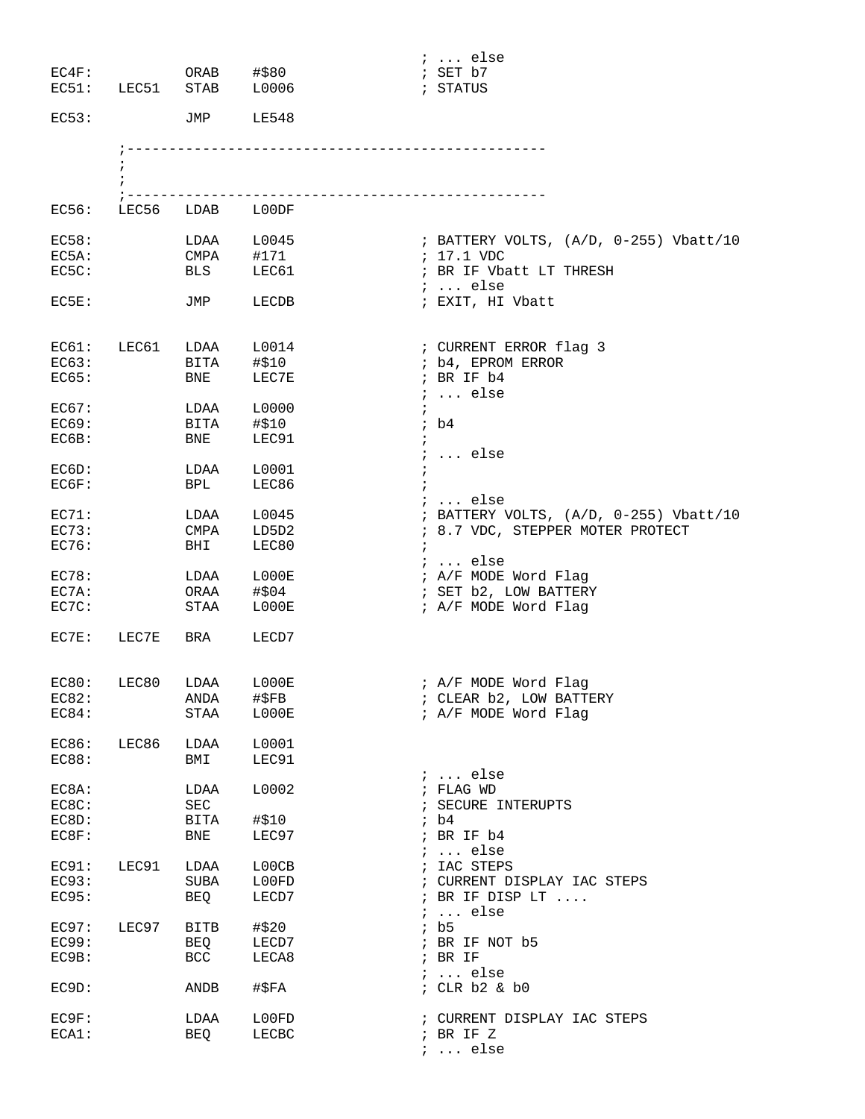|          |                 |                        |                         | $i \ldots$ else                          |
|----------|-----------------|------------------------|-------------------------|------------------------------------------|
| $EC4F$ : |                 | ORAB #\$80             |                         | ; SET b7                                 |
|          |                 | EC51: LEC51 STAB L0006 |                         | ; STATUS                                 |
| EC53:    |                 | JMP LE548              |                         |                                          |
|          |                 |                        |                         |                                          |
|          |                 |                        |                         |                                          |
|          |                 |                        |                         |                                          |
|          |                 |                        | ----------------------- |                                          |
| EC56:    |                 | LEC56 LDAB L00DF       |                         |                                          |
| EC58:    |                 | LDAA L0045             |                         | ; BATTERY VOLTS, (A/D, 0-255) Vbatt/10   |
| EC5A:    |                 | CMPA #171              |                         | $: 17.1$ VDC                             |
| EC5C:    |                 | <b>BLS</b>             | LEC61                   | ; BR IF Vbatt LT THRESH                  |
|          |                 |                        |                         | $i \ldots$ else                          |
| EC5E:    |                 | JMP                    | LECDB                   | ; EXIT, HI Vbatt                         |
|          |                 |                        |                         |                                          |
| EC61:    | LEC61           | LDAA L0014             |                         | ; CURRENT ERROR flag 3                   |
| EC63:    |                 |                        |                         | ; b4, EPROM ERROR                        |
| EC65:    |                 | $BNE$ $I = 10$         | LEC7E                   | ; BR IF b4                               |
|          |                 |                        |                         | $i \ldots$ else                          |
| EC67:    |                 | LDAA                   | L0000                   | $\ddot{i}$                               |
| EC69:    |                 | BITA                   | #\$10                   | ; b4                                     |
| EC6B:    |                 | BNE                    | LEC91                   | $\mathcal{L}$                            |
|          |                 |                        |                         | $i \ldots$ else                          |
| EC6D:    |                 | LDAA                   | L0001                   | $\ddot{ }$                               |
| EC6F:    |                 | <b>BPL</b>             | LEC86                   |                                          |
|          |                 |                        |                         | $i \ldots$ else                          |
| EC71:    |                 | LDAA                   | L0045                   | ; BATTERY VOLTS, $(A/D, 0-255)$ Vbatt/10 |
| EC73:    |                 | CMPA                   | LD5D2                   | ; 8.7 VDC, STEPPER MOTER PROTECT         |
| EC76:    |                 | <b>BHI</b>             | LEC80                   |                                          |
|          |                 |                        |                         | $i \ldots$ else                          |
| EC78:    |                 | LDAA                   | LOOOE                   | ; A/F MODE Word Flag                     |
| EC7A:    |                 | ORAA                   | #\$04                   | ; SET b2, LOW BATTERY                    |
| EC7C:    |                 | STAA                   | L000E                   | ; A/F MODE Word Flag                     |
|          |                 |                        |                         |                                          |
|          | EC7E: LEC7E BRA |                        | LECD7                   |                                          |
|          |                 |                        |                         |                                          |
|          |                 | EC80: LEC80 LDAA L000E |                         | ; A/F MODE Word Flag                     |
| EC82:    |                 | ANDA                   | #\$FB                   | ; CLEAR b2, LOW BATTERY                  |
| EC84:    |                 | STAA                   | L000E                   | ; A/F MODE Word Flag                     |
| EC86:    | LEC86           | LDAA                   | L0001                   |                                          |
| EC88:    |                 | BMI                    | LEC91                   |                                          |
|          |                 |                        |                         | $i \ldots$ else                          |
| EC8A:    |                 | LDAA                   | L0002                   | ; FLAG WD                                |
| EC8C:    |                 | SEC                    |                         | ; SECURE INTERUPTS                       |
| EC8D:    |                 | BITA                   | #\$10                   | ib4                                      |
| EC8F:    |                 | BNE                    | LEC97                   | ; BR IF b4                               |
|          |                 |                        |                         | $i \ldots$ else                          |
| EC91:    | LEC91           | LDAA                   | L00CB                   | ; IAC STEPS                              |
| EC93:    |                 | SUBA                   | L00FD                   | ; CURRENT DISPLAY IAC STEPS              |
| EC95:    |                 | <b>BEQ</b>             | LECD7                   | ; BR IF DISP LT                          |
|          |                 |                        |                         | $i \ldots$ else                          |
| EC97:    | LEC97           | <b>BITB</b>            | #\$20                   | ib5                                      |
| EC99:    |                 | BEQ                    | LECD7                   | ; BR IF NOT b5                           |
| EC9B:    |                 | BCC                    | LECA8                   | $;$ BR IF                                |
|          |                 |                        |                         | $i \ldots$ else                          |
| EC9D:    |                 | ANDB                   | #\$FA                   | ; CLR b2 & b0                            |
|          |                 |                        |                         |                                          |
| EC9F:    |                 | LDAA                   | L00FD                   | ; CURRENT DISPLAY IAC STEPS              |
| ECA1:    |                 | BEQ                    | LECBC                   | ; BR IF Z                                |
|          |                 |                        |                         | $i \ldots$ else                          |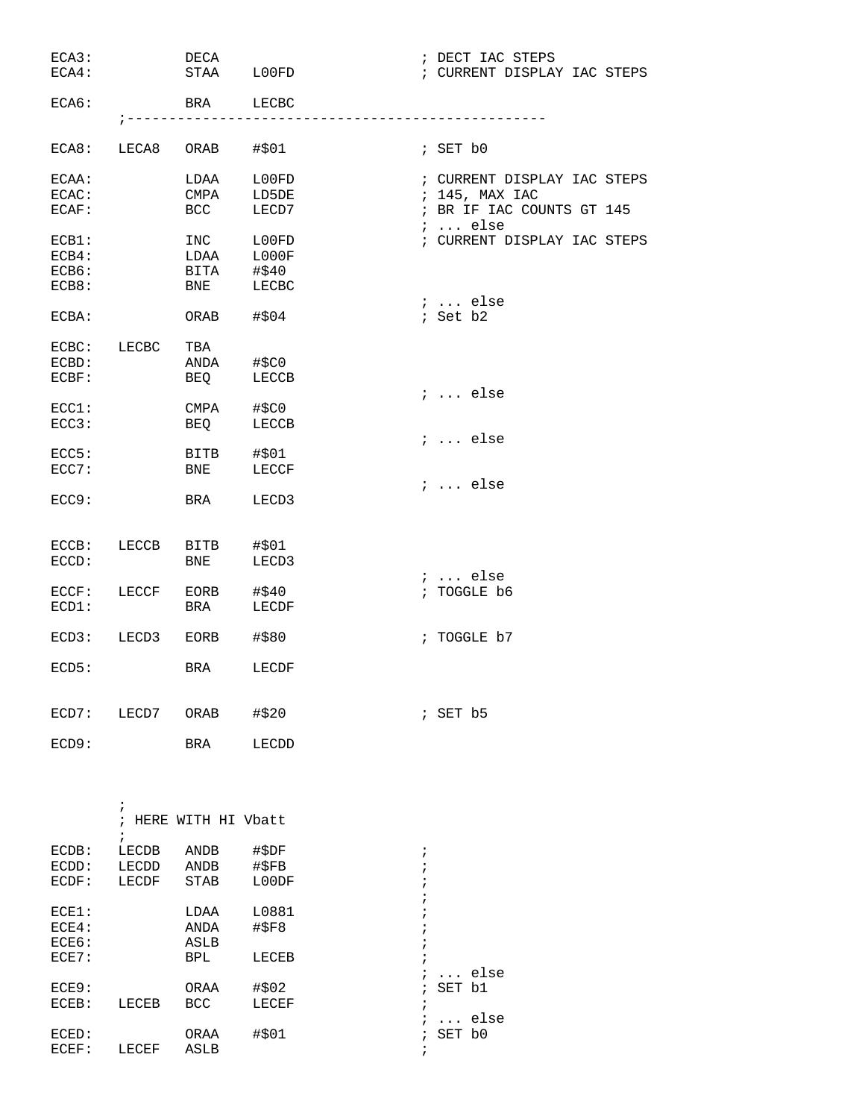| ECA3:    |                           | DECA                   |                              |            | ; DECT IAC STEPS            |
|----------|---------------------------|------------------------|------------------------------|------------|-----------------------------|
| $ECA4$ : |                           | STAA LOOFD             |                              |            | ; CURRENT DISPLAY IAC STEPS |
|          |                           |                        |                              |            |                             |
| ECAG:    |                           | BRA LECBC              |                              |            |                             |
|          | $7 - - - - - - - - - - -$ |                        | ---------------------------- |            |                             |
|          |                           |                        |                              |            |                             |
|          |                           | ECA8: LECA8 ORAB #\$01 |                              |            | ; SET b0                    |
|          |                           |                        |                              |            |                             |
|          |                           |                        |                              |            |                             |
| ECAA:    |                           | LDAA                   | L00FD                        |            | ; CURRENT DISPLAY IAC STEPS |
| ECAC:    |                           | CMPA                   | LD5DE                        |            | ; 145, MAX IAC              |
| ECAF:    |                           | <b>BCC</b>             | LECD7                        |            | ; BR IF IAC COUNTS GT 145   |
|          |                           |                        |                              |            | $i \ldots$ else             |
| $ECB1$ : |                           | INC LOOFD              |                              |            | ; CURRENT DISPLAY IAC STEPS |
| ECB4:    |                           | LDAA L000F             |                              |            |                             |
| ECB6:    |                           | BITA #\$40             |                              |            |                             |
| ECB8:    |                           | BNE                    | LECBC                        |            |                             |
|          |                           |                        |                              |            | $i \ldots$ else             |
| ECBA:    |                           | ORAB                   | #\$04                        |            | ; Set b2                    |
|          |                           |                        |                              |            |                             |
|          |                           |                        |                              |            |                             |
| ECBC:    | LECBC                     | TBA                    |                              |            |                             |
| ECBD:    |                           | ANDA                   | #\$C0                        |            |                             |
| ECBF:    |                           | BEQ                    | LECCB                        |            |                             |
|          |                           |                        |                              |            | $i$ else                    |
| ECC1:    |                           | CMPA #\$C0             |                              |            |                             |
| ECC3:    |                           | BEQ                    | LECCB                        |            |                             |
|          |                           |                        |                              |            | $i$ else                    |
| ECC5:    |                           | BITB #\$01             |                              |            |                             |
| ECC7:    |                           | <b>BNE</b>             | LECCF                        |            |                             |
|          |                           |                        |                              |            | $i \ldots$ else             |
| ECC9:    |                           | BRA                    | LECD3                        |            |                             |
|          |                           |                        |                              |            |                             |
|          |                           |                        |                              |            |                             |
|          |                           |                        |                              |            |                             |
| ECCB:    | LECCB                     | BITB                   | #\$01                        |            |                             |
| ECCD:    |                           | <b>BNE</b>             | LECD3                        |            |                             |
|          |                           |                        |                              |            | $i \ldots$ else             |
| ECCF:    | LECCF                     | $EORB$ #\$40           |                              |            | ; TOGGLE b6                 |
| $ECD1$ : |                           | BRA                    | LECDF                        |            |                             |
|          |                           |                        |                              |            |                             |
| ECD3:    |                           | LECD3 EORB #\$80       |                              |            | ; TOGGLE b7                 |
|          |                           |                        |                              |            |                             |
| ECD5:    |                           | BRA LECDF              |                              |            |                             |
|          |                           |                        |                              |            |                             |
|          |                           |                        |                              |            |                             |
|          |                           |                        |                              |            |                             |
| ECD7:    | LECD7                     | ORAB                   | #\$20                        |            | $;$ SET $b5$                |
|          |                           |                        |                              |            |                             |
| ECD9:    |                           | BRA                    | LECDD                        |            |                             |
|          |                           |                        |                              |            |                             |
|          |                           |                        |                              |            |                             |
|          |                           |                        |                              |            |                             |
|          | $\ddot{i}$                |                        |                              |            |                             |
|          |                           | ; HERE WITH HI Vbatt   |                              |            |                             |
|          | $\ddot{i}$                |                        |                              |            |                             |
| ECDB:    | LECDB                     | ANDB                   | #\$DF                        | i.         |                             |
| ECDD:    | LECDD                     | <b>ANDB</b>            |                              |            |                             |
|          |                           |                        | $\sharp$ \$FB                | $\ddot{ }$ |                             |
| ECDF:    | LECDF                     | <b>STAB</b>            | L00DF                        | $\ddot{i}$ |                             |
|          |                           |                        |                              | $\ddot{ }$ |                             |
| $ECE1$ : |                           | LDAA                   | L0881                        | $\ddot{i}$ |                             |
| $ECE4$ : |                           | ANDA                   | $\sharp$ \$F8                | $\cdot$    |                             |
| ECE6:    |                           | <b>ASLB</b>            |                              | ï          |                             |
| $ECE7$ : |                           | <b>BPL</b>             | LECEB                        | $\ddot{ }$ |                             |

|       |       |      |       |              | ;  else |
|-------|-------|------|-------|--------------|---------|
| ECE9: |       | ORAA | #\$02 | $;$ SET $b1$ |         |
| ECEB: | LECEB | BCC  | LECEF |              |         |
|       |       |      |       |              | ;  else |
| ECED: |       | ORAA | #\$01 | $;$ SET $b0$ |         |
| ECEF: | LECEF | ASLB |       |              |         |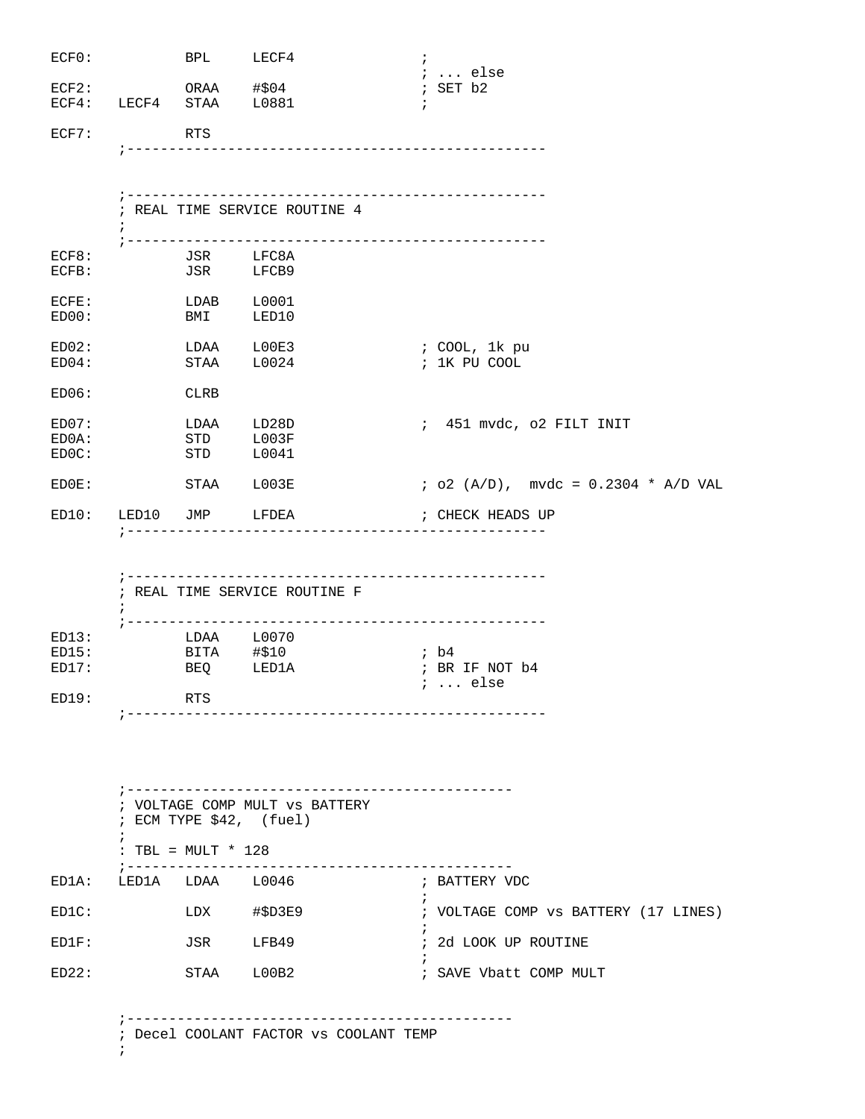| ECFO:          |                       | BPL LECF4                |                                        | $\ddot{ }$<br>$\ldots$ else           |
|----------------|-----------------------|--------------------------|----------------------------------------|---------------------------------------|
| ECF2:          |                       | ORAA #\$04               |                                        | ; SET b2                              |
|                |                       | ECF4: LECF4 STAA L0881   |                                        | $\ddot{i}$                            |
|                |                       |                          |                                        |                                       |
| ECF7:          | <b>RTS</b>            |                          |                                        |                                       |
|                |                       |                          |                                        |                                       |
|                |                       |                          |                                        |                                       |
|                |                       |                          |                                        |                                       |
|                |                       |                          | ; REAL TIME SERVICE ROUTINE 4          |                                       |
|                |                       |                          |                                        | ---------------------------           |
| ECF8:          |                       |                          |                                        |                                       |
| ECFB:          |                       | JSR LFC8A<br>JSR LFCB9   |                                        |                                       |
|                |                       |                          |                                        |                                       |
| ECFE:<br>ED00: |                       | LDAB L0001<br><b>BMI</b> | LED10                                  |                                       |
|                |                       |                          |                                        |                                       |
| ED02:          |                       | LDAA LOOE3               |                                        | ; COOL, 1k pu                         |
| ED04:          |                       | STAA L0024               |                                        | ; 1K PU COOL                          |
|                |                       |                          |                                        |                                       |
| ED06:          | <b>Example 2</b> CLRB |                          |                                        |                                       |
| ED07:          |                       | LDAA LD28D               |                                        | ; 451 mvdc, o2 FILT INIT              |
| ED0A:          |                       | STD                      | L003F                                  |                                       |
| EDOC:          |                       | <b>STD</b>               | L0041                                  |                                       |
| EDOE:          |                       | STAA L003E               |                                        | $i$ o2 (A/D), mvdc = 0.2304 * A/D VAL |
|                |                       |                          |                                        |                                       |
|                |                       | ED10: LED10 JMP LFDEA    |                                        | ; CHECK HEADS UP                      |
|                |                       |                          |                                        |                                       |
|                |                       |                          |                                        |                                       |
|                |                       |                          |                                        |                                       |
|                | $\ddot{i}$            |                          | ; REAL TIME SERVICE ROUTINE F          |                                       |
|                |                       |                          |                                        |                                       |
| ED13:          |                       |                          |                                        |                                       |
| ED15:          |                       | LDAA L0070<br>BITA #\$10 |                                        | ; b4                                  |
| ED17:          |                       | BEQ LED1A                |                                        | ; BR IF NOT b4                        |
| ED19:          |                       | RTS                      |                                        | $i \ldots$ else                       |
|                |                       |                          | -------------------------------------- |                                       |
|                |                       |                          |                                        |                                       |
|                |                       |                          |                                        |                                       |
|                |                       |                          |                                        |                                       |
|                |                       |                          |                                        |                                       |
|                |                       |                          | ; VOLTAGE COMP MULT VS BATTERY         |                                       |
|                |                       |                          | ; ECM TYPE \$42, (fuel)                |                                       |
|                | $\ddot{i}$            |                          |                                        |                                       |
|                |                       | : TBL = $MULT * 128$     |                                        |                                       |
| ED1A:          | ; -------------       | LED1A LDAA L0046         | ---------------------------            | ; BATTERY VDC                         |
| EDIC:          |                       |                          | LDX #\$D3E9                            | ; VOLTAGE COMP vs BATTERY (17 LINES)  |
| ED1F:          |                       | JSR LFB49                |                                        | ; 2d LOOK UP ROUTINE                  |
| ED22:          |                       | STAA                     | L00B2                                  | ; SAVE Vbatt COMP MULT                |

;----------------------------------------------

; Decel COOLANT FACTOR vs COOLANT TEMP

;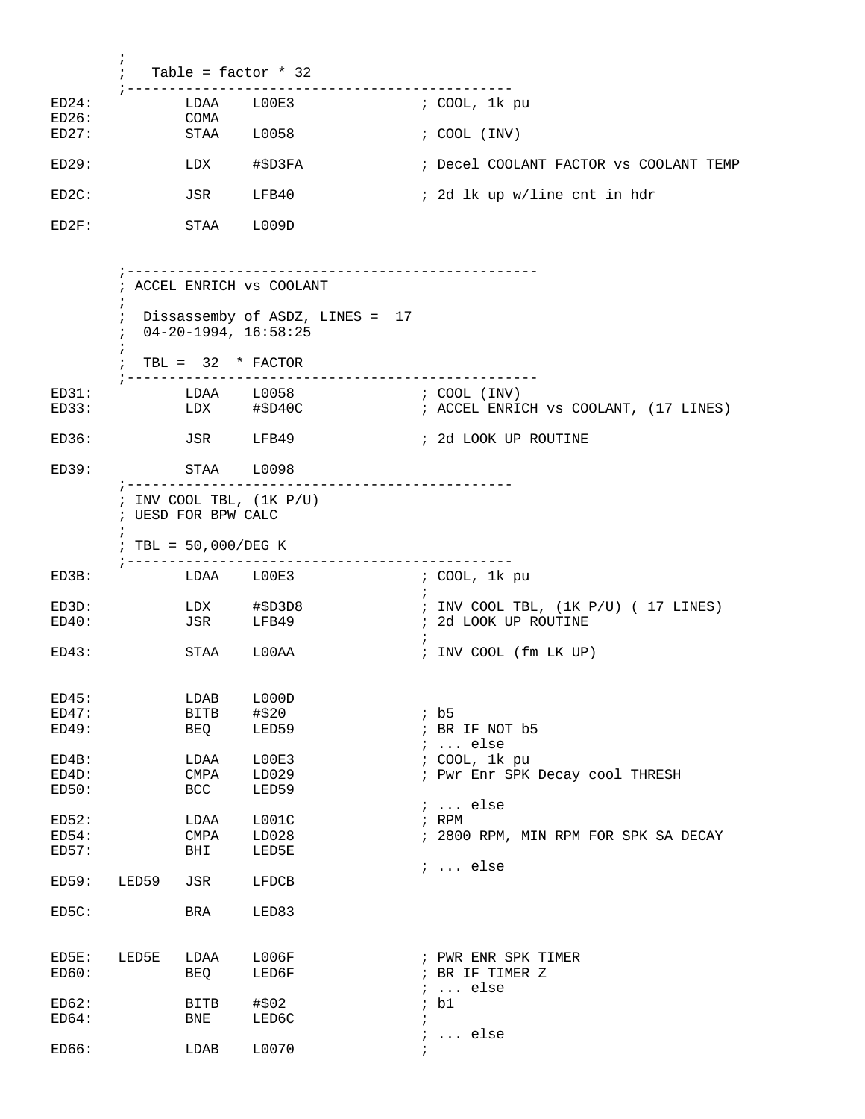|                         | $\ddot{i}$ | Table = $factor * 32$               |                                               |                          |                                                              |
|-------------------------|------------|-------------------------------------|-----------------------------------------------|--------------------------|--------------------------------------------------------------|
| ED24:<br>ED26:          |            | LDAA<br>COMA                        | ------------------------------------<br>LOOE3 |                          | ; COOL, 1k pu                                                |
| ED27:                   |            | STAA                                | L0058                                         |                          | $: COOL$ $(INV)$                                             |
| ED29:                   |            | LDX                                 | #\$D3FA                                       |                          | ; Decel COOLANT FACTOR vs COOLANT TEMP                       |
| ED2C:                   |            | JSR                                 | LFB40                                         |                          | ; 2d lk up w/line cnt in hdr                                 |
| ED2F:                   |            | STAA L009D                          |                                               |                          |                                                              |
|                         | i.         |                                     | ; ACCEL ENRICH VS COOLANT                     |                          |                                                              |
|                         | $\ddot{ }$ | $04 - 20 - 1994, 16:58:25$          | ; Dissassemby of ASDZ, LINES = 17             |                          |                                                              |
|                         | $\ddot{i}$ | TBL = $32 * FACTOR$                 |                                               |                          |                                                              |
| ED31:<br>ED33:          |            | LDAA L0058                          | LDX #\$D40C                                   |                          | ; COOL (INV)<br>; ACCEL ENRICH vs COOLANT, (17 LINES)        |
| ED36:                   |            | JSR LFB49                           |                                               |                          | ; 2d LOOK UP ROUTINE                                         |
| ED39:                   |            | STAA L0098<br>; ------------------- | -------------------------                     |                          |                                                              |
|                         | i.         | ; UESD FOR BPW CALC                 | ; INV COOL TBL, $(1K P/U)$                    |                          |                                                              |
|                         |            | ; TBL = $50,000/DEG K$              |                                               |                          |                                                              |
| ED3B:                   |            | LDAA L00E3                          |                                               | $\ddot{i}$               | ; COOL, 1k pu                                                |
| ED3D:<br>ED40:          |            | JSR JSR                             | LDX #\$D3D8<br>LFB49                          |                          | ; INV COOL TBL, (1K P/U) ( 17 LINES)<br>; 2d LOOK UP ROUTINE |
| ED43:                   |            | STAA                                | L00AA                                         |                          | ; INV COOL (fm LK UP)                                        |
| ED45:<br>ED47:<br>ED49: |            | LDAB<br><b>BITB</b><br>BEQ          | L000D<br>#\$20<br>LED59                       |                          | ib5<br>; BR IF NOT b5<br>$i \ldots$ else                     |
| ED4B:                   |            | LDAA                                | L00E3                                         |                          | ; COOL, 1k pu                                                |
| ED4D:<br>ED50:          |            | CMPA<br>BCC                         | LD029<br>LED59                                |                          | ; Pwr Enr SPK Decay cool THRESH                              |
| ED52:                   |            | LDAA                                | LOO1C                                         |                          | $i \ldots$ else<br>; RPM                                     |
| ED54:<br>ED57:          |            | CMPA<br>BHI                         | LD028<br>LED5E                                |                          | ; 2800 RPM, MIN RPM FOR SPK SA DECAY                         |
| ED59:                   | LED59      | JSR                                 | LFDCB                                         |                          | $i \ldots$ else                                              |
|                         |            |                                     |                                               |                          |                                                              |
| ED5C:                   |            | BRA                                 | LED83                                         |                          |                                                              |
| ED5E:<br>ED60:          | LED5E      | LDAA<br>BEQ                         | L006F<br>LED6F                                | i.                       | ; PWR ENR SPK TIMER<br>; BR IF TIMER Z<br>$\ldots$ else      |
| ED62:                   |            | BITB                                | #\$02                                         |                          | ; bl                                                         |
| ED64:                   |            | BNE                                 | LED6C                                         | $\ddot{i}$<br>$\ddot{i}$ | $\ldots$ else                                                |
| ED66:                   |            | LDAB                                | L0070                                         | $\ddot{i}$               |                                                              |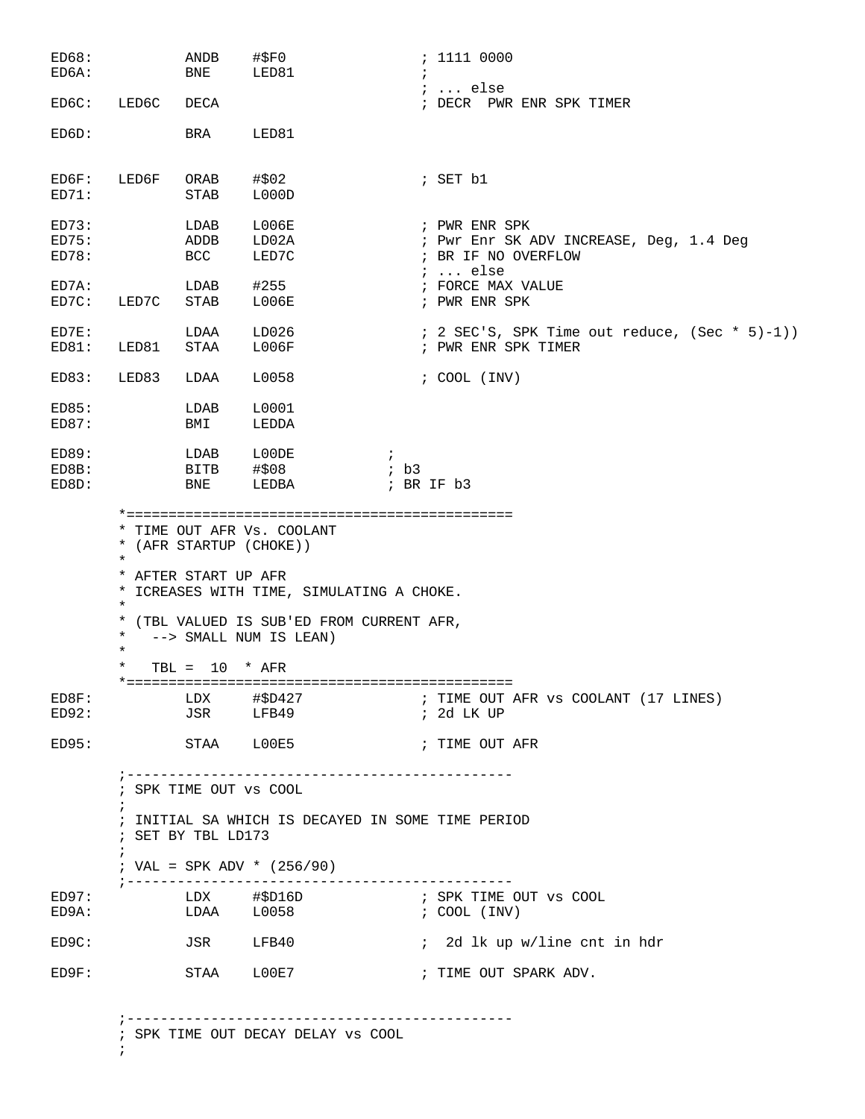| ED68:<br>ED6A:          |                                        | ANDB<br>BNE                                                          | $\#$ \$FO<br>LED81                                                                                               |                                     | : 1111 0000                                                                                        |
|-------------------------|----------------------------------------|----------------------------------------------------------------------|------------------------------------------------------------------------------------------------------------------|-------------------------------------|----------------------------------------------------------------------------------------------------|
| ED6C:                   | LED6C                                  | DECA                                                                 |                                                                                                                  |                                     | $i \ldots$ else<br>; DECR PWR ENR SPK TIMER                                                        |
| ED6D:                   |                                        | BRA                                                                  | LED81                                                                                                            |                                     |                                                                                                    |
| ED6F:<br>ED71:          | LED6F                                  | ORAB<br>STAB                                                         | #\$02<br>L000D                                                                                                   |                                     | ; SET b1                                                                                           |
| ED73:<br>ED75:<br>ED78: |                                        | LDAB<br>ADDB<br>BCC                                                  | <b>L006E</b><br>LD02A<br>LED7C                                                                                   |                                     | ; PWR ENR SPK<br>; Pwr Enr SK ADV INCREASE, Deg, 1.4 Deg<br>; BR IF NO OVERFLOW<br>$i \ldots$ else |
| ED7A:<br>ED7C:          | LED7C                                  | LDAB<br>STAB                                                         | #255<br>L006E                                                                                                    |                                     | ; FORCE MAX VALUE<br>; PWR ENR SPK                                                                 |
| ED7E:<br>ED81:          | LED81                                  | LDAA<br>STAA                                                         | LD026<br>L006F                                                                                                   |                                     | $: 2$ SEC'S, SPK Time out reduce, (Sec * 5)-1))<br>; PWR ENR SPK TIMER                             |
| ED83:                   | LED83                                  | LDAA                                                                 | L0058                                                                                                            |                                     | $: COOL$ (INV)                                                                                     |
| ED85:<br>ED87:          |                                        | LDAB<br>BMI                                                          | L0001<br>LEDDA                                                                                                   |                                     |                                                                                                    |
| ED89:<br>ED8B:<br>ED8D: |                                        | LDAB<br>BITB<br>BNE                                                  | L00DE<br>#\$08<br>LEDBA                                                                                          | $\ddot{i}$<br>ib3<br>$;$ BR IF $b3$ |                                                                                                    |
|                         | $\ast$<br>$\ast$<br>$\star$<br>$\star$ | * (AFR STARTUP (CHOKE))<br>* AFTER START UP AFR                      | * ICREASES WITH TIME, SIMULATING A CHOKE.<br>* (TBL VALUED IS SUB'ED FROM CURRENT AFR,<br>--> SMALL NUM IS LEAN) |                                     |                                                                                                    |
|                         | $^\star$                               | TBL = $10 * AFR$                                                     |                                                                                                                  |                                     |                                                                                                    |
| ED8F:<br>ED92:          |                                        |                                                                      |                                                                                                                  |                                     | ; TIME OUT AFR VS COOLANT (17 LINES)<br>; 2d LK UP                                                 |
| ED95:                   |                                        | STAA LOOE5                                                           |                                                                                                                  |                                     | ; TIME OUT AFR                                                                                     |
|                         | $\ddot{i}$                             | ; __________________<br>; SPK TIME OUT VS COOL<br>; SET BY TBL LD173 | ------------------------------<br>; INITIAL SA WHICH IS DECAYED IN SOME TIME PERIOD                              |                                     |                                                                                                    |
|                         | $\ddot{ }$                             |                                                                      | ; VAL = SPK ADV * $(256/90)$                                                                                     |                                     |                                                                                                    |
| ED97:<br>ED9A:          |                                        |                                                                      | LDX #\$D16D<br>$LDAA \qquad L0058 \qquad \qquad i COOL (INV)$                                                    |                                     | ; SPK TIME OUT VS COOL                                                                             |
| ED9C:                   |                                        |                                                                      | JSR LFB40                                                                                                        |                                     | : 2d lk up w/line cnt in hdr                                                                       |
| ED9F:                   |                                        | STAA LOOE7                                                           |                                                                                                                  |                                     | ; TIME OUT SPARK ADV.                                                                              |
|                         |                                        |                                                                      | ; SPK TIME OUT DECAY DELAY VS COOL                                                                               |                                     |                                                                                                    |

 $\mathcal{L}^{\text{max}}_{\text{max}}$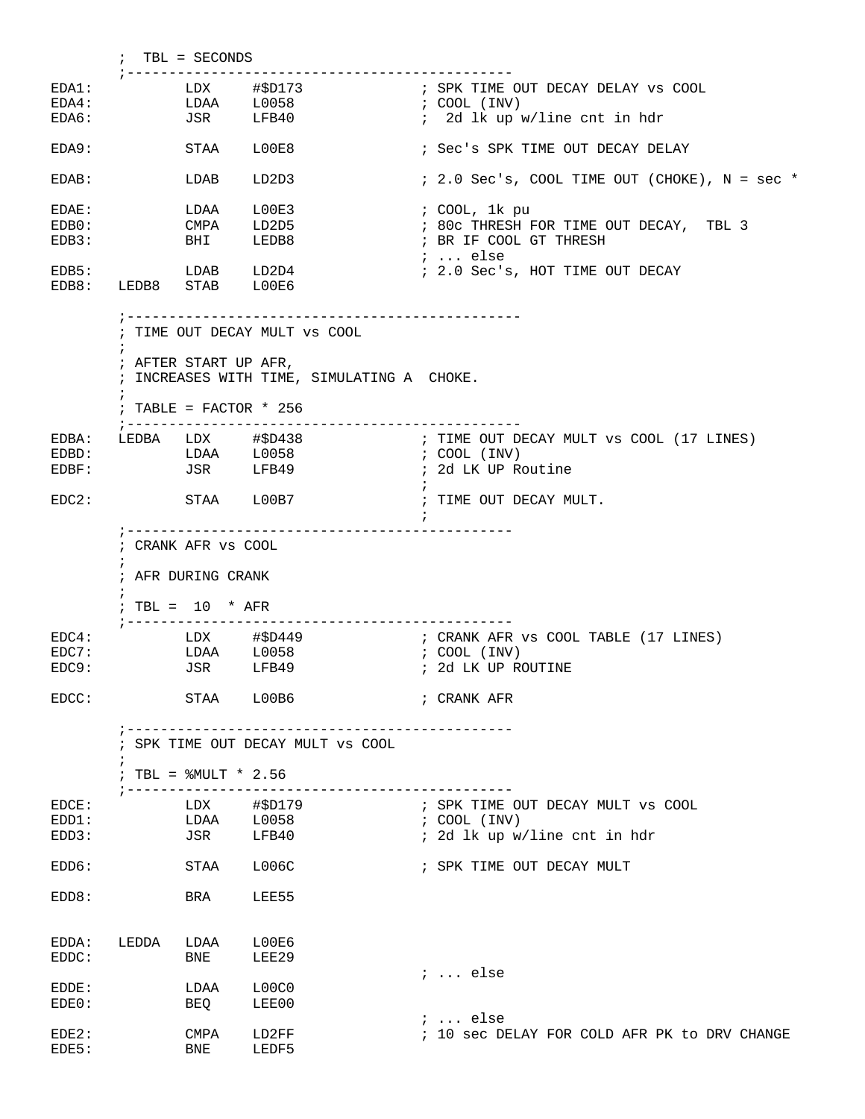; TBL = SECONDS ;---------------------------------------------- EDA1: LDX #\$D173 ; SPK TIME OUT DECAY DELAY vs COOL<br>
EDA4: LDAA L0058 ; COOL (INV) EDA4: LDAA L0058 ; COOL (INV) EDA6: JSR LFB40 ; 2d lk up w/line cnt in hdr EDA9: STAA L00E8 ; Sec's SPK TIME OUT DECAY DELAY EDAB: LDAB LD2D3 : 2.0 Sec's, COOL TIME OUT (CHOKE), N = sec \* EDAE: LDAA L00E3 ; COOL, 1k pu EDB0: CMPA LD2D5 ; 80c THRESH FOR TIME OUT DECAY, TBL 3 ; BR IF COOL GT THRESH ; ... else EDB5: LDAB LD2D4 ; 2.0 Sec's, HOT TIME OUT DECAY EDB8: LEDB8 STAB L00E6 ;----------------------------------------------- ; TIME OUT DECAY MULT vs COOL  $\mathcal{L}^{\text{max}}$  ; AFTER START UP AFR, ; INCREASES WITH TIME, SIMULATING A CHOKE.  $\mathcal{L}^{\text{max}}$  ; TABLE = FACTOR \* 256 ;----------------------------------------------- EDBA: LEDBA LDX #\$D438 ; TIME OUT DECAY MULT vs COOL (17 LINES) EDBD: LDAA L0058 ; COOL (INV) EDBF: JSR LFB49 ; 2d LK UP Routine  $\mathcal{L}^{\text{max}}$ EDC2: STAA L00B7 ; TIME OUT DECAY MULT.  $\mathcal{L}^{\text{max}}$  ;---------------------------------------------- ; CRANK AFR vs COOL  $\mathcal{L}^{\text{max}}$  ; AFR DURING CRANK  $\mathcal{L}^{\text{max}}$  ; TBL = 10 \* AFR ;---------------------------------------------- EDC4: LDX #\$D449 ; CRANK AFR vs COOL TABLE (17 LINES)<br>EDC7: LDAA L0058 ; COOL (INV)  $LDAA$   $L0058$ EDC9: JSR LFB49 ; 2d LK UP ROUTINE EDCC: STAA L00B6 ; CRANK AFR ;---------------------------------------------- ; SPK TIME OUT DECAY MULT vs COOL  $\mathcal{L}^{\text{max}}_{\text{max}}$  ; TBL = %MULT \* 2.56 ;---------------------------------------------- EDCE: LDX #\$D179 ; SPK TIME OUT DECAY MULT VS COOL EDCE: LDX #\$D179 ; SPK TIME O<br>
EDD1: LDAA L0058 ; COOL (INV)<br>
EDD3: JSR LFB40 ; 2d lk up w EDD3: JSR LFB40 ; 2d lk up w/line cnt in hdr EDD6: STAA L006C ; SPK TIME OUT DECAY MULT EDD8: BRA LEE55 EDDA: LEDDA LDAA L00E6 EDDC: BNE LEE29 ; ... else EDDE: LDAA L00C0 EDE0: BEQ LEE00 ; ... else : 10 sec DELAY FOR COLD AFR PK to DRV CHANGE EDE2: CMPA LD2FF<br>EDE5: BNE LEDF5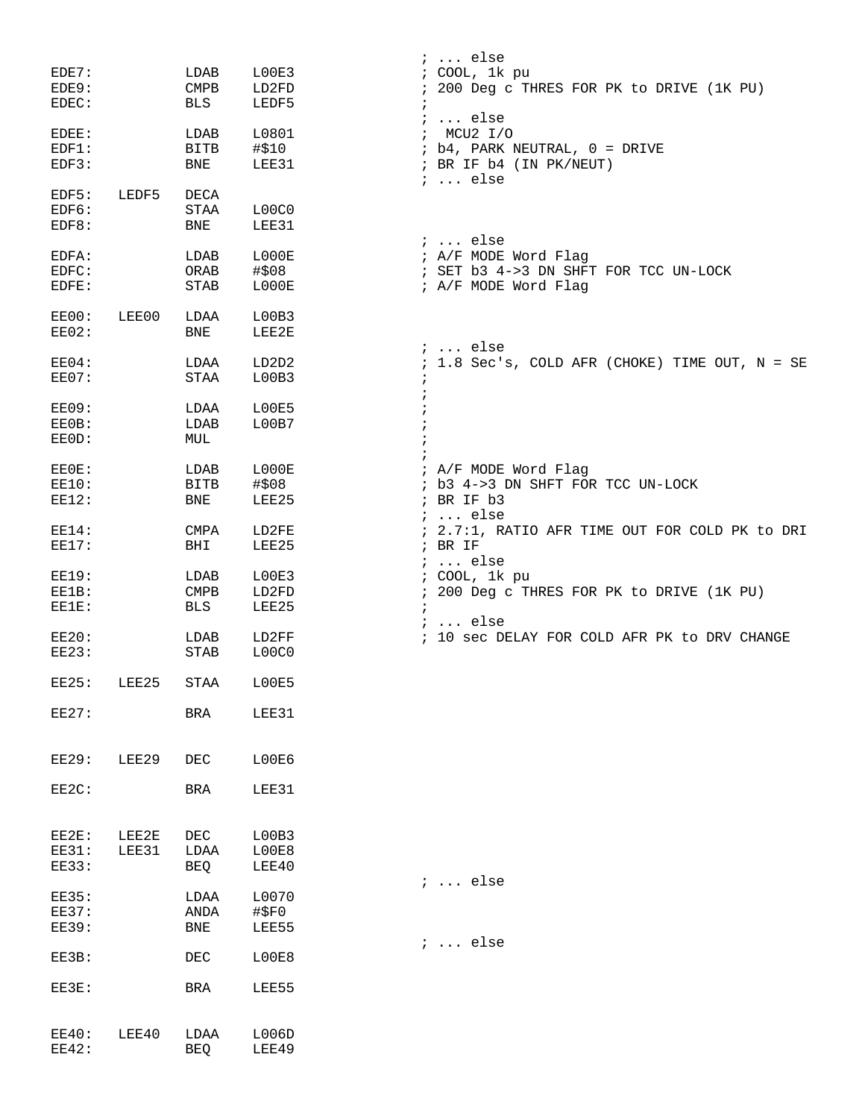|              |       |                 |           | $i$ else                                       |
|--------------|-------|-----------------|-----------|------------------------------------------------|
| EDE7:        |       | LDAB            | LOOE3     | ; COOL, 1k pu                                  |
| EDE9:        |       | $\texttt{CMPB}$ | LD2FD     | ; 200 Deg c THRES FOR PK to DRIVE (1K PU)      |
| EDEC:        |       | BLS             | LEDF5     | $\ddot{i}$                                     |
|              |       |                 |           | $: $ else                                      |
| EDEE:        |       | LDAB            | L0801     | : MCU2 I/O                                     |
| EDF1:        |       | BITB            | #\$10     | ; b4, PARK NEUTRAL, 0 = DRIVE                  |
| EDF3:        |       | BNE             | LEE31     | ; BR IF b4 (IN PK/NEUT)                        |
| EDF5:        | LEDF5 |                 |           | $i \ldots$ else                                |
| EDF6:        |       | DECA<br>STAA    | L00C0     |                                                |
| EDF8:        |       | BNE             | LEE31     |                                                |
|              |       |                 |           | $: $ else                                      |
| EDFA:        |       | LDAB            | L000E     | ; A/F MODE Word Flag                           |
| EDFC:        |       | ORAB            | #\$08     | ; SET b3 4->3 DN SHFT FOR TCC UN-LOCK          |
| EDFE:        |       | STAB            | L000E     | ; A/F MODE Word Flag                           |
|              |       |                 |           |                                                |
| EE00:        | LEE00 | LDAA            | L00B3     |                                                |
| EE02:        |       | BNE             | LEE2E     |                                                |
|              |       |                 |           | $i \ldots$ else                                |
| EE04:        |       | LDAA            | LD2D2     | ; 1.8 Sec's, COLD AFR (CHOKE) TIME OUT, N = SE |
| EE07:        |       | STAA            | L00B3     | $\ddot{i}$                                     |
|              |       |                 |           |                                                |
| <b>EE09:</b> |       | LDAA            | L00E5     |                                                |
| EE0B:        |       | LDAB            | L00B7     |                                                |
| EE0D:        |       | MUL             |           |                                                |
|              |       |                 |           |                                                |
| EE0E:        |       | LDAB            | LOOOE     | ; A/F MODE Word Flag                           |
| EE10:        |       | BITB            | #\$08     | ; b3 4->3 DN SHFT FOR TCC UN-LOCK              |
| EE12:        |       | BNE             | LEE25     | ; BR IF b3                                     |
|              |       |                 |           | $i \ldots$ else                                |
| $EE14$ :     |       | CMPA            | LD2FE     | ; 2.7:1, RATIO AFR TIME OUT FOR COLD PK to DRI |
| EE17:        |       | BHI             | LEE25     | $;$ BR IF                                      |
|              |       |                 |           | $: $ else                                      |
| <b>EE19:</b> |       | LDAB            | L00E3     | ; COOL, 1k pu                                  |
| EE1B:        |       | <b>CMPB</b>     | LD2FD     | ; 200 Deg c THRES FOR PK to DRIVE (1K PU)      |
| EE1E:        |       | BLS             | LEE25     | $\ddot{i}$<br>$: $ else                        |
| EE20:        |       | LDAB            | LD2FF     | ; 10 sec DELAY FOR COLD AFR PK to DRV CHANGE   |
| <b>EE23:</b> |       | STAB            | L00C0     |                                                |
|              |       |                 |           |                                                |
| <b>EE25:</b> | LEE25 | STAA            | LOOE5     |                                                |
|              |       |                 |           |                                                |
| EE27:        |       | BRA             | LEE31     |                                                |
|              |       |                 |           |                                                |
|              |       |                 |           |                                                |
| <b>EE29:</b> | LEE29 | DEC             | L00E6     |                                                |
|              |       |                 |           |                                                |
| EE2C:        |       | <b>BRA</b>      | LEE31     |                                                |
|              |       |                 |           |                                                |
| EE2E:        | LEE2E | DEC             | L00B3     |                                                |
| <b>EE31:</b> | LEE31 | LDAA            | L00E8     |                                                |
| <b>EE33:</b> |       | BEQ             | LEE40     |                                                |
|              |       |                 |           | $i \ldots$ else                                |
| <b>EE35:</b> |       | LDAA            | L0070     |                                                |
| <b>EE37:</b> |       | ANDA            | $\#$ \$F0 |                                                |
| <b>EE39:</b> |       | BNE             | LEE55     |                                                |
|              |       |                 |           | $: $ else                                      |
| EE3B:        |       | DEC             | LOOE8     |                                                |
|              |       |                 |           |                                                |
| EE3E:        |       | BRA             | LEE55     |                                                |
|              |       |                 |           |                                                |
|              |       |                 |           |                                                |
| EE40:        | LEE40 | LDAA            | L006D     |                                                |
| <b>EE42:</b> |       | <b>BEQ</b>      | LEE49     |                                                |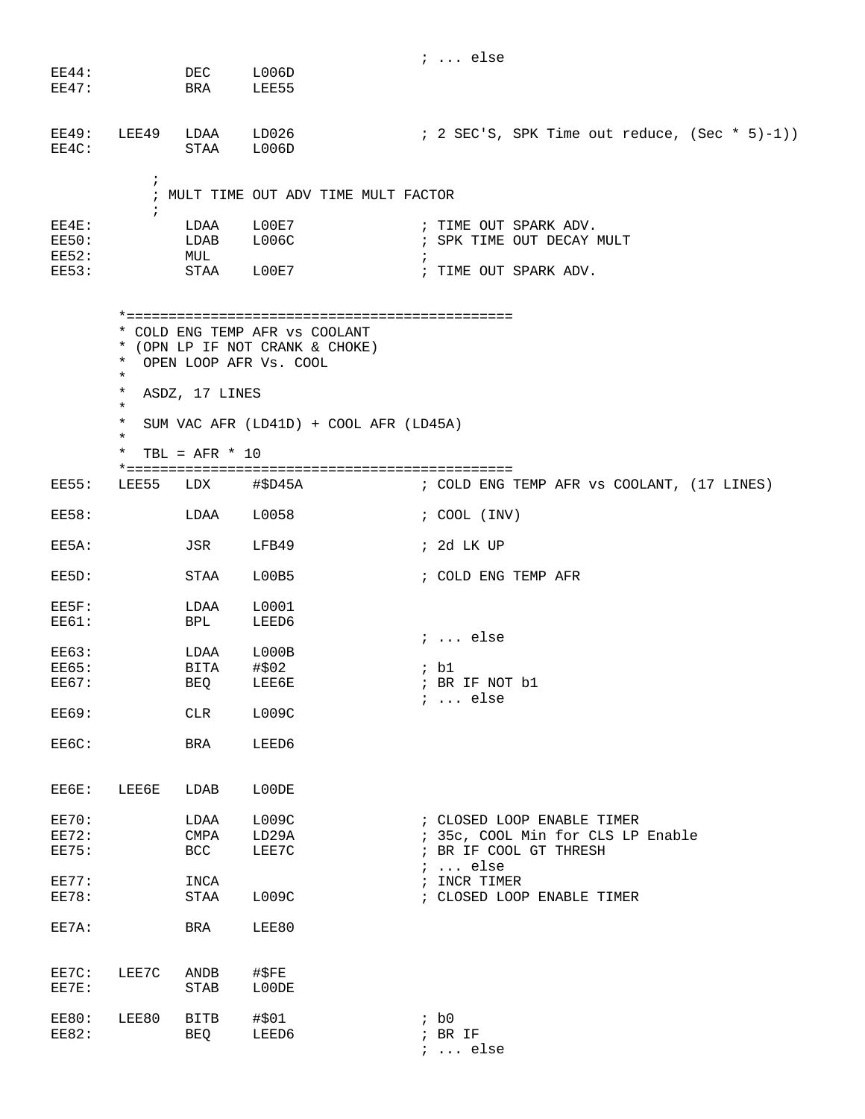|                                                       |                                                                             |                                    |                                                                                                                                       | $i \ldots$ else                                                                  |
|-------------------------------------------------------|-----------------------------------------------------------------------------|------------------------------------|---------------------------------------------------------------------------------------------------------------------------------------|----------------------------------------------------------------------------------|
| EE44:<br>EE47:                                        |                                                                             | DEC<br>BRA                         | L006D<br>LEE55                                                                                                                        |                                                                                  |
| EE49:<br>EE4C:                                        | LEE49                                                                       | LDAA<br>STAA                       | LD026<br>L006D                                                                                                                        | ; 2 SEC'S, SPK Time out reduce, $(Sec * 5)-1)$ )                                 |
|                                                       | $\ddot{i}$                                                                  |                                    | ; MULT TIME OUT ADV TIME MULT FACTOR                                                                                                  |                                                                                  |
| EE4E:<br><b>EE50:</b><br><b>EE52:</b><br><b>EE53:</b> | $\ddot{i}$                                                                  | LDAA<br>LDAB<br>MUL<br>STAA        | L00E7<br>L006C<br>L00E7                                                                                                               | ; TIME OUT SPARK ADV.<br>; SPK TIME OUT DECAY MULT<br>Ť<br>; TIME OUT SPARK ADV. |
|                                                       | $\star$<br>$^\star$<br>$\ast$<br>$^\star$<br>$^\star$<br>$\star$<br>$\star$ | ASDZ, 17 LINES<br>$TBL = AFR * 10$ | * COLD ENG TEMP AFR VS COOLANT<br>* (OPN LP IF NOT CRANK & CHOKE)<br>OPEN LOOP AFR Vs. COOL<br>SUM VAC AFR (LD41D) + COOL AFR (LD45A) |                                                                                  |
| EE55:                                                 | LEE55                                                                       | LDX                                | #\$D45A                                                                                                                               | ; COLD ENG TEMP AFR vs COOLANT, (17 LINES)                                       |
| <b>EE58:</b>                                          |                                                                             | LDAA                               | L0058                                                                                                                                 | ; COOL (INV)                                                                     |
| EE5A:                                                 |                                                                             | JSR                                | LFB49                                                                                                                                 | ; 2d LK UP                                                                       |
| EE5D:                                                 |                                                                             | STAA                               | L00B5                                                                                                                                 | ; COLD ENG TEMP AFR                                                              |
| EE5F:<br><b>EE61:</b>                                 |                                                                             | LDAA<br>BPL                        | L0001<br>LEED6                                                                                                                        |                                                                                  |
| <b>EE63:</b><br><b>EE65:</b><br><b>EE67:</b>          |                                                                             | LDAA<br>BITA<br>BEQ LEE6E          | L000B<br>#\$02                                                                                                                        | $i \ldots$ else<br>; b1<br>; BR IF NOT b1<br>$i \ldots$ else                     |
| <b>EE69:</b>                                          |                                                                             | <b>CLR</b>                         | L009C                                                                                                                                 |                                                                                  |
| EE6C:                                                 |                                                                             | BRA                                | LEED6                                                                                                                                 |                                                                                  |
| EE6E:                                                 | LEE6E                                                                       | LDAB                               | L00DE                                                                                                                                 |                                                                                  |
| <b>EE70:</b>                                          |                                                                             | LDAA                               | LOO9C                                                                                                                                 | ; CLOSED LOOP ENABLE TIMER                                                       |
| EE72:                                                 |                                                                             | CMPA                               | LD29A                                                                                                                                 | ; 35c, COOL Min for CLS LP Enable                                                |
| <b>EE75:</b>                                          |                                                                             | BCC                                | LEE7C                                                                                                                                 | ; BR IF COOL GT THRESH<br>$i \ldots$ else                                        |
| <b>EE77:</b>                                          |                                                                             | INCA                               |                                                                                                                                       | ; INCR TIMER                                                                     |
| <b>EE78:</b>                                          |                                                                             | STAA                               | LOO9C                                                                                                                                 | ; CLOSED LOOP ENABLE TIMER                                                       |
| EE7A:                                                 |                                                                             | BRA                                | LEE80                                                                                                                                 |                                                                                  |
| EE7C:<br>EE7E:                                        | LEE7C                                                                       | ANDB<br>STAB                       | $\sharp$ \$FE<br>L00DE                                                                                                                |                                                                                  |
| <b>EE80:</b><br><b>EE82:</b>                          | LEE80                                                                       | BITB<br>BEQ                        | #\$01<br>LEED6                                                                                                                        | ib0<br>$;$ BR IF<br>$i$ else                                                     |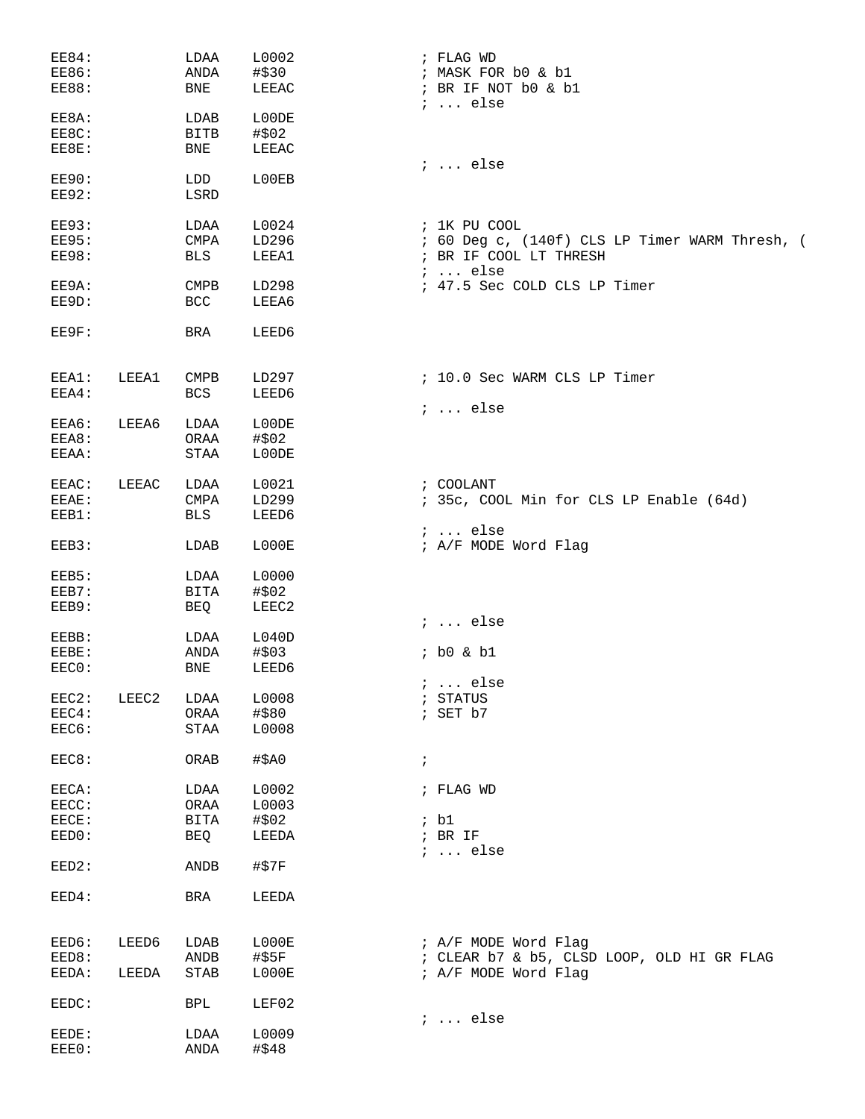| <b>EE84:</b> |       | LDAA                         | L0002         | ; FLAG WD                                      |
|--------------|-------|------------------------------|---------------|------------------------------------------------|
| <b>EE86:</b> |       | ANDA                         | #\$30         | ; MASK FOR b0 & b1                             |
| <b>EE88:</b> |       | BNE                          | LEEAC         | ; BR IF NOT b0 & b1<br>$i \ldots$ else         |
| EE8A:        |       | LDAB                         | L00DE         |                                                |
| EE8C:        |       | <b>BITB</b>                  | # \$02        |                                                |
| EE8E:        |       | BNE                          | LEEAC         |                                                |
|              |       |                              |               | $i \ldots$ else                                |
| <b>EE90:</b> |       | LDD                          | L00EB         |                                                |
| <b>EE92:</b> |       | LSRD                         |               |                                                |
| <b>EE93:</b> |       | LDAA                         | L0024         | ; 1K PU COOL                                   |
| <b>EE95:</b> |       | CMPA                         | LD296         | ; 60 Deg c, (140f) CLS LP Timer WARM Thresh, ( |
| <b>EE98:</b> |       | BLS                          | LEEA1         | ; BR IF COOL LT THRESH<br>$i \ldots$ else      |
| EE9A:        |       | <b>CMPB</b>                  | LD298         | ; 47.5 Sec COLD CLS LP Timer                   |
| EE9D:        |       | <b>BCC</b>                   | LEEA6         |                                                |
|              |       |                              |               |                                                |
| EE9F:        |       | <b>BRA</b>                   | LEED6         |                                                |
| EEA1:        | LEEA1 | <b>CMPB</b>                  | LD297         | ; 10.0 Sec WARM CLS LP Timer                   |
| EEA4:        |       | <b>BCS</b>                   | LEED6         |                                                |
|              |       |                              |               | $i \ldots$ else                                |
| EEA6:        | LEEA6 | LDAA                         | L00DE         |                                                |
| EEA8:        |       | ORAA                         | #\$02         |                                                |
| EEAA:        |       | STAA                         | L00DE         |                                                |
| EEAC:        | LEEAC | LDAA                         | L0021         | ; COOLANT                                      |
| EEAE:        |       | $\ensuremath{\mathrm{CMPA}}$ | LD299         | ; 35c, COOL Min for CLS LP Enable (64d)        |
| EEB1:        |       | BLS                          | LEED6         |                                                |
|              |       |                              |               | $i \ldots$ else                                |
| EEB3:        |       | LDAB                         | L000E         | ; A/F MODE Word Flag                           |
| EEB5:        |       | LDAA                         | L0000         |                                                |
|              |       |                              |               |                                                |
| EEB7:        |       | BITA                         | #\$02         |                                                |
| EEB9:        |       | BEQ                          | LEEC2         |                                                |
|              |       |                              |               | $i \ldots$ else                                |
| EEBB:        |       | LDAA                         | L040D         |                                                |
| EEBE:        |       | ANDA                         | #\$03         | $;$ b0 & b1                                    |
| EEC0:        |       | BNE                          | LEED6         |                                                |
|              |       |                              |               | $i$ else                                       |
| EEC2:        | LEEC2 | LDAA                         | L0008         | ; STATUS                                       |
| EEC4:        |       | ORAA                         | #\$80         | ; SET b7                                       |
| EEC6:        |       | $\operatorname{STAA}$        | L0008         |                                                |
| EEC8:        |       | ORAB                         | $\sharp$ \$A0 | $\ddot{ }$                                     |
| EECA:        |       | LDAA                         | L0002         | ; FLAG WD                                      |
| EECC:        |       | ORAA                         | L0003         |                                                |
| EECE:        |       | BITA                         | #\$02         | ; bl                                           |
| EED0:        |       | BEQ                          | LEEDA         | $;$ BR IF                                      |
| EED2:        |       | ANDB                         | $#$ \$7 $F$   | $i \ldots$ else                                |
| EED4:        |       | BRA                          | LEEDA         |                                                |
|              |       |                              |               |                                                |
| EED6:        | LEED6 | LDAB                         | L000E         | ; A/F MODE Word Flag                           |
| EED8:        |       | $\operatorname{ANDB}$        | $\#$ \$5 $F$  | ; CLEAR b7 & b5, CLSD LOOP, OLD HI GR FLAG     |
| EEDA:        | LEEDA | <b>STAB</b>                  | L000E         | ; A/F MODE Word Flag                           |
|              |       |                              |               |                                                |
| EEDC:        |       | <b>BPL</b>                   | LEF02         | $i \ldots$ else                                |
| EEDE:        |       | LDAA                         | L0009         |                                                |
| EEE0:        |       | ANDA                         | #\$48         |                                                |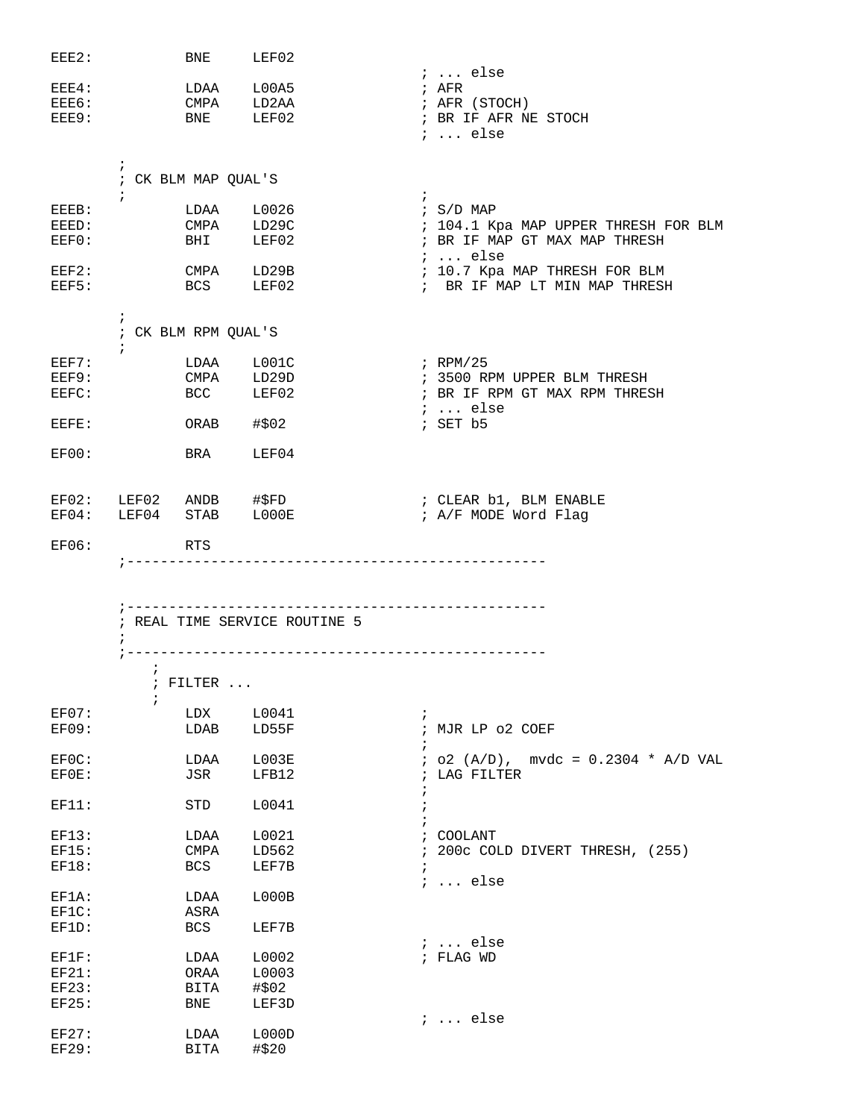| EEE2:        |            | BNE                 | LEF02                                 |                                                        |
|--------------|------------|---------------------|---------------------------------------|--------------------------------------------------------|
|              |            |                     |                                       | ;  else                                                |
| EEE4:        |            |                     | LDAA L00A5                            | ; AFR                                                  |
| EEE6:        | CMPA LD2AA |                     |                                       | ; AFR (STOCH)                                          |
| EEE9:        | <b>BNE</b> |                     | LEF02                                 | ; BR IF AFR NE STOCH                                   |
|              |            |                     |                                       | $i \ldots$ else                                        |
|              |            |                     |                                       |                                                        |
|              | $\ddot{i}$ |                     |                                       |                                                        |
|              |            | ; CK BLM MAP QUAL'S |                                       |                                                        |
|              | $\ddot{i}$ |                     |                                       | $\mathcal{L}$                                          |
| EEEB:        |            |                     | LDAA L0026<br>CMPA LD29C<br>BHI LEF02 | $\frac{1}{2}$ S/D MAP                                  |
| EEED:        |            |                     |                                       | ; 104.1 Kpa MAP UPPER THRESH FOR BLM                   |
| EEF0:        |            |                     |                                       | ; BR IF MAP GT MAX MAP THRESH                          |
|              |            |                     |                                       | $i \dots$ else                                         |
| EEF2:        | CMPA LD29B |                     |                                       | ; 10.7 Kpa MAP THRESH FOR BLM                          |
| EEF5:        |            | BCS LEF02           |                                       | ; BR IF MAP LT MIN MAP THRESH                          |
|              |            |                     |                                       |                                                        |
|              | $\ddot{i}$ |                     |                                       |                                                        |
|              |            | ; CK BLM RPM QUAL'S |                                       |                                                        |
|              | $\ddot{i}$ |                     |                                       |                                                        |
| EEF7:        |            |                     |                                       | ; RPM/25                                               |
| EEF9:        |            |                     |                                       | ; 3500 RPM UPPER BLM THRESH                            |
| EEFC:        |            |                     | LDAA L001C<br>CMPA LD29D<br>BCC LEF02 | ; BR IF RPM GT MAX RPM THRESH                          |
|              |            |                     |                                       | $i \ldots$ else                                        |
| EEFF:        |            | ORAB #\$02          |                                       | ; SET b5                                               |
|              |            |                     |                                       |                                                        |
| EF00:        |            | BRA                 | LEF04                                 |                                                        |
|              |            |                     |                                       |                                                        |
|              |            |                     |                                       |                                                        |
|              |            |                     |                                       | EF02: LEF02 ANDB #\$FD $\qquad$ ; CLEAR b1, BLM ENABLE |
|              |            |                     | EF04: LEF04 STAB LOOOE                | ; A/F MODE Word Flag                                   |
|              |            |                     |                                       |                                                        |
| EFO6:        |            | RTS                 |                                       |                                                        |
|              |            |                     |                                       |                                                        |
|              |            |                     | ---------------------------------     |                                                        |
|              |            |                     |                                       |                                                        |
|              |            |                     |                                       |                                                        |
|              |            |                     |                                       |                                                        |
|              |            |                     | ; REAL TIME SERVICE ROUTINE 5         |                                                        |
|              | $\ddot{i}$ |                     |                                       |                                                        |
|              |            |                     |                                       |                                                        |
|              | $\ddot{i}$ |                     |                                       |                                                        |
|              |            | $:$ FILTER $\ldots$ |                                       |                                                        |
|              | i          |                     |                                       |                                                        |
| EF07:        |            | LDX                 | L0041                                 | $\ddot{ }$                                             |
|              |            | LDAB                |                                       | ; MJR LP 02 COEF                                       |
| <b>EF09:</b> |            |                     | LD55F                                 | i.                                                     |
|              |            |                     |                                       |                                                        |
| EF0C:        |            | LDAA                | L003E                                 | $:$ 02 (A/D), mvdc = 0.2304 * A/D VAL                  |
| EF0E:        |            | JSR                 | LFB12                                 | ; LAG FILTER                                           |
|              |            |                     |                                       | i                                                      |
| EF11:        |            | <b>STD</b>          | L0041                                 | $\ddot{ }$                                             |
|              |            |                     |                                       |                                                        |
| EF13:        |            | LDAA                | L0021                                 | ; COOLANT                                              |
| EF15:        |            | <b>CMPA</b>         | LD562                                 | 200c COLD DIVERT THRESH, (255)                         |
| <b>EF18:</b> |            | <b>BCS</b>          | LEF7B                                 | $\ddot{i}$                                             |
|              |            |                     |                                       | $i \ldots$ else                                        |
| EF1A:        |            | LDAA                | LOOOB                                 |                                                        |
| $EFIC$ :     |            | ASRA                |                                       |                                                        |
| EF1D:        |            | <b>BCS</b>          | LEF7B                                 |                                                        |
|              |            |                     |                                       | $i \ldots$ else                                        |
| EFIF:        |            | LDAA                | L0002                                 | ; FLAG WD                                              |
| EF21:        |            | ORAA                | L0003                                 |                                                        |
| EF23:        |            | <b>BITA</b>         | #\$02                                 |                                                        |
| EF25:        |            | BNE                 | LEF3D                                 |                                                        |
|              |            |                     |                                       | $i \ldots$ else                                        |
| EF27:        |            | LDAA                | LOOOD                                 |                                                        |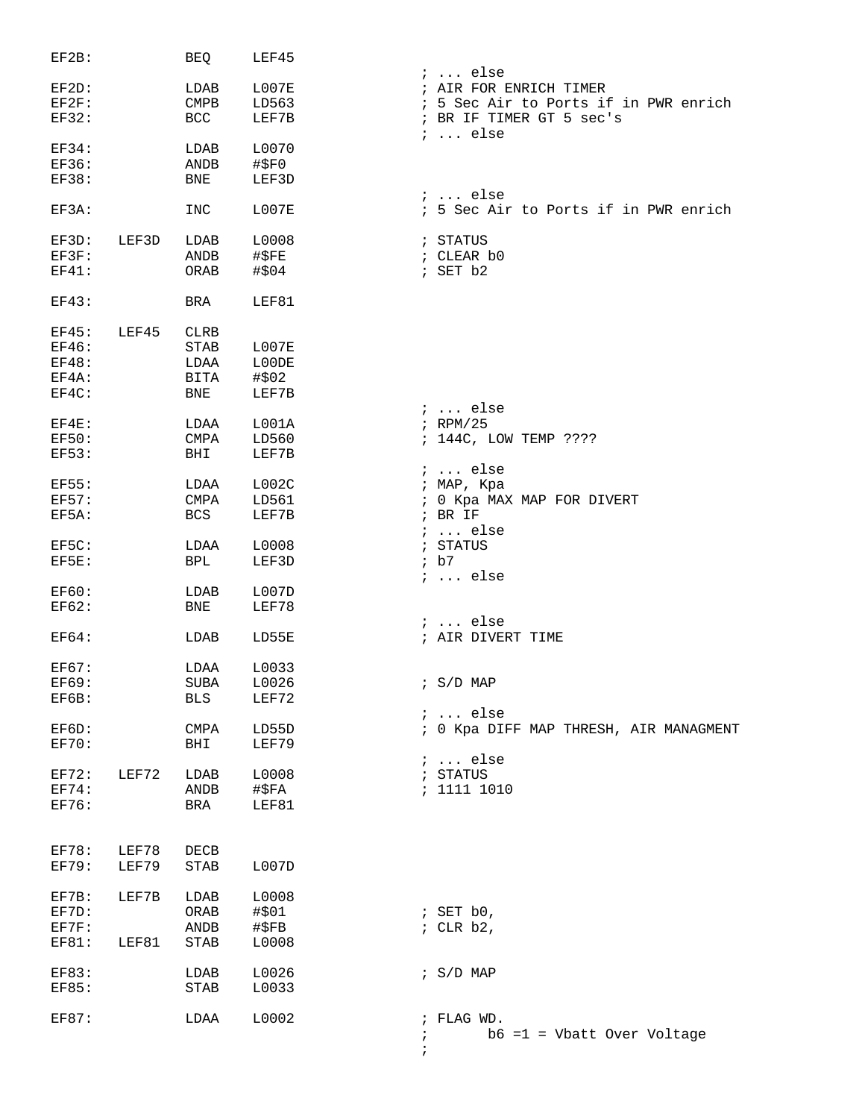| $EF2B$ :     |       | BEQ         | LEF45         |                                             |
|--------------|-------|-------------|---------------|---------------------------------------------|
|              |       |             |               | $i$ else                                    |
| EF2D:        |       | LDAB        | L007E         | ; AIR FOR ENRICH TIMER                      |
| $EF2F$ :     |       | <b>CMPB</b> | LD563         | ; 5 Sec Air to Ports if in PWR enrich       |
| <b>EF32:</b> |       | BCC         | LEF7B         | ; BR IF TIMER GT 5 sec's<br>$i \ldots$ else |
| EF34:        |       | LDAB        | L0070         |                                             |
| <b>EF36:</b> |       | ANDB        | $\#$ \$F0     |                                             |
| <b>EF38:</b> |       | <b>BNE</b>  | LEF3D         |                                             |
|              |       |             |               | $i$ else                                    |
| EF3A:        |       | <b>INC</b>  | <b>L007E</b>  | ; 5 Sec Air to Ports if in PWR enrich       |
| EF3D:        | LEF3D | LDAB        | L0008         | ; STATUS                                    |
| EF3F:        |       | ANDB        | #SFE          | ; CLEAR b0                                  |
| EF41:        |       | ORAB        | #\$04         | ; SET b2                                    |
| EF43:        |       | BRA         | LEF81         |                                             |
|              |       |             |               |                                             |
| EF45:        | LEF45 | <b>CLRB</b> |               |                                             |
| EF46:        |       | STAB        | L007E         |                                             |
| EF48:        |       | LDAA        | L00DE         |                                             |
| EF4A:        |       | BITA        | #\$02         |                                             |
| EF4C:        |       | BNE         | LEF7B         |                                             |
|              |       |             |               | $: $ else                                   |
| $EF4E$ :     |       | LDAA        | L001A         | $i$ RPM/25                                  |
| <b>EF50:</b> |       | <b>CMPA</b> | LD560         | ; 144C, LOW TEMP ????                       |
| <b>EF53:</b> |       | BHI         | LEF7B         |                                             |
|              |       |             |               | $i \ldots$ else                             |
| <b>EF55:</b> |       | LDAA        | L002C         | ; MAP, Kpa                                  |
| <b>EF57:</b> |       | <b>CMPA</b> | LD561         | ; 0 Kpa MAX MAP FOR DIVERT                  |
| EF5A:        |       | <b>BCS</b>  | LEF7B         | $;$ BR IF                                   |
|              |       |             |               | $i \ldots$ else                             |
| EF5C:        |       | LDAA        | L0008         | ; STATUS                                    |
| EF5E:        |       | BPL         | LEF3D         | ib7                                         |
|              |       |             |               | $: $ else                                   |
| EF60:        |       | LDAB        | L007D         |                                             |
| <b>EF62:</b> |       | BNE         | LEF78         |                                             |
|              |       |             |               | $i \ldots$ else                             |
| <b>EF64:</b> |       | LDAB        | LD55E         | ; AIR DIVERT TIME                           |
| <b>EF67:</b> |       | LDAA        | L0033         |                                             |
| <b>EF69:</b> |       | SUBA        | L0026         | ; S/D MAP                                   |
| EF6B:        |       | BLS         | LEF72         |                                             |
|              |       |             |               | $i \ldots$ else                             |
| EF6D:        |       | CMPA        | LD55D         | ; 0 Kpa DIFF MAP THRESH, AIR MANAGMENT      |
| EF70:        |       | BHI         | LEF79         |                                             |
|              |       |             |               | $i \ldots$ else                             |
| EF72:        | LEF72 | LDAB        | L0008         | ; STATUS                                    |
| EF74:        |       | ANDB        | #\$FA         | : 1111 1010                                 |
| EF76:        |       |             | LEF81         |                                             |
|              |       | BRA         |               |                                             |
|              |       |             |               |                                             |
| EF78:        | LEF78 | DECB        |               |                                             |
| <b>EF79:</b> | LEF79 | STAB        | L007D         |                                             |
| EF7B:        | LEF7B | LDAB        | L0008         |                                             |
| EF7D:        |       | ORAB        | #\$01         |                                             |
|              |       |             |               | ; SET $b0$ ,                                |
| EF7F:        |       | ANDB        | $\sharp$ \$FB | ; $CLR b2$ ,                                |
| EF81:        | LEF81 | STAB        | L0008         |                                             |
| EF83:        |       | LDAB        | L0026         | $: S/D$ MAP                                 |
| <b>EF85:</b> |       | STAB        | L0033         |                                             |
|              |       |             |               |                                             |
| EF87:        |       | LDAA        | L0002         | ; FLAG WD.                                  |
|              |       |             |               | $b6 = 1$ = Vbatt Over Voltage<br>$\ddot{i}$ |
|              |       |             |               | $\ddot{i}$                                  |
|              |       |             |               |                                             |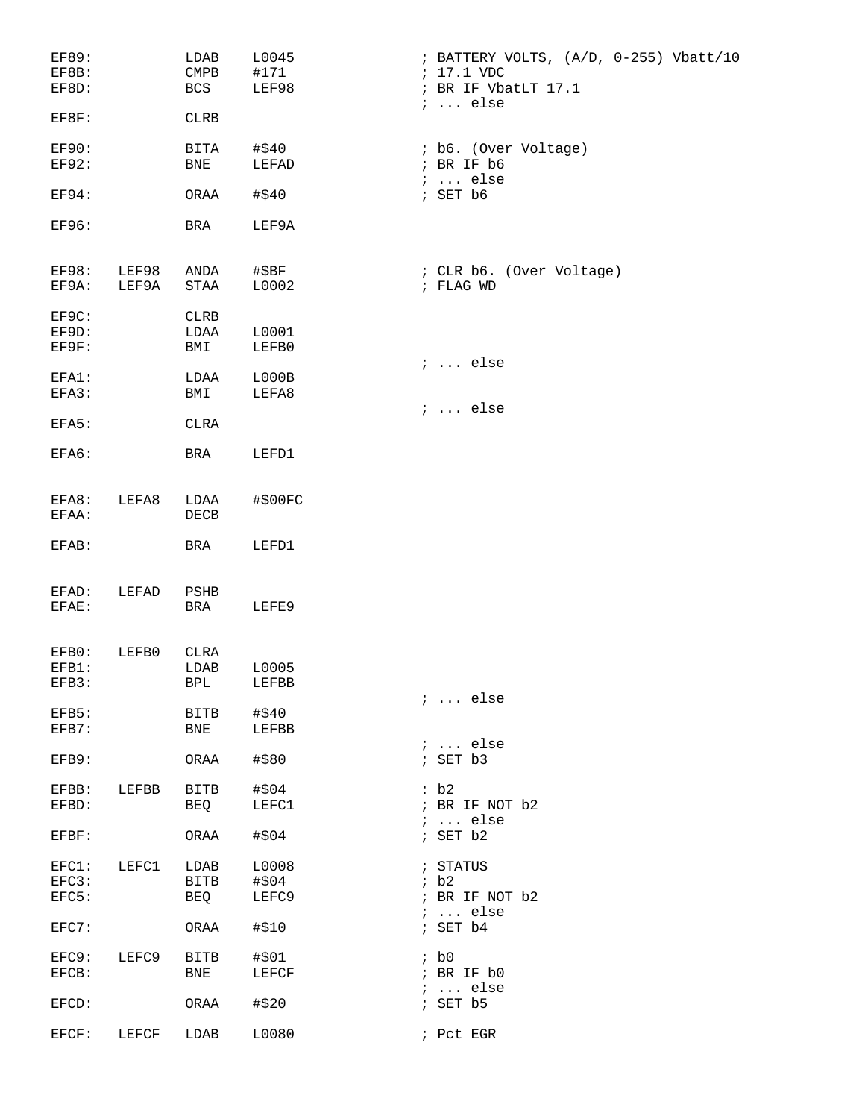| EF89:<br>EF8B:<br>EF8D:      |                | LDAB<br>$\mathop{\mathrm{CMPB}}$<br>BCS | L0045<br>#171<br>LEF98 | ; BATTERY VOLTS, (A/D, 0-255) Vbatt/10<br>; 17.1 VDC<br>; BR IF VbatLT 17.1<br>$i \ldots$ else |
|------------------------------|----------------|-----------------------------------------|------------------------|------------------------------------------------------------------------------------------------|
| EF8F:                        |                | <b>CLRB</b>                             |                        |                                                                                                |
| <b>EF90:</b><br><b>EF92:</b> |                | BITA<br>BNE                             | #\$40<br>LEFAD         | ; b6. (Over Voltage)<br>; BR IF b6<br>$i$ else                                                 |
| <b>EF94:</b>                 |                | ORAA                                    | #\$40                  | ; SET b6                                                                                       |
| <b>EF96:</b>                 |                | BRA                                     | LEF9A                  |                                                                                                |
| EF98:<br>EF9A:               | LEF98<br>LEF9A | ANDA<br>STAA                            | #\$BF<br>L0002         | : CLR b6. (Over Voltage)<br>; FLAG WD                                                          |
| EF9C:<br>EF9D:<br>EF9F:      |                | <b>CLRB</b><br>LDAA<br>BMI              | L0001<br>LEFB0         |                                                                                                |
| EFA1:<br>EFA3:               |                | LDAA<br>BMI                             | L000B<br>LEFA8         | $i \ldots$ else                                                                                |
| EFA5:                        |                | CLRA                                    |                        | $i \ldots$ else                                                                                |
| EFA6:                        |                | BRA                                     | LEFD1                  |                                                                                                |
| EFA8:<br>EFAA:               | LEFA8          | LDAA<br>DECB                            | #\$00FC                |                                                                                                |
| EFAB:                        |                | BRA                                     | LEFD1                  |                                                                                                |
| EFAD:<br>EFAE:               | LEFAD          | PSHB<br>BRA                             | LEFE9                  |                                                                                                |
| EFB0:<br>EFB1:<br>EFB3:      | LEFB0          | CLRA<br>LDAB<br>BPL                     | L0005<br>LEFBB         |                                                                                                |
| EFB5:                        |                | BITB                                    | #\$40                  | $i$ else                                                                                       |
| EFB7:<br>EFB9:               |                | BNE<br>ORAA                             | LEFBB<br>#\$80         | $i \ldots$ else<br>; SET b3                                                                    |
| EFBB:                        | LEFBB          | BITB                                    | #\$04                  | :b2                                                                                            |
| EFBD:                        |                | BEQ                                     | LEFC1                  | ; BR IF NOT b2<br>$i \ldots$ else                                                              |
| EFBF:                        |                | ORAA                                    | #\$04                  | ; SET b2                                                                                       |
| EFC3:                        | EFC1: LEFC1    | LDAB<br>BITB                            | L0008<br>#\$04         | ; STATUS<br>ib2                                                                                |
| EFC5:                        |                | BEQ                                     | LEFC9                  | ; BR IF NOT b2<br>$i \ldots$ else                                                              |
| EFC7:                        |                | ORAA                                    | #\$10                  | ; SET b4                                                                                       |
| EFCB:                        | EFC9: LEFC9    | <b>BITB</b><br>BNE                      | #\$01<br>LEFCF         | ib0<br>; BR IF b0                                                                              |
| EFCD:                        |                | ORAA                                    | #\$20                  | $: $ else<br>; SET b5                                                                          |
| $EFCF$ :                     | LEFCF          | LDAB                                    | L0080                  | ; Pct EGR                                                                                      |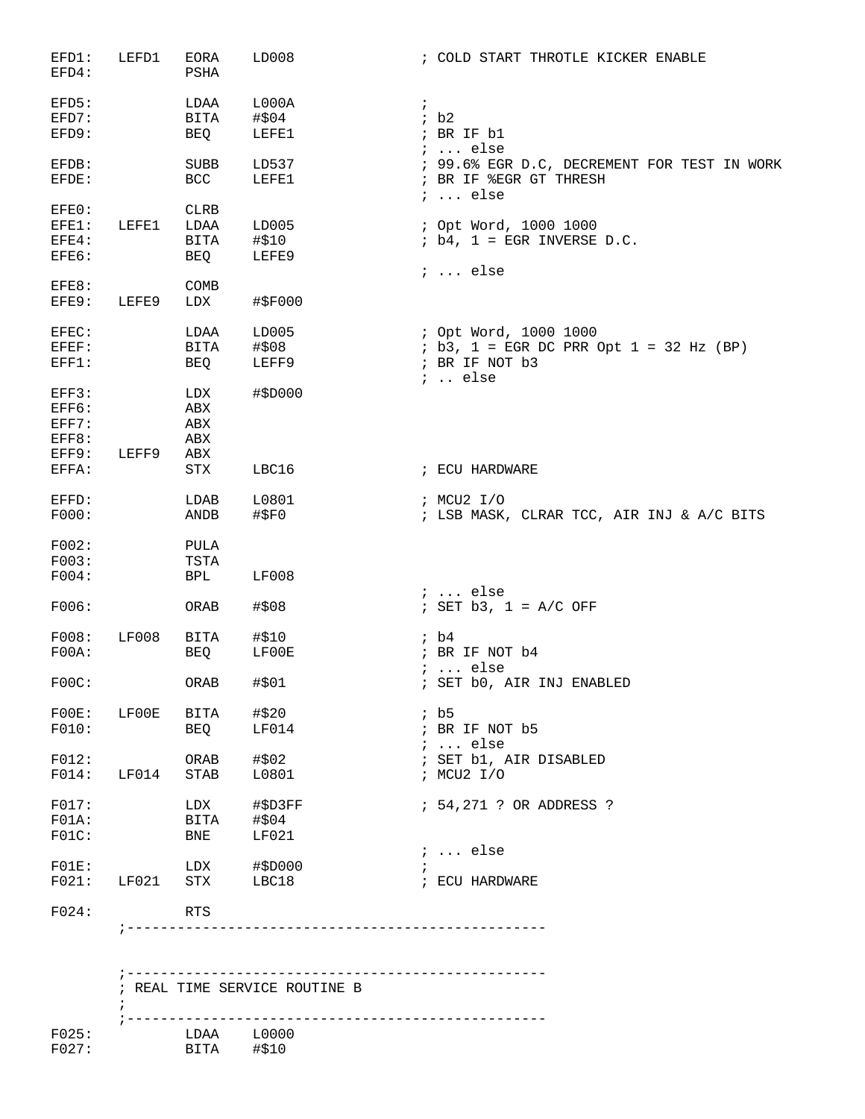| EFD1:<br>EFD4:                                     | LEFD1            | EORA<br>PSHA                                     | LD008                                           | ; COLD START THROTLE KICKER ENABLE                                                              |
|----------------------------------------------------|------------------|--------------------------------------------------|-------------------------------------------------|-------------------------------------------------------------------------------------------------|
| EFD5:<br>EFD7:<br>EFD9:                            |                  | LDAA<br>BITA<br>BEQ                              | L000A<br>#\$04<br>LEFE1                         | $\mathcal{L}$<br>ib2<br>; BR IF b1                                                              |
| EFDB:<br>EFDE:                                     |                  | SUBB<br>BCC                                      | LD537<br>LEFE1                                  | $: $ else<br>; 99.6% EGR D.C, DECREMENT FOR TEST IN WORK<br>; BR IF %EGR GT THRESH              |
| EFE0:<br>EFE1:<br>EFE4:<br>EFE6:                   | LEFE1            | <b>CLRB</b><br>LDAA<br>BITA<br>BEQ               | LD005<br>#\$10<br>LEFE9                         | $: $ else<br>; Opt Word, 1000 1000<br>$; b4, 1 = EGR INVERSE D.C.$                              |
| EFE8:<br>EFE9:                                     | LEFE9            | COMB<br>LDX                                      | #\$F000                                         | $i \ldots$ else                                                                                 |
| EFEC:<br>EFEF:<br>EFF1:<br>EFF3:<br>EFF6:<br>EFF7: |                  | LDAA<br>BITA<br>BEQ<br>LDX<br>ABX<br>${\tt ABX}$ | LD005<br>#\$08<br>LEFF9<br>#\$D000              | ; Opt Word, 1000 1000<br>$ib3, 1 = EGR DC PRR Opt 1 = 32 Hz (BP)$<br>; BR IF NOT b3<br>$:$ else |
| EFF8:<br>EFF9:<br>EFFA:                            | LEFF9            | ABX<br>ABX<br>STX                                | LBC16                                           | ; ECU HARDWARE                                                                                  |
| EFFD:<br>FO00:                                     |                  | LDAB<br><b>ANDB</b>                              | L0801<br>#SPO                                   | ; MCU2 I/O<br>; LSB MASK, CLRAR TCC, AIR INJ & A/C BITS                                         |
| F002:<br>FO03:<br>FO04:                            |                  | PULA<br>TSTA<br>BPL                              | <b>LF008</b>                                    |                                                                                                 |
| F006:                                              |                  | ORAB                                             | #\$08                                           | $i \ldots$ else<br>; SET $b3$ , $1 = A/C$ OFF                                                   |
| F008:<br>FOOA:                                     | LF008            | BITA<br>BEQ                                      | #\$10<br>LF00E                                  | ib4<br>; BR IF NOT b4<br>$i \ldots$ else                                                        |
| FOOC:                                              |                  | ORAB                                             | #\$01                                           | ; SET b0, AIR INJ ENABLED                                                                       |
| FOOE:<br>FO10:                                     | LF00E            | BITA<br>BEQ                                      | #\$20<br>LF014                                  | ib5<br>; BR IF NOT b5<br>$i \ldots$ else                                                        |
| F012:<br>$F014$ :                                  | LF014            | STAB                                             | ORAB $\# $02$<br>L0801                          | ; SET b1, AIR DISABLED<br>; MCU2 I/O                                                            |
| F017:<br>FO1A:<br>FOIC:                            |                  | BNE                                              | LDX #\$D3FF<br>BITA #\$04<br>BNE LF021<br>LF021 | ; 54,271 ? OR ADDRESS ?                                                                         |
| FO1E:<br>F021:                                     | $\mathtt{LF021}$ | STX                                              | LDX #\$D000<br>LBC18                            | $i \ldots$ else<br>; ECU HARDWARE                                                               |
| F024:                                              |                  | RTS                                              |                                                 |                                                                                                 |
|                                                    |                  |                                                  |                                                 |                                                                                                 |
|                                                    | $\ddot{i}$       |                                                  | ; REAL TIME SERVICE ROUTINE B                   |                                                                                                 |
| F025:<br>F027:                                     |                  | BITA                                             | LDAA L0000<br>#\$10                             | -------------------------                                                                       |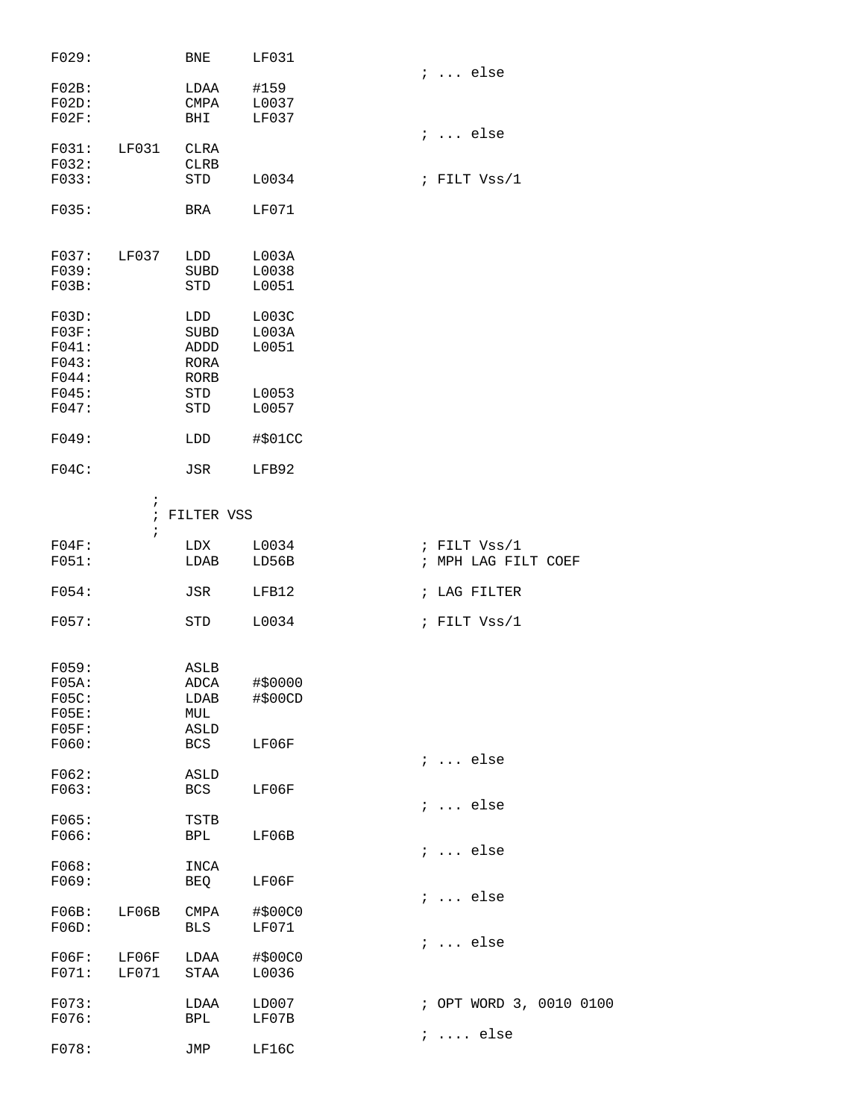| F029:                                              |                                        | <b>BNE</b>                                               | LF031                            |                                     |
|----------------------------------------------------|----------------------------------------|----------------------------------------------------------|----------------------------------|-------------------------------------|
| FO2B:<br>FO2D:<br>FO2F:                            |                                        | LDAA<br>CMPA<br>BHI                                      | #159<br>L0037<br>LF037           | $i \ldots$ else                     |
| FO31:<br>F032:<br>F033:                            | LF031                                  | CLRA<br>CLRB<br>STD                                      | L0034                            | $i \ldots$ else<br>; FILT Vss/1     |
| F035:                                              |                                        | BRA                                                      | LF071                            |                                     |
| F037:<br>F039:<br>FO3B:                            | LF037                                  | LDD<br>SUBD<br>STD                                       | L003A<br>L0038<br>L0051          |                                     |
| FO3D:<br>FO3F:<br>FO41:<br>F043:<br>F044:<br>F045: |                                        | LDD<br><b>SUBD</b><br>ADDD<br>RORA<br><b>RORB</b><br>STD | L003C<br>LOO3A<br>L0051<br>L0053 |                                     |
| F047:                                              |                                        | <b>STD</b>                                               | L0057                            |                                     |
| F049:                                              |                                        | LDD                                                      | #\$01CC                          |                                     |
| FO4C:                                              |                                        | JSR                                                      | LFB92                            |                                     |
|                                                    | $\ddot{ }$<br>$\ddot{i}$<br>$\ddot{ }$ | FILTER VSS                                               |                                  |                                     |
| FO4F:<br>FO51:                                     |                                        | LDX<br>LDAB                                              | L0034<br>LD56B                   | ; FILT Vss/1<br>; MPH LAG FILT COEF |
| FO54:                                              |                                        | JSR                                                      | LFB12                            | ; LAG FILTER                        |
| FO57:                                              |                                        | STD                                                      | L0034                            | ; FILT $Vss/1$                      |
| F059:<br>FO5A:<br>FO5C:<br>FO5E:<br>FO5F:<br>F060: |                                        | ASLB<br>ADCA<br>LDAB<br>MUL<br>ASLD<br><b>BCS</b>        | #\$0000<br>#\$00CD<br>LF06F      |                                     |
| F062:<br>F063:                                     |                                        | ASLD<br>BCS                                              | LF06F                            | $i \ldots$ else                     |
| F065:<br>F066:                                     |                                        | TSTB<br>BPL                                              | LF06B                            | $i \ldots$ else<br>$i \ldots$ else  |
| F068:<br>F069:                                     |                                        | INCA<br>BEQ                                              | LF06F                            | $i \ldots$ else                     |
| FO6B:<br>FO6D:                                     | LF06B                                  | CMPA<br>BLS                                              | #\$00C0<br>LF071                 |                                     |
| FO6F:<br>FO71:                                     | LF06F<br>LF071                         | LDAA<br>STAA                                             | #\$00C0<br>L0036                 | $i \ldots$ else                     |
| F073:<br>F076:                                     |                                        | LDAA<br><b>BPL</b>                                       | LD007<br>LF07B                   | ; OPT WORD 3, 0010 0100             |
| F078:                                              |                                        | JMP                                                      | LF16C                            | $i \ldots$ else                     |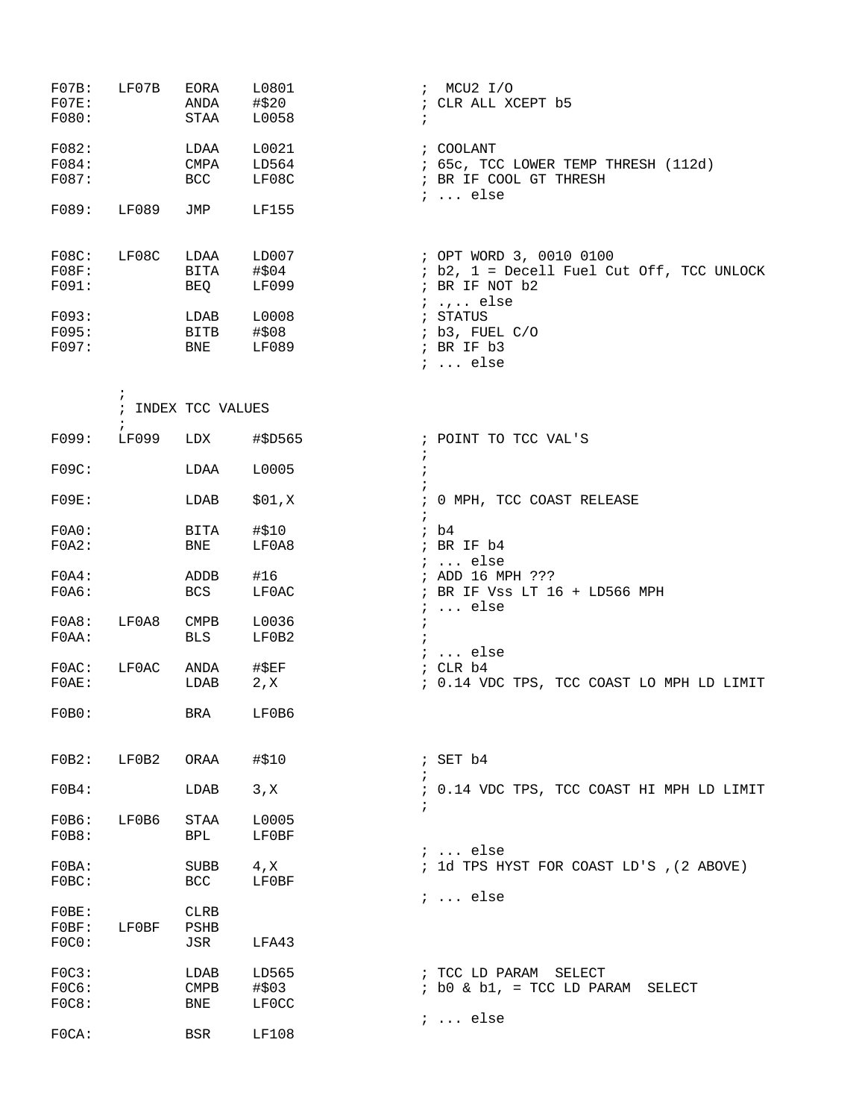| FO7B:<br>$FO7E$ :<br>F080:                         | LF07B               | EORA<br>ANDA<br>STAA                       | L0801<br>#\$20<br>L0058                            | $:$ MCU2 I/O<br>; CLR ALL XCEPT b5<br>$\ddot{i}$                                                                                                                  |
|----------------------------------------------------|---------------------|--------------------------------------------|----------------------------------------------------|-------------------------------------------------------------------------------------------------------------------------------------------------------------------|
| F082:<br>F084:<br>F087:                            |                     | LDAA<br>CMPA<br><b>BCC</b>                 | L0021<br>LD564<br>LF08C                            | ; COOLANT<br>; 65c, TCC LOWER TEMP THRESH (112d)<br>; BR IF COOL GT THRESH<br>$i \ldots$ else                                                                     |
| F089:                                              | LF089               | JMP                                        | <b>LF155</b>                                       |                                                                                                                                                                   |
| FOSC:<br>FO8F:<br>F091:<br>F093:<br>F095:<br>F097: | LF08C               | LDAA<br>BITA<br>BEQ<br>LDAB<br>BITB<br>BNE | LD007<br>#\$04<br>LF099<br>L0008<br>#\$08<br>LF089 | ; OPT WORD 3, 0010 0100<br>; b2, 1 = Decell Fuel Cut Off, TCC UNLOCK<br>; BR IF NOT b2<br>$i$ else<br>; STATUS<br>; b3, FUEL C/O<br>; BR IF b3<br>$i \ldots$ else |
|                                                    | $\ddot{ }$          | ; INDEX TCC VALUES                         |                                                    |                                                                                                                                                                   |
| F099:                                              | $\ddot{ }$<br>LF099 | LDX                                        | #\$D565                                            | ; POINT TO TCC VAL'S                                                                                                                                              |
| FO9C:                                              |                     | LDAA                                       | L0005                                              | $\ddot{ }$<br>$\ddot{i}$                                                                                                                                          |
| FO9E:                                              |                     | LDAB                                       | \$01,X                                             | ; 0 MPH, TCC COAST RELEASE<br>$\ddot{i}$                                                                                                                          |
| FOAO:<br>FOA2:                                     |                     | BITA<br>BNE                                | #\$10<br>LF0A8                                     | ib4<br>; BR IF b4                                                                                                                                                 |
| FOA4:<br>FOAG:                                     |                     | ADDB<br><b>BCS</b>                         | #16<br>LF0AC                                       | $i \ldots$ else<br>; ADD 16 MPH ???<br>; BR IF Vss LT 16 + LD566 MPH<br>$i \ldots$ else                                                                           |
| FOAB:<br>F0AA:                                     | LF0A8               | CMPB<br><b>BLS</b>                         | L0036<br>LF0B2                                     | $\ddot{ }$                                                                                                                                                        |
| FOAC:<br>FOAE:                                     | LF0AC               | ANDA<br>LDAB                               | #\$EF<br>2, x                                      | $i \ldots$ else<br>; CLR b4<br>; 0.14 VDC TPS, TCC COAST LO MPH LD LIMIT                                                                                          |
| FOBO:                                              |                     | BRA                                        | LF0B6                                              |                                                                                                                                                                   |
| FOB2:                                              | LF0B2               | ORAA                                       | #\$10                                              | ; SET b4<br>$\ddot{i}$                                                                                                                                            |
| FOB4:                                              |                     | LDAB                                       | 3, X                                               | ; 0.14 VDC TPS, TCC COAST HI MPH LD LIMIT<br>$\ddot{i}$                                                                                                           |
| FOB6:<br>FOB8:                                     | LF0B6               | STAA<br>BPL                                | L0005<br>LF0BF                                     |                                                                                                                                                                   |
| F0BA:<br>FOBC:                                     |                     | SUBB<br>BCC                                | 4, x<br>LF0BF                                      | $i$ else<br>; 1d TPS HYST FOR COAST LD'S , (2 ABOVE)                                                                                                              |
| FOBE:<br>FOBF:<br>FOCO:                            | LF0BF               | <b>CLRB</b><br>PSHB<br>JSR                 | LFA43                                              | $i \ldots$ else                                                                                                                                                   |
| FOC3:<br>FOC6:<br>FOC8:                            |                     | LDAB<br>$\texttt{CMPB}$<br>BNE             | LD565<br>#\$03<br>LF0CC                            | ; TCC LD PARAM SELECT<br>; b0 & b1, = TCC LD PARAM SELECT                                                                                                         |
| FOCA:                                              |                     | <b>BSR</b>                                 | LF108                                              | $i \ldots$ else                                                                                                                                                   |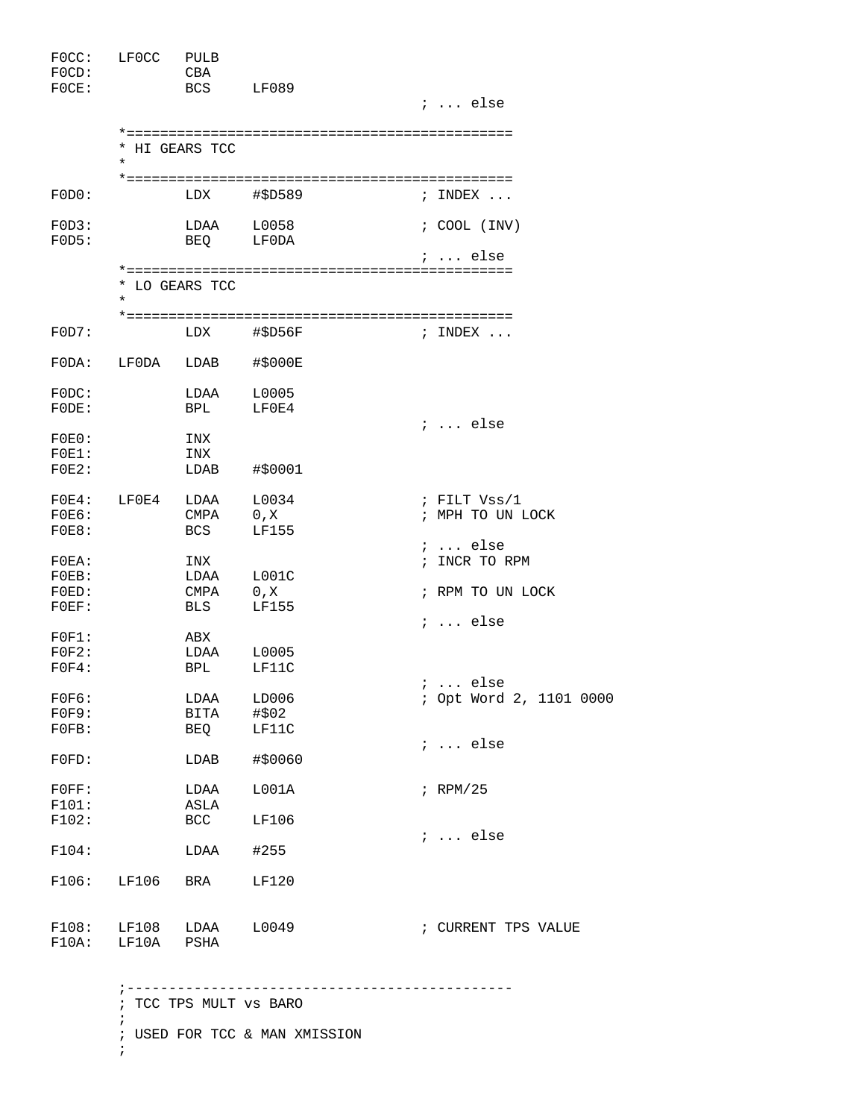| FOCC:<br>$FOCD$ :<br>FOCE:                | LF0CC          | PULB<br>CBA<br><b>BCS</b>         | LF089                         | $i$ else                                      |
|-------------------------------------------|----------------|-----------------------------------|-------------------------------|-----------------------------------------------|
|                                           | $\star$        | * HI GEARS TCC                    |                               |                                               |
| FODO:                                     |                | LDX                               | #\$D589                       | ; INDEX                                       |
| FOD3:<br>FODS:                            |                | LDAA                              | L0058<br>BEO LFODA            | $: COOL$ (INV)<br>;  else                     |
|                                           | $^\star$       | * LO GEARS TCC                    |                               |                                               |
| FOD7:                                     |                | LDX                               | #\$D56F                       | ; INDEX $\ldots$                              |
| FODA:                                     | LF0DA          | LDAB                              | #\$000E                       |                                               |
| FODC:<br>FODE:                            |                | LDAA<br><b>BPL</b>                | L0005<br>LF0E4                | $i \ldots$ else                               |
| FOEO:<br>$FOE1$ :<br>$FOE2$ :             |                | INX<br>INX<br>LDAB                | #\$0001                       |                                               |
| $FOE4$ :<br>FOEG:<br>FOE8:                | LF0E4          | LDAA<br><b>CMPA</b><br><b>BCS</b> | L0034<br>0, X<br><b>LF155</b> | ; FILT $Vss/1$<br>; MPH TO UN LOCK            |
| $FOEA$ :<br>$FOEB$ :<br>FOED:<br>$FOEF$ : |                | INX<br>LDAA<br>CMPA<br><b>BLS</b> | L001C<br>0, X<br>LF155        | $i$ else<br>; INCR TO RPM<br>; RPM TO UN LOCK |
| FOF1:<br>FOF2:<br>FOF4:                   |                | ABX<br>LDAA<br>BPL                | L0005<br>LF11C                | $i$ else                                      |
| FOFG:<br>FOF9:<br>FOFB:                   |                | LDAA<br>BITA<br>BEQ               | LD006<br>#\$02<br>LF11C       | $\ldots$ else<br>; Opt Word 2, 1101 0000      |
| $FOFD$ :                                  |                | LDAB                              | #\$0060                       | $i \ldots$ else                               |
| FOFF:<br>F101:                            |                | LDAA<br>ASLA                      | LOO1A                         | $i$ RPM/25                                    |
| F102:<br>F104:                            |                | BCC<br>LDAA                       | LF106<br>#255                 | $i \ldots$ else                               |
| F106:                                     | LF106          | BRA                               | LF120                         |                                               |
| F108:<br>F10A:                            | LF108<br>LF10A | LDAA<br>PSHA                      | L0049                         | ; CURRENT TPS VALUE                           |

 ;---------------------------------------------- ; TCC TPS MULT vs BARO ; ; USED FOR TCC & MAN XMISSION ;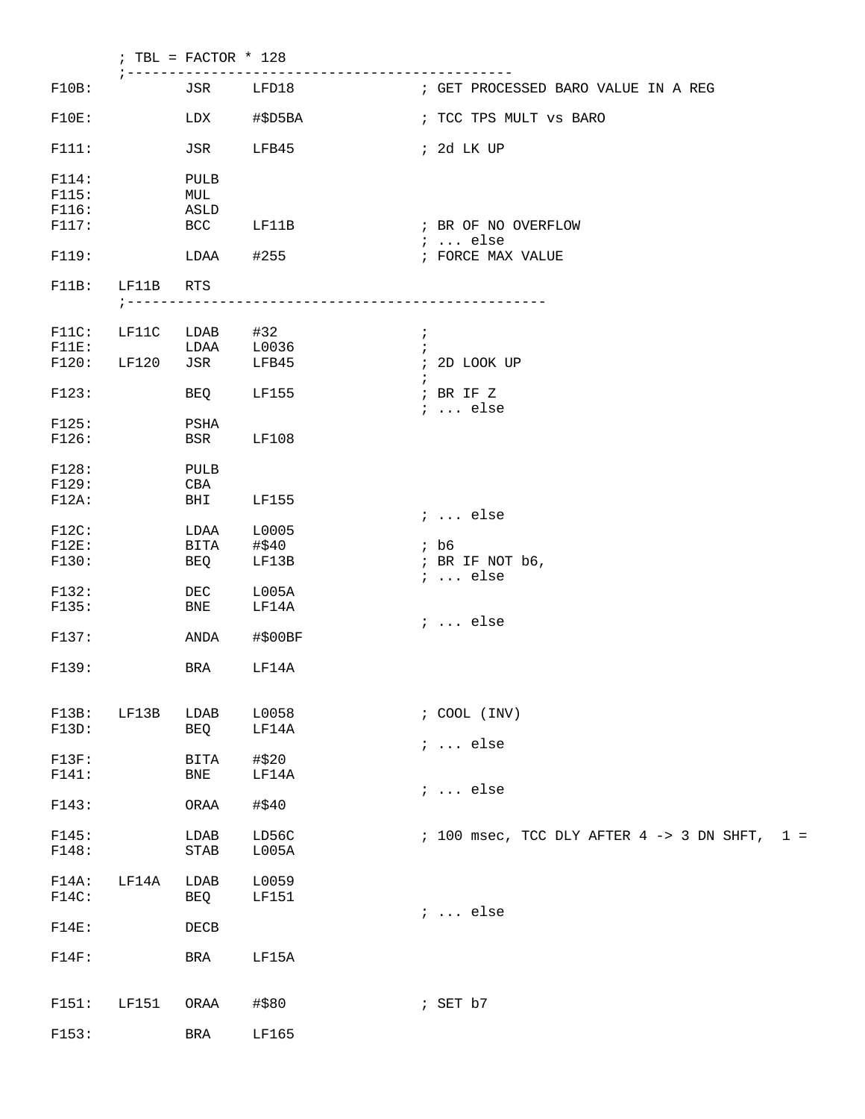|                   |                     | ; TBL = FACTOR $*$ 128        |                       |                                                                 |
|-------------------|---------------------|-------------------------------|-----------------------|-----------------------------------------------------------------|
| F10B:             |                     |                               | JSR LFD18             | ------------------<br>; GET PROCESSED BARO VALUE IN A REG       |
| F10E:             |                     | LDX                           | #\$D5BA               | ; TCC TPS MULT vs BARO                                          |
| F111:             |                     | JSR                           | LFB45                 | ; 2d LK UP                                                      |
| F114:<br>F115:    |                     | PULB<br>MUL                   |                       |                                                                 |
| F116:<br>F117:    |                     | ASLD<br><b>BCC</b>            | LF11B                 | ; BR OF NO OVERFLOW                                             |
| F119:             |                     | LDAA                          | #255                  | $\cdots$ else<br>; FORCE MAX VALUE                              |
| F11B:             | LF11B               | RTS                           |                       |                                                                 |
|                   | $7 - - - - - - - -$ |                               |                       | ------------------------------                                  |
| $F11C$ :          | LF11C               | LDAB                          | #32                   | $\ddot{i}$<br>$\ddot{i}$                                        |
| F11E:<br>F120:    | LF120               | LDAA<br>JSR                   | L0036<br>LFB45        | ; 2D LOOK UP                                                    |
| F123:             |                     | BEQ                           | LF155                 | $\ddot{i}$<br>; BR IF Z                                         |
| F125:             |                     | PSHA                          |                       | $i \ldots$ else                                                 |
| F126:             |                     | BSR                           | <b>LF108</b>          |                                                                 |
| F128:             |                     | PULB                          |                       |                                                                 |
| F129:<br>$F12A$ : |                     | CBA<br>BHI                    | <b>LF155</b>          |                                                                 |
| F12C:             |                     | LDAA                          | L0005                 | ;  else                                                         |
| $F12E$ :          |                     | BITA                          | #\$40                 | $;$ b6                                                          |
| F130:             |                     | BEQ                           | LF13B                 | ; BR IF NOT b6,<br>$i \ldots$ else                              |
| F132:             |                     | DEC                           | L005A                 |                                                                 |
| F135:             |                     | BNE                           | LF14A                 |                                                                 |
| F137:             |                     | ANDA                          | #\$00BF               | ;  else                                                         |
| F139:             |                     | BRA                           | LF14A                 |                                                                 |
| F13B:             | LF13B               | LDAB                          | L0058                 | $: COOL$ (INV)                                                  |
| F13D:             |                     | BEQ                           | LF14A                 |                                                                 |
| F13F:             |                     | BITA                          | #\$20                 | $i \ldots$ else                                                 |
| F141:             |                     | <b>BNE</b>                    | LF14A                 | $i \ldots$ else                                                 |
| F143:             |                     | ORAA                          | #\$40                 |                                                                 |
| F145:<br>F148:    |                     | LDAB<br>$\operatorname{STAB}$ | LD56C<br>L005A        | $: 100$ msec, TCC DLY AFTER $4 \rightarrow 3$ DN SHFT,<br>$1 =$ |
| F14A:<br>F14C:    | LF14A               | LDAB<br>BEQ                   | L0059<br><b>LF151</b> | $i \ldots$ else                                                 |
| $F14E$ :          |                     | DECB                          |                       |                                                                 |
| F14F:             |                     | BRA                           | LF15A                 |                                                                 |
| F151:             | LF151               | ORAA                          | #\$80                 | ; SET b7                                                        |
| F153:             |                     | BRA                           | LF165                 |                                                                 |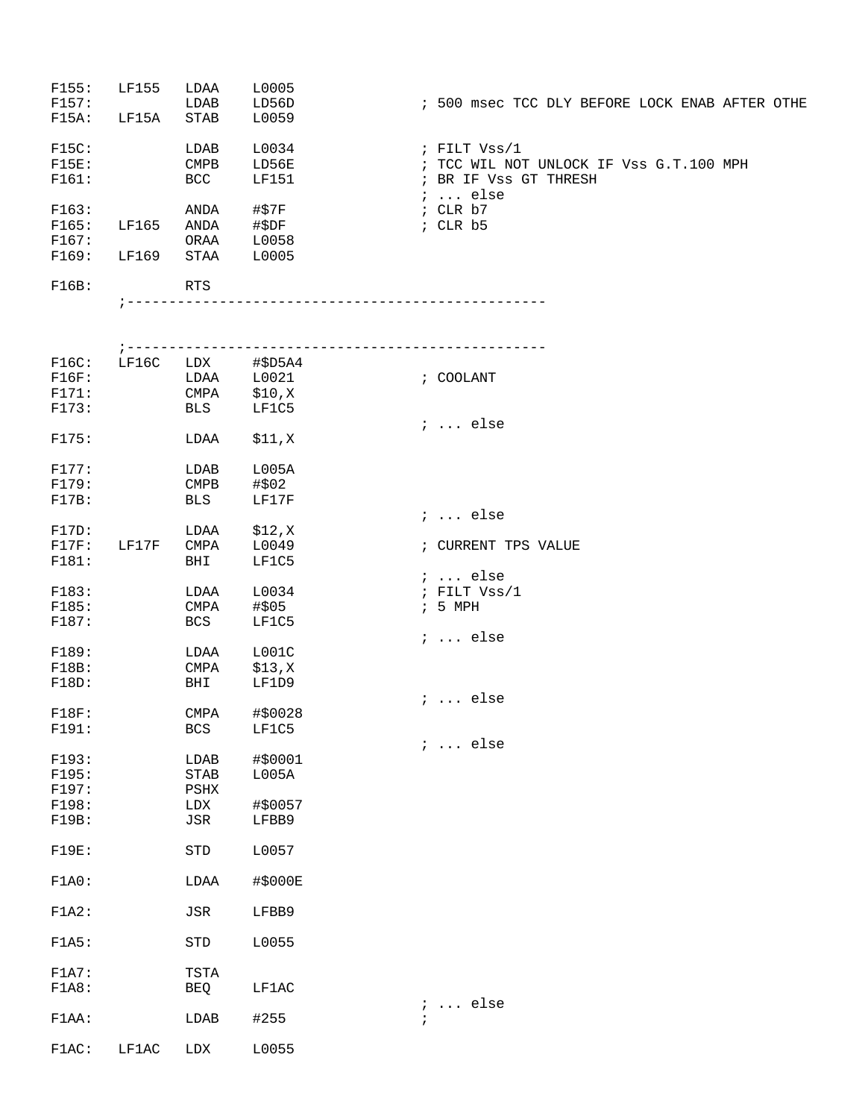| F155:    | LF155 | LDAA       | L0005        |                                                |
|----------|-------|------------|--------------|------------------------------------------------|
| F157:    |       | LDAB       | LD56D        | ; 500 msec TCC DLY BEFORE LOCK ENAB AFTER OTHE |
| F15A:    | LF15A | STAB       | L0059        |                                                |
| F15C:    |       | LDAB       | L0034        | ; FILT Vss/1                                   |
| $F15E$ : |       | CMPB       | LD56E        | ; TCC WIL NOT UNLOCK IF Vss G.T.100 MPH        |
| F161:    |       | <b>BCC</b> | <b>LF151</b> | ; BR IF Vss GT THRESH                          |
|          |       |            |              | $i$ else                                       |
| F163:    |       | ANDA       | #\$7F        | ; $CLR b7$                                     |
| F165:    | LF165 | ANDA       | #\$DF        | $:$ CLR $b5$                                   |
| F167:    |       | ORAA       | L0058        |                                                |
| F169:    | LF169 | STAA       | L0005        |                                                |
| F16B:    |       | <b>RTS</b> |              |                                                |

|       |                                |                                                                    | ; COOLANT                                                                                                                                                                                                                                                                                                                                                                                                                                            |
|-------|--------------------------------|--------------------------------------------------------------------|------------------------------------------------------------------------------------------------------------------------------------------------------------------------------------------------------------------------------------------------------------------------------------------------------------------------------------------------------------------------------------------------------------------------------------------------------|
|       |                                |                                                                    |                                                                                                                                                                                                                                                                                                                                                                                                                                                      |
|       |                                |                                                                    |                                                                                                                                                                                                                                                                                                                                                                                                                                                      |
|       |                                |                                                                    | $i \ldots$ else                                                                                                                                                                                                                                                                                                                                                                                                                                      |
|       |                                |                                                                    |                                                                                                                                                                                                                                                                                                                                                                                                                                                      |
|       |                                |                                                                    |                                                                                                                                                                                                                                                                                                                                                                                                                                                      |
|       | LDAB                           |                                                                    |                                                                                                                                                                                                                                                                                                                                                                                                                                                      |
|       | $\footnotesize{\mathsf{CMPB}}$ |                                                                    |                                                                                                                                                                                                                                                                                                                                                                                                                                                      |
|       | BLS                            | LF17F                                                              |                                                                                                                                                                                                                                                                                                                                                                                                                                                      |
|       |                                |                                                                    | $i \ldots$ else                                                                                                                                                                                                                                                                                                                                                                                                                                      |
|       |                                |                                                                    |                                                                                                                                                                                                                                                                                                                                                                                                                                                      |
|       |                                |                                                                    | ; CURRENT TPS VALUE                                                                                                                                                                                                                                                                                                                                                                                                                                  |
|       | BHI                            |                                                                    |                                                                                                                                                                                                                                                                                                                                                                                                                                                      |
|       |                                |                                                                    | $i \ldots$ else                                                                                                                                                                                                                                                                                                                                                                                                                                      |
|       |                                |                                                                    | ; FILT $Vss/1$                                                                                                                                                                                                                                                                                                                                                                                                                                       |
|       |                                |                                                                    | $5$ MPH                                                                                                                                                                                                                                                                                                                                                                                                                                              |
|       |                                |                                                                    |                                                                                                                                                                                                                                                                                                                                                                                                                                                      |
|       |                                |                                                                    | $i \ldots$ else                                                                                                                                                                                                                                                                                                                                                                                                                                      |
|       |                                |                                                                    |                                                                                                                                                                                                                                                                                                                                                                                                                                                      |
|       |                                |                                                                    |                                                                                                                                                                                                                                                                                                                                                                                                                                                      |
|       |                                |                                                                    |                                                                                                                                                                                                                                                                                                                                                                                                                                                      |
|       |                                |                                                                    | $i \ldots$ else                                                                                                                                                                                                                                                                                                                                                                                                                                      |
|       |                                |                                                                    |                                                                                                                                                                                                                                                                                                                                                                                                                                                      |
|       |                                |                                                                    |                                                                                                                                                                                                                                                                                                                                                                                                                                                      |
|       |                                |                                                                    | $i \ldots$ else                                                                                                                                                                                                                                                                                                                                                                                                                                      |
|       |                                |                                                                    |                                                                                                                                                                                                                                                                                                                                                                                                                                                      |
|       |                                |                                                                    |                                                                                                                                                                                                                                                                                                                                                                                                                                                      |
|       | PSHX                           |                                                                    |                                                                                                                                                                                                                                                                                                                                                                                                                                                      |
|       |                                |                                                                    |                                                                                                                                                                                                                                                                                                                                                                                                                                                      |
|       |                                |                                                                    |                                                                                                                                                                                                                                                                                                                                                                                                                                                      |
|       |                                |                                                                    |                                                                                                                                                                                                                                                                                                                                                                                                                                                      |
|       |                                |                                                                    |                                                                                                                                                                                                                                                                                                                                                                                                                                                      |
|       |                                |                                                                    |                                                                                                                                                                                                                                                                                                                                                                                                                                                      |
|       | LDAA                           |                                                                    |                                                                                                                                                                                                                                                                                                                                                                                                                                                      |
|       |                                |                                                                    |                                                                                                                                                                                                                                                                                                                                                                                                                                                      |
|       | JSR                            | LFBB9                                                              |                                                                                                                                                                                                                                                                                                                                                                                                                                                      |
|       |                                |                                                                    |                                                                                                                                                                                                                                                                                                                                                                                                                                                      |
|       |                                | L0055                                                              |                                                                                                                                                                                                                                                                                                                                                                                                                                                      |
|       |                                |                                                                    |                                                                                                                                                                                                                                                                                                                                                                                                                                                      |
|       | TSTA                           |                                                                    |                                                                                                                                                                                                                                                                                                                                                                                                                                                      |
|       |                                | LF1AC                                                              |                                                                                                                                                                                                                                                                                                                                                                                                                                                      |
|       |                                |                                                                    | $i \ldots$ else                                                                                                                                                                                                                                                                                                                                                                                                                                      |
|       |                                |                                                                    |                                                                                                                                                                                                                                                                                                                                                                                                                                                      |
|       |                                |                                                                    |                                                                                                                                                                                                                                                                                                                                                                                                                                                      |
| LF1AC | LDX                            | L0055                                                              |                                                                                                                                                                                                                                                                                                                                                                                                                                                      |
|       |                                | LF17F<br>CMPA<br>LDAA<br>CMPA<br>BHI<br>CMPA<br>BCS<br>STAB<br>JSR | ; -----------------------<br>$\begin{tabular}{ll} \tt LF16C & \tt LDX & \tt \#$D5A4 \\ & \tt LDAA & \tt L0021 \\ \end{tabular}$<br>$CMPA$ $$10,X$<br>BLS LF1C5<br>\$11,X<br>LDAA<br>L005A<br>#\$02<br>LDAA<br>\$12,X<br>CMPA L0049<br>LF1C5<br>$LDAA$ $L0034$<br>#\$05<br><b>BCS</b><br>LF1C5<br>L001C<br>\$13,X<br>LF1D9<br>#\$0028<br>LF1C5<br>LDAB<br>#\$0001<br>L005A<br>LDX #\$0057<br>LFBB9<br>STD L0057<br>#\$000E<br>STD<br>BEQ<br>LDAB #255 |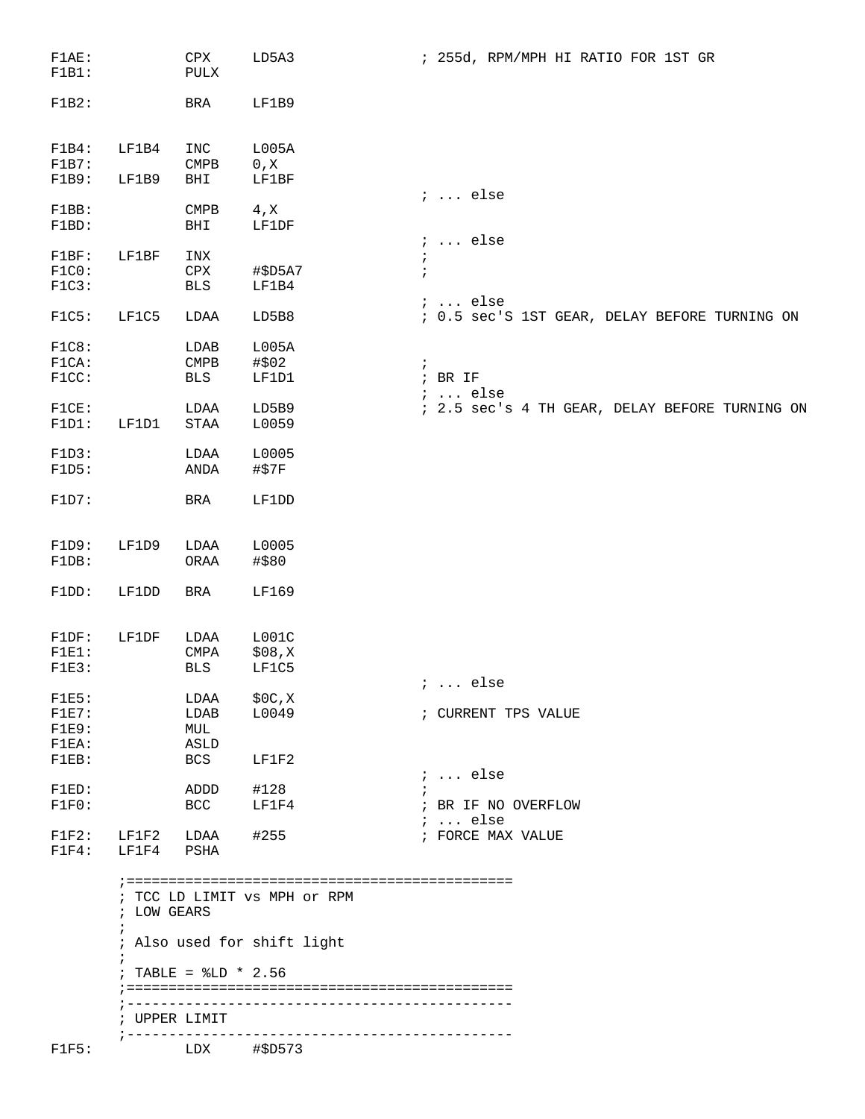| F1AE:<br>F1B1:                                                       |                                                                | ${\tt CPX}$<br>PULX                               | LD5A3                                                                  | ; 255d, RPM/MPH HI RATIO FOR 1ST GR                                                   |
|----------------------------------------------------------------------|----------------------------------------------------------------|---------------------------------------------------|------------------------------------------------------------------------|---------------------------------------------------------------------------------------|
| F1B2:                                                                |                                                                | BRA                                               | LF1B9                                                                  |                                                                                       |
| F1B4:<br>F1B7:                                                       | LF1B4                                                          | INC<br>$\texttt{CMPB}$                            | L005A<br>$0$ , $\rm X$                                                 |                                                                                       |
| F1B9:<br>F1BB:<br>F1BD:                                              | LF1B9                                                          | BHI<br><b>CMPB</b><br>BHI                         | <b>LF1BF</b><br>$4 \times$<br>LF1DF                                    | $: $ else                                                                             |
| F1BF:<br>F1C0:<br>F1C3:                                              | LF1BF                                                          | INX<br>CPX<br>BLS                                 | #\$D5A7<br>LF1B4                                                       | $i \ldots$ else<br>÷<br>$\ddot{ }$                                                    |
| FIG:                                                                 | LF1C5                                                          | LDAA                                              | LD5B8                                                                  | $i \ldots$ else<br>; 0.5 sec'S 1ST GEAR, DELAY BEFORE TURNING ON                      |
| FIGB:<br>F1CA:<br>F1CC:<br>FIGE:                                     |                                                                | LDAB<br>$\texttt{CMPB}$<br>BLS<br>LDAA            | L005A<br>#\$02<br>LF1D1<br>LD5B9                                       | $\ddot{i}$<br>$;$ BR IF<br>$i$ else<br>; 2.5 sec's 4 TH GEAR, DELAY BEFORE TURNING ON |
| F1D1:<br>F1D3:<br>F1D5:<br>F1D7:                                     | LF1D1                                                          | STAA<br>LDAA<br>ANDA<br>BRA                       | L0059<br>L0005<br>#\$7F<br>LF1DD                                       |                                                                                       |
| F1D9:<br>F1DB:<br>F1DD:                                              | LF1D9<br>LF1DD                                                 | LDAA<br>ORAA<br>BRA                               | L0005<br>#\$80<br>LF169                                                |                                                                                       |
| F1DF:<br>$F1E1$ :<br>F1E3:                                           | LF1DF                                                          | LDAA<br>$\ensuremath{\mathrm{CMPA}}$<br>BLS       | LOO1C<br>\$08,K<br>LF1C5                                               | ;  else                                                                               |
| F1E5:<br>$F1E7$ :<br>F1E9:<br>$FIEA$ :<br>$F1EB$ :<br>FIED:<br>F1F0: |                                                                | LDAA<br>LDAB<br>MUL<br>ASLD<br>BCS<br>ADDD<br>BCC | \$0C,X<br>L0049<br>LF1F2<br>#128<br>LF1F4                              | ; CURRENT TPS VALUE<br>;  else<br>; BR IF NO OVERFLOW                                 |
| F1F2:<br>$F1F4$ :                                                    | LF1F2<br>LF1F4                                                 | LDAA<br>PSHA                                      | #255                                                                   | $i \ldots$ else<br>; FORCE MAX VALUE                                                  |
| F1F5:                                                                | ; LOW GEARS<br>$\ddot{ }$<br>$\ddot{i}$<br>$7 - - - - - - - -$ | ; TABLE = $$LD * 2.56$<br>; UPPER LIMIT<br>LDX    | ; TCC LD LIMIT VS MPH Or RPM<br>; Also used for shift light<br>#\$D573 |                                                                                       |
|                                                                      |                                                                |                                                   |                                                                        |                                                                                       |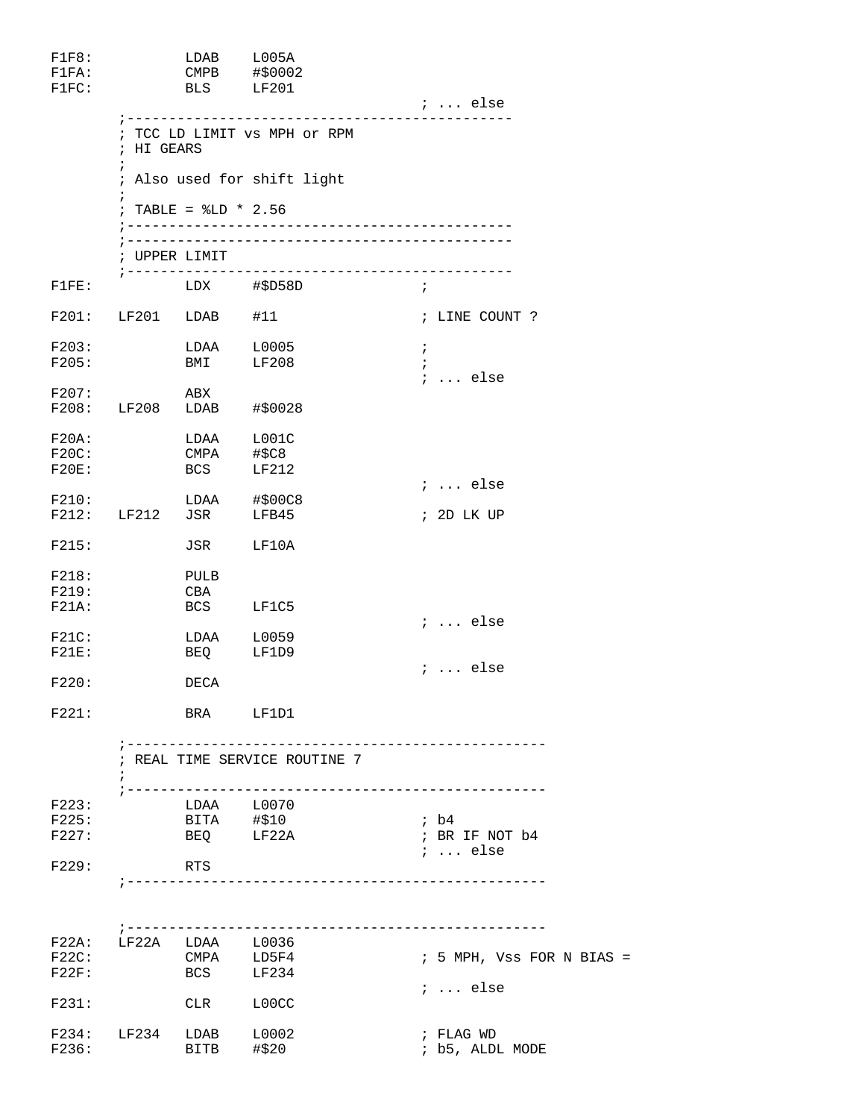| F1F8:<br>FIFA:<br>F1FC:       |                          | LDAB L005A<br>BLS LF201         | CMPB #\$0002                                 | $i \ldots$ else                             |
|-------------------------------|--------------------------|---------------------------------|----------------------------------------------|---------------------------------------------|
|                               | ; HI GEARS<br>$\ddot{i}$ |                                 | ; TCC LD LIMIT vs MPH or RPM                 |                                             |
|                               |                          |                                 | ; Also used for shift light                  |                                             |
|                               | $\ddot{i}$               | ; TABLE = $$LD * 2.56$          |                                              |                                             |
|                               |                          |                                 |                                              |                                             |
|                               |                          | ; UPPER LIMIT                   | ; ---------------------------                |                                             |
| F1FE:                         |                          |                                 | LDX #\$D58D<br>$\mathcal{L}$ , $\mathcal{L}$ |                                             |
|                               | F201: LF201 LDAB #11     |                                 |                                              | ; LINE COUNT ?                              |
| F203:<br>F205:                |                          | BMI                             | $LDAA$ $L0005$<br>LF208                      | $\ddot{i}$<br>$\ddot{i}$<br>$i \ldots$ else |
| F207:                         |                          | ABX                             |                                              |                                             |
|                               | F208: LF208 LDAB #\$0028 |                                 |                                              |                                             |
| F20A:<br>F20C:<br>$F20E$ :    |                          | LDAA<br>CMPA<br><b>BCS</b>      | L001C<br>#\$C8<br>LF212                      |                                             |
| F210:                         |                          |                                 | LDAA #\$00C8                                 | $i \ldots$ else                             |
|                               | F212: LF212 JSR          |                                 | LFB45                                        | ; 2D LK UP                                  |
| F215:                         |                          | JSR                             | LF10A                                        |                                             |
| F218:<br>F219:<br>$F21A$ :    |                          | PULB<br>CBA<br><b>BCS</b>       | LF1C5                                        |                                             |
| F21C:                         |                          | LDAA                            | L0059                                        | $i \ldots$ else                             |
| F21E:                         |                          | BEQ                             | LF1D9                                        | $i \ldots$ else                             |
| F220:                         |                          | DECA                            |                                              |                                             |
| F221:                         |                          | BRA LF1D1                       |                                              |                                             |
|                               | $7 - - - - - - -$        |                                 | ; REAL TIME SERVICE ROUTINE 7                | _________________________________           |
| F223:                         |                          | LDAA L0070<br>BITA #\$10        |                                              |                                             |
| F225:<br>F227:                |                          | BEQ LF22A                       |                                              | ; b4<br>; BR IF NOT b4                      |
| F229:                         |                          | RTS                             |                                              | $i$ else                                    |
|                               |                          |                                 |                                              |                                             |
| $F22A$ :<br>$F22C$ :<br>F22F: | LF22A                    | LDAA L0036<br>CMPA LD5F4<br>BCS | LF234                                        | $: 5$ MPH, Vss FOR N BIAS =                 |
| F231:                         |                          | CLR                             | L00CC                                        | $i \dots$ else                              |
|                               | F234: LF234              | LDAB                            | L0002                                        | ; FLAG WD                                   |
| F236:                         |                          | BITB                            | #\$20                                        | ; b5, ALDL MODE                             |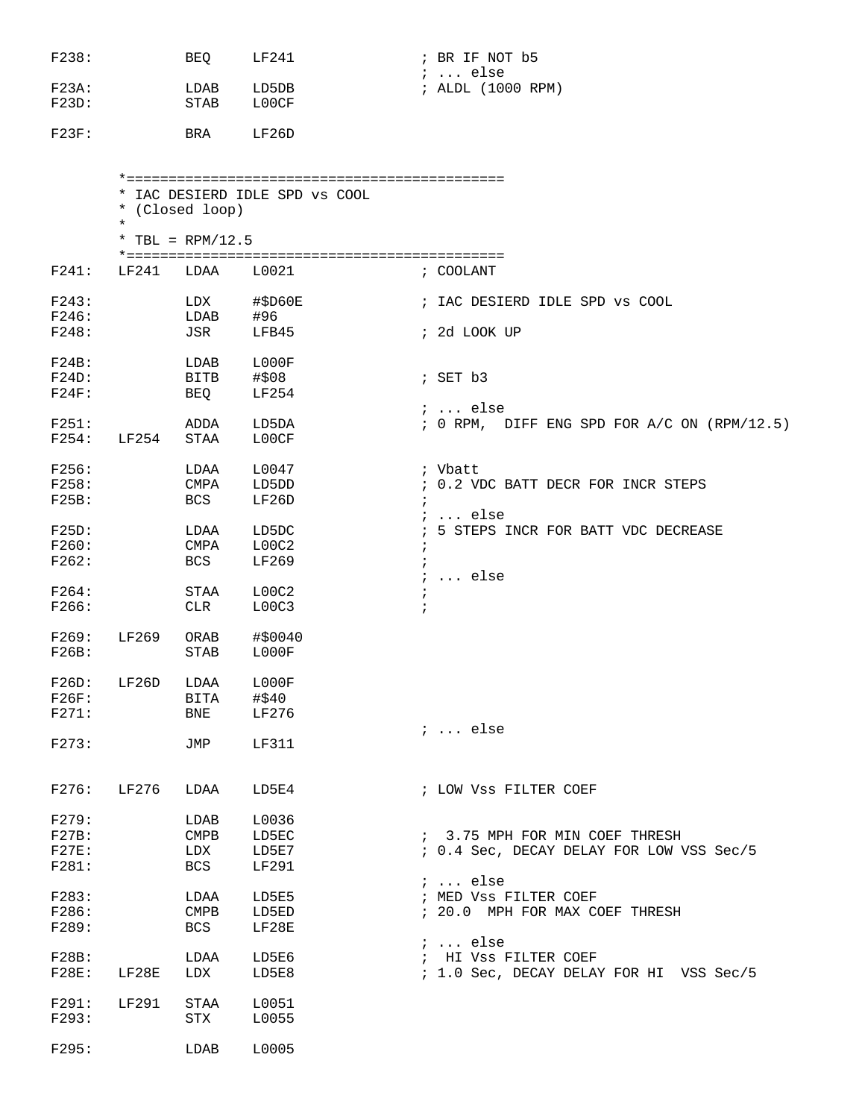| F238:          |          | BEQ                 | LF241                          | ; BR IF NOT b5                                                             |
|----------------|----------|---------------------|--------------------------------|----------------------------------------------------------------------------|
| $F23A$ :       |          | LDAB                | LD5DB                          | $i \ldots$ else<br>; ALDL (1000 RPM)                                       |
| F23D:          |          | STAB                | L00CF                          |                                                                            |
| $F23F$ :       |          | BRA                 | LF26D                          |                                                                            |
|                |          |                     |                                |                                                                            |
|                |          | * (Closed loop)     | * IAC DESIERD IDLE SPD VS COOL |                                                                            |
|                | $^\star$ | * TBL = $RPM/12.5$  |                                |                                                                            |
| F241:          | LF241    | LDAA                | L0021                          | ; COOLANT                                                                  |
| F243:<br>F246: |          | LDX<br>LDAB         | $\#$ \$D60E<br>#96             | ; IAC DESIERD IDLE SPD vs COOL                                             |
| F248:          |          | JSR                 | LFB45                          | ; 2d LOOK UP                                                               |
| $F24B$ :       |          | LDAB                | L000F                          |                                                                            |
| F24D:<br>F24F: |          | <b>BITB</b><br>BEQ  | #\$08<br>LF254                 | $;$ SET $b3$                                                               |
| F251:          |          |                     |                                | $i \ldots$ else<br>; 0 RPM, DIFF ENG SPD FOR A/C ON (RPM/12.5)             |
| F254:          | LF254    | ADDA<br><b>STAA</b> | LD5DA<br>L00CF                 |                                                                            |
| F256:          |          | LDAA                | L0047                          | ; Vbatt                                                                    |
| F258:          |          | <b>CMPA</b>         | LD5DD                          | ; 0.2 VDC BATT DECR FOR INCR STEPS                                         |
| F25B:          |          | <b>BCS</b>          | LF26D                          | $i \ldots$ else                                                            |
| F25D:          |          | LDAA                | LD5DC                          | ; 5 STEPS INCR FOR BATT VDC DECREASE                                       |
| F260:          |          | CMPA                | LOOC2                          |                                                                            |
| F262:          |          | BCS                 | LF269                          | $\ddot{i}$<br>$i \ldots$ else                                              |
| F264:          |          | STAA                | LOOC2                          | $\ddot{ }$                                                                 |
| F266:          |          | CLR                 | LOOC3                          |                                                                            |
| F269:          | LF269    | ORAB                | #\$0040                        |                                                                            |
| F26B:          |          | STAB                | L000F                          |                                                                            |
| F26D:          | LF26D    | LDAA                | ${\tt LOOOOF}$                 |                                                                            |
| F26F:          |          | BITA                | #\$40                          |                                                                            |
| F271:          |          | BNE                 | LF276                          | $i \ldots$ else                                                            |
| F273:          |          | JMP                 | LF311                          |                                                                            |
| F276:          | LF276    | LDAA                | LD5E4                          | ; LOW Vss FILTER COEF                                                      |
|                |          |                     |                                |                                                                            |
| F279:          |          | LDAB                | L0036                          |                                                                            |
| F27B:<br>F27E: |          | <b>CMPB</b><br>LDX  | LD5EC<br>LD5E7                 | ; 3.75 MPH FOR MIN COEF THRESH<br>; 0.4 Sec, DECAY DELAY FOR LOW VSS Sec/5 |
| F281:          |          | BCS                 | LF291                          |                                                                            |
|                |          |                     |                                | $i \ldots$ else                                                            |
| F283:<br>F286: |          | LDAA<br>CMPB        | LD5E5<br>LD5ED                 | ; MED Vss FILTER COEF<br>; 20.0 MPH FOR MAX COEF THRESH                    |
| F289:          |          | BCS                 | LF28E                          |                                                                            |
|                |          |                     |                                | $i \ldots$ else                                                            |
| F28B:<br>F28E: | LF28E    | LDAA<br>LDX         | LD5E6<br>LD5E8                 | ; HI VSS FILTER COEF<br>; 1.0 Sec, DECAY DELAY FOR HI VSS Sec/5            |
|                |          |                     |                                |                                                                            |
| F291:<br>F293: | LF291    | STAA<br>STX         | L0051<br>L0055                 |                                                                            |
| F295:          |          | LDAB                | L0005                          |                                                                            |
|                |          |                     |                                |                                                                            |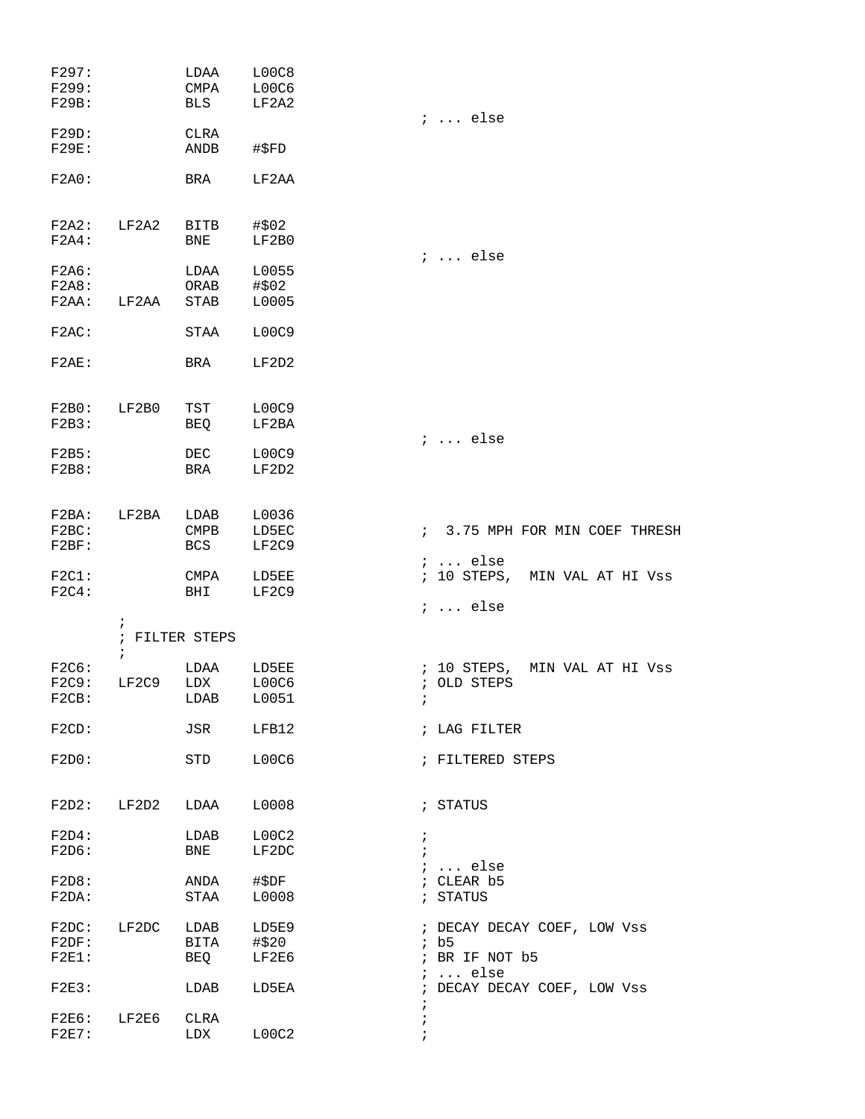| F297:<br>F299:<br>F29B:       |                        | LDAA<br>CMPA<br>BLS                         | LOOC8<br>L00C6<br>LF2A2 |                                                                         |
|-------------------------------|------------------------|---------------------------------------------|-------------------------|-------------------------------------------------------------------------|
| F29D:<br><b>F29E:</b>         |                        | CLRA<br>ANDB                                | #\$FD                   | $i \ldots$ else                                                         |
| F2A0:                         |                        | BRA                                         | LF2AA                   |                                                                         |
| $F2A4$ :                      | $F2A2:$ $LF2A2$        | BITB<br>BNE                                 | #\$02<br>LF2B0          |                                                                         |
| F2A6:<br>F2A8:<br>$F2AA$ :    | LF2AA                  | LDAA<br>ORAB<br>STAB                        | L0055<br>#\$02<br>L0005 | $i \ldots$ else                                                         |
| $F2AC$ :                      |                        | STAA                                        | L00C9                   |                                                                         |
| $F2AE$ :                      |                        | BRA                                         | LF2D2                   |                                                                         |
| F2B0: LF2B0<br>F2B3:          |                        | TST<br>BEQ                                  | L00C9<br>LF2BA          | $i \ldots$ else                                                         |
| F2B5:<br>F2B8:                |                        | DEC<br>BRA                                  | L00C9<br>LF2D2          |                                                                         |
| F2BA: LF2BA<br>F2BC:<br>F2BF: |                        | LDAB<br>$\mathop{\rm CMBB}\nolimits$<br>BCS | L0036<br>LD5EC<br>LF2C9 | : 3.75 MPH FOR MIN COEF THRESH                                          |
| $F2C1$ :<br>F2C4:             |                        | CMPA<br>BHI                                 | LD5EE<br>LF2C9          | $i \ldots$ else<br>; 10 STEPS, MIN VAL AT HI Vss                        |
|                               | $\ddot{ }$             | ; FILTER STEPS                              |                         | $i \ldots$ else                                                         |
| $F2C6$ :<br>F2C9:<br>F2CB:    | $\mathcal{V}$<br>LF2C9 | LDAA<br>LDX<br>LDAB                         | LD5EE<br>L00C6<br>L0051 | ; 10 STEPS, MIN VAL AT HI Vss<br>; OLD STEPS                            |
| $F2CD$ :                      |                        | JSR                                         | LFB12                   | ; LAG FILTER                                                            |
| F2D0:                         |                        | STD                                         | L00C6                   | ; FILTERED STEPS                                                        |
|                               | $F2D2:$ $LF2D2$        | LDAA                                        | L0008                   | ; STATUS                                                                |
| F2D4:<br>F2D6:                |                        | LDAB<br>BNE                                 | L00C2<br>LF2DC          | $\ddot{ }$<br>$\mathbf{i}$<br>$: $ else                                 |
| F2D8:<br>F2DA:                |                        | ANDA<br>STAA                                | #\$DF<br>L0008          | ; CLEAR b5<br>; STATUS                                                  |
| F2DF:<br>$F2E1$ :             | F2DC: IF2DC            | LDAB<br><b>BITA</b><br><b>BEQ</b>           | LD5E9<br>#\$20<br>LF2E6 | ; DECAY DECAY COEF, LOW Vss<br>ib5<br>; BR IF NOT b5<br>$i \ldots$ else |
| F2E3:                         |                        | LDAB                                        | LD5EA                   | ; DECAY DECAY COEF, LOW Vss<br>$\ddot{ }$                               |
| $F2E7$ :                      | F2E6: LF2E6 CLRA       | LDX                                         | LOOC2                   | $\ddot{ }$                                                              |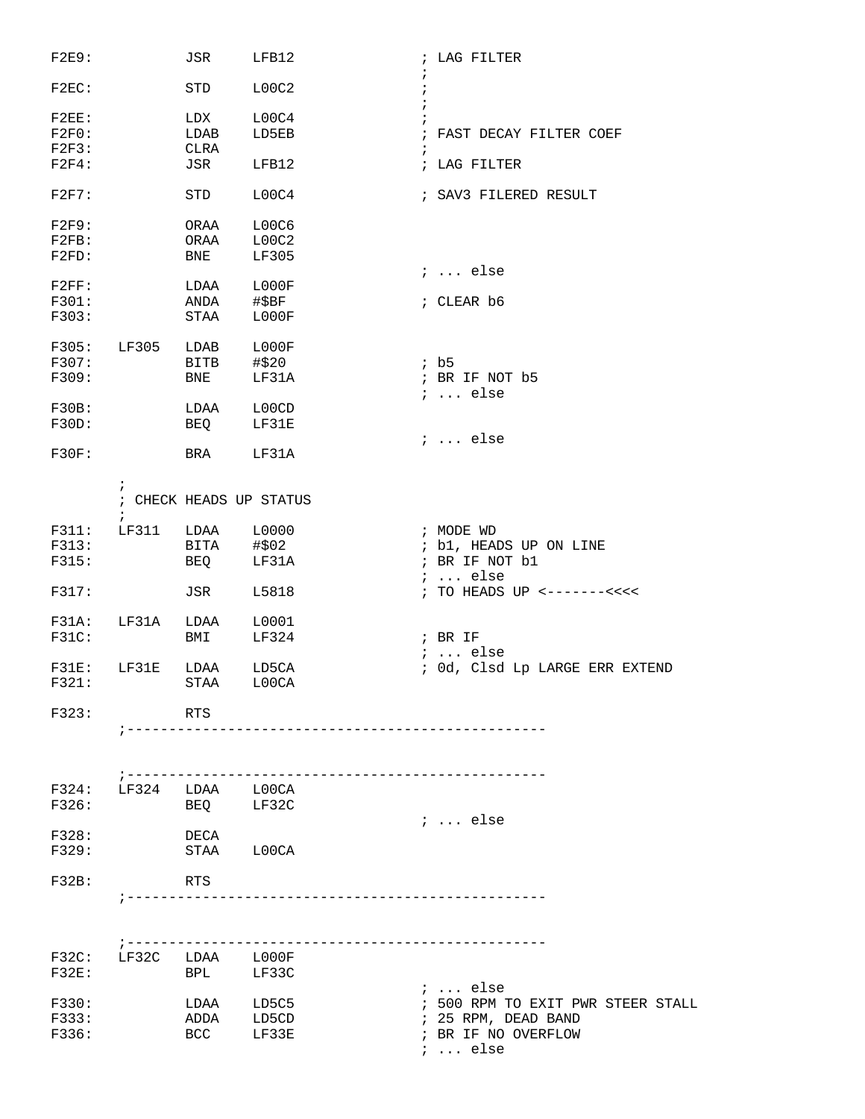| F2E9:    |                        | JSR         | LFB12                   | ; LAG FILTER                          |
|----------|------------------------|-------------|-------------------------|---------------------------------------|
| $F2EC$ : |                        | STD         | LOOC2                   | $\cdot$                               |
| $F2EE$ : |                        | LDX         | LOOC4                   |                                       |
| F2F0:    |                        | LDAB        | LD5EB                   | ; FAST DECAY FILTER COEF              |
| F2F3:    |                        | CLRA        |                         |                                       |
| $F2F4$ : |                        | JSR         | LFB12                   | i<br>; LAG FILTER                     |
| F2F7:    |                        | STD         | LOOC4                   | ; SAV3 FILERED RESULT                 |
| F2F9:    |                        | ORAA        | L00C6                   |                                       |
| $F2FB$ : |                        | ORAA        | LOOC2                   |                                       |
|          |                        |             |                         |                                       |
| F2FD:    |                        | BNE         | LF305                   | $i \ldots$ else                       |
| F2FF:    |                        | LDAA        | L000F                   |                                       |
|          |                        |             |                         |                                       |
| F301:    |                        | ANDA        | #\$BF                   | ; CLEAR b6                            |
| F303:    |                        | STAA        | LOOOF                   |                                       |
| F305:    | LF305                  | LDAB        | L000F                   |                                       |
| F307:    |                        | <b>BITB</b> | #\$20                   | ib5                                   |
| F309:    |                        | BNE         | LF31A                   | ; BR IF NOT b5                        |
|          |                        |             |                         | $i \ldots$ else                       |
| F30B:    |                        | LDAA        | L00CD                   |                                       |
| F30D:    |                        | BEQ         | LF31E                   |                                       |
|          |                        |             |                         | $i$ else                              |
| F30F:    |                        | BRA         | LF31A                   |                                       |
|          | $\ddot{i}$             |             |                         |                                       |
|          |                        |             | ; CHECK HEADS UP STATUS |                                       |
| F311:    | LF311                  | LDAA        | L0000                   | ; MODE WD                             |
| F313:    |                        | BITA        | #\$02                   | ; b1, HEADS UP ON LINE                |
| F315:    |                        | BEQ         | LF31A                   | ; BR IF NOT b1                        |
|          |                        |             |                         | $i \ldots$ else                       |
| F317:    |                        | JSR         | L5818                   | ; TO HEADS UP <-------<<<<            |
| F31A:    | LF31A                  | LDAA        | L0001                   |                                       |
| F31C:    |                        | BMI         | LF324                   | $;$ BR IF                             |
|          |                        |             |                         | $i \ldots$ else                       |
| F31E:    | LF31E                  | LDAA        | LD5CA                   | ; Od, Clsd Lp LARGE ERR EXTEND        |
| F321:    |                        |             | STAA L00CA              |                                       |
| F323:    |                        | RTS         |                         |                                       |
|          | $:  - - - - - - - -$   |             |                         |                                       |
|          |                        |             |                         |                                       |
|          |                        |             |                         | ------------------------------------- |
|          | F324: LF324 LDAA L00CA |             |                         |                                       |
| F326:    |                        | BEQ LF32C   |                         |                                       |
|          |                        |             |                         | $i \dots$ else                        |
| F328:    |                        | DECA        |                         |                                       |
| F329:    |                        |             | STAA L00CA              |                                       |
|          |                        |             |                         |                                       |
| F32B:    |                        | RTS         |                         |                                       |
|          |                        |             |                         |                                       |
|          |                        |             |                         |                                       |
|          | F32C: LF32C LDAA L000F |             |                         |                                       |
| $F32E$ : |                        | BPL LF33C   |                         |                                       |
|          |                        |             |                         | $i \ldots$ else                       |
| F330:    |                        |             | LDAA LD5C5              | ; 500 RPM TO EXIT PWR STEER STALL     |
| F333:    |                        | ADDA LD5CD  |                         | ; 25 RPM, DEAD BAND                   |
| F336:    |                        |             | BCC LF33E               | ; BR IF NO OVERFLOW                   |
|          |                        |             |                         | $i \ldots$ else                       |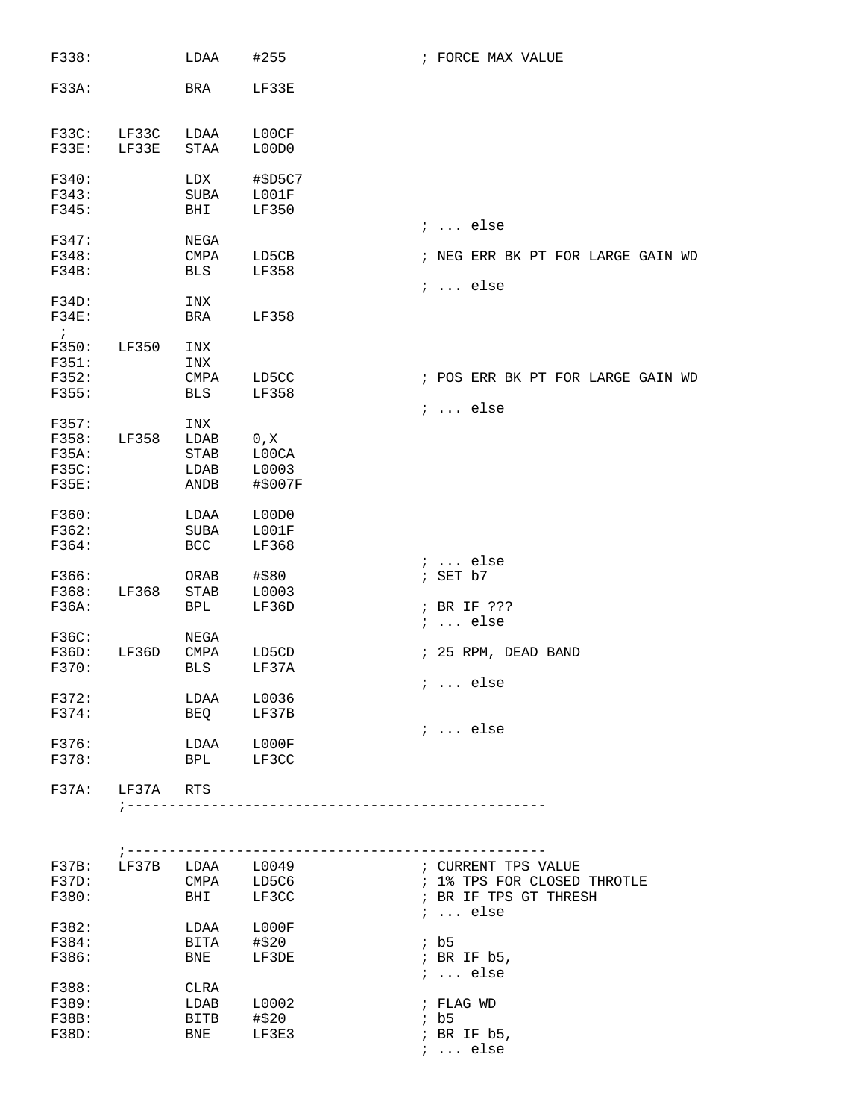| F338:                 |                             | LDAA                      | #255                            | ; FORCE MAX VALUE                 |
|-----------------------|-----------------------------|---------------------------|---------------------------------|-----------------------------------|
| F33A:                 |                             | BRA                       | LF33E                           |                                   |
| F33C:                 | LF33C                       | LDAA<br><b>STAA</b>       | L00CF                           |                                   |
| <b>F33E:</b>          | LF33E                       |                           | L00D0                           |                                   |
| F340:<br>F343:        |                             | LDX<br><b>SUBA</b>        | #\$D5C7<br>LOO1F                |                                   |
| F345:                 |                             | BHI                       | LF350                           |                                   |
| F347:                 |                             | NEGA                      |                                 | $i \ldots$ else                   |
| F348:<br>F34B:        |                             | <b>CMPA</b><br><b>BLS</b> | LD5CB<br>LF358                  | ; NEG ERR BK PT FOR LARGE GAIN WD |
|                       |                             |                           |                                 | $i \ldots$ else                   |
| F34D:<br><b>F34E:</b> |                             | INX<br>BRA                | LF358                           |                                   |
| $\cdot$ ;             |                             |                           |                                 |                                   |
| F350:<br>F351:        | LF350                       | INX<br>INX                |                                 |                                   |
| F352:                 |                             | <b>CMPA</b>               | LD5CC                           | ; POS ERR BK PT FOR LARGE GAIN WD |
| F355:                 |                             | <b>BLS</b>                | LF358                           | $i \ldots$ else                   |
| F357:                 |                             | INX                       |                                 |                                   |
| F358:<br>F35A:        | LF358                       | LDAB<br><b>STAB</b>       | 0, X<br>L00CA                   |                                   |
| <b>F35C:</b>          |                             | LDAB                      | L0003                           |                                   |
| <b>F35E:</b>          |                             | ANDB                      | #\$007F                         |                                   |
| F360:                 |                             | LDAA                      | L00D0                           |                                   |
| F362:                 |                             | <b>SUBA</b>               | LOO1F                           |                                   |
| F364:                 |                             | <b>BCC</b>                | LF368                           |                                   |
|                       |                             |                           |                                 | $i \ldots$ else                   |
| F366:                 |                             | ORAB                      | #\$80                           | SET b7<br>$\ddot{i}$              |
| F368:                 | LF368                       | <b>STAB</b>               | L0003                           |                                   |
| F36A:                 |                             | BPL                       | LF36D                           | ; BR IF ???<br>$i \ldots$ else    |
| F36C:                 |                             | <b>NEGA</b>               |                                 |                                   |
| F36D:                 | LF36D                       | <b>CMPA</b>               | LD5CD                           | ; 25 RPM, DEAD BAND               |
| F370:                 |                             | <b>BLS</b>                | LF37A                           | <i>;</i> else                     |
| F372:                 |                             | LDAA                      | L0036                           |                                   |
| F374:                 |                             | BEQ                       | LF37B                           |                                   |
|                       |                             |                           |                                 | $i$ else                          |
| F376:                 |                             | LDAA                      | L000F                           |                                   |
| F378:                 |                             | BPL                       | LF3CC                           |                                   |
| F37A:                 | LF37A RTS<br>; ------------ |                           |                                 |                                   |
|                       |                             |                           |                                 |                                   |
|                       | ; ----------                |                           | ------------------------------- |                                   |
| F37B:                 | LF37B                       | LDAA L0049                |                                 | ; CURRENT TPS VALUE               |
| F37D:                 |                             | CMPA                      | LD5C6                           | ; 1% TPS FOR CLOSED THROTLE       |
| F380:                 |                             | BHI                       | LF3CC                           | ; BR IF TPS GT THRESH             |
|                       |                             |                           |                                 | $i \ldots$ else                   |
| F382:                 |                             | LDAA                      | ${\tt LOOOF}$                   |                                   |
| F384:<br>F386:        |                             | BITA<br>BNE               | #\$20<br>LF3DE                  | ib5<br>; BR IF b5,                |
|                       |                             |                           |                                 | $i \ldots$ else                   |
| F388:                 |                             | CLRA                      |                                 |                                   |
| F389:                 |                             | LDAB                      | L0002                           | ; FLAG WD                         |
| F38B:                 |                             | BITB                      | #\$20                           | ib5                               |
| F38D:                 |                             | BNE                       | LF3E3                           | ; BR IF b5,                       |
|                       |                             |                           |                                 | $i \ldots$ else                   |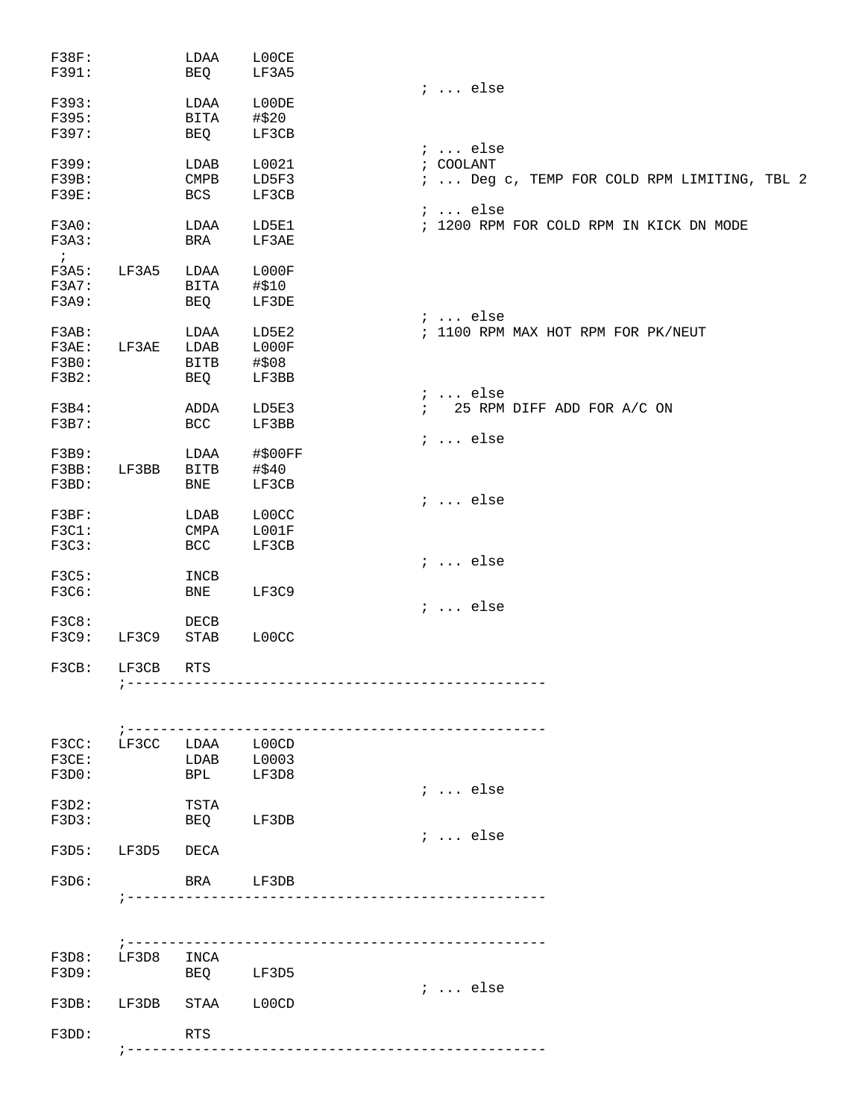|                 | LDAA            | L00CE   |                                             |
|-----------------|-----------------|---------|---------------------------------------------|
|                 | BEQ             | LF3A5   |                                             |
|                 |                 |         | $i \ldots$ else                             |
|                 | LDAA            | L00DE   |                                             |
|                 | BITA            | #\$20   |                                             |
|                 | BEQ             | LF3CB   |                                             |
|                 |                 |         | $i \ldots$ else                             |
|                 | LDAB            | L0021   | ; COOLANT                                   |
|                 | $\texttt{CMPB}$ | LD5F3   | ;  Deg c, TEMP FOR COLD RPM LIMITING, TBL 2 |
|                 |                 |         |                                             |
|                 | <b>BCS</b>      | LF3CB   |                                             |
|                 |                 |         | $i \ldots$ else                             |
|                 | LDAA            | LD5E1   | ; 1200 RPM FOR COLD RPM IN KICK DN MODE     |
|                 | BRA             | LF3AE   |                                             |
|                 |                 |         |                                             |
| LF3A5           | LDAA            | LOOOF   |                                             |
|                 | BITA            | #\$10   |                                             |
|                 | BEQ             | LF3DE   |                                             |
|                 |                 |         | $i$ else                                    |
|                 | LDAA            | LD5E2   | ; 1100 RPM MAX HOT RPM FOR PK/NEUT          |
| LF3AE           | LDAB            | LOOOF   |                                             |
|                 | <b>BITB</b>     | #\$08   |                                             |
|                 |                 |         |                                             |
|                 | BEQ             | LF3BB   |                                             |
|                 |                 |         | $i \ldots$ else                             |
|                 | ADDA            | LD5E3   | 25 RPM DIFF ADD FOR A/C ON<br>$\mathbf{i}$  |
|                 | <b>BCC</b>      | LF3BB   |                                             |
|                 |                 |         | $i \ldots$ else                             |
|                 | LDAA            | #\$00FF |                                             |
| LF3BB           | <b>BITB</b>     | #\$40   |                                             |
|                 | <b>BNE</b>      | LF3CB   |                                             |
|                 |                 |         | $i \ldots$ else                             |
|                 | LDAB            | L00CC   |                                             |
|                 | <b>CMPA</b>     | LOO1F   |                                             |
|                 |                 |         |                                             |
|                 | <b>BCC</b>      | LF3CB   |                                             |
|                 |                 |         | $i \ldots$ else                             |
|                 | INCB            |         |                                             |
|                 | <b>BNE</b>      | LF3C9   |                                             |
|                 |                 |         | $i \ldots$ else                             |
|                 | DECB            |         |                                             |
| LF3C9           | <b>STAB</b>     | L00CC   |                                             |
|                 |                 |         |                                             |
| LF3CB           | <b>RTS</b>      |         |                                             |
| $7 - - - - - -$ |                 |         | --------------------------------------      |
|                 |                 |         |                                             |
|                 |                 |         |                                             |
|                 |                 |         |                                             |
| LF3CC           | LDAA            | L00CD   |                                             |
|                 | LDAB            | L0003   |                                             |
|                 | BPL             | LF3D8   |                                             |
|                 |                 |         | $i \ldots$ else                             |
|                 | TSTA            |         |                                             |
|                 | BEQ             | LF3DB   |                                             |
|                 |                 |         |                                             |
|                 |                 |         | $i \ldots$ else                             |
| LF3D5           | DECA            |         |                                             |
|                 |                 |         |                                             |
|                 | BRA             | LF3DB   |                                             |
|                 |                 |         |                                             |
|                 |                 |         |                                             |
|                 |                 |         |                                             |
| LF3D8           | INCA            |         |                                             |
|                 | BEQ             | LF3D5   |                                             |
|                 |                 |         | $: $ else                                   |
| LF3DB           | STAA            | L00CD   |                                             |
|                 |                 |         |                                             |
|                 | <b>RTS</b>      |         |                                             |
|                 |                 |         |                                             |
|                 |                 |         |                                             |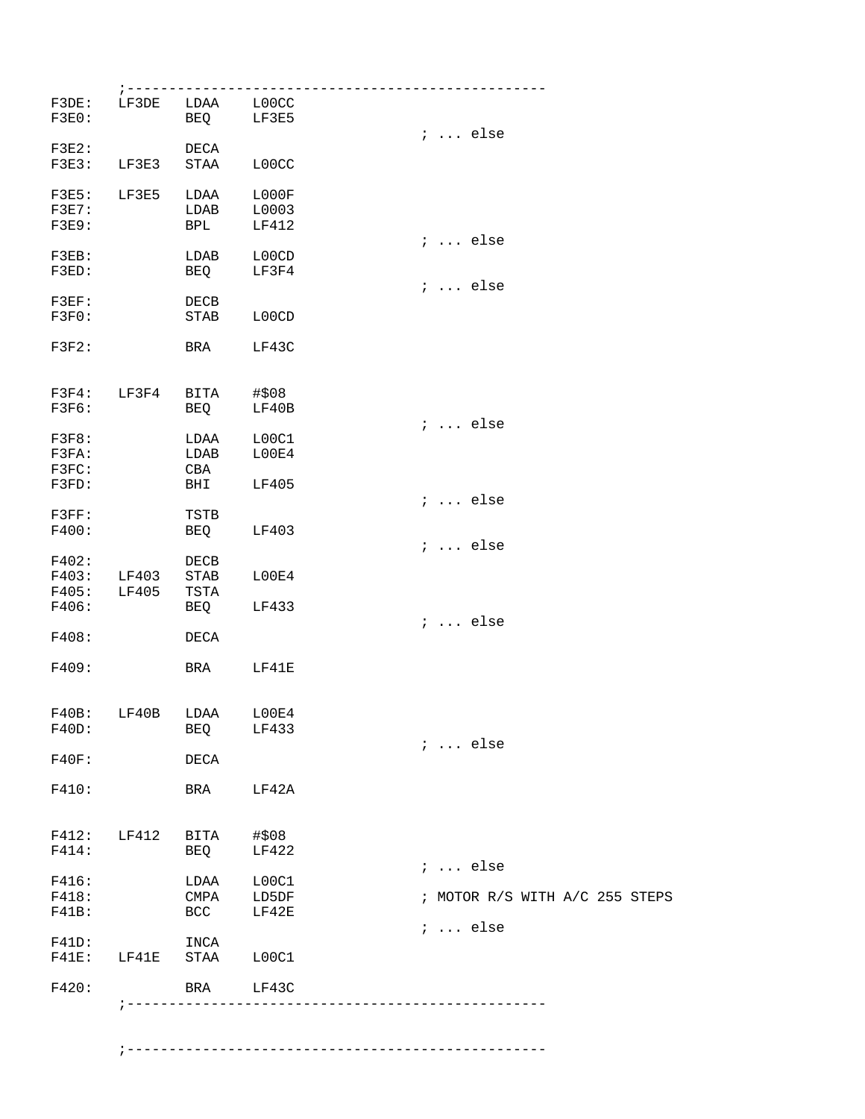|                                         | ; --------                           |                                       |                         |                                |
|-----------------------------------------|--------------------------------------|---------------------------------------|-------------------------|--------------------------------|
| F3DE:<br>F3E0:                          |                                      | LF3DE LDAA L00CC<br>BEQ LF3E5         |                         | $i \ldots$ else                |
| $F3E2$ :<br>F3E3:                       | LF3E3                                | DECA<br>STAA                          | L00CC                   |                                |
| F3E5: LF3E5<br>$F3E7$ :<br><b>F3E9:</b> |                                      | LDAA<br>LDAB<br><b>BPL</b>            | L000F<br>L0003<br>LF412 | $i \ldots$ else                |
| $F3EB$ :<br>F3ED:                       |                                      | LDAB<br><b>BEQ</b>                    | L00CD<br>LF3F4          | $i \ldots$ else                |
| $F3EF$ :<br>F3F0:                       |                                      | DECB<br>STAB                          | L00CD                   |                                |
| F3F2:                                   |                                      | BRA                                   | LF43C                   |                                |
| F3F6:                                   | F3F4: LF3F4                          | BITA #\$08<br>BEQ                     | LF40B                   | $i \ldots$ else                |
| F3F8:<br>F3FA:<br>F3FC:                 |                                      | LDAA L00C1<br>LDAB<br>CBA             | LOOE4                   |                                |
| F3FD:<br>F3FF:                          |                                      | BHI<br>TSTB                           | LF405                   | $i \ldots$ else                |
| F400:<br>F402:                          |                                      | BEQ LF403<br>DECB                     |                         | $i \ldots$ else                |
| F406:                                   | F403: LF403 STAB<br>F405: LF405 TSTA | BEQ LF433                             | LOOE4                   |                                |
| F408:                                   |                                      | DECA                                  |                         | $i \ldots$ else                |
| F409:                                   |                                      | BRA LF41E                             |                         |                                |
| F40B:<br>F40D:                          |                                      | LF40B LDAA L00E4<br><b>BEQ</b>        | LF433                   | $i \ldots$ else                |
| F40F:                                   |                                      | DECA                                  |                         |                                |
| F410:                                   |                                      | BRA LF42A                             |                         |                                |
| F414:                                   |                                      | F412: LF412 BITA #\$08<br>BEQ         | LF422                   | $i \dots$ else                 |
| F416:<br>F418:<br>$F41B$ :              |                                      | LDAA L00C1<br>CMPA LD5DF<br>BCC LF42E |                         | ; MOTOR R/S WITH A/C 255 STEPS |
| $F41D$ :                                |                                      | INCA<br>F41E: LF41E STAA L00C1        |                         | $i \ldots$ else                |
| F420:                                   |                                      | BRA LF43C                             |                         |                                |
|                                         |                                      |                                       |                         |                                |

;--------------------------------------------------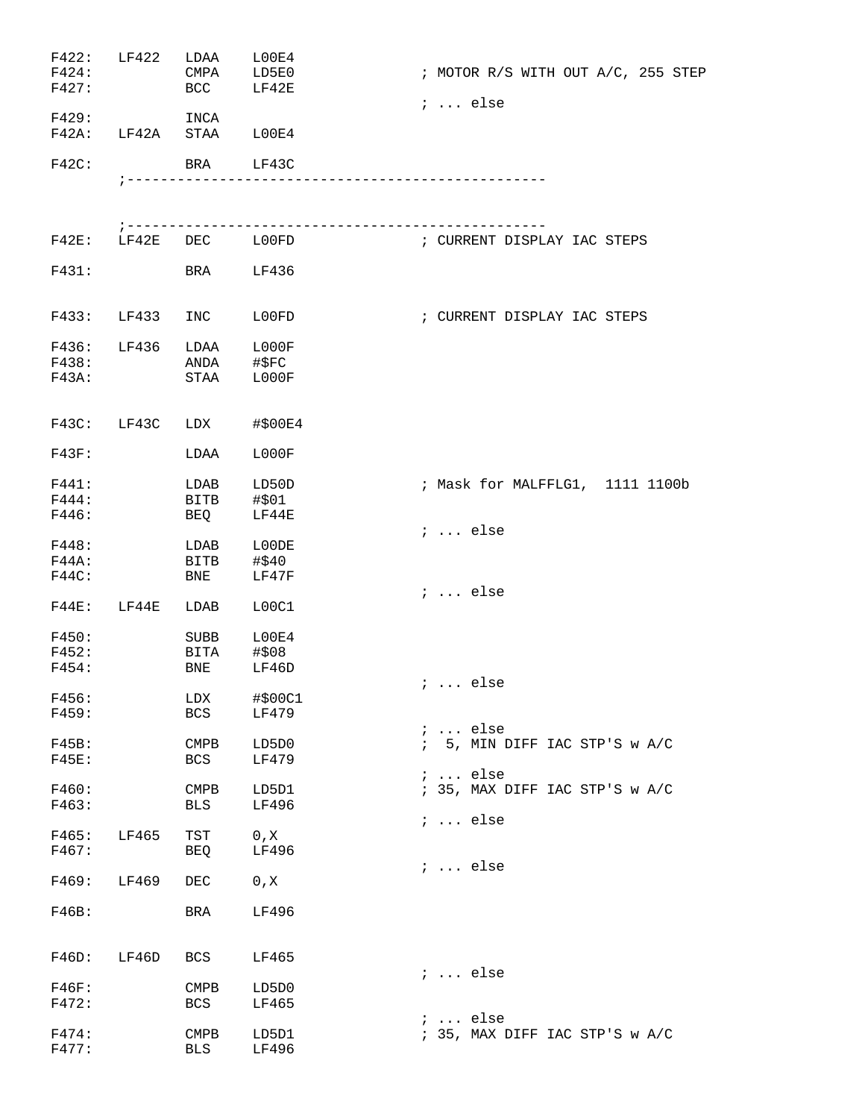| F422:<br>F424:<br>F427: | LF422      | LDAA<br>CMPA<br><b>BCC</b> | L00E4<br>LD5E0<br>LF42E | ; MOTOR R/S WITH OUT A/C, 255 STEP<br>$i$ else    |
|-------------------------|------------|----------------------------|-------------------------|---------------------------------------------------|
| F429:<br>$F42A$ :       | LF42A STAA | INCA                       | LOOE4                   |                                                   |
| $F42C$ :                |            |                            | BRA LF43C               |                                                   |
|                         |            |                            |                         |                                                   |
|                         |            |                            |                         |                                                   |
| $F42E$ :                | LF42E      |                            | DEC LOOFD               | ; CURRENT DISPLAY IAC STEPS                       |
| F431:                   |            | BRA                        | LF436                   |                                                   |
| F433:                   | LF433      | INC                        | L00FD                   | ; CURRENT DISPLAY IAC STEPS                       |
| F436:                   | LF436      | LDAA                       | ${\tt LOOOOF}$          |                                                   |
| F438:                   |            | ANDA                       | #\$FC                   |                                                   |
| F43A:                   |            | STAA                       | L000F                   |                                                   |
| F43C:                   | LF43C      | LDX                        | #\$00E4                 |                                                   |
| F43F:                   |            | LDAA                       | L000F                   |                                                   |
| F441:                   |            | LDAB                       | LD50D                   | ; Mask for MALFFLG1, 1111 1100b                   |
| F444:                   |            | BITB                       | #\$01                   |                                                   |
| F446:                   |            | BEQ                        | LF44E                   |                                                   |
|                         |            |                            |                         | $i$ else                                          |
| F448:                   |            | LDAB                       | L00DE                   |                                                   |
| F44A:                   |            | BITB                       | #\$40<br>LF47F          |                                                   |
| F44C:                   |            | BNE                        |                         | $i$ else                                          |
| $F44E$ :                | LF44E      | LDAB                       | L00C1                   |                                                   |
| F450:                   |            | SUBB                       | L00E4                   |                                                   |
| F452:                   |            | BITA                       | #\$08                   |                                                   |
| F454:                   |            | BNE                        | LF46D                   |                                                   |
|                         |            |                            |                         | ;  else                                           |
| F456:                   |            | LDX                        | #\$00C1                 |                                                   |
| F459:                   |            | <b>BCS</b>                 | LF479                   |                                                   |
| F45B:                   |            |                            | LD5D0                   | $i \ldots$ else<br>$\mathbf{i}$                   |
| <b>F45E:</b>            |            | <b>CMPB</b><br>BCS         | LF479                   | 5, MIN DIFF IAC STP'S w A/C                       |
|                         |            |                            |                         | $i \ldots$ else                                   |
| F460:                   |            | <b>CMPB</b>                | LD5D1                   | ; 35, MAX DIFF IAC STP'S w A/C                    |
| F463:                   |            | BLS                        | LF496                   |                                                   |
|                         |            |                            |                         | $i \ldots$ else                                   |
| F465:                   | LF465      | TST                        | 0, X                    |                                                   |
| F467:                   |            | BEQ                        | LF496                   |                                                   |
| F469:                   | LF469      | DEC                        | 0, X                    | $i \ldots$ else                                   |
|                         |            |                            |                         |                                                   |
| F46B:                   |            | BRA                        | LF496                   |                                                   |
| F46D:                   | LF46D      | BCS                        | LF465                   |                                                   |
|                         |            |                            |                         | $i \ldots$ else                                   |
| F46F:                   |            | <b>CMPB</b>                | LD5D0                   |                                                   |
| F472:                   |            | <b>BCS</b>                 | LF465                   |                                                   |
| F474:                   |            | <b>CMPB</b>                | LD5D1                   | $i \ldots$ else<br>; 35, MAX DIFF IAC STP'S w A/C |
| F477:                   |            | <b>BLS</b>                 | LF496                   |                                                   |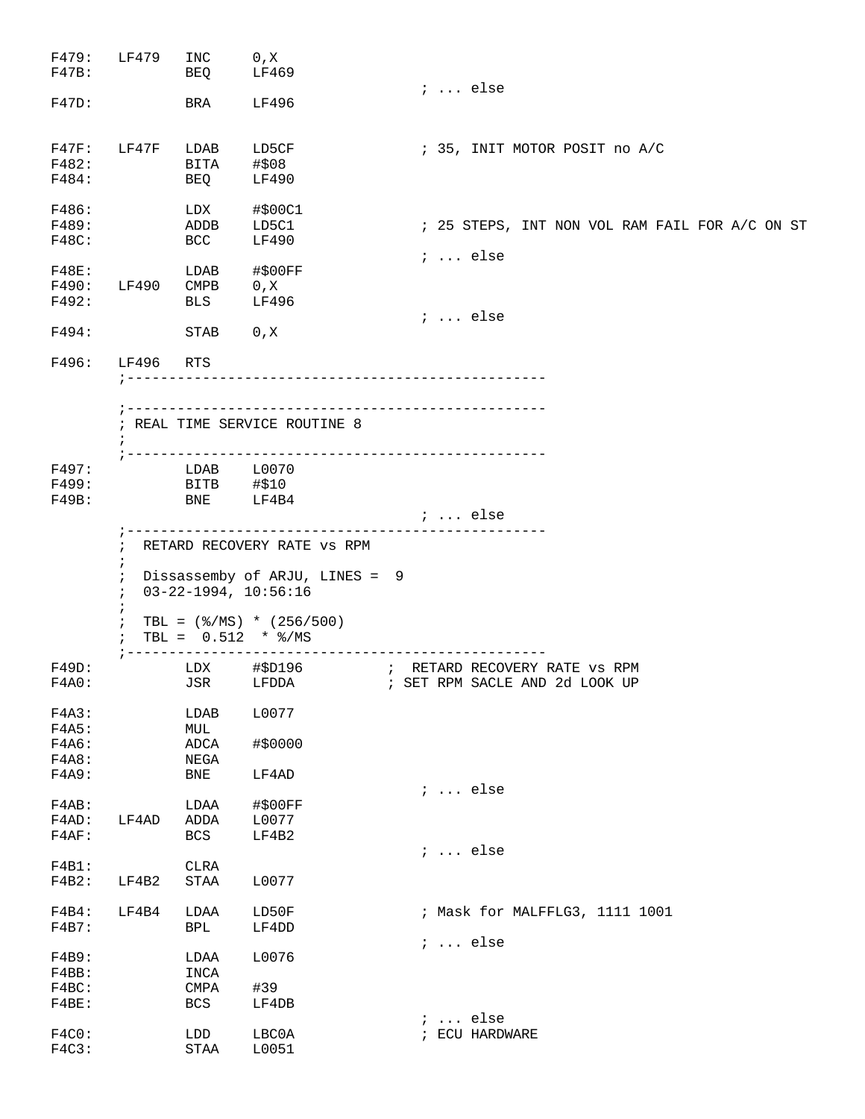|                                | INC                   | 0, X                           |                                                |
|--------------------------------|-----------------------|--------------------------------|------------------------------------------------|
|                                | BEQ                   | LF469                          |                                                |
|                                |                       |                                | $i \ldots$ else                                |
|                                | BRA                   | LF496                          |                                                |
|                                | F47F: LF47F LDAB      | LD5CF                          | ; 35, INIT MOTOR POSIT no A/C                  |
|                                | BITA                  | #\$08                          |                                                |
|                                | BEQ                   | LF490                          |                                                |
|                                | LDX                   | #\$00C1                        |                                                |
|                                | ADDB                  | LD5C1                          | ; 25 STEPS, INT NON VOL RAM FAIL FOR A/C ON ST |
|                                | BCC                   | LF490                          | $i \ldots$ else                                |
|                                | LDAB                  | #\$00FF                        |                                                |
|                                | F490: LF490 CMPB      | 0, X                           |                                                |
|                                | <b>BLS</b>            | LF496                          |                                                |
|                                | STAB                  | 0, X                           | $i \ldots$ else                                |
| LF496                          |                       |                                |                                                |
|                                | RTS                   |                                |                                                |
|                                |                       |                                |                                                |
| $\ddot{i}$                     |                       | ; REAL TIME SERVICE ROUTINE 8  |                                                |
|                                | LDAB L0070            |                                |                                                |
|                                |                       | #\$10                          |                                                |
|                                | BITB<br>BNE           | LF4B4                          |                                                |
|                                |                       |                                | <i>i</i> else                                  |
| i.<br>$\ddot{i}$<br>$\ddot{i}$ |                       |                                |                                                |
|                                |                       | TBL = $(\$/MS) * (256/500)$    |                                                |
|                                | $7 - - - - - - - -$   | TBL = $0.512$ * $\frac{8}{MS}$ | ------------------------                       |
|                                |                       |                                | JSR LFDDA : SET RPM SACLE AND 2d LOOK UP       |
|                                | LDAB                  | L0077                          |                                                |
|                                | MUL                   |                                |                                                |
|                                | ${\tt ADCA}$          | #\$0000                        |                                                |
|                                | NEGA                  |                                |                                                |
|                                | <b>BNE</b>            | LF4AD                          |                                                |
|                                |                       |                                | $i \ldots$ else                                |
|                                | LDAA                  | #\$00FF                        |                                                |
| LF4AD                          | ADDA                  | L0077                          |                                                |
|                                | BCS                   | LF4B2                          | $i \ldots$ else                                |
|                                | CLRA                  |                                |                                                |
| LF4B2                          | $\operatorname{STAA}$ | L0077                          |                                                |
|                                |                       |                                |                                                |
| LF4B4                          | LDAA                  | LD50F                          | ; Mask for MALFFLG3, 1111 1001                 |
|                                | <b>BPL</b>            | LF4DD                          |                                                |
|                                |                       |                                | $i \ldots$ else                                |
|                                | LDAA                  | L0076                          |                                                |
|                                | INCA                  |                                |                                                |
|                                | CMPA<br>BCS           | #39<br>LF4DB                   |                                                |
|                                |                       |                                | $i \ldots$ else                                |
|                                | LDD<br>STAA           | LBC0A<br>L0051                 | ; ECU HARDWARE                                 |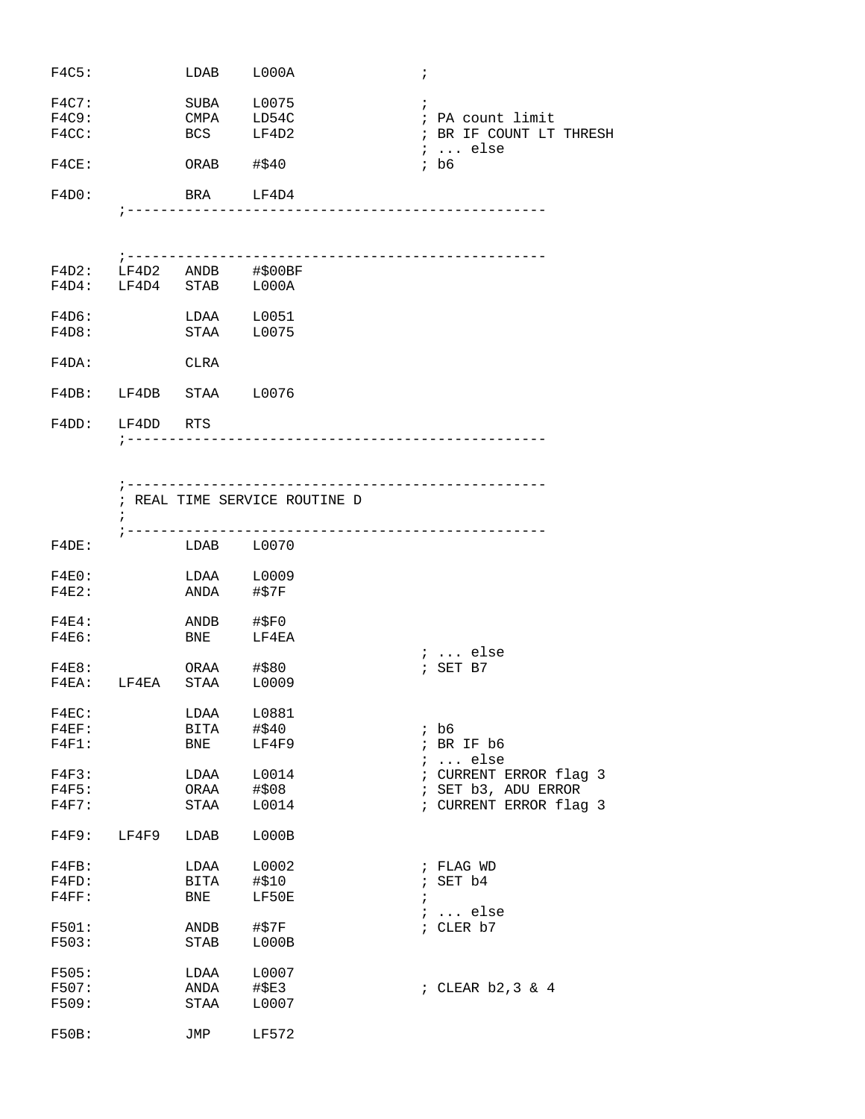| F4C5:                   |                        |                            | LDAB L000A                                                                                                                                                 | $\ddot{ }$                                                                   |
|-------------------------|------------------------|----------------------------|------------------------------------------------------------------------------------------------------------------------------------------------------------|------------------------------------------------------------------------------|
| F4C7:<br>F4C9:<br>F4CC: |                        |                            | SUBA L0075<br>CMPA LD54C<br>BCS LF4D2                                                                                                                      | $\ddot{i}$<br>; PA count limit<br>; BR IF COUNT LT THRESH<br>$i \ldots$ else |
| F4CE:                   |                        | ORAB $\# $40$              |                                                                                                                                                            | $;$ b6                                                                       |
| F4D0:                   |                        |                            | BRA LF4D4<br>--------------------------------                                                                                                              |                                                                              |
|                         | $7 - - - - - - -$      |                            |                                                                                                                                                            |                                                                              |
|                         |                        |                            | $\begin{tabular}{lllllll} $\tt F4D2: & $\tt LF4D2$ & $\tt ANDB$ & $\tt \# \$00BF$ \\ $\tt F4D4: & $\tt LF4D4$ & $\tt STAB$ & $\tt LO00A$ \\ \end{tabular}$ |                                                                              |
| F4D6:<br>F4D8:          |                        |                            | LDAA L0051<br>STAA L0075                                                                                                                                   |                                                                              |
| F4DA:                   |                        | CLRA                       |                                                                                                                                                            |                                                                              |
|                         | F4DB: LF4DB STAA L0076 |                            |                                                                                                                                                            |                                                                              |
|                         | F4DD: LF4DD RTS        |                            |                                                                                                                                                            |                                                                              |
|                         | $\ddot{i}$             |                            | --------------------------------------<br>; REAL TIME SERVICE ROUTINE D<br>----------------------------------                                              |                                                                              |
| F4DE:                   |                        |                            | LDAB L0070                                                                                                                                                 |                                                                              |
| $F4E0$ :<br>$F4E2$ :    |                        | ANDA #\$7F                 | LDAA L0009                                                                                                                                                 |                                                                              |
| $F4E4$ :<br>F4E6:       |                        | $ANDB$ #\$F0<br><b>BNE</b> | <br>LF4EA                                                                                                                                                  | $i$ else                                                                     |
| F4E8:                   | F4EA: LF4EA STAA L0009 | ORAA #\$80                 |                                                                                                                                                            | $;$ SET B7                                                                   |
|                         |                        |                            |                                                                                                                                                            |                                                                              |

| F4EC:    |       | LDAA        | L0881 |         |                        |
|----------|-------|-------------|-------|---------|------------------------|
| $F4EF$ : |       | BITA        | #\$40 |         | ; b6                   |
| $F4F1$ : |       | BNE         | LF4F9 |         | ; BR IF $b6$           |
|          |       |             |       |         | ;  else                |
| F4F3:    |       | LDAA        | L0014 |         | ; CURRENT ERROR flag 3 |
| F4F5:    |       | ORAA        | #508  |         | ; SET b3, ADU ERROR    |
| F4F7:    |       | STAA        | L0014 |         | ; CURRENT ERROR flag 3 |
| F4F9:    | LF4F9 | LDAB        | LOOOB |         |                        |
| $F4FB$ : |       | LDAA        | L0002 |         | ; FLAG WD              |
| $F4FD$ : |       | BITA        | #\$10 |         | ; SET $b4$             |
| F4FF:    |       | BNE         | LF50E | $\cdot$ |                        |
|          |       |             |       |         | $i$ else               |
| F501:    |       | ANDB        | #\$7F |         | ; CLER b7              |
| F503:    |       | <b>STAB</b> | LOOOB |         |                        |
| F505:    |       | LDAA        | L0007 |         |                        |
| F507:    |       | ANDA        | #\$E3 |         | ; CLEAR $b2,3 \& 4$    |
| F509:    |       | STAA        | L0007 |         |                        |
| F50B:    |       | JMP         | LF572 |         |                        |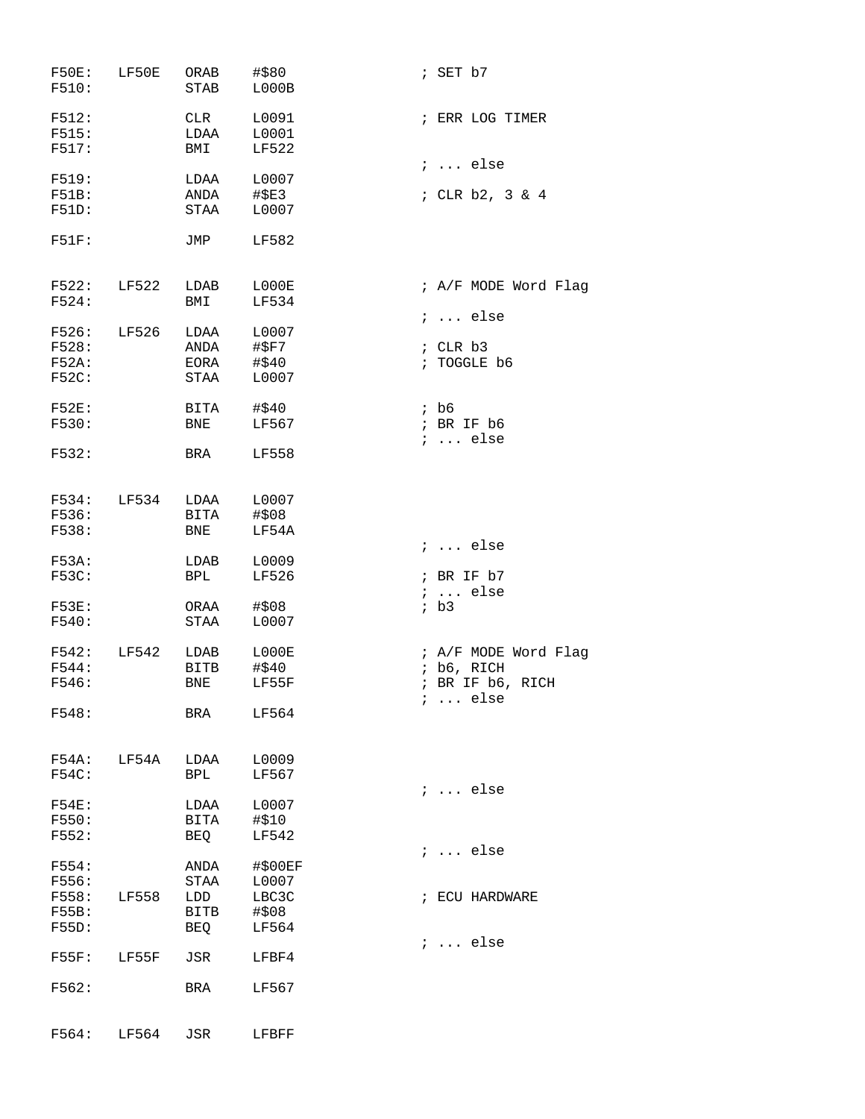| F50E: LF50E<br>F510:           |                  | ORAB<br><b>STAB</b>  | #\$80<br>L000B          | ; SET $b7$           |
|--------------------------------|------------------|----------------------|-------------------------|----------------------|
| F512:<br>F515:<br>F517:        |                  | CLR<br>LDAA<br>BMI   | L0091<br>L0001<br>LF522 | ; ERR LOG TIMER      |
|                                |                  |                      |                         | $i \ldots$ else      |
| F519:<br><b>F51B:</b><br>F51D: |                  | LDAA<br>ANDA<br>STAA | L0007<br>#\$E3<br>L0007 | ; CLR $b2$ , 3 & 4   |
| F51F:                          |                  | JMP                  | LF582                   |                      |
| F522: LF522                    |                  | LDAB                 | L000E                   | ; A/F MODE Word Flag |
| F524:                          |                  | BMI                  | LF534                   |                      |
|                                |                  |                      |                         | $i \ldots$ else      |
| F526: LF526                    |                  | LDAA                 | L0007                   |                      |
| F528:                          |                  | ANDA                 | #\$F7                   | ; CLR b3             |
| F52A:                          |                  | EORA<br><b>STAA</b>  | #\$40                   | ; TOGGLE b6          |
| F52C:                          |                  |                      | L0007                   |                      |
| F52E:                          |                  | BITA                 | #\$40                   | ; b6                 |
| F530:                          |                  | <b>BNE</b>           | LF567                   | ; BR IF b6           |
|                                |                  |                      |                         | $i \dots$ else       |
| F532:                          |                  | BRA                  | LF558                   |                      |
|                                | F534: LF534 LDAA |                      | L0007                   |                      |
| F536:                          |                  | <b>BITA</b>          | #\$08                   |                      |
| F538:                          |                  | BNE                  | LF54A                   |                      |
|                                |                  |                      |                         | $i \ldots$ else      |
| F53A:                          |                  | LDAB                 | L0009                   |                      |
| <b>F53C:</b>                   |                  | <b>BPL</b>           | LF526                   | ; BR IF b7           |
|                                |                  |                      |                         | $i \ldots$ else      |
| F53E:<br>F540:                 |                  | ORAA                 | #\$08<br>L0007          | ib3                  |
|                                |                  | STAA                 |                         |                      |
| F542:                          | LF542            | LDAB                 | L000E                   | ; A/F MODE Word Flag |
| F544:                          |                  | BITB                 | #\$40                   | ; b6, RICH           |
| F546:                          |                  | BNE                  | LF55F                   | ; BR IF b6, RICH     |
|                                |                  |                      |                         | else                 |
| F548:                          |                  | BRA                  | LF564                   |                      |
| F54A:                          | LF54A            | LDAA                 | L0009                   |                      |
| F54C:                          |                  | <b>BPL</b>           | LF567                   |                      |
|                                |                  |                      |                         | $i \ldots$ else      |
| $F54E$ :                       |                  | LDAA                 | L0007                   |                      |
| F550:                          |                  | BITA                 | #\$10                   |                      |
| F552:                          |                  | BEQ                  | <b>LF542</b>            |                      |
|                                |                  |                      |                         | $\ldots$ else        |
| F554:                          |                  | ANDA                 | #\$00EF                 |                      |
| F556:<br>F558:                 |                  | STAA                 | L0007<br>LBC3C          | ; ECU HARDWARE       |
| F55B:                          | LF558            | LDD<br>BITB          | #\$08                   |                      |
| <b>F55D:</b>                   |                  | BEQ                  | LF564                   |                      |
|                                |                  |                      |                         | $i \ldots$ else      |
| $F55F$ :                       | LF55F            | JSR                  | LFBF4                   |                      |
| F562:                          |                  | BRA                  | LF567                   |                      |
|                                |                  |                      |                         |                      |
| F564:                          | LF564            | JSR                  | LFBFF                   |                      |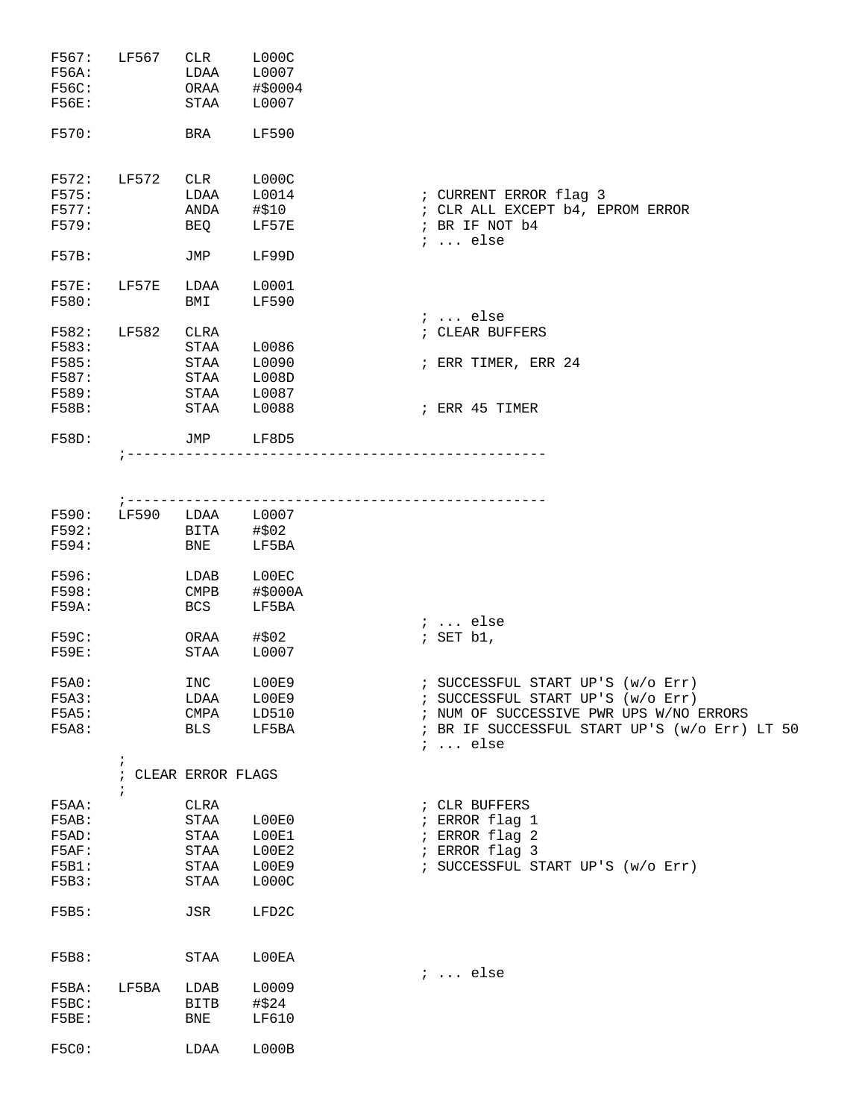| F567:<br>F56A:<br>F56C:<br><b>F56E:</b><br>F570:   | LF567      | CLR<br>LDAA<br>ORAA<br>STAA<br>BRA                            | LOOOC<br>L0007<br>#\$0004<br>L0007<br>LF590 |                                                                                                                                                                                       |
|----------------------------------------------------|------------|---------------------------------------------------------------|---------------------------------------------|---------------------------------------------------------------------------------------------------------------------------------------------------------------------------------------|
| F572:<br>F575:<br>F577:<br>F579:                   | LF572      | CLR<br>LDAA<br>ANDA<br>BEQ                                    | LOOOC<br>L0014<br>#\$10<br>LF57E            | ; CURRENT ERROR flag 3<br>; CLR ALL EXCEPT b4, EPROM ERROR<br>; BR IF NOT b4<br>$i \ldots$ else                                                                                       |
| F57B:<br>F57E:                                     | LF57E      | JMP<br>LDAA                                                   | LF99D<br>L0001                              |                                                                                                                                                                                       |
| F580:<br>F582:                                     | LF582      | BMI<br>CLRA                                                   | <b>LF590</b>                                | $i \ldots$ else<br>; CLEAR BUFFERS                                                                                                                                                    |
| F583:<br>F585:<br>F587:<br>F589:<br>F58B:          |            | STAA<br>STAA<br>STAA<br>STAA<br>STAA                          | L0086<br>L0090<br>L008D<br>L0087<br>L0088   | ; ERR TIMER, ERR 24<br>; ERR 45 TIMER                                                                                                                                                 |
| F58D:                                              |            | JMP                                                           | LF8D5                                       |                                                                                                                                                                                       |
|                                                    | ; -------  |                                                               |                                             |                                                                                                                                                                                       |
| F590:<br>F592:<br>F594:                            | LF590      | LDAA L0007<br>BITA<br>BNE                                     | #\$02<br>LF5BA                              |                                                                                                                                                                                       |
| F596:<br>F598:<br>F59A:                            |            | LDAB<br>$\mathop{\mathrm{CMPB}}$<br>BCS                       | L00EC<br>#\$000A<br>LF5BA                   |                                                                                                                                                                                       |
| F59C:<br>F59E:                                     |            | ORAA<br>STAA                                                  | #\$02<br>L0007                              | ;  else<br>; SET b1,                                                                                                                                                                  |
| F5A0:<br>F5A3:<br>F5A5:<br>F5A8:                   | $\ddot{i}$ | INC LOOE9<br>LDAA<br>CMPA<br>BLS                              | L00E9<br>LD510<br>LF5BA                     | ; SUCCESSFUL START UP'S (w/o Err)<br>; SUCCESSFUL START UP'S (w/o Err)<br>; NUM OF SUCCESSIVE PWR UPS W/NO ERRORS<br>; BR IF SUCCESSFUL START UP'S (w/o Err) LT 50<br>$i \ldots$ else |
|                                                    | $\ddot{i}$ | ; CLEAR ERROR FLAGS                                           |                                             |                                                                                                                                                                                       |
| F5AA:<br>F5AB:<br>F5AD:<br>F5AF:<br>F5B1:<br>F5B3: |            | CLRA<br>STAA<br>$\operatorname{STAA}$<br>STAA<br>STAA<br>STAA | L00E0<br>L00E1<br>LOOE2<br>L00E9<br>LOOOC   | ; CLR BUFFERS<br>; ERROR flag 1<br>; ERROR flag 2<br>; ERROR flag 3<br>; SUCCESSFUL START UP'S (w/o Err)                                                                              |
| F5B5:                                              |            | JSR                                                           | LFD2C                                       |                                                                                                                                                                                       |
| F5B8:                                              |            | STAA                                                          | L00EA                                       | $i \ldots$ else                                                                                                                                                                       |
| F5BA:<br>F5BC:<br>F5BE:                            | LF5BA      | LDAB<br>BITB<br>BNE                                           | L0009<br>#\$24<br>LF610                     |                                                                                                                                                                                       |
| <b>F5C0:</b>                                       |            | LDAA                                                          | LOOOB                                       |                                                                                                                                                                                       |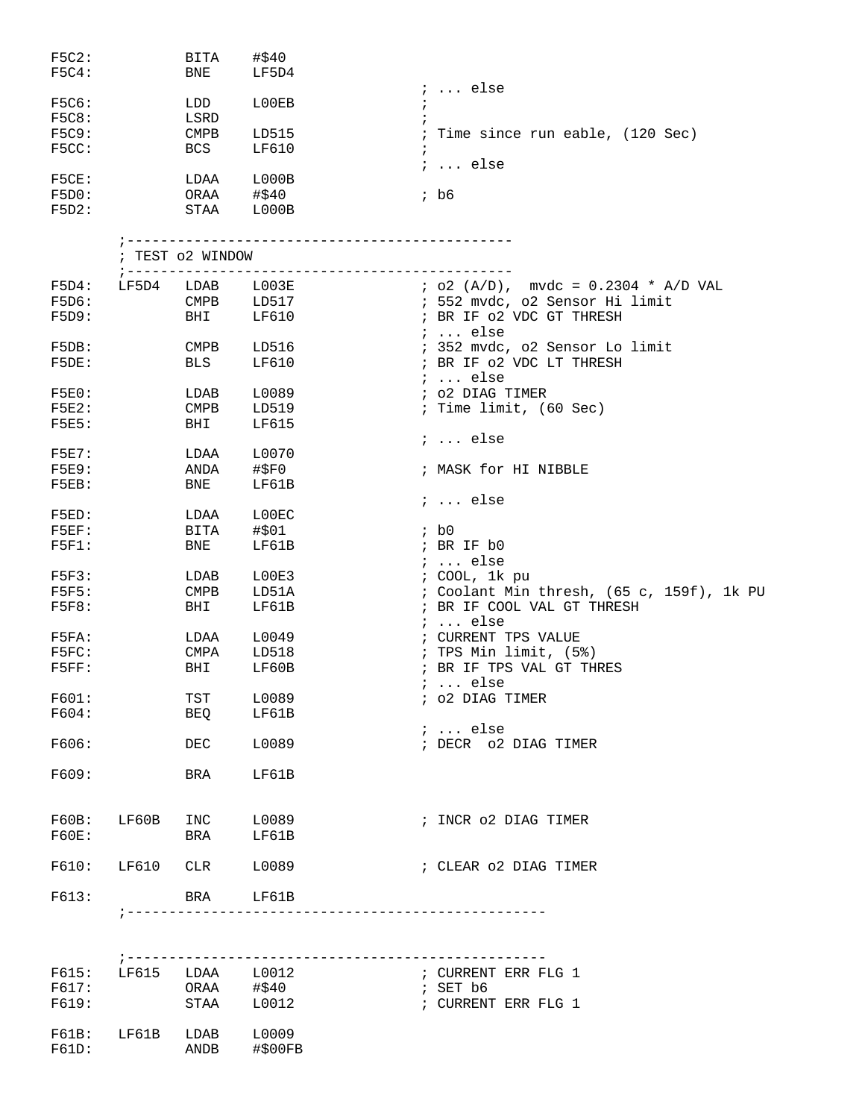| F5C2:<br>F5C4:        |                  | BITA<br>BNE               | #\$40<br>LF5D4   |                               |                                           |
|-----------------------|------------------|---------------------------|------------------|-------------------------------|-------------------------------------------|
| <b>F5C6:</b>          |                  | LDD                       | L00EB            |                               | $i$ else                                  |
| <b>F5C8:</b>          |                  | LSRD                      |                  |                               |                                           |
| <b>F5C9:</b><br>F5CC: |                  | <b>CMPB</b><br><b>BCS</b> | LD515<br>LF610   | $\ddot{i}$                    | ; Time since run eable, (120 Sec)         |
| F5CE:                 |                  | LDAA                      | L000B            |                               | $i \ldots$ else                           |
| F5D0:                 |                  | ORAA                      | #\$40            | ; b6                          |                                           |
| F5D2:                 |                  |                           | STAA LOOOB       |                               |                                           |
|                       |                  |                           |                  |                               |                                           |
|                       |                  | ; TEST 02 WINDOW          |                  |                               |                                           |
| F5D4:                 | LF5D4            | ; --------------<br>LDAB  | $_{\tt LO03E}$   |                               | $i$ o2 (A/D), mvdc = 0.2304 * A/D VAL     |
| F5D6:                 |                  | $\texttt{CMPB}$           | LD517            |                               | ; 552 mvdc, o2 Sensor Hi limit            |
| F5D9:                 |                  | BHI                       | LF610            |                               | ; BR IF 02 VDC GT THRESH                  |
|                       |                  |                           |                  |                               | $i$ else                                  |
| F5DB:                 |                  | CMPB                      | LD516            |                               | ; 352 mvdc, o2 Sensor Lo limit            |
| F5DE:                 |                  | BLS                       | LF610            |                               | ; BR IF 02 VDC LT THRESH                  |
|                       |                  |                           |                  |                               | $i \ldots$ else                           |
| F5E0:                 |                  | LDAB                      | L0089            |                               | ; o2 DIAG TIMER                           |
| F5E2:                 |                  | <b>CMPB</b>               | LD519            |                               | ; Time limit, (60 Sec)                    |
| F5E5:                 |                  | BHI                       | LF615            |                               |                                           |
|                       |                  |                           |                  |                               | $i \ldots$ else                           |
| F5E7:                 |                  | LDAA                      | L0070            |                               |                                           |
| <b>F5E9:</b>          |                  | ANDA                      | #\$F0            |                               | ; MASK for HI NIBBLE                      |
| $F5EB$ :              |                  | BNE                       | LF61B            |                               |                                           |
|                       |                  |                           |                  |                               | $i \ldots$ else                           |
| F5ED:                 |                  | LDAA                      | L00EC            |                               |                                           |
| $F5EF$ :              |                  | BITA                      | #\$01            | ; b0                          |                                           |
| $F5F1$ :              |                  | BNE                       | LF61B            |                               | ; BR IF b0                                |
|                       |                  |                           |                  |                               | $i \ldots$ else                           |
| F5F3:                 |                  | LDAB                      | L00E3            |                               | ; COOL, 1k pu                             |
| F5F5:                 |                  | <b>CMPB</b>               | LD51A            |                               | ; Coolant Min thresh, (65 c, 159f), 1k PU |
| F5F8:                 |                  | BHI                       | LF61B            |                               | ; BR IF COOL VAL GT THRESH                |
|                       |                  |                           |                  |                               | $i \dots$ else                            |
| F5FA:                 |                  | LDAA                      | L0049            |                               | ; CURRENT TPS VALUE                       |
| F5FC:                 |                  | CMPA                      | LD518            |                               | ; TPS Min limit, (5%)                     |
| F5FF:                 |                  | BHI                       | LF60B            |                               | ; BR IF TPS VAL GT THRES                  |
|                       |                  |                           |                  |                               | $i \ldots$ else                           |
| F601:                 |                  | TST                       | L0089            |                               | ; 02 DIAG TIMER                           |
| F604:                 |                  | BEQ                       | LF61B            |                               |                                           |
|                       |                  |                           |                  |                               | $i \ldots$ else                           |
| F606:                 |                  | DEC                       | L0089            |                               | ; DECR 02 DIAG TIMER                      |
|                       |                  |                           |                  |                               |                                           |
| F609:                 |                  | BRA                       | LF61B            |                               |                                           |
| F60B:                 | LF60B            | INC                       | L0089            |                               | ; INCR 02 DIAG TIMER                      |
| F60E:                 |                  | BRA                       | LF61B            |                               |                                           |
|                       |                  |                           |                  |                               |                                           |
| F610:                 | LF610            |                           | CLR L0089        |                               | ; CLEAR 02 DIAG TIMER                     |
| F613:                 |                  |                           | BRA LF61B        |                               |                                           |
|                       |                  | ; -----------------       |                  | ----------------------------- |                                           |
|                       |                  |                           |                  |                               |                                           |
| F615:                 |                  |                           | LF615 LDAA L0012 |                               | ; CURRENT ERR FLG 1                       |
| F617:                 |                  |                           | ORAA #\$40       | ; SET b6                      |                                           |
| F619:                 |                  |                           | STAA L0012       |                               | ; CURRENT ERR FLG 1                       |
|                       |                  |                           |                  |                               |                                           |
| F61B:                 | LF61B LDAB L0009 |                           |                  |                               |                                           |
| F61D:                 |                  | ANDB                      | #\$00FB          |                               |                                           |
|                       |                  |                           |                  |                               |                                           |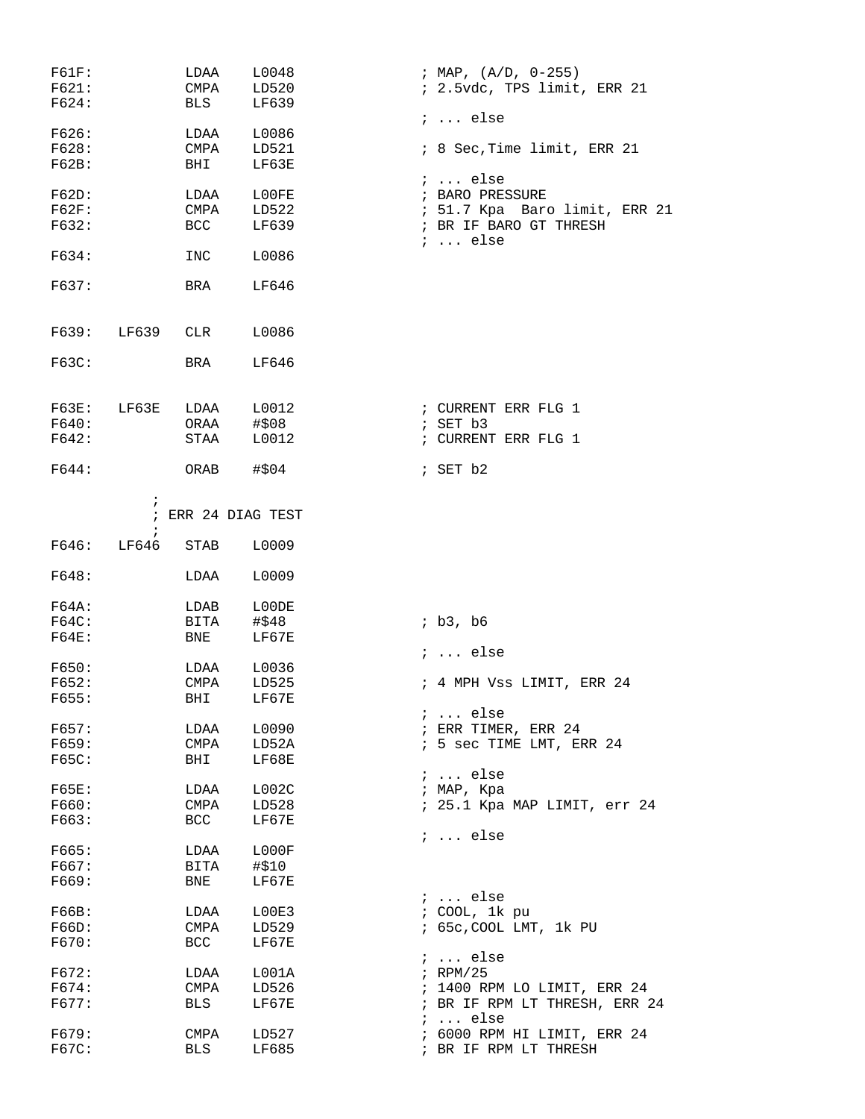| F61F:        |                          | LDAA               | L0048              | ; MAP, $(A/D, 0-255)$         |
|--------------|--------------------------|--------------------|--------------------|-------------------------------|
| F621:        |                          | CMPA               | LD520              | ; 2.5vdc, TPS limit, ERR 21   |
| F624:        |                          | <b>BLS</b>         | LF639              |                               |
|              |                          |                    |                    | $i \ldots$ else               |
| F626:        |                          | LDAA               | L0086              |                               |
| F628:        |                          | CMPA               | LD521              | ; 8 Sec, Time limit, ERR 21   |
| F62B:        |                          | BHI                | LF63E              | $i \ldots$ else               |
| F62D:        |                          | LDAA               | L00FE              | ; BARO PRESSURE               |
| F62F:        |                          | CMPA               | LD522              | ; 51.7 Kpa Baro limit, ERR 21 |
| F632:        |                          | BCC                | LF639              | ; BR IF BARO GT THRESH        |
|              |                          |                    |                    | $i \ldots$ else               |
| F634:        |                          | INC                | L0086              |                               |
| F637:        |                          | BRA                | LF646              |                               |
|              | F639: LF639 CLR          |                    | L0086              |                               |
| F63C:        |                          | BRA                | LF646              |                               |
|              |                          |                    |                    |                               |
|              | $F63E:$ $LF63E$          |                    | LDAA L0012         | ; CURRENT ERR FLG 1           |
| F640:        |                          | ORAA               | #\$08              | ; SET b3                      |
| F642:        |                          | STAA               | L0012              | ; CURRENT ERR FLG 1           |
| F644:        |                          | ORAB               | #\$04              | $;$ SET $b2$                  |
|              | $\ddot{ }$<br>$\ddot{i}$ |                    | ; ERR 24 DIAG TEST |                               |
| F646:        | LF646                    | STAB               | L0009              |                               |
|              |                          |                    |                    |                               |
| F648:        |                          | LDAA               | L0009              |                               |
| F64A:        |                          | LDAB               | L00DE              |                               |
| F64C:        |                          | BITA               | #\$48              | ib3, b6                       |
| F64E:        |                          | <b>BNE</b>         | LF67E              |                               |
|              |                          |                    |                    | $i \ldots$ else               |
| F650:        |                          | LDAA               | L0036              |                               |
| F652:        |                          | CMPA               | LD525              | ; 4 MPH Vss LIMIT, ERR 24     |
| F655:        |                          | BHI                | LF67E              |                               |
|              |                          |                    |                    | $i \ldots$ else               |
| F657:        |                          | LDAA               | L0090              | ; ERR TIMER, ERR 24           |
| F659:        |                          | CMPA               | LD52A              | ; 5 sec TIME LMT, ERR 24      |
| <b>F65C:</b> |                          | BHI                | LF68E              |                               |
|              |                          |                    |                    | $i \ldots$ else               |
| F65E:        |                          | LDAA               | L002C              | ; MAP, Kpa                    |
| F660:        |                          | CMPA               | LD528              | ; 25.1 Kpa MAP LIMIT, err 24  |
| F663:        |                          | BCC                | LF67E              |                               |
| F665:        |                          | LDAA               | L000F              | $i \ldots$ else               |
|              |                          |                    |                    |                               |
| F667:        |                          | BITA               | #\$10<br>LF67E     |                               |
| F669:        |                          | BNE                |                    | $i \ldots$ else               |
| F66B:        |                          | LDAA               | L00E3              | ; COOL, 1k pu                 |
| F66D:        |                          | CMPA               | LD529              | ; 65c, COOL LMT, 1k PU        |
| F670:        |                          | BCC                | LF67E              |                               |
|              |                          |                    |                    | $i \ldots$ else               |
| F672:        |                          | LDAA               | L001A              | $;$ RPM/25                    |
| F674:        |                          | CMPA               | LD526              | ; 1400 RPM LO LIMIT, ERR 24   |
| F677:        |                          | BLS                | LF67E              | ; BR IF RPM LT THRESH, ERR 24 |
| F679:        |                          |                    |                    | $i \ldots$ else               |
| F67C:        |                          | CMPA<br><b>BLS</b> | LD527<br>LF685     | ; 6000 RPM HI LIMIT, ERR 24   |
|              |                          |                    |                    | ; BR IF RPM LT THRESH         |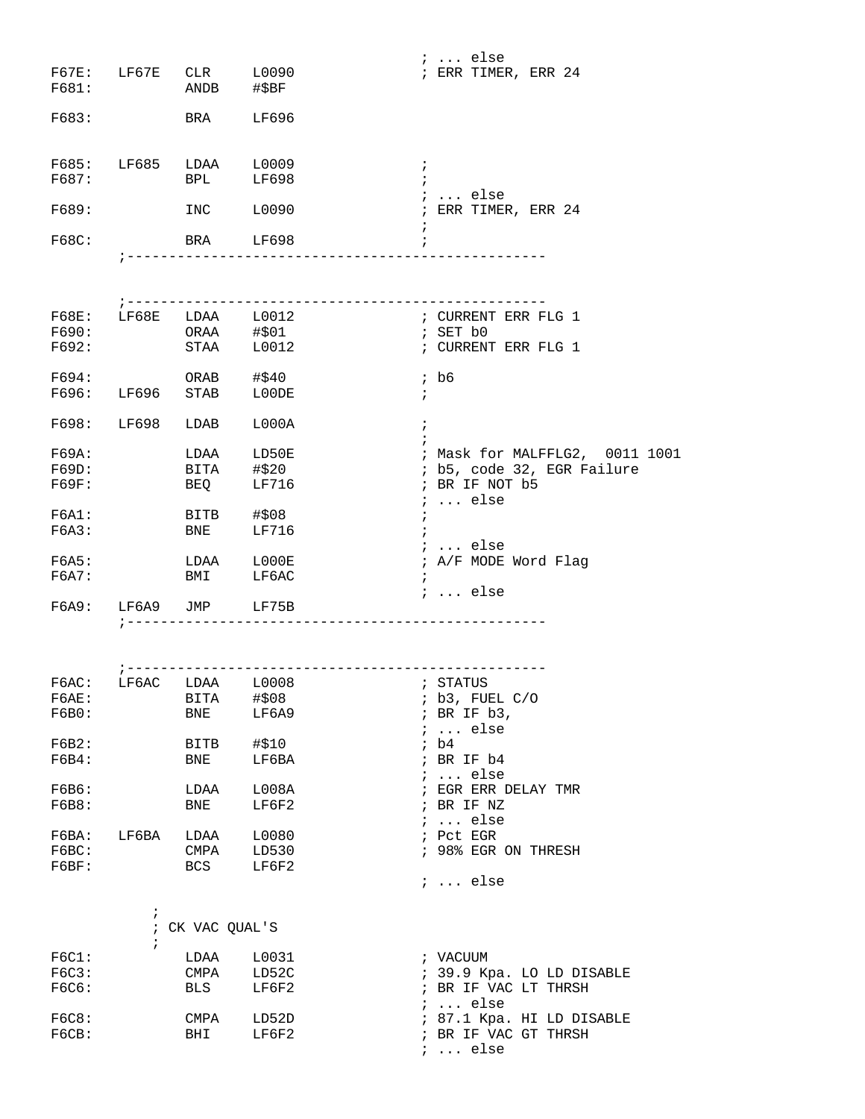|                |            |                                           |                                       | $i \ldots$ else                  |
|----------------|------------|-------------------------------------------|---------------------------------------|----------------------------------|
|                |            | F67E: LF67E CLR L0090                     |                                       | ; ERR TIMER, ERR 24              |
| F681:          |            | ANDB #\$BF                                |                                       |                                  |
|                |            |                                           |                                       |                                  |
| F683:          |            | <b>BRA</b>                                | LF696                                 |                                  |
|                |            |                                           |                                       |                                  |
|                |            |                                           |                                       |                                  |
|                |            | F685: LF685 LDAA L0009<br>F687: BPL LF698 |                                       | $\cdot$                          |
|                |            |                                           |                                       | $\ddot{i}$<br>$i \ldots$ else    |
| F689:          |            | INC L0090                                 |                                       | ; ERR TIMER, ERR 24              |
|                |            |                                           |                                       |                                  |
| F68C:          |            | BRA LF698                                 |                                       |                                  |
|                |            |                                           | ;----------------------------------   |                                  |
|                |            |                                           |                                       |                                  |
|                |            |                                           |                                       |                                  |
|                |            |                                           |                                       |                                  |
|                |            | F68E: LF68E LDAA L0012<br>$ORAA$ $\# $01$ |                                       | ; CURRENT ERR FLG 1              |
| F690:          |            | STAA L0012                                |                                       | ; SET b0                         |
| F692:          |            |                                           |                                       | ; CURRENT ERR FLG 1              |
| F694:          |            | ORAB #\$40                                |                                       | $;$ b6                           |
|                |            | F696: LF696 STAB LOODE                    |                                       | $\ddot{i}$                       |
|                |            |                                           |                                       |                                  |
|                |            | F698: LF698 LDAB                          | L000A                                 | $\ddot{i}$                       |
|                |            |                                           |                                       |                                  |
| F69A:          |            | LDAA LD50E                                |                                       | ; Mask for MALFFLG2, 0011 1001   |
| F69D:          |            | BITA #\$20                                |                                       | ; b5, code 32, EGR Failure       |
| F69F:          |            | BEQ                                       | LF716                                 | ; BR IF NOT b5                   |
|                |            |                                           |                                       | $i \ldots$ else                  |
| F6A1:          |            | BITB #\$08                                |                                       | $\ddot{ }$                       |
| F6A3:          |            | <b>BNE</b>                                | LF716                                 | $\ddot{i}$                       |
|                |            |                                           |                                       | <i>i</i> else                    |
| F6A5:          |            | LDAA                                      | L000E                                 | ; A/F MODE Word Flag             |
| F6A7:          |            | <b>BMI</b>                                | LF6AC                                 | $\ddot{ }$                       |
|                |            | F6A9: LF6A9 JMP LF75B                     |                                       | $i \ldots$ else                  |
|                |            |                                           | ------------------------------------- |                                  |
|                |            |                                           |                                       |                                  |
|                |            |                                           |                                       |                                  |
|                |            |                                           |                                       |                                  |
| FGAC:          | LF6AC      | LDAA L0008                                |                                       | ; STATUS                         |
| F6AE:          |            | BITA                                      | #\$08                                 | ; b3, FUEL C/O                   |
| F6B0:          |            | BNE                                       | LF6A9                                 | ; BR IF b3,                      |
|                |            |                                           |                                       | $i \ldots$ else                  |
| F6B2:          |            | BITB                                      | #\$10                                 | ; b4                             |
| F6B4:          |            | BNE                                       | LF6BA                                 | ; BR IF b4                       |
|                |            |                                           |                                       | $i$ else                         |
| F6B6:          |            | LDAA                                      | L008A                                 | $\,$ ; EGR ERR DELAY TMR         |
| F6B8:          |            | BNE                                       | LF6F2                                 | ; BR IF NZ                       |
|                |            |                                           |                                       | $i \ldots$ else                  |
| F6BA:<br>F6BC: | LF6BA      | LDAA                                      | L0080<br>LD530                        | ; Pct EGR<br>; 98% EGR ON THRESH |
|                |            | CMPA                                      |                                       |                                  |
| F6BF:          |            | BCS                                       | LF6F2                                 | $i \ldots$ else                  |
|                |            |                                           |                                       |                                  |
|                | $\ddot{ }$ |                                           |                                       |                                  |
|                |            | ; CK VAC QUAL'S                           |                                       |                                  |
|                | $\ddot{i}$ |                                           |                                       |                                  |
| FGC1:          |            | LDAA                                      | L0031                                 | ; VACUUM                         |
| F6C3:          |            | CMPA                                      | LD52C                                 | ; 39.9 Kpa. LO LD DISABLE        |
| F6C6:          |            | <b>BLS</b>                                | LF6F2                                 | ; BR IF VAC LT THRSH             |
|                |            |                                           |                                       | $i \ldots$ else                  |
| F6C8:          |            | CMPA                                      | LD52D                                 | ; 87.1 Kpa. HI LD DISABLE        |
| FGCB:          |            | <b>BHI</b>                                | LF6F2                                 | ; BR IF VAC GT THRSH             |
|                |            |                                           |                                       | $i \ldots$ else                  |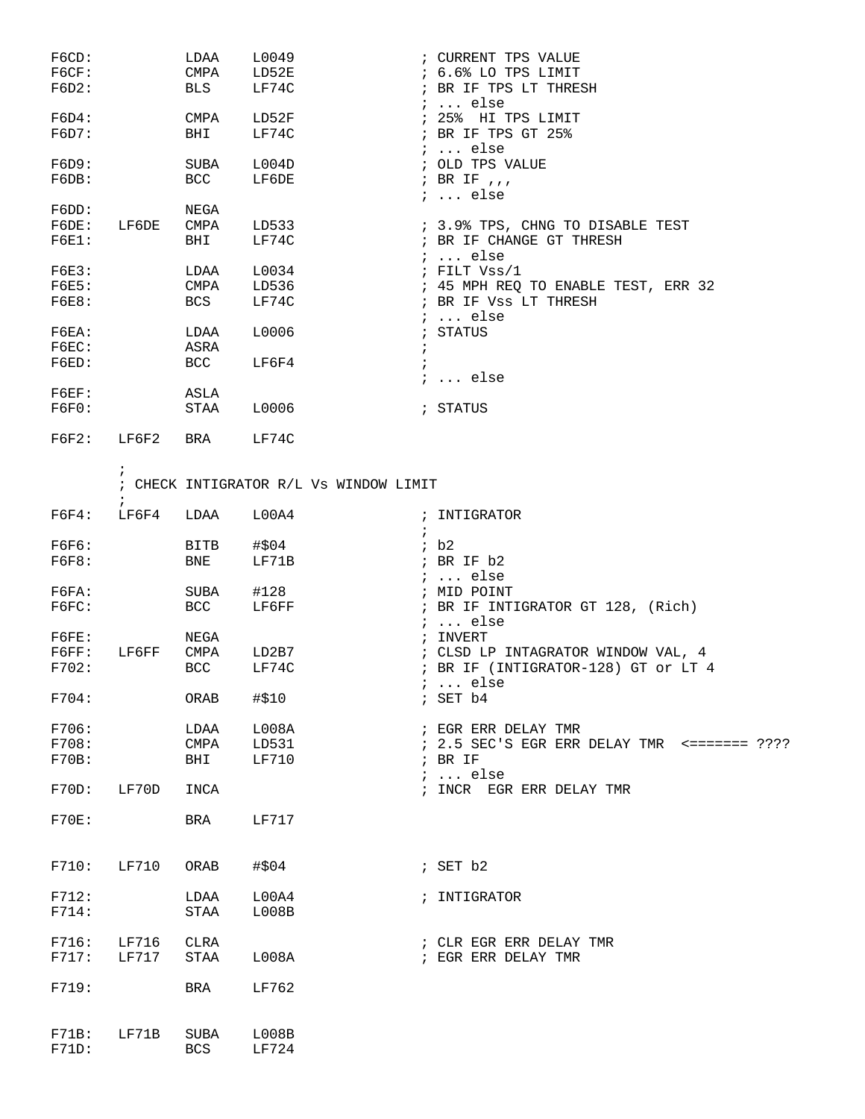| F6CD:<br>FGCF:<br>F6D2: |                          | LDAA<br>CMPA<br>BLS | L0049<br>LD52E<br>LF74C |                                        |            | ; CURRENT TPS VALUE<br>; 6.6% LO TPS LIMIT<br>; BR IF TPS LT THRESH          |
|-------------------------|--------------------------|---------------------|-------------------------|----------------------------------------|------------|------------------------------------------------------------------------------|
| F6D4:<br>F6D7:          |                          | CMPA<br>BHI         | LD52F<br>LF74C          |                                        |            | $: $ else<br>; 25% HI TPS LIMIT<br>; BR IF TPS GT 25%                        |
| F6D9:<br>F6DB:          |                          | SUBA<br>BCC         | L004D<br>LF6DE          |                                        |            | $i \ldots$ else<br>; OLD TPS VALUE<br>; BR IF $, \, , \,$<br>$i \ldots$ else |
| F6DD:                   |                          | NEGA                |                         |                                        |            |                                                                              |
| F6DE:<br>F6E1:          | LF6DE                    | CMPA<br>BHI         | LD533<br>LF74C          |                                        |            | ; 3.9% TPS, CHNG TO DISABLE TEST<br>; BR IF CHANGE GT THRESH<br>$: $ else    |
| F6E3:                   |                          | LDAA                | L0034                   |                                        |            | $i$ FILT Vss/1                                                               |
| F6E5:                   |                          | CMPA                | LD536                   |                                        |            | ; 45 MPH REQ TO ENABLE TEST, ERR 32                                          |
| F6E8:                   |                          | BCS                 | LF74C                   |                                        |            | ; BR IF Vss LT THRESH                                                        |
| F6EA:                   |                          | LDAA                | L0006                   |                                        |            | $i \ldots$ else<br>; STATUS                                                  |
| $F6EC$ :                |                          | ASRA                |                         |                                        | $\ddot{ }$ |                                                                              |
| F6ED:                   |                          | <b>BCC</b>          | LF6F4                   |                                        |            |                                                                              |
|                         |                          |                     |                         |                                        |            | $i \ldots$ else                                                              |
| $F6EF$ :<br>F6F0:       |                          | ASLA<br>STAA        | L0006                   |                                        |            | ; STATUS                                                                     |
| F6F2:                   | LF6F2                    | BRA                 | LF74C                   |                                        |            |                                                                              |
|                         | $\ddot{i}$<br>$\ddot{i}$ |                     |                         | ; CHECK INTIGRATOR R/L Vs WINDOW LIMIT |            |                                                                              |
| FGF4:                   | LF6F4                    | LDAA                | L00A4                   |                                        | $\ddot{i}$ | ; INTIGRATOR                                                                 |
| F6F6:                   |                          | BITB                | #\$04                   |                                        |            | ib2                                                                          |
| F6F8:                   |                          | BNE                 | LF71B                   |                                        |            | ; BR IF b2                                                                   |
|                         |                          |                     |                         |                                        |            | $i \ldots$ else                                                              |
| FGFA:                   |                          | SUBA                | #128                    |                                        |            | ; MID POINT                                                                  |
| FGFC:                   |                          | BCC                 | LF6FF                   |                                        |            | ; BR IF INTIGRATOR GT 128, (Rich)<br>$i \ldots$ else                         |
| FGFE:                   |                          | NEGA                |                         |                                        |            | ; INVERT                                                                     |
| FGFF:                   | LF6FF                    | CMPA                | LD2B7                   |                                        |            | ; CLSD LP INTAGRATOR WINDOW VAL, 4                                           |
| F702:                   |                          | BCC                 | LF74C                   |                                        |            | ; BR IF (INTIGRATOR-128) GT or LT 4                                          |
| F704:                   |                          | ORAB                | #\$10                   |                                        |            | <i>;</i> else<br>; SET b4                                                    |
| F706:                   |                          | LDAA                | L008A                   |                                        |            | ; EGR ERR DELAY TMR                                                          |
| F708:                   |                          | CMPA                | LD531                   |                                        |            | ; 2.5 SEC'S EGR ERR DELAY TMR <======= ????                                  |
| F70B:                   |                          | BHI                 | LF710                   |                                        |            | $;$ BR IF                                                                    |
|                         |                          |                     |                         |                                        |            | $i \ldots$ else                                                              |
| F70D:                   | LF70D                    | INCA                |                         |                                        |            | ; INCR EGR ERR DELAY TMR                                                     |
| F70E:                   |                          | BRA                 | LF717                   |                                        |            |                                                                              |
| F710:                   | LF710                    | ORAB                | #\$04                   |                                        |            | ; SET b2                                                                     |
| F712:                   |                          | LDAA                | L00A4                   |                                        |            | ; INTIGRATOR                                                                 |
| F714:                   |                          | STAA                | L008B                   |                                        |            |                                                                              |
| F716:                   | LF716                    | CLRA                |                         |                                        |            | ; CLR EGR ERR DELAY TMR                                                      |
| F717:                   | LF717                    | STAA                | L008A                   |                                        |            | ; EGR ERR DELAY TMR                                                          |
| F719:                   |                          | BRA                 | LF762                   |                                        |            |                                                                              |
| F71B:                   | LF71B                    | SUBA                | L008B                   |                                        |            |                                                                              |
| F71D:                   |                          | <b>BCS</b>          | LF724                   |                                        |            |                                                                              |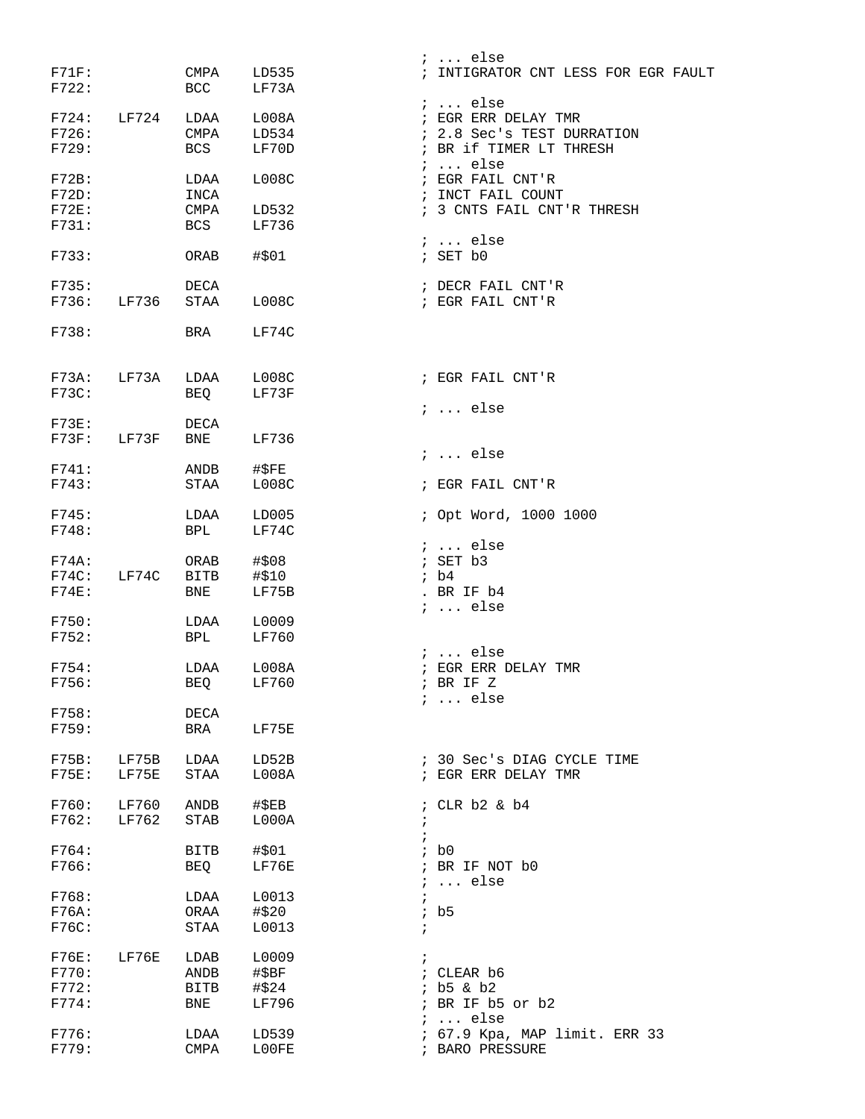|                      |                |                               |                | <i>;</i> else                                     |
|----------------------|----------------|-------------------------------|----------------|---------------------------------------------------|
| F71F:<br>F722:       |                | CMPA<br>BCC                   | LD535<br>LF73A | ; INTIGRATOR CNT LESS FOR EGR FAULT               |
|                      |                |                               |                | $i$ else                                          |
| F724:                | LF724          | LDAA                          | L008A          | ; EGR ERR DELAY TMR                               |
| F726:                |                |                               | CMPA LD534     | ; 2.8 Sec's TEST DURRATION                        |
| F729:                |                | <b>BCS</b>                    | LF70D          | ; BR if TIMER LT THRESH<br>$i \ldots$ else        |
| F72B:                |                | LDAA                          | L008C          | ; EGR FAIL CNT'R                                  |
| F72D:                |                | INCA                          |                | ; INCT FAIL COUNT                                 |
| F72E:                |                | CMPA                          | LD532          | ; 3 CNTS FAIL CNT'R THRESH                        |
| F731:                |                | BCS                           | LF736          |                                                   |
|                      |                |                               |                | $i$ else                                          |
| F733:                |                | ORAB                          | #\$01          | ; SET b0                                          |
| F735:                |                | DECA                          |                | ; DECR FAIL CNT'R                                 |
| F736:                | LF736          | STAA                          | L008C          | ; EGR FAIL CNT'R                                  |
|                      |                |                               |                |                                                   |
| F738:                |                | BRA                           | LF74C          |                                                   |
| F73A:                | LF73A          | LDAA                          | L008C          | ; EGR FAIL CNT'R                                  |
| F73C:                |                | BEQ                           | LF73F          |                                                   |
|                      |                |                               |                | $i \ldots$ else                                   |
| $F73E$ :<br>$F73F$ : | LF73F          | DECA<br>BNE                   | LF736          |                                                   |
|                      |                |                               |                | $i$ else                                          |
| F741:                |                | ANDB                          | #\$FE          |                                                   |
| F743:                |                | STAA                          | L008C          | ; EGR FAIL CNT'R                                  |
| F745:                |                |                               | LD005          | ; Opt Word, 1000 1000                             |
| F748:                |                | LDAA<br>BPL                   | LF74C          |                                                   |
|                      |                |                               |                | $i$ else                                          |
| F74A:                |                | ORAB                          | #\$08          | ; SET b3                                          |
| F74C:                | LF74C          | <b>BITB</b>                   | #\$10          | ib4                                               |
| $F74E$ :             |                | BNE                           | LF75B          | . BR IF b4                                        |
|                      |                |                               |                | $i \ldots$ else                                   |
| F750:                |                | LDAA                          | L0009          |                                                   |
| F752:                |                | BPL                           | LF760          | $i$ else                                          |
| F754:                |                | LDAA                          | L008A          | ; EGR ERR DELAY TMR                               |
| F756:                |                | BEQ                           | LF760          | ; BR IF Z                                         |
|                      |                |                               |                | $i \ldots$ else                                   |
| F758:                |                | DECA                          |                |                                                   |
| F759:                |                | BRA                           | LF75E          |                                                   |
|                      |                |                               |                |                                                   |
| F75B:<br>F75E:       | LF75B<br>LF75E | LDAA<br>$\operatorname{STAA}$ | LD52B<br>L008A | ; 30 Sec's DIAG CYCLE TIME<br>; EGR ERR DELAY TMR |
|                      |                |                               |                |                                                   |
| F760:                | LF760          | ANDB                          | $\sharp$ \$EB  | ; CLR $b2$ & $b4$                                 |
| F762:                | LF762          | STAB                          | L000A          | $\ddot{ }$                                        |
|                      |                |                               |                | $\ddot{i}$                                        |
| F764:                |                | <b>BITB</b>                   | #\$01          | ib0                                               |
| F766:                |                | BEQ                           | LF76E          | ; BR IF NOT b0                                    |
| F768:                |                | LDAA                          | L0013          | $i \ldots$ else                                   |
| F76A:                |                | ORAA                          | #\$20          | ib5                                               |
| F76C:                |                | STAA                          | L0013          | $\ddot{ }$                                        |
|                      |                |                               |                |                                                   |
| F76E:                | LF76E          | LDAB                          | L0009          | $\ddot{i}$                                        |
| F770:                |                | ANDB                          | #\$BF          | ; CLEAR b6                                        |
| F772:                |                | BITB                          | #\$24          | $;$ b5 & b2                                       |
| F774:                |                | BNE                           | LF796          | ; BR IF b5 or b2                                  |
| F776:                |                | LDAA                          | LD539          | $i \ldots$ else<br>; 67.9 Kpa, MAP limit. ERR 33  |
| F779:                |                | CMPA                          | L00FE          | ; BARO PRESSURE                                   |
|                      |                |                               |                |                                                   |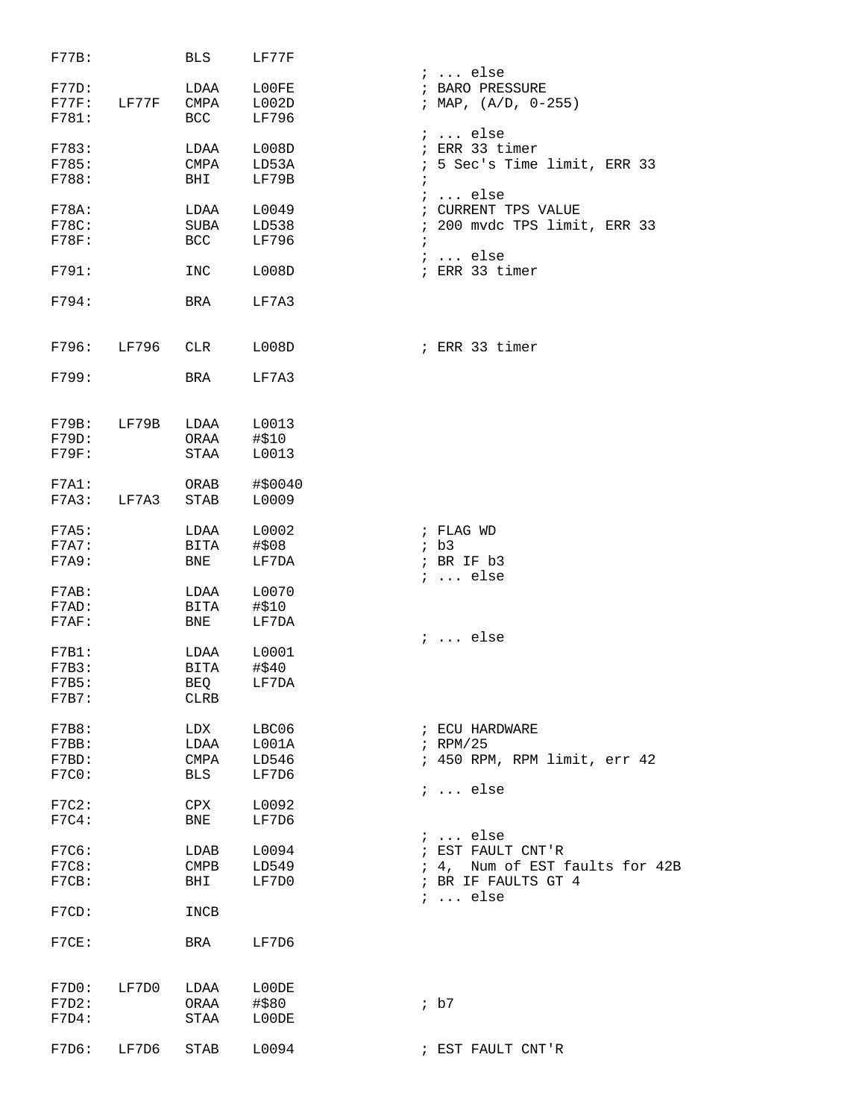| F77B:                            |             | BLS                                     | LF77F                            |                                                                                                            |
|----------------------------------|-------------|-----------------------------------------|----------------------------------|------------------------------------------------------------------------------------------------------------|
| F77D:<br>F781:                   | F77F: LF77F | LDAA<br>CMPA<br>BCC                     | L00FE<br>L002D<br>LF796          | $i \ldots$ else<br>; BARO PRESSURE<br>; MAP, $(A/D, 0-255)$                                                |
| F783:<br>F785:<br>F788:          |             | LDAA<br>CMPA<br>BHI                     | L008D<br>LD53A<br>LF79B          | $i \ldots$ else<br>; ERR 33 timer<br>; 5 Sec's Time limit, ERR 33<br>$\ddot{i}$                            |
| F78A:<br>F78C:<br>F78F:          |             | LDAA<br>SUBA<br><b>BCC</b>              | L0049<br>LD538<br>LF796          | $i$ else<br>; CURRENT TPS VALUE<br>; 200 mvdc TPS limit, ERR 33<br>$\ddot{i}$                              |
| F791:                            |             | INC                                     | L008D                            | $i \ldots$ else<br>; ERR 33 timer                                                                          |
| F794:                            |             | BRA                                     | LF7A3                            |                                                                                                            |
|                                  | F796: LF796 | CLR                                     | L008D                            | ; ERR 33 timer                                                                                             |
| F799:                            |             | BRA                                     | LF7A3                            |                                                                                                            |
| F79B:<br>F79D:<br>F79F:          | LF79B       | LDAA<br>ORAA<br>STAA                    | L0013<br>#\$10<br>L0013          |                                                                                                            |
| F7A1:<br>F7A3:                   | LF7A3       | ORAB<br>STAB                            | #\$0040<br>L0009                 |                                                                                                            |
| F7A5:<br>F7A7:<br>F7A9:          |             | LDAA<br>BITA<br>BNE                     | L0002<br>#\$08<br>LF7DA          | ; FLAG WD<br>ib3<br>; BR IF b3                                                                             |
| F7AB:<br>F7AD:<br>$F7AF$ :       |             | LDAA<br><b>BITA</b><br>BNE              | L0070<br>#\$10<br>LF7DA          | $i \ldots$ else                                                                                            |
| F7B1:<br>F7B3:<br>F7B5:<br>F7B7: |             | LDAA<br>BITA<br>BEQ<br>CLRB             | L0001<br>#\$40<br>LF7DA          | $i \ldots$ else                                                                                            |
| F7B8:<br>F7BB:<br>F7BD:<br>F7C0: |             | LDX<br>LDAA<br>CMPA<br><b>BLS</b>       | LBC06<br>L001A<br>LD546<br>LF7D6 | ; ECU HARDWARE<br>$i$ RPM/25<br>; 450 RPM, RPM limit, err 42                                               |
| F7C2:<br>F7C4:                   |             | CPX<br><b>BNE</b>                       | L0092<br>LF7D6                   | $i \ldots$ else                                                                                            |
| F7C6:<br>F7C8:<br>F7CB:          |             | LDAB<br>$\mathop{\mathrm{CMPB}}$<br>BHI | L0094<br>LD549<br>LF7D0          | $: $ else<br>; EST FAULT CNT'R<br>; 4, Num of EST faults for 42B<br>; BR IF FAULTS GT 4<br>$i \ldots$ else |
| F7CD:                            |             | INCB                                    |                                  |                                                                                                            |
| F7CE:                            |             | BRA                                     | LF7D6                            |                                                                                                            |
| F7D2:<br>F7D4:                   | F7D0: LF7D0 | LDAA<br>ORAA<br>STAA                    | L00DE<br>#\$80<br>L00DE          | $;$ b7                                                                                                     |
| F7D6:                            | LF7D6       | STAB                                    | L0094                            | ; EST FAULT CNT'R                                                                                          |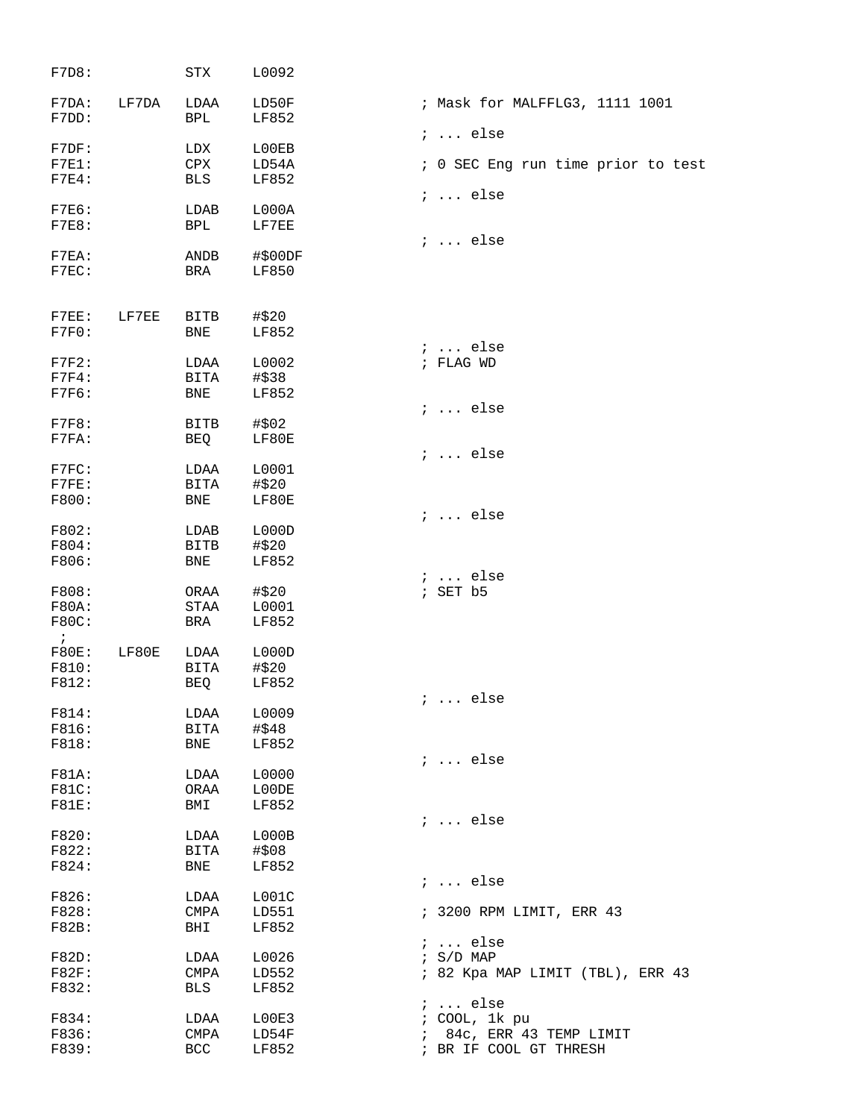| F7D8:        |       | STX         | L0092   |                                    |
|--------------|-------|-------------|---------|------------------------------------|
| F7DA:        | LF7DA | LDAA        | LD50F   | ; Mask for MALFFLG3, 1111 1001     |
| F7DD:        |       | <b>BPL</b>  | LF852   | $i \ldots$ else                    |
| F7DF:        |       | LDX         | L00EB   |                                    |
| $F7E1$ :     |       | <b>CPX</b>  | LD54A   | ; 0 SEC Eng run time prior to test |
| $F7E4$ :     |       | <b>BLS</b>  | LF852   |                                    |
|              |       |             |         | $i \ldots$ else                    |
| F7E6:        |       | LDAB        | L000A   |                                    |
| F7E8:        |       | BPL         | LF7EE   |                                    |
|              |       |             |         | $i$ else                           |
| F7EA:        |       | ANDB        | #\$00DF |                                    |
| $F7EC$ :     |       | BRA         | LF850   |                                    |
|              |       |             |         |                                    |
| $F7EE$ :     | LF7EE | <b>BITB</b> | #\$20   |                                    |
| F7F0:        |       | <b>BNE</b>  | LF852   |                                    |
|              |       |             |         | $i \ldots$ else                    |
| F7F2:        |       | LDAA        | L0002   | ; FLAG WD                          |
| F7F4:        |       | BITA        | #\$38   |                                    |
| F7F6:        |       | <b>BNE</b>  | LF852   |                                    |
|              |       |             |         | $i$ else                           |
| F7F8:        |       | <b>BITB</b> | #\$02   |                                    |
| $F7FA$ :     |       | BEQ         | LF80E   |                                    |
|              |       |             |         | $i$ else                           |
| F7FC:        |       | LDAA        | L0001   |                                    |
| F7FE:        |       | <b>BITA</b> | #\$20   |                                    |
| F800:        |       | <b>BNE</b>  | LF80E   |                                    |
|              |       |             |         | $i \ldots$ else                    |
| F802:        |       | LDAB        | L000D   |                                    |
| F804:        |       | BITB        | #\$20   |                                    |
| F806:        |       | <b>BNE</b>  | LF852   |                                    |
| F808:        |       | ORAA        | #\$20   | $: $ else<br>; SET b5              |
| F80A:        |       | <b>STAA</b> | L0001   |                                    |
| F80C:        |       | BRA         | LF852   |                                    |
| $\ddot{i}$   |       |             |         |                                    |
| F80E:        | LF80E | LDAA        | L000D   |                                    |
| F810:        |       | <b>BITA</b> | #\$20   |                                    |
| F812:        |       | BEQ         | LF852   |                                    |
|              |       |             |         | $i \ldots$ else                    |
| F814:        |       | LDAA        | L0009   |                                    |
| F816:        |       | BITA        | #\$48   |                                    |
| F818:        |       | <b>BNE</b>  | LF852   |                                    |
|              |       |             |         | $i$ else                           |
| <b>F81A:</b> |       | LDAA        | L0000   |                                    |
| F81C:        |       | ORAA        | L00DE   |                                    |
| <b>F81E:</b> |       | BMI         | LF852   |                                    |
|              |       |             |         | $i$ else                           |
| F820:        |       | LDAA        | LOOOB   |                                    |
| F822:        |       | BITA        | #\$08   |                                    |
| F824:        |       | <b>BNE</b>  | LF852   |                                    |
|              |       |             |         | $i \ldots$ else                    |
| F826:        |       | LDAA        | LOO1C   |                                    |
| F828:        |       | CMPA        | LD551   | ; 3200 RPM LIMIT, ERR 43           |
| F82B:        |       | BHI         | LF852   |                                    |
|              |       |             |         | $i \ldots$ else                    |
| F82D:        |       | LDAA        | L0026   | $: S/D$ MAP                        |
| F82F:        |       | CMPA        | LD552   | ; 82 Kpa MAP LIMIT (TBL), ERR 43   |
| F832:        |       | <b>BLS</b>  | LF852   |                                    |
|              |       |             |         | $i \ldots$ else                    |
| F834:        |       | LDAA        | L00E3   | ; COOL, 1k pu                      |
| F836:        |       | <b>CMPA</b> | LD54F   | 84c, ERR 43 TEMP LIMIT             |
| F839:        |       | <b>BCC</b>  | LF852   | ; BR IF COOL GT THRESH             |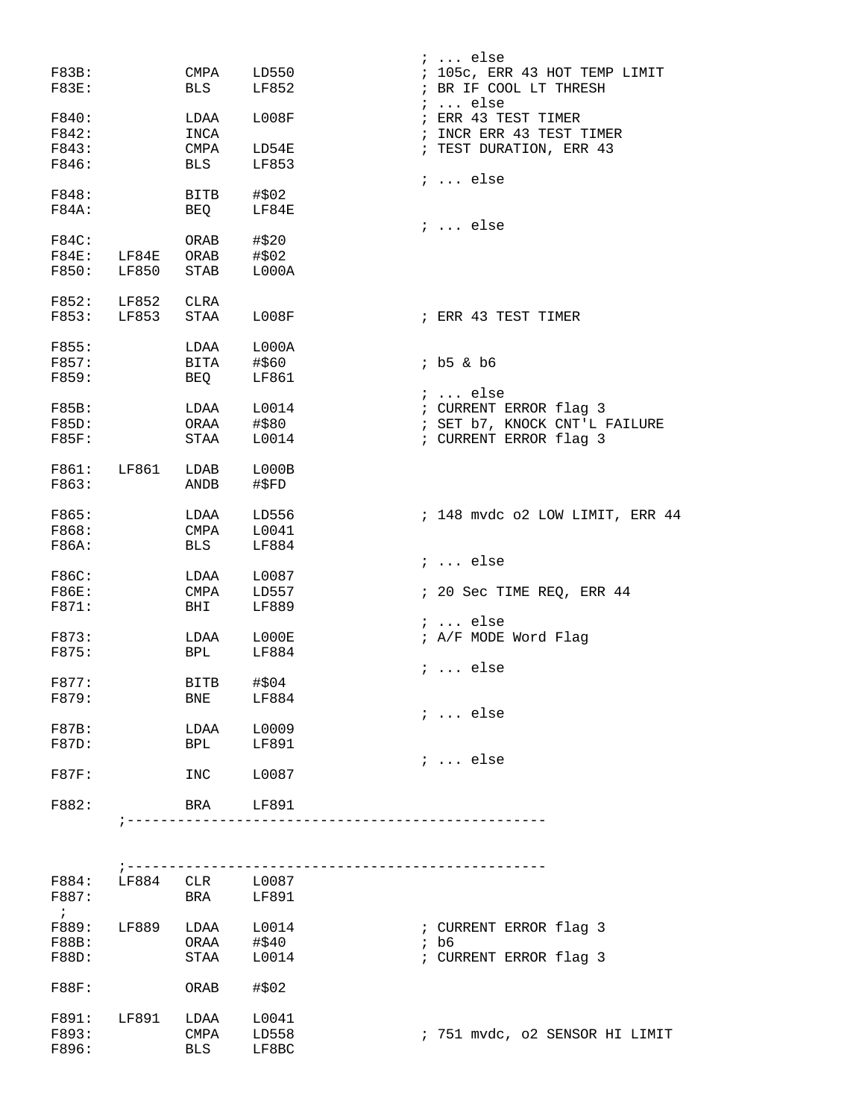|              |                     |                 |       | $i \ldots$ else                 |
|--------------|---------------------|-----------------|-------|---------------------------------|
| F83B:        |                     | CMPA            | LD550 | ; 105c, ERR 43 HOT TEMP LIMIT   |
| <b>F83E:</b> |                     | <b>BLS</b>      | LF852 | ; BR IF COOL LT THRESH          |
|              |                     |                 |       | $i \ldots$ else                 |
| F840:        |                     | LDAA            | L008F | ; ERR 43 TEST TIMER             |
| F842:        |                     | INCA            |       | ; INCR ERR 43 TEST TIMER        |
| F843:        |                     | CMPA            | LD54E | ; TEST DURATION, ERR 43         |
| F846:        |                     | <b>BLS</b>      | LF853 |                                 |
|              |                     |                 |       | $i \ldots$ else                 |
| F848:        |                     | BITB            | #\$02 |                                 |
| F84A:        |                     | BEQ             | LF84E | $i \ldots$ else                 |
| F84C:        |                     | ORAB            | #\$20 |                                 |
| F84E:        | LF84E               | ORAB            | #\$02 |                                 |
| F850:        | LF850               | STAB            | L000A |                                 |
|              |                     |                 |       |                                 |
| F852:        | LF852               | CLRA            |       |                                 |
| F853:        | LF853               | STAA            | L008F | ; ERR 43 TEST TIMER             |
|              |                     |                 |       |                                 |
| F855:        |                     | LDAA            | L000A |                                 |
| F857:        |                     | BITA            | #\$60 | $;$ $b5 & b6$                   |
| F859:        |                     | <b>BEQ</b>      | LF861 |                                 |
|              |                     |                 |       | $: $ else                       |
| F85B:        |                     | LDAA            | L0014 | ; CURRENT ERROR flag 3          |
| F85D:        |                     | ORAA            | #\$80 | ; SET b7, KNOCK CNT'L FAILURE   |
| <b>F85F:</b> |                     | STAA            | L0014 | ; CURRENT ERROR flag 3          |
| F861:        | LF861               | LDAB            | L000B |                                 |
| F863:        |                     | ANDB            | #\$FD |                                 |
|              |                     |                 |       |                                 |
| F865:        |                     | LDAA            | LD556 | ; 148 mvdc o2 LOW LIMIT, ERR 44 |
| F868:        |                     | CMPA            | L0041 |                                 |
| F86A:        |                     | <b>BLS</b>      | LF884 |                                 |
|              |                     |                 |       | $i \ldots$ else                 |
| F86C:        |                     | LDAA            | L0087 |                                 |
| <b>F86E:</b> |                     | CMPA            | LD557 | ; 20 Sec TIME REQ, ERR 44       |
| F871:        |                     | BHI             | LF889 |                                 |
|              |                     |                 |       | $i \ldots$ else                 |
| F873:        |                     | LDAA            | L000E | ; A/F MODE Word Flag            |
| F875:        |                     | BPL             | LF884 |                                 |
|              |                     |                 |       | $i \ldots$ else                 |
| F877:        |                     | BITB            | #\$04 |                                 |
| F879:        |                     | BNE             | LF884 | $i \ldots$ else                 |
| F87B:        |                     | LDAA            | L0009 |                                 |
| F87D:        |                     | BPL             | LF891 |                                 |
|              |                     |                 |       | $i \ldots$ else                 |
| F87F:        |                     | INC             | L0087 |                                 |
|              |                     |                 |       |                                 |
| F882:        |                     | BRA             | LF891 |                                 |
|              |                     |                 |       |                                 |
|              |                     |                 |       |                                 |
|              |                     |                 |       |                                 |
| F884:        | $7 - - - - - - - -$ | LF884 CLR L0087 |       |                                 |
| F887:        |                     | BRA             | LF891 |                                 |
| $\ddot{i}$   |                     |                 |       |                                 |
| F889:        | LF889               | LDAA            | L0014 | ; CURRENT ERROR flag 3          |
| <b>F88B:</b> |                     | ORAA            | #\$40 | $;$ b6                          |
| F88D:        |                     | STAA            | L0014 | ; CURRENT ERROR flag 3          |
|              |                     |                 |       |                                 |
| F88F:        |                     | ORAB            | #\$02 |                                 |
|              |                     |                 |       |                                 |
| F891:        | LF891               | LDAA            | L0041 |                                 |

F896: BLS LF8BC

F893: CMPA LD558 ; 751 mvdc, o2 SENSOR HI LIMIT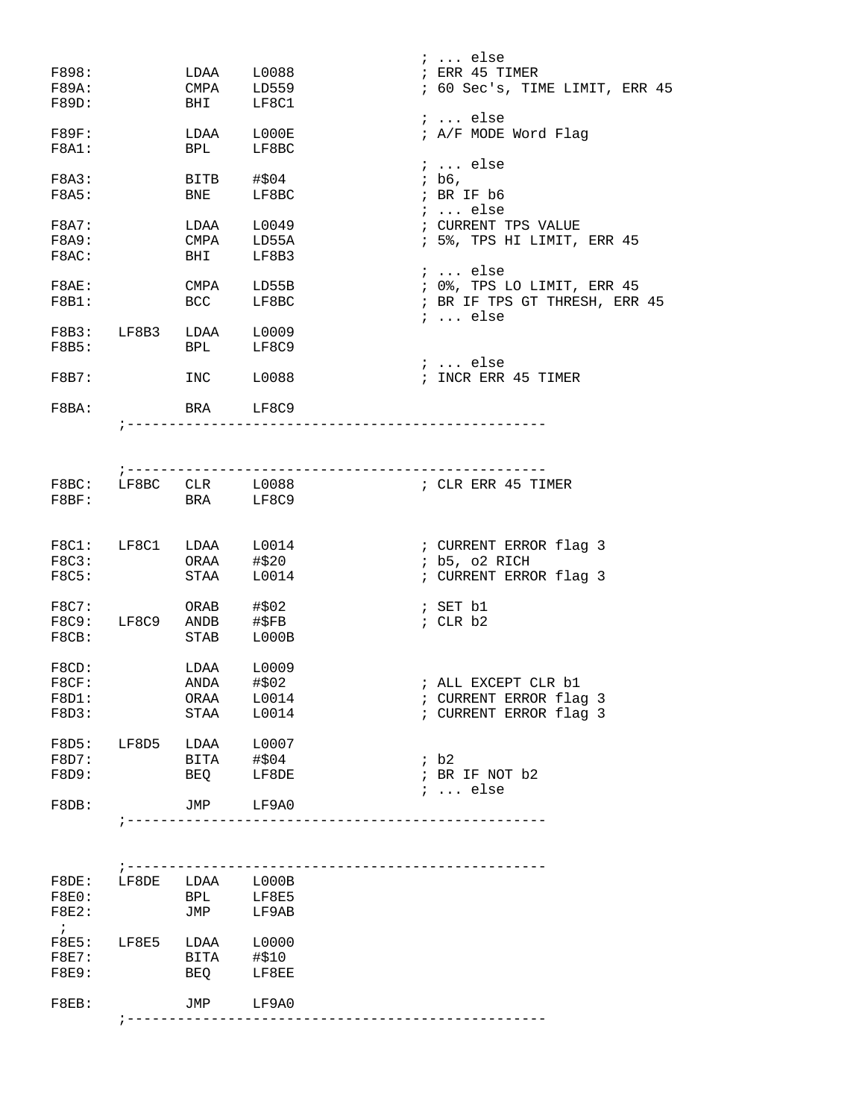|              |                        |                          |                       | $i$ else                              |
|--------------|------------------------|--------------------------|-----------------------|---------------------------------------|
| F898:        |                        |                          | LDAA L0088            | ; ERR 45 TIMER                        |
| F89A:        |                        | CMPA LD559               |                       | ; 60 Sec's, TIME LIMIT, ERR 45        |
| F89D:        |                        |                          | BHI LF8C1             |                                       |
|              |                        |                          |                       | $i \ldots$ else                       |
| $F89F$ :     |                        |                          | LDAA L000E            | ; A/F MODE Word Flag                  |
| F8A1:        |                        | BPL                      | LF8BC                 |                                       |
|              |                        |                          |                       | $i \ldots$ else                       |
| F8A3:        |                        |                          | BITB #\$04            | ; b6,                                 |
| F8A5:        |                        |                          | BNE LF8BC             | ; BR IF b6                            |
|              |                        |                          |                       | ;  else                               |
| F8A7:        |                        | LDAA                     | L0049                 | ; CURRENT TPS VALUE                   |
| F8A9:        |                        | CMPA LD55A               |                       | ; 5%, TPS HI LIMIT, ERR 45            |
| F8AC:        |                        | <b>BHI</b>               | LF8B3                 |                                       |
|              |                        |                          |                       | $i$ else                              |
| F8AE:        |                        | CMPA LD55B               |                       | ; 0%, TPS LO LIMIT, ERR 45            |
| F8B1:        |                        |                          | BCC LF8BC             | ; BR IF TPS GT THRESH, ERR 45         |
|              |                        |                          |                       | $i \ldots$ else                       |
|              | F8B3: LF8B3 LDAA L0009 |                          |                       |                                       |
| F8B5:        |                        |                          | BPL LF8C9             |                                       |
|              |                        |                          |                       | $i \ldots$ else                       |
| F8B7:        |                        |                          | INC L0088             | ; INCR ERR 45 TIMER                   |
|              |                        |                          |                       |                                       |
| F8BA:        |                        | BRA LF8C9                |                       |                                       |
|              |                        |                          |                       | ---------------                       |
|              |                        |                          |                       |                                       |
|              |                        |                          |                       |                                       |
|              |                        |                          |                       | ; ----------------------------------- |
|              |                        |                          | F8BC: LF8BC CLR L0088 | ; CLR ERR 45 TIMER                    |
| F8BF:        |                        | BRA LF8C9                |                       |                                       |
|              |                        |                          |                       |                                       |
|              |                        |                          |                       |                                       |
|              | F8C1: LF8C1 LDAA L0014 |                          |                       | ; CURRENT ERROR flag 3                |
| F8C3:        |                        | ORAA #\$20               |                       | ; b5, o2 RICH                         |
| F8C5:        |                        |                          | STAA L0014            | ; CURRENT ERROR flag 3                |
|              |                        |                          |                       |                                       |
| F8C7:        |                        | $ORAB$ #\$02             |                       | ; SET b1                              |
|              | F8C9: LF8C9 ANDB #\$FB |                          |                       |                                       |
|              |                        |                          | STAB L000B            | ; CLR b2                              |
| F8CB:        |                        |                          |                       |                                       |
|              |                        |                          |                       |                                       |
| F8CD:        |                        | LDAA                     | L0009                 |                                       |
| F8CF:        |                        | ANDA #\$02<br>ORAA L0014 |                       | ; ALL EXCEPT CLR b1                   |
| F8D1:        |                        |                          |                       | ; CURRENT ERROR flag 3                |
| F8D3:        |                        |                          | STAA L0014            | ; CURRENT ERROR flag 3                |
|              |                        |                          |                       |                                       |
| F8D5:        | LF8D5                  |                          | $LDAA$ $L0007$        |                                       |
| F8D7:        |                        | BITA #\$04               |                       | ib2                                   |
| F8D9:        |                        |                          | BEQ LF8DE             | ; BR IF NOT b2                        |
|              |                        |                          |                       | $i \ldots$ else                       |
| F8DB:        |                        | JMP LF9A0                |                       |                                       |
|              |                        |                          |                       |                                       |
|              |                        |                          |                       |                                       |
|              |                        |                          |                       |                                       |
|              |                        |                          |                       |                                       |
| F8DE:        | LF8DE LDAA L000B       |                          |                       |                                       |
| F8E0:        |                        | BPL                      | LF8E5                 |                                       |
| F8E2:        |                        | JMP                      | LF9AB                 |                                       |
| $\cdot$ ;    |                        |                          |                       |                                       |
| F8E5:        | LF8E5 LDAA L0000       |                          |                       |                                       |
| F8E7:        |                        | BITA #\$10               |                       |                                       |
| <b>F8E9:</b> |                        |                          | BEQ LF8EE             |                                       |
|              |                        |                          |                       |                                       |
| $F8EB$ :     |                        |                          | JMP LF9A0             |                                       |
|              |                        |                          |                       |                                       |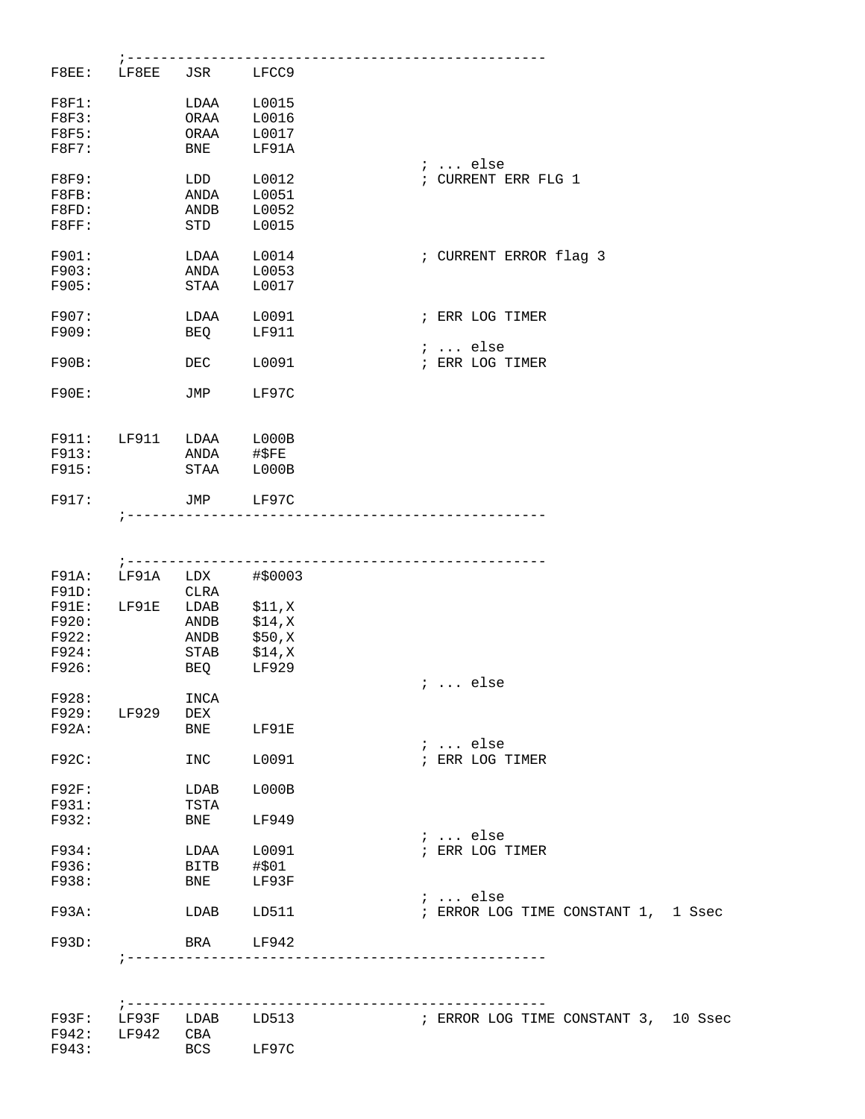| F8EE:        | LF8EE               | JSR LFCC9   |                        |                                      |
|--------------|---------------------|-------------|------------------------|--------------------------------------|
| F8F1:        |                     | LDAA        | L0015                  |                                      |
| F8F3:        |                     | ORAA        | L0016                  |                                      |
|              |                     |             |                        |                                      |
| F8F5:        |                     | ORAA        | L0017                  |                                      |
| F8F7:        |                     | BNE         | LF91A                  | $i \ldots$ else                      |
| <b>F8F9:</b> |                     | LDD         | L0012                  | ; CURRENT ERR FLG 1                  |
| F8FB:        |                     | ANDA        | L0051                  |                                      |
|              |                     |             | L0052                  |                                      |
| F8FD:        |                     | ANDB        |                        |                                      |
| F8FF:        |                     | STD         | L0015                  |                                      |
| F901:        |                     | LDAA        | L0014                  | ; CURRENT ERROR flag 3               |
| F903:        |                     | ANDA        | L0053                  |                                      |
| F905:        |                     | STAA        | L0017                  |                                      |
|              |                     |             |                        |                                      |
| F907:        |                     | LDAA        | L0091                  | ; ERR LOG TIMER                      |
| F909:        |                     | BEQ         | LF911                  |                                      |
|              |                     |             |                        |                                      |
|              |                     |             |                        | $i$ else                             |
| F90B:        |                     | DEC         | L0091                  | ; ERR LOG TIMER                      |
|              |                     |             | LF97C                  |                                      |
| F90E:        |                     | JMP         |                        |                                      |
|              |                     |             |                        |                                      |
| F911:        | LF911               | LDAA        | L000B                  |                                      |
| F913:        |                     | ANDA        | #\$FE                  |                                      |
|              |                     |             |                        |                                      |
| F915:        |                     | STAA        | L000B                  |                                      |
| F917:        |                     | JMP LF97C   |                        |                                      |
|              |                     |             |                        |                                      |
|              |                     |             |                        |                                      |
|              |                     |             |                        |                                      |
| F91A:        | LF91A               | LDX         | #\$0003                |                                      |
|              |                     |             |                        |                                      |
| F91D:        |                     | CLRA        |                        |                                      |
| F91E:        | LF91E               | LDAB        | \$11,X                 |                                      |
| F920:        |                     | ANDB        | \$14,X                 |                                      |
| F922:        |                     | ANDB        | \$50,X                 |                                      |
| F924:        |                     | STAB        | \$14,X                 |                                      |
|              |                     |             |                        |                                      |
| F926:        |                     | BEQ         | LF929                  | ;  else                              |
| F928:        |                     | INCA        |                        |                                      |
|              |                     |             |                        |                                      |
| F929: LF929  |                     | DEX         |                        |                                      |
| F92A:        |                     | BNE         | LF91E                  |                                      |
|              |                     |             |                        | $i \ldots$ else                      |
| $F92C$ :     |                     | INC         | L0091                  | ; ERR LOG TIMER                      |
|              |                     |             |                        |                                      |
| F92F:        |                     | LDAB        | LOOOB                  |                                      |
| F931:        |                     | TSTA        |                        |                                      |
| F932:        |                     | BNE         | LF949                  |                                      |
|              |                     |             |                        | $i \dots$ else                       |
| F934:        |                     | LDAA L0091  |                        | ; ERR LOG TIMER                      |
| F936:        |                     | <b>BITB</b> | #\$01                  |                                      |
|              |                     |             |                        |                                      |
| F938:        |                     | BNE         | LF93F                  |                                      |
|              |                     |             |                        | $i \ldots$ else                      |
| $F93A$ :     |                     | LDAB LD511  |                        | ; ERROR LOG TIME CONSTANT 1, 1 Ssec  |
|              |                     |             |                        |                                      |
| F93D:        |                     | BRA         | LF942                  |                                      |
|              |                     |             |                        |                                      |
|              |                     |             |                        |                                      |
|              | $7 - - - - - - - -$ |             |                        | ------------------                   |
|              |                     |             | F93F: LF93F LDAB LD513 | ; ERROR LOG TIME CONSTANT 3, 10 Ssec |
| F942: LF942  |                     | CBA         |                        |                                      |
| F943:        |                     | BCS         | LF97C                  |                                      |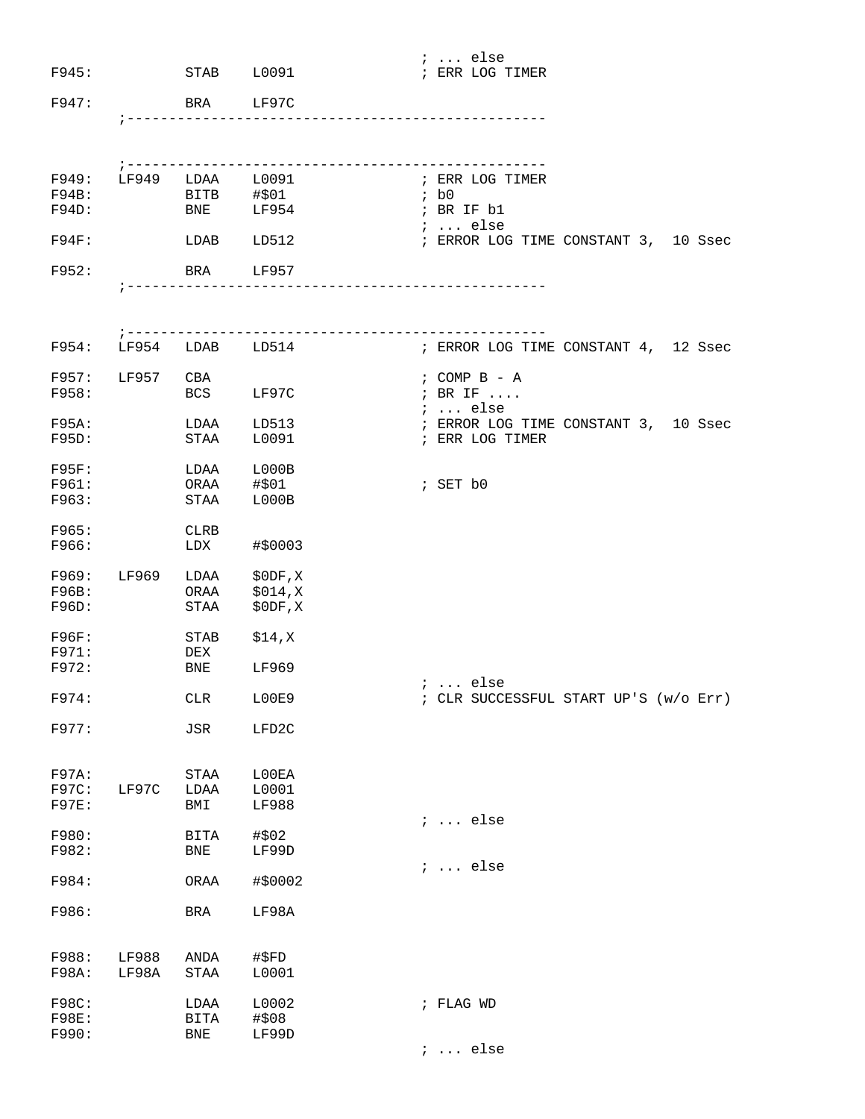| F945:                 |                   | STAB L0091                                 |                                                   | ;  else<br>; ERR LOG TIMER                      |
|-----------------------|-------------------|--------------------------------------------|---------------------------------------------------|-------------------------------------------------|
| F947:                 |                   | <b>BRA</b>                                 | LF97C                                             |                                                 |
|                       | $7 - - - - - - -$ |                                            | ----------------------                            |                                                 |
|                       |                   | F949: LF949 LDAA L0091<br>F94B: BITB #\$01 |                                                   | ; ERR LOG TIMER                                 |
| F94D:                 |                   | <b>BNE</b>                                 | LF954                                             | ; b0<br>; BR IF b1<br>;  else                   |
| $F94F$ :              |                   | LDAB LD512                                 |                                                   | ; ERROR LOG TIME CONSTANT 3, 10 Ssec            |
| F952:                 |                   | BRA                                        | LF957                                             |                                                 |
|                       |                   |                                            |                                                   |                                                 |
| F954:                 |                   |                                            | -----------------------------<br>LF954 LDAB LD514 | ; ERROR LOG TIME CONSTANT 4, 12 Ssec            |
| F957:<br>F958:        | LF957 CBA         | BCS LF97C                                  |                                                   | ; COMP B - A<br>; BR IF                         |
| F95A:                 |                   | LDAA                                       | LD513                                             | ;  else<br>; ERROR LOG TIME CONSTANT 3, 10 Ssec |
| $F95D$ :              |                   | STAA                                       | L0091                                             | ; ERR LOG TIMER                                 |
| $F95F$ :              | LDAA              |                                            | L000B                                             |                                                 |
| F961:<br>F963:        |                   | ORAA<br>STAA                               | #\$01<br>L000B                                    | ; SET b0                                        |
| F965:<br>F966:        |                   | CLRB<br>LDX                                | #\$0003                                           |                                                 |
|                       |                   | F969: LF969 LDAA \$0DF, X<br>ORAA          |                                                   |                                                 |
| F96B:<br>F96D:        |                   | <b>STAA</b>                                | \$014,X<br>\$0DF, X                               |                                                 |
| F96F:                 |                   | STAB                                       | \$14,X                                            |                                                 |
| F971:<br>F972:        |                   | DEX<br>BNE                                 | LF969                                             | <i>i</i> else                                   |
| F974:                 |                   | ${\rm CLR}$                                | L00E9                                             | ; CLR SUCCESSFUL START UP'S (w/o Err)           |
| F977:                 |                   | $_{\rm JSR}$                               | LFD2C                                             |                                                 |
| F97A:                 |                   | STAA                                       | L00EA                                             |                                                 |
| F97C:<br>F97E:        | LF97C             | LDAA<br>BMI                                | L0001<br>LF988                                    |                                                 |
| F980:                 |                   | BITA                                       | #\$02                                             | $i \ldots$ else                                 |
| F982:                 |                   | <b>BNE</b>                                 | LF99D                                             | $i \ldots$ else                                 |
| F984:                 |                   | ORAA                                       | #\$0002                                           |                                                 |
| F986:                 |                   | BRA                                        | LF98A                                             |                                                 |
| F988:                 | LF988             | ANDA                                       | #\$FD                                             |                                                 |
| F98A:                 | LF98A             | <b>STAA</b>                                | L0001                                             |                                                 |
| F98C:<br><b>F98E:</b> |                   | LDAA<br><b>BITA</b>                        | L0002<br>#\$08                                    | ; FLAG WD                                       |
| F990:                 |                   | <b>BNE</b>                                 | LF99D                                             |                                                 |
|                       |                   |                                            |                                                   | $i$ else                                        |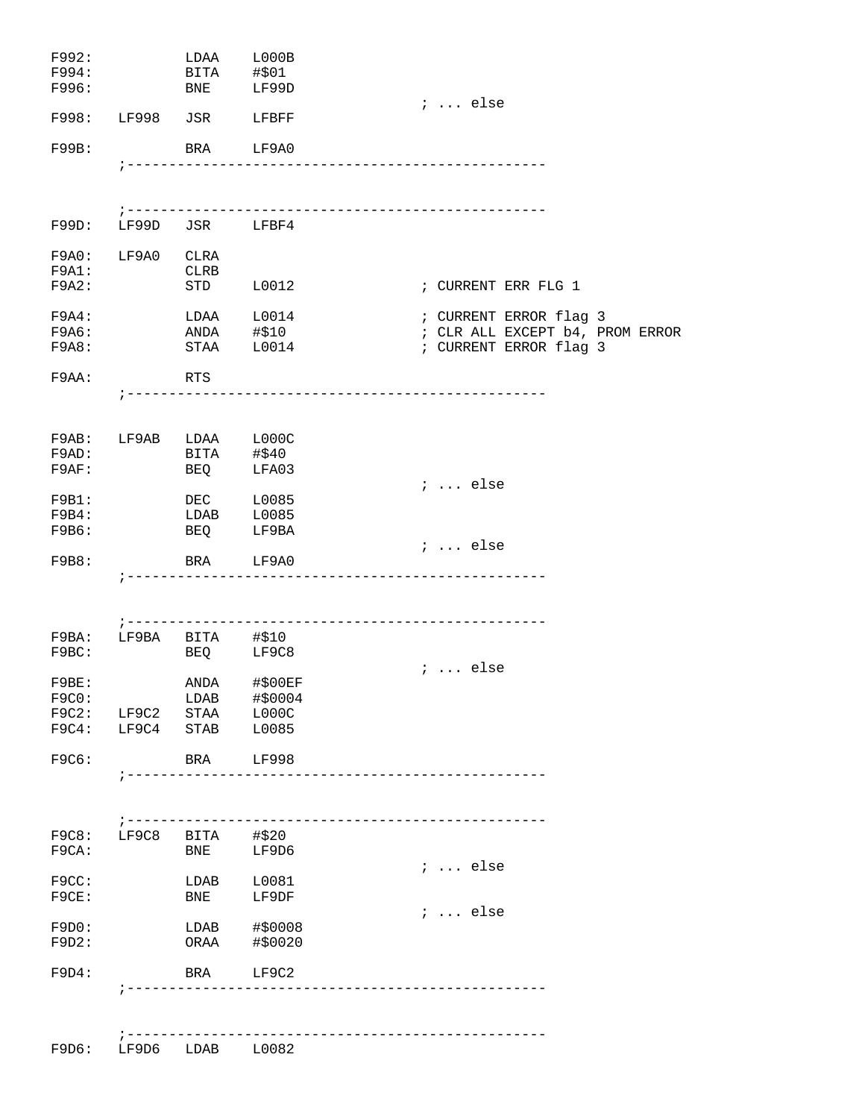| F992:                                                                                                          |                       |                         | LDAA L000B               |                                       |
|----------------------------------------------------------------------------------------------------------------|-----------------------|-------------------------|--------------------------|---------------------------------------|
| F994: The set of the set of the set of the set of the set of the set of the set of the set of the set of the s |                       | BITA #\$01              |                          |                                       |
| F996:                                                                                                          |                       | <b>BNE</b>              | LF99D                    | $i \ldots$ else                       |
| F998: LF998 JSR                                                                                                |                       |                         | LFBFF                    |                                       |
| F99B:                                                                                                          |                       |                         | BRA LF9A0                |                                       |
|                                                                                                                |                       |                         |                          |                                       |
|                                                                                                                |                       |                         |                          |                                       |
| F99D: LF99D JSR LFBF4                                                                                          |                       |                         |                          |                                       |
| F9A0: LF9A0 CLRA                                                                                               |                       |                         |                          |                                       |
| F9A1:                                                                                                          |                       | CLRB                    |                          |                                       |
| F9A2:                                                                                                          |                       | STD                     | L0012                    | ; CURRENT ERR FLG 1                   |
| $F9A4$ :                                                                                                       |                       |                         | LDAA L0014               | ; CURRENT ERROR flag 3                |
| F9A6:                                                                                                          |                       |                         | ANDA #\$10<br>STAA L0014 | ; CLR ALL EXCEPT b4, PROM ERROR       |
| F9A8:                                                                                                          |                       |                         |                          | ; CURRENT ERROR flag 3                |
| F9AA:                                                                                                          |                       | RTS                     |                          |                                       |
|                                                                                                                |                       |                         |                          |                                       |
|                                                                                                                |                       |                         |                          |                                       |
| F9AB: LF9AB LDAA L000C                                                                                         |                       |                         |                          |                                       |
| F9AD:<br>F9AF:                                                                                                 |                       | BITA #\$40              | LFA03                    |                                       |
|                                                                                                                |                       | BEQ                     |                          | $: $ else                             |
| F9B1:                                                                                                          |                       | <b>DEC</b>              | L0085                    |                                       |
| F9B4:                                                                                                          |                       | LDAB                    | L0085                    |                                       |
| F9B6:                                                                                                          |                       | <b>BEQ</b>              | LF9BA                    |                                       |
| F9B8:                                                                                                          |                       |                         | BRA LF9A0                | $i \ldots$ else                       |
|                                                                                                                |                       |                         |                          | ------------------------------------- |
|                                                                                                                |                       |                         |                          |                                       |
|                                                                                                                | ; ---------           |                         |                          |                                       |
| $F9BA:$ LF9BA BITA #\$10                                                                                       |                       |                         |                          |                                       |
| F9BC:                                                                                                          |                       |                         | BEQ LF9C8                | $i \ldots$ else                       |
| F9BE:                                                                                                          |                       |                         | ANDA #\$00EF             |                                       |
| F9C0:                                                                                                          |                       |                         | LDAB #\$0004             |                                       |
| F9C2: LF9C2 STAA L000C<br>F9C4: LF9C4 STAB L0085                                                               |                       |                         |                          |                                       |
|                                                                                                                |                       |                         |                          |                                       |
| F9C6:                                                                                                          |                       |                         | BRA LF998                |                                       |
|                                                                                                                | $7 - - - - - - - - -$ |                         |                          | ---------------------                 |
|                                                                                                                |                       |                         |                          |                                       |
|                                                                                                                |                       |                         |                          |                                       |
| F9C8:<br>F9CA:                                                                                                 |                       | LF9C8 BITA #\$20<br>BNE | LF9D6                    |                                       |
|                                                                                                                |                       |                         |                          | $i \ldots$ else                       |
| F9CC:                                                                                                          |                       | LDAB                    | L0081                    |                                       |
| F9CE:                                                                                                          |                       | BNE                     | LF9DF                    |                                       |
| F9D0:                                                                                                          |                       |                         | LDAB #\$0008             | $: $ else                             |
| F9D2:                                                                                                          |                       | ORAA                    | #\$0020                  |                                       |
|                                                                                                                |                       |                         |                          |                                       |
| F9D4:                                                                                                          |                       | BRA                     | LF9C2                    |                                       |
|                                                                                                                |                       |                         |                          |                                       |
|                                                                                                                |                       |                         |                          | ------------------------------------  |
| F9D6:                                                                                                          |                       | LF9D6 LDAB L0082        |                          |                                       |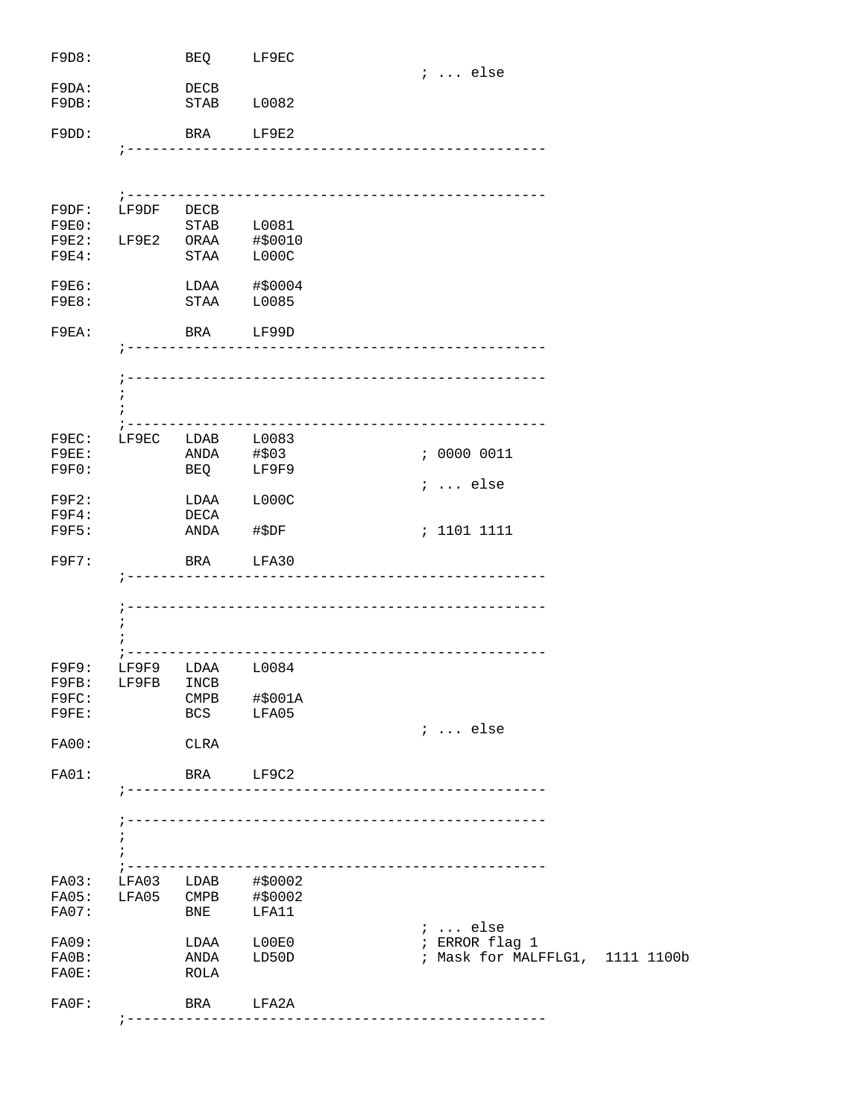| F9D8:                |            | BEO                   | LF9EC                                    |                                                   |
|----------------------|------------|-----------------------|------------------------------------------|---------------------------------------------------|
| F9DA:                |            | DECB                  |                                          | $i \ldots$ else                                   |
| F9DB:                |            | STAB                  | L0082                                    |                                                   |
| $F9DD$ :             |            |                       | BRA LF9E2                                |                                                   |
|                      |            |                       |                                          |                                                   |
|                      |            |                       |                                          |                                                   |
| F9DF:                | LF9DF DECB |                       |                                          |                                                   |
| F9E0:                |            |                       | STAB L0081                               |                                                   |
| $F9E2$ :             |            |                       | LF9E2 ORAA #\$0010                       |                                                   |
| <b>F9E4:</b>         |            | $\operatorname{STAA}$ | LOOOC                                    |                                                   |
| <b>F9E6:</b>         |            |                       | LDAA #\$0004                             |                                                   |
| F9E8:                |            | STAA                  | L0085                                    |                                                   |
| F9EA:                |            | BRA                   | LF99D                                    |                                                   |
|                      |            |                       |                                          |                                                   |
|                      |            |                       |                                          | -----------------------------                     |
|                      | i          |                       |                                          |                                                   |
|                      |            |                       |                                          |                                                   |
| F9EC:                |            | LF9EC LDAB L0083      |                                          |                                                   |
| $F9EE$ :             |            | ANDA #\$03            |                                          | : 00000011                                        |
| F9F0:                |            |                       | BEQ LF9F9                                |                                                   |
|                      |            |                       |                                          | $: $ else                                         |
| F9F2:                |            | LDAA                  | L000C                                    |                                                   |
| F9F4:                |            | DECA                  |                                          |                                                   |
| <b>F9F5:</b>         |            | ANDA                  | #\$DF                                    | : 1101 1111                                       |
| F9F7:                |            | BRA                   | LFA30                                    |                                                   |
|                      |            |                       |                                          |                                                   |
|                      |            |                       |                                          |                                                   |
|                      | ÷          |                       |                                          |                                                   |
|                      |            |                       |                                          |                                                   |
| F9F9:                |            | LF9F9 LDAA L0084      |                                          |                                                   |
| F9FB:                |            | LF9FB INCB            |                                          |                                                   |
| F9FC:                |            |                       | CMPB #\$001A                             |                                                   |
| F9FE:                |            |                       | BCS LFA05                                | $i \ldots$ else                                   |
| <b>FA00:</b>         |            | CLRA                  |                                          |                                                   |
|                      |            |                       |                                          |                                                   |
| FA01:                |            | BRA LF9C2             |                                          | _______________________________                   |
|                      |            |                       |                                          |                                                   |
|                      |            |                       |                                          |                                                   |
|                      | $\ddot{i}$ |                       |                                          |                                                   |
|                      | ; -------- |                       |                                          | --------------------------------------            |
| FA03:                |            |                       |                                          |                                                   |
| FA05:                |            |                       | LFA03 LDAB #\$0002<br>LFA05 CMPB #\$0002 |                                                   |
| FA07:                |            | <b>BNE</b>            | LFA11                                    |                                                   |
|                      |            |                       |                                          | $i \ldots$ else                                   |
| FA09:                |            |                       | LDAA L00E0                               | ; ERROR flag 1<br>; Mask for MALFFLG1, 1111 1100b |
| $FAOB$ :<br>$FAOE$ : |            | ANDA<br>ROLA          | LD50D                                    |                                                   |
|                      |            |                       |                                          |                                                   |
| $F A 0 F$ :          |            |                       | BRA LFA2A                                |                                                   |
|                      |            | ; ------------        |                                          |                                                   |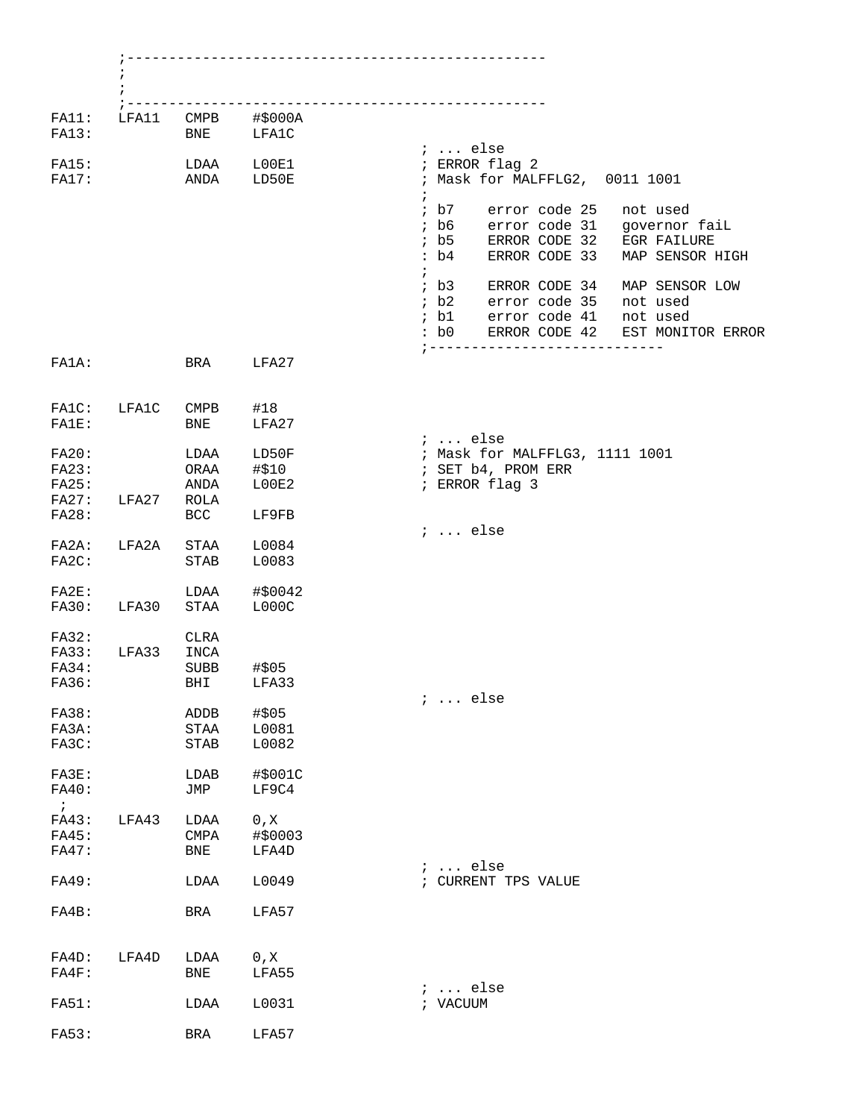| LFA11 | <b>BNE</b>                    | $CMPB$ #\$000A<br>LFA1C  |                                                                                                                                                                             |
|-------|-------------------------------|--------------------------|-----------------------------------------------------------------------------------------------------------------------------------------------------------------------------|
|       | LDAA                          | L00E1<br>ANDA LD50E      | $i \ldots$ else<br>; ERROR flag 2<br>; Mask for MALFFLG2, 0011 1001                                                                                                         |
|       |                               |                          | $\ddot{i}$<br>; b7<br>error code 25<br>not used<br>$;$ b6<br>error code 31 governor fail<br>ERROR CODE 32 EGR FAILURE<br>$;$ b5<br>:b4<br>ERROR CODE 33<br>MAP SENSOR HIGH  |
|       |                               |                          | $\ddot{ }$<br>; b3 ERROR CODE 34<br>MAP SENSOR LOW<br><i>i</i> b2 error code 35<br>not used<br>error code 41<br>; b1<br>not used<br>ERROR CODE 42 EST MONITOR ERROR<br>: b0 |
|       | BRA                           | LFA27                    | ;-------------------------                                                                                                                                                  |
| LFA1C | $\texttt{CMPB}$<br><b>BNE</b> | #18<br>LFA27             |                                                                                                                                                                             |
|       | LDAA<br>ORAA<br>ANDA          | LD50F<br>#\$10<br>LOOE2  | $i \ldots$ else<br>; Mask for MALFFLG3, 1111 1001<br>; SET b4, PROM ERR<br>; ERROR flag 3                                                                                   |
| LFA27 | ROLA<br>BCC                   | LF9FB                    | $i \ldots$ else                                                                                                                                                             |
| LFA2A | STAA<br>STAB                  | L0084<br>L0083           |                                                                                                                                                                             |
| LFA30 | LDAA<br>STAA                  | #\$0042<br>L000C         |                                                                                                                                                                             |
| LFA33 | <b>CLRA</b><br>INCA<br>SUBB   | #\$05<br>BHI LFA33       |                                                                                                                                                                             |
|       | ADDB<br>STAA<br>STAB          | #\$05<br>L0081<br>L0082  | $i \ldots$ else                                                                                                                                                             |
|       | LDAB<br>JMP                   | #\$001C<br>LF9C4         |                                                                                                                                                                             |
| LFA43 | LDAA<br>CMPA<br><b>BNE</b>    | 0, X<br>#\$0003<br>LFA4D | $i \ldots$ else                                                                                                                                                             |
|       | LDAA                          | L0049                    | ; CURRENT TPS VALUE                                                                                                                                                         |
|       | BRA                           | LFA57                    |                                                                                                                                                                             |
| LFA4D | LDAA<br>BNE                   | 0, X<br>LFA55            | $i \ldots$ else                                                                                                                                                             |
|       | LDAA                          | L0031                    | ; VACUUM                                                                                                                                                                    |
|       | BRA                           | LFA57                    |                                                                                                                                                                             |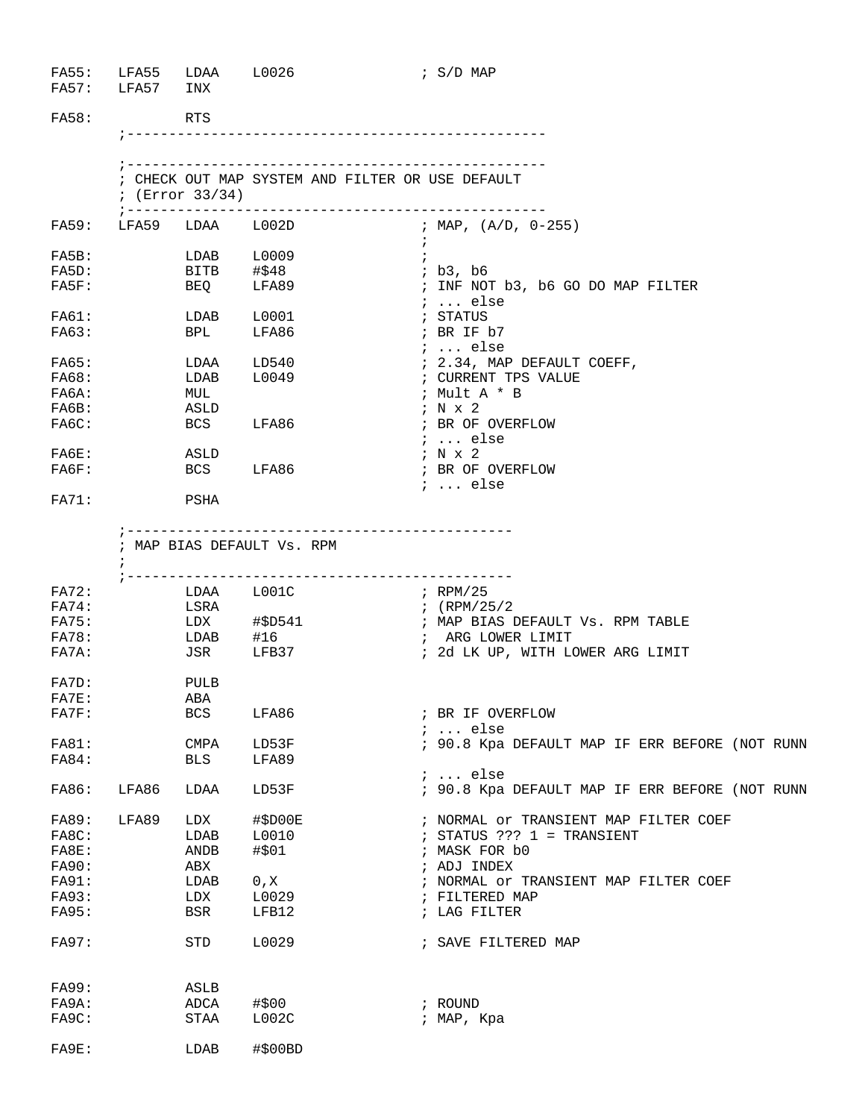| FA55: LFA55 LDAA<br>FA57: LFA57 | INX                                        | L0026                            | ; S/D MAP                                          |
|---------------------------------|--------------------------------------------|----------------------------------|----------------------------------------------------|
|                                 | RTS                                        |                                  |                                                    |
|                                 |                                            |                                  | ; CHECK OUT MAP SYSTEM AND FILTER OR USE DEFAULT   |
|                                 | ; $(Error 33/34)$<br>; ------------------- |                                  | --------------------------------                   |
|                                 | FA59: LFA59 LDAA L002D                     |                                  | ; MAP, (A/D, 0-255)                                |
|                                 |                                            | LDAB L0009                       | $\ddot{i}$                                         |
|                                 | BITB #\$48                                 |                                  | ; b3, b6                                           |
|                                 | BEQ                                        | LFA89                            | ; INF NOT b3, b6 GO DO MAP FILTER<br><i>;</i> else |
|                                 | LDAB                                       | L0001                            | ; STATUS                                           |
|                                 | BPL                                        | LFA86                            | ; BR IF b7                                         |
|                                 |                                            |                                  | $i \ldots$ else                                    |
|                                 | LDAA                                       | LD540                            | ; 2.34, MAP DEFAULT COEFF,                         |
|                                 | LDAB                                       | L0049                            | ; CURRENT TPS VALUE                                |
|                                 | MUL                                        |                                  | ; Mult A * B                                       |
|                                 | ASLD                                       |                                  | $\sqrt{N} \times 2$                                |
|                                 | <b>BCS</b>                                 | LFA86                            | ; BR OF OVERFLOW                                   |
|                                 |                                            |                                  | $i \ldots$ else                                    |
|                                 | ASLD                                       |                                  | $\frac{1}{2}$ N x 2                                |
|                                 | BCS                                        | LFA86                            | ; BR OF OVERFLOW                                   |
|                                 |                                            |                                  | ;  else                                            |
|                                 | PSHA                                       |                                  |                                                    |
| $\ddot{i}$                      |                                            |                                  |                                                    |
|                                 | LDAA                                       | L001C                            | ; RPM/25                                           |
|                                 | LSRA                                       |                                  | ; (RPM/25/2                                        |
|                                 |                                            | $LDX$ $\#5D541$<br>$LDAB$ $\#16$ | ; MAP BIAS DEFAULT Vs. RPM TABLE                   |
|                                 |                                            |                                  | ; ARG LOWER LIMIT                                  |
|                                 | JSR                                        | LFB37                            | ; 2d LK UP, WITH LOWER ARG LIMIT                   |
|                                 | PULB                                       |                                  |                                                    |
|                                 | ABA                                        |                                  |                                                    |
|                                 | BCS                                        | LFA86                            | ; BR IF OVERFLOW<br>$i \ldots$ else                |
|                                 | <b>CMPA</b>                                | LD53F                            | ; 90.8 Kpa DEFAULT MAP IF ERR BEFORE (NOT RUNN     |
|                                 | BLS                                        | LFA89                            |                                                    |
|                                 |                                            |                                  | $i \ldots$ else                                    |
| LFA86                           | LDAA                                       | LD53F                            | ; 90.8 Kpa DEFAULT MAP IF ERR BEFORE (NOT RUNN     |
| LFA89                           | LDX                                        | #\$D00E                          | ; NORMAL Or TRANSIENT MAP FILTER COEF              |
|                                 | LDAB                                       | L0010                            | $:$ STATUS ??? $1 =$ TRANSIENT                     |
|                                 | ANDB                                       | #\$01                            | ; MASK FOR b0                                      |
|                                 | ABX                                        |                                  | ; ADJ INDEX                                        |
|                                 | LDAB                                       | 0, X                             | ; NORMAL Or TRANSIENT MAP FILTER COEF              |
|                                 | LDX                                        | L0029                            | ; FILTERED MAP                                     |
|                                 | BSR                                        | LFB12                            | ; LAG FILTER                                       |
|                                 | STD                                        | L0029                            | ; SAVE FILTERED MAP                                |
|                                 |                                            |                                  |                                                    |
|                                 | ASLB                                       |                                  |                                                    |
|                                 | ADCA                                       | #\$00                            | ; ROUND                                            |
|                                 | STAA                                       | L002C                            | ; MAP, Kpa                                         |
|                                 |                                            |                                  |                                                    |
|                                 | LDAB                                       | #\$00BD                          |                                                    |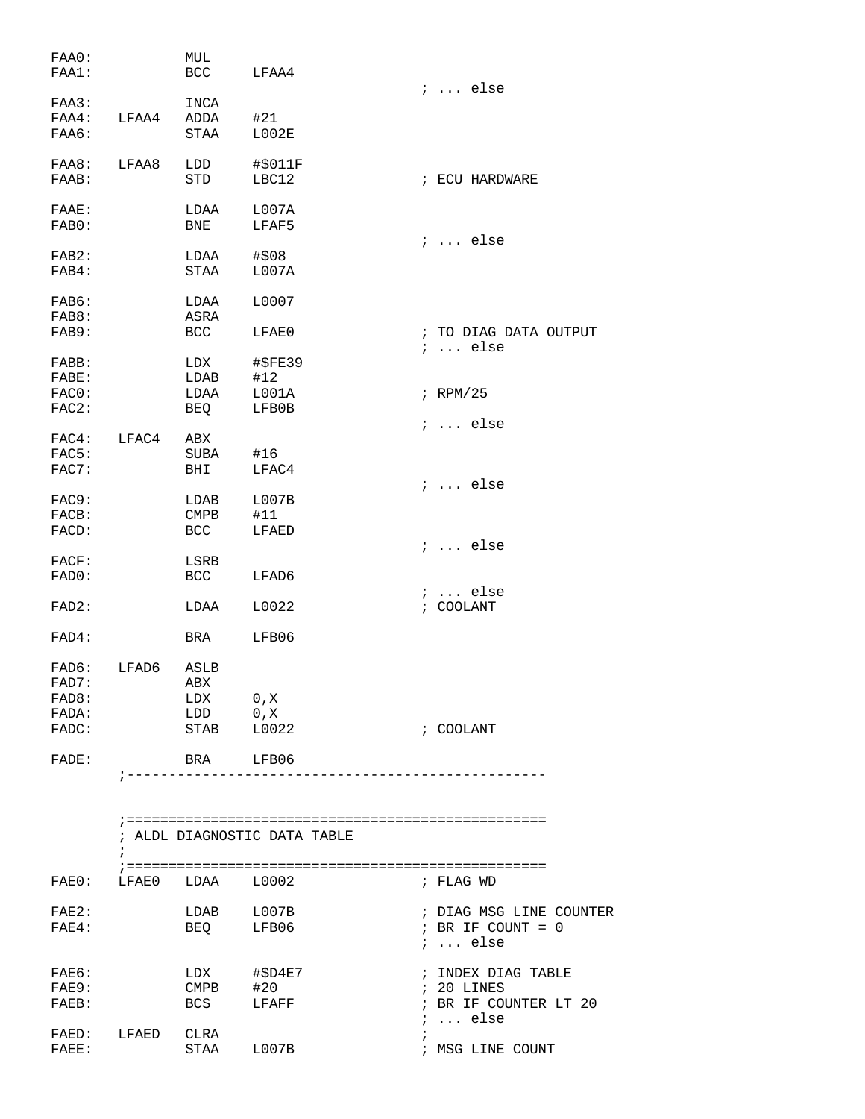| FAA0:<br>FAA1: |                        | MUL<br>BCC  | LFAA4                        |                                          |
|----------------|------------------------|-------------|------------------------------|------------------------------------------|
| FAA3:          |                        | INCA        |                              | $i \ldots$ else                          |
| FAA4:          | LFAA4                  | ADDA        | #21                          |                                          |
| FAA6:          |                        | STAA        | L002E                        |                                          |
| FAA8:          | LFAA8                  | LDD         | #\$011F                      |                                          |
| FAAB:          |                        | <b>STD</b>  | LBC12                        | ; ECU HARDWARE                           |
| FAAE:          |                        | LDAA        | L007A                        |                                          |
| FAB0:          |                        | BNE         | LFAF5                        | $i \ldots$ else                          |
| FAB2:          |                        | LDAA        | #\$08                        |                                          |
| FAB4:          |                        | STAA        | L007A                        |                                          |
| FAB6:          |                        | LDAA        | L0007                        |                                          |
| FAB8:          |                        | ASRA        |                              |                                          |
| FAB9:          |                        | <b>BCC</b>  | LFAE0                        | ; TO DIAG DATA OUTPUT<br>$i$ else        |
| FABB:          |                        | LDX         | #\$FE39                      |                                          |
| FABE:          |                        | LDAB        | #12                          |                                          |
| FAC0:          |                        | LDAA        | L001A                        | $i$ RPM/25                               |
| $FAC2$ :       |                        | BEQ         | LFB0B                        | ;  else                                  |
| FAC4:          | LFAC4                  | ABX         |                              |                                          |
| FAC5:          |                        | SUBA        | #16                          |                                          |
| FAC7:          |                        | BHI         | LFAC4                        | $i \ldots$ else                          |
| FAC9:          |                        | LDAB        | L007B                        |                                          |
| FACB:          |                        | <b>CMPB</b> | #11                          |                                          |
| FACD:          |                        | <b>BCC</b>  | LFAED                        | $i \ldots$ else                          |
| FACT:          |                        | LSRB        |                              |                                          |
| FAD0:          |                        | <b>BCC</b>  | LFAD6                        |                                          |
| FAD2:          |                        | LDAA        | L0022                        | $i \ldots$ else<br>; COOLANT             |
| FAD4:          |                        | BRA         | LFB06                        |                                          |
| FAD6:          | LFAD6                  | ASLB        |                              |                                          |
| FAD7:          |                        | ABX         |                              |                                          |
| FAD8:          |                        | LDX 0, X    |                              |                                          |
| FADA:          |                        | LDD 0, X    |                              |                                          |
| FADC:          |                        |             | STAB L0022                   | ; COOLANT                                |
| ${\tt FADE}$ : |                        | BRA LFB06   |                              |                                          |
|                |                        |             |                              |                                          |
|                |                        |             | ; ALDL DIAGNOSTIC DATA TABLE |                                          |
|                | FAE0: LFAE0 LDAA L0002 |             |                              | ; FLAG WD                                |
|                |                        |             |                              |                                          |
|                | FAE2: LDAB L007B       |             |                              | ; DIAG MSG LINE COUNTER                  |
| $FAE4$ :       |                        |             | BEQ LFB06                    | ; BR IF COUNT = $0$<br>$i \ldots$ else   |
| $FAE6$ :       |                        |             | LDX #\$D4E7                  | ; INDEX DIAG TABLE                       |
| FAE9:          |                        | $CMPB$ #20  |                              | ; 20 LINES                               |
| FAEB:          |                        |             | BCS LFAFF                    | ; BR IF COUNTER LT 20<br>$i \ldots$ else |
|                | FAED: LFAED CLRA       |             |                              |                                          |
| $FAEE$ :       |                        |             | STAA L007B                   | ; MSG LINE COUNT                         |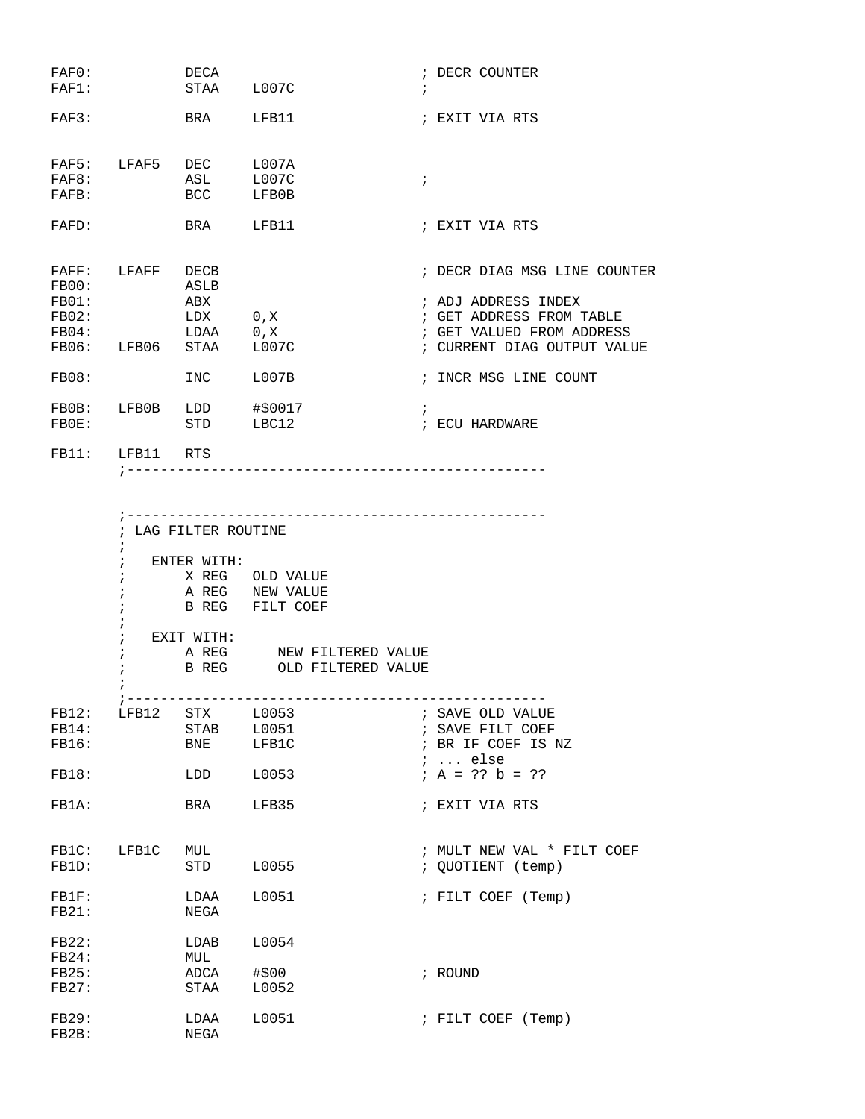| FAF0:<br>FAF1:                                     |                | DECA<br>STAA                                    | L007C                   | ; DECR COUNTER<br>$\ddot{i}$                                                                                                                |
|----------------------------------------------------|----------------|-------------------------------------------------|-------------------------|---------------------------------------------------------------------------------------------------------------------------------------------|
| $FAF3$ :                                           |                | <b>BRA</b>                                      | LFB11                   | ; EXIT VIA RTS                                                                                                                              |
| FAF5:<br>FAF8:<br>FAFB:                            | LFAF5          | DEC<br>ASL<br><b>BCC</b>                        | LOO7A<br>L007C<br>LFB0B | $\ddot{i}$                                                                                                                                  |
| FAFD:                                              |                | <b>BRA</b>                                      | LFB11                   | ; EXIT VIA RTS                                                                                                                              |
| FAFF:<br>FBOO:<br>FBO1:<br>FB02:<br>FB04:<br>FB06: | LFAFF<br>LFB06 | DECB<br>ASLB<br>ABX<br>LDX 0, X<br>LDAA<br>STAA | 0, X<br>L007C           | ; DECR DIAG MSG LINE COUNTER<br>; ADJ ADDRESS INDEX<br>; GET ADDRESS FROM TABLE<br>; GET VALUED FROM ADDRESS<br>; CURRENT DIAG OUTPUT VALUE |
| FBO8:                                              |                | <b>INC</b>                                      | L007B                   | ; INCR MSG LINE COUNT                                                                                                                       |
| FBOB:<br>FBOE:                                     | LFB0B          | LDD<br>STD                                      | #\$0017<br>LBC12        | $\ddot{i}$<br>; ECU HARDWARE                                                                                                                |
| FB11:                                              | LFB11          | <b>RTS</b>                                      |                         |                                                                                                                                             |

|       |                 | ; LAG FILTER ROUTINE  |                 |                          |  |                            |  |  |  |
|-------|-----------------|-----------------------|-----------------|--------------------------|--|----------------------------|--|--|--|
|       | $\ddot{i}$      |                       |                 |                          |  |                            |  |  |  |
|       | $\ddot{i}$      | ENTER WITH:           |                 |                          |  |                            |  |  |  |
|       | $\ddot{i}$      |                       | X REG OLD VALUE |                          |  |                            |  |  |  |
|       |                 | A REG NEW VALUE       |                 |                          |  |                            |  |  |  |
|       |                 | B REG FILT COEF       |                 |                          |  |                            |  |  |  |
|       | $\ddot{i}$      |                       |                 |                          |  |                            |  |  |  |
|       | $\ddot{i}$      | EXIT WITH:            |                 |                          |  |                            |  |  |  |
|       | $\ddot{ }$      |                       |                 | A REG MEW FILTERED VALUE |  |                            |  |  |  |
|       | $\mathbf{i}$    |                       |                 | B REG OLD FILTERED VALUE |  |                            |  |  |  |
|       |                 |                       |                 |                          |  |                            |  |  |  |
|       |                 |                       |                 |                          |  |                            |  |  |  |
|       |                 | FB12: LFB12 STX L0053 |                 |                          |  | ; SAVE OLD VALUE           |  |  |  |
| FB14: |                 | STAB L0051            |                 |                          |  | ; SAVE FILT COEF           |  |  |  |
| FB16: |                 | BNE LFB1C             |                 |                          |  | ; BR IF COEF IS NZ         |  |  |  |
|       |                 |                       |                 |                          |  | ;  else                    |  |  |  |
| FB18: |                 | LDD 10053             |                 |                          |  | $; A = ?? b = ??$          |  |  |  |
| FB1A: |                 | BRA LFB35             |                 |                          |  | ; EXIT VIA RTS             |  |  |  |
|       |                 |                       |                 |                          |  |                            |  |  |  |
|       |                 |                       |                 |                          |  |                            |  |  |  |
|       | FB1C: LFB1C MUL |                       |                 |                          |  | ; MULT NEW VAL * FILT COEF |  |  |  |
| FB1D: |                 | STD L0055             |                 |                          |  | ; QUOTIENT (temp)          |  |  |  |
|       |                 |                       |                 |                          |  |                            |  |  |  |
|       |                 | FB1F: LDAA L0051      |                 |                          |  | ; FILT COEF (Temp)         |  |  |  |
| FB21: |                 | NEGA                  |                 |                          |  |                            |  |  |  |
|       |                 | FB22: LDAB L0054      |                 |                          |  |                            |  |  |  |
| FB24: | MUL             |                       |                 |                          |  |                            |  |  |  |
| FB25: |                 | ADCA #\$00            |                 |                          |  | ; ROUND                    |  |  |  |
| FB27: |                 | STAA L0052            |                 |                          |  |                            |  |  |  |
|       |                 |                       |                 |                          |  |                            |  |  |  |
| FB29: |                 | LDAA L0051            |                 |                          |  | ; FILT COEF (Temp)         |  |  |  |
| FB2B: |                 | NEGA                  |                 |                          |  |                            |  |  |  |
|       |                 |                       |                 |                          |  |                            |  |  |  |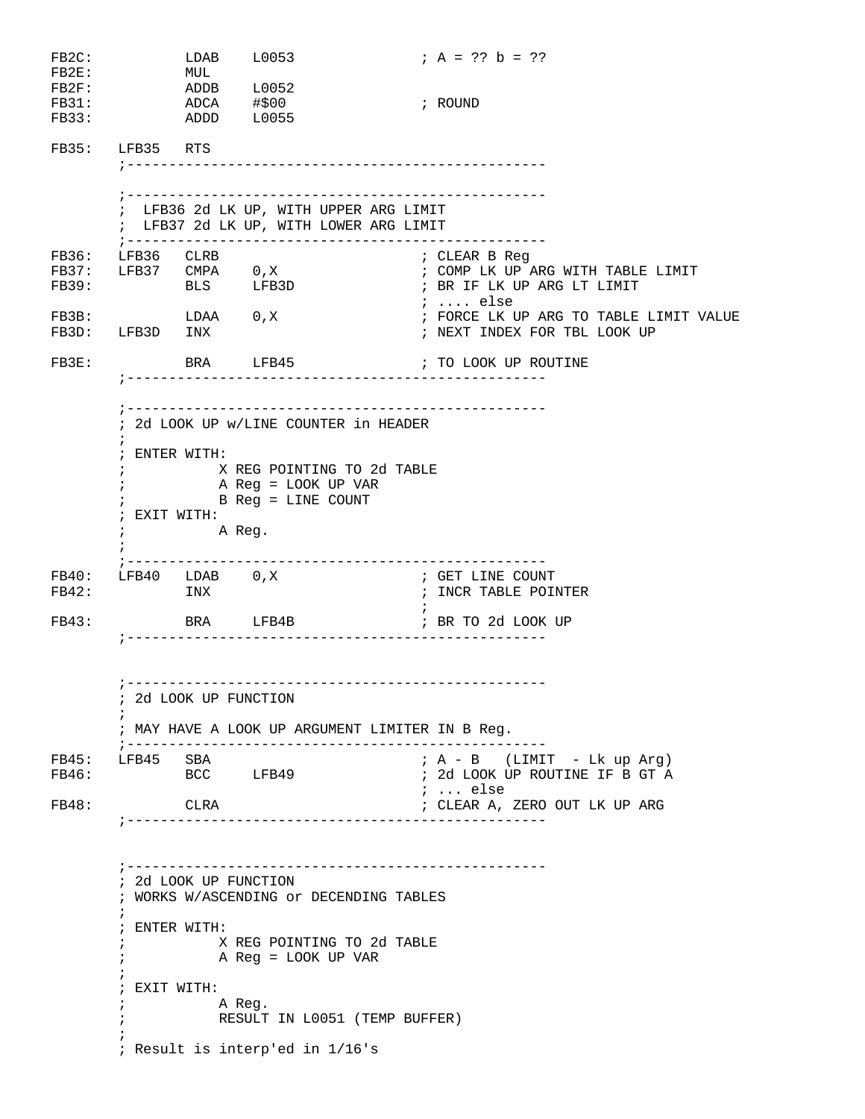| FB2C:<br>$FB2E$ :<br>$FB2F$ :<br>FB31:<br>FB33: | ADCA #\$00                                                                                                                                                                                                                                         | LDAB L0053<br>MUL<br>ADDB L0052<br>ADDD L0055 |                                                                                                                           |  | ; $A = ?? b = ??$<br>; ROUND                                                                                                                                                                                    |  |  |  |
|-------------------------------------------------|----------------------------------------------------------------------------------------------------------------------------------------------------------------------------------------------------------------------------------------------------|-----------------------------------------------|---------------------------------------------------------------------------------------------------------------------------|--|-----------------------------------------------------------------------------------------------------------------------------------------------------------------------------------------------------------------|--|--|--|
|                                                 | FB35: LFB35 RTS                                                                                                                                                                                                                                    |                                               |                                                                                                                           |  |                                                                                                                                                                                                                 |  |  |  |
|                                                 |                                                                                                                                                                                                                                                    |                                               | : LFB36 2d LK UP, WITH UPPER ARG LIMIT<br>; LFB37 2d LK UP, WITH LOWER ARG LIMIT<br>;------------------------------------ |  |                                                                                                                                                                                                                 |  |  |  |
| FB36:<br>FB3D:<br>FB3E:                         | LFB36 CLRB<br>FB3B: LDAA 0, X<br>LFB3D INX                                                                                                                                                                                                         |                                               | FB37: LFB37 CMPA 0,X<br>FB39: BLS LFB3D                                                                                   |  | ; CLEAR B Reg<br>; COMP LK UP ARG WITH TABLE LIMIT<br>; BR IF LK UP ARG LT LIMIT<br>$i \ldots$ else<br>; FORCE LK UP ARG TO TABLE LIMIT VALUE<br>; NEXT INDEX FOR TBL LOOK UP<br>BRA LFB45 : TO LOOK UP ROUTINE |  |  |  |
|                                                 | ; ENTER WITH:<br>; EXIT WITH:<br>$\mathbf{i}$                                                                                                                                                                                                      | A Reg.                                        | ; 2d LOOK UP w/LINE COUNTER in HEADER<br>X REG POINTING TO 2d TABLE<br>A Reg = LOOK UP VAR<br>B Reg = LINE COUNT          |  |                                                                                                                                                                                                                 |  |  |  |
| FB42:<br>FB43:                                  | FB40: LFB40 LDAB 0, X                                                                                                                                                                                                                              | ; --------------<br>INX<br>BRA LFB4B          | _________________<br>_____________________________                                                                        |  | ; GET LINE COUNT<br>; INCR TABLE POINTER<br>FR TO 2d LOOK UP                                                                                                                                                    |  |  |  |
| FB46:                                           | FB45: LFB45 SBA                                                                                                                                                                                                                                    | ; 2d LOOK UP FUNCTION                         | ; MAY HAVE A LOOK UP ARGUMENT LIMITER IN B Reg.<br>BCC LFB49                                                              |  | ; A - B (LIMIT - Lk up Arg)<br>; 2d LOOK UP ROUTINE IF B GT A<br><i>;</i> else                                                                                                                                  |  |  |  |
| FB48:                                           |                                                                                                                                                                                                                                                    | CLRA                                          |                                                                                                                           |  | ; CLEAR A, ZERO OUT LK UP ARG                                                                                                                                                                                   |  |  |  |
|                                                 | ; 2d LOOK UP FUNCTION<br>; WORKS W/ASCENDING or DECENDING TABLES<br>$\ddot{ }$<br>; ENTER WITH:<br>X REG POINTING TO 2d TABLE<br>A Reg = LOOK UP VAR<br>; EXIT WITH:<br>A Reg.<br>RESULT IN L0051 (TEMP BUFFER)<br>; Result is interp'ed in 1/16's |                                               |                                                                                                                           |  |                                                                                                                                                                                                                 |  |  |  |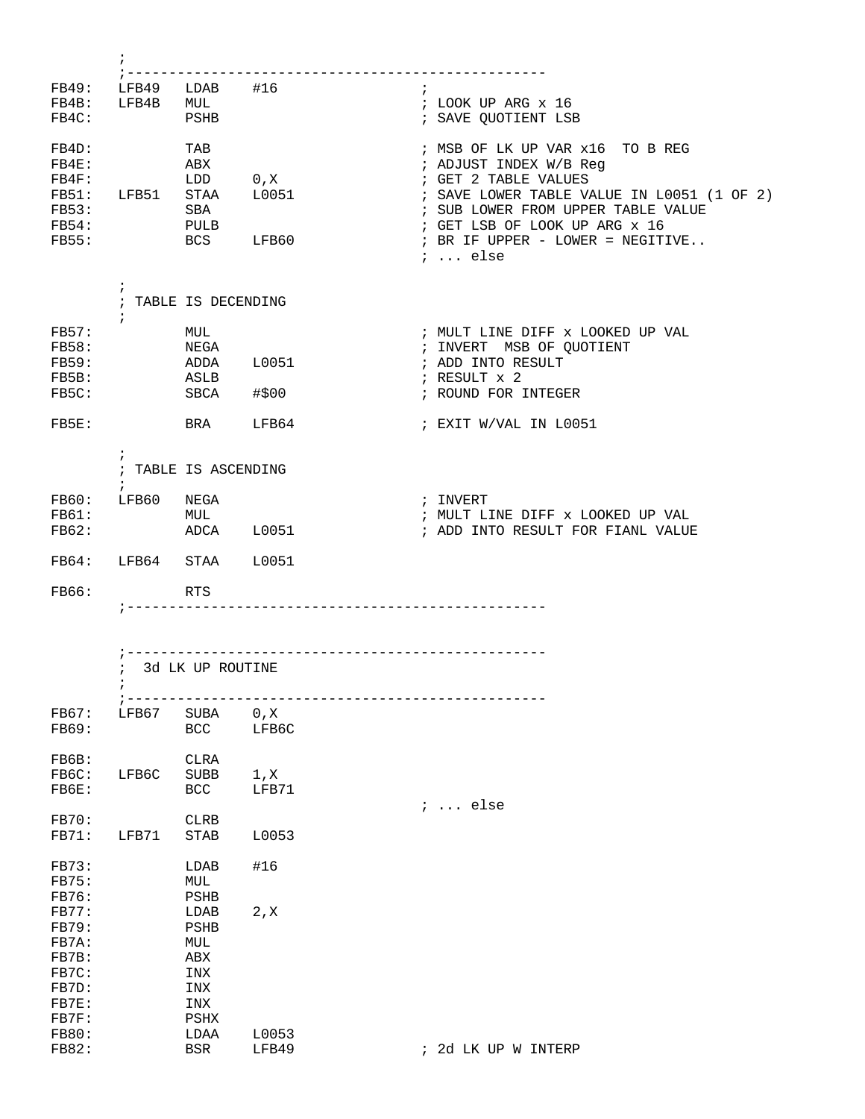| FB49:<br>FB4B: | LFB49<br>LFB4B | LDAB<br>MUL | #16   | ; LOOK UP ARG x 16                         |
|----------------|----------------|-------------|-------|--------------------------------------------|
| FB4C:          |                | PSHB        |       | ; SAVE OUOTIENT LSB                        |
| FB4D:          |                | TAB         |       | ; MSB OF LK UP VAR x16 TO B REG            |
| $FBAE$ :       |                | ABX         |       | ; ADJUST INDEX W/B Req                     |
| FB4F:          |                | LDD         | 0, X  | ; GET 2 TABLE VALUES                       |
| <b>FB51:</b>   | LFB51          | <b>STAA</b> | L0051 | ; SAVE LOWER TABLE VALUE IN L0051 (1 OF 2) |
| <b>FB53:</b>   |                | <b>SBA</b>  |       | ; SUB LOWER FROM UPPER TABLE VALUE         |
| FBS4:          |                | PULB        |       | ; GET LSB OF LOOK UP ARG x 16              |
| <b>FB55:</b>   |                | <b>BCS</b>  | LFB60 | ; BR IF UPPER - LOWER = NEGITIVE           |
|                |                |             |       | $\ldots$ else                              |

|                                                         |                         | TABLE IS DECENDING                         |                |                                                                                                                                    |
|---------------------------------------------------------|-------------------------|--------------------------------------------|----------------|------------------------------------------------------------------------------------------------------------------------------------|
| FBS7:<br><b>FB58:</b><br><b>FB59:</b><br>FB5B:<br>FB5C: |                         | MUL<br>NEGA<br>ADDA<br>ASLB<br><b>SBCA</b> | L0051<br>#\$00 | ; MULT LINE DIFF x LOOKED UP VAL<br>MSB OF QUOTIENT<br>; INVERT<br>; ADD INTO RESULT<br>; RESULT $\times$ 2<br>; ROUND FOR INTEGER |
| $FBSE$ :                                                |                         | <b>BRA</b>                                 | LFB64          | ; EXIT W/VAL IN L0051                                                                                                              |
| TDA                                                     | $\mathbf{r}$<br>ח אם הד | TABLE IS ASCENDING<br><b>NITA</b>          |                | TNRIDE                                                                                                                             |

|       |       | ADCA       | L0051  | ; ADD INTO RESULT FOR FIANL VALUE |
|-------|-------|------------|--------|-----------------------------------|
| FB64: | LFB64 | STAA       | T.0051 |                                   |
| FB66: |       | <b>RTS</b> |        |                                   |

|              | $\ddot{ }$ | 3d LK UP ROUTINE |       |  |          |  |                     |
|--------------|------------|------------------|-------|--|----------|--|---------------------|
|              | $\ddot{ }$ |                  |       |  |          |  |                     |
|              |            |                  |       |  |          |  |                     |
| <b>FB67:</b> | LFB67      | SUBA             | 0, X  |  |          |  |                     |
| <b>FB69:</b> |            | BCC              | LFB6C |  |          |  |                     |
|              |            |                  |       |  |          |  |                     |
| FB6B:        |            | <b>CLRA</b>      |       |  |          |  |                     |
| FB6C:        | LFB6C      | <b>SUBB</b>      | 1, X  |  |          |  |                     |
| FB6E:        |            | <b>BCC</b>       | LFB71 |  | $i$ else |  |                     |
| <b>FB70:</b> |            | <b>CLRB</b>      |       |  |          |  |                     |
| FB71:        | LFB71      | <b>STAB</b>      | L0053 |  |          |  |                     |
|              |            |                  |       |  |          |  |                     |
| FB73:        |            | LDAB             | #16   |  |          |  |                     |
| <b>FB75:</b> |            | MUL              |       |  |          |  |                     |
| <b>FB76:</b> |            | PSHB             |       |  |          |  |                     |
| <b>FB77:</b> |            | LDAB             | 2, X  |  |          |  |                     |
| <b>FB79:</b> |            | <b>PSHB</b>      |       |  |          |  |                     |
| FB7A:        |            | MUL              |       |  |          |  |                     |
| FB7B:        |            | ABX              |       |  |          |  |                     |
| FB7C:        |            | INX              |       |  |          |  |                     |
| FB7D:        |            | INX              |       |  |          |  |                     |
| $FBTE$ :     |            | INX              |       |  |          |  |                     |
| FB7F:        |            | PSHX             |       |  |          |  |                     |
| <b>FB80:</b> |            | LDAA             | L0053 |  |          |  |                     |
| <b>FB82:</b> |            | BSR              | LFB49 |  |          |  | ; 2d LK UP W INTERP |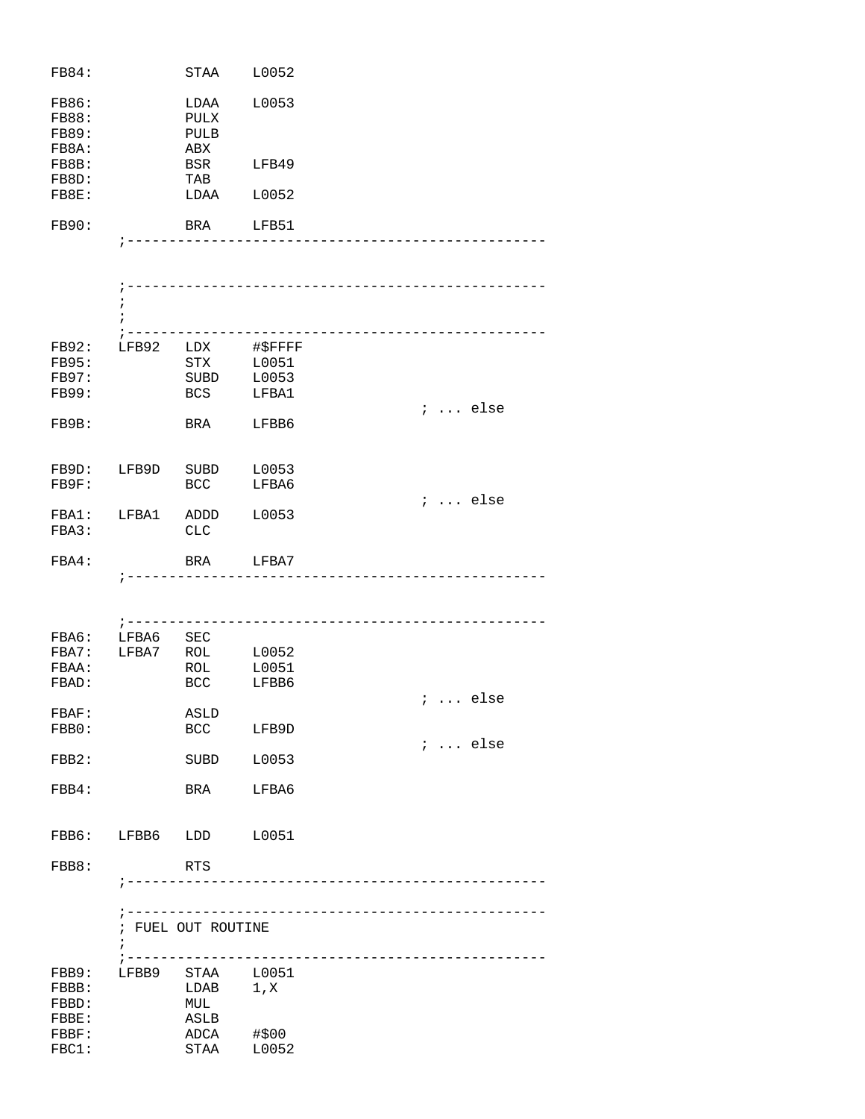| <b>FB84:</b>                 | STAA                | L0052 |
|------------------------------|---------------------|-------|
| <b>FB86:</b><br><b>FB88:</b> | LDAA                | L0053 |
| <b>FB89:</b>                 | <b>PULX</b><br>PULB |       |
| FB8A:                        | ABX                 |       |
| FB8B:                        | <b>BSR</b>          | LFB49 |
| FB8D:                        | TAB                 |       |
| FB8E:                        | LDAA                | L0052 |
|                              |                     |       |
| <b>FB90:</b>                 | <b>BRA</b>          | LFB51 |
|                              |                     |       |

|                                                       | i<br>$\ddot{i}$<br>$7 - - - - - -$ |                                        |                                    |                 |
|-------------------------------------------------------|------------------------------------|----------------------------------------|------------------------------------|-----------------|
| FB92:<br><b>FB95:</b><br><b>FB97:</b><br><b>FB99:</b> |                                    | LFB92 LDX<br>STX<br>SUBD<br><b>BCS</b> | #\$FFFF<br>L0051<br>L0053<br>LFBA1 |                 |
| FB9B:                                                 |                                    | BRA                                    | LFBB6                              | $i \ldots$ else |
| FB9D:<br>FB9F:                                        | LFB9D                              | SUBD<br><b>BCC</b>                     | L0053<br>LFBA6                     |                 |
| FBA1:<br>FBA3:                                        | LFBA1 ADDD L0053                   | <b>CLC</b>                             |                                    | $i \ldots$ else |
| FBA4:                                                 | $\ddot{ }$ .                       |                                        | BRA LFBA7                          |                 |
|                                                       | $\, \, \cdot \,$ $    -$           |                                        |                                    |                 |
| FBA6:<br>FBA7:<br>FBAA:<br>FBAD:                      | LFBA6                              | SEC<br>LFBA7 ROL<br>ROL<br><b>BCC</b>  | L0052<br>L0051<br>LFBB6            |                 |
| FBAF:<br>FBB0:                                        |                                    | ASLD<br>BCC                            | LFB9D                              | $i$ else        |
| FBB2:                                                 |                                    |                                        | SUBD L0053                         | $i$ else        |
| FBB4:                                                 |                                    | BRA                                    | LFBA6                              |                 |
| FBB6:                                                 | LFBB6 LDD                          |                                        | L0051                              |                 |
| FBB8:                                                 |                                    | <b>RTS</b>                             | --------------                     |                 |
|                                                       | $\ddot{i}$<br>; ------             | ; --------------<br>; FUEL OUT ROUTINE |                                    |                 |
| FBB9:<br>FBBB:<br>FBBD:                               | LFBB9                              | STAA<br>LDAB<br>MUL                    | L0051<br>1, X                      |                 |

FBBE: ASLB

FBBF: ADCA #\$00<br>FBC1: STAA L0052

 $STAA$   $L0052$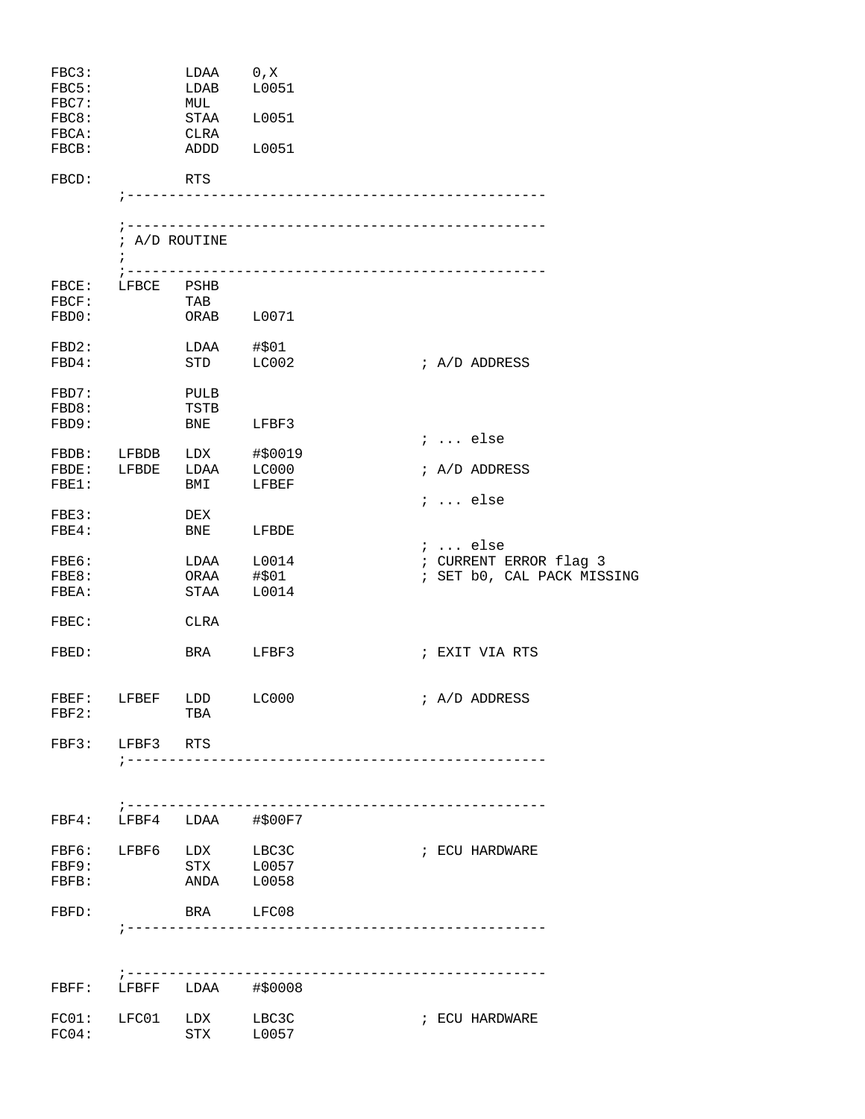| FBC3:<br>FBC5:<br>FBC7:<br>FBC8:<br>FBCA:<br>FBCB:                            |                     | LDAA 0, X<br>LDAB<br>MUL<br>STAA<br>CLRA<br>ADDD                                         | L0051<br>L0051<br>L0051                                                                     |                                                                                                                                          |
|-------------------------------------------------------------------------------|---------------------|------------------------------------------------------------------------------------------|---------------------------------------------------------------------------------------------|------------------------------------------------------------------------------------------------------------------------------------------|
| FBCD:                                                                         | $\ddot{i}$          | RTS<br>; A/D ROUTINE                                                                     |                                                                                             |                                                                                                                                          |
| FBCE:<br>FBCF:<br>FBD0:                                                       | LFBCE PSHB          | TAB                                                                                      | ORAB L0071                                                                                  |                                                                                                                                          |
| FBD2:<br>FBD4:<br>FBD7:<br>FBD8:                                              |                     | LDAA<br>STD<br>PULB<br>TSTB                                                              | #\$01<br>LC002                                                                              | ; A/D ADDRESS                                                                                                                            |
| FBD9:<br>FBE1:<br>FBE3:<br>FBE4:<br>FBE6:<br>FBE8:<br>FBEA:<br>FBEC:<br>FBED: |                     | <b>BNE</b><br>FBDE: LFBDE LDAA LC000<br>BMI<br>DEX<br>BNE<br>LDAA<br>STAA<br>CLRA<br>BRA | LFBF3<br>FBDB: LFBDB LDX #\$0019<br>LFBEF<br>LFBDE<br>L0014<br>ORAA #\$01<br>L0014<br>LFBF3 | $i \ldots$ else<br>; A/D ADDRESS<br>$i \ldots$ else<br>;  else<br>; CURRENT ERROR flag 3<br>; SET b0, CAL PACK MISSING<br>; EXIT VIA RTS |
| FBF2:                                                                         | FBF3: LFBF3 RTS     | FBEF: LFBEF LDD LC000<br>TBA                                                             | ; --------------------------------                                                          | ; A/D ADDRESS                                                                                                                            |
| FBF4:<br>FBF9:<br>FBFB:<br>FBFD:                                              | $7 - - - - - - - -$ | FBF6: LFBF6 LDX<br><b>STX</b><br>ANDA<br>BRA                                             | ----------------------------<br>LFBF4 LDAA #\$00F7<br>LBC3C<br>L0057<br>L0058<br>LFC08      | ; ECU HARDWARE                                                                                                                           |
| FBFF:                                                                         |                     |                                                                                          | LFBFF LDAA #\$0008                                                                          |                                                                                                                                          |
| FC01:<br>FC04:                                                                | LFC01               | LDX<br>STX                                                                               | LBC3C<br>L0057                                                                              | ; ECU HARDWARE                                                                                                                           |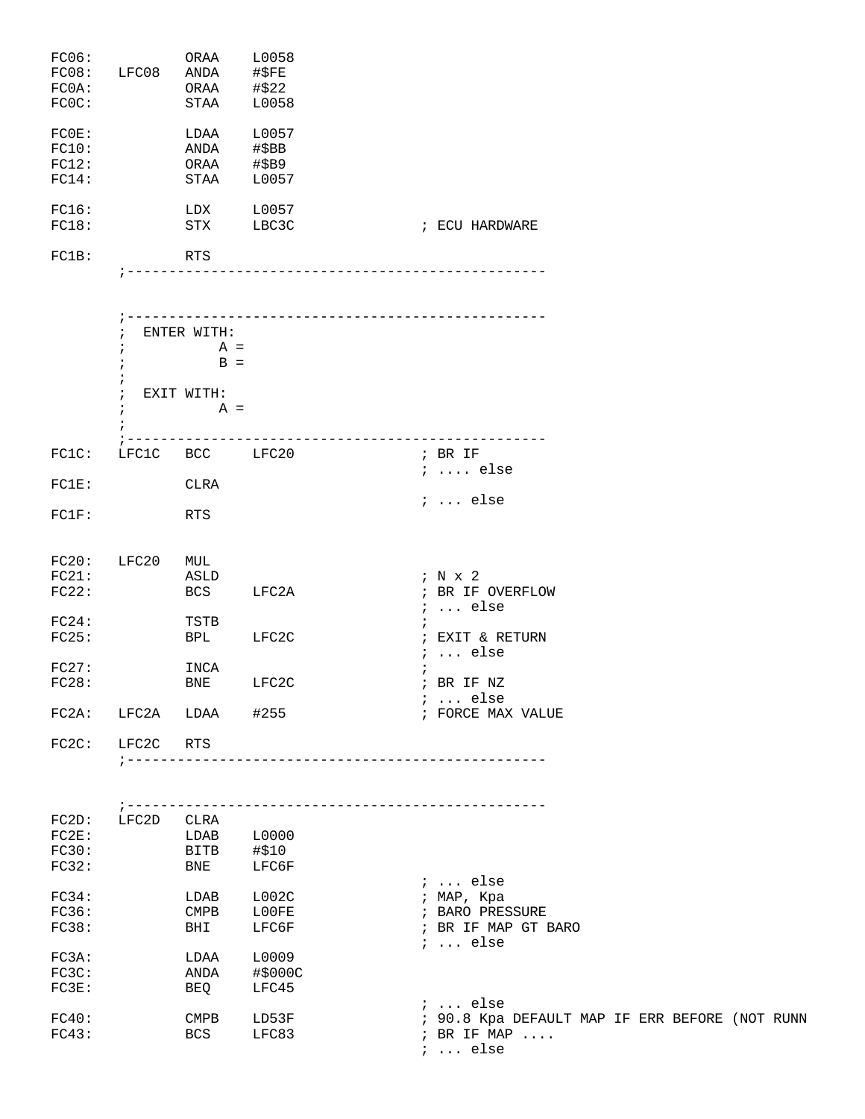| FC06:<br>FC08:<br>FC0A:<br>FCOC: | LFC08                                                                         | ORAA<br>ANDA<br>ORAA<br>STAA                         | L0058<br>#\$FE<br>#\$22<br>L0058 |                 |                                                                            |
|----------------------------------|-------------------------------------------------------------------------------|------------------------------------------------------|----------------------------------|-----------------|----------------------------------------------------------------------------|
| FCOE:<br>FC10:<br>FC12:<br>FC14: |                                                                               | LDAA<br>ANDA<br>ORAA #\$B9<br>STAA                   | L0057<br>#\$BB<br>L0057          |                 |                                                                            |
| FC16:<br>FC18:                   |                                                                               | LDX<br>STX                                           | L0057<br>LBC3C                   |                 | ; ECU HARDWARE                                                             |
| FC1B:                            |                                                                               | RTS                                                  |                                  |                 |                                                                            |
|                                  | $\ddot{i}$<br>$\ddot{ }$<br>$\cdot$<br>$\ddot{ }$<br>$\ddot{i}$<br>$\ddot{i}$ | ENTER WITH:<br>$A =$<br>$B =$<br>EXIT WITH:<br>$A =$ |                                  |                 |                                                                            |
| FC1C:                            |                                                                               | LFC1C BCC LFC20                                      |                                  | --------------- | $\mathcal{C}$ , BR IF<br>$i \ldots$ else                                   |
| FC1E:                            |                                                                               | CLRA                                                 |                                  |                 | $: $ else                                                                  |
| FC1F:                            |                                                                               | RTS                                                  |                                  |                 |                                                                            |
| FC20:<br>FC21:<br>FC22:<br>FC24: | LFC20                                                                         | MUL<br>ASLD<br>BCS<br>TSTB                           | LFC2A                            |                 | ; N x 2<br>; BR IF OVERFLOW<br>$i \ldots$ else<br>$\ddot{i}$               |
| FC25:                            |                                                                               | BPL                                                  | LFC2C                            |                 | ; EXIT & RETURN<br>$i \ldots$ else                                         |
| FC27:<br>FC28:                   |                                                                               | INCA<br>BNE                                          | LFC2C                            |                 | $\ddot{i}$<br>; BR IF NZ<br>$i \ldots$ else                                |
| FC2A:                            | LFC2A                                                                         | LDAA #255                                            |                                  |                 | ; FORCE MAX VALUE                                                          |
| FC2C:                            | LFC2C                                                                         | RTS                                                  |                                  |                 |                                                                            |
| FC2D:                            | LFC2D                                                                         | CLRA                                                 |                                  |                 |                                                                            |
| FC2E:<br>FC30:                   |                                                                               | LDAB L0000<br>BITB #\$10                             |                                  |                 |                                                                            |
| FC32:                            |                                                                               | BNE                                                  | LFC6F                            |                 | ;  else                                                                    |
| FC34:<br>FC36:<br>FC38:          |                                                                               | LDAB<br>$\mathop{\mathrm{CMPB}}$<br>BHI              | L002C<br>L00FE<br>LFC6F          |                 | ; MAP, Kpa<br>; BARO PRESSURE<br>; BR IF MAP GT BARO<br>$i \ldots$ else    |
| FC3A:<br>FC3C:                   |                                                                               | LDAA<br>ANDA                                         | L0009<br>#\$000C                 |                 |                                                                            |
| FC3E:                            |                                                                               | BEQ                                                  | LFC45                            |                 | $i \ldots$ else                                                            |
| FC40:<br>FC43:                   |                                                                               | $\mathop{\mathrm{CMPB}}$<br>BCS                      | LD53F<br>LFC83                   |                 | ; 90.8 Kpa DEFAULT MAP IF ERR BEFORE (NOT RUNN<br>; BR IF MAP<br>$: $ else |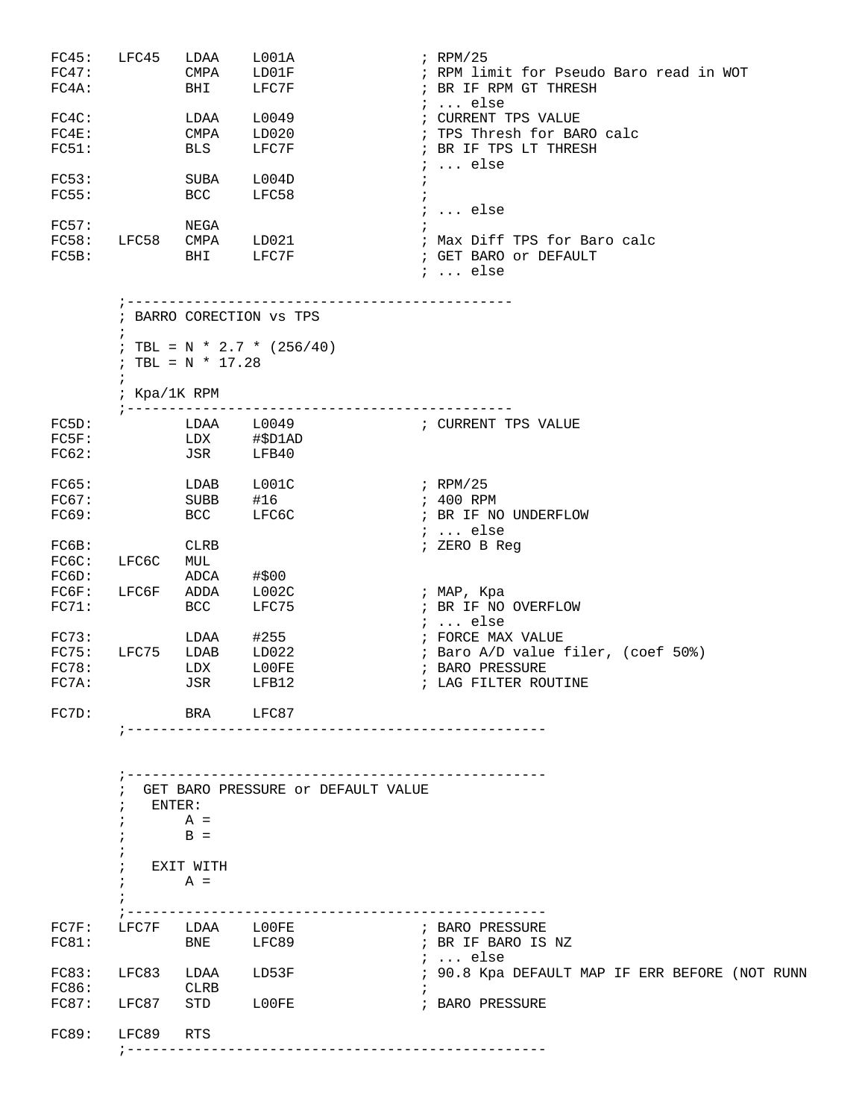| FC45: | LFC45 | LDAA        | LOO1A | $;$ RPM/25                              |
|-------|-------|-------------|-------|-----------------------------------------|
| FC47: |       | CMPA        | LD01F | ; RPM limit for Pseudo Baro read in WOT |
| FC4A: |       | BHI         | LFC7F | ; BR IF RPM GT THRESH                   |
|       |       |             |       | $i$ else                                |
| FC4C: |       | LDAA        | L0049 | CURRENT TPS VALUE                       |
| FC4E: |       | CMPA        | LD020 | ; TPS Thresh for BARO calc              |
| FC51: |       | <b>BLS</b>  | LFC7F | ; BR IF TPS LT THRESH                   |
|       |       |             |       | $\ldots$ else                           |
| FC53: |       | <b>SUBA</b> | L004D |                                         |
| FC55: |       | BCC         | LFC58 |                                         |
|       |       |             |       | $i$ else                                |
| FC57: |       | NEGA        |       |                                         |
| FC58: | LFC58 | <b>CMPA</b> | LD021 | ; Max Diff TPS for Baro calc            |
| FC5B: |       | BHI         | LFC7F | ; GET BARO or DEFAULT                   |
|       |       |             |       | $i$ else                                |
|       |       |             |       |                                         |

 ;---------------------------------------------- ; BARRO CORECTION vs TPS ; ; TBL = N \* 2.7 \*  $(256/40)$ ; TBL =  $N * 17.28$  $\mathcal{L}^{\text{max}}_{\text{max}}$ ; Kpa/1K RPM

| FC5D:<br>FC5F:<br>FC62:          |       | LDAA<br>LDX<br>JSR                | L0049<br>#\$D1AD<br>LFB40       | ; CURRENT TPS VALUE                                                                              |
|----------------------------------|-------|-----------------------------------|---------------------------------|--------------------------------------------------------------------------------------------------|
| FC65:<br>FC67:<br>FC69:          |       | LDAB<br><b>SUBB</b><br><b>BCC</b> | L001C<br>#16<br>LFC6C           | $;$ RPM/25<br>; 400 RPM<br>BR IF NO UNDERFLOW<br>$i$ else                                        |
| FC6B:<br>FC6C:<br>FC6D:          | LFC6C | CLRB<br>MUL<br>ADCA               | #\$00                           | ; ZERO B Req                                                                                     |
| FC6F:<br>FC71:                   | LFC6F | ADDA<br>BCC                       | L002C<br>LFC75                  | ; MAP, Kpa<br>; BR IF NO OVERFLOW<br>else                                                        |
| FC73:<br>FC75:<br>FC78:<br>FC7A: | LFC75 | LDAA<br>LDAB<br>LDX<br>JSR        | #255<br>LD022<br>L00FE<br>LFB12 | FORCE MAX VALUE<br>; Baro A/D value filer, (coef 50%)<br>; BARO PRESSURE<br>; LAG FILTER ROUTINE |
| FC7D:                            |       | <b>BRA</b>                        | LFC87                           |                                                                                                  |

;--------------------------------------------------

|       |       |             | GET BARO PRESSURE Or DEFAULT VALUE |  |                                                |  |  |  |
|-------|-------|-------------|------------------------------------|--|------------------------------------------------|--|--|--|
|       |       | ENTER:      |                                    |  |                                                |  |  |  |
|       |       | $A =$       |                                    |  |                                                |  |  |  |
|       |       | $B =$       |                                    |  |                                                |  |  |  |
|       |       |             |                                    |  |                                                |  |  |  |
|       |       | EXIT WITH   |                                    |  |                                                |  |  |  |
|       |       | $A =$       |                                    |  |                                                |  |  |  |
|       |       |             |                                    |  |                                                |  |  |  |
|       |       |             |                                    |  |                                                |  |  |  |
| FC7F: | LFC7F | LDAA        | L00FE                              |  | ; BARO PRESSURE                                |  |  |  |
| FC81: |       | <b>BNE</b>  | LFC89                              |  | ; BR IF BARO IS NZ                             |  |  |  |
|       |       |             |                                    |  | $i$ else                                       |  |  |  |
| FC83: | LFC83 | LDAA        | LD53F                              |  | ; 90.8 Kpa DEFAULT MAP IF ERR BEFORE (NOT RUNN |  |  |  |
| FC86: |       | <b>CLRB</b> |                                    |  |                                                |  |  |  |
| FC87: | LFC87 | STD         | L00FE                              |  | ; BARO PRESSURE                                |  |  |  |
|       |       |             |                                    |  |                                                |  |  |  |
| FC89: | LFC89 | RTS         |                                    |  |                                                |  |  |  |
|       |       |             |                                    |  |                                                |  |  |  |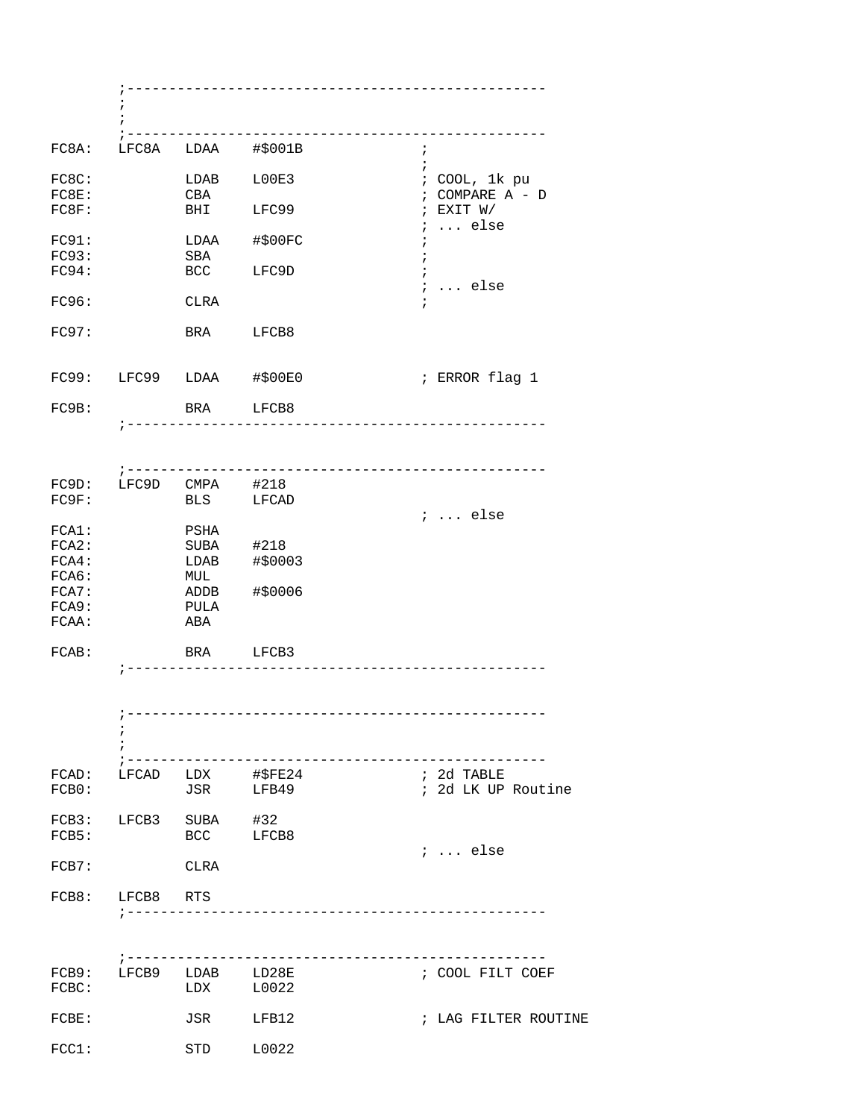|                | ÷<br>÷                 |                   | ----------------------------         |                                                  |
|----------------|------------------------|-------------------|--------------------------------------|--------------------------------------------------|
| FC8A:          |                        |                   | LFC8A LDAA #\$001B                   | $\ddot{i}$                                       |
| FC8C:<br>FC8E: |                        | LDAB<br>CBA       | L00E3                                | $\ddot{i}$<br>; COOL, 1k pu<br>$:$ COMPARE A - D |
| FC8F:          |                        | BHI               | LFC99                                | ; EXIT W/<br>$\ldots$ else<br>$\ddot{i}$         |
| FC91:<br>FC93: |                        | LDAA<br>SBA       | #\$00FC                              |                                                  |
| FC94:          |                        | <b>BCC</b>        | LFC9D                                | $i \ldots$ else                                  |
| FC96:          |                        | CLRA              |                                      |                                                  |
| FC97:          |                        | BRA               | LFCB8                                |                                                  |
|                |                        |                   | FC99: LFC99 LDAA #\$00E0             | ; ERROR flag 1                                   |
| FC9B:          |                        | BRA LFCB8         |                                      |                                                  |
|                |                        |                   |                                      |                                                  |
|                | FC9D: LFC9D CMPA #218  |                   |                                      |                                                  |
| FC9F:          |                        |                   | BLS LFCAD                            |                                                  |
| FCA1:          |                        | PSHA              |                                      | $i$ else                                         |
| FCA2:<br>FCA4: |                        | SUBA #218<br>LDAB | #\$0003                              |                                                  |
| FCA6:          |                        | MUL               |                                      |                                                  |
| FCA7:          |                        | ADDB              | #\$0006                              |                                                  |
| FCA9:<br>FCAA: |                        | PULA<br>ABA       |                                      |                                                  |
| FCAB:          |                        | BRA LFCB3         |                                      |                                                  |
|                |                        |                   |                                      |                                                  |
|                |                        |                   |                                      |                                                  |
|                |                        |                   |                                      |                                                  |
|                |                        |                   |                                      |                                                  |
| FCB0:          |                        |                   | FCAD: LFCAD LDX #\$FE24<br>JSR LFB49 | ; 2d TABLE<br>; 2d LK UP Routine                 |
| FCB5:          | FCB3: LFCB3 SUBA #32   |                   | BCC LFCB8                            |                                                  |
| FCB7:          |                        | <b>CLRA</b>       |                                      | $i \ldots$ else                                  |
|                | FCB8: LFCB8 RTS        |                   |                                      |                                                  |
|                |                        |                   |                                      |                                                  |
|                | $7 - - - - - - - - -$  |                   |                                      | --------------------------------------           |
| FCBC:          | FCB9: LFCB9 LDAB LD28E |                   | $LDX$ $L0022$                        | ; COOL FILT COEF                                 |
| FCBE:          |                        | JSR               | LFB12                                | ; LAG FILTER ROUTINE                             |
| FCC1:          |                        | STD               | L0022                                |                                                  |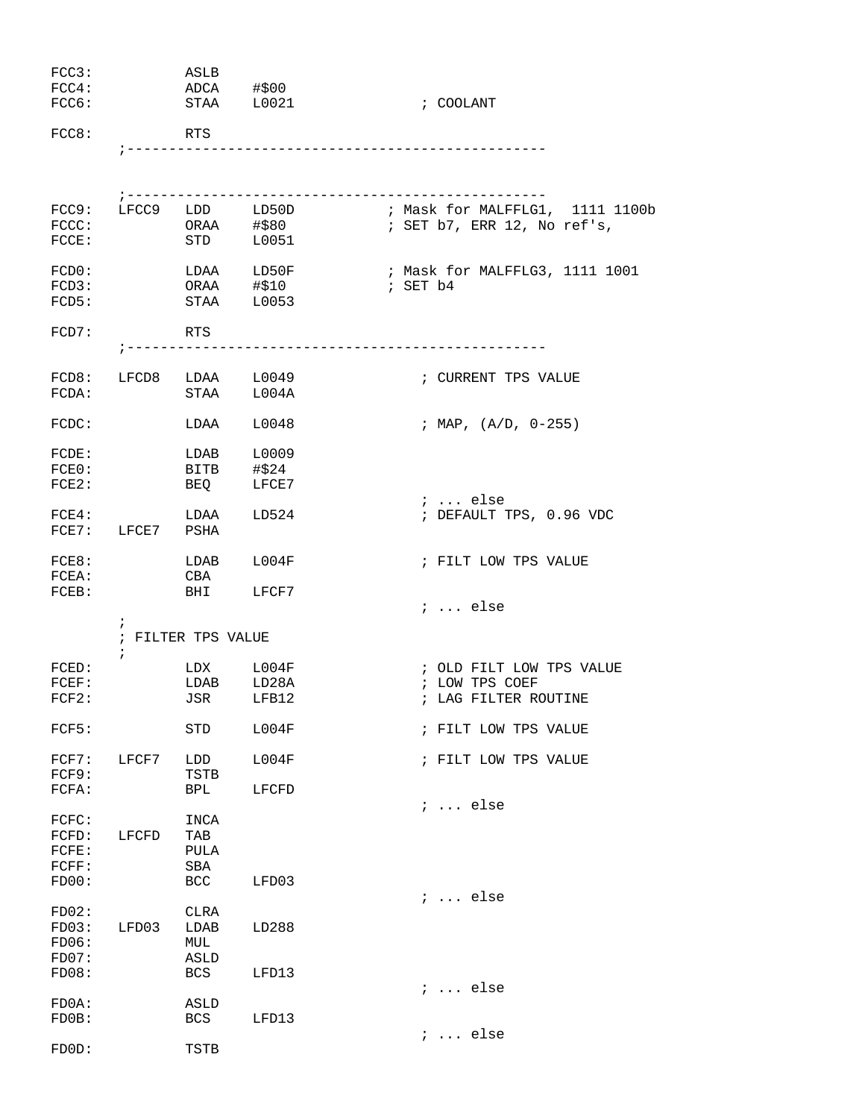| FCC3:<br>FCC4:<br>FCC6:          |                          | ASLB<br>ADCA #\$00<br>STAA L0021       |                                                  | ; COOLANT                                                      |
|----------------------------------|--------------------------|----------------------------------------|--------------------------------------------------|----------------------------------------------------------------|
| FCC8:                            |                          | RTS                                    |                                                  |                                                                |
|                                  |                          |                                        | _________________________                        |                                                                |
| $\texttt{FCCC:}$<br>FCCE:        |                          |                                        | FCC9: LFCC9 LDD LD50D<br>ORAA #\$80<br>STD L0051 | ; Mask for MALFFLG1, 1111 1100b<br>; SET b7, ERR 12, No ref's, |
| FCDO:<br>FCD3:<br>FCD5:          |                          | ORAA #\$10<br>STAA L0053               | LDAA LD50F                                       | ; Mask for MALFFLG3, 1111 1001<br>; SET b4                     |
| FCD7:                            |                          | RTS                                    | ----------------                                 |                                                                |
|                                  |                          |                                        | FCD8: LFCD8 LDAA L0049<br>FCDA: STAA L004A       | ; CURRENT TPS VALUE                                            |
| FCDC:                            |                          | LDAA                                   | L0048                                            | ; MAP, $(A/D, 0-255)$                                          |
| FCDE:<br>FCEO:<br>FCE2:          |                          | LDAB L0009<br>BITB #\$24<br><b>BEQ</b> | LFCE7                                            | $i \ldots$ else                                                |
|                                  | FCE7: LFCE7 PSHA         | $FCE4:$ LDAA                           | LD524                                            | ; DEFAULT TPS, 0.96 VDC                                        |
| FCE8:<br>FCEA:                   |                          | LDAB L004F<br>CBA                      |                                                  | ; FILT LOW TPS VALUE                                           |
| FCEB:                            |                          | BHI LFCF7                              |                                                  | $\ldots$ else                                                  |
|                                  | $\ddot{i}$<br>$\ddot{i}$ | ; FILTER TPS VALUE                     |                                                  |                                                                |
| FCED:                            |                          | LDX                                    | L004F                                            | ; OLD FILT LOW TPS VALUE                                       |
| FCEF:                            |                          | LDAB                                   | LD28A                                            | ; LOW TPS COEF                                                 |
| FCF2:                            |                          | JSR                                    | LFB12                                            | ; LAG FILTER ROUTINE                                           |
| FCF5:                            |                          | STD                                    | L004F                                            | ; FILT LOW TPS VALUE                                           |
| FCF7:<br>FCF9:                   | LFCF7                    | LDD<br>TSTB                            | L004F                                            | ; FILT LOW TPS VALUE                                           |
| FCFA:                            |                          | <b>BPL</b>                             | LFCFD                                            | $i \ldots$ else                                                |
| FCFC:<br>FCFD:<br>FCFE:<br>FCFF: | LFCFD                    | INCA<br>TAB<br>PULA<br>SBA             |                                                  |                                                                |
| FDOO:                            |                          | BCC                                    | LFD03                                            | $\ldots$ else                                                  |
| FD02:<br>FDO3:<br>FDO6:<br>FD07: | LFD03                    | CLRA<br>LDAB<br>MUL<br><b>ASLD</b>     | LD288                                            |                                                                |
| FDO8:                            |                          | <b>BCS</b>                             | LFD13                                            |                                                                |
| FDOA:<br>FDOB:                   |                          | ASLD<br>BCS                            | LFD13                                            | $i \ldots$ else                                                |
|                                  |                          |                                        |                                                  | $i \ldots$ else                                                |
| FDOD:                            |                          | TSTB                                   |                                                  |                                                                |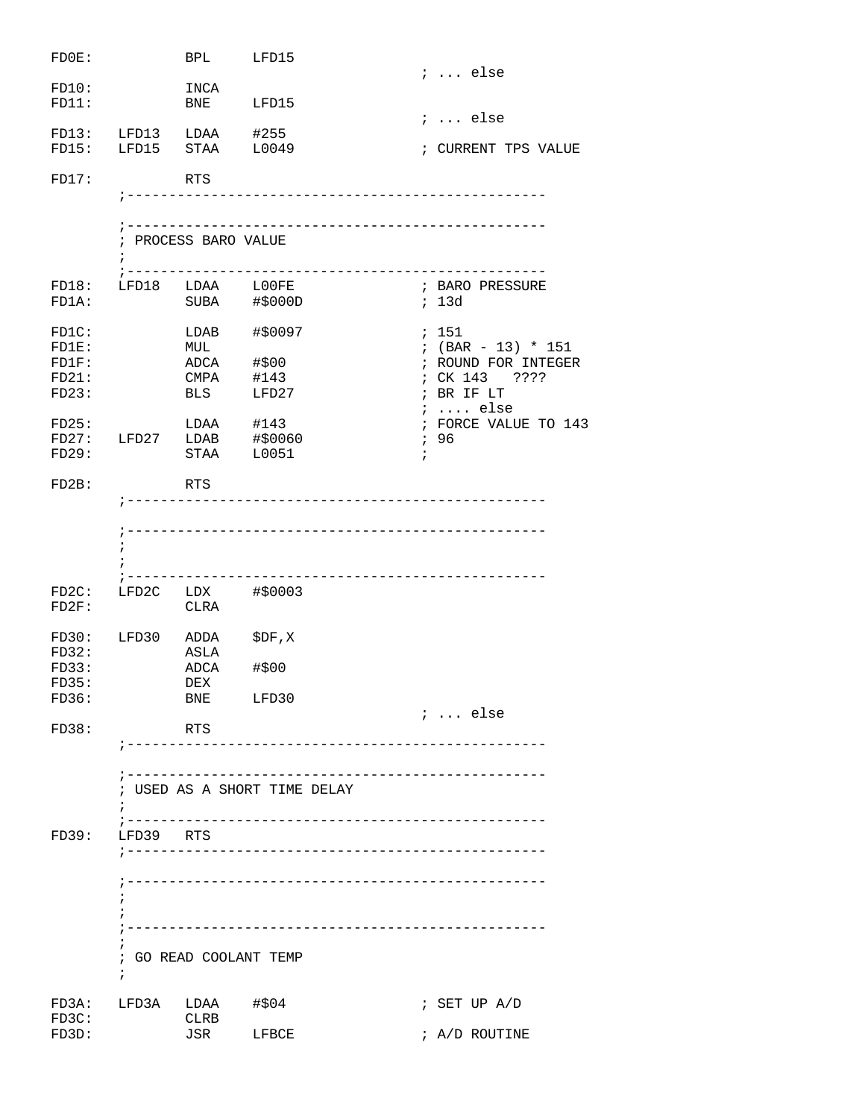| FDOE:          |                        | BPL                  | LFD15                        |                      |
|----------------|------------------------|----------------------|------------------------------|----------------------|
|                |                        |                      |                              | $i \ldots$ else      |
| FD10:          |                        | INCA                 |                              |                      |
| FD11:          |                        | BNE                  | LFD15                        |                      |
|                | FD13: LFD13 LDAA #255  |                      |                              | $i$ else             |
|                | FD15: LFD15 STAA L0049 |                      |                              | ; CURRENT TPS VALUE  |
|                |                        |                      |                              |                      |
| FD17:          |                        | RTS                  |                              |                      |
|                |                        |                      |                              |                      |
|                |                        |                      |                              |                      |
|                |                        |                      |                              |                      |
|                |                        | ; PROCESS BARO VALUE |                              |                      |
|                | $\ddot{i}$             |                      |                              |                      |
|                |                        |                      |                              |                      |
| FD18:          |                        | LFD18 LDAA L00FE     |                              | ; BARO PRESSURE      |
| FD1A:          |                        |                      | SUBA #\$000D                 | ; 13d                |
|                |                        |                      |                              |                      |
| $FD1C$ :       |                        | LDAB                 | #\$0097                      | ; 151                |
| FD1E:          |                        | MUL                  |                              | $: (BAR - 13) * 151$ |
| FD1F:          |                        | ADCA #\$00           |                              | ; ROUND FOR INTEGER  |
| FD21:          |                        |                      | CMPA #143                    | ; CK 143 ????        |
| FD23:          |                        | <b>BLS</b>           | LFD27                        | ; BR IF LT           |
|                |                        |                      |                              | $i \ldots$ else      |
| FD25:          |                        |                      | $LDAA$ #143                  | ; FORCE VALUE TO 143 |
|                |                        |                      | FD27: LFD27 LDAB #\$0060     | ,96                  |
| FD29:          |                        |                      | STAA L0051                   | $\ddot{i}$           |
|                |                        |                      |                              |                      |
| FD2B:          |                        | RTS                  |                              |                      |
|                |                        |                      |                              |                      |
|                |                        |                      |                              |                      |
|                |                        |                      |                              |                      |
|                | i                      |                      |                              |                      |
|                |                        |                      |                              |                      |
|                |                        |                      |                              |                      |
| FD2C:          |                        |                      | $LFD2C$ $LDX$ $\#$0003$      |                      |
| FD2F:          |                        | CLRA                 |                              |                      |
|                |                        |                      |                              |                      |
| FD30:<br>FD32: | LFD30                  | ADDA<br>ASLA         | \$DF, X                      |                      |
| FD33:          |                        |                      | #\$00                        |                      |
| FD35:          |                        | ADCA<br>DEX          |                              |                      |
| FD36:          |                        | BNE                  | LFD30                        |                      |
|                |                        |                      |                              | $i \ldots$ else      |
| FD38:          |                        | RTS                  |                              |                      |
|                |                        |                      |                              |                      |
|                |                        |                      |                              |                      |
|                |                        |                      |                              |                      |
|                |                        |                      | ; USED AS A SHORT TIME DELAY |                      |
|                |                        |                      |                              |                      |
|                |                        |                      |                              |                      |
| FD39:          | LFD39 RTS              |                      |                              |                      |
|                |                        |                      |                              |                      |
|                |                        |                      |                              |                      |
|                |                        |                      |                              |                      |
|                | $\ddot{i}$             |                      |                              |                      |
|                |                        |                      |                              |                      |
|                |                        |                      |                              |                      |
|                | ÷                      |                      |                              |                      |
|                |                        |                      | ; GO READ COOLANT TEMP       |                      |
|                | $\ddot{i}$             |                      |                              |                      |
|                |                        |                      |                              |                      |
| FD3A:          |                        | LFD3A LDAA #\$04     |                              | ; SET UP $A/D$       |
| FD3C:          |                        | CLRB                 |                              |                      |
| FD3D:          |                        | JSR                  | LFBCE                        | ; A/D ROUTINE        |
|                |                        |                      |                              |                      |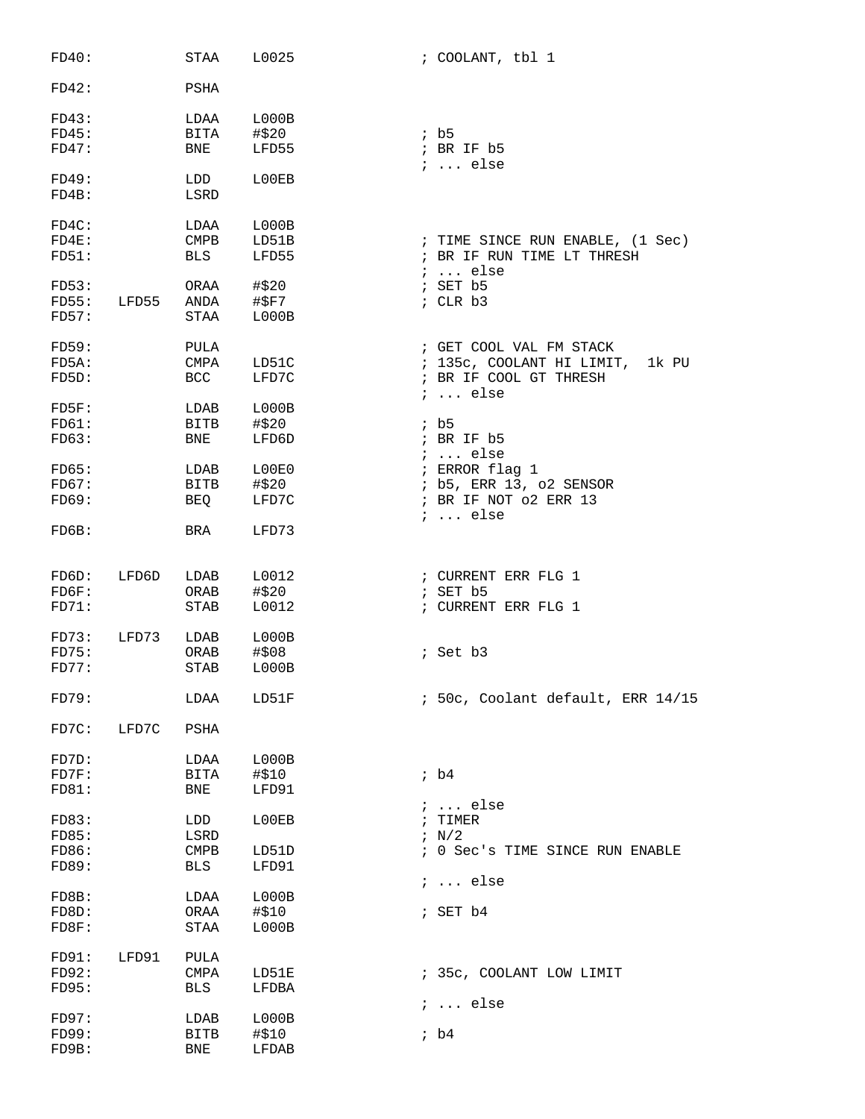| FD40:                 |       | STAA                | L0025          | ; COOLANT, tbl 1                                 |
|-----------------------|-------|---------------------|----------------|--------------------------------------------------|
| FD42:                 |       | PSHA                |                |                                                  |
| FD43:                 |       | LDAA                | L000B          |                                                  |
| FD45:                 |       | BITA                | #\$20          | ib5                                              |
| FD47:                 |       | BNE                 | LFD55          | ; BR IF b5<br>$i \ldots$ else                    |
| FD49:                 |       | LDD                 | L00EB          |                                                  |
| FD4B:                 |       | LSRD                |                |                                                  |
| FD4C:                 |       | LDAA                | LOOOB          |                                                  |
| FD4E:                 |       | CMPB                | LD51B          | ; TIME SINCE RUN ENABLE, (1 Sec)                 |
| FD51:                 |       | BLS                 | LFD55          | ; BR IF RUN TIME LT THRESH<br>$i \ldots$ else    |
| FD53:                 |       | ORAA                | #\$20          | ; SET b5                                         |
| FD55:                 | LFD55 | ANDA                | #\$F7          | $;$ CLR $b3$                                     |
| FD57:                 |       | STAA                | LOOOB          |                                                  |
| FD59:                 |       | PULA                |                | ; GET COOL VAL FM STACK                          |
| FD5A:                 |       | CMPA                | LD51C          | ; 135c, COOLANT HI LIMIT,<br>1k PU               |
| FD5D:                 |       | <b>BCC</b>          | LFD7C          | ; BR IF COOL GT THRESH<br>$i \ldots$ else        |
| $F$ D $5$ $F$ :       |       | LDAB                | L000B          |                                                  |
| FD61:                 |       | BITB                | #\$20          | ib5                                              |
| FD63:                 |       | BNE                 | LFD6D          | ; BR IF b5                                       |
|                       |       |                     |                | $i \ldots$ else                                  |
| FDS:<br>FD67:         |       | LDAB<br><b>BITB</b> | L00E0          | ; ERROR flag 1                                   |
| FD69:                 |       | BEQ                 | #\$20<br>LFD7C | ; b5, ERR 13, o2 SENSOR<br>; BR IF NOT 02 ERR 13 |
|                       |       |                     |                | $i \ldots$ else                                  |
| FDOB:                 |       | BRA                 | LFD73          |                                                  |
|                       |       |                     |                |                                                  |
| FDO:                  | LFD6D | LDAB                | L0012          | ; CURRENT ERR FLG 1                              |
| $F$ D $6F$ :<br>FD71: |       | ORAB<br><b>STAB</b> | #\$20<br>L0012 | $5$ SET $b5$<br>; CURRENT ERR FLG 1              |
|                       |       |                     |                |                                                  |
| FD73:                 | LFD73 | LDAB                | L000B          |                                                  |
| FD75:                 |       | ORAB                | #\$08          | ; Set b3                                         |
| FD77:                 |       | STAB                | L000B          |                                                  |
| FD79:                 |       | LDAA                | LD51F          | ; 50c, Coolant default, ERR 14/15                |
| FD7C:                 | LFD7C | PSHA                |                |                                                  |
|                       |       |                     |                |                                                  |
| FD7D:                 |       | LDAA                | LOOOB          |                                                  |
| FD7F:<br>FD81:        |       | BITA<br><b>BNE</b>  | #\$10<br>LFD91 | ib4                                              |
|                       |       |                     |                | $i \ldots$ else                                  |
| FDS3:                 |       | LDD                 | L00EB          | TIMER<br>$\ddot{i}$                              |
| FD85:                 |       | LSRD                |                | $\frac{1}{2}$ N/2                                |
| FD86:                 |       | <b>CMPB</b>         | LD51D          | ; 0 Sec's TIME SINCE RUN ENABLE                  |
| FD89:                 |       | <b>BLS</b>          | LFD91          |                                                  |
|                       |       |                     |                | $i \ldots$ else                                  |
| FD8B:                 |       | LDAA                | LOOOB          |                                                  |
| FD8D:                 |       | ORAA                | #\$10          | ; SET b4                                         |
| FD8F:                 |       | STAA                | L000B          |                                                  |
| FD91:                 | LFD91 | PULA                |                |                                                  |
| FD92:                 |       | <b>CMPA</b>         | LD51E          | ; 35c, COOLANT LOW LIMIT                         |
| FD95:                 |       | <b>BLS</b>          | LFDBA          |                                                  |
|                       |       |                     |                | ;  else                                          |
| FD97:                 |       | LDAB                | L000B          |                                                  |
| FD99:<br>FD9B:        |       | <b>BITB</b>         | #\$10          | ib4                                              |
|                       |       | BNE                 | LFDAB          |                                                  |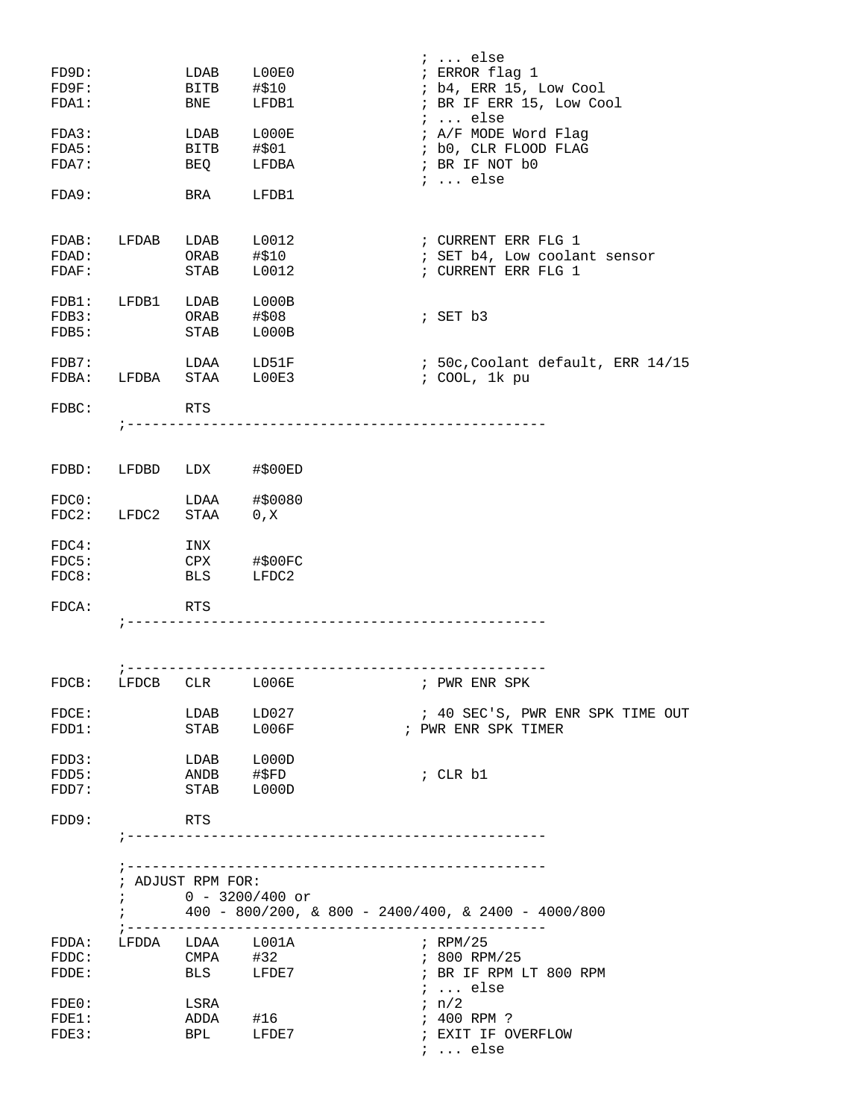| FD9D:<br>$F$ $D$ $9F$ :<br>FDA1:<br>FDA3:<br>FDA5:<br>FDA7:<br>FDA9: |            | LDAB<br>BITB<br>BNE<br>LDAB<br>BITB #\$01<br>BEQ<br>BRA | L00E0<br>#\$10<br>LFDB1<br>L000E<br>LFDBA<br>LFDB1    |              | $i \ldots$ else<br>; ERROR flag 1<br>; b4, ERR 15, Low Cool<br>; BR IF ERR 15, Low Cool<br>$i \ldots$ else<br>; A/F MODE Word Flag<br>; b0, CLR FLOOD FLAG<br>; BR IF NOT b0<br>$i \ldots$ else |
|----------------------------------------------------------------------|------------|---------------------------------------------------------|-------------------------------------------------------|--------------|-------------------------------------------------------------------------------------------------------------------------------------------------------------------------------------------------|
| FDAB: LFDAB<br>FDAD:<br>FDAF:                                        |            | LDAB<br>ORAB<br>STAB                                    | L0012<br>#\$10<br>L0012                               |              | ; CURRENT ERR FLG 1<br>; SET b4, Low coolant sensor<br>; CURRENT ERR FLG 1                                                                                                                      |
| FDB1:<br>FDB3:<br>FDB5:                                              | LFDB1      | LDAB<br>ORAB<br>STAB                                    | L000B<br>#\$08<br>L000B                               |              | $;$ SET $b3$                                                                                                                                                                                    |
| FDB7:<br>FDBA:                                                       |            | LDAA LD51F<br>LFDBA STAA LOOE3                          |                                                       |              | ; 50c, Coolant default, ERR 14/15<br>; COOL, 1k pu                                                                                                                                              |
| FDBC:                                                                |            | <b>RTS</b>                                              |                                                       |              |                                                                                                                                                                                                 |
| FDBD:                                                                | LFDBD      | LDX                                                     | #\$00ED                                               |              |                                                                                                                                                                                                 |
| FDC0:<br>FDC2:                                                       | LFDC2      | LDAA<br>STAA 0, X                                       | #\$0080                                               |              |                                                                                                                                                                                                 |
| FDC4:<br>FDC5:<br>FDC8:                                              |            | INX<br>CPX<br>BLS                                       | #\$00FC<br>LFDC2                                      |              |                                                                                                                                                                                                 |
| $FDCA$ :                                                             |            | <b>RTS</b>                                              | --------------------------------------                |              |                                                                                                                                                                                                 |
|                                                                      |            |                                                         |                                                       |              |                                                                                                                                                                                                 |
| FDCB:                                                                | LFDCB      | CLR                                                     | <b>L006E</b>                                          |              | ; PWR ENR SPK                                                                                                                                                                                   |
| $\texttt{FDCE}:$<br>FDD1:                                            |            | LDAB<br>STAB L006F                                      | LD027                                                 |              | ; 40 SEC'S, PWR ENR SPK TIME OUT<br>; PWR ENR SPK TIMER                                                                                                                                         |
| FDD3:<br>FDD5:<br>FDD7:                                              |            | LDAB L000D<br>ANDB #\$FD<br>STAB L000D                  |                                                       |              | ; CLR b1                                                                                                                                                                                        |
| FDD9:                                                                |            | RTS                                                     |                                                       |              |                                                                                                                                                                                                 |
|                                                                      | $\ddot{i}$ | ; ADJUST RPM FOR:<br>$0 - 3200/400$ or                  | $400 - 800/200$ , & 800 - 2400/400, & 2400 - 4000/800 |              |                                                                                                                                                                                                 |
| $\mathtt{FDDA}$ :<br>FDDC:<br>FDDE:                                  |            | LFDDA LDAA L001A<br>$CMPA$ #32<br>BLS LFDE7             |                                                       |              | ; RPM/25<br>; 800 RPM/25<br>; BR IF RPM LT 800 RPM<br>$i \ldots$ else                                                                                                                           |
| FDE0:<br>FDE1:<br>FDE3:                                              |            | LSRA<br>ADDA #16<br>BPL LFDE7                           |                                                       | $i \neq n/2$ | ; 400 RPM ?<br>; EXIT IF OVERFLOW<br>$i \ldots$ else                                                                                                                                            |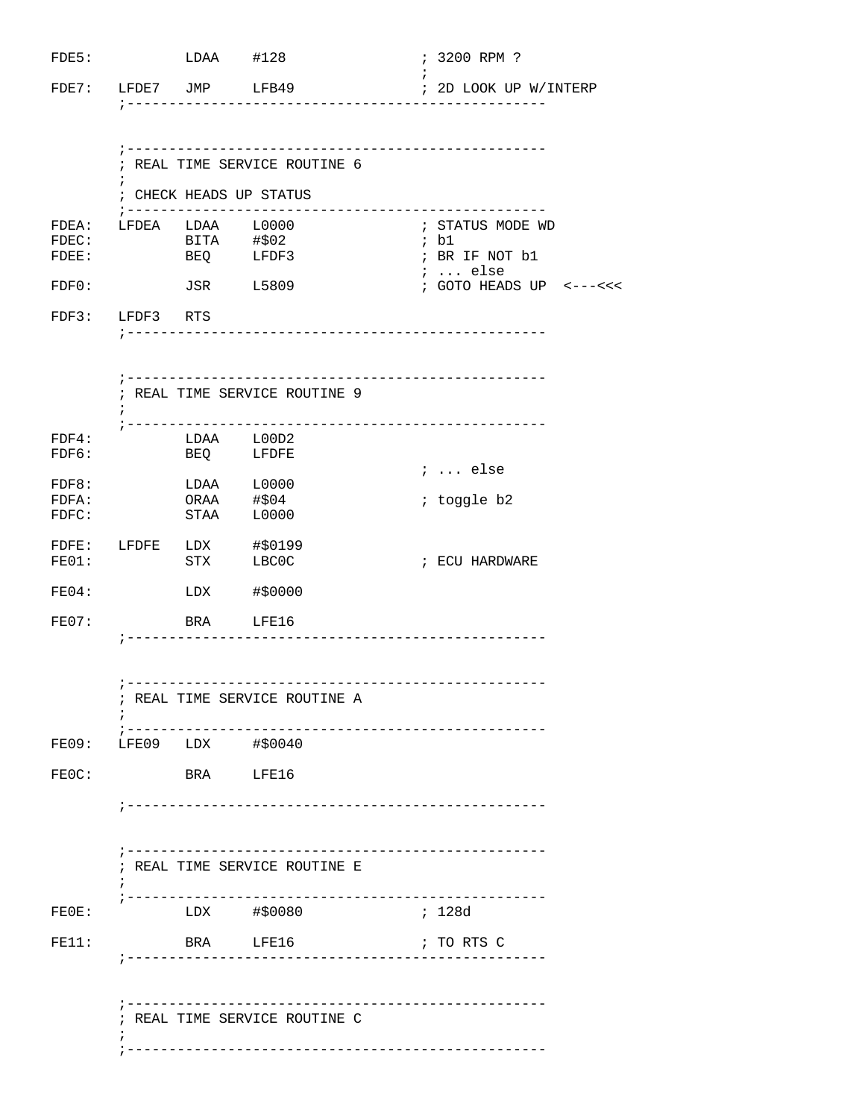|                        | $LDAA$ #128              |                                                       | ; 3200 RPM ?              |
|------------------------|--------------------------|-------------------------------------------------------|---------------------------|
|                        |                          | FDE7: LFDE7 JMP LFB49                                 | ; 2D LOOK UP W/INTERP     |
|                        |                          |                                                       |                           |
|                        |                          | ; REAL TIME SERVICE ROUTINE 6                         |                           |
|                        |                          | ; CHECK HEADS UP STATUS                               |                           |
| FDEA: LFDEA LDAA L0000 |                          | BITA #\$02                                            | ; STATUS MODE WD<br>; b1  |
|                        |                          | BEQ LFDF3                                             | ; BR IF NOT b1<br>;  else |
|                        | <b>JSR</b> L5809         |                                                       | $:$ GOTO HEADS UP <---<<< |
| FDF3: LFDF3 RTS        |                          |                                                       |                           |
|                        |                          |                                                       |                           |
| $\ddot{ }$             |                          | ; REAL TIME SERVICE ROUTINE 9                         |                           |
|                        | LDAA L00D2               |                                                       |                           |
|                        | BEQ LFDFE                |                                                       | $i \ldots$ else           |
|                        | LDAA L0000<br>ORAA #\$04 |                                                       | ; toggle b2               |
|                        |                          | STAA L0000                                            |                           |
| FE01:                  | <b>STX</b>               | FDFE: LFDFE LDX #\$0199                               | ; ECU HARDWARE            |
|                        |                          | LBC0C<br>LDX #\$0000                                  |                           |
|                        | BRA LFE16                |                                                       |                           |
|                        |                          |                                                       |                           |
|                        |                          | ; REAL TIME SERVICE ROUTINE A                         |                           |
|                        |                          | --------------------------<br>FE09: LFE09 LDX #\$0040 |                           |
|                        | BRA LFE16                |                                                       |                           |
|                        |                          |                                                       |                           |
| $7 - - - - - - -$      |                          | ------------------<br>; REAL TIME SERVICE ROUTINE E   |                           |
|                        |                          | LDX #\$0080                                           | ; 128d                    |
|                        |                          |                                                       |                           |
|                        |                          | BRA LFE16                                             | ; TO RTS C                |
|                        |                          |                                                       |                           |
|                        |                          | ; REAL TIME SERVICE ROUTINE C                         | ------------              |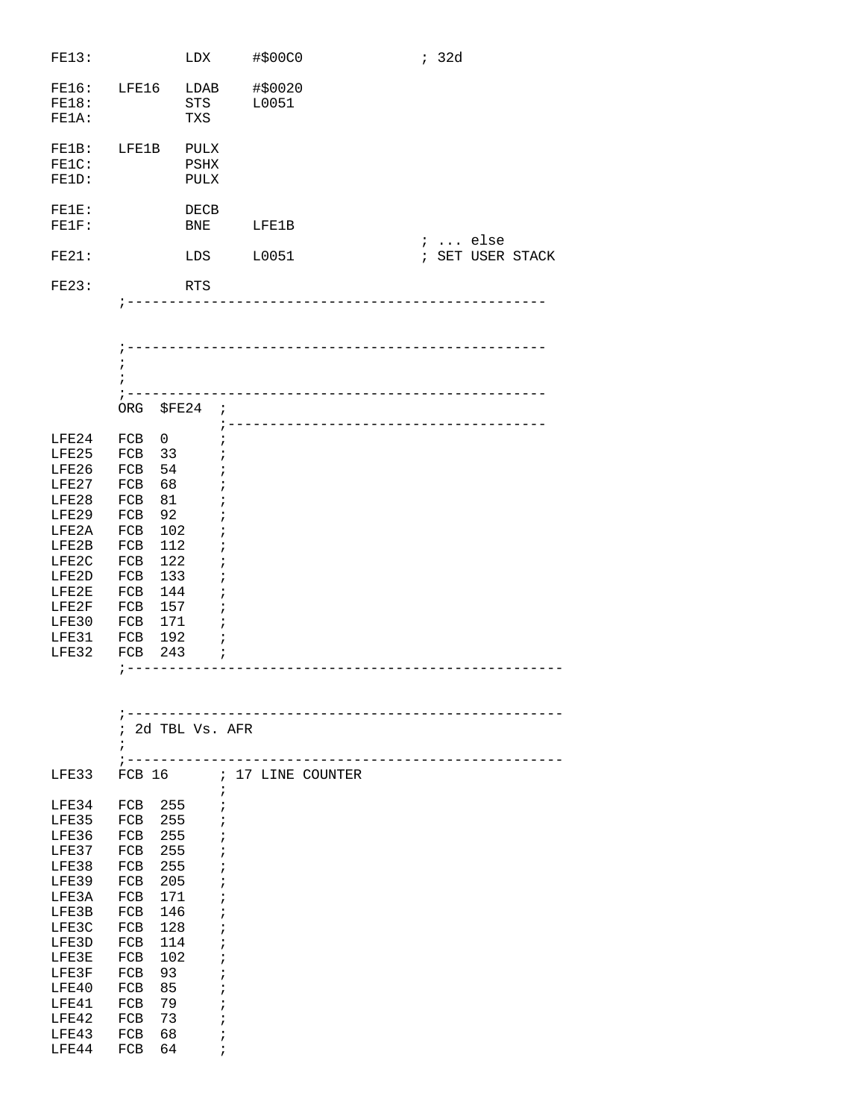| FE13:                   |                            | LDX                                | #\$00C0          | ; 32d |          |                  |
|-------------------------|----------------------------|------------------------------------|------------------|-------|----------|------------------|
| FE16:<br>FE18:<br>FE1A: | LFE16                      | LDAB<br>STS<br>TXS                 | #\$0020<br>L0051 |       |          |                  |
| FE1B:<br>FE1C:<br>FE1D: | LFE1B                      | <b>PULX</b><br>PSHX<br><b>PULX</b> |                  |       |          |                  |
| $FELE$ :<br>FETF:       |                            | DECB<br>BNE                        | LFE1B            |       | $i$ else |                  |
| FE21:                   |                            | LDS                                | L0051            |       |          | ; SET USER STACK |
| FE23:                   |                            | RTS                                |                  |       |          |                  |
|                         | $\ddot{i}$<br>$\mathbf{r}$ |                                    |                  |       |          |                  |

|       | ORG | \$FE24 | $\cdot$ |
|-------|-----|--------|---------|
|       |     |        |         |
| LFE24 | FCB | 0      |         |
| LFE25 | FCB | 33     |         |
| LFE26 | FCB | 54     |         |
| LFE27 | FCB | 68     |         |
| LFE28 | FCB | 81     |         |
| LFE29 | FCB | 92     |         |
| LFE2A | FCB | 102    |         |
| LFE2B | FCB | 112    |         |
| LFE2C | FCB | 122    |         |
| LFE2D | FCB | 133    |         |
| LFE2E | FCB | 144    |         |
| LFE2F | FCB | 157    |         |
| LFE30 | FCB | 171    |         |
| LFE31 | FCB | 192    |         |
| LFE32 | FCB | 243    | ,       |
|       |     |        |         |

|       |               | 2d TBL Vs. AFR |               |                 |  |  |  |
|-------|---------------|----------------|---------------|-----------------|--|--|--|
|       | ,             |                |               |                 |  |  |  |
|       |               |                |               |                 |  |  |  |
| LFE33 | <b>FCB 16</b> |                | $\mathcal{T}$ | 17 LINE COUNTER |  |  |  |
|       |               |                | $\mathbf{r}$  |                 |  |  |  |
| LFE34 | FCB           | 255            |               |                 |  |  |  |
| LFE35 | FCB           | 255            |               |                 |  |  |  |
| LFE36 | FCB           | 255            |               |                 |  |  |  |
| LFE37 | FCB           | 255            | i             |                 |  |  |  |
| LFE38 | FCB           | 255            |               |                 |  |  |  |
| LFE39 | FCB           | 205            |               |                 |  |  |  |
| LFE3A | FCB           | 171            | ÷             |                 |  |  |  |
| LFE3B | FCB           | 146            |               |                 |  |  |  |
| LFE3C | FCB           | 128            |               |                 |  |  |  |
| LFE3D | FCB           | 114            |               |                 |  |  |  |
| LFE3E | FCB           | 102            |               |                 |  |  |  |
| LFE3F | FCB           | 93             |               |                 |  |  |  |
| LFE40 | FCB           | 85             |               |                 |  |  |  |
| LFE41 | FCB           | 79             |               |                 |  |  |  |
| LFE42 | FCB           | 73             |               |                 |  |  |  |
| LFE43 | FCB           | 68             |               |                 |  |  |  |
| LFE44 | FCB           | 64             | $\mathbf{r}$  |                 |  |  |  |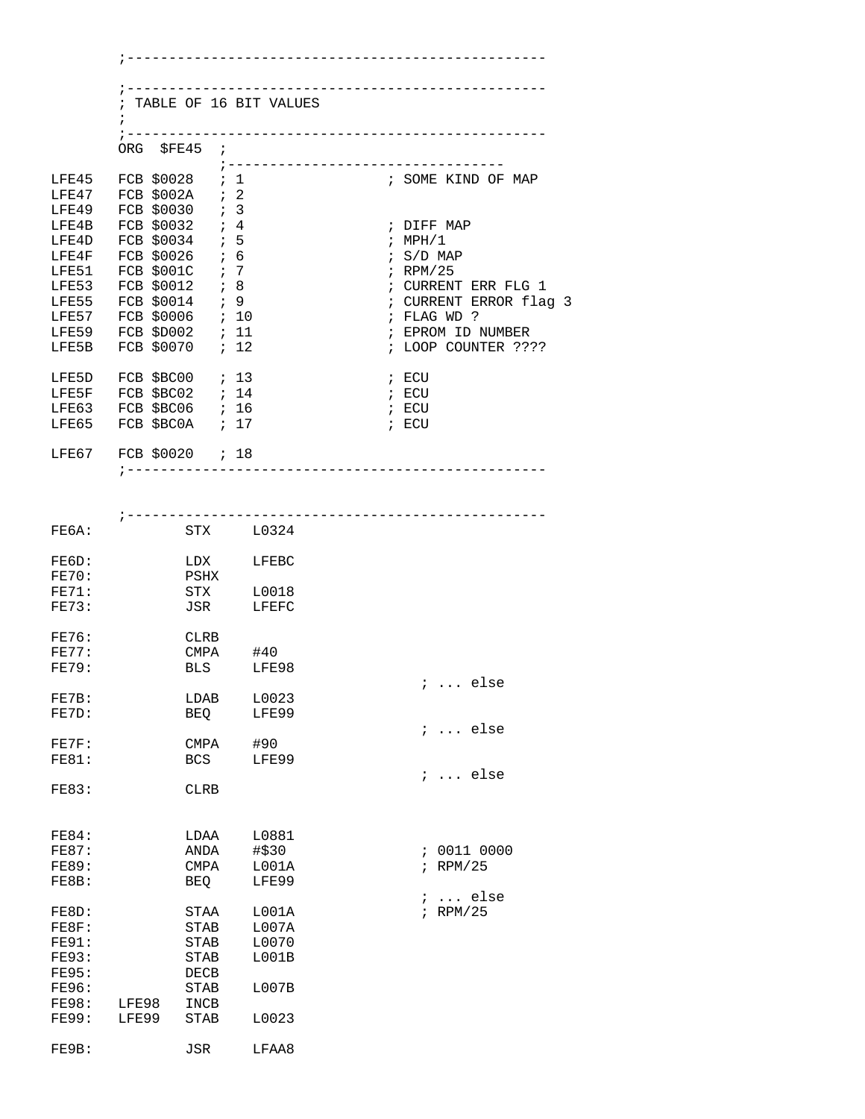|                | $\ddot{i}$                                                                                                                                                                                            |             | ; TABLE OF 16 BIT VALUES          |                                                          |
|----------------|-------------------------------------------------------------------------------------------------------------------------------------------------------------------------------------------------------|-------------|-----------------------------------|----------------------------------------------------------|
|                | ORG \$FE45 ;                                                                                                                                                                                          |             |                                   |                                                          |
|                | LFE45 FCB \$0028 ; 1<br>LFE47 FCB \$002A ; 2                                                                                                                                                          |             |                                   | ;---------------------------------<br>; SOME KIND OF MAP |
|                | LFE49 FCB \$0030 ; 3                                                                                                                                                                                  |             |                                   |                                                          |
| LFE4B          | $FCB$ \$0032 ; 4                                                                                                                                                                                      |             |                                   | ; DIFF MAP                                               |
| LFE4D          | FCB $$0034$ ; 5                                                                                                                                                                                       |             |                                   | ; $MPH/1$                                                |
| LFE4F<br>LFE51 | FCB \$0026 ; 6<br>FCB \$001C ; 7                                                                                                                                                                      |             |                                   | $\frac{1}{2}$ S/D MAP<br>$;$ RPM/25                      |
| LFE53          | FCB \$0012 ; 8                                                                                                                                                                                        |             |                                   | ; CURRENT ERR FLG 1                                      |
| LFE55          | FCB \$0014 ; 9                                                                                                                                                                                        |             |                                   | ; CURRENT ERROR flag 3                                   |
|                | LFE57 FCB \$0006 ; 10                                                                                                                                                                                 |             |                                   | ; FLAG WD ?                                              |
|                | LFE59 FCB \$D002 ; 11<br>LFE5B FCB \$0070 ; 12                                                                                                                                                        |             |                                   | ; EPROM ID NUMBER<br>; LOOP COUNTER ????                 |
| LFE5D          | FCB $$BC00$ ; 13                                                                                                                                                                                      |             |                                   | ; ECU                                                    |
|                | $\begin{tabular}{lllllll} \texttt{LFE5F} & \texttt{FCB} & $\$BC02$ & $: 14$ \\ \texttt{LFE63} & \texttt{FCB} & $\$BC06 & $: 16$ \\ \texttt{LFE65} & \texttt{FCB} & $\$BC0A & $: 17$ \\ \end{tabular}$ |             |                                   | ; ECU                                                    |
|                |                                                                                                                                                                                                       |             |                                   | ; ECU                                                    |
|                |                                                                                                                                                                                                       |             |                                   | ; ECU                                                    |
|                | LFE67 FCB \$0020 ; 18                                                                                                                                                                                 |             |                                   |                                                          |
|                |                                                                                                                                                                                                       |             | ;-------------------------------- |                                                          |
|                |                                                                                                                                                                                                       |             |                                   |                                                          |
|                |                                                                                                                                                                                                       |             | --------------------------        |                                                          |
| FE6A:          |                                                                                                                                                                                                       |             | STX L0324                         |                                                          |
| FE6D:          |                                                                                                                                                                                                       |             | LDX LFEBC                         |                                                          |
| FE70:          |                                                                                                                                                                                                       | PSHX        |                                   |                                                          |
| FE71:          |                                                                                                                                                                                                       |             | STX L0018                         |                                                          |
| FE73:          |                                                                                                                                                                                                       |             | JSR LFEFC                         |                                                          |
| <b>FE76:</b>   |                                                                                                                                                                                                       | CLRB        |                                   |                                                          |
| FE77:          |                                                                                                                                                                                                       |             | CMPA #40                          |                                                          |
| <b>FE79:</b>   |                                                                                                                                                                                                       |             | BLS LFE98                         | $\ldots$ else                                            |
| FE7B:          |                                                                                                                                                                                                       | LDAB        | L0023                             |                                                          |
| FE7D:          |                                                                                                                                                                                                       | BEQ         | LFE99                             |                                                          |
|                |                                                                                                                                                                                                       |             |                                   | $i$ else                                                 |
| FE7F:          |                                                                                                                                                                                                       | CMPA        | #90                               |                                                          |
| <b>FE81:</b>   |                                                                                                                                                                                                       | <b>BCS</b>  | LFE99                             | $i$ else                                                 |
| <b>FE83:</b>   |                                                                                                                                                                                                       | CLRB        |                                   |                                                          |
|                |                                                                                                                                                                                                       |             |                                   |                                                          |
| <b>FE84:</b>   |                                                                                                                                                                                                       | LDAA        | L0881                             |                                                          |
| <b>FE87:</b>   |                                                                                                                                                                                                       | ANDA        | #\$30                             | ; 0011 0000                                              |
| <b>FE89:</b>   |                                                                                                                                                                                                       | CMPA        | L001A                             | $;$ RPM/25                                               |
| FE8B:          |                                                                                                                                                                                                       | BEQ         | LFE99                             |                                                          |
| FE8D:          |                                                                                                                                                                                                       | STAA        | L001A                             | ;  else<br>$i$ RPM/25                                    |
| FEBF:          |                                                                                                                                                                                                       | STAB        | LOO7A                             |                                                          |
| <b>FE91:</b>   |                                                                                                                                                                                                       | STAB        | L0070                             |                                                          |
| FE93:          |                                                                                                                                                                                                       | STAB        | L001B                             |                                                          |
| <b>FE95:</b>   |                                                                                                                                                                                                       | DECB        |                                   |                                                          |
| <b>FE96:</b>   |                                                                                                                                                                                                       | STAB        | L007B                             |                                                          |
| <b>FE98:</b>   | LFE98                                                                                                                                                                                                 | INCB        |                                   |                                                          |
| <b>FE99:</b>   | LFE99                                                                                                                                                                                                 | <b>STAB</b> | L0023                             |                                                          |
| FE9B:          |                                                                                                                                                                                                       | JSR         | LFAA8                             |                                                          |
|                |                                                                                                                                                                                                       |             |                                   |                                                          |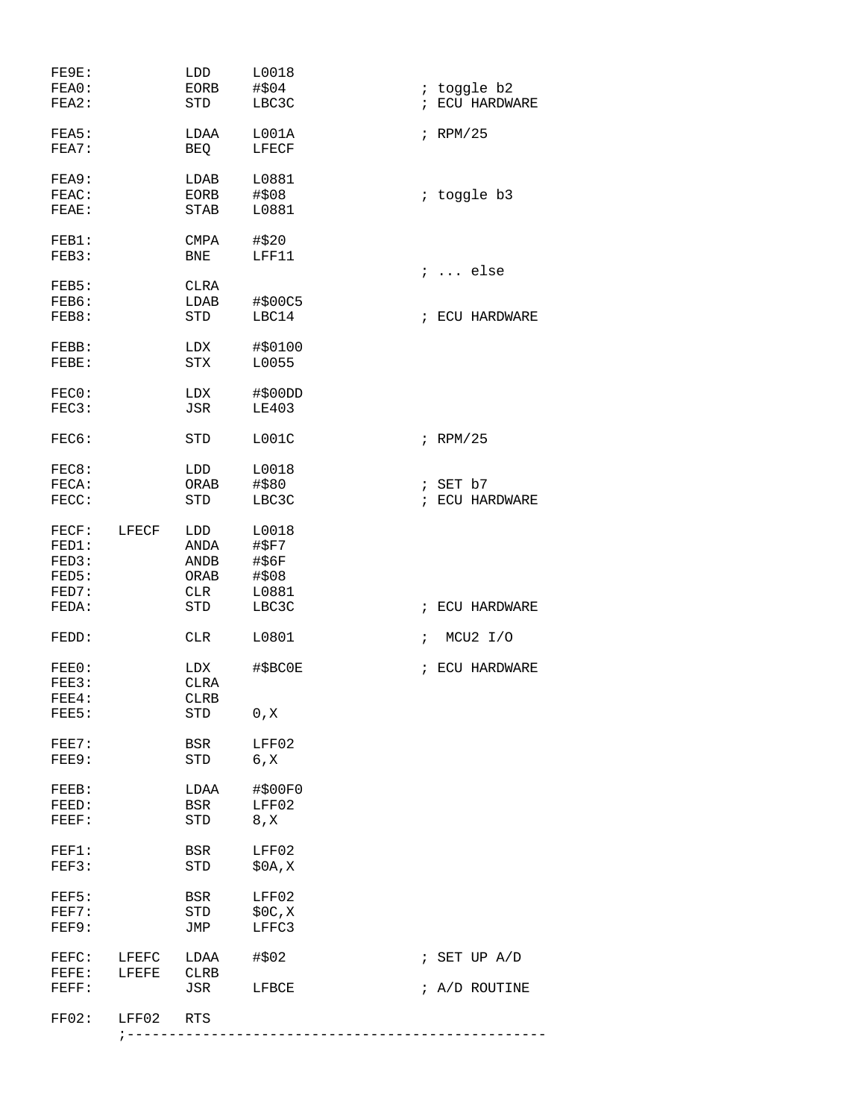| FE9E:<br>FEA0:<br>FEA2:                   |                | LDD<br>EORB<br>STD                       | L0018<br>#\$04<br>LBC3C                  | $\mathcal{L}$ | ; toggle b2<br>ECU HARDWARE     |
|-------------------------------------------|----------------|------------------------------------------|------------------------------------------|---------------|---------------------------------|
| FEA5:<br>FEA7:                            |                | LDAA<br><b>BEO</b>                       | L001A<br>LFECF                           |               | $F$ RPM/25                      |
| FEA9:<br>FEAC:<br>FEAE:                   |                | LDAB<br>EORB<br>STAB                     | L0881<br>#\$08<br>L0881                  |               | ; toggle b3                     |
| FEB1:<br>FEB3:                            |                | <b>CMPA</b><br>BNE                       | #\$20<br>LFF11                           |               | ;  else                         |
| FEB5:<br>FEB6:<br>FEB8:                   |                | CLRA<br>LDAB<br><b>STD</b>               | #\$00C5<br>LBC14                         |               | ; ECU HARDWARE                  |
| FEBB:<br>FEBE:                            |                | LDX<br><b>STX</b>                        | #\$0100<br>L0055                         |               |                                 |
| FEC0:<br>FEC3:                            |                | LDX<br><b>JSR</b>                        | $\#$ \$00DD<br><b>LE403</b>              |               |                                 |
| FEC6:                                     |                | STD                                      | L001C                                    |               | $F$ RPM/25                      |
| FEC8:<br>FECA:<br>FECC:                   |                | LDD<br>ORAB<br>STD                       | L0018<br>#\$80<br>LBC3C                  | $\ddot{i}$    | ; SET b7<br>ECU HARDWARE        |
| FECF:<br>FED1:<br>FED3:<br>FED5:<br>FED7: | LFECF          | LDD<br>ANDA<br>ANDB<br>ORAB<br>CLR       | L0018<br>#\$F7<br>#56F<br>#\$08<br>L0881 |               |                                 |
| FEDA:                                     |                | <b>STD</b>                               | LBC3C                                    | $\ddot{i}$    | ECU HARDWARE                    |
| FEDD:<br>FEE0:<br>FEE3:<br>FEE4:          |                | <b>CLR</b><br>LDX<br>CLRA<br><b>CLRB</b> | L0801<br>#\$BC0E                         | $\ddot{i}$    | MCU2 I/O<br>; ECU HARDWARE      |
| FEE5:                                     |                | STD                                      | 0, X                                     |               |                                 |
| FEE7:<br>FEE9:                            |                | BSR<br>STD                               | LFF02<br>6, X                            |               |                                 |
| FEEB:<br>FEED:<br>FEEF:                   |                | LDAA<br>BSR<br>STD                       | #\$00F0<br>LFF02<br>8, X                 |               |                                 |
| FEF1:<br>FEF3:                            |                | BSR<br>STD                               | LFF02<br>\$0A, X                         |               |                                 |
| FEF5:<br>FEF7:<br>FEF9:                   |                | BSR<br>STD<br>JMP                        | LFF02<br>\$0C,X<br>LFFC3                 |               |                                 |
| FEFC:<br>$\texttt{FEFF}$ :<br>FEFF:       | LFEFC<br>LFEFE | LDAA<br>CLRB<br>JSR                      | #\$02<br>LFBCE                           |               | ; SET UP $A/D$<br>; A/D ROUTINE |
| FF02:                                     | LFF02          | RTS                                      |                                          |               |                                 |
|                                           |                | ; ---------------                        |                                          |               |                                 |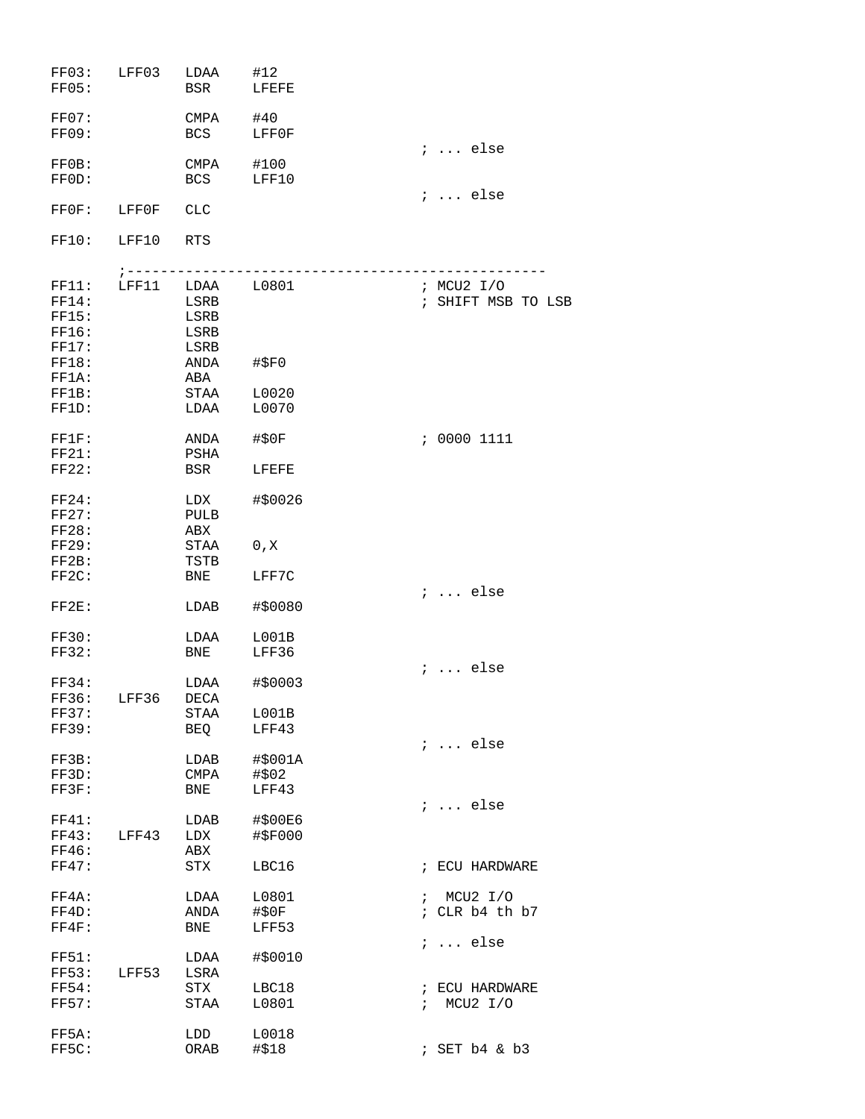| FF03:<br>FF05:                   | LFF03            | LDAA<br>BSR                  | #12<br>LFEFE              |                                  |
|----------------------------------|------------------|------------------------------|---------------------------|----------------------------------|
| FF07:<br>FF09:                   |                  | CMPA<br>BCS                  | #40<br>LFF0F              |                                  |
| FFOB:<br>FFOD:                   |                  | CMPA<br><b>BCS</b>           | #100<br>LFF10             | $i \ldots$ else                  |
| FFOF:                            | LFF0F            | <b>CLC</b>                   |                           | $i \ldots$ else                  |
| FF10:                            | LFF10            | <b>RTS</b>                   |                           |                                  |
| FF11:<br>FF14:<br>FF15:<br>FF16: | $i - -$<br>LFF11 | LDAA<br>LSRB<br>LSRB<br>LSRB | L0801                     | ; MCU2 I/O<br>; SHIFT MSB TO LSB |
| FF17:<br>FF18:<br>FF1A:          |                  | LSRB<br>ANDA<br>ABA          | #SFO                      |                                  |
| FF1B:<br>FF1D:                   |                  | STAA<br>LDAA                 | L0020<br>L0070            |                                  |
| FF1F:<br>FF21:                   |                  | ANDA<br>PSHA                 | #\$0F                     | : 00001111                       |
| FF22:                            |                  | BSR                          | LFEFE                     |                                  |
| FF24:<br>FF27:<br>FF28:          |                  | LDX<br>PULB<br>ABX           | #\$0026                   |                                  |
| <b>FF29:</b><br>FF2B:            |                  | STAA<br>TSTB                 | 0, X                      |                                  |
| FF2C:                            |                  | BNE                          | LFF7C<br>#\$0080          | $i \ldots$ else                  |
| $FF2E$ :                         |                  | LDAB                         |                           |                                  |
| FF30:<br>FF32:                   |                  | LDAA<br>BNE                  | L001B<br>LFF36            | $i \ldots$ else                  |
| FF34:                            | FF36: LFF36      | LDAA<br>DECA                 | #\$0003                   |                                  |
| FF37:<br>FF39:                   |                  | STAA<br>BEQ                  | L001B<br>LFF43            |                                  |
| FF3B:<br>FF3D:<br>FF3F:          |                  | LDAB<br>CMPA<br>BNE          | #\$001A<br>#\$02<br>LFF43 | $i \ldots$ else                  |
| FF41:<br>FF43:<br>FF46:          | LFF43            | LDAB<br>LDX<br>ABX           | #\$00E6<br>#\$F000        | $i \ldots$ else                  |
| FF47:                            |                  | STX                          | LBC16                     | ; ECU HARDWARE                   |
| FF4A:<br>FF4D:<br>FF4F:          |                  | LDAA<br>ANDA<br>BNE          | L0801<br>#\$0F<br>LFF53   | : MCU2 I/O<br>; CLR b4 th b7     |
| <b>FF51:</b><br>FF53:            | LFF53            | LDAA<br>LSRA                 | #\$0010                   | $i$ else                         |
| <b>FF54:</b><br><b>FF57:</b>     |                  | STX<br>STAA                  | LBC18<br>L0801            | ; ECU HARDWARE<br>: MCU2 I/O     |
| FF5A:<br>FF5C:                   |                  | LDD<br><b>ORAB</b>           | L0018<br>#\$18            | ; SET b4 & b3                    |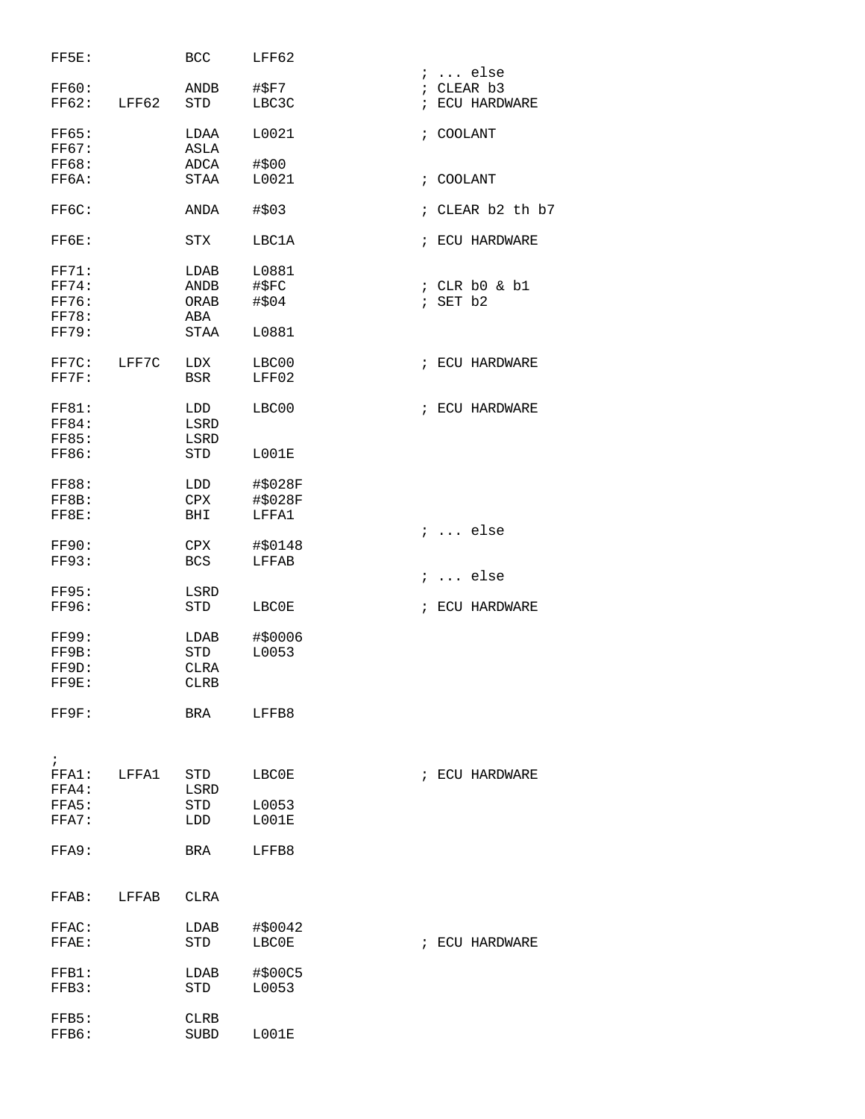| FF5E:                 |       | <b>BCC</b>         | LFF62              |                              |
|-----------------------|-------|--------------------|--------------------|------------------------------|
|                       |       |                    |                    | $i \ldots$ else              |
| FF60:<br><b>FF62:</b> | LFF62 | ANDB<br><b>STD</b> | #\$F7<br>LBC3C     | ; CLEAR b3<br>; ECU HARDWARE |
|                       |       |                    |                    |                              |
| <b>FF65:</b>          |       | LDAA               | L0021              | ; COOLANT                    |
| <b>FF67:</b>          |       | ASLA               |                    |                              |
| <b>FF68:</b>          |       | ADCA               | #\$00              |                              |
| FF6A:                 |       | <b>STAA</b>        | L0021              | ; COOLANT                    |
|                       |       |                    |                    |                              |
| FF6C:                 |       | ANDA               | #\$03              | ; CLEAR b2 th b7             |
| FF6E:                 |       | <b>STX</b>         | LBC1A              | ; ECU HARDWARE               |
| FF71:                 |       | LDAB               | L0881              |                              |
| FF74:                 |       | ANDB               | #\$FC              | ; CLR b0 & b1                |
| FF76:                 |       | ORAB               | #\$04              | ; SET b2                     |
| <b>FF78:</b>          |       | ABA                |                    |                              |
| FF79:                 |       | <b>STAA</b>        | L0881              |                              |
| FF7C:                 | LFF7C | LDX                | LBC00              | ; ECU HARDWARE               |
| FF7F:                 |       | <b>BSR</b>         | LFF02              |                              |
|                       |       |                    |                    |                              |
| FF81:                 |       | LDD                | LBC00              | ; ECU HARDWARE               |
| <b>FF84:</b>          |       | LSRD               |                    |                              |
| <b>FF85:</b>          |       | LSRD               |                    |                              |
| FF86:                 |       | <b>STD</b>         | L001E              |                              |
|                       |       |                    |                    |                              |
| <b>FF88:</b><br>FF8B: |       | LDD<br>CPX         | #\$028F<br>#\$028F |                              |
| FF8E:                 |       | BHI                | LFFA1              |                              |
|                       |       |                    |                    | $i \dots$ else               |
| <b>FF90:</b>          |       | CPX                | #\$0148            |                              |
| FF93:                 |       | <b>BCS</b>         | LFFAB              |                              |
|                       |       |                    |                    | $i \ldots$ else              |
| <b>FF95:</b>          |       | LSRD               |                    |                              |
| FF96:                 |       | <b>STD</b>         | LBC0E              | ; ECU HARDWARE               |
|                       |       |                    |                    |                              |
| <b>FF99:</b>          |       | LDAB               | #\$0006            |                              |
| FF9B:                 |       | <b>STD</b>         | L0053              |                              |
| FF9D:                 |       | <b>CLRA</b>        |                    |                              |
| FF9E:                 |       | <b>CLRB</b>        |                    |                              |
| FF9F:                 |       | BRA                | LFFB8              |                              |
|                       |       |                    |                    |                              |
|                       |       |                    |                    |                              |
| $\ddot{i}$            |       |                    |                    |                              |
| FFA1:                 | LFFA1 | STD                | LBC0E              | ; ECU HARDWARE               |
| FFA4:                 |       | LSRD               |                    |                              |
| FFA5:                 |       | STD                | L0053              |                              |
| FFA7:                 |       | LDD                | L001E              |                              |
| FFA9:                 |       | BRA                | LFFB8              |                              |
|                       |       |                    |                    |                              |
| FFAB: LFFAB           |       | CLRA               |                    |                              |
|                       |       |                    |                    |                              |
| FFAC:                 |       | LDAB               | #\$0042            |                              |
| FFAE:                 |       | STD                | LBC0E              | ; ECU HARDWARE               |
|                       |       |                    |                    |                              |
| FFB1:                 |       | LDAB               | #\$00C5            |                              |
| FFB3:                 |       | STD                | L0053              |                              |
|                       |       |                    |                    |                              |
| FFB5:                 |       | CLRB               |                    |                              |
| FFB6:                 |       | <b>SUBD</b>        | L001E              |                              |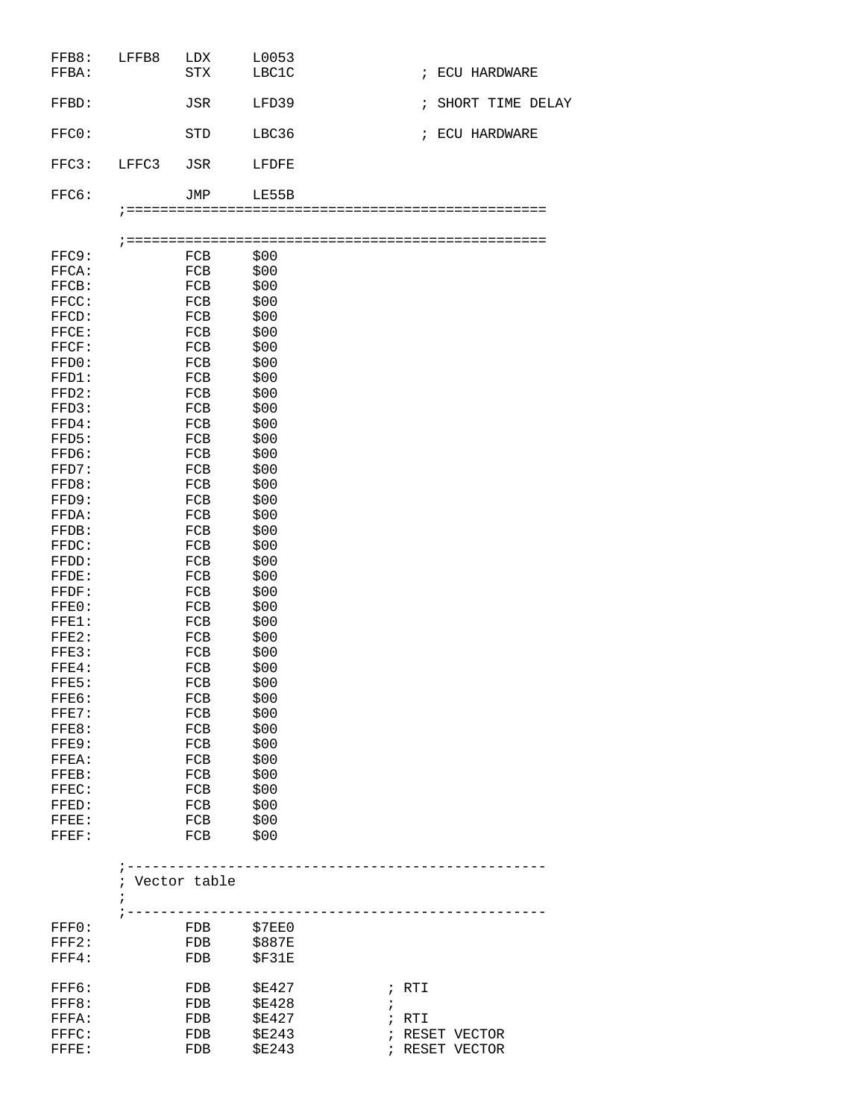| FFBA:          |       | <b>STX</b>   | LBC1C                       |               | ; ECU HARDWARE   |
|----------------|-------|--------------|-----------------------------|---------------|------------------|
| FFBD:          |       | JSR          | LFD39                       | $\mathbf{r}$  | SHORT TIME DELAY |
| FFCO:          |       | <b>STD</b>   | LBC36                       | $\mathcal{L}$ | ECU HARDWARE     |
| FFC3:          | LFFC3 | JSR          | LFDFE                       |               |                  |
| FFC6:          |       | JMP          | LE55B                       |               |                  |
|                |       |              |                             |               |                  |
|                |       |              |                             |               |                  |
| FFC9:          |       | FCB          | \$00                        |               |                  |
| FFCA:          |       | FCB          | \$00                        |               |                  |
| FFCB:          |       | FCB          | \$00                        |               |                  |
| FFCC:          |       | FCB          | \$00                        |               |                  |
| FFCD:          |       | FCB          | \$00                        |               |                  |
| FFCE:          |       | FCB          | \$00                        |               |                  |
| FFCF:          |       | FCB          | \$00                        |               |                  |
| FFD0:          |       | FCB          | \$00                        |               |                  |
| FFD1:          |       | FCB          | \$00                        |               |                  |
| FFD2:          |       | FCB          | \$00                        |               |                  |
| FFD3:          |       | FCB          | \$00                        |               |                  |
| FFD4:          |       | FCB          | \$00                        |               |                  |
| FFD5:          |       | FCB          | \$00                        |               |                  |
| FFD6:<br>FFD7: |       | FCB<br>FCB   | \$00                        |               |                  |
| FFD8:          |       | FCB          | \$00<br>\$00                |               |                  |
| FFD9:          |       | FCB          | \$00                        |               |                  |
| FFDA:          |       | FCB          | \$00                        |               |                  |
| FFDB:          |       | FCB          | \$00                        |               |                  |
| FFDC:          |       | FCB          | \$00                        |               |                  |
| FFDD:          |       | FCB          | \$00                        |               |                  |
| FFDE:          |       | FCB          | \$00                        |               |                  |
| FFDF:          |       | FCB          | \$00                        |               |                  |
| FFE0:          |       | FCB          | \$00                        |               |                  |
| $FFE1$ :       |       | FCB          | \$00                        |               |                  |
| FFE2:          |       | FCB          | \$00                        |               |                  |
| FFE3:          |       | FCB          | \$00                        |               |                  |
| $FFE4$ :       |       | FCB          | \$00                        |               |                  |
| FFE5:          |       | FCB          | \$00                        |               |                  |
| FFE6:          |       | FCB          | \$00                        |               |                  |
| FFE7:          |       | FCB          | \$00                        |               |                  |
| FFE8:          |       | FCB          | \$00                        |               |                  |
| FFE9:          |       | FCB          | \$00                        |               |                  |
| FFEA:          |       | FCB          | \$00                        |               |                  |
| FFEB:          |       | FCB          | \$00                        |               |                  |
| FFEC:          |       | FCB          | \$00                        |               |                  |
| FFED:          |       | FCB          | \$00                        |               |                  |
| FFEE:          |       | FCB          | \$00                        |               |                  |
| FFEF:          |       | FCB          | \$00                        |               |                  |
|                |       |              |                             |               |                  |
|                |       | Vector table |                             |               |                  |
|                |       |              |                             |               |                  |
|                |       |              |                             |               |                  |
| FFF0:          |       | FDB \$7EE0   |                             |               |                  |
| FFF2:          |       | FDB \$887E   |                             |               |                  |
| FFF4:          |       | FDB          | \$F31E                      |               |                  |
|                |       |              |                             |               |                  |
| FFF6:          |       | FDB          | <b>\$E427</b>               | ; RTI         |                  |
| FFF8:          |       | FDB          | <b>\$E428</b><br>$\ddot{ }$ |               |                  |
| FFFA:          |       | FDB          | <b>\$E427</b>               | ; RTI         |                  |
| FFFC:          |       | FDB          | <b>\$E243</b>               |               | ; RESET VECTOR   |
| FFFE:          |       | FDB          | <b>\$E243</b>               |               | ; RESET VECTOR   |
|                |       |              |                             |               |                  |

FFB8: LFFB8 LDX L0053